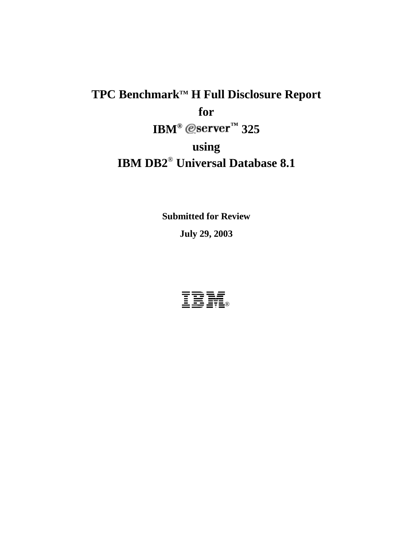# TPC Benchmark™ H Full Disclosure Report **for**   $IBM^{\circ}$  @server<sup> $m$ </sup> 325 **using IBM DB2**® **Universal Database 8.1**

**Submitted for Review July 29, 2003** 

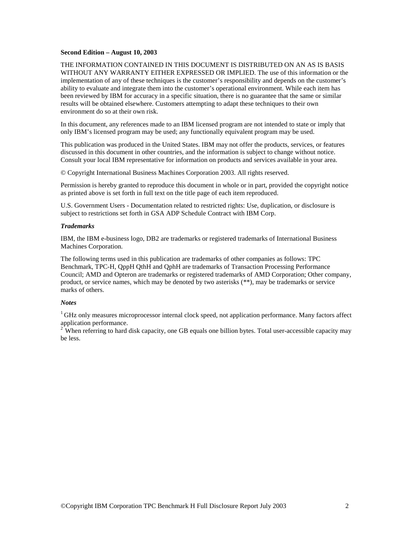#### **Second Edition – August 10, 2003**

THE INFORMATION CONTAINED IN THIS DOCUMENT IS DISTRIBUTED ON AN AS IS BASIS WITHOUT ANY WARRANTY EITHER EXPRESSED OR IMPLIED. The use of this information or the implementation of any of these techniques is the customer's responsibility and depends on the customer's ability to evaluate and integrate them into the customer's operational environment. While each item has been reviewed by IBM for accuracy in a specific situation, there is no guarantee that the same or similar results will be obtained elsewhere. Customers attempting to adapt these techniques to their own environment do so at their own risk.

In this document, any references made to an IBM licensed program are not intended to state or imply that only IBM's licensed program may be used; any functionally equivalent program may be used.

This publication was produced in the United States. IBM may not offer the products, services, or features discussed in this document in other countries, and the information is subject to change without notice. Consult your local IBM representative for information on products and services available in your area.

© Copyright International Business Machines Corporation 2003. All rights reserved.

Permission is hereby granted to reproduce this document in whole or in part, provided the copyright notice as printed above is set forth in full text on the title page of each item reproduced.

U.S. Government Users - Documentation related to restricted rights: Use, duplication, or disclosure is subject to restrictions set forth in GSA ADP Schedule Contract with IBM Corp.

#### *Trademarks*

IBM, the IBM e-business logo, DB2 are trademarks or registered trademarks of International Business Machines Corporation.

The following terms used in this publication are trademarks of other companies as follows: TPC Benchmark, TPC-H, QppH QthH and QphH are trademarks of Transaction Processing Performance Council; AMD and Opteron are trademarks or registered trademarks of AMD Corporation; Other company, product, or service names, which may be denoted by two asterisks (\*\*), may be trademarks or service marks of others.

#### *Notes*

<sup>1</sup> GHz only measures microprocessor internal clock speed, not application performance. Many factors affect application performance.

 $2^2$  When referring to hard disk capacity, one GB equals one billion bytes. Total user-accessible capacity may be less.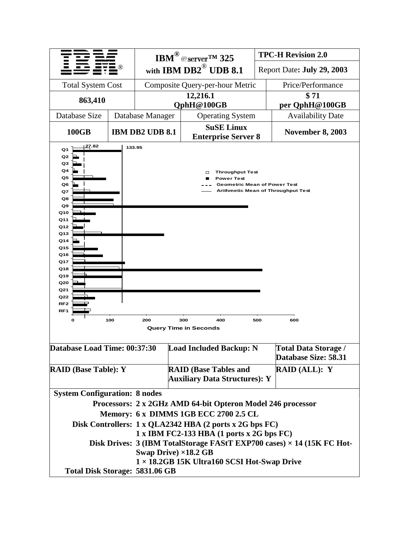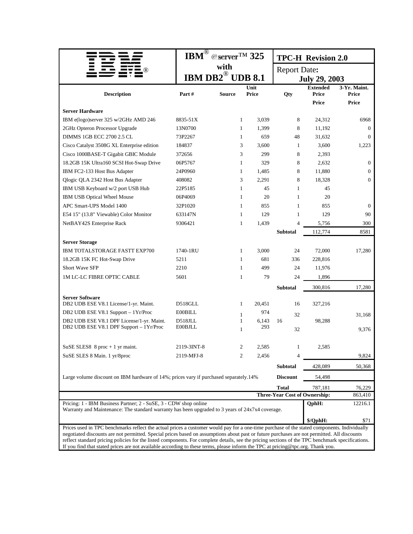|                                                                                                                                                                                                                                                                                     | $\overline{\text{IBM}^{\circledR}}$ | $@$ server <sup>TM</sup> 325 |                         |                                               | <b>TPC-H Revision 2.0</b>    |                       |  |  |
|-------------------------------------------------------------------------------------------------------------------------------------------------------------------------------------------------------------------------------------------------------------------------------------|-------------------------------------|------------------------------|-------------------------|-----------------------------------------------|------------------------------|-----------------------|--|--|
|                                                                                                                                                                                                                                                                                     |                                     | with                         |                         | <b>Report Date:</b>                           |                              |                       |  |  |
|                                                                                                                                                                                                                                                                                     | IBM DB2 $^{\circledR}$ UDB 8.1      |                              |                         |                                               | <b>July 29, 2003</b>         |                       |  |  |
|                                                                                                                                                                                                                                                                                     |                                     |                              | Unit                    |                                               | <b>Extended</b>              | 3-Yr. Maint.          |  |  |
| <b>Description</b>                                                                                                                                                                                                                                                                  | Part#                               | <b>Source</b>                | <b>Price</b>            | Qty                                           | <b>Price</b><br><b>Price</b> | Price<br><b>Price</b> |  |  |
| <b>Server Hardware</b>                                                                                                                                                                                                                                                              |                                     |                              |                         |                                               |                              |                       |  |  |
| IBM e(logo)server 325 w/2GHz AMD 246                                                                                                                                                                                                                                                | 8835-51X                            |                              | $\mathbf{1}$<br>3,039   | 8                                             | 24,312                       | 6968                  |  |  |
| 2GHz Opteron Processor Upgrade                                                                                                                                                                                                                                                      | 13N0700                             |                              | $\mathbf{1}$<br>1,399   | 8                                             | 11,192                       | $\mathbf{0}$          |  |  |
| DIMMS 1GB ECC 2700 2.5 CL                                                                                                                                                                                                                                                           | 73P2267                             |                              | $\mathbf{1}$<br>659     | 48                                            | 31,632                       | $\overline{0}$        |  |  |
| Cisco Catalyst 3508G XL Enterprise edition                                                                                                                                                                                                                                          | 184837                              |                              | 3<br>3,600              | 1                                             | 3,600                        | 1,223                 |  |  |
| Cisco 1000BASE-T Gigabit GBIC Module                                                                                                                                                                                                                                                | 372656                              |                              | 3<br>299                | 8                                             | 2,393                        |                       |  |  |
| 18.2GB 15K Ultra160 SCSI Hot-Swap Drive                                                                                                                                                                                                                                             | 06P5767                             |                              | $\mathbf{1}$<br>329     | 8                                             | 2,632                        | $\boldsymbol{0}$      |  |  |
| IBM FC2-133 Host Bus Adapter                                                                                                                                                                                                                                                        | 24P0960                             |                              | $\mathbf{1}$<br>1,485   | 8                                             | 11,880                       | $\mathbf{0}$          |  |  |
| Qlogic QLA 2342 Host Bus Adapter                                                                                                                                                                                                                                                    | 408082                              |                              | 3<br>2,291              | 8                                             | 18,328                       | $\overline{0}$        |  |  |
| IBM USB Keyboard w/2 port USB Hub                                                                                                                                                                                                                                                   | 22P5185                             |                              | $\mathbf{1}$<br>45      | $\mathbf{1}$                                  | 45                           |                       |  |  |
| IBM USB Optical Wheel Mouse                                                                                                                                                                                                                                                         | 06P4069                             |                              | 1<br>20                 | 1                                             | 20                           |                       |  |  |
| APC Smart-UPS Model 1400                                                                                                                                                                                                                                                            | 32P1020                             |                              | 1<br>855                | 1                                             | 855                          | $\overline{0}$        |  |  |
| E54 15" (13.8" Viewable) Color Monitor                                                                                                                                                                                                                                              | 633147N                             |                              | 1<br>129                | 1                                             | 129                          | 90                    |  |  |
| NetBAY42S Enterprise Rack                                                                                                                                                                                                                                                           | 9306421                             |                              | $\mathbf{1}$<br>1,439   | $\Delta$                                      | 5,756                        | 300                   |  |  |
|                                                                                                                                                                                                                                                                                     |                                     |                              |                         | <b>Subtotal</b>                               | 112,774                      | 8581                  |  |  |
| <b>Server Storage</b>                                                                                                                                                                                                                                                               |                                     |                              |                         |                                               |                              |                       |  |  |
| IBM TOTALSTORAGE FASTT EXP700                                                                                                                                                                                                                                                       | 1740-1RU                            |                              | $\mathbf{1}$<br>3,000   | 24                                            | 72,000                       | 17,280                |  |  |
| 18.2GB 15K FC Hot-Swap Drive                                                                                                                                                                                                                                                        | 5211                                |                              | 681<br>1                | 336                                           | 228,816                      |                       |  |  |
| Short Wave SFP                                                                                                                                                                                                                                                                      | 2210                                |                              | 1<br>499                | 24                                            | 11,976                       |                       |  |  |
| <b>1M LC-LC FIBRE OPTIC CABLE</b>                                                                                                                                                                                                                                                   | 5601                                |                              | $\mathbf{1}$<br>79      | 24                                            | 1,896                        |                       |  |  |
|                                                                                                                                                                                                                                                                                     |                                     |                              |                         | <b>Subtotal</b>                               | 300,816                      | 17,280                |  |  |
|                                                                                                                                                                                                                                                                                     |                                     |                              |                         |                                               |                              |                       |  |  |
| <b>Server Software</b><br>DB2 UDB ESE V8.1 License/1-yr. Maint.                                                                                                                                                                                                                     | D518GLL                             |                              | $\mathbf{1}$<br>20,451  | 16                                            | 327,216                      |                       |  |  |
| DB2 UDB ESE V8.1 Support - 1Yr/Proc                                                                                                                                                                                                                                                 | <b>E00BILL</b>                      |                              | 974                     |                                               |                              |                       |  |  |
| DB2 UDB ESE V8.1 DPF License/1-yr. Maint.                                                                                                                                                                                                                                           | D518JLL                             |                              | 1<br>6,143<br>1         | 32<br>16                                      | 98,288                       | 31,168                |  |  |
| DB2 UDB ESE V8.1 DPF Support - 1Yr/Proc                                                                                                                                                                                                                                             | <b>E00BJLL</b>                      |                              | 293<br>$\mathbf{1}$     | 32                                            |                              | 9,376                 |  |  |
|                                                                                                                                                                                                                                                                                     |                                     |                              |                         |                                               |                              |                       |  |  |
| SuSE SLES8 $8 \text{ proc} + 1 \text{ yr}$ maint.                                                                                                                                                                                                                                   | 2119-3INT-8                         |                              | 2<br>2.585              | $\mathbf{1}$                                  | 2,585                        |                       |  |  |
| SuSE SLES 8 Main. 1 yr/8proc                                                                                                                                                                                                                                                        | 2119-MFJ-8                          |                              | $\overline{c}$<br>2,456 |                                               |                              | 9,824                 |  |  |
|                                                                                                                                                                                                                                                                                     |                                     |                              |                         | <b>Subtotal</b>                               | 428,089                      | 50,368                |  |  |
|                                                                                                                                                                                                                                                                                     |                                     |                              |                         |                                               |                              |                       |  |  |
| Large volume discount on IBM hardware of 14%; prices vary if purchased separately.14%                                                                                                                                                                                               |                                     |                              |                         | <b>Discount</b>                               | 54,498                       |                       |  |  |
|                                                                                                                                                                                                                                                                                     |                                     |                              |                         | <b>Total</b><br>Three-Year Cost of Ownership: | 787,181                      | 76,229                |  |  |
| Pricing: 1 - IBM Business Partner; 2 - SuSE, 3 - CDW shop online                                                                                                                                                                                                                    |                                     |                              |                         |                                               | QphH:                        | 863,410               |  |  |
| Warranty and Maintenance: The standard warranty has been upgraded to 3 years of 24x7x4 coverage.                                                                                                                                                                                    |                                     |                              |                         |                                               |                              | 12216.1               |  |  |
|                                                                                                                                                                                                                                                                                     |                                     |                              |                         |                                               | \$/QphH:                     | \$71                  |  |  |
| Prices used in TPC benchmarks reflect the actual prices a customer would pay for a one-time purchase of the stated components. Individually                                                                                                                                         |                                     |                              |                         |                                               |                              |                       |  |  |
| negotiated discounts are not permitted. Special prices based on assumptions about past or future purchases are not permitted. All discounts                                                                                                                                         |                                     |                              |                         |                                               |                              |                       |  |  |
| reflect standard pricing policies for the listed components. For complete details, see the pricing sections of the TPC benchmark specifications.<br>If you find that stated prices are not available according to these terms, please inform the TPC at pricing@tpc.org. Thank you. |                                     |                              |                         |                                               |                              |                       |  |  |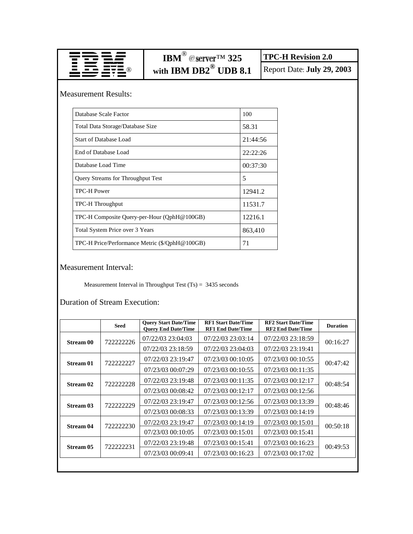|                                                | IBM <sup>®</sup> @server <sup>TM</sup> 325                    |          | <b>TPC-H Revision 2.0</b>  |
|------------------------------------------------|---------------------------------------------------------------|----------|----------------------------|
|                                                | with IBM DB2 <sup>®</sup> UDB 8.1                             |          | Report Date: July 29, 2003 |
| <b>Measurement Results:</b>                    |                                                               |          |                            |
| Database Scale Factor                          |                                                               | 100      |                            |
| Total Data Storage/Database Size               |                                                               | 58.31    |                            |
| <b>Start of Database Load</b>                  |                                                               | 21:44:56 |                            |
| End of Database Load                           |                                                               | 22:22:26 |                            |
| Database Load Time                             |                                                               | 00:37:30 |                            |
| Query Streams for Throughput Test              |                                                               | 5        |                            |
| <b>TPC-H Power</b>                             |                                                               | 12941.2  |                            |
| TPC-H Throughput                               |                                                               | 11531.7  |                            |
| TPC-H Composite Query-per-Hour (QphH@100GB)    |                                                               | 12216.1  |                            |
| Total System Price over 3 Years                |                                                               | 863,410  |                            |
| TPC-H Price/Performance Metric (\$/QphH@100GB) |                                                               | 71       |                            |
| <b>Measurement Interval:</b>                   | Measurement Interval in Throughput Test $(Ts) = 3435$ seconds |          |                            |

Duration of Stream Execution:

|                  | <b>Seed</b>       | <b>Ouery Start Date/Time</b><br><b>Ouery End Date/Time</b> | <b>RF1 Start Date/Time</b><br><b>RF1 End Date/Time</b> | <b>RF2 Start Date/Time</b><br><b>RF2 End Date/Time</b> | <b>Duration</b> |
|------------------|-------------------|------------------------------------------------------------|--------------------------------------------------------|--------------------------------------------------------|-----------------|
| <b>Stream 00</b> | 722222226         | 07/22/03 23:04:03                                          | 07/22/03 23:03:14                                      | 07/22/03 23:18:59                                      | 00:16:27        |
|                  |                   | 07/22/03 23:18:59                                          | 07/22/03 23:04:03                                      | 07/22/03 23:19:41                                      |                 |
| <b>Stream 01</b> | 722222227         | 07/22/03 23:19:47                                          | 07/23/03 00:10:05                                      | 07/23/03 00:10:55                                      | 00:47:42        |
|                  |                   | 07/23/03 00:07:29                                          | 07/23/03 00:10:55                                      | 07/23/03 00:11:35                                      |                 |
| Stream 02        | 722222228         | 07/22/03 23:19:48                                          | 07/23/03 00:11:35                                      | 07/23/03 00:12:17                                      | 00:48:54        |
|                  |                   | 07/23/03 00:08:42                                          | 07/23/03 00:12:17                                      | 07/23/03 00:12:56                                      |                 |
| Stream 03        | 722222229         | 07/22/03 23:19:47                                          | 07/23/03 00:12:56                                      | 07/23/03 00:13:39                                      | 00:48:46        |
|                  |                   | 07/23/03 00:08:33                                          | 07/23/03 00:13:39                                      | 07/23/03 00:14:19                                      |                 |
| Stream 04        | 722222230         | 07/22/03 23:19:47                                          | 07/23/03 00:14:19                                      | 07/23/03 00:15:01                                      | 00:50:18        |
|                  |                   | 07/23/03 00:10:05                                          | 07/23/03 00:15:01                                      | 07/23/03 00:15:41                                      |                 |
| Stream 05        | 722222231         | 07/22/03 23:19:48                                          | 07/23/03 00:15:41                                      | 07/23/03 00:16:23                                      | 00:49:53        |
|                  | 07/23/03 00:09:41 | 07/23/03 00:16:23                                          | 07/23/03 00:17:02                                      |                                                        |                 |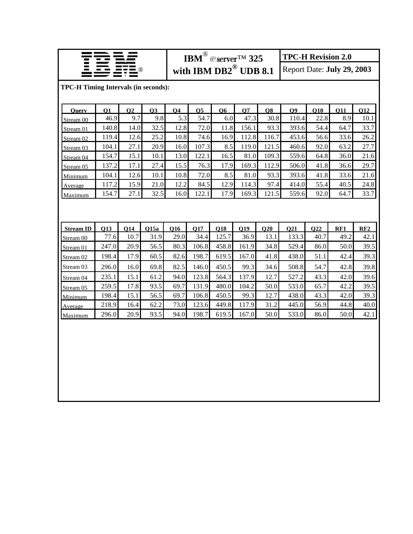|                                             |                    |                         |              |             | IBM <sup>®</sup> @server <sup>TM</sup> 325 |              |             |             | <b>TPC-H Revision 2.0</b> |                            |             |             |
|---------------------------------------------|--------------------|-------------------------|--------------|-------------|--------------------------------------------|--------------|-------------|-------------|---------------------------|----------------------------|-------------|-------------|
|                                             |                    |                         |              |             | with IBM $DB2^{\circledR}$ UDB 8.1         |              |             |             |                           | Report Date: July 29, 2003 |             |             |
| <b>TPC-H Timing Intervals (in seconds):</b> |                    |                         |              |             |                                            |              |             |             |                           |                            |             |             |
|                                             |                    |                         |              |             |                                            |              |             |             |                           |                            |             |             |
| <b>Ouery</b>                                | <b>O1</b>          | O <sub>2</sub>          | <b>O3</b>    | <b>O4</b>   | <b>O5</b>                                  | <b>O6</b>    | <b>O7</b>   | <b>O8</b>   | <b>O9</b>                 | <b>O10</b>                 | 011         | <b>O12</b>  |
| Stream 00                                   | 46.9               | 9.7                     | 9.8          | 5.3         | 54.7                                       | 6.0          | 47.3        | 30.8        | 110.4                     | 22.8                       | 8.9         | 10.1        |
| Stream 01                                   | 140.8              | 14.0                    | 32.5         | 12.8        | 72.0                                       | 11.8         | 156.1       | 93.3        | 393.6                     | 54.4                       | 64.7        | 33.7        |
| Stream 02                                   | 119.4              | 12.6                    | 25.2         | 10.8        | 74.6                                       | 16.9         | 112.8       | 116.7       | 453.6                     | 56.6                       | 33.6        | 26.2        |
| Stream 03                                   | 104.1              | 27.1                    | 20.9         | 16.0        | 107.3                                      | 8.5          | 119.0       | 121.5       | 460.6                     | 92.0                       | 63.2        | 27.7        |
| Stream 04                                   | 154.7              | 15.1                    | 10.1         | 13.0        | 122.1                                      | 16.5         | 81.0        | 109.3       | 559.6                     | 64.8                       | 36.0        | 21.6        |
| Stream 05                                   | 137.2              | 17.1                    | 27.4         | 15.5        | 76.3                                       | 17.9         | 169.3       | 112.9       | 506.0                     | 41.8                       | 36.6        | 29.7        |
| Minimum                                     | 104.1              | 12.6                    | 10.1         | 10.8        | 72.0                                       | 8.5          | 81.0        | 93.3        | 393.6                     | 41.8                       | 33.6        | 21.6        |
| Average                                     | 117.2              | 15.9                    | 21.0         | 12.2        | 84.5                                       | 12.9         | 114.3       | 97.4        | 414.0                     | 55.4                       | 40.5        | 24.8        |
| Maximum                                     | 154.7              | 27.1                    | 32.5         | 16.0        | 122.1                                      | 17.9         | 169.3       | 121.5       | 559.6                     | 92.0                       | 64.7        | 33.7        |
|                                             |                    |                         |              |             |                                            |              |             |             |                           |                            |             |             |
|                                             |                    |                         |              |             |                                            |              |             |             |                           |                            |             |             |
|                                             |                    |                         |              |             |                                            |              |             |             |                           |                            |             |             |
| <b>Stream ID</b>                            | <b>O13</b><br>77.6 | Q <sub>14</sub><br>10.7 | Q15a<br>31.9 | Q16<br>29.0 | Q17<br>34.4                                | Q18<br>125.7 | O19<br>36.9 | Q20<br>13.1 | Q21<br>133.3              | <b>O22</b><br>40.7         | RF1<br>49.2 | RF2<br>42.1 |
| Stream 00                                   | 247.0              | 20.9                    | 56.5         | 80.3        | 106.8                                      | 458.8        | 161.9       | 34.8        | 529.4                     | 86.0                       | 50.0        | 39.5        |
| Stream 01                                   |                    |                         |              |             | 198.7                                      |              |             |             |                           |                            |             |             |
| Stream 02                                   | 198.4              | 17.9                    | 60.5         | 82.6        |                                            | 619.5        | 167.0       | 41.8        | 438.0                     | 51.1                       | 42.4        | 39.3        |
| Stream 03                                   | 296.0              | 16.0                    | 69.8         | 82.5        | 146.0                                      | 450.5        | 99.3        | 34.6        | 508.8                     | 54.7                       | 42.8        | 39.8        |
| Stream 04                                   | 235.1              | 15.1                    | 61.2         | 94.0        | 123.8                                      | 564.3        | 137.9       | 12.7        | 527.2                     | 43.3                       | 42.0        | 39.6        |
| Stream 05                                   | 259.5              | 17.8                    | 93.5         | 69.7        | 131.9                                      | 480.0        | 104.2       | 50.0        | 533.0                     | 65.7                       | 42.2        | 39.5        |
| Minimum                                     | 198.4              | 15.1                    | 56.5         | 69.7        | 106.8                                      | 450.5        | 99.3        | 12.7        | 438.0                     | 43.3                       | 42.0        | 39.3        |
| Average                                     | 218.9              | 16.4                    | 62.2         | 73.0        | 123.6                                      | 449.8        | 117.9       | 31.2        | 445.0                     | 56.9                       | 44.8        | 40.0        |
| Maximum                                     | 296.0              | 20.9                    | 93.5         | 94.0        | 198.7                                      | 619.5        | 167.0       | 50.0        | 533.0                     | 86.0                       | 50.0        | 42.1        |
|                                             |                    |                         |              |             |                                            |              |             |             |                           |                            |             |             |
|                                             |                    |                         |              |             |                                            |              |             |             |                           |                            |             |             |
|                                             |                    |                         |              |             |                                            |              |             |             |                           |                            |             |             |
|                                             |                    |                         |              |             |                                            |              |             |             |                           |                            |             |             |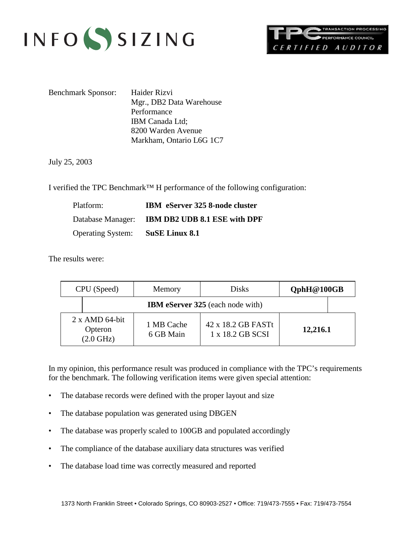



Benchmark Sponsor: Haider Rizvi Mgr., DB2 Data Warehouse Performance IBM Canada Ltd; 8200 Warden Avenue Markham, Ontario L6G 1C7

July 25, 2003

I verified the TPC Benchmark™ H performance of the following configuration:

| Platform:                               | IBM eServer 325 8-node cluster                 |
|-----------------------------------------|------------------------------------------------|
|                                         | Database Manager: IBM DB2 UDB 8.1 ESE with DPF |
| <b>Operating System:</b> SuSE Linux 8.1 |                                                |

The results were:

| CPU (Speed) |                                                         | Memory                  | <b>Disks</b>                            | QphH@100GB |  |
|-------------|---------------------------------------------------------|-------------------------|-----------------------------------------|------------|--|
|             |                                                         |                         | <b>IBM</b> eServer 325 (each node with) |            |  |
|             | $2 \times$ AMD 64-bit<br>Opteron<br>$(2.0 \text{ GHz})$ | 1 MB Cache<br>6 GB Main | 42 x 18.2 GB FASTt<br>1 x 18.2 GB SCSI  | 12,216.1   |  |

In my opinion, this performance result was produced in compliance with the TPC's requirements for the benchmark. The following verification items were given special attention:

- The database records were defined with the proper layout and size
- The database population was generated using DBGEN
- The database was properly scaled to 100GB and populated accordingly
- The compliance of the database auxiliary data structures was verified
- The database load time was correctly measured and reported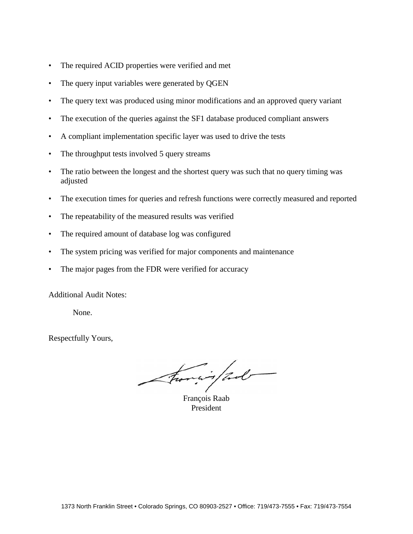- The required ACID properties were verified and met
- The query input variables were generated by QGEN
- The query text was produced using minor modifications and an approved query variant
- The execution of the queries against the SF1 database produced compliant answers
- A compliant implementation specific layer was used to drive the tests
- The throughput tests involved 5 query streams
- The ratio between the longest and the shortest query was such that no query timing was adjusted
- The execution times for queries and refresh functions were correctly measured and reported
- The repeatability of the measured results was verified
- The required amount of database log was configured
- The system pricing was verified for major components and maintenance
- The major pages from the FDR were verified for accuracy

Additional Audit Notes:

None.

Respectfully Yours,

Francois Raab

President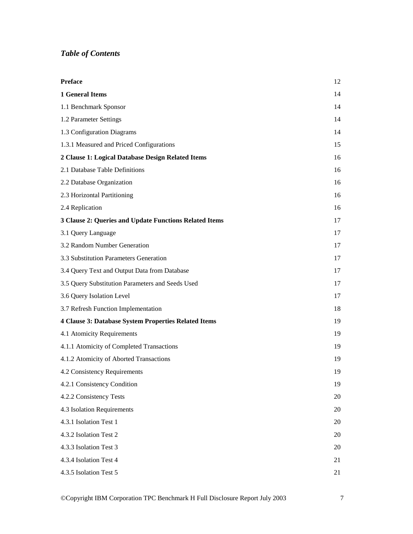## *Table of Contents*

| <b>Preface</b>                                         | 12 |
|--------------------------------------------------------|----|
| <b>1 General Items</b>                                 | 14 |
| 1.1 Benchmark Sponsor                                  | 14 |
| 1.2 Parameter Settings                                 | 14 |
| 1.3 Configuration Diagrams                             | 14 |
| 1.3.1 Measured and Priced Configurations               | 15 |
| 2 Clause 1: Logical Database Design Related Items      | 16 |
| 2.1 Database Table Definitions                         | 16 |
| 2.2 Database Organization                              | 16 |
| 2.3 Horizontal Partitioning                            | 16 |
| 2.4 Replication                                        | 16 |
| 3 Clause 2: Queries and Update Functions Related Items | 17 |
| 3.1 Query Language                                     | 17 |
| 3.2 Random Number Generation                           | 17 |
| 3.3 Substitution Parameters Generation                 | 17 |
| 3.4 Query Text and Output Data from Database           | 17 |
| 3.5 Query Substitution Parameters and Seeds Used       | 17 |
| 3.6 Query Isolation Level                              | 17 |
| 3.7 Refresh Function Implementation                    | 18 |
| 4 Clause 3: Database System Properties Related Items   | 19 |
| 4.1 Atomicity Requirements                             | 19 |
| 4.1.1 Atomicity of Completed Transactions              | 19 |
| 4.1.2 Atomicity of Aborted Transactions                | 19 |
| 4.2 Consistency Requirements                           | 19 |
| 4.2.1 Consistency Condition                            | 19 |
| 4.2.2 Consistency Tests                                | 20 |
| 4.3 Isolation Requirements                             | 20 |
| 4.3.1 Isolation Test 1                                 | 20 |
| 4.3.2 Isolation Test 2                                 | 20 |
| 4.3.3 Isolation Test 3                                 | 20 |
| 4.3.4 Isolation Test 4                                 | 21 |
| 4.3.5 Isolation Test 5                                 | 21 |

©Copyright IBM Corporation TPC Benchmark H Full Disclosure Report July 2003 7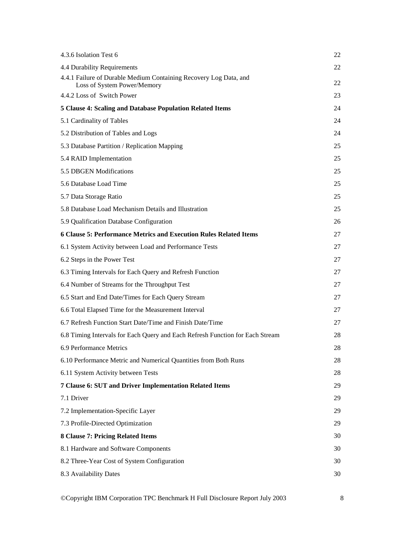| 4.3.6 Isolation Test 6                                                                           | 22 |
|--------------------------------------------------------------------------------------------------|----|
| 4.4 Durability Requirements                                                                      | 22 |
| 4.4.1 Failure of Durable Medium Containing Recovery Log Data, and<br>Loss of System Power/Memory | 22 |
| 4.4.2 Loss of Switch Power                                                                       | 23 |
| 5 Clause 4: Scaling and Database Population Related Items                                        | 24 |
| 5.1 Cardinality of Tables                                                                        | 24 |
| 5.2 Distribution of Tables and Logs                                                              | 24 |
| 5.3 Database Partition / Replication Mapping                                                     | 25 |
| 5.4 RAID Implementation                                                                          | 25 |
| 5.5 DBGEN Modifications                                                                          | 25 |
| 5.6 Database Load Time                                                                           | 25 |
| 5.7 Data Storage Ratio                                                                           | 25 |
| 5.8 Database Load Mechanism Details and Illustration                                             | 25 |
| 5.9 Qualification Database Configuration                                                         | 26 |
| 6 Clause 5: Performance Metrics and Execution Rules Related Items                                | 27 |
| 6.1 System Activity between Load and Performance Tests                                           | 27 |
| 6.2 Steps in the Power Test                                                                      | 27 |
| 6.3 Timing Intervals for Each Query and Refresh Function                                         | 27 |
| 6.4 Number of Streams for the Throughput Test                                                    | 27 |
| 6.5 Start and End Date/Times for Each Query Stream                                               | 27 |
| 6.6 Total Elapsed Time for the Measurement Interval                                              | 27 |
| 6.7 Refresh Function Start Date/Time and Finish Date/Time                                        | 27 |
| 6.8 Timing Intervals for Each Query and Each Refresh Function for Each Stream                    | 28 |
| 6.9 Performance Metrics                                                                          | 28 |
| 6.10 Performance Metric and Numerical Quantities from Both Runs                                  | 28 |
| 6.11 System Activity between Tests                                                               | 28 |
| 7 Clause 6: SUT and Driver Implementation Related Items                                          | 29 |
| 7.1 Driver                                                                                       | 29 |
| 7.2 Implementation-Specific Layer                                                                | 29 |
| 7.3 Profile-Directed Optimization                                                                | 29 |
| 8 Clause 7: Pricing Related Items                                                                | 30 |
| 8.1 Hardware and Software Components                                                             | 30 |
| 8.2 Three-Year Cost of System Configuration                                                      | 30 |
| 8.3 Availability Dates                                                                           | 30 |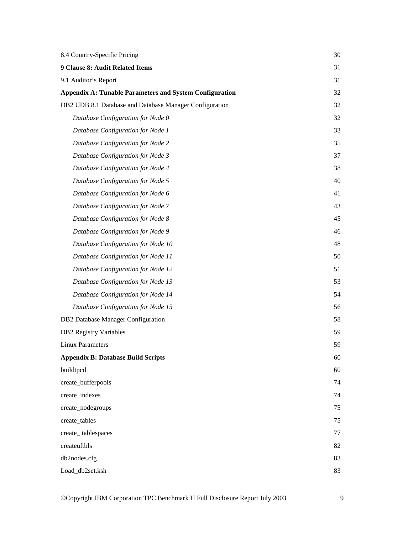| 8.4 Country-Specific Pricing                                   | 30 |
|----------------------------------------------------------------|----|
| 9 Clause 8: Audit Related Items                                | 31 |
| 9.1 Auditor's Report                                           | 31 |
| <b>Appendix A: Tunable Parameters and System Configuration</b> | 32 |
| DB2 UDB 8.1 Database and Database Manager Configuration        | 32 |
| Database Configuration for Node 0                              | 32 |
| Database Configuration for Node 1                              | 33 |
| Database Configuration for Node 2                              | 35 |
| Database Configuration for Node 3                              | 37 |
| Database Configuration for Node 4                              | 38 |
| Database Configuration for Node 5                              | 40 |
| Database Configuration for Node 6                              | 41 |
| Database Configuration for Node 7                              | 43 |
| Database Configuration for Node 8                              | 45 |
| Database Configuration for Node 9                              | 46 |
| Database Configuration for Node 10                             | 48 |
| Database Configuration for Node 11                             | 50 |
| Database Configuration for Node 12                             | 51 |
| Database Configuration for Node 13                             | 53 |
| Database Configuration for Node 14                             | 54 |
| Database Configuration for Node 15                             | 56 |
| DB2 Database Manager Configuration                             | 58 |
| <b>DB2</b> Registry Variables                                  | 59 |
| Linux Parameters                                               | 59 |
| <b>Appendix B: Database Build Scripts</b>                      | 60 |
| buildtpcd                                                      | 60 |
| create_bufferpools                                             | 74 |
| create_indexes                                                 | 74 |
| create_nodegroups                                              | 75 |
| create_tables                                                  | 75 |
| create_tablespaces                                             | 77 |
| createuftbls                                                   | 82 |
| db2nodes.cfg                                                   | 83 |
| Load_db2set.ksh                                                | 83 |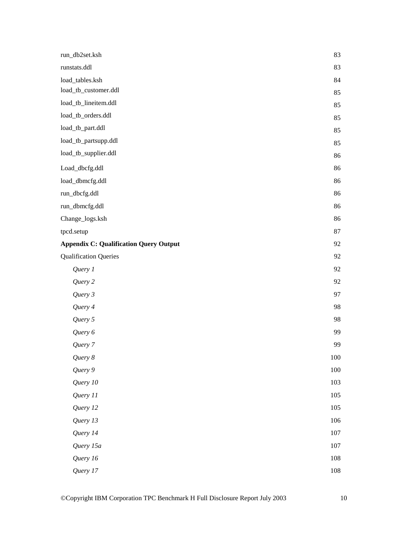| run_db2set.ksh                                | 83  |
|-----------------------------------------------|-----|
| runstats.ddl                                  | 83  |
| load_tables.ksh                               | 84  |
| load_tb_customer.ddl                          | 85  |
| load_tb_lineitem.ddl                          | 85  |
| load_tb_orders.ddl                            | 85  |
| load_tb_part.ddl                              | 85  |
| load_tb_partsupp.ddl                          | 85  |
| load_tb_supplier.ddl                          | 86  |
| Load_dbcfg.ddl                                | 86  |
| load_dbmcfg.ddl                               | 86  |
| run_dbcfg.ddl                                 | 86  |
| run_dbmcfg.ddl                                | 86  |
| Change_logs.ksh                               | 86  |
| tpcd.setup                                    | 87  |
| <b>Appendix C: Qualification Query Output</b> | 92  |
| <b>Qualification Queries</b>                  | 92  |
| Query 1                                       | 92  |
| Query 2                                       | 92  |
| Query 3                                       | 97  |
| Query 4                                       | 98  |
| Query 5                                       | 98  |
| Query 6                                       | 99  |
| Query 7                                       | 99  |
| Query 8                                       | 100 |
| Query 9                                       | 100 |
| Query 10                                      | 103 |
| Query 11                                      | 105 |
| Query 12                                      | 105 |
| Query 13                                      | 106 |
| Query 14                                      | 107 |
| Query 15a                                     | 107 |
| Query 16                                      | 108 |
| Query 17                                      | 108 |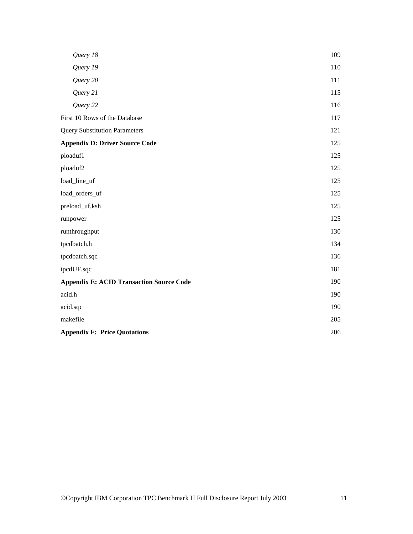| Query 18                                        | 109 |
|-------------------------------------------------|-----|
| Query 19                                        | 110 |
| Query 20                                        | 111 |
| Query 21                                        | 115 |
| Query 22                                        | 116 |
| First 10 Rows of the Database                   | 117 |
| <b>Query Substitution Parameters</b>            | 121 |
| <b>Appendix D: Driver Source Code</b>           | 125 |
| ploaduf1                                        | 125 |
| ploaduf2                                        | 125 |
| load_line_uf                                    | 125 |
| load_orders_uf                                  | 125 |
| preload_uf.ksh                                  | 125 |
| runpower                                        | 125 |
| runthroughput                                   | 130 |
| tpcdbatch.h                                     | 134 |
| tpcdbatch.sqc                                   | 136 |
| tpcdUF.sqc                                      | 181 |
| <b>Appendix E: ACID Transaction Source Code</b> | 190 |
| acid.h                                          | 190 |
| acid.sqc                                        | 190 |
| makefile                                        | 205 |
| <b>Appendix F: Price Quotations</b>             | 206 |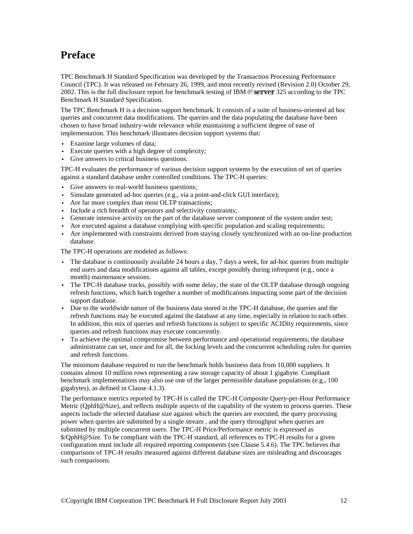## **Preface**

TPC Benchmark H Standard Specification was developed by the Transaction Processing Performance Council (TPC). It was released on February 26, 1999, and most recently revised (Revision 2.0) October 29, 2002. This is the full disclosure report for benchmark testing of IBM  $\mathcal{O}$  server 325 according to the TPC Benchmark H Standard Specification.

The TPC Benchmark H is a decision support benchmark. It consists of a suite of business-oriented ad hoc queries and concurrent data modifications. The queries and the data populating the database have been chosen to have broad industry-wide relevance while maintaining a sufficient degree of ease of implementation. This benchmark illustrates decision support systems that:

- Examine large volumes of data;
- $\cdot$  Execute queries with a high degree of complexity;
- v Give answers to critical business questions.

TPC-H evaluates the performance of various decision support systems by the execution of set of queries against a standard database under controlled conditions. The TPC-H queries:

- Give answers to real-world business questions;
- $\bullet$  Simulate generated ad-hoc queries (e.g., via a point-and-click GUI interface);
- Are far more complex than most OLTP transactions;
- Include a rich breadth of operators and selectivity constraints;
- v Generate intensive activity on the part of the database server component of the system under test;
- v Are executed against a database complying with specific population and scaling requirements;
- v Are implemented with constraints derived from staying closely synchronized with an on-line production database.

The TPC-H operations are modeled as follows:

- v The database is continuously available 24 hours a day, 7 days a week, for ad-hoc queries from multiple end users and data modifications against all tables, except possibly during infrequent (e.g., once a month) maintenance sessions.
- The TPC-H database tracks, possibly with some delay, the state of the OLTP database through ongoing refresh functions, which batch together a number of modifications impacting some part of the decision support database.
- v Due to the worldwide nature of the business data stored in the TPC-H database, the queries and the refresh functions may be executed against the database at any time, especially in relation to each other. In addition, this mix of queries and refresh functions is subject to specific ACIDity requirements, since queries and refresh functions may execute concurrently.
- v To achieve the optimal compromise between performance and operational requirements, the database administrator can set, once and for all, the locking levels and the concurrent scheduling rules for queries and refresh functions.

The minimum database required to run the benchmark holds business data from 10,000 suppliers. It contains almost 10 million rows representing a raw storage capacity of about 1 gigabyte. Compliant benchmark implementations may also use one of the larger permissible database populations (e.g., 100 gigabytes), as defined in Clause 4.1.3).

The performance metrics reported by TPC-H is called the TPC-H Composite Query-per-Hour Performance Metric (OphH@Size), and reflects multiple aspects of the capability of the system to process queries. These aspects include the selected database size against which the queries are executed, the query processing power when queries are submitted by a single stream , and the query throughput when queries are submitted by multiple concurrent users. The TPC-H Price/Performance metric is expressed as \$/QphH@Size. To be compliant with the TPC-H standard, all references to TPC-H results for a given configuration must include all required reporting components (see Clause 5.4.6). The TPC believes that comparisons of TPC-H results measured against different database sizes are misleading and discourages such comparisons.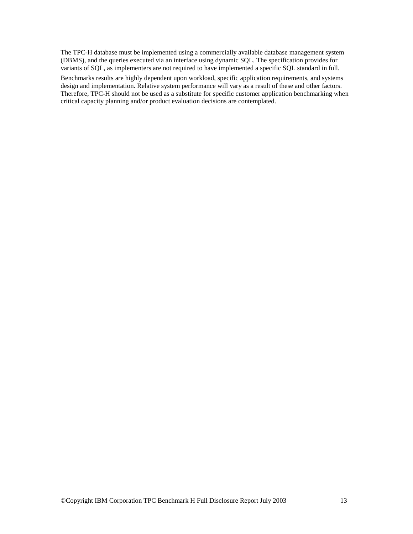The TPC-H database must be implemented using a commercially available database management system (DBMS), and the queries executed via an interface using dynamic SQL. The specification provides for variants of SQL, as implementers are not required to have implemented a specific SQL standard in full.

Benchmarks results are highly dependent upon workload, specific application requirements, and systems design and implementation. Relative system performance will vary as a result of these and other factors. Therefore, TPC-H should not be used as a substitute for specific customer application benchmarking when critical capacity planning and/or product evaluation decisions are contemplated.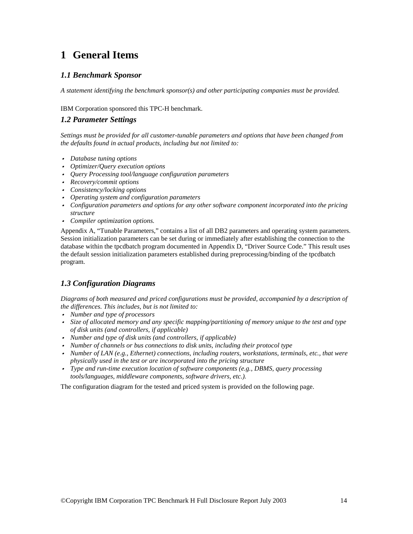## **1 General Items**

### *1.1 Benchmark Sponsor*

*A statement identifying the benchmark sponsor(s) and other participating companies must be provided.* 

#### IBM Corporation sponsored this TPC-H benchmark.

### *1.2 Parameter Settings*

*Settings must be provided for all customer-tunable parameters and options that have been changed from the defaults found in actual products, including but not limited to:* 

- v *Database tuning options*
- v *Optimizer/Query execution options*
- v *Query Processing tool/language configuration parameters*
- v *Recovery/commit options*
- v *Consistency/locking options*
- v *Operating system and configuration parameters*
- v *Configuration parameters and options for any other software component incorporated into the pricing structure*
- v *Compiler optimization options.*

Appendix A, "Tunable Parameters," contains a list of all DB2 parameters and operating system parameters. Session initialization parameters can be set during or immediately after establishing the connection to the database within the tpcdbatch program documented in Appendix D, "Driver Source Code." This result uses the default session initialization parameters established during preprocessing/binding of the tpcdbatch program.

### *1.3 Configuration Diagrams*

*Diagrams of both measured and priced configurations must be provided, accompanied by a description of the differences. This includes, but is not limited to:* 

- v *Number and type of processors*
- v *Size of allocated memory and any specific mapping/partitioning of memory unique to the test and type of disk units (and controllers, if applicable)*
- v *Number and type of disk units (and controllers, if applicable)*
- v *Number of channels or bus connections to disk units, including their protocol type*
- v *Number of LAN (e.g., Ethernet) connections, including routers, workstations, terminals, etc., that were physically used in the test or are incorporated into the pricing structure*
- v *Type and run-time execution location of software components (e.g., DBMS, query processing tools/languages, middleware components, software drivers, etc.).*

The configuration diagram for the tested and priced system is provided on the following page.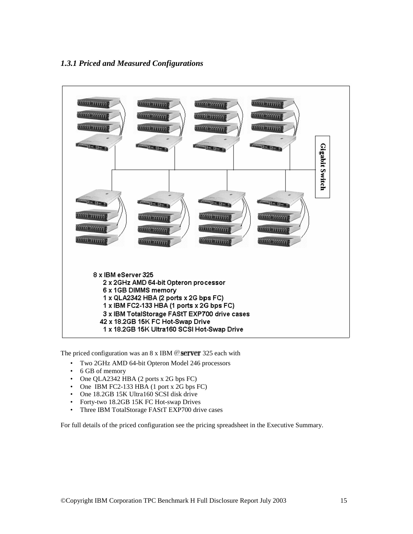### *1.3.1 Priced and Measured Configurations*



The priced configuration was an  $8 \times$  IBM  $\mathcal{O}$  server 325 each with

- Two 2GHz AMD 64-bit Opteron Model 246 processors
- 6 GB of memory
- One QLA2342 HBA (2 ports x 2G bps FC)
- One IBM FC2-133 HBA (1 port x 2G bps FC)
- One 18.2GB 15K Ultra160 SCSI disk drive
- Forty-two 18.2GB 15K FC Hot-swap Drives
- Three IBM TotalStorage FAStT EXP700 drive cases

For full details of the priced configuration see the pricing spreadsheet in the Executive Summary.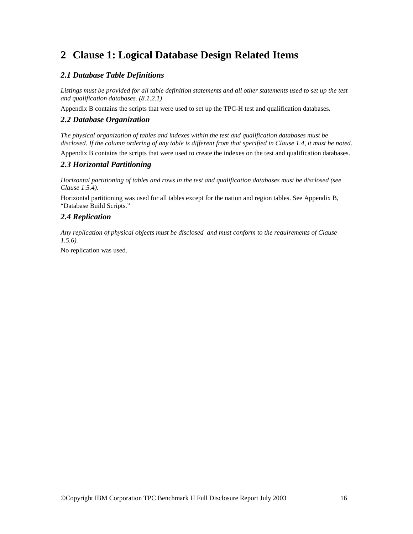## **2 Clause 1: Logical Database Design Related Items**

### *2.1 Database Table Definitions*

*Listings must be provided for all table definition statements and all other statements used to set up the test and qualification databases. (8.1.2.1)* 

Appendix B contains the scripts that were used to set up the TPC-H test and qualification databases.

### *2.2 Database Organization*

*The physical organization of tables and indexes within the test and qualification databases must be disclosed. If the column ordering of any table is different from that specified in Clause 1.4, it must be noted.* 

Appendix B contains the scripts that were used to create the indexes on the test and qualification databases.

### *2.3 Horizontal Partitioning*

*Horizontal partitioning of tables and rows in the test and qualification databases must be disclosed (see Clause 1.5.4).* 

Horizontal partitioning was used for all tables except for the nation and region tables. See Appendix B, "Database Build Scripts."

### *2.4 Replication*

*Any replication of physical objects must be disclosed and must conform to the requirements of Clause 1.5.6).* 

No replication was used.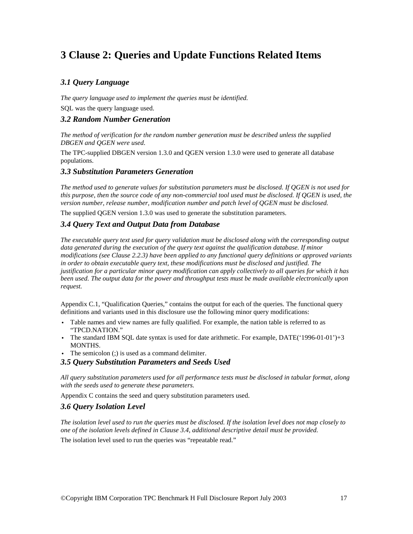## **3 Clause 2: Queries and Update Functions Related Items**

### *3.1 Query Language*

*The query language used to implement the queries must be identified.* 

SQL was the query language used.

### *3.2 Random Number Generation*

*The method of verification for the random number generation must be described unless the supplied DBGEN and QGEN were used.* 

The TPC-supplied DBGEN version 1.3.0 and QGEN version 1.3.0 were used to generate all database populations.

### *3.3 Substitution Parameters Generation*

*The method used to generate values for substitution parameters must be disclosed. If QGEN is not used for this purpose, then the source code of any non-commercial tool used must be disclosed. If QGEN is used, the version number, release number, modification number and patch level of QGEN must be disclosed.* 

The supplied QGEN version 1.3.0 was used to generate the substitution parameters.

### *3.4 Query Text and Output Data from Database*

*The executable query text used for query validation must be disclosed along with the corresponding output data generated during the execution of the query text against the qualification database. If minor modifications (see Clause 2.2.3) have been applied to any functional query definitions or approved variants in order to obtain executable query text, these modifications must be disclosed and justified. The justification for a particular minor query modification can apply collectively to all queries for which it has been used. The output data for the power and throughput tests must be made available electronically upon request.* 

Appendix C.1, "Qualification Queries," contains the output for each of the queries. The functional query definitions and variants used in this disclosure use the following minor query modifications:

- v Table names and view names are fully qualified. For example, the nation table is referred to as "TPCD.NATION."
- The standard IBM SQL date syntax is used for date arithmetic. For example,  $DATE('1996-01-01')+3$ MONTHS.
- The semicolon  $($ ; is used as a command delimiter.

### *3.5 Query Substitution Parameters and Seeds Used*

*All query substitution parameters used for all performance tests must be disclosed in tabular format, along with the seeds used to generate these parameters.* 

Appendix C contains the seed and query substitution parameters used.

### *3.6 Query Isolation Level*

*The isolation level used to run the queries must be disclosed. If the isolation level does not map closely to one of the isolation levels defined in Clause 3.4, additional descriptive detail must be provided.* 

The isolation level used to run the queries was "repeatable read."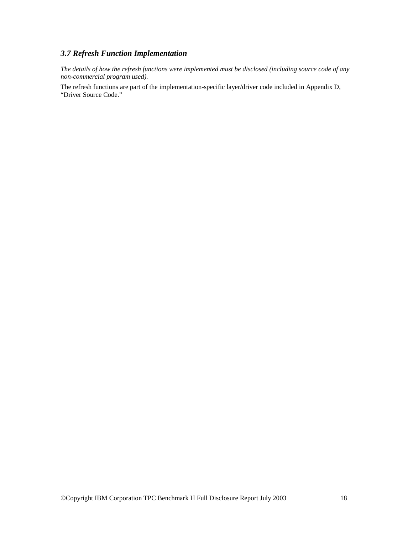### *3.7 Refresh Function Implementation*

*The details of how the refresh functions were implemented must be disclosed (including source code of any non-commercial program used).* 

The refresh functions are part of the implementation-specific layer/driver code included in Appendix D, "Driver Source Code."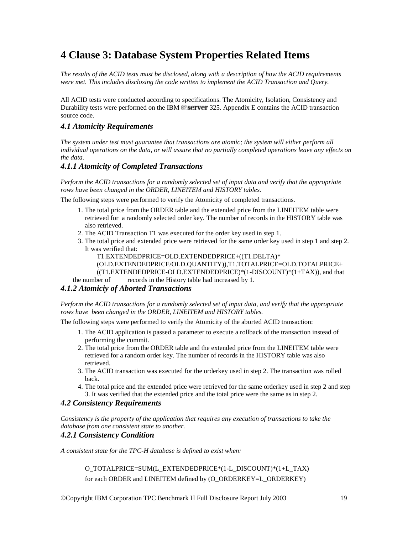## **4 Clause 3: Database System Properties Related Items**

*The results of the ACID tests must be disclosed, along with a description of how the ACID requirements were met. This includes disclosing the code written to implement the ACID Transaction and Query.* 

All ACID tests were conducted according to specifications. The Atomicity, Isolation, Consistency and Durability tests were performed on the IBM  $@$  server 325. Appendix E contains the ACID transaction source code.

### *4.1 Atomicity Requirements*

*The system under test must guarantee that transactions are atomic; the system will either perform all individual operations on the data, or will assure that no partially completed operations leave any effects on the data.* 

### *4.1.1 Atomicity of Completed Transactions*

*Perform the ACID transactions for a randomly selected set of input data and verify that the appropriate rows have been changed in the ORDER, LINEITEM and HISTORY tables.* 

The following steps were performed to verify the Atomicity of completed transactions.

- 1. The total price from the ORDER table and the extended price from the LINEITEM table were retrieved for a randomly selected order key. The number of records in the HISTORY table was also retrieved.
- 2. The ACID Transaction T1 was executed for the order key used in step 1.
- 3. The total price and extended price were retrieved for the same order key used in step 1 and step 2. It was verified that:

T1.EXTENDEDPRICE=OLD.EXTENDEDPRICE+((T1.DELTA)\*

(OLD.EXTENDEDPRICE/OLD.QUANTITY)),T1.TOTALPRICE=OLD.TOTALPRICE+

((T1.EXTENDEDPRICE-OLD.EXTENDEDPRICE)\*(1-DISCOUNT)\*(1+TAX)), and that

the number of records in the History table had increased by 1.

### *4.1.2 Atomiciy of Aborted Transactions*

*Perform the ACID transactions for a randomly selected set of input data, and verify that the appropriate rows have been changed in the ORDER, LINEITEM and HISTORY tables.* 

The following steps were performed to verify the Atomicity of the aborted ACID transaction:

- 1. The ACID application is passed a parameter to execute a rollback of the transaction instead of performing the commit.
- 2. The total price from the ORDER table and the extended price from the LINEITEM table were retrieved for a random order key. The number of records in the HISTORY table was also retrieved.
- 3. The ACID transaction was executed for the orderkey used in step 2. The transaction was rolled back.
- 4. The total price and the extended price were retrieved for the same orderkey used in step 2 and step 3. It was verified that the extended price and the total price were the same as in step 2.

### *4.2 Consistency Requirements*

*Consistency is the property of the application that requires any execution of transactions to take the database from one consistent state to another.* 

### *4.2.1 Consistency Condition*

*A consistent state for the TPC-H database is defined to exist when:* 

 O\_TOTALPRICE=SUM(L\_EXTENDEDPRICE\*(1-L\_DISCOUNT)\*(1+L\_TAX) for each ORDER and LINEITEM defined by (O\_ORDERKEY=L\_ORDERKEY)

©Copyright IBM Corporation TPC Benchmark H Full Disclosure Report July 2003 19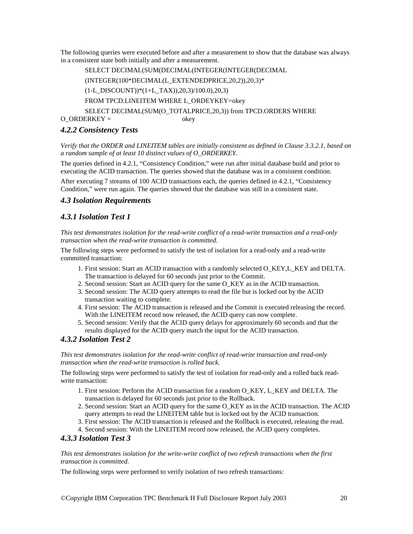The following queries were executed before and after a measurement to show that the database was always in a consistent state both initially and after a measurement.

 SELECT DECIMAL(SUM(DECIMAL(INTEGER(INTEGER(DECIMAL (INTEGER(100\*DECIMAL(L\_EXTENDEDPRICE,20,2)),20,3)\* (1-L\_DISCOUNT))\*(1+L\_TAX)),20,3)/100.0),20,3) FROM TPCD.LINEITEM WHERE L\_ORDEYKEY=okey SELECT DECIMAL(SUM(O\_TOTALPRICE,20,3)) from TPCD.ORDERS WHERE  $O_ORDERKEY =$  okey

### *4.2.2 Consistency Tests*

*Verify that the ORDER and LINEITEM tables are initially consistent as defined in Clause 3.3.2.1, based on a random sample of at least 10 distinct values of O\_ORDERKEY.* 

The queries defined in 4.2.1, "Consistency Condition," were run after initial database build and prior to executing the ACID transaction. The queries showed that the database was in a consistent condition.

After executing 7 streams of 100 ACID transactions each, the queries defined in 4.2.1, "Consistency Condition," were run again. The queries showed that the database was still in a consistent state.

### *4.3 Isolation Requirements*

### *4.3.1 Isolation Test 1*

*This test demonstrates isolation for the read-write conflict of a read-write transaction and a read-only transaction when the read-write transaction is committed.* 

The following steps were performed to satisfy the test of isolation for a read-only and a read-write committed transaction:

- 1. First session: Start an ACID transaction with a randomly selected O\_KEY,L\_KEY and DELTA. The transaction is delayed for 60 seconds just prior to the Commit.
- 2. Second session: Start an ACID query for the same O\_KEY as in the ACID transaction.
- 3. Second session: The ACID query attempts to read the file but is locked out by the ACID transaction waiting to complete.
- 4. First session: The ACID transaction is released and the Commit is executed releasing the record. With the LINEITEM record now released, the ACID query can now complete.
- 5. Second session: Verify that the ACID query delays for approximately 60 seconds and that the results displayed for the ACID query match the input for the ACID transaction.

### *4.3.2 Isolation Test 2*

*This test demonstrates isolation for the read-write conflict of read-write transaction and read-only transaction when the read-write transaction is rolled back.* 

The following steps were performed to satisfy the test of isolation for read-only and a rolled back readwrite transaction:

- 1. First session: Perform the ACID transaction for a random O\_KEY, L\_KEY and DELTA. The transaction is delayed for 60 seconds just prior to the Rollback.
- 2. Second session: Start an ACID query for the same O\_KEY as in the ACID transaction. The ACID query attempts to read the LINEITEM table but is locked out by the ACID transaction.
- 3. First session: The ACID transaction is released and the Rollback is executed, releasing the read.
- 4. Second session: With the LINEITEM record now released, the ACID query completes.

### *4.3.3 Isolation Test 3*

*This test demonstrates isolation for the write-write conflict of two refresh transactions when the first transaction is committed.* 

The following steps were performed to verify isolation of two refresh transactions: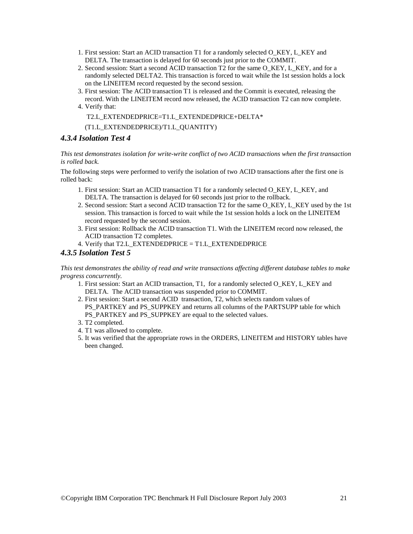- 1. First session: Start an ACID transaction T1 for a randomly selected O\_KEY, L\_KEY and DELTA. The transaction is delayed for 60 seconds just prior to the COMMIT.
- 2. Second session: Start a second ACID transaction T2 for the same O\_KEY, L\_KEY, and for a randomly selected DELTA2. This transaction is forced to wait while the 1st session holds a lock on the LINEITEM record requested by the second session.
- 3. First session: The ACID transaction T1 is released and the Commit is executed, releasing the record. With the LINEITEM record now released, the ACID transaction T2 can now complete.
- 4. Verify that:

T2.L\_EXTENDEDPRICE=T1.L\_EXTENDEDPRICE+DELTA\*

(T1.L\_EXTENDEDPRICE)/T1.L\_QUANTITY)

### *4.3.4 Isolation Test 4*

*This test demonstrates isolation for write-write conflict of two ACID transactions when the first transaction is rolled back.* 

The following steps were performed to verify the isolation of two ACID transactions after the first one is rolled back:

- 1. First session: Start an ACID transaction T1 for a randomly selected O\_KEY, L\_KEY, and DELTA. The transaction is delayed for 60 seconds just prior to the rollback.
- 2. Second session: Start a second ACID transaction T2 for the same O\_KEY, L\_KEY used by the 1st session. This transaction is forced to wait while the 1st session holds a lock on the LINEITEM record requested by the second session.
- 3. First session: Rollback the ACID transaction T1. With the LINEITEM record now released, the ACID transaction T2 completes.
- 4. Verify that T2.L\_EXTENDEDPRICE  $=$  T1.L\_EXTENDEDPRICE

### *4.3.5 Isolation Test 5*

*This test demonstrates the ability of read and write transactions affecting different database tables to make progress concurrently.* 

- 1. First session: Start an ACID transaction, T1, for a randomly selected O\_KEY, L\_KEY and DELTA. The ACID transaction was suspended prior to COMMIT.
- 2. First session: Start a second ACID transaction, T2, which selects random values of PS\_PARTKEY and PS\_SUPPKEY and returns all columns of the PARTSUPP table for which PS\_PARTKEY and PS\_SUPPKEY are equal to the selected values.
- 3. T2 completed.
- 4. T1 was allowed to complete.
- 5. It was verified that the appropriate rows in the ORDERS, LINEITEM and HISTORY tables have been changed.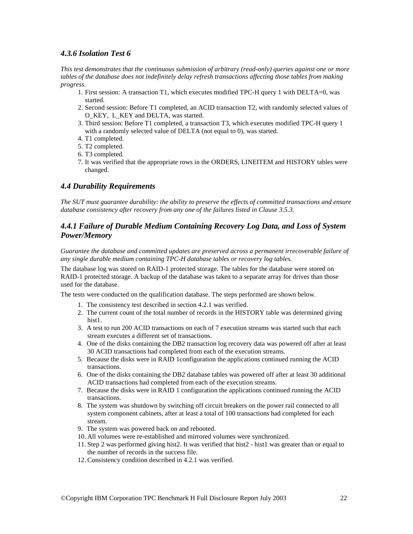### *4.3.6 Isolation Test 6*

*This test demonstrates that the continuous submission of arbitrary (read-only) queries against one or more tables of the database does not indefinitely delay refresh transactions affecting those tables from making progress.* 

- 1. First session: A transaction T1, which executes modified TPC-H query 1 with DELTA=0, was started.
- 2. Second session: Before T1 completed, an ACID transaction T2, with randomly selected values of O\_KEY, L\_KEY and DELTA, was started.
- 3. Third session: Before T1 completed, a transaction T3, which executes modified TPC-H query 1 with a randomly selected value of DELTA (not equal to 0), was started.
- 4. T1 completed.
- 5. T2 completed.
- 6. T3 completed.
- 7. It was verified that the appropriate rows in the ORDERS, LINEITEM and HISTORY tables were changed.

### *4.4 Durability Requirements*

*The SUT must guarantee durability: the ability to preserve the effects of committed transactions and ensure database consistency after recovery from any one of the failures listed in Clause 3.5.3.* 

### *4.4.1 Failure of Durable Medium Containing Recovery Log Data, and Loss of System Power/Memory*

*Guarantee the database and committed updates are preserved across a permanent irrecoverable failure of any single durable medium containing TPC-H database tables or recovery log tables.* 

The database log was stored on RAID-1 protected storage. The tables for the database were stored on RAID-1 protected storage. A backup of the database was taken to a separate array for drives than those used for the database.

The tests were conducted on the qualification database. The steps performed are shown below.

- 1. The consistency test described in section 4.2.1 was verified.
- 2. The current count of the total number of records in the HISTORY table was determined giving hist1.
- 3. A test to run 200 ACID transactions on each of 7 execution streams was started such that each stream executes a different set of transactions.
- 4. One of the disks containing the DB2 transaction log recovery data was powered off after at least 30 ACID transactions had completed from each of the execution streams.
- 5. Because the disks were in RAID 1configuration the applications continued running the ACID transactions.
- 6. One of the disks containing the DB2 database tables was powered off after at least 30 additional ACID transactions had completed from each of the execution streams.
- 7. Because the disks were in RAID 1 configuration the applications continued running the ACID transactions.
- 8. The system was shutdown by switching off circuit breakers on the power rail connected to all system component cabinets, after at least a total of 100 transactions had completed for each stream.
- 9. The system was powered back on and rebooted.
- 10. All volumes were re-established and mirrored volumes were synchronized.
- 11. Step 2 was performed giving hist2. It was verified that hist2 hist1 was greater than or equal to the number of records in the success file.
- 12. Consistency condition described in 4.2.1 was verified.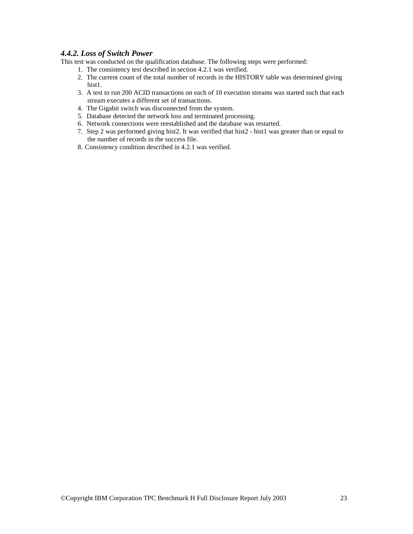### *4.4.2. Loss of Switch Power*

This test was conducted on the qualification database. The following steps were performed:

- 1. The consistency test described in section 4.2.1 was verified.
- 2. The current count of the total number of records in the HISTORY table was determined giving hist1.
- 3. A test to run 200 ACID transactions on each of 10 execution streams was started such that each stream executes a different set of transactions.
- 4. The Gigabit switch was disconnected from the system.
- 5. Database detected the network loss and terminated processing.
- 6. Network connections were reestablished and the database was restarted.
- 7. Step 2 was performed giving hist2. It was verified that hist2 hist1 was greater than or equal to the number of records in the success file.
- 8. Consistency condition described in 4.2.1 was verified.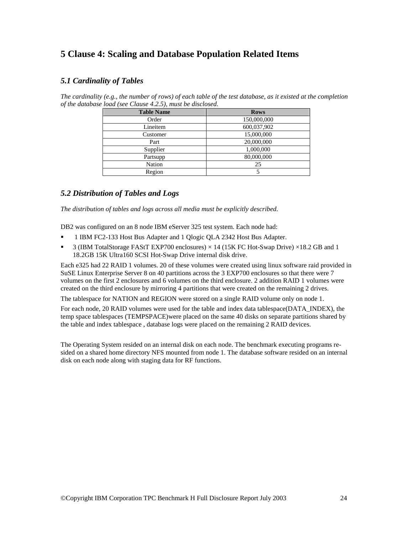### **5 Clause 4: Scaling and Database Population Related Items**

### *5.1 Cardinality of Tables*

*The cardinality (e.g., the number of rows) of each table of the test database, as it existed at the completion of the database load (see Clause 4.2.5), must be disclosed.* 

| <b>Table Name</b> | <b>Rows</b> |
|-------------------|-------------|
| Order             | 150,000,000 |
| Lineitem          | 600,037,902 |
| Customer          | 15,000,000  |
| Part              | 20,000,000  |
| Supplier          | 1,000,000   |
| Partsupp          | 80,000,000  |
| Nation            | 25          |
| Region            |             |

### *5.2 Distribution of Tables and Logs*

*The distribution of tables and logs across all media must be explicitly described.* 

DB2 was configured on an 8 node IBM eServer 325 test system. Each node had:

- 1 IBM FC2-133 Host Bus Adapter and 1 Qlogic QLA 2342 Host Bus Adapter.
- **3** (IBM TotalStorage FAStT EXP700 enclosures)  $\times$  14 (15K FC Hot-Swap Drive)  $\times$  18.2 GB and 1 18.2GB 15K Ultra160 SCSI Hot-Swap Drive internal disk drive.

Each e325 had 22 RAID 1 volumes. 20 of these volumes were created using linux software raid provided in SuSE Linux Enterprise Server 8 on 40 partitions across the 3 EXP700 enclosures so that there were 7 volumes on the first 2 enclosures and 6 volumes on the third enclosure. 2 addition RAID 1 volumes were created on the third enclosure by mirroring 4 partitions that were created on the remaining 2 drives.

The tablespace for NATION and REGION were stored on a single RAID volume only on node 1.

For each node, 20 RAID volumes were used for the table and index data tablespace(DATA\_INDEX), the temp space tablespaces (TEMPSPACE)were placed on the same 40 disks on separate partitions shared by the table and index tablespace , database logs were placed on the remaining 2 RAID devices.

The Operating System resided on an internal disk on each node. The benchmark executing programs resided on a shared home directory NFS mounted from node 1. The database software resided on an internal disk on each node along with staging data for RF functions.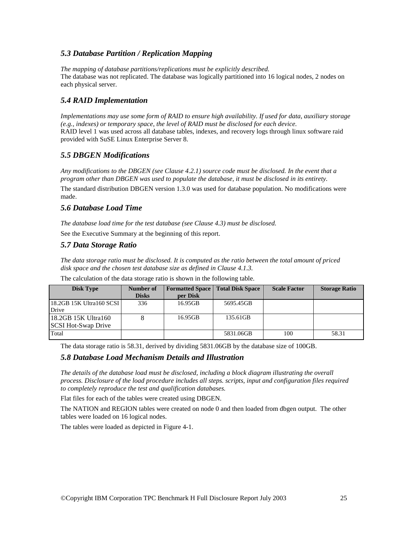### *5.3 Database Partition / Replication Mapping*

*The mapping of database partitions/replications must be explicitly described.*  The database was not replicated. The database was logically partitioned into 16 logical nodes, 2 nodes on each physical server.

### *5.4 RAID Implementation*

*Implementations may use some form of RAID to ensure high availability. If used for data, auxiliary storage (e.g., indexes) or temporary space, the level of RAID must be disclosed for each device.*  RAID level 1 was used across all database tables, indexes, and recovery logs through linux software raid provided with SuSE Linux Enterprise Server 8.

### *5.5 DBGEN Modifications*

*Any modifications to the DBGEN (see Clause 4.2.1) source code must be disclosed. In the event that a program other than DBGEN was used to populate the database, it must be disclosed in its entirety.*  The standard distribution DBGEN version 1.3.0 was used for database population. No modifications were made.

### *5.6 Database Load Time*

*The database load time for the test database (see Clause 4.3) must be disclosed.* 

See the Executive Summary at the beginning of this report.

### *5.7 Data Storage Ratio*

*The data storage ratio must be disclosed. It is computed as the ratio between the total amount of priced disk space and the chosen test database size as defined in Clause 4.1.3.* 

| <b>Disk Type</b>           | Number of    |          | <b>Formatted Space</b>   Total Disk Space | <b>Scale Factor</b> | <b>Storage Ratio</b> |
|----------------------------|--------------|----------|-------------------------------------------|---------------------|----------------------|
|                            | <b>Disks</b> | per Disk |                                           |                     |                      |
| 18.2GB 15K Ultra160 SCSI   | 336          | 16.95GB  | 5695.45GB                                 |                     |                      |
| Drive                      |              |          |                                           |                     |                      |
| 18.2GB 15K Ultra160        |              | 16.95GB  | 135.61GB                                  |                     |                      |
| <b>SCSI Hot-Swap Drive</b> |              |          |                                           |                     |                      |
| Total                      |              |          | 5831.06GB                                 | 100                 | 58.31                |

The calculation of the data storage ratio is shown in the following table.

The data storage ratio is 58.31, derived by dividing 5831.06GB by the database size of 100GB.

### *5.8 Database Load Mechanism Details and Illustration*

*The details of the database load must be disclosed, including a block diagram illustrating the overall process. Disclosure of the load procedure includes all steps. scripts, input and configuration files required to completely reproduce the test and qualification databases.* 

Flat files for each of the tables were created using DBGEN.

The NATION and REGION tables were created on node 0 and then loaded from dbgen output. The other tables were loaded on 16 logical nodes.

The tables were loaded as depicted in Figure 4-1.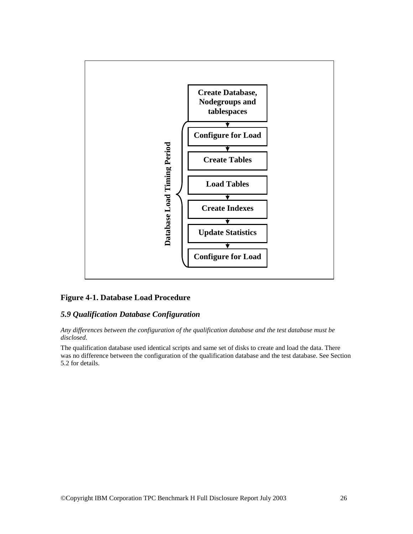

### **Figure 4-1. Database Load Procedure**

### *5.9 Qualification Database Configuration*

*Any differences between the configuration of the qualification database and the test database must be disclosed.* 

The qualification database used identical scripts and same set of disks to create and load the data. There was no difference between the configuration of the qualification database and the test database. See Section 5.2 for details.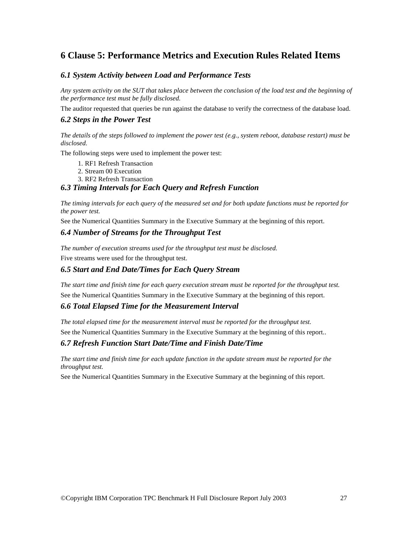### **6 Clause 5: Performance Metrics and Execution Rules Related Items**

### *6.1 System Activity between Load and Performance Tests*

*Any system activity on the SUT that takes place between the conclusion of the load test and the beginning of the performance test must be fully disclosed.* 

The auditor requested that queries be run against the database to verify the correctness of the database load.

### *6.2 Steps in the Power Test*

*The details of the steps followed to implement the power test (e.g., system reboot, database restart) must be disclosed.* 

The following steps were used to implement the power test:

- 1. RF1 Refresh Transaction
- 2. Stream 00 Execution
- 3. RF2 Refresh Transaction

### *6.3 Timing Intervals for Each Query and Refresh Function*

*The timing intervals for each query of the measured set and for both update functions must be reported for the power test.* 

See the Numerical Quantities Summary in the Executive Summary at the beginning of this report.

### *6.4 Number of Streams for the Throughput Test*

*The number of execution streams used for the throughput test must be disclosed.* 

Five streams were used for the throughput test.

### *6.5 Start and End Date/Times for Each Query Stream*

*The start time and finish time for each query execution stream must be reported for the throughput test.*  See the Numerical Quantities Summary in the Executive Summary at the beginning of this report.

### *6.6 Total Elapsed Time for the Measurement Interval*

*The total elapsed time for the measurement interval must be reported for the throughput test.* 

See the Numerical Quantities Summary in the Executive Summary at the beginning of this report..

### *6.7 Refresh Function Start Date/Time and Finish Date/Time*

*The start time and finish time for each update function in the update stream must be reported for the throughput test.* 

See the Numerical Quantities Summary in the Executive Summary at the beginning of this report.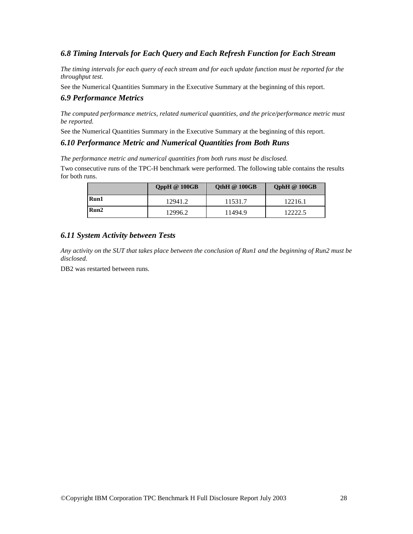### *6.8 Timing Intervals for Each Query and Each Refresh Function for Each Stream*

*The timing intervals for each query of each stream and for each update function must be reported for the throughput test.* 

See the Numerical Quantities Summary in the Executive Summary at the beginning of this report.

### *6.9 Performance Metrics*

*The computed performance metrics, related numerical quantities, and the price/performance metric must be reported.* 

See the Numerical Quantities Summary in the Executive Summary at the beginning of this report.

### *6.10 Performance Metric and Numerical Quantities from Both Runs*

*The performance metric and numerical quantities from both runs must be disclosed.* 

Two consecutive runs of the TPC-H benchmark were performed. The following table contains the results for both runs.

|      | <b>QppH</b> @ 100GB | OthH $@100GB$ | $QphH \n\circledcirc 100GB$ |
|------|---------------------|---------------|-----------------------------|
| Run1 | 12941.2             | 11531.7       | 12216.1                     |
| Run2 | 12996.2             | 11494.9       | 12222.5                     |

### *6.11 System Activity between Tests*

*Any activity on the SUT that takes place between the conclusion of Run1 and the beginning of Run2 must be disclosed.* 

DB2 was restarted between runs.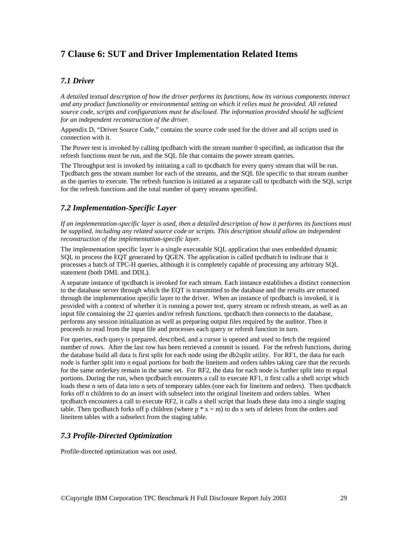### **7 Clause 6: SUT and Driver Implementation Related Items**

### *7.1 Driver*

*A detailed textual description of how the driver performs its functions, how its various components interact and any product functionality or environmental setting on which it relies must be provided. All related source code, scripts and configurations must be disclosed. The information provided should be sufficient for an independent reconstruction of the driver.* 

Appendix D, "Driver Source Code," contains the source code used for the driver and all scripts used in connection with it.

The Power test is invoked by calling tpcdbatch with the stream number 0 specified, an indication that the refresh functions must be run, and the SQL file that contains the power stream queries.

The Throughput test is invoked by initiating a call to tpcdbatch for every query stream that will be run. Tpcdbatch gets the stream number for each of the streams, and the SQL file specific to that stream number as the queries to execute. The refresh function is initiated as a separate call to tpcdbatch with the SQL script for the refresh functions and the total number of query streams specified.

### *7.2 Implementation-Specific Layer*

*If an implementation-specific layer is used, then a detailed description of how it performs its functions must be supplied, including any related source code or scripts. This description should allow an independent reconstruction of the implementation-specific layer.* 

The implementation specific layer is a single executable SQL application that uses embedded dynamic SQL to process the EQT generated by QGEN. The application is called tpcdbatch to indicate that it processes a batch of TPC-H queries, although it is completely capable of processing any arbitrary SQL statement (both DML and DDL).

A separate instance of tpcdbatch is invoked for each stream. Each instance establishes a distinct connection to the database server through which the EQT is transmitted to the database and the results are returned through the implementation specific layer to the driver. When an instance of tpcdbatch is invoked, it is provided with a context of whether it is running a power test, query stream or refresh stream, as well as an input file containing the 22 queries and/or refresh functions. tpcdbatch then connects to the database, performs any session initialization as well as preparing output files required by the auditor. Then it proceeds to read from the input file and processes each query or refresh function in turn.

For queries, each query is prepared, described, and a cursor is opened and used to fetch the required number of rows. After the last row has been retrieved a commit is issued. For the refresh functions, during the database build all data is first split for each node using the db2split utility. For RF1, the data for each node is further split into n equal portions for both the lineitem and orders tables taking care that the records for the same orderkey remain in the same set. For RF2, the data for each node is further split into m equal portions. During the run, when tpcdbatch encounters a call to execute RF1, it first calls a shell script which loads these n sets of data into n sets of temporary tables (one each for lineitem and orders). Then tpcdbatch forks off n children to do an insert with subselect into the original lineitem and orders tables. When tpcdbatch encounters a call to execute RF2, it calls a shell script that loads these data into a single staging table. Then tpcdbatch forks off p children (where  $p * x = m$ ) to do x sets of deletes from the orders and lineitem tables with a subselect from the staging table.

### *7.3 Profile-Directed Optimization*

Profile-directed optimization was not used.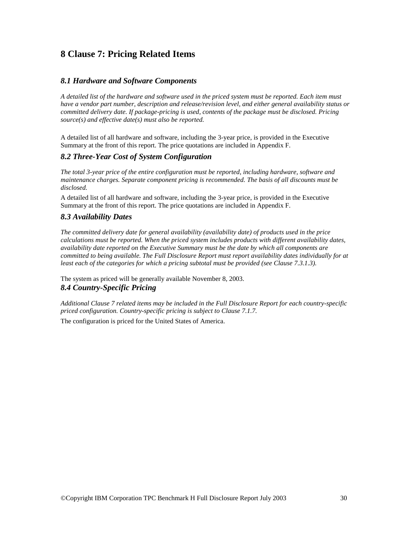### **8 Clause 7: Pricing Related Items**

### *8.1 Hardware and Software Components*

*A detailed list of the hardware and software used in the priced system must be reported. Each item must have a vendor part number, description and release/revision level, and either general availability status or committed delivery date. If package-pricing is used, contents of the package must be disclosed. Pricing source(s) and effective date(s) must also be reported.* 

A detailed list of all hardware and software, including the 3-year price, is provided in the Executive Summary at the front of this report. The price quotations are included in Appendix F.

### *8.2 Three-Year Cost of System Configuration*

*The total 3-year price of the entire configuration must be reported, including hardware, software and maintenance charges. Separate component pricing is recommended. The basis of all discounts must be disclosed.* 

A detailed list of all hardware and software, including the 3-year price, is provided in the Executive Summary at the front of this report. The price quotations are included in Appendix F.

### *8.3 Availability Dates*

*The committed delivery date for general availability (availability date) of products used in the price calculations must be reported. When the priced system includes products with different availability dates, availability date reported on the Executive Summary must be the date by which all components are committed to being available. The Full Disclosure Report must report availability dates individually for at*  least each of the categories for which a pricing subtotal must be provided (see Clause 7.3.1.3).

The system as priced will be generally available November 8, 2003. *8.4 Country-Specific Pricing* 

*Additional Clause 7 related items may be included in the Full Disclosure Report for each country-specific priced configuration. Country-specific pricing is subject to Clause 7.1.7.* 

The configuration is priced for the United States of America.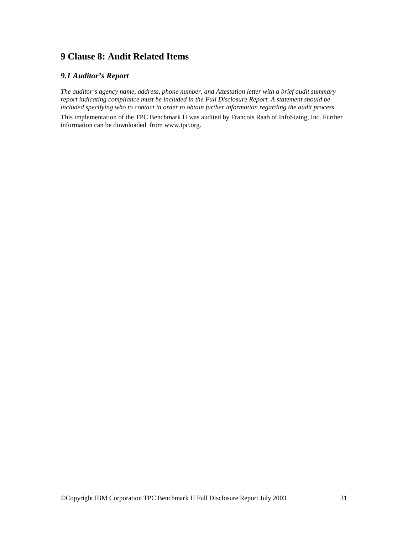### **9 Clause 8: Audit Related Items**

### *9.1 Auditor's Report*

*The auditor's agency name, address, phone number, and Attestation letter with a brief audit summary report indicating compliance must be included in the Full Disclosure Report. A statement should be included specifying who to contact in order to obtain further information regarding the audit process.* 

This implementation of the TPC Benchmark H was audited by Francois Raab of InfoSizing, Inc. Further information can be downloaded from www.tpc.org.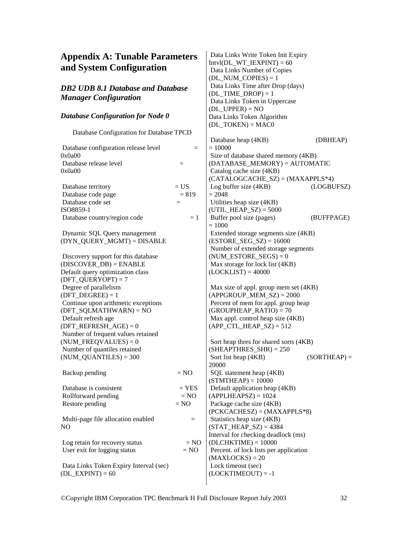### **Appendix A: Tunable Parameters and System Configuration**

### *DB2 UDB 8.1 Database and Database Manager Configuration*

#### *Database Configuration for Node 0*

Database Configuration for Database TPCD

| Database configuration release level   | $=$           |
|----------------------------------------|---------------|
| 0x0a00                                 |               |
| Database release level                 | $=$           |
| 0x0a00                                 |               |
|                                        |               |
| Database territory                     | $= US$        |
| Database code page                     | $= 819$       |
| Database code set                      | $=$           |
| ISO8859-1                              |               |
| Database country/region code           | $=1$          |
|                                        |               |
| Dynamic SQL Query management           |               |
| (DYN_QUERY_MGMT) = DISABLE             |               |
|                                        |               |
| Discovery support for this database    |               |
| $(DISCOVER_DB) = ENABLE$               |               |
| Default query optimization class       |               |
| $(DFT_QUERVOPT) = 7$                   |               |
| Degree of parallelism                  |               |
| $(DFT\_DEGREE) = 1$                    |               |
| Continue upon arithmetic exceptions    |               |
| $(DFT_SQLMATHWARD) = NO$               |               |
| Default refresh age                    |               |
| (DFT REFRESH $AGE$ ) = 0               |               |
| Number of frequent values retained     |               |
| $(NUM_FREQVALUES) = 0$                 |               |
| Number of quantiles retained           |               |
| $(NUM\_QUANTILES) = 300$               |               |
|                                        |               |
| Backup pending                         | $= NO$        |
|                                        |               |
| Database is consistent                 | $= {\rm YES}$ |
| Rollforward pending                    | $= NO$        |
| Restore pending                        | $= NO$        |
|                                        |               |
| Multi-page file allocation enabled     | $=$           |
| NO.                                    |               |
|                                        |               |
| Log retain for recovery status         | $= NO$        |
| User exit for logging status           | $= NO$        |
|                                        |               |
| Data Links Token Expiry Interval (sec) |               |
| $(DL$ <b>EXPINT</b> $) = 60$           |               |

 Data Links Write Token Init Expiry  $Intvl(DL_WT_IEXPINT) = 60$  Data Links Number of Copies (DL\_NUM\_COPIES) =  $1$  Data Links Time after Drop (days) (DL\_TIME\_DROP) =  $1$  Data Links Token in Uppercase  $(DL_UPPER) = NO$ Data Links Token Algorithm  $(DL TOKEN) = MAC0$ Database heap (4KB) (DBHEAP)  $= 10000$  Size of database shared memory (4KB) (DATABASE\_MEMORY) = AUTOMATIC Catalog cache size (4KB)  $(CATALOGCACHE SZ) = (MAXAPPLS*4)$  Log buffer size (4KB) (LOGBUFSZ)  $= 2048$  Utilities heap size (4KB) (UTIL HEAP  $SZ$ ) = 5000 Buffer pool size (pages) (BUFFPAGE) = 1000 Extended storage segments size (4KB)  $(ESTORE\_SEG\_SZ) = 16000$  Number of extended storage segments  $(NUM\_ESTORE\_SEGS) = 0$  Max storage for lock list (4KB)  $(LOCKLIST) = 40000$  Max size of appl. group mem set (4KB)  $(APPGROUP MEM SZ) = 2000$  Percent of mem for appl. group heap  $(GROUPHEAP_RATIO) = 70$  Max appl. control heap size (4KB)  $(APP_CTL_HEAP_SZ) = 512$  Sort heap thres for shared sorts (4KB)  $(SHEAPTHRES SHR) = 250$ Sort list heap  $(4KB)$  (SORTHEAP) = 20000 SQL statement heap (4KB)  $(STMTHEAP) = 10000$  Default application heap (4KB)  $(APPLHEAPSZ) = 1024$  Package cache size (4KB) (PCKCACHESZ) = (MAXAPPLS\*8) Statistics heap size (4KB)  $(STAT' HEAP' SZ) = 4384$ Interval for checking deadlock (ms)  $(DLCHKTIME) = 10000$  Percent. of lock lists per application  $(MAXLOCKS) = 20$ 

 Lock timeout (sec)  $(LOCKTIMEOUT) = -1$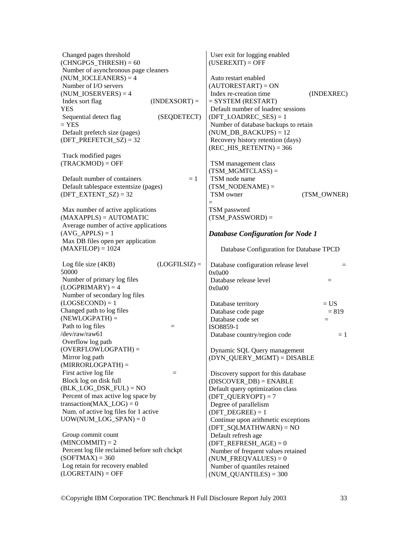| Changed pages threshold<br>$(CHNGPGS_THRESH) = 60$                                                                 | User exit for logging enabled<br>$(USEREXIT) = OFF$                                       |
|--------------------------------------------------------------------------------------------------------------------|-------------------------------------------------------------------------------------------|
| Number of asynchronous page cleaners<br>$(NUM\_IOCLEANERS) = 4$<br>Number of I/O servers<br>$(NUM\_IOSERVERS) = 4$ | Auto restart enabled<br>$(AUTORESTART) = ON$<br>Index re-creation time<br>(INDEXREC)      |
| Index sort flag<br>$(INDEXSORT) =$<br><b>YES</b>                                                                   | $=$ SYSTEM (RESTART)<br>Default number of loadrec sessions                                |
| (SEQDETECT)<br>Sequential detect flag<br>$=$ YES                                                                   | $(DFT\_LOADREC\_SES) = 1$<br>Number of database backups to retain                         |
| Default prefetch size (pages)<br>$(DFT\_PREFETCH\_SZ) = 32$                                                        | $(NUM_DB_BACKUPS) = 12$<br>Recovery history retention (days)<br>$(REC_HIS_RETENTN) = 366$ |
| Track modified pages                                                                                               |                                                                                           |
| $(TRACKMOD) = OFF$                                                                                                 | TSM management class<br>$(TSM_MGMTCLASS) =$                                               |
| Default number of containers<br>$=1$                                                                               | TSM node name                                                                             |
| Default tablespace extentsize (pages)                                                                              | $(TSM_NODENAME) =$                                                                        |
| $(DFT\_EXTENT_SZ) = 32$                                                                                            | TSM owner<br>(TSM OWNER)<br>$=$                                                           |
| Max number of active applications                                                                                  | TSM password                                                                              |
| $(MAXAPPLS) = AUTOMATIC$                                                                                           | $(TSM_PASSWORD) =$                                                                        |
| Average number of active applications                                                                              |                                                                                           |
| $(AVG_APPLS) = 1$                                                                                                  | <b>Database Configuration for Node 1</b>                                                  |
| Max DB files open per application<br>$(MAXFILOP) = 1024$                                                           | Database Configuration for Database TPCD                                                  |
| Log file size (4KB)<br>$(LOGFILSIZ) =$<br>50000                                                                    | Database configuration release level<br>$=$<br>0x0a00                                     |
| Number of primary log files                                                                                        | Database release level<br>$=$                                                             |
| $(LOGPRIMARY) = 4$                                                                                                 | 0x0a00                                                                                    |
| Number of secondary log files                                                                                      |                                                                                           |
| $(LOGSECOND) = 1$<br>Changed path to log files                                                                     | $= US$<br>Database territory                                                              |
| $(NEWLOGPATH) =$                                                                                                   | Database code page<br>$= 819$<br>Database code set<br>$=$                                 |
| Path to log files<br>$\equiv$                                                                                      | ISO8859-1                                                                                 |
| /dev/raw/raw61                                                                                                     | Database country/region code<br>$=1$                                                      |
| Overflow log path                                                                                                  |                                                                                           |
| $(OVERFLOWLOGPATH) =$                                                                                              | Dynamic SQL Query management                                                              |
| Mirror log path<br>$(MIRRORLOGPATH) =$                                                                             | $(DYN_QUERY_MGMT) = DISABLE$                                                              |
| First active log file<br>$=$                                                                                       | Discovery support for this database                                                       |
| Block log on disk full                                                                                             | $(DISCOVER_DB) = ENABLE$                                                                  |
| $(BLK\_LOG\_DSK_FUL) = NO$                                                                                         | Default query optimization class                                                          |
| Percent of max active log space by                                                                                 | $(DFT_QUERVOPT) = 7$                                                                      |
| transaction( $MAX\_LOG$ ) = 0                                                                                      | Degree of parallelism                                                                     |
| Num. of active log files for 1 active                                                                              | $(DFT\_DEGREE) = 1$                                                                       |
| $UOW(NUM\_LOG\_SPAN) = 0$                                                                                          | Continue upon arithmetic exceptions<br>$(DFT_SQLMATHWARD) = NO$                           |
| Group commit count                                                                                                 | Default refresh age                                                                       |
| $(MINCOMMIT) = 2$                                                                                                  | $(DFT\_REFERENCESH_AGE) = 0$                                                              |
| Percent log file reclaimed before soft chckpt                                                                      | Number of frequent values retained                                                        |
| $(SOFIMAX) = 360$                                                                                                  | $(NUM_FREQVALUES) = 0$                                                                    |
| Log retain for recovery enabled                                                                                    | Number of quantiles retained                                                              |
| $(LOGRETAIN) = OFF$                                                                                                | $(NUM\_QUANTILES) = 300$                                                                  |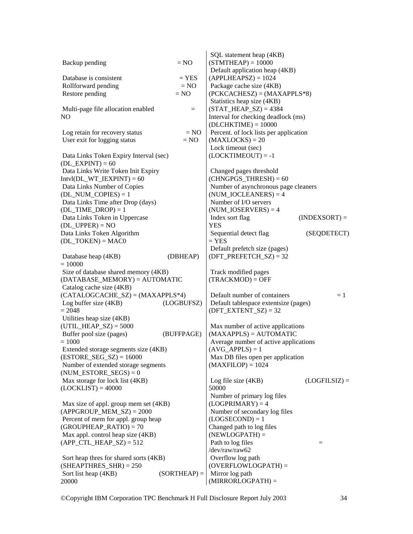|                                                                        |                | SQL statement heap (4KB)                                         |
|------------------------------------------------------------------------|----------------|------------------------------------------------------------------|
| Backup pending                                                         | $= NO$         | $(STMTHEAD = 10000$                                              |
|                                                                        |                | Default application heap (4KB)                                   |
| Database is consistent                                                 | $=$ YES        | $(APPLHEAPSZ) = 1024$                                            |
| Rollforward pending                                                    | $= NO$         | Package cache size (4KB)                                         |
| Restore pending                                                        | $= NO$         | $(PCKCACHESZ) = (MAXAPPLS*8)$<br>Statistics heap size (4KB)      |
| Multi-page file allocation enabled                                     | $=$            | $(STAT_HEAP_SZ) = 4384$                                          |
| NO                                                                     |                | Interval for checking deadlock (ms)                              |
|                                                                        |                | $(DLCHKTIME) = 10000$                                            |
| Log retain for recovery status                                         | $= NO$         | Percent. of lock lists per application                           |
| User exit for logging status                                           | $= NO$         | $(MAXLOCKS) = 20$                                                |
|                                                                        |                | Lock timeout (sec)                                               |
| Data Links Token Expiry Interval (sec)                                 |                | $(LOCKTIMEOUT) = -1$                                             |
| $(DL$ <sub>EXPINT</sub> $) = 60$<br>Data Links Write Token Init Expiry |                | Changed pages threshold                                          |
| $Intvl(DL_WT_IEXPINT) = 60$                                            |                | $(CHNGPGS_THRESH) = 60$                                          |
| Data Links Number of Copies                                            |                | Number of asynchronous page cleaners                             |
| $(DL_NUM\_COPIES) = 1$                                                 |                | $(NUM\_IOCLEANERS) = 4$                                          |
| Data Links Time after Drop (days)                                      |                | Number of I/O servers                                            |
| $(DL_TIME\_DROP) = 1$                                                  |                | $(NUM\_IOSERVERS) = 4$                                           |
| Data Links Token in Uppercase                                          |                | Index sort flag<br>$(INDEXSORT) =$                               |
| $(DL_UPPER) = NO$                                                      |                | <b>YES</b>                                                       |
| Data Links Token Algorithm                                             |                | Sequential detect flag<br>(SEQDETECT)<br>$=$ YES                 |
| $(DL_TOKEN) = MACO$                                                    |                | Default prefetch size (pages)                                    |
| Database heap (4KB)                                                    | (DBHEAP)       | $(DFT\_PREFETCH\_SZ) = 32$                                       |
| $= 10000$                                                              |                |                                                                  |
| Size of database shared memory (4KB)                                   |                | Track modified pages                                             |
| $(DATABASE_MEMORY) = AUTOMATIC$                                        |                | $(TRACKMOD) = OFF$                                               |
| Catalog cache size (4KB)                                               |                |                                                                  |
| $(CATALOGCACHE_SZ) = (MAXAPPLS*4)$                                     |                | Default number of containers<br>$=1$                             |
| Log buffer size (4KB)<br>$= 2048$                                      | (LOGBUFSZ)     | Default tablespace extentsize (pages)<br>$(DFT\_EXTENT_SZ) = 32$ |
| Utilities heap size (4KB)                                              |                |                                                                  |
| $(UTIL_HEAP_SZ) = 5000$                                                |                | Max number of active applications                                |
| Buffer pool size (pages)                                               | (BUFFPAGE)     | $(MAXAPPLS) = AUTOMATIC$                                         |
| $= 1000$                                                               |                | Average number of active applications                            |
| Extended storage segments size (4KB)                                   |                | $(AVG_APPLS) = 1$                                                |
| $(ESTORE\_SEG\_SZ) = 16000$                                            |                | Max DB files open per application                                |
| Number of extended storage segments                                    |                | $(MAXFILOP) = 1024$                                              |
| $(NUM\_ESTORE\_SEGS) = 0$<br>Max storage for lock list (4KB)           |                | Log file size $(4KB)$<br>$(LOGFILSIZ) =$                         |
| $(LOCKLIST) = 40000$                                                   |                | 50000                                                            |
|                                                                        |                | Number of primary log files                                      |
| Max size of appl. group mem set (4KB)                                  |                | $(LOGPRIMARY) = 4$                                               |
| $(APPGROUP_MEM_SZ) = 2000$                                             |                | Number of secondary log files                                    |
| Percent of mem for appl. group heap                                    |                | $(LOGSECOND) = 1$                                                |
| $(GROUPHEAP_RATIO) = 70$                                               |                | Changed path to log files                                        |
| Max appl. control heap size (4KB)<br>$(APP_CTL_HEAP_SZ) = 512$         |                | $(NEWLOGPATH) =$                                                 |
|                                                                        |                | Path to log files<br>$=$<br>/dev/raw/raw62                       |
| Sort heap three for shared sorts (4KB)                                 |                | Overflow log path                                                |
| $(SHEAPTHRES_SHR) = 250$                                               |                | $(OVERFLOWLOGPATH) =$                                            |
| Sort list heap (4KB)                                                   | $(SORTHEAP) =$ | Mirror log path                                                  |
| 20000                                                                  |                | $(MIRRORLOGPATH) =$                                              |

©Copyright IBM Corporation TPC Benchmark H Full Disclosure Report July 2003 34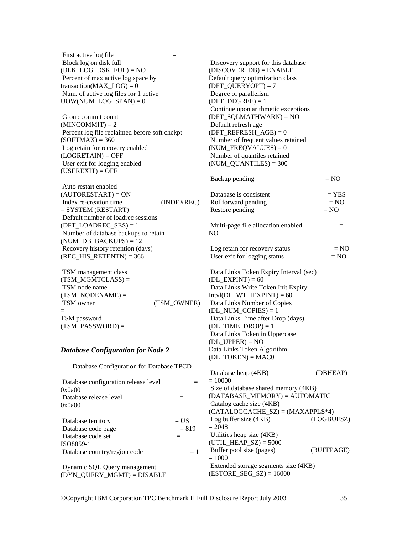| First active log file<br>$=$                  |                                           |
|-----------------------------------------------|-------------------------------------------|
| Block log on disk full                        | Discovery support for this database       |
| $(BLK\_LOG\_DSK\_FUL) = NO$                   | $(DISCOVER_DB) = ENABLE$                  |
| Percent of max active log space by            | Default query optimization class          |
| transaction( $MAX\_LOG$ ) = 0                 | $(DFT_QUERVOPT) = 7$                      |
| Num. of active log files for 1 active         | Degree of parallelism                     |
| $UOW(NUM\_LOG\_SPAN) = 0$                     | $(DFT_DEGREE) = 1$                        |
|                                               | Continue upon arithmetic exceptions       |
| Group commit count                            | $(DFT_SQLMATHWARD) = NO$                  |
| $(MINCOMMIT) = 2$                             | Default refresh age                       |
| Percent log file reclaimed before soft chckpt | $(DFT\_REFERENCESH_AGE) = 0$              |
| $(SOFIMAX) = 360$                             | Number of frequent values retained        |
| Log retain for recovery enabled               | $(NUM_FREQVALUES) = 0$                    |
| $(LOGRETAIN) = OFF$                           | Number of quantiles retained              |
| User exit for logging enabled                 | $(NUM\_QUANTILES) = 300$                  |
| $(USEREXIT) = OFF$                            |                                           |
|                                               | Backup pending<br>$= NO$                  |
| Auto restart enabled                          |                                           |
| $(AUTORESTART) = ON$                          | Database is consistent<br>$=$ YES         |
| Index re-creation time<br>(INDEXREC)          | Rollforward pending<br>$= NO$             |
| $=$ SYSTEM (RESTART)                          | Restore pending<br>$= NO$                 |
| Default number of loadrec sessions            |                                           |
| $(DFT\_LOADREC\_SES) = 1$                     | Multi-page file allocation enabled<br>$=$ |
| Number of database backups to retain          | N <sub>O</sub>                            |
| $(NUM_DB_BACKUPS) = 12$                       |                                           |
| Recovery history retention (days)             | Log retain for recovery status<br>$= NO$  |
| $(REC_HIS_RETENTN) = 366$                     | User exit for logging status<br>$= NO$    |
|                                               |                                           |
| TSM management class                          | Data Links Token Expiry Interval (sec)    |
| $(TSM_MGMTCLASS) =$                           | $(DL$ _EXPINT $) = 60$                    |
| TSM node name                                 | Data Links Write Token Init Expiry        |
| $(TSM_NODENAME) =$                            | $Intvl(DL_WT_IEXPINT) = 60$               |
| TSM owner<br>(TSM_OWNER)                      | Data Links Number of Copies               |
|                                               | $(DL_NUM\_COPIES) = 1$                    |
| TSM password                                  | Data Links Time after Drop (days)         |
| $(TSM_PASSWORD) =$                            | $(DL_TIME_DROP) = 1$                      |
|                                               | Data Links Token in Uppercase             |
|                                               | $(DL_UPPER) = NO$                         |
| <b>Database Configuration for Node 2</b>      | Data Links Token Algorithm                |
|                                               | $(DL_TOKEN) = MACO$                       |
| Database Configuration for Database TPCD      | Database heap (4KB)                       |
|                                               | (DBHEAP)<br>$= 10000$                     |
| Database configuration release level<br>$=$   | Size of database shared memory (4KB)      |
| 0x0a00                                        | $(DATABASE_MEMORY) = AUTOMATIC$           |
| Database release level<br>$\equiv$            | Catalog cache size (4KB)                  |
| 0x0a00                                        | $(CATALOGCACHE_SZ) = (MAXAPPLS*4)$        |
|                                               | Log buffer size (4KB)<br>(LOGBUFSZ)       |
| $= US$<br>Database territory                  | $= 2048$                                  |
| Database code page<br>$= 819$                 | Utilities heap size (4KB)                 |
| Database code set<br>$=$                      | $(UTIL_HEAP_SZ) = 5000$                   |
| ISO8859-1                                     | Buffer pool size (pages)<br>(BUFFPAGE)    |
| Database country/region code<br>$=1$          | $= 1000$                                  |
| Dynamic SQL Query management                  | Extended storage segments size (4KB)      |
| (DYN_QUERY_MGMT) = DISABLE                    | $(ESTORE\_SEG\_SZ) = 16000$               |
|                                               |                                           |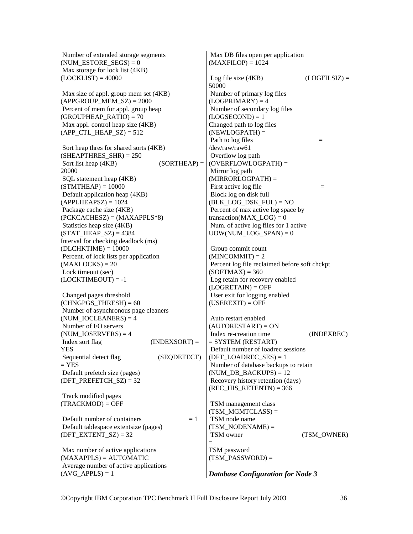Number of extended storage segments (NUM\_ESTORE\_SEGS) =  $0$  Max storage for lock list (4KB)  $(LOCKLIST) = 40000$ 

 Max size of appl. group mem set (4KB)  $(APPGROUP MEM SZ) = 2000$  Percent of mem for appl. group heap  $(GROUPHEAP_RATIO) = 70$  Max appl. control heap size (4KB)  $(APP_CTL_HEAP_SZ) = 512$ 

 Sort heap thres for shared sorts (4KB)  $(SHEAPTHRES_SHR) = 250$ Sort list heap  $(4KB)$  (SORTHEAP) = 20000 SQL statement heap (4KB)  $(STMTHEAD = 10000$  Default application heap (4KB)  $(APPLHEAPSZ) = 1024$  Package cache size (4KB)  $(PCKCACHESZ) = (MAXAPPLS*8)$  Statistics heap size (4KB)  $(STAT' HEAP SZ) = 4384$ Interval for checking deadlock (ms)  $(DLCHKTIME) = 10000$  Percent. of lock lists per application  $(MAXLOCKS) = 20$  Lock timeout (sec)  $(LOCKTIMEOUT) = -1$ 

 Changed pages threshold  $(CHNGPGSTHRESH) = 60$  Number of asynchronous page cleaners  $(NUM~IOCLEANERS) = 4$  Number of I/O servers (NUM\_IOSERVERS) =  $4$  $Index sort flag$  (INDEXSORT) = YES Sequential detect flag (SEQDETECT)  $=$  YES Default prefetch size (pages) (DFT\_PREFETCH\_SZ) =  $32$ 

 Track modified pages  $(TRACKMOD) = OFF$ 

Default number of containers  $= 1$  Default tablespace extentsize (pages) (DFT\_EXTENT\_SZ) =  $32$ 

 Max number of active applications (MAXAPPLS) = AUTOMATIC Average number of active applications  $(AVGAPPLS) = 1$ 

 Max DB files open per application  $(MAXFILOP) = 1024$ Log file size  $(4KB)$  (LOGFILSIZ) = 50000 Number of primary log files  $(LOGPRIMARY) = 4$  Number of secondary log files  $(LOGSECOND) = 1$ Changed path to log files  $(NEWLOGPATH) =$ Path to  $\log$  files  $=$ /dev/raw/raw61 Overflow log path (OVERFLOWLOGPATH) = Mirror log path (MIRRORLOGPATH) = First active log file  $=$  Block log on disk full  $(BLK$  LOG DSK  $FUL) = NO$  Percent of max active log space by transaction( $MAX$   $LOG$ ) = 0 Num. of active log files for 1 active UOW(NUM\_LOG\_SPAN) =  $0$ 

 Group commit count  $(MINCOMMIT) = 2$  Percent log file reclaimed before soft chckpt  $(SOFTMAX) = 360$  Log retain for recovery enabled  $(LOGRETAIN) = OFF$  User exit for logging enabled  $(USEREXIT) = OFF$ 

 Auto restart enabled  $(AUTORESTART) = ON$  Index re-creation time (INDEXREC) = SYSTEM (RESTART) Default number of loadrec sessions (DFT\_LOADREC\_SES) =  $1$  Number of database backups to retain  $(NUM_DB_BACKUPS) = 12$  Recovery history retention (days) (REC\_HIS\_RETENTN) =  $366$ 

 TSM management class  $(TSMMGMTCLASS) =$  TSM node name  $(TSMNODENAME) =$ TSM owner (TSM\_OWNER) = TSM password  $(TSM$  PASSWORD) =

*Database Configuration for Node 3*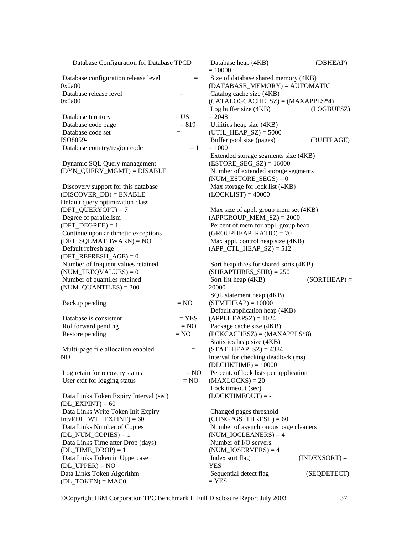| Database Configuration for Database TPCD          |          | Database heap (4KB)<br>$= 10000$                                        | (DBHEAP)        |
|---------------------------------------------------|----------|-------------------------------------------------------------------------|-----------------|
| Database configuration release level<br>0x0a00    | $=$      | Size of database shared memory (4KB)<br>$(DATABASE_MEMORY) = AUTOMATIC$ |                 |
| Database release level                            | $\equiv$ | Catalog cache size (4KB)                                                |                 |
| 0x0a00                                            |          | $(CATALOGCACHE_SZ) = (MAXAPPLS*4)$<br>Log buffer size $(4KB)$           | (LOGBUFSZ)      |
| Database territory                                | $= US$   | $= 2048$                                                                |                 |
| Database code page                                | $= 819$  | Utilities heap size (4KB)                                               |                 |
| Database code set                                 | $=$      | $(UTIL_HEAP_SZ) = 5000$                                                 |                 |
| ISO8859-1                                         |          | Buffer pool size (pages)                                                | (BUFFPAGE)      |
| Database country/region code                      | $=1$     | $= 1000$<br>Extended storage segments size (4KB)                        |                 |
| Dynamic SQL Query management                      |          | $(ESTORE\_SEG\_SZ) = 16000$                                             |                 |
| (DYN_QUERY_MGMT) = DISABLE                        |          | Number of extended storage segments<br>$(NUM\_ESTORE\_SEGS) = 0$        |                 |
| Discovery support for this database               |          | Max storage for lock list (4KB)                                         |                 |
| $(DISCOVER\_DB) = ENABLE$                         |          | $(LOCKLIST) = 40000$                                                    |                 |
| Default query optimization class                  |          |                                                                         |                 |
| $(DFT_QUERVOPT) = 7$                              |          | Max size of appl. group mem set (4KB)                                   |                 |
| Degree of parallelism                             |          | $(APPGROUP_MEM_SZ) = 2000$                                              |                 |
| $(DFT\_DEGREE) = 1$                               |          | Percent of mem for appl. group heap                                     |                 |
| Continue upon arithmetic exceptions               |          | $(GROUPHEAP_RATIO) = 70$                                                |                 |
| $(DFT_SQLMATHWARD) = NO$                          |          | Max appl. control heap size (4KB)                                       |                 |
| Default refresh age                               |          | $(APP_CTL_HEAP_SZ) = 512$                                               |                 |
| $(DFT\_REFERENCESH\_AGE) = 0$                     |          |                                                                         |                 |
| Number of frequent values retained                |          | Sort heap thres for shared sorts (4KB)                                  |                 |
| $(NUM_FREQVALUES) = 0$                            |          | $(SHEAPTHRES_SHR) = 250$                                                |                 |
| Number of quantiles retained                      |          | Sort list heap (4KB)                                                    | $(SORTHEAP) =$  |
| $(NUM\_QUANTILES) = 300$                          |          | 20000                                                                   |                 |
|                                                   |          | SQL statement heap (4KB)                                                |                 |
| Backup pending                                    | $= NO$   | $(STMTHEAD = 10000$                                                     |                 |
|                                                   |          | Default application heap (4KB)                                          |                 |
| Database is consistent                            | $=$ YES  | $(APPLHEAPSZ) = 1024$                                                   |                 |
| Rollforward pending                               | $= NO$   | Package cache size (4KB)                                                |                 |
| Restore pending                                   | $= NO$   | $(PCKCACHESZ) = (MAXAPPLS*8)$                                           |                 |
|                                                   |          | Statistics heap size (4KB)                                              |                 |
| Multi-page file allocation enabled                | $=$      | $(STAT_HEAP_SZ) = 4384$                                                 |                 |
| NO.                                               |          | Interval for checking deadlock (ms)<br>$(DLCHKTIME) = 10000$            |                 |
| Log retain for recovery status                    | $= NO$   | Percent. of lock lists per application                                  |                 |
| User exit for logging status                      | $= NO$   | $(MAXLOCKS) = 20$<br>Lock timeout (sec)                                 |                 |
| Data Links Token Expiry Interval (sec)            |          | $(LOCKTIMEOUT) = -1$                                                    |                 |
| $(DL$ _EXPINT $) = 60$                            |          |                                                                         |                 |
| Data Links Write Token Init Expiry                |          | Changed pages threshold                                                 |                 |
| $Intvl(DL_WT_IEXPINT) = 60$                       |          | $(CHNGPGS_THRESH) = 60$                                                 |                 |
| Data Links Number of Copies                       |          | Number of asynchronous page cleaners                                    |                 |
| $(DL_NUM\_COPIES) = 1$                            |          | $(NUM\_IOCLEANERS) = 4$                                                 |                 |
| Data Links Time after Drop (days)                 |          | Number of I/O servers                                                   |                 |
| $(DL_TIME\_DROP) = 1$                             |          | $(NUM\_IOSERVERS) = 4$                                                  |                 |
| Data Links Token in Uppercase                     |          | Index sort flag                                                         | $(INDEXSORT) =$ |
| $(DL_UPPER) = NO$                                 |          | YES                                                                     |                 |
| Data Links Token Algorithm<br>$(DL_TOKEN) = MAC0$ |          | Sequential detect flag<br>$=$ YES                                       | (SEQDETECT)     |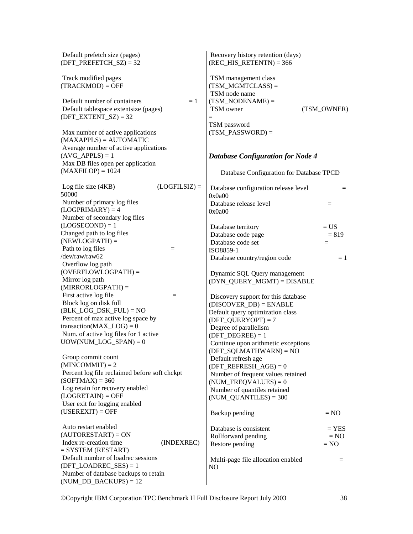| Default prefetch size (pages)<br>$(DFT\_PREFETCH_SZ) = 32$                                       |                 | Recovery history retention (days)<br>$(REC_HIS_RETENTN) = 366$ |             |
|--------------------------------------------------------------------------------------------------|-----------------|----------------------------------------------------------------|-------------|
| Track modified pages<br>$(TRACKMOD) = OFF$                                                       |                 | TSM management class<br>$(TSM_MGMTCLASS) =$<br>TSM node name   |             |
| Default number of containers<br>Default tablespace extentsize (pages)<br>$(DFT\_EXTENT_SZ) = 32$ | $=1$            | $(TSM_NODENAME) =$<br>TSM owner<br>$=$                         | (TSM_OWNER) |
| Max number of active applications<br>$(MAXAPPLS) = AUTOMATIC$                                    |                 | TSM password<br>$(TSM_PASSWORD) =$                             |             |
| Average number of active applications<br>$(AVG_APPLS) = 1$<br>Max DB files open per application  |                 | <b>Database Configuration for Node 4</b>                       |             |
| $(MAXFILOP) = 1024$                                                                              |                 | Database Configuration for Database TPCD                       |             |
| Log file size (4KB)<br>50000                                                                     | $(LOGFILSIZ) =$ | Database configuration release level<br>0x0a00                 | $=$         |
| Number of primary log files<br>$(LOGPRIMARY) = 4$                                                |                 | Database release level<br>0x0a00                               | $=$         |
| Number of secondary log files<br>$(LOGSECOND) = 1$                                               |                 | Database territory                                             | $= US$      |
| Changed path to log files                                                                        |                 | Database code page                                             | $= 819$     |
| $(NEWLOGPATH) =$                                                                                 |                 | Database code set                                              | $\equiv$    |
| Path to log files                                                                                | $=$             | ISO8859-1                                                      |             |
| /dev/raw/raw62                                                                                   |                 | Database country/region code                                   | $=1$        |
| Overflow log path                                                                                |                 |                                                                |             |
| $(OVERFLOWLOGPATH) =$                                                                            |                 | Dynamic SQL Query management                                   |             |
| Mirror log path<br>$(MIRRORLOGPATH) =$                                                           |                 | (DYN_QUERY_MGMT) = DISABLE                                     |             |
| First active log file                                                                            | $=$             |                                                                |             |
| Block log on disk full                                                                           |                 | Discovery support for this database                            |             |
| $(BLK\_LOG\_DSK\_FUL) = NO$                                                                      |                 | $(DISCOVER_DB) = ENABLE$<br>Default query optimization class   |             |
| Percent of max active log space by                                                               |                 | $(DFT_QUERVOPT) = 7$                                           |             |
| transaction( $MAX\_LOG$ ) = 0                                                                    |                 | Degree of parallelism                                          |             |
| Num. of active log files for 1 active                                                            |                 | $(DFT_DEGREE) = 1$                                             |             |
| $UOW(NUM\_LOG\_SPAN) = 0$                                                                        |                 | Continue upon arithmetic exceptions<br>(DFT_SQLMATHWARN) = NO  |             |
| Group commit count                                                                               |                 | Default refresh age                                            |             |
| $(MINCOMMIT) = 2$                                                                                |                 | $(DFT\_REFERENCESH_AGE) = 0$                                   |             |
| Percent log file reclaimed before soft chckpt                                                    |                 | Number of frequent values retained                             |             |
| $(SOFIMAX) = 360$                                                                                |                 | $(NUM_FREQVALUES) = 0$                                         |             |
| Log retain for recovery enabled<br>$(LOGRETAIN) = OFF$                                           |                 | Number of quantiles retained<br>$(NUM\_QUANTILES) = 300$       |             |
| User exit for logging enabled                                                                    |                 |                                                                |             |
| $(USEREXIT) = OFF$                                                                               |                 | Backup pending                                                 | $= NO$      |
| Auto restart enabled                                                                             |                 | Database is consistent                                         | $=$ YES     |
| $(AUTORESTART) = ON$                                                                             |                 | Rollforward pending                                            | $= NO$      |
| Index re-creation time<br>$=$ SYSTEM (RESTART)                                                   | (INDEXREC)      | Restore pending                                                | $= NO$      |
| Default number of loadrec sessions                                                               |                 | Multi-page file allocation enabled                             | =           |
| $(DFT\_LOADREC\_SES) = 1$                                                                        |                 | N <sub>O</sub>                                                 |             |
| Number of database backups to retain<br>$(NUM_DB_BACKUPS) = 12$                                  |                 |                                                                |             |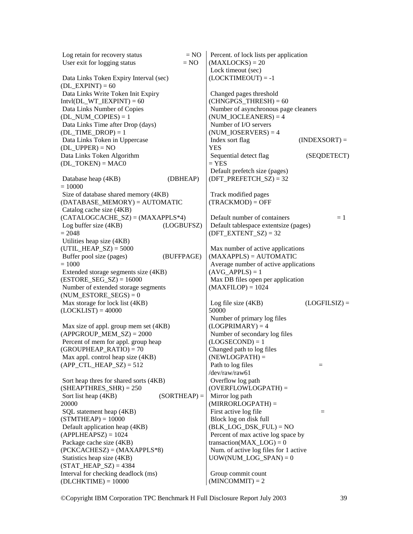| Log retain for recovery status         | $= NO$         | Percent. of lock lists per application |                 |
|----------------------------------------|----------------|----------------------------------------|-----------------|
| User exit for logging status           | $= NO$         | $(MAXLOCKS) = 20$                      |                 |
|                                        |                | Lock timeout (sec)                     |                 |
| Data Links Token Expiry Interval (sec) |                | $(LOCKTIMEOUT) = -1$                   |                 |
| $(DL$ <b>EXPINT</b> $) = 60$           |                |                                        |                 |
| Data Links Write Token Init Expiry     |                | Changed pages threshold                |                 |
| $Intvl(DL_WT_IEXPINT) = 60$            |                | $(CHNGPGS_THRESH) = 60$                |                 |
| Data Links Number of Copies            |                | Number of asynchronous page cleaners   |                 |
| $(DL_NUM\_COPIES) = 1$                 |                | $(NUM\_IOCLEANERS) = 4$                |                 |
| Data Links Time after Drop (days)      |                | Number of I/O servers                  |                 |
| $(DL_TIME\_DROP) = 1$                  |                | $(NUM\_IOSERVERSE) = 4$                |                 |
| Data Links Token in Uppercase          |                | Index sort flag                        | $(INDEXSORT) =$ |
| $(DL_UPPER) = NO$                      |                | <b>YES</b>                             |                 |
| Data Links Token Algorithm             |                | Sequential detect flag                 | (SEQDETECT)     |
| $(DL_TOKEN) = MACO$                    |                | $=$ YES                                |                 |
|                                        |                | Default prefetch size (pages)          |                 |
| Database heap (4KB)                    | (DBHEAP)       | $(DFT\_PREFETCH\_SZ) = 32$             |                 |
| $= 10000$                              |                |                                        |                 |
| Size of database shared memory (4KB)   |                | Track modified pages                   |                 |
| (DATABASE_MEMORY) = AUTOMATIC          |                | $(TRACKMOD) = OFF$                     |                 |
| Catalog cache size (4KB)               |                |                                        |                 |
| $(CATALOGCACHE_SZ) = (MAXAPPLS*4)$     |                | Default number of containers           | $=1$            |
| Log buffer size (4KB)                  | (LOGBUFSZ)     | Default tablespace extentsize (pages)  |                 |
| $= 2048$                               |                | $(DFT\_EXTENT_SZ) = 32$                |                 |
| Utilities heap size (4KB)              |                |                                        |                 |
| $(UTIL_HEAP_SZ) = 5000$                |                | Max number of active applications      |                 |
| Buffer pool size (pages)               | (BUFFPAGE)     | $(MAXAPPLS) = AUTOMATIC$               |                 |
| $=1000$                                |                | Average number of active applications  |                 |
| Extended storage segments size (4KB)   |                | $(AVG_APPLS) = 1$                      |                 |
| $(ESTORE\_SEG\_SZ) = 16000$            |                | Max DB files open per application      |                 |
| Number of extended storage segments    |                | $(MAXFILOP) = 1024$                    |                 |
| $(NUM\_ESTORE\_SEGS) = 0$              |                |                                        |                 |
| Max storage for lock list (4KB)        |                | Log file size $(4KB)$                  | $(LOGFILSIZ) =$ |
| $(LOCKLIST) = 40000$                   |                | 50000                                  |                 |
|                                        |                | Number of primary log files            |                 |
| Max size of appl. group mem set (4KB)  |                | $(LOGPRIMARY) = 4$                     |                 |
| $(APPGROUP_MEM_SZ) = 2000$             |                | Number of secondary log files          |                 |
| Percent of mem for appl. group heap    |                | $(LOGSECOND) = 1$                      |                 |
| $(GROUPHEAP_RATIO) = 70$               |                | Changed path to log files              |                 |
| Max appl. control heap size (4KB)      |                | $(NEWLOGPATH) =$                       |                 |
| $(APP_CTL_HEAP_SZ) = 512$              |                | Path to log files                      | $=$             |
|                                        |                | /dev/raw/raw61                         |                 |
| Sort heap thres for shared sorts (4KB) |                | Overflow log path                      |                 |
| $(SHEAPTHRES_SHR) = 250$               |                | $(OVERFLOWLOGPATH) =$                  |                 |
| Sort list heap (4KB)                   | $(SORTHEAP) =$ | Mirror log path                        |                 |
| 20000                                  |                | $(MIRRORLOGPATH) =$                    |                 |
| SQL statement heap (4KB)               |                | First active log file                  | $=$             |
| $(STMTHEAD = 10000$                    |                | Block log on disk full                 |                 |
| Default application heap (4KB)         |                | $(BLK\_LOG\_DSK\_FUL) = NO$            |                 |
| $(APPLHEAPSZ) = 1024$                  |                | Percent of max active log space by     |                 |
| Package cache size (4KB)               |                | transaction( $MAX\_LOG$ ) = 0          |                 |
| $(PCKCACHESZ) = (MAXAPPLS*8)$          |                | Num. of active log files for 1 active  |                 |
| Statistics heap size (4KB)             |                | $UOW(NUM\_LOG\_SPAN) = 0$              |                 |
| $(STAT_HEAP_SZ) = 4384$                |                |                                        |                 |
| Interval for checking deadlock (ms)    |                | Group commit count                     |                 |
| $(DLCHKTIME) = 10000$                  |                | $(MINCOMMIT) = 2$                      |                 |
|                                        |                |                                        |                 |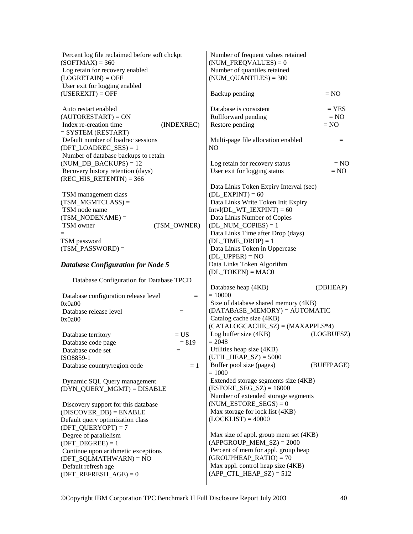| Percent log file reclaimed before soft chckpt<br>$(SOFTMAX) = 360$<br>Log retain for recovery enabled<br>$(LOGRETAIN) = OFF$ | Number of frequent values retained<br>$(NUM_FREQVALUES) = 0$<br>Number of quantiles retained<br>$(NUM\_QUANTILES) = 300$              |
|------------------------------------------------------------------------------------------------------------------------------|---------------------------------------------------------------------------------------------------------------------------------------|
| User exit for logging enabled<br>$(USEREXIT) = OFF$                                                                          | Backup pending<br>$= NO$                                                                                                              |
| Auto restart enabled<br>$(AUTORESTART) = ON$                                                                                 | Database is consistent<br>$=$ YES<br>Rollforward pending<br>$= NO$                                                                    |
| Index re-creation time<br>(INDEXREC)<br>$=$ SYSTEM (RESTART)                                                                 | Restore pending<br>$= NO$                                                                                                             |
| Default number of loadrec sessions<br>$(DFT\_LOADREC\_SES) = 1$                                                              | Multi-page file allocation enabled<br>$=$<br>N <sub>O</sub>                                                                           |
| Number of database backups to retain<br>$(NUM_DB_BACKUPS) = 12$                                                              | Log retain for recovery status<br>$= NO$                                                                                              |
| Recovery history retention (days)<br>$(REC_HIS_RETENTN) = 366$                                                               | User exit for logging status<br>$= NO$                                                                                                |
| TSM management class<br>$(TSM_MGMTCLASS) =$<br>TSM node name                                                                 | Data Links Token Expiry Interval (sec)<br>$(DL$ _EXPINT $) = 60$<br>Data Links Write Token Init Expiry<br>$Intvl(DL_WT_IEXPINT) = 60$ |
| $(TSM_NODENAME) =$<br>TSM owner<br>(TSM OWNER)                                                                               | Data Links Number of Copies<br>$(DL_NUM\_COPIES) = 1$                                                                                 |
| TSM password<br>$(TSM_PASSWORD) =$                                                                                           | Data Links Time after Drop (days)<br>$(DL_TIME\_DROP) = 1$<br>Data Links Token in Uppercase<br>$(DL_UPPER) = NO$                      |
| <b>Database Configuration for Node 5</b>                                                                                     | Data Links Token Algorithm<br>$(DL_TOKEN) = MACO$                                                                                     |
| Database Configuration for Database TPCD                                                                                     | (DBHEAP)                                                                                                                              |
| Database configuration release level<br>$=$                                                                                  | Database heap (4KB)<br>$= 10000$                                                                                                      |
| 0x0a00<br>Database release level<br>$=$                                                                                      | Size of database shared memory (4KB)<br>$(DATABASE_MEMORY) = AUTOMATIC$                                                               |
| 0x0a00                                                                                                                       | Catalog cache size (4KB)<br>$(CATALOGCACHE_SZ) = (MAXAPPLS*4)$                                                                        |
| $= US$<br>Database territory                                                                                                 | Log buffer size $(4KB)$<br>(LOGBUFSZ)                                                                                                 |
| Database code page<br>$= 819$                                                                                                | $= 2048$                                                                                                                              |
| Database code set<br>$\quad =$<br>ISO8859-1                                                                                  | Utilities heap size (4KB)<br>$(UTIL_HEAP_SZ) = 5000$                                                                                  |
| Database country/region code<br>$=1$                                                                                         | Buffer pool size (pages)<br>(BUFFPAGE)<br>$= 1000$                                                                                    |
| Dynamic SQL Query management<br>(DYN_QUERY_MGMT) = DISABLE                                                                   | Extended storage segments size (4KB)<br>$(ESTORE\_SEG\_SZ) = 16000$<br>Number of extended storage segments                            |
| Discovery support for this database<br>$(DISCOVER_DB) = ENABLE$<br>Default query optimization class<br>$(DFT_QUERVOPT) = 7$  | $(NUM\_ESTORE\_SEGS) = 0$<br>Max storage for lock list (4KB)<br>$(LOCKLIST) = 40000$                                                  |
| Degree of parallelism<br>$(DFT_DEGREE) = 1$<br>Continue upon arithmetic exceptions                                           | Max size of appl. group mem set (4KB)<br>$(APPGROUP_MEM_SZ) = 2000$<br>Percent of mem for appl. group heap                            |
| $(DFT_SQLMATHWARD) = NO$<br>Default refresh age<br>$(DFT\_REFERENCESH\_AGE) = 0$                                             | $(GROUPHEAP_RATIO) = 70$<br>Max appl. control heap size (4KB)<br>$(APP_CTL_HEAP_SZ) = 512$                                            |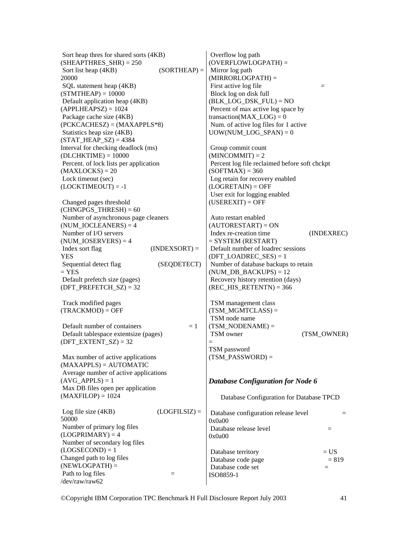Sort heap thres for shared sorts (4KB)  $(SHEAPTHRES SHR) = 250$ Sort list heap  $(4KB)$  (SORTHEAP) = 20000 SQL statement heap (4KB)  $(STMTHEAP) = 10000$  Default application heap (4KB)  $(APPLHEAPSZ) = 1024$  Package cache size (4KB) (PCKCACHESZ) = (MAXAPPLS\*8) Statistics heap size (4KB)  $(STAT' HEAP' SZ) = 4384$ Interval for checking deadlock (ms)  $(DLCHKTIME) = 10000$  Percent. of lock lists per application  $(MAXLOCKS) = 20$  Lock timeout (sec)  $(LOCKTIMEOUT) = -1$  Changed pages threshold  $(CHNGPGS$  THRESH $) = 60$  Number of asynchronous page cleaners  $(NUM~IOCLEANERS) = 4$  Number of I/O servers  $(NUMIOSERVERS) = 4$  $Index sort flag$  (INDEXSORT) = YES Sequential detect flag (SEQDETECT)  $=$  YES Default prefetch size (pages) (DFT\_PREFETCH\_SZ) =  $32$  Track modified pages  $(TRACKMOD) = OFF$ Default number of containers  $= 1$  Default tablespace extentsize (pages)  $(DFT\_EXTENT\_SZ) = 32$  Max number of active applications  $(MAXAPPLS) = AUTOMATIC$  Average number of active applications  $(AVGAPPLS) = 1$  Max DB files open per application  $(MAXFILOP) = 1024$ Log file size  $(4KB)$  (LOGFILSIZ) = 50000 Number of primary log files  $(LOGPRIMARY) = 4$  Number of secondary log files  $(LOGSECOND) = 1$ Changed path to log files  $(NEWLOGPATH) =$ Path to log files  $=$ /dev/raw/raw62 Overflow log path (OVERFLOWLOGPATH) = Mirror log path (MIRRORLOGPATH) = First active log file  $=$  Block log on disk full  $(BLK$  LOG DSK  $FUL) = NO$  Percent of max active log space by  $transaction(MAX\_LOG) = 0$  Num. of active log files for 1 active  $UOW(NUM\_LOG\_SPAN) = 0$  Group commit count  $(MINCOMMIT) = 2$  Percent log file reclaimed before soft chckpt  $(SOFTMAX) = 360$  Log retain for recovery enabled  $(LOGRETAIN) = OFF$  User exit for logging enabled  $(USEREXIT) = OFF$  Auto restart enabled  $(AUTORESTART) = ON$  Index re-creation time (INDEXREC) = SYSTEM (RESTART) Default number of loadrec sessions (DFT\_LOADREC\_SES) =  $1$  Number of database backups to retain (NUM DB BACKUPS)  $= 12$  Recovery history retention (days)  $(REC \ HIS \ RETENTN) = 366$  TSM management class  $(TSMMGMTCLASS) =$  TSM node name  $(TSMNODENAME) =$ TSM owner (TSM\_OWNER) = TSM password  $(TSM$  PASSWORD) = *Database Configuration for Node 6*  Database Configuration for Database TPCD Database configuration release level  $=$ 0x0a00 Database release level  $=$ 0x0a00 Database territory  $= US$ Database code page  $= 819$ Database code set  $=$ ISO8859-1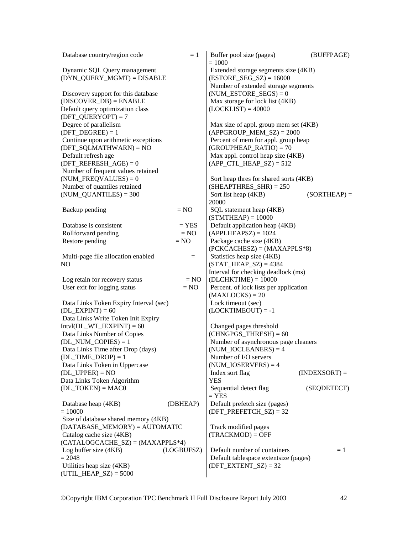| Database country/region code                                   | $=1$             | Buffer pool size (pages)<br>$= 1000$                            | (BUFFPAGE)      |
|----------------------------------------------------------------|------------------|-----------------------------------------------------------------|-----------------|
| Dynamic SQL Query management                                   |                  | Extended storage segments size (4KB)                            |                 |
| (DYN_QUERY_MGMT) = DISABLE                                     |                  | $(ESTORE\_SEG\_SZ) = 16000$                                     |                 |
|                                                                |                  | Number of extended storage segments                             |                 |
| Discovery support for this database                            |                  | $(NUM\_ESTORE\_SEGS) = 0$                                       |                 |
| $(DISCOVER_DB) = ENABLE$                                       |                  | Max storage for lock list (4KB)                                 |                 |
| Default query optimization class                               |                  | $(LOCKLIST) = 40000$                                            |                 |
| $(DFT_QUERVOPT) = 7$                                           |                  |                                                                 |                 |
| Degree of parallelism                                          |                  | Max size of appl. group mem set (4KB)                           |                 |
| $(DFT_DEGREE) = 1$                                             |                  | $(APPGROUP_MEM_SZ) = 2000$                                      |                 |
| Continue upon arithmetic exceptions                            |                  | Percent of mem for appl. group heap                             |                 |
| $(DFT_SQLMATHWARN) = NO$                                       |                  | $(GROUPHEAP_RATIO) = 70$                                        |                 |
| Default refresh age<br>$(DFT\_REFERENCESH_AGE) = 0$            |                  | Max appl. control heap size (4KB)<br>$(APP_CTL_HEAP_SZ) = 512$  |                 |
| Number of frequent values retained                             |                  |                                                                 |                 |
| $(NUM_FREQVALUES) = 0$                                         |                  | Sort heap thres for shared sorts (4KB)                          |                 |
| Number of quantiles retained                                   |                  | $(SHEAPTHRES_SHR) = 250$                                        |                 |
| $(NUM\_QUANTILES) = 300$                                       |                  | Sort list heap (4KB)                                            | $(SORTHEAP) =$  |
|                                                                |                  | 20000                                                           |                 |
| Backup pending                                                 | $= NO$           | SQL statement heap (4KB)                                        |                 |
|                                                                |                  | $(STMTHEAP) = 10000$                                            |                 |
| Database is consistent                                         | $=$ YES          | Default application heap (4KB)                                  |                 |
| Rollforward pending                                            | $= NO$           | $(APPLHEAPSZ) = 1024$                                           |                 |
| Restore pending                                                | $= NO$           | Package cache size (4KB)                                        |                 |
|                                                                |                  | $(PCKCACHESZ) = (MAXAPPLS*8)$                                   |                 |
| Multi-page file allocation enabled                             | $=$              | Statistics heap size (4KB)                                      |                 |
| NO                                                             |                  | $(STAT_HEAP_SZ) = 4384$                                         |                 |
|                                                                |                  | Interval for checking deadlock (ms)                             |                 |
| Log retain for recovery status<br>User exit for logging status | $= NO$<br>$= NO$ | $(DLCHKTIME) = 10000$<br>Percent. of lock lists per application |                 |
|                                                                |                  | $(MAXLOCKS) = 20$                                               |                 |
| Data Links Token Expiry Interval (sec)                         |                  | Lock timeout (sec)                                              |                 |
| $(DL$ <b>EXPINT</b> $) = 60$                                   |                  | $(LOCKTIMEOUT) = -1$                                            |                 |
| Data Links Write Token Init Expiry                             |                  |                                                                 |                 |
| $Intvl(DL_WT_IEXPINT) = 60$                                    |                  | Changed pages threshold                                         |                 |
| Data Links Number of Copies                                    |                  | $(CHNGPGS_THRESH) = 60$                                         |                 |
| $(DL_NUM\_COPIES) = 1$                                         |                  | Number of asynchronous page cleaners                            |                 |
| Data Links Time after Drop (days)                              |                  | $(NUM\_IOCLEANERS) = 4$                                         |                 |
| $(DL$ _TIME_DROP $) = 1$                                       |                  | Number of I/O servers                                           |                 |
| Data Links Token in Uppercase                                  |                  | $(NUM\_IOSERVERS) = 4$                                          |                 |
| $(DL_UPPER) = NO$                                              |                  | Index sort flag                                                 | $(INDEXSORT) =$ |
| Data Links Token Algorithm                                     |                  | <b>YES</b>                                                      |                 |
| $(DL_TOKEN) = MACO$                                            |                  | Sequential detect flag<br>$=$ YES                               | (SEQDETECT)     |
| Database heap (4KB)                                            | (DBHEAP)         | Default prefetch size (pages)                                   |                 |
| $= 10000$                                                      |                  | $(DFT\_PREFETCH\_SZ) = 32$                                      |                 |
| Size of database shared memory (4KB)                           |                  |                                                                 |                 |
| $(DATABASE_MEMORY) = AUTOMATIC$                                |                  | Track modified pages                                            |                 |
| Catalog cache size (4KB)                                       |                  | $(TRACKMOD) = OFF$                                              |                 |
| $(CATALOGCACHE_SZ) = (MAXAPPLS*4)$                             |                  |                                                                 |                 |
| Log buffer size (4KB)                                          | (LOGBUFSZ)       | Default number of containers                                    | $=1$            |
| $= 2048$                                                       |                  | Default tablespace extentsize (pages)                           |                 |
| Utilities heap size (4KB)                                      |                  | $(DFT\_EXTENT_SZ) = 32$                                         |                 |
| $(UTIL_HEAP_SZ) = 5000$                                        |                  |                                                                 |                 |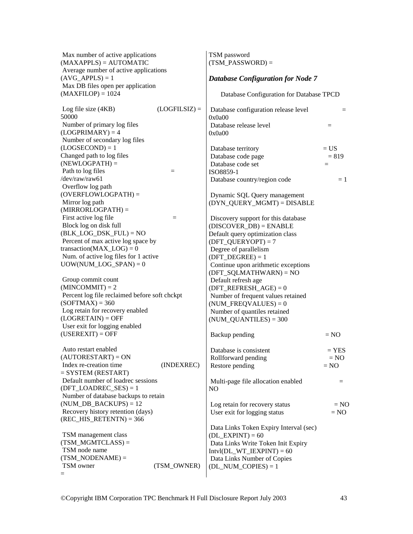| Max number of active applications<br>$(MAXAPPLS) = AUTOMATIC$<br>Average number of active applications |                 | TSM password<br>$(TSM_PASSWORD) =$                                           |         |
|--------------------------------------------------------------------------------------------------------|-----------------|------------------------------------------------------------------------------|---------|
| $(AVG_APPLS) = 1$<br>Max DB files open per application                                                 |                 | <b>Database Configuration for Node 7</b>                                     |         |
| $(MAXFILOP) = 1024$                                                                                    |                 | Database Configuration for Database TPCD                                     |         |
| Log file size (4KB)<br>50000                                                                           | $(LOGFILSIZ) =$ | Database configuration release level<br>0x0a00                               | $=$     |
| Number of primary log files<br>$(LOGPRIMARY) = 4$                                                      |                 | Database release level<br>0x0a00                                             | $=$     |
| Number of secondary log files<br>$(LOGSECOND) = 1$                                                     |                 | Database territory                                                           | $= US$  |
| Changed path to log files                                                                              |                 | Database code page                                                           | $= 819$ |
| $(NEWLOGPATH) =$                                                                                       |                 | Database code set                                                            | $=$     |
| Path to log files                                                                                      | $=$             | ISO8859-1                                                                    |         |
| /dev/raw/raw61                                                                                         |                 | Database country/region code                                                 | $=1$    |
| Overflow log path                                                                                      |                 |                                                                              |         |
| $(OVERFLOWLOGPATH) =$                                                                                  |                 | Dynamic SQL Query management                                                 |         |
| Mirror log path<br>$(MIRRORLOGPATH) =$                                                                 |                 | (DYN_QUERY_MGMT) = DISABLE                                                   |         |
| First active log file                                                                                  | $=$             | Discovery support for this database                                          |         |
| Block log on disk full                                                                                 |                 | $(DISCOVER_DB) = ENABLE$                                                     |         |
| $(BLK\_LOG\_DSK_FUL) = NO$                                                                             |                 | Default query optimization class                                             |         |
| Percent of max active log space by<br>transaction( $MAX\_LOG$ ) = 0                                    |                 | $(DFT_QUERVOPT) = 7$                                                         |         |
| Num. of active log files for 1 active                                                                  |                 | Degree of parallelism<br>$(DFT_DEGREE) = 1$                                  |         |
| $UOW(NUM\_LOG\_SPAN) = 0$                                                                              |                 | Continue upon arithmetic exceptions                                          |         |
|                                                                                                        |                 | $(DFT_SQLMATHWARD) = NO$                                                     |         |
| Group commit count                                                                                     |                 | Default refresh age                                                          |         |
| $(MINCOMMIT) = 2$                                                                                      |                 | $(DFT\_REFERENCESH_AGE) = 0$                                                 |         |
| Percent log file reclaimed before soft chckpt                                                          |                 | Number of frequent values retained                                           |         |
| $(SOFTMAX) = 360$                                                                                      |                 | $(NUM_FREQVALUES) = 0$                                                       |         |
| Log retain for recovery enabled<br>$(LOGRETAIN) = OFF$                                                 |                 | Number of quantiles retained<br>$(NUM\_QUANTILES) = 300$                     |         |
| User exit for logging enabled                                                                          |                 |                                                                              |         |
| $(USEREXIT) = OFF$                                                                                     |                 | Backup pending                                                               | $= NO$  |
| Auto restart enabled                                                                                   |                 | Database is consistent                                                       | $=$ YES |
| $(AUTORESTART) = ON$                                                                                   |                 | Rollforward pending                                                          | $= NO$  |
| Index re-creation time<br>$=$ SYSTEM (RESTART)                                                         | (INDEXREC)      | Restore pending                                                              | $= NO$  |
| Default number of loadrec sessions                                                                     |                 | Multi-page file allocation enabled                                           | $=$     |
| $(DFT\_LOADREC\_SES) = 1$                                                                              |                 | N <sub>O</sub>                                                               |         |
| Number of database backups to retain                                                                   |                 |                                                                              |         |
| (NUM DB BACKUPS) = $12$                                                                                |                 | Log retain for recovery status                                               | $= NO$  |
| Recovery history retention (days)<br>$(REC_HIS_RETENTN) = 366$                                         |                 | User exit for logging status                                                 | $= NO$  |
|                                                                                                        |                 |                                                                              |         |
| TSM management class                                                                                   |                 | Data Links Token Expiry Interval (sec)<br>$(DL$ <sub>_</sub> EXPINT $) = 60$ |         |
| $(TSM_MGMTCLASS) =$                                                                                    |                 | Data Links Write Token Init Expiry                                           |         |
| TSM node name                                                                                          |                 | $Intvl(DL_WT_IEXPINT) = 60$                                                  |         |
| $(TSM_NODENAME) =$                                                                                     |                 | Data Links Number of Copies                                                  |         |
| TSM owner                                                                                              | (TSM_OWNER)     | $(DL_NUM\_COPIES) = 1$                                                       |         |
| $=$                                                                                                    |                 |                                                                              |         |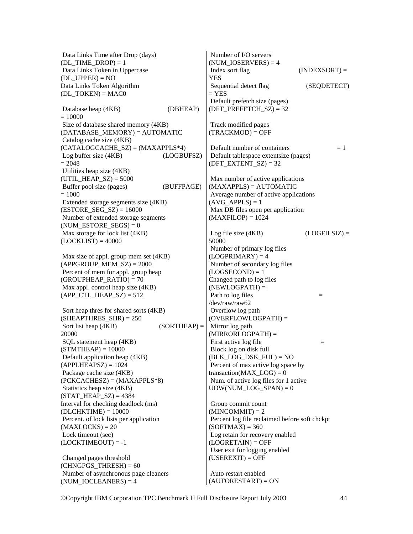Data Links Time after Drop (days) (DL\_TIME\_DROP) =  $1$  Data Links Token in Uppercase  $(DL UPPER) = NO$ Data Links Token Algorithm  $(DL TOKEN) = MAC0$ Database heap (4KB) (DBHEAP)  $= 10000$  Size of database shared memory (4KB) (DATABASE\_MEMORY) = AUTOMATIC Catalog cache size (4KB)  $(CATALOGCACHE SZ) = (MAXAPPLS*4)$  Log buffer size (4KB) (LOGBUFSZ)  $= 2048$  Utilities heap size (4KB) (UTIL HEAP  $SZ$ ) = 5000 Buffer pool size (pages) (BUFFPAGE)  $= 1000$  Extended storage segments size (4KB)  $(ESTORE SEG SZ) = 16000$  Number of extended storage segments (NUM\_ESTORE\_SEGS) =  $0$  Max storage for lock list (4KB)  $(LOCKLIST) = 40000$  Max size of appl. group mem set (4KB)  $(APPGROUP MEM SZ) = 2000$  Percent of mem for appl. group heap  $(GROUPHEAP$  $RATIO$  = 70 Max appl. control heap size (4KB) (APP CTL HEAP  $SZ$ ) = 512 Sort heap thres for shared sorts (4KB)  $(SHEAPTHRES SHR) = 250$ Sort list heap  $(4KB)$  (SORTHEAP) = 20000 SQL statement heap (4KB)  $(STMTHEAD = 10000$  Default application heap (4KB)  $(APPLHEAPSZ) = 1024$  Package cache size (4KB)  $(PCKCACHESZ) = (MAXAPPLS*8)$  Statistics heap size (4KB)  $(STAT_HEAP_SZ) = 4384$ Interval for checking deadlock (ms)  $(DLCHKTIME) = 10000$  Percent. of lock lists per application  $(MAXLOCKS) = 20$  Lock timeout (sec)  $(LOCKTIMEOUT) = -1$  Changed pages threshold  $(CHNGPGSTHRESH) = 60$  Number of asynchronous page cleaners  $(NUM\_IOCLEANERS) = 4$  Number of I/O servers  $(NUMIOSERVERS) = 4$ YES  $=$  YES Track modified pages  $(TRACKMOD) = OFF$  $(DFT\_EXTENT_SZ) = 32$  $(AVGAPPLS) = 1$  $(MAXFILOP) = 1024$ 50000  $(LOGPRIMARY) = 4$  $(LOGSECOND) = 1$ Changed path to log files  $(NEWLOGPATH) =$ /dev/raw/raw62 Overflow log path Mirror log path (MIRRORLOGPATH) = Block log on disk full Group commit count  $(MINCOMMIT) = 2$  Percent log file reclaimed before soft chckpt  $(SOFTMAX) = 360$  Log retain for recovery enabled  $(LOGRETAIN) = OFF$  User exit for logging enabled  $(USEREXIT) = OFF$  Auto restart enabled  $(AUTORESTART) = ON$ 

Index sort flag (INDEXSORT) = Sequential detect flag (SEQDETECT) Default prefetch size (pages) (DFT\_PREFETCH\_SZ) =  $32$ Default number of containers  $= 1$  Default tablespace extentsize (pages) Max number of active applications  $(MAXAPPLS) = AUTOMATIC$  Average number of active applications Max DB files open per application Log file size  $(4KB)$  (LOGFILSIZ) = Number of primary log files Number of secondary log files Path to  $\log$  files  $=$ (OVERFLOWLOGPATH) = First active log file  $=$  $(BLK$  LOG DSK  $FUL) = NO$  Percent of max active log space by transaction( $MAX$   $LOG$ ) = 0 Num. of active log files for 1 active UOW(NUM\_LOG\_SPAN)  $= 0$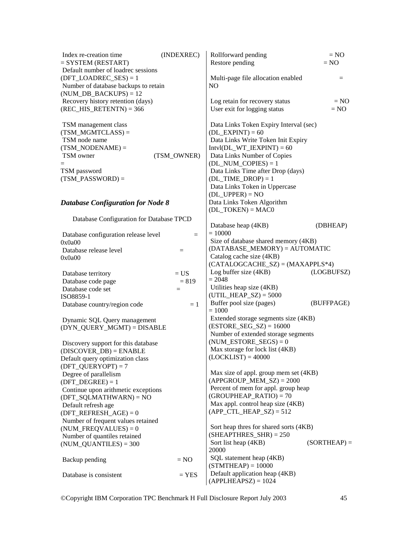| Index re-creation time<br>$=$ SYSTEM (RESTART)                                                                                        | (INDEXREC)        | Rollforward pending<br>Restore pending                                                                                                                                                                                                                                                                            | $= NO$<br>$= NO$ |
|---------------------------------------------------------------------------------------------------------------------------------------|-------------------|-------------------------------------------------------------------------------------------------------------------------------------------------------------------------------------------------------------------------------------------------------------------------------------------------------------------|------------------|
| Default number of loadrec sessions<br>$(DFT\_LOADREC\_SES) = 1$<br>Number of database backups to retain<br>$(NUM_DB_BACKUPS) = 12$    |                   | Multi-page file allocation enabled<br>NO.                                                                                                                                                                                                                                                                         | $=$              |
| Recovery history retention (days)<br>$(REC_HIS_RETENTN) = 366$                                                                        |                   | Log retain for recovery status<br>User exit for logging status                                                                                                                                                                                                                                                    | $= NO$<br>$= NO$ |
| TSM management class<br>$(TSM_MGMTCLASS) =$<br>TSM node name<br>$(TSM_NODENAME) =$<br>TSM owner<br>TSM password<br>$(TSM_PASSWORD) =$ | (TSM_OWNER)       | Data Links Token Expiry Interval (sec)<br>$(DL$ _EXPINT $) = 60$<br>Data Links Write Token Init Expiry<br>$Intvl(DL_WT_IEXPINT) = 60$<br>Data Links Number of Copies<br>$(DL_NUM\_COPIES) = 1$<br>Data Links Time after Drop (days)<br>$(DL_TIME_DROP) = 1$<br>Data Links Token in Uppercase<br>$(DL_UPPER) = NO$ |                  |
| <b>Database Configuration for Node 8</b>                                                                                              |                   | Data Links Token Algorithm<br>$(DL_TOKEN) = MACO$                                                                                                                                                                                                                                                                 |                  |
| Database Configuration for Database TPCD                                                                                              |                   | Database heap (4KB)                                                                                                                                                                                                                                                                                               | (DBHEAP)         |
| Database configuration release level<br>0x0a00                                                                                        | $\equiv$          | $= 10000$<br>Size of database shared memory (4KB)                                                                                                                                                                                                                                                                 |                  |
| Database release level<br>0x0a00                                                                                                      | $=$               | $(DATABASE_MEMORY) = AUTOMATIC$<br>Catalog cache size (4KB)<br>$(CATALOGCACHE_SZ) = (MAXAPPLS*4)$                                                                                                                                                                                                                 |                  |
| Database territory<br>Database code page                                                                                              | $= US$<br>$= 819$ | Log buffer size (4KB)<br>$= 2048$                                                                                                                                                                                                                                                                                 | (LOGBUFSZ)       |
| Database code set<br>ISO8859-1                                                                                                        | $=$               | Utilities heap size (4KB)<br>$(UTIL_HEAP_SZ) = 5000$<br>Buffer pool size (pages)                                                                                                                                                                                                                                  | (BUFFPAGE)       |
| Database country/region code                                                                                                          | $=1$              | $= 1000$<br>Extended storage segments size (4KB)                                                                                                                                                                                                                                                                  |                  |
| Dynamic SQL Query management<br>(DYN_QUERY_MGMT) = DISABLE                                                                            |                   | $(ESTORE\_SEG\_SZ) = 16000$<br>Number of extended storage segments                                                                                                                                                                                                                                                |                  |
| Discovery support for this database<br>$(DISCOVER_DB) = ENABLE$<br>Default query optimization class<br>$(DFT_QUERVOPT) = 7$           |                   | $(NUM\_ESTORE\_SEGS) = 0$<br>Max storage for lock list (4KB)<br>$(LOCKLIST) = 40000$                                                                                                                                                                                                                              |                  |
| Degree of parallelism<br>$(DFT_DEGREE) = 1$<br>Continue upon arithmetic exceptions                                                    |                   | Max size of appl. group mem set (4KB)<br>$(APPGROUP_MEM_SZ) = 2000$<br>Percent of mem for appl. group heap<br>$(GROUPHEAP_RATIO) = 70$                                                                                                                                                                            |                  |
| $(DFT_SQLMATHWARN) = NO$<br>Default refresh age<br>$(DFT\_REFERENCESH_AGE) = 0$<br>Number of frequent values retained                 |                   | Max appl. control heap size (4KB)<br>$(APP_CTL_HEAP_SZ) = 512$                                                                                                                                                                                                                                                    |                  |
| $(NUM_FREQVALUES) = 0$<br>Number of quantiles retained<br>$(NUM\_QUANTILES) = 300$                                                    |                   | Sort heap thres for shared sorts (4KB)<br>$(SHEAPTHRES_SHR) = 250$<br>Sort list heap (4KB)<br>20000                                                                                                                                                                                                               | $(SORTHEAP) =$   |
| Backup pending                                                                                                                        | $= NO$            | SQL statement heap (4KB)<br>$(STMTHEAD = 10000$                                                                                                                                                                                                                                                                   |                  |
| Database is consistent                                                                                                                | $=$ YES $\,$      | Default application heap (4KB)<br>$(APPLHEAPSZ) = 1024$                                                                                                                                                                                                                                                           |                  |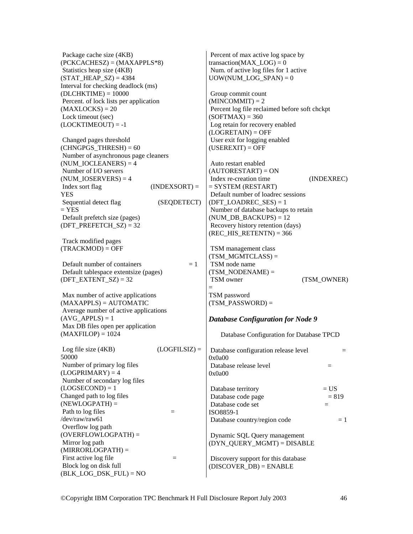Package cache size (4KB) (PCKCACHESZ) = (MAXAPPLS\*8) Statistics heap size (4KB)  $(STAT' HERP' SZ) = 4384$ Interval for checking deadlock (ms)  $(DLCHKTIME) = 10000$  Percent. of lock lists per application  $(MAXLOCKS) = 20$  Lock timeout (sec)  $(LOCKTIMEOUT) = -1$ 

 Changed pages threshold  $(CHNGPGS$  THRESH) = 60 Number of asynchronous page cleaners  $(NUM\_IOCLEANERS) = 4$  Number of I/O servers (NUM\_IOSERVERS) =  $4$  $Index sort flag$  (INDEXSORT) = YES Sequential detect flag (SEQDETECT)  $=$  YES Default prefetch size (pages)  $(DFT\_PREFETCH_SZ) = 32$ 

 Track modified pages  $(TRACKMOD) = OFF$ 

Default number of containers  $= 1$  Default tablespace extentsize (pages) (DFT\_EXTENT\_SZ) =  $32$ 

 Max number of active applications  $(MAXAPPLS) = AUTOMATIC$  Average number of active applications  $(AVGAPPLS) = 1$  Max DB files open per application  $(MAXFILOP) = 1024$ 

Log file size  $(4KB)$  (LOGFILSIZ) = 50000 Number of primary log files  $(LOGPRIMARY) = 4$  Number of secondary log files  $(LOGSECOND) = 1$ Changed path to log files  $(NEWLOGPATH) =$ Path to  $\log$  files  $=$ /dev/raw/raw61 Overflow log path (OVERFLOWLOGPATH) = Mirror log path  $(MIRRORLOGPATH) =$ First active log file  $=$  Block log on disk full  $(BLK$  LOG DSK  $FUL) = NO$ 0x0a00 0x0a00 ISO8859-1

 Percent of max active log space by transaction(MAX  $LOG$ ) = 0 Num. of active log files for 1 active UOW(NUM\_LOG\_SPAN) =  $0$ 

 Group commit count  $(MINCOMMIT) = 2$  Percent log file reclaimed before soft chckpt  $(SOFTMAX) = 360$  Log retain for recovery enabled  $(LOGRETAIN) = OFF$  User exit for logging enabled  $(USEREXIT) = OFF$ 

 Auto restart enabled  $(AUTORESTART) = ON$  Index re-creation time (INDEXREC)  $=$  SYSTEM (RESTART) Default number of loadrec sessions (DFT\_LOADREC\_SES) =  $1$  Number of database backups to retain (NUM DB BACKUPS)  $= 12$  Recovery history retention (days)  $(REC \ HIS \ RETENTN) = 366$ 

 TSM management class  $(TSMMGMTCLASS) =$  TSM node name  $(TSMNODENAME) =$ TSM owner (TSM\_OWNER) =

### TSM password  $(TSM$  PASSWORD) =

#### *Database Configuration for Node 9*

 Database Configuration for Database TPCD Database configuration release level  $=$ Database release level  $=$ Database territory  $= US$ Database code page  $= 819$ Database code set  $=$ Database country/region code  $= 1$  Dynamic SQL Query management (DYN\_QUERY\_MGMT) = DISABLE Discovery support for this database  $(DISCOVERDB) = ENABLE$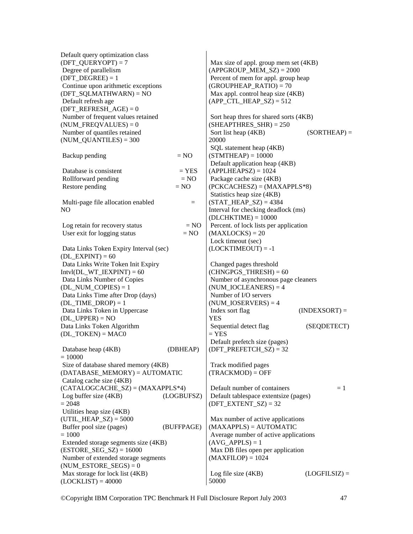| Default query optimization class                            |            |                                                                  |                 |
|-------------------------------------------------------------|------------|------------------------------------------------------------------|-----------------|
| $(DFT_QUERVOPT) = 7$                                        |            | Max size of appl. group mem set (4KB)                            |                 |
| Degree of parallelism                                       |            | $(APPGROUP_MEM_SZ) = 2000$                                       |                 |
| $(DFT_DEGREE) = 1$                                          |            | Percent of mem for appl. group heap                              |                 |
| Continue upon arithmetic exceptions                         |            | $(GROUPHEAP_RATIO) = 70$                                         |                 |
| $(DFT_SQLMATHWARN) = NO$                                    |            | Max appl. control heap size (4KB)                                |                 |
| Default refresh age                                         |            | $(APP_CTL_HEAP_SZ) = 512$                                        |                 |
| $(DFT\_REFERENCESH_AGE) = 0$                                |            |                                                                  |                 |
| Number of frequent values retained                          |            | Sort heap thres for shared sorts (4KB)                           |                 |
| $(NUM_FREQVALUES) = 0$                                      |            | $(SHEAPTHRES_SHR) = 250$                                         |                 |
| Number of quantiles retained<br>$(NUM\_QUANTILES) = 300$    |            | Sort list heap (4KB)                                             | $(SORTHEAP) =$  |
|                                                             |            | 20000<br>SQL statement heap (4KB)                                |                 |
| Backup pending                                              | $= NO$     | $(STMTHEAP) = 10000$                                             |                 |
|                                                             |            | Default application heap (4KB)                                   |                 |
| Database is consistent                                      | $=$ YES    | $(APPLHEAPSZ) = 1024$                                            |                 |
| Rollforward pending                                         | $= NO$     | Package cache size (4KB)                                         |                 |
| Restore pending                                             | $= NO$     | $(PCKCACHESZ) = (MAXAPPLS*8)$                                    |                 |
|                                                             |            | Statistics heap size (4KB)                                       |                 |
| Multi-page file allocation enabled                          | $=$        | $(STAT_HEAP_SZ) = 4384$                                          |                 |
| N <sub>O</sub>                                              |            | Interval for checking deadlock (ms)                              |                 |
|                                                             |            | $(DLCHKTIME) = 10000$                                            |                 |
| Log retain for recovery status                              | $= NO$     | Percent. of lock lists per application                           |                 |
| User exit for logging status                                | $= NO$     | $(MAXLOCKS) = 20$                                                |                 |
|                                                             |            | Lock timeout (sec)                                               |                 |
| Data Links Token Expiry Interval (sec)                      |            | $(LOCKTIMEOUT) = -1$                                             |                 |
| $(DL$ _EXPINT $) = 60$                                      |            |                                                                  |                 |
| Data Links Write Token Init Expiry                          |            | Changed pages threshold                                          |                 |
| $Intvl(DL_WT_IEXPINT) = 60$                                 |            | $(CHNGPGS_THRESH) = 60$                                          |                 |
| Data Links Number of Copies                                 |            | Number of asynchronous page cleaners                             |                 |
| $(DL_NUM\_COPIES) = 1$                                      |            | $(NUM\_IOCLEANERS) = 4$                                          |                 |
| Data Links Time after Drop (days)                           |            | Number of I/O servers                                            |                 |
| $(DL_TIME\_DROP) = 1$                                       |            | $(NUM\_IOSERVERS) = 4$                                           |                 |
| Data Links Token in Uppercase                               |            | Index sort flag                                                  | $(INDEXSORT) =$ |
| $(DL_UPPER) = NO$                                           |            | <b>YES</b>                                                       |                 |
| Data Links Token Algorithm                                  |            | Sequential detect flag                                           | (SEQDETECT)     |
| $(DL_TOKEN) = MACO$                                         |            | $=$ YES                                                          |                 |
|                                                             |            | Default prefetch size (pages)                                    |                 |
| Database heap (4KB)                                         | (DBHEAP)   | $(DFT\_PREFETCH_SZ) = 32$                                        |                 |
| $= 10000$                                                   |            |                                                                  |                 |
| Size of database shared memory (4KB)                        |            | Track modified pages                                             |                 |
| $(DATABASE_MEMORY) = AUTOMATIC$                             |            | $(TRACKMOD) = OFF$                                               |                 |
| Catalog cache size (4KB)                                    |            | Default number of containers                                     |                 |
| $(CATALOGCACHE_SZ) = (MAXAPPLS*4)$<br>Log buffer size (4KB) |            |                                                                  | $=1$            |
| $= 2048$                                                    | (LOGBUFSZ) | Default tablespace extentsize (pages)<br>$(DFT\_EXTENT_SZ) = 32$ |                 |
| Utilities heap size (4KB)                                   |            |                                                                  |                 |
| $(UTIL_HEAP_SZ) = 5000$                                     |            | Max number of active applications                                |                 |
| Buffer pool size (pages)                                    | (BUFFPAGE) | $(MAXAPPLS) = AUTOMATIC$                                         |                 |
| $=1000$                                                     |            | Average number of active applications                            |                 |
| Extended storage segments size (4KB)                        |            | $(AVG_APPLS) = 1$                                                |                 |
| $(ESTORE\_SEG\_SZ) = 16000$                                 |            | Max DB files open per application                                |                 |
| Number of extended storage segments                         |            | $(MAXFILOP) = 1024$                                              |                 |
| $(NUM\_ESTORE\_SEGS) = 0$                                   |            |                                                                  |                 |
| Max storage for lock list (4KB)                             |            | Log file size (4KB)                                              | $(LOGFILSIZ) =$ |
| $(LOCKLIST) = 40000$                                        |            | 50000                                                            |                 |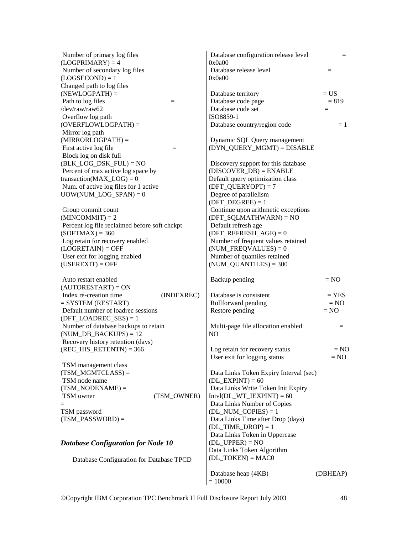| Number of primary log files                                        | Database configuration release level                                    | $=$      |
|--------------------------------------------------------------------|-------------------------------------------------------------------------|----------|
| $(LOGPRIMARY) = 4$                                                 | 0x0a00                                                                  |          |
| Number of secondary log files<br>$(LOGSECOND) = 1$                 | Database release level<br>0x0a00                                        | $=$      |
| Changed path to log files                                          |                                                                         |          |
| $(NEWLOGPATH) =$                                                   | Database territory                                                      | $= US$   |
| Path to log files<br>$\equiv$                                      | Database code page                                                      | $= 819$  |
| /dev/raw/raw62                                                     | Database code set                                                       | $=$      |
| Overflow log path                                                  | ISO8859-1                                                               |          |
| $(OVERFLOWLOGPATH) =$                                              | Database country/region code                                            | $=1$     |
| Mirror log path                                                    |                                                                         |          |
| $(MIRRORLOGPATH) =$                                                | Dynamic SQL Query management                                            |          |
| First active log file<br>$=$                                       | (DYN_QUERY_MGMT) = DISABLE                                              |          |
| Block log on disk full                                             |                                                                         |          |
| $(BLK\_LOG\_DSK\_FUL) = NO$                                        | Discovery support for this database                                     |          |
| Percent of max active log space by                                 | $(DISCOVER_DB) = ENABLE$                                                |          |
| transaction( $MAX\_LOG$ ) = 0                                      | Default query optimization class                                        |          |
| Num. of active log files for 1 active                              | $(DFT_QUERVOPT) = 7$                                                    |          |
| $UOW(NUM\_LOG\_SPAN) = 0$                                          | Degree of parallelism                                                   |          |
|                                                                    | $(DFT_DEGREE) = 1$                                                      |          |
| Group commit count                                                 | Continue upon arithmetic exceptions<br>$(DFT \text{ SQLMATHWARD}) = NO$ |          |
| $(MINCOMMIT) = 2$<br>Percent log file reclaimed before soft chckpt | Default refresh age                                                     |          |
| $(SOFTMAX) = 360$                                                  | $(DFT\_REFERENCESH_AGE) = 0$                                            |          |
| Log retain for recovery enabled                                    | Number of frequent values retained                                      |          |
| $(LOGRETAIN) = OFF$                                                | $(NUM_FREQVALUES) = 0$                                                  |          |
| User exit for logging enabled                                      | Number of quantiles retained                                            |          |
| $(USEREXIT) = OFF$                                                 | $(NUM\_QUANTILES) = 300$                                                |          |
|                                                                    |                                                                         |          |
| Auto restart enabled                                               | Backup pending                                                          | $= NO$   |
| $(AUTORESTART) = ON$                                               |                                                                         |          |
| Index re-creation time<br>(INDEXREC)                               | Database is consistent                                                  | $=$ YES  |
| $=$ SYSTEM (RESTART)                                               | Rollforward pending                                                     | $= NO$   |
| Default number of loadrec sessions                                 | Restore pending                                                         | $= NO$   |
| $(DFT\_LOADREC\_SES) = 1$                                          |                                                                         |          |
| Number of database backups to retain                               | Multi-page file allocation enabled                                      | $=$      |
| $(NUM_DB_BACKUPS) = 12$                                            | N <sub>O</sub>                                                          |          |
| Recovery history retention (days)                                  |                                                                         |          |
| $(REC_HIS_RETENTN) = 366$                                          | Log retain for recovery status                                          | $= NO$   |
| TSM management class                                               | User exit for logging status                                            | $= NO$   |
| $(TSM_MGMTCLASS) =$                                                | Data Links Token Expiry Interval (sec)                                  |          |
| TSM node name                                                      | $(DL$ _EXPINT $) = 60$                                                  |          |
| $(TSM_NODENAME) =$                                                 | Data Links Write Token Init Expiry                                      |          |
| (TSM_OWNER)<br>TSM owner                                           | $Intvl(DL_WT_IEXPINT) = 60$                                             |          |
|                                                                    | Data Links Number of Copies                                             |          |
| TSM password                                                       | $(DL_NUM\_COPIES) = 1$                                                  |          |
| $(TSM_PASSWORD) =$                                                 | Data Links Time after Drop (days)                                       |          |
|                                                                    | $(DL$ _TIME_DROP $) = 1$                                                |          |
|                                                                    | Data Links Token in Uppercase                                           |          |
| <b>Database Configuration for Node 10</b>                          | $(DL_UPPER) = NO$                                                       |          |
|                                                                    | Data Links Token Algorithm                                              |          |
| Database Configuration for Database TPCD                           | $(DL_TOKEN) = MACO$                                                     |          |
|                                                                    |                                                                         |          |
|                                                                    | Database heap (4KB)                                                     | (DBHEAP) |
|                                                                    | $= 10000$                                                               |          |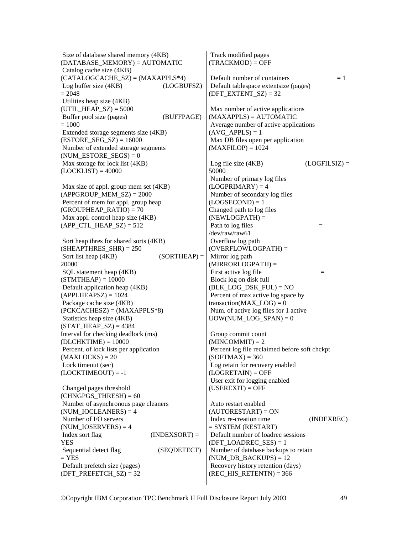Size of database shared memory (4KB) (DATABASE\_MEMORY) = AUTOMATIC Catalog cache size (4KB)  $(CATALOGCACHE SZ) = (MAXAPPLS*4)$  Log buffer size (4KB) (LOGBUFSZ)  $= 2048$  Utilities heap size (4KB) (UTIL HEAP  $SZ$ ) = 5000 Buffer pool size (pages) (BUFFPAGE)  $= 1000$  Extended storage segments size (4KB)  $(ESTORE SEG SZ) = 16000$  Number of extended storage segments  $(NUM\_ESTORE\_SEGS) = 0$  Max storage for lock list (4KB)  $(LOCKLIST) = 40000$  Max size of appl. group mem set (4KB)  $(APPGROUP MEM SZ) = 2000$  Percent of mem for appl. group heap  $(GROUPHEAP RATIO) = 70$  Max appl. control heap size (4KB)  $(APP_CTL_HEAP_SZ) = 512$  Sort heap thres for shared sorts (4KB)  $(SHEAPTHRES SHR) = 250$ Sort list heap  $(4KB)$  (SORTHEAP) = 20000 SQL statement heap (4KB)  $(STMTHEAP) = 10000$  Default application heap (4KB)  $(APPLHEAPSZ) = 1024$  Package cache size (4KB) (PCKCACHESZ) = (MAXAPPLS\*8) Statistics heap size (4KB)  $(STAT' HEAP' SZ) = 4384$ Interval for checking deadlock (ms)  $(DLCHKTIME) = 10000$  Percent. of lock lists per application  $(MAXLOCKS) = 20$  Lock timeout (sec)  $(LOCKTIMEOUT) = -1$  Changed pages threshold  $(CHNGPGSTHRESH) = 60$  Number of asynchronous page cleaners  $(NUM~IOCLEANERS) = 4$  Number of I/O servers (NUM\_IOSERVERS) =  $4$  $Index sort flag$  (INDEXSORT) = YES Sequential detect flag (SEQDETECT)  $=$  YES Default prefetch size (pages) (DFT\_PREFETCH\_SZ) =  $32$  Track modified pages  $(TRACKMOD) = OFF$ Default number of containers  $= 1$  Default tablespace extentsize (pages) (DFT\_EXTENT\_SZ) =  $32$  Max number of active applications (MAXAPPLS) = AUTOMATIC Average number of active applications  $(AVGAPPLS) = 1$  Max DB files open per application  $(MAXFILOP) = 1024$ Log file size  $(4KB)$  (LOGFILSIZ) = 50000 Number of primary log files  $(LOGPRIMARY) = 4$  Number of secondary log files  $(LOGSECOND) = 1$ Changed path to log files  $(NEWLOGPATH) =$ Path to  $log$  files  $=$ /dev/raw/raw61 Overflow log path (OVERFLOWLOGPATH) = Mirror log path  $(MIRRORLOGPATH) =$ First active log file  $=$  Block log on disk full  $(BLK$  LOG DSK  $FUL) = NO$  Percent of max active log space by transaction( $MAX$   $LOG$ ) = 0 Num. of active log files for 1 active UOW(NUM\_LOG\_SPAN)  $= 0$  Group commit count  $(MINCOMMIT) = 2$  Percent log file reclaimed before soft chckpt  $(SOFTMAX) = 360$  Log retain for recovery enabled  $(LOGRETAIN) = OFF$  User exit for logging enabled  $(USEREXIT) = OFF$  Auto restart enabled  $(AUTORESTART) = ON$  Index re-creation time (INDEXREC) = SYSTEM (RESTART) Default number of loadrec sessions (DFT\_LOADREC\_SES) =  $1$  Number of database backups to retain (NUM DB BACKUPS)  $= 12$  Recovery history retention (days) (REC\_HIS\_RETENTN) =  $366$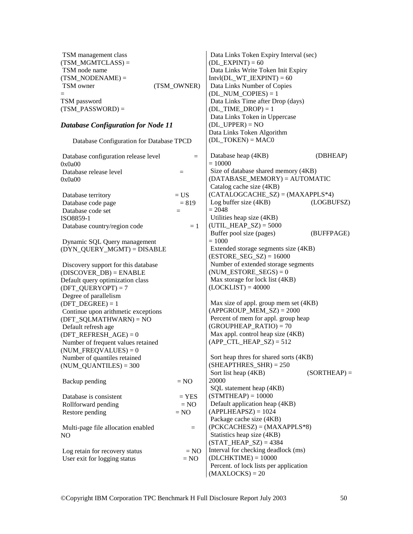| TSM management class                            |             | Data Links Token Expiry Interval (sec)                                  |                |
|-------------------------------------------------|-------------|-------------------------------------------------------------------------|----------------|
| $(TSM\_MGMTCLASS) =$                            |             | $(DL$ _EXPINT $) = 60$                                                  |                |
| TSM node name                                   |             | Data Links Write Token Init Expiry                                      |                |
| $(TSM_NODENAME) =$<br>TSM owner                 | (TSM_OWNER) | $Intvl(DL_WT_IEXPINT) = 60$<br>Data Links Number of Copies              |                |
|                                                 |             | $(DL_NUM\_COPIES) = 1$                                                  |                |
| TSM password                                    |             | Data Links Time after Drop (days)                                       |                |
| $(TSM_PASSWORD) =$                              |             | $(DL$ _TIME_DROP $) = 1$                                                |                |
|                                                 |             | Data Links Token in Uppercase                                           |                |
| <b>Database Configuration for Node 11</b>       |             | $(DL_UPPER) = NO$                                                       |                |
|                                                 |             | Data Links Token Algorithm                                              |                |
| Database Configuration for Database TPCD        |             | $(DL_TOKEN) = MAC0$                                                     |                |
| Database configuration release level<br>0x0a00  | $=$         | Database heap (4KB)<br>$= 10000$                                        | (DBHEAP)       |
| Database release level                          | $=$         | Size of database shared memory (4KB)<br>$(DATABASE_MEMORY) = AUTOMATIC$ |                |
| 0x0a00                                          |             | Catalog cache size (4KB)                                                |                |
| Database territory                              | $= US$      | $(CATALOGCACHE_SZ) = (MAXAPPLS*4)$                                      |                |
| Database code page                              | $= 819$     | Log buffer size $(4KB)$                                                 | (LOGBUFSZ)     |
| Database code set                               | $=$         | $= 2048$                                                                |                |
| ISO8859-1                                       |             | Utilities heap size (4KB)                                               |                |
| Database country/region code                    | $=1$        | $(UTIL_HEAP_SZ) = 5000$                                                 |                |
|                                                 |             | Buffer pool size (pages)                                                | (BUFFPAGE)     |
| Dynamic SQL Query management                    |             | $= 1000$                                                                |                |
| (DYN_QUERY_MGMT) = DISABLE                      |             | Extended storage segments size (4KB)<br>$(ESTORE\_SEG\_SZ) = 16000$     |                |
| Discovery support for this database             |             | Number of extended storage segments                                     |                |
| $(DISCOVER_DB) = ENABLE$                        |             | $(NUM\_ESTORE\_SEGS) = 0$                                               |                |
| Default query optimization class                |             | Max storage for lock list (4KB)                                         |                |
| $(DFT_QUERVOPT) = 7$                            |             | $(LOCKLIST) = 40000$                                                    |                |
| Degree of parallelism                           |             |                                                                         |                |
| $(DFT_DEGREE) = 1$                              |             | Max size of appl. group mem set (4KB)<br>$(APPGROUP_MEM_SZ) = 2000$     |                |
| Continue upon arithmetic exceptions             |             | Percent of mem for appl. group heap                                     |                |
| $(DFT_SQLMATHWARD) = NO$<br>Default refresh age |             | $(GROUPHEAP_RATIO) = 70$                                                |                |
| $(DFT\_REFERENCESH_AGE) = 0$                    |             | Max appl. control heap size (4KB)                                       |                |
| Number of frequent values retained              |             | $(APP_CTL_HEAP_SZ) = 512$                                               |                |
| $(NUM_FREQVALUES) = 0$                          |             |                                                                         |                |
| Number of quantiles retained                    |             | Sort heap thres for shared sorts (4KB)                                  |                |
| $(NUM\_QUANTILES) = 300$                        |             | $(SHEAPTHRES_SHR) = 250$                                                |                |
|                                                 |             | Sort list heap (4KB)                                                    | $(SORTHEAP) =$ |
| Backup pending                                  | $= NO$      | 20000                                                                   |                |
|                                                 |             | SQL statement heap (4KB)                                                |                |
| Database is consistent                          | $=$ YES     | $(STMTHEAP) = 10000$                                                    |                |
| Rollforward pending                             | $= NO$      | Default application heap (4KB)                                          |                |
| Restore pending                                 | $= NO$      | $(APPLHEAPSZ) = 1024$                                                   |                |
|                                                 |             | Package cache size (4KB)<br>$(PCKCACHESZ) = (MAXAPPLS*8)$               |                |
| Multi-page file allocation enabled<br>NO.       | $=$         | Statistics heap size (4KB)                                              |                |
|                                                 |             | $(STAT_HEAP_SZ) = 4384$                                                 |                |
| Log retain for recovery status                  | $= NO$      | Interval for checking deadlock (ms)                                     |                |
| User exit for logging status                    | $= NO$      | $(DLCHKTIME) = 10000$                                                   |                |
|                                                 |             | Percent. of lock lists per application                                  |                |
|                                                 |             | $(MAXLOCKS) = 20$                                                       |                |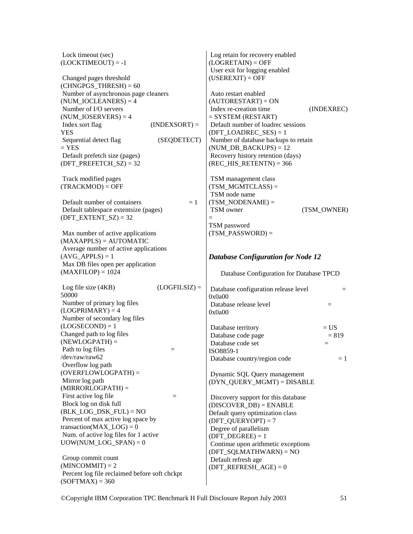| Lock timeout (sec)<br>$(LOCKTIMEOUT) = -1$                         | Log retain for recovery enabled<br>$(LOGRETAIN) = OFF$<br>User exit for logging enabled |
|--------------------------------------------------------------------|-----------------------------------------------------------------------------------------|
| Changed pages threshold<br>$(CHNGPGS_THRESH) = 60$                 | $(USEREXIT) = OFF$                                                                      |
| Number of asynchronous page cleaners                               | Auto restart enabled                                                                    |
| $(NUM\_IOCLEANERS) = 4$                                            | $(AUTORESTART) = ON$                                                                    |
| Number of I/O servers<br>$(NUM\_IOSERVERSE) = 4$                   | Index re-creation time<br>(INDEXREC)<br>$=$ SYSTEM (RESTART)                            |
| Index sort flag<br>$(INDEXSORT) =$<br>YES                          | Default number of loadrec sessions                                                      |
| Sequential detect flag<br>(SEQDETECT)                              | $(DFT\_LOADREC\_SES) = 1$<br>Number of database backups to retain                       |
| $=$ YES                                                            | $(NUM_DB_BACKUPS) = 12$                                                                 |
| Default prefetch size (pages)                                      | Recovery history retention (days)                                                       |
| $(DFT\_PREFETCH\_SZ) = 32$                                         | $(REC_HIS_RETENTN) = 366$                                                               |
| Track modified pages                                               | TSM management class                                                                    |
| $(TRACKMOD) = OFF$                                                 | $(TSM_MGMTCLASS) =$                                                                     |
|                                                                    | TSM node name                                                                           |
| Default number of containers<br>$=1$                               | $(TSM_NODENAME) =$                                                                      |
| Default tablespace extentsize (pages)                              | TSM owner<br>(TSM OWNER)                                                                |
| $(DFT\_EXTENT_SZ) = 32$                                            | $=$                                                                                     |
|                                                                    | TSM password                                                                            |
| Max number of active applications                                  | $(TSM_PASSWORD) =$                                                                      |
| $(MAXAPPLS) = AUTOMATIC$                                           |                                                                                         |
| Average number of active applications                              |                                                                                         |
| $(AVG_APPLS) = 1$<br>Max DB files open per application             | <b>Database Configuration for Node 12</b>                                               |
| $(MAXFILOP) = 1024$                                                | Database Configuration for Database TPCD                                                |
|                                                                    |                                                                                         |
| $(LOGFILSIZ) =$<br>Log file size (4KB)                             | Database configuration release level<br>$=$                                             |
| 50000                                                              | 0x0a00                                                                                  |
| Number of primary log files                                        | Database release level<br>$\equiv$                                                      |
| $(LOGPRIMARY) = 4$                                                 | 0x0a00                                                                                  |
| Number of secondary log files                                      |                                                                                         |
| $(LOGSECOND) = 1$                                                  | $= US$<br>Database territory                                                            |
| Changed path to log files<br>$(NEWLOGPATH) =$                      | Database code page<br>$= 819$                                                           |
| Path to log files<br>$=$                                           | Database code set<br>$=$                                                                |
| /dev/raw/raw62                                                     | ISO8859-1                                                                               |
| Overflow log path                                                  | Database country/region code<br>$=1$                                                    |
| $(OVERFLOWLOGPATH) =$                                              | Dynamic SQL Query management                                                            |
| Mirror log path                                                    | $(DYN_QUERY_MGMT) = DISABLE$                                                            |
| $(MIRRORLOGPATH) =$                                                |                                                                                         |
| First active log file<br>$=$                                       | Discovery support for this database                                                     |
| Block log on disk full                                             | $(DISCOVER_DB) = ENABLE$                                                                |
| $(BLK\_LOG\_DSK_FUL) = NO$                                         | Default query optimization class                                                        |
| Percent of max active log space by                                 | $(DFT_QUERVOPT) = 7$                                                                    |
| transaction(MAX $LOG$ ) = 0                                        | Degree of parallelism                                                                   |
| Num. of active log files for 1 active                              | $(DFT_DEGREE) = 1$                                                                      |
| $UOW(NUM\_LOG\_SPAN) = 0$                                          | Continue upon arithmetic exceptions                                                     |
|                                                                    | $(DFT_SQLMATHWARD) = NO$                                                                |
| Group commit count                                                 | Default refresh age                                                                     |
|                                                                    |                                                                                         |
| $(MINCOMMIT) = 2$<br>Percent log file reclaimed before soft chckpt | $(DFT\_REFERENCESH_AGE) = 0$                                                            |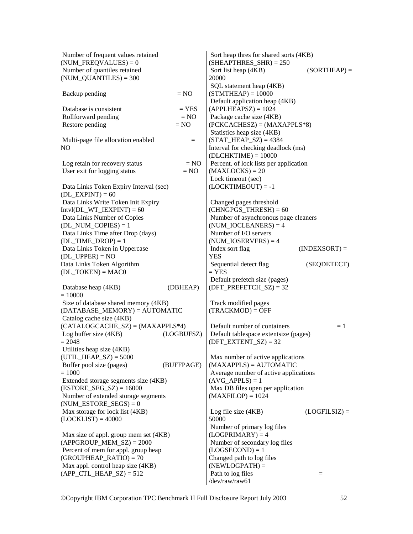| Number of frequent values retained<br>$(NUM_FREQVALUES) = 0$               |            | Sort heap thres for shared sorts (4KB)<br>$(SHEAPTHRES_SHR) = 250$ |                 |
|----------------------------------------------------------------------------|------------|--------------------------------------------------------------------|-----------------|
| Number of quantiles retained<br>$(NUM_QUANTILES) = 300$                    |            | Sort list heap (4KB)<br>20000                                      | $(SORTHEAP) =$  |
| Backup pending                                                             | $= NO$     | SQL statement heap (4KB)<br>$(STMTHEAP) = 10000$                   |                 |
| Database is consistent                                                     | $=$ YES    | Default application heap (4KB)<br>$(APPLHEAPSZ) = 1024$            |                 |
| Rollforward pending                                                        | $= NO$     | Package cache size (4KB)                                           |                 |
| Restore pending                                                            | $= NO$     | $(PCKCACHESZ) = (MAXAPPLS*8)$<br>Statistics heap size (4KB)        |                 |
| Multi-page file allocation enabled                                         | $=$        | $(STAT_HEAP_SZ) = 4384$                                            |                 |
| NO                                                                         |            | Interval for checking deadlock (ms)                                |                 |
|                                                                            |            | $(DLCHKTIME) = 10000$                                              |                 |
| Log retain for recovery status                                             | $= NO$     | Percent. of lock lists per application                             |                 |
| User exit for logging status                                               | $= NO$     | $(MAXLOCKS) = 20$                                                  |                 |
| Data Links Token Expiry Interval (sec)<br>$(DL$ <sub>EXPINT</sub> $) = 60$ |            | Lock timeout (sec)<br>$(LOCKTIMEOUT) = -1$                         |                 |
| Data Links Write Token Init Expiry                                         |            | Changed pages threshold                                            |                 |
| $Intvl(DL_WT_IEXPINT) = 60$                                                |            | $(CHNGPGS_THRESH) = 60$                                            |                 |
| Data Links Number of Copies                                                |            | Number of asynchronous page cleaners                               |                 |
| $(DL_NUM\_COPIES) = 1$                                                     |            | $(NUM\_IOCLEANERS) = 4$                                            |                 |
| Data Links Time after Drop (days)                                          |            | Number of I/O servers                                              |                 |
| $(DL_TIME\_DROP) = 1$                                                      |            | $(NUM\_IOSERVERSE) = 4$                                            |                 |
| Data Links Token in Uppercase<br>$(DL_UPPER) = NO$                         |            | Index sort flag<br><b>YES</b>                                      | $(INDEXSORT) =$ |
| Data Links Token Algorithm                                                 |            | Sequential detect flag                                             | (SEQDETECT)     |
| $(DL_TOKEN) = MACO$                                                        |            | $=$ YES                                                            |                 |
| Database heap (4KB)                                                        | (DBHEAP)   | Default prefetch size (pages)<br>$(DFT\_PREFETCH\_SZ) = 32$        |                 |
| $= 10000$                                                                  |            |                                                                    |                 |
| Size of database shared memory (4KB)<br>$(DATABASE_MEMORY) = AUTOMATIC$    |            | Track modified pages<br>$(TRACKMOD) = OFF$                         |                 |
| Catalog cache size (4KB)                                                   |            |                                                                    |                 |
| $(CATALOGCACHE_SZ) = (MAXAPPLS*4)$                                         |            | Default number of containers                                       | $=1$            |
| Log buffer size (4KB)                                                      | (LOGBUFSZ) | Default tablespace extentsize (pages)                              |                 |
| $= 2048$                                                                   |            | $(DFT\_EXTENT_SZ) = 32$                                            |                 |
| Utilities heap size (4KB)                                                  |            |                                                                    |                 |
| $(UTIL_HEAP_SZ) = 5000$                                                    |            | Max number of active applications                                  |                 |
| Buffer pool size (pages)<br>$= 1000$                                       | (BUFFPAGE) | $(MAXAPPLS) = AUTOMATIC$                                           |                 |
| Extended storage segments size (4KB)                                       |            | Average number of active applications<br>$(AVG_APPLS) = 1$         |                 |
| $(ESTORE\_SEG\_SZ) = 16000$                                                |            | Max DB files open per application                                  |                 |
| Number of extended storage segments                                        |            | $(MAXFILOP) = 1024$                                                |                 |
| $(NUM\_ESTORE\_SEGS) = 0$                                                  |            |                                                                    |                 |
| Max storage for lock list (4KB)                                            |            | Log file size (4KB)                                                | $(LOGFILSIZ) =$ |
| $(LOCKLIST) = 40000$                                                       |            | 50000                                                              |                 |
|                                                                            |            | Number of primary log files                                        |                 |
| Max size of appl. group mem set (4KB)                                      |            | $(LOGPRIMARY) = 4$<br>Number of secondary log files                |                 |
| $(APPGROUP_MEM_SZ) = 2000$<br>Percent of mem for appl. group heap          |            | $(LOGSECOND) = 1$                                                  |                 |
| $(GROUPHEAP_RATIO) = 70$                                                   |            | Changed path to log files                                          |                 |
| Max appl. control heap size (4KB)                                          |            | $(NEWLOGPATH) =$                                                   |                 |
| $(APP_CTL_HEAP_SZ) = 512$                                                  |            | Path to log files                                                  | $=$             |
|                                                                            |            | /dev/raw/raw61                                                     |                 |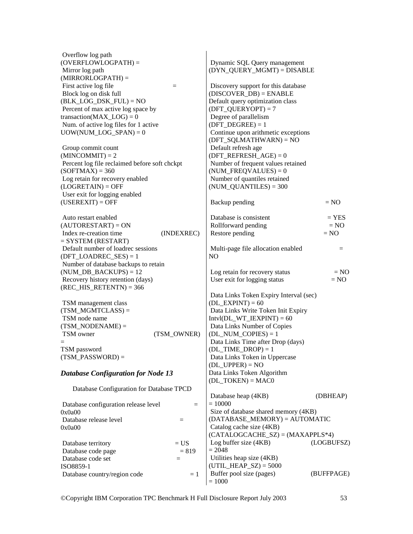| Overflow log path<br>$(OVERFLOWLOGPATH) =$<br>Mirror log path | Dynamic SQL Query management<br>(DYN_QUERY_MGMT) = DISABLE      |
|---------------------------------------------------------------|-----------------------------------------------------------------|
| $(MIRRORLOGPATH) =$<br>First active log file<br>$=$           | Discovery support for this database                             |
| Block log on disk full                                        | $(DISCOVER_DB) = ENABLE$                                        |
| $(BLK\_LOG\_DSK\_FUL) = NO$                                   | Default query optimization class                                |
| Percent of max active log space by                            | $(DFT_QUERVOPT) = 7$                                            |
| transaction( $MAX\_LOG$ ) = 0                                 | Degree of parallelism                                           |
| Num. of active log files for 1 active                         | $(DFT_DEGREE) = 1$                                              |
| $UOW(NUM\_LOG\_SPAN) = 0$                                     | Continue upon arithmetic exceptions<br>$(DFT_SQLMATHWARD) = NO$ |
| Group commit count                                            | Default refresh age                                             |
| $(MINCOMMIT) = 2$                                             | $(DFT\_REFERENCESH_AGE) = 0$                                    |
| Percent log file reclaimed before soft chckpt                 | Number of frequent values retained                              |
| $(SOFTMAX) = 360$                                             | $(NUM_FREQVALUES) = 0$                                          |
| Log retain for recovery enabled                               | Number of quantiles retained                                    |
| $(LOGRETAIN) = OFF$                                           | $(NUM\_QUANTILES) = 300$                                        |
| User exit for logging enabled                                 |                                                                 |
| $(USEREXIT) = OFF$                                            | Backup pending<br>$= NO$                                        |
| Auto restart enabled                                          | Database is consistent<br>$=$ YES                               |
| $(AUTORESTART) = ON$                                          | Rollforward pending<br>$= NO$                                   |
| Index re-creation time<br>(INDEXREC)                          | Restore pending<br>$= NO$                                       |
| $=$ SYSTEM (RESTART)                                          |                                                                 |
| Default number of loadrec sessions                            | Multi-page file allocation enabled<br>$=$                       |
| $(DFT\_LOADREC\_SES) = 1$                                     | NO.                                                             |
| Number of database backups to retain                          |                                                                 |
| $(NUM_DB_BACKUPS) = 12$                                       | Log retain for recovery status<br>$= NO$                        |
| Recovery history retention (days)                             | $= NO$<br>User exit for logging status                          |
| $(REC_HIS_RETENTN) = 366$                                     |                                                                 |
|                                                               | Data Links Token Expiry Interval (sec)                          |
| TSM management class                                          | $(DL$ _EXPINT $) = 60$                                          |
| $(TSM_MGMTCLASS) =$                                           | Data Links Write Token Init Expiry                              |
| TSM node name                                                 | $Intvl(DL_WT_IEXPINT) = 60$                                     |
| $(TSM_NODENAME) =$                                            | Data Links Number of Copies                                     |
| TSM owner<br>(TSM_OWNER)                                      | $(DL_NUM\_COPIES) = 1$                                          |
|                                                               | Data Links Time after Drop (days)                               |
| TSM password                                                  | $(DL_TIME\_DROP) = 1$                                           |
| $(TSM_PASSWORD) =$                                            | Data Links Token in Uppercase                                   |
|                                                               | $(DL_UPPER) = NO$                                               |
| <b>Database Configuration for Node 13</b>                     | Data Links Token Algorithm                                      |
|                                                               | $(DL_TOKEN) = MAC0$                                             |
| Database Configuration for Database TPCD                      |                                                                 |
|                                                               | Database heap (4KB)<br>(DBHEAP)                                 |
| Database configuration release level<br>$=$                   | $= 10000$                                                       |
| 0x0a00                                                        | Size of database shared memory (4KB)                            |
| Database release level<br>$=$                                 | $(DATABASE_MEMORY) = AUTOMATIC$                                 |
| 0x0a00                                                        | Catalog cache size (4KB)                                        |
|                                                               | $(CATALOGCACHE_SZ) = (MAXAPPLS*4)$                              |
| $= US$<br>Database territory                                  | Log buffer size (4KB)<br>(LOGBUFSZ)                             |
| $= 819$<br>Database code page                                 | $= 2048$                                                        |
| Database code set<br>$=$                                      | Utilities heap size (4KB)                                       |
| ISO8859-1                                                     | $(UTIL_HEAP_SZ) = 5000$                                         |
| Database country/region code<br>$=1$                          | Buffer pool size (pages)<br>(BUFFPAGE)                          |
|                                                               | $= 1000$                                                        |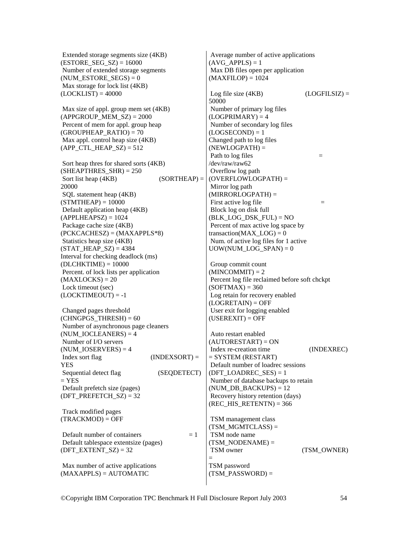Extended storage segments size (4KB)  $(ESTORE\_SEG\_SZ) = 16000$  Number of extended storage segments (NUM\_ESTORE\_SEGS) =  $0$  Max storage for lock list (4KB)  $(LOCKLIST) = 40000$ 

 Max size of appl. group mem set (4KB)  $(APPGROUP_MEM_SZ) = 2000$  Percent of mem for appl. group heap  $(GROUPHEAP_RATIO) = 70$  Max appl. control heap size (4KB) (APP CTL HEAP  $SZ$ ) = 512

 Sort heap thres for shared sorts (4KB)  $(SHEAPTHRES SHR) = 250$ Sort list heap  $(4KB)$  (SORTHEAP) = 20000 SQL statement heap (4KB)  $(STMTHEAD = 10000$  Default application heap (4KB)  $(APPLHEAPSZ) = 1024$  Package cache size (4KB)  $(PCKCACHESZ) = (MAXAPPLS*8)$  Statistics heap size (4KB)  $(STAT_HEAP_SZ) = 4384$ Interval for checking deadlock (ms)  $(DLCHKTIME) = 10000$  Percent. of lock lists per application  $(MAXLOCKS) = 20$  Lock timeout (sec)  $(LOCKTIMEOUT) = -1$ 

 Changed pages threshold  $(CHNGPGS$  THRESH $) = 60$  Number of asynchronous page cleaners  $(NUM~IOCLEANERS) = 4$  Number of I/O servers  $(NUMIOSERVERS) = 4$  $Index sort flag$  (INDEXSORT) = YES Sequential detect flag (SEQDETECT)  $=$  YES Default prefetch size (pages)  $(DFT\_PREFETCH_SZ) = 32$ 

 Track modified pages  $(TRACKMOD) = OFF$ 

Default number of containers  $= 1$  Default tablespace extentsize (pages) (DFT\_EXTENT\_SZ) =  $32$ 

 Max number of active applications (MAXAPPLS) = AUTOMATIC

 Average number of active applications  $(AVGAPPLS) = 1$  Max DB files open per application  $(MAXFILOP) = 1024$ 

Log file size  $(4KB)$  (LOGFILSIZ) = 50000 Number of primary log files  $(LOGPRIMARY) = 4$  Number of secondary log files  $(LOGSECOND) = 1$ Changed path to log files  $(NEWLOGPATH) =$ Path to  $\log$  files  $=$ /dev/raw/raw62 Overflow log path (OVERFLOWLOGPATH) = Mirror log path (MIRRORLOGPATH) = First active log file  $=$  Block log on disk full  $(BLK$  LOG DSK  $FUL) = NO$  Percent of max active log space by transaction( $MAX$   $LOG$ ) = 0 Num. of active log files for 1 active  $UOW(NUM\_LOG\_SPAN) = 0$ 

 Group commit count  $(MINCOMMIT) = 2$  Percent log file reclaimed before soft chckpt  $(SOFTMAX) = 360$  Log retain for recovery enabled  $(LOGRETAIN) = OFF$  User exit for logging enabled  $(USEREXIT) = OFF$ 

 Auto restart enabled  $(AUTORESTART) = ON$  Index re-creation time (INDEXREC)  $=$  SYSTEM (RESTART) Default number of loadrec sessions  $(DFT\_LOADREC\_SES) = 1$  Number of database backups to retain (NUM DB BACKUPS)  $= 12$  Recovery history retention (days)  $(REC_HIS_RETENTN) = 366$ 

 TSM management class  $(TSMMGMTCLASS) =$  TSM node name  $(TSMNODENAME) =$ TSM owner (TSM\_OWNER) = TSM password  $(TSM$  PASSWORD) =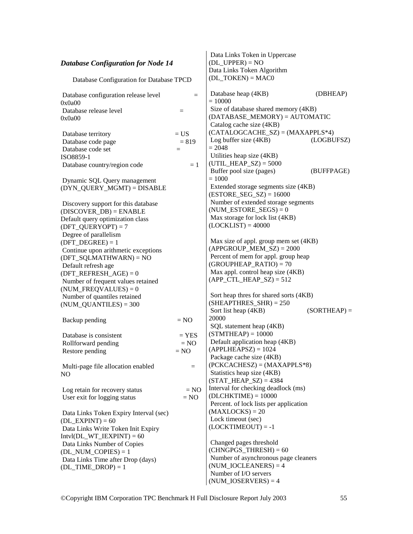| <b>Database Configuration for Node 14</b><br>Database Configuration for Database TPCD |                   | Data Links Token in Uppercase<br>$(DL_UPPER) = NO$<br>Data Links Token Algorithm                    |                |
|---------------------------------------------------------------------------------------|-------------------|-----------------------------------------------------------------------------------------------------|----------------|
|                                                                                       |                   | $(DL_TOKEN) = MACO$                                                                                 |                |
| Database configuration release level<br>0x0a00                                        | $=$               | Database heap (4KB)<br>$= 10000$                                                                    | (DBHEAP)       |
| Database release level<br>0x0a00                                                      | $=$               | Size of database shared memory (4KB)<br>$(DATABASE_MEMORY) = AUTOMATIC$<br>Catalog cache size (4KB) |                |
| Database territory                                                                    | $= US$            | $(CATALOGCACHE_SZ) = (MAXAPPLS*4)$                                                                  |                |
| Database code page                                                                    | $= 819$           | Log buffer size (4KB)                                                                               | (LOGBUFSZ)     |
| Database code set                                                                     | $=$               | $= 2048$                                                                                            |                |
| ISO8859-1                                                                             |                   | Utilities heap size (4KB)<br>$(UTIL_HEAP_SZ) = 5000$                                                |                |
| Database country/region code                                                          | $=1$              | Buffer pool size (pages)<br>$= 1000$                                                                | (BUFFPAGE)     |
| Dynamic SQL Query management<br>(DYN_QUERY_MGMT) = DISABLE                            |                   | Extended storage segments size (4KB)<br>$(ESTORE\_SEG\_SZ) = 16000$                                 |                |
| Discovery support for this database                                                   |                   | Number of extended storage segments                                                                 |                |
| $(DISCOVER_DB) = ENABLE$                                                              |                   | $(NUM\_ESTORE\_SEGS) = 0$                                                                           |                |
| Default query optimization class<br>$(DFT_QUERVOPT) = 7$                              |                   | Max storage for lock list (4KB)<br>$(LOCKLIST) = 40000$                                             |                |
| Degree of parallelism                                                                 |                   |                                                                                                     |                |
| $(DFT_DEGREE) = 1$                                                                    |                   | Max size of appl. group mem set (4KB)                                                               |                |
| Continue upon arithmetic exceptions                                                   |                   | $(APPGROUP_MEM_SZ) = 2000$<br>Percent of mem for appl. group heap                                   |                |
| $(DFT_SQLMATHWARD) = NO$                                                              |                   | $(GROUPHEAP_RATIO) = 70$                                                                            |                |
| Default refresh age<br>$(DFT\_REFERENCESH_AGE) = 0$                                   |                   | Max appl. control heap size (4KB)                                                                   |                |
| Number of frequent values retained                                                    |                   | $(APP_CTL_HEAP_SZ) = 512$                                                                           |                |
| $(NUM_FREQVALUES) = 0$                                                                |                   |                                                                                                     |                |
| Number of quantiles retained                                                          |                   | Sort heap three for shared sorts (4KB)                                                              |                |
| $(NUM\_QUANTILES) = 300$                                                              |                   | $(SHEAPTHRES_SHR) = 250$                                                                            |                |
|                                                                                       |                   | Sort list heap (4KB)                                                                                | $(SORTHEAP) =$ |
| Backup pending                                                                        | $= NO$            | 20000                                                                                               |                |
|                                                                                       |                   | SQL statement heap (4KB)<br>$(STMTHEAP) = 10000$                                                    |                |
| Database is consistent<br>Rollforward pending                                         | $=$ YES<br>$= NO$ | Default application heap (4KB)                                                                      |                |
| Restore pending                                                                       | $= NO$            | $(APPLHEAPSZ) = 1024$                                                                               |                |
|                                                                                       |                   | Package cache size (4KB)                                                                            |                |
| Multi-page file allocation enabled                                                    | $=$               | $(PCKCACHESZ) = (MAXAPPLS*8)$                                                                       |                |
| NO.                                                                                   |                   | Statistics heap size (4KB)                                                                          |                |
|                                                                                       |                   | $(STAT_HEAP_SZ) = 4384$<br>Interval for checking deadlock (ms)                                      |                |
| Log retain for recovery status<br>User exit for logging status                        | $= NO$<br>$= NO$  | $(DLCHKTIME) = 10000$                                                                               |                |
|                                                                                       |                   | Percent. of lock lists per application                                                              |                |
| Data Links Token Expiry Interval (sec)                                                |                   | $(MAXLOCKS) = 20$                                                                                   |                |
| $(DL$ _EXPINT $) = 60$                                                                |                   | Lock timeout (sec)                                                                                  |                |
| Data Links Write Token Init Expiry                                                    |                   | $(LOCKTIMEOUT) = -1$                                                                                |                |
| $Intvl(DL_WT_IEXPINT) = 60$                                                           |                   | Changed pages threshold                                                                             |                |
| Data Links Number of Copies<br>$(DL_NUM\_COPIES) = 1$                                 |                   | $(CHNGPGS_THRESH) = 60$                                                                             |                |
| Data Links Time after Drop (days)                                                     |                   | Number of asynchronous page cleaners                                                                |                |
| $(DL_TIME\_DROP) = 1$                                                                 |                   | $(NUM\_IOCLEANERS) = 4$                                                                             |                |
|                                                                                       |                   | Number of I/O servers                                                                               |                |
|                                                                                       |                   | $(NUM\_IOSERVERS) = 4$                                                                              |                |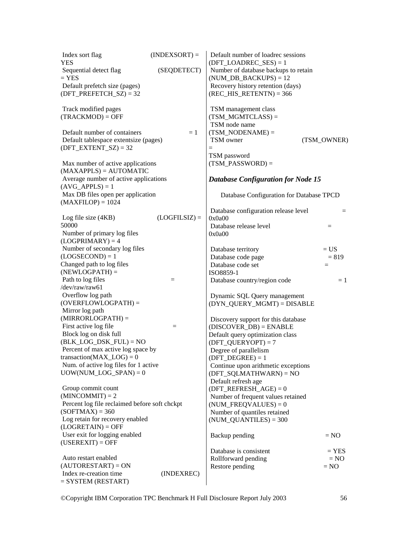| Index sort flag<br><b>YES</b>                                    | $(INDEXSORT) =$ | Default number of loadrec sessions<br>$(DFT\_LOADREC\_SES) = 1$ |             |
|------------------------------------------------------------------|-----------------|-----------------------------------------------------------------|-------------|
| Sequential detect flag                                           | (SEQDETECT)     | Number of database backups to retain                            |             |
| $=$ YES                                                          |                 | $(NUM_DB_BACKUPS) = 12$                                         |             |
| Default prefetch size (pages)                                    |                 | Recovery history retention (days)                               |             |
| $(DFT\_PREFETCH\_SZ) = 32$                                       |                 | $(REC_HIS_RETENTN) = 366$                                       |             |
| Track modified pages                                             |                 | TSM management class                                            |             |
| $(TRACKMOD) = OFF$                                               |                 | $(TSM_MGMTCLASS) =$                                             |             |
|                                                                  |                 | TSM node name                                                   |             |
| Default number of containers                                     | $=1$            | $(TSM_NODENAME) =$                                              |             |
| Default tablespace extentsize (pages)<br>$(DFT\_EXTENT_SZ) = 32$ |                 | TSM owner<br>$=$                                                | (TSM_OWNER) |
|                                                                  |                 | TSM password                                                    |             |
| Max number of active applications                                |                 | $(TSM_PASSWORD) =$                                              |             |
| $(MAXAPPLS) = AUTOMATIC$                                         |                 |                                                                 |             |
| Average number of active applications<br>$(AVG_APPLS) = 1$       |                 | <b>Database Configuration for Node 15</b>                       |             |
| Max DB files open per application<br>$(MAXFILOP) = 1024$         |                 | Database Configuration for Database TPCD                        |             |
|                                                                  |                 | Database configuration release level                            | $=$         |
| Log file size (4KB)                                              | $(LOGFILSIZ) =$ | 0x0a00                                                          |             |
| 50000                                                            |                 | Database release level                                          | $=$         |
| Number of primary log files<br>$(LOGPRIMARY) = 4$                |                 | 0x0a00                                                          |             |
| Number of secondary log files                                    |                 | Database territory                                              | $= US$      |
| $(LOGSECOND) = 1$                                                |                 | Database code page                                              | $= 819$     |
| Changed path to log files                                        |                 | Database code set                                               | $=$         |
| $(NEWLOGPATH) =$                                                 |                 | ISO8859-1                                                       |             |
| Path to log files                                                | $=$             | Database country/region code                                    | $=1$        |
| /dev/raw/raw61                                                   |                 |                                                                 |             |
| Overflow log path                                                |                 | Dynamic SQL Query management                                    |             |
| $(OVERFLOWLOGPATH) =$                                            |                 | (DYN_QUERY_MGMT) = DISABLE                                      |             |
| Mirror log path                                                  |                 |                                                                 |             |
| $(MIRRORLOGPATH) =$                                              |                 | Discovery support for this database                             |             |
| First active log file                                            | $=$             | $(DISCOVER_DB) = ENABLE$                                        |             |
| Block log on disk full                                           |                 | Default query optimization class                                |             |
| $(BLK\_LOG\_DSK_FUL) = NO$<br>Percent of max active log space by |                 | $(DFT_QUERVOPT) = 7$                                            |             |
| transaction( $MAX\_LOG$ ) = 0                                    |                 | Degree of parallelism<br>$(DFT DEGREE) = 1$                     |             |
| Num. of active log files for 1 active                            |                 | Continue upon arithmetic exceptions                             |             |
| $UOW(NUM\_LOG\_SPAN) = 0$                                        |                 | $(DFT_SQLMATHWARD) = NO$                                        |             |
|                                                                  |                 | Default refresh age                                             |             |
| Group commit count                                               |                 | $(DFT\_REFERENCESH_AGE) = 0$                                    |             |
| $(MINCOMMIT) = 2$                                                |                 | Number of frequent values retained                              |             |
| Percent log file reclaimed before soft chckpt                    |                 | $(NUM_FREQVALUES) = 0$                                          |             |
| $(SOFTMAX) = 360$                                                |                 | Number of quantiles retained                                    |             |
| Log retain for recovery enabled                                  |                 | $(NUM\_QUANTILES) = 300$                                        |             |
| $(LOGRETAIN) = OFF$                                              |                 |                                                                 |             |
| User exit for logging enabled                                    |                 | Backup pending                                                  | $= NO$      |
| $(USEREXIT) = OFF$                                               |                 |                                                                 |             |
|                                                                  |                 | Database is consistent                                          | $=$ YES     |
| Auto restart enabled<br>$(AUTORESTART) = ON$                     |                 | Rollforward pending                                             | $= NO$      |
| Index re-creation time                                           | (INDEXREC)      | Restore pending                                                 | $= NO$      |
| $=$ SYSTEM (RESTART)                                             |                 |                                                                 |             |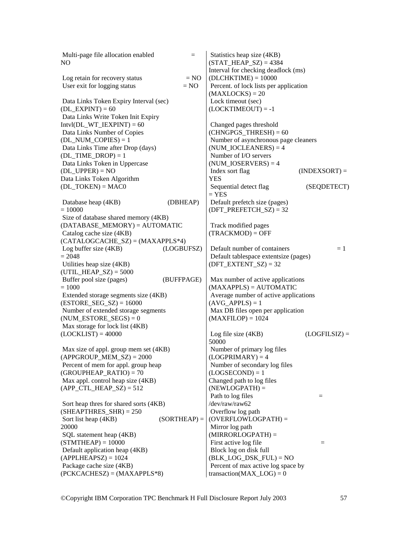| Multi-page file allocation enabled<br>$=$                    | Statistics heap size (4KB)                                      |
|--------------------------------------------------------------|-----------------------------------------------------------------|
| NO                                                           | $(STAT_HEAP_SZ) = 4384$                                         |
|                                                              | Interval for checking deadlock (ms)                             |
| Log retain for recovery status<br>$= NO$<br>$= NO$           | $(DLCHKTIME) = 10000$<br>Percent. of lock lists per application |
| User exit for logging status                                 | $(MAXLOCKS) = 20$                                               |
| Data Links Token Expiry Interval (sec)                       | Lock timeout (sec)                                              |
| $(DL$ <sub>EXPINT</sub> $) = 60$                             | $(LOCKTIMEOUT) = -1$                                            |
| Data Links Write Token Init Expiry                           |                                                                 |
| $Intvl(DL_WT_IEXPINT) = 60$                                  | Changed pages threshold                                         |
| Data Links Number of Copies                                  | $(CHNGPGS_THRESH) = 60$                                         |
| $(DL_NUM\_COPIES) = 1$                                       | Number of asynchronous page cleaners                            |
| Data Links Time after Drop (days)                            | $(NUM\_IOCLEANERS) = 4$                                         |
| $(DL_TIME\_DROP) = 1$                                        | Number of I/O servers                                           |
| Data Links Token in Uppercase                                | $(NUM\_IOSERVERSE) = 4$                                         |
| $(DL_UPPER) = NO$                                            | Index sort flag<br>$(INDEXSORT) =$                              |
| Data Links Token Algorithm                                   | YES                                                             |
| $(DL_TOKEN) = MACO$                                          | Sequential detect flag<br>(SEQDETECT)                           |
| (DBHEAP)                                                     | $=$ YES                                                         |
| Database heap (4KB)<br>$= 10000$                             | Default prefetch size (pages)<br>(DFT PREFETCH $SZ$ ) = 32      |
| Size of database shared memory (4KB)                         |                                                                 |
| $(DATABASE_MEMORY) = AUTOMATIC$                              | Track modified pages                                            |
| Catalog cache size (4KB)                                     | $(TRACKMOD) = OFF$                                              |
| $(CATALOGCACHE_SZ) = (MAXAPPLS*4)$                           |                                                                 |
| Log buffer size (4KB)<br>(LOGBUFSZ)                          | Default number of containers<br>$=1$                            |
| $= 2048$                                                     | Default tablespace extentsize (pages)                           |
| Utilities heap size (4KB)                                    | $(DFT\_EXTENT_SZ) = 32$                                         |
| $(UTIL_HEAP_SZ) = 5000$                                      |                                                                 |
| Buffer pool size (pages)<br>(BUFFPAGE)                       | Max number of active applications                               |
| $= 1000$                                                     | $(MAXAPPLS) = AUTOMATIC$                                        |
| Extended storage segments size (4KB)                         | Average number of active applications                           |
| $(ESTORE\_SEG\_SZ) = 16000$                                  | $(AVG_APPLS) = 1$                                               |
| Number of extended storage segments                          | Max DB files open per application                               |
| $(NUM\_ESTORE\_SEGS) = 0$<br>Max storage for lock list (4KB) | $(MAXFILOP) = 1024$                                             |
| $(LOCKLIST) = 40000$                                         | Log file size $(4KB)$<br>$(LOGFILSIZ) =$                        |
|                                                              | 50000                                                           |
| Max size of appl. group mem set (4KB)                        | Number of primary log files                                     |
| $(APPGROUP_MEM_SZ) = 2000$                                   | $(LOGPRIMARY) = 4$                                              |
| Percent of mem for appl. group heap                          | Number of secondary log files                                   |
| $(GROUPHEAP_RATIO) = 70$                                     | $(LOGSECOND) = 1$                                               |
| Max appl. control heap size (4KB)                            | Changed path to log files                                       |
| $(APP_CTL_HEAP_SZ) = 512$                                    | $(NEWLOGPATH) =$                                                |
|                                                              | Path to log files<br>$=$                                        |
| Sort heap thres for shared sorts (4KB)                       | /dev/raw/raw62                                                  |
| $(SHEAPTHRES_SHR) = 250$                                     | Overflow log path                                               |
| $(SORTHEAP) =$<br>Sort list heap (4KB)                       | $(OVERFLOWLOGPATH) =$                                           |
| 20000                                                        | Mirror log path                                                 |
| SQL statement heap (4KB)                                     | $(MIRRORLOGPATH) =$<br>First active log file                    |
| $(STMTHEAD = 10000$<br>Default application heap (4KB)        | $=$<br>Block log on disk full                                   |
| $(APPLHEAPSZ) = 1024$                                        | $(BLK\_LOG\_DSK\_FUL) = NO$                                     |
| Package cache size (4KB)                                     | Percent of max active log space by                              |
| $(PCKCACHESZ) = (MAXAPPLS*8)$                                | transaction( $MAX\_LOG$ ) = 0                                   |
|                                                              |                                                                 |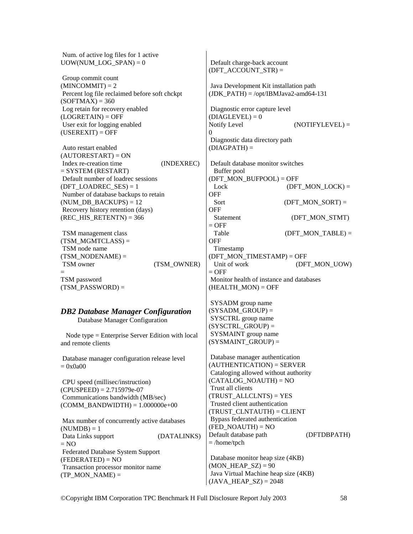Num. of active log files for 1 active UOW(NUM\_LOG\_SPAN) =  $0$ 

 Group commit count  $(MINCOMMIT) = 2$  Percent log file reclaimed before soft chckpt  $(SOFTMAX) = 360$  Log retain for recovery enabled  $(LOGRETAIN) = OFF$  User exit for logging enabled  $(USEREXIT) = OFF$ 

 Auto restart enabled (AUTORESTART) = ON Index re-creation time (INDEXREC)  $=$  SYSTEM (RESTART) Default number of loadrec sessions (DFT\_LOADREC\_SES) =  $1$  Number of database backups to retain (NUM DB BACKUPS)  $= 12$  Recovery history retention (days) (REC\_HIS\_RETENTN) =  $366$ 

 TSM management class  $(TSMMGMTCLASS) =$  TSM node name  $(TSM\ NODENAME) =$ TSM owner (TSM\_OWNER) = TSM password  $(TSM$  PASSWORD) =

*DB2 Database Manager Configuration*  Database Manager Configuration Node type = Enterprise Server Edition with local and remote clients Database manager configuration release level  $= 0x0a00$  CPU speed (millisec/instruction)  $(CPUSPEED) = 2.715979e-07$ 

 Communications bandwidth (MB/sec)  $(COMM$  BANDWIDTH $) = 1.000000e+00$ 

 Max number of concurrently active databases  $(NUMDB) = 1$ Data Links support (DATALINKS)  $= NO$  Federated Database System Support  $(FEDERATED) = NO$  Transaction processor monitor name  $(TP_MON_NAME) =$ 

 Default charge-back account (DFT\_ACCOUNT\_STR) = Java Development Kit installation path  $(JDK$  PATH) = /opt/IBMJava2-amd64-131 Diagnostic error capture level  $(DIAGLEVEL) = 0$ Notify Level (NOTIFYLEVEL) =  $\Omega$  Diagnostic data directory path  $(DIAGPATH) =$  Default database monitor switches Buffer pool (DFT\_MON\_BUFPOOL) = OFF  $(DFT MON LOCK) =$ **OFF**  $Sort$  (DFT\_MON\_SORT) = OFF Statement (DFT\_MON\_STMT)  $=$  OFF Table (DFT\_MON\_TABLE) = **OFF**  Timestamp (DFT\_MON\_TIMESTAMP) = OFF Unit of work (DFT\_MON\_UOW)  $=$  OFF Monitor health of instance and databases  $(HEALTHMON) = OFF$  SYSADM group name  $(SYSADM$  GROUP) = SYSCTRL group name (SYSCTRL\_GROUP) = SYSMAINT group name  $(SYSMAINT_GROUP) =$ 

 Database manager authentication  $(AUTHENTICATION) = SERVER$  Cataloging allowed without authority (CATALOG\_NOAUTH) = NO Trust all clients  $(TRUSTALLCLNTS) = **YES**$  Trusted client authentication (TRUST\_CLNTAUTH) = CLIENT Bypass federated authentication  $(FED NOAUTH) = NO$ Default database path (DFTDBPATH)  $=$ /home/tpch

 Database monitor heap size (4KB)  $(MON_HeAP_SZ) = 90$  Java Virtual Machine heap size (4KB)  $(JAVA_HEAP_SZ) = 2048$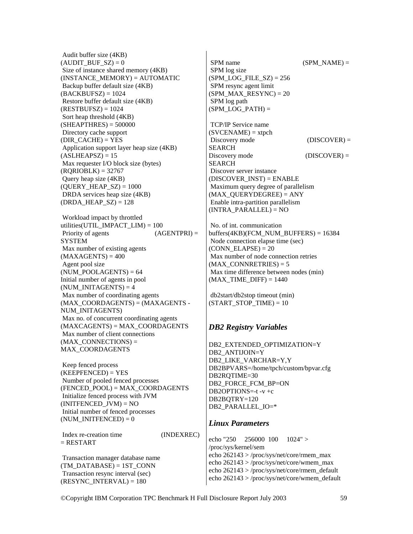Audit buffer size (4KB)  $(AUDIT$  BUF  $SZ$ ) = 0 Size of instance shared memory (4KB)  $(INSTANCE$  MEMORY $) = AUTOMATIC$  Backup buffer default size (4KB)  $(BACKBUFSZ) = 1024$  Restore buffer default size (4KB)  $(RESTBUFSZ) = 1024$  Sort heap threshold (4KB)  $(SHEAPTHRES) = 500000$  Directory cache support  $(DIR CACHE) = **YES**$  Application support layer heap size (4KB)  $(ASLHEAPSZ) = 15$  Max requester I/O block size (bytes)  $(RQRIOBLK) = 32767$  Query heap size (4KB) (OUERY HEAP  $SZ$ ) = 1000 DRDA services heap size (4KB) (DRDA HEAP  $SZ$ ) = 128

 Workload impact by throttled utilities(UTIL\_IMPACT\_LIM) = 100<br>Priority of agents (AGENTPRI) = Priority of agents **SYSTEM**  Max number of existing agents  $(MAXAGENTS) = 400$  Agent pool size  $(NUM POOLAGENTS) = 64$ Initial number of agents in pool  $(NUM INTAGENTS) = 4$  Max number of coordinating agents  $(MAX$  COORDAGENTS) =  $(MAXAGENTS -$ NUM\_INITAGENTS) Max no. of concurrent coordinating agents (MAXCAGENTS) = MAX\_COORDAGENTS Max number of client connections  $(MAX$  CONNECTIONS) = MAX\_COORDAGENTS

 Keep fenced process  $(KEEPFENCED) = YES$  Number of pooled fenced processes (FENCED\_POOL) = MAX\_COORDAGENTS Initialize fenced process with JVM  $(INITERCED JVM) = NO$  Initial number of fenced processes  $(NUM INITERCED) = 0$ 

 Index re-creation time (INDEXREC)  $=$  RESTART

 Transaction manager database name  $(TM$  DATABASE) = 1ST CONN Transaction resync interval (sec)  $(RESULT\_INTERVAL) = 180$ 

 $SPM$  name  $(SPM\_NAME) =$  SPM log size (SPM\_LOG\_FILE\_SZ) =  $256$  SPM resync agent limit  $(SPMMAX RESULTS = 20$  SPM log path  $(SPM LOGPATH) =$ 

 TCP/IP Service name  $(SVCENAME) = xtpch$ Discovery mode (DISCOVER) = SEARCH Discovery mode (DISCOVER) = SEARCH Discover server instance  $(DISCOVER$   $INST) = ENABLE$  Maximum query degree of parallelism  $(MAX$  OUERYDEGREE) = ANY Enable intra-partition parallelism  $(INTER PARALLEL) = NO$ 

 No. of int. communication  $buffers(4KB)(FCMNUMBUFFERS) = 16384$  Node connection elapse time (sec)  $(CONN$  ELAPSE) = 20 Max number of node connection retries  $(MAX$  CONNRETRIES) = 5 Max time difference between nodes (min)  $(MAX TIME DIFF) = 1440$ 

 db2start/db2stop timeout (min)  $(STARTSTOPTIME) = 10$ 

## *DB2 Registry Variables*

DB2\_EXTENDED\_OPTIMIZATION=Y DB2\_ANTIJOIN=Y DB2\_LIKE\_VARCHAR=Y,Y DB2BPVARS=/home/tpch/custom/bpvar.cfg DB2RQTIME=30 DB2\_FORCE\_FCM\_BP=ON DB2OPTIONS=-t -v +c DB2BQTRY=120 DB2\_PARALLEL\_IO=\*

#### *Linux Parameters*

echo "250 256000 100 1024" > /proc/sys/kernel/sem echo 262143 > /proc/sys/net/core/rmem\_max echo 262143 > /proc/sys/net/core/wmem\_max echo 262143 > /proc/sys/net/core/rmem\_default echo 262143 > /proc/sys/net/core/wmem\_default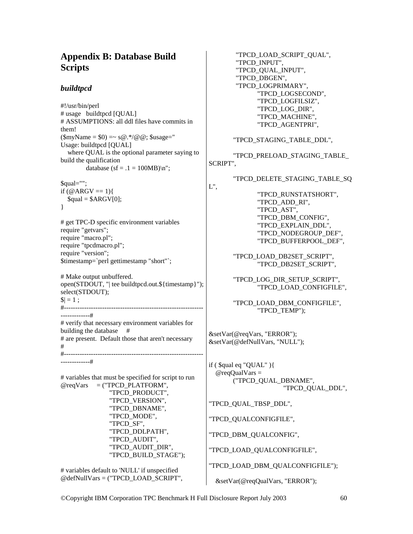# **Appendix B: Database Build Scripts**

## *buildtpcd*

#!/usr/bin/perl # usage buildtpcd [QUAL] # ASSUMPTIONS: all ddl files have commits in them!  $(\text{SmvName} = \$0) = \frac{60.4}{0.00}$  ( $\text{Gusage} =$ " Usage: buildtpcd [QUAL] where QUAL is the optional parameter saying to build the qualification database (sf =  $.1 = 100MB$ )\n";

 $Saul="$ ": if  $(\textcircled{a}$  ARGV == 1){  $$quad = $ARGV[0];$ }

# get TPC-D specific environment variables require "getvars"; require "macro.pl"; require "tpcdmacro.pl"; require "version"; \$timestamp=`perl gettimestamp "short"`;

# Make output unbuffered. open(STDOUT, "| tee buildtpcd.out.\${timestamp}"); select(STDOUT);  $|S| = 1$  ;

#--------------------------------------------------------------

-------------#

-------------# # verify that necessary environment variables for building the database # # are present. Default those that aren't necessary # #--------------------------------------------------------------

```
# variables that must be specified for script to run 
@reqVars = ("TPCD_PLATFORM", 
                "TPCD_PRODUCT", 
                "TPCD_VERSION", 
                "TPCD_DBNAME", 
                "TPCD_MODE", 
                "TPCD_SF", 
                "TPCD_DDLPATH", 
                "TPCD_AUDIT", 
                "TPCD_AUDIT_DIR", 
                "TPCD_BUILD_STAGE");
```
# variables default to 'NULL' if unspecified @defNullVars = ("TPCD\_LOAD\_SCRIPT",  "TPCD\_LOAD\_SCRIPT\_QUAL", "TPCD\_INPUT", "TPCD\_QUAL\_INPUT", "TPCD\_DBGEN", "TPCD\_LOGPRIMARY", "TPCD\_LOGSECOND", "TPCD\_LOGFILSIZ", "TPCD\_LOG\_DIR", "TPCD\_MACHINE", "TPCD\_AGENTPRI",

"TPCD\_STAGING\_TABLE\_DDL",

 "TPCD\_PRELOAD\_STAGING\_TABLE\_ SCRIPT",

L",

"TPCD\_DELETE\_STAGING\_TABLE\_SQ

 "TPCD\_RUNSTATSHORT", "TPCD\_ADD\_RI", "TPCD\_AST", "TPCD\_DBM\_CONFIG", "TPCD\_EXPLAIN\_DDL", "TPCD\_NODEGROUP\_DEF", "TPCD\_BUFFERPOOL\_DEF",

 "TPCD\_LOAD\_DB2SET\_SCRIPT", "TPCD\_DB2SET\_SCRIPT",

 "TPCD\_LOG\_DIR\_SETUP\_SCRIPT", "TPCD\_LOAD\_CONFIGFILE",

 "TPCD\_LOAD\_DBM\_CONFIGFILE", "TPCD\_TEMP");

&setVar(@reqVars, "ERROR"); &setVar(@defNullVars, "NULL");

if ( $\quad$ qual eq "QUAL") $\{$  $@req$ QualVars = ("TPCD\_QUAL\_DBNAME", "TPCD\_QUAL\_DDL",

"TPCD\_QUAL\_TBSP\_DDL",

"TPCD\_QUALCONFIGFILE",

"TPCD\_DBM\_QUALCONFIG",

"TPCD\_LOAD\_QUALCONFIGFILE",

"TPCD\_LOAD\_DBM\_QUALCONFIGFILE");

&setVar(@reqQualVars, "ERROR");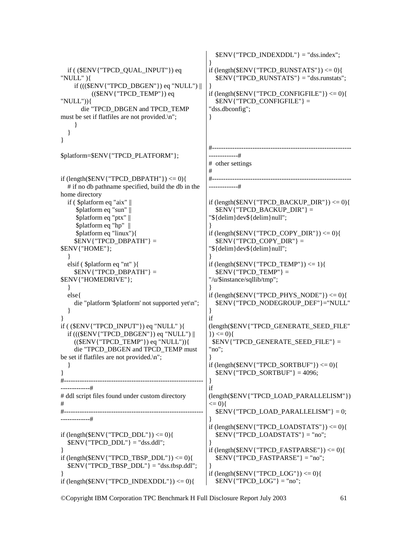```
 if ( ($ENV{"TPCD_QUAL_INPUT"}) eq 
"NULL" ){ 
      if ((($ENV{"TPCD_DBGEN"}) eq "NULL") || 
           (($ENV{'TPCD} TEMP")) eq
"NULL")){ 
        die "TPCD_DBGEN and TPCD_TEMP 
must be set if flatfiles are not provided.\n";
      } 
   } 
} 
$platform=$ENV{"TPCD_PLATFORM"}; 
if \left(\frac{\text{length}(\text{SENV}^{\text{T}} \cdot \text{TPCD} \cdot \text{DBPATH} \cdot \text{F})}{\text{EBP}}\right) # if no db pathname specified, build the db in the 
home directory 
   if ( $platform eq "aix" || 
      $platform eq "sun" || 
      $platform eq "ptx" || 
      $platform eq "hp" || 
      $platform eq "linux"){ 
      $ENV{"TPCD_DBPATH"} = 
$ENV{"HOME"}; 
   } 
   elsif ( $platform eq "nt" ){ 
      $ENV{"TPCD_DBPATH"} = 
$ENV{"HOMEDRIVE"}; 
   } 
   else{ 
      die "platform '$platform' not supported yet\n"; 
   } 
} 
if ( ($ENV{"TPCD_INPUT"}) eq "NULL" ){ 
   if ((($ENV{"TPCD_DBGEN"}) eq "NULL") || 
      (($ENV{"TPCD_TEMP"}) eq "NULL")){ 
      die "TPCD_DBGEN and TPCD_TEMP must 
be set if flatfiles are not provided.\n"; 
   } 
}<br>#-----
               #--------------------------------------------------------------
-------------# 
# ddl script files found under custom directory 
# 
#--------------------------------------------------------------
-------------# 
if \left(\frac{\text{length}(\text{SENV} \cdot \text{TPCD} \cdot \text{DDL})}{\text{TECD}}\right) \leq 0SENV{"TPCD_DDL"} = "dss.ddl";
} 
if (length($ENV{"TPCD_TBSP_DDL"}) <= 0){ 
  SENV{"TPCD_TBSP_DDL"} = "dss.tbsp.ddl";
} 
if \langle \text{length}(\text{SENV} \{ \text{ "TPCD} \_ \text{INDEXDDL"} \} \rangle \langle = 0 \rangle$ENV{ "TPCD INDEXDDL" = "dss.index";
                                                         } 
                                                         if \langle \text{length}(\text{SENV} \{ \text{''TPCD\_RUNSTATS''} \} \rangle \langle 0 \rangle $ENV{"TPCD_RUNSTATS"} = "dss.runstats"; 
                                                          } 
                                                         if (length($ENV{"TPCD_CONFIGFILE"}) \leq 0){
                                                            \text{SENV}{"TPCD CONFIGFILE"} =
                                                          "dss.dbconfig"; 
                                                         } 
                                                                     #--------------------------------------------------------------
                                                         -------------# 
                                                         # other settings 
                                                         # 
                                                         #--------------------------------------------------------------
                                                         -------------# 
                                                         if (length(ENV{"TPCD_BACKUP_DIR"}) <= 0){
                                                             $ENV{"TPCD_BACKUP_DIR"} = 
                                                         "${delim}dev${delim}null"; 
                                                          } 
                                                         if (length($ENV{"TPCD_COPY_DIR"}) \leq 0){
                                                             $ENV{"TPCD_COPY_DIR"} = 
                                                         "${delim}dev${delim}null"; 
                                                          } 
                                                         if \text{(length(SENV{'}TPCD'TEMP'')} \leq 1\text{SENV}{"TPCD TEMP"} =
                                                         "/u/$instance/sqllib/tmp"; 
                                                         } 
                                                         if (length($ENV{"TPCD_PHYS_NODE"}) <= 0}{
                                                             $ENV{"TPCD_NODEGROUP_DEF"}="NULL" 
                                                         } 
                                                         if 
                                                         (length($ENV{"TPCD_GENERATE_SEED_FILE"
                                                         \{ ) \leq 0 \} $ENV{"TPCD_GENERATE_SEED_FILE"} = 
                                                          "no"; 
                                                          } 
                                                         if (length(SENV{TTPCD} SORTBUF") \leq 0 $ENV{"TPCD_SORTBUF"} = 4096; 
                                                          } 
                                                         if 
                                                         (length($ENV{"TPCD_LOAD_PARALLELISM"}) 
                                                         \leq = 0){
                                                             $ENV{"TPCD_LOAD_PARALLELISM"} = 0; 
                                                          } 
                                                         if (length(\text{SENV}{"TPCD_LOADSTATS"}) <= 0){
                                                            \text{SENV}{"TPCD LOADSTATS"} = "no";
                                                          } 
                                                         if (length(\mathcal{S}ENV{"TPCD_FASTPARSE" }) <= 0){
                                                            $ENV{"TPCD FASTPARSE"} = "no";
                                                          } 
                                                         if \text{(length(SENV{'}TPCD LOG'')}\leq 0)\text{SENV}{"TPCD_LOG"} = "no";
```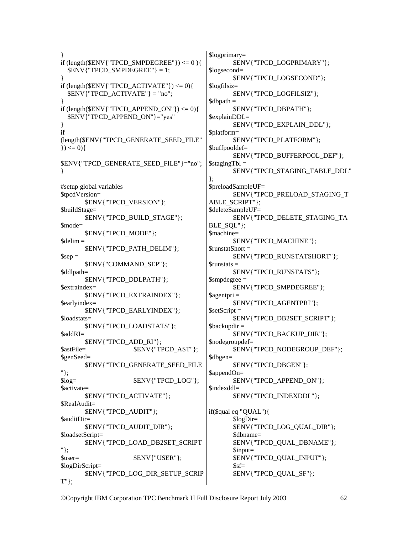} if (length( $\mathcal{E}$ ENV{"TPCD\_SMPDEGREE"}) <= 0 ){ \$ENV{"TPCD\_SMPDEGREE"} = 1; } if  $\langle \text{length}(\text{SENV} \{ \text{ "TPCD}\_\text{ACTIVATE"} \} \rangle \langle = 0 \rangle$  $SENV$ {"TPCD ACTIVATE"} = "no"; } if (length(\$ENV{"TPCD\_APPEND\_ON"})  $\leq$  0){ \$ENV{"TPCD\_APPEND\_ON"}="yes" } if (length(\$ENV{"TPCD\_GENERATE\_SEED\_FILE"  $\}) \le 0$ } \$ENV{"TPCD\_GENERATE\_SEED\_FILE"}="no"; } #setup global variables \$tpcdVersion= \$ENV{"TPCD\_VERSION"}; \$buildStage= \$ENV{"TPCD\_BUILD\_STAGE"}; \$mode= \$ENV{"TPCD\_MODE"};  $$delim =$  \$ENV{"TPCD\_PATH\_DELIM"};  $$sep =$  \$ENV{"COMMAND\_SEP"}; \$ddlpath= \$ENV{"TPCD\_DDLPATH"}; \$extraindex= \$ENV{"TPCD\_EXTRAINDEX"}; \$earlyindex= \$ENV{"TPCD\_EARLYINDEX"}; \$loadstats= \$ENV{"TPCD\_LOADSTATS"}; \$addRI= \$ENV{"TPCD\_ADD\_RI"}; \$astFile=  $$ENV{'}TPCD_AST";$ \$genSeed= \$ENV{"TPCD\_GENERATE\_SEED\_FILE "};  $$log=$   $$ENV{''TPCD LOG''};$ \$activate= \$ENV{"TPCD\_ACTIVATE"}; \$RealAudit= \$ENV{"TPCD\_AUDIT"}; \$auditDir= \$ENV{"TPCD\_AUDIT\_DIR"}; \$loadsetScript= \$ENV{"TPCD\_LOAD\_DB2SET\_SCRIPT "};  $$user=$   $$ENV{''USER''};$ \$logDirScript= \$ENV{"TPCD\_LOG\_DIR\_SETUP\_SCRIP T"};

\$logprimary= \$ENV{"TPCD\_LOGPRIMARY"}; \$logsecond= \$ENV{"TPCD\_LOGSECOND"}; \$logfilsiz= \$ENV{"TPCD\_LOGFILSIZ"};  $$dbpath =$  \$ENV{"TPCD\_DBPATH"}; \$explainDDL= \$ENV{"TPCD\_EXPLAIN\_DDL"}; \$platform= \$ENV{"TPCD\_PLATFORM"}; \$buffpooldef= \$ENV{"TPCD\_BUFFERPOOL\_DEF"};  $$stagingTbl =$  \$ENV{"TPCD\_STAGING\_TABLE\_DDL" }; \$preloadSampleUF= \$ENV{"TPCD\_PRELOAD\_STAGING\_T ABLE\_SCRIPT"}; \$deleteSampleUF= \$ENV{"TPCD\_DELETE\_STAGING\_TA BLE\_SQL"}; \$machine= \$ENV{"TPCD\_MACHINE"}; \$runstatShort = \$ENV{"TPCD\_RUNSTATSHORT"}; \$runstats = \$ENV{"TPCD\_RUNSTATS"}; \$smpdegree = \$ENV{"TPCD\_SMPDEGREE"}; \$agentpri = \$ENV{"TPCD\_AGENTPRI"};  $$setScript =$  \$ENV{"TPCD\_DB2SET\_SCRIPT"};  $\text{S}$ backupdir = \$ENV{"TPCD\_BACKUP\_DIR"}; \$nodegroupdef= \$ENV{"TPCD\_NODEGROUP\_DEF"}; \$dbgen= \$ENV{"TPCD\_DBGEN"}; \$appendOn= \$ENV{"TPCD\_APPEND\_ON"}; \$indexddl= \$ENV{"TPCD\_INDEXDDL"}; if(\$qual eq "QUAL"){ \$logDir= \$ENV{"TPCD\_LOG\_QUAL\_DIR"}; \$dbname= \$ENV{"TPCD\_QUAL\_DBNAME"}; \$input= \$ENV{"TPCD\_QUAL\_INPUT"};  $$sf=$ \$ENV{"TPCD\_QUAL\_SF"};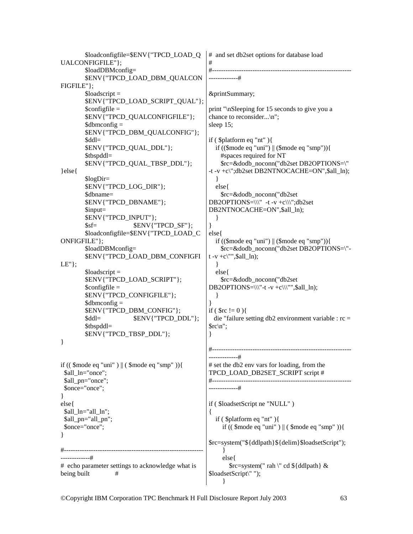\$loadconfigfile=\$ENV{"TPCD\_LOAD\_Q UALCONFIGFILE"}; \$loadDBMconfig= \$ENV{"TPCD\_LOAD\_DBM\_QUALCON FIGFILE"};  $\text{Sloadscript}$  \$ENV{"TPCD\_LOAD\_SCRIPT\_QUAL"};  $\text{Sconfigfile} =$  \$ENV{"TPCD\_QUALCONFIGFILE"};  $\delta$ dbmconfig = \$ENV{"TPCD\_DBM\_QUALCONFIG"}; \$ddl= \$ENV{"TPCD\_QUAL\_DDL"}; \$tbspddl= \$ENV{"TPCD\_QUAL\_TBSP\_DDL"}; }else{ \$logDir= \$ENV{"TPCD\_LOG\_DIR"}; \$dbname= \$ENV{"TPCD\_DBNAME"}; \$input= \$ENV{"TPCD\_INPUT"};  $$sf=$   $$ENV{''TPCD SF'};$  \$loadconfigfile=\$ENV{"TPCD\_LOAD\_C ONFIGFILE"}; \$loadDBMconfig= \$ENV{"TPCD\_LOAD\_DBM\_CONFIGFI LE"};  $\text{Sloadscript}$  \$ENV{"TPCD\_LOAD\_SCRIPT"};  $\text{Sconfigfile} =$  \$ENV{"TPCD\_CONFIGFILE"};  $\delta$ dbmconfig = \$ENV{"TPCD\_DBM\_CONFIG"}; \$ddl= \$ENV{"TPCD\_DDL"}; \$tbspddl= \$ENV{"TPCD\_TBSP\_DDL"}; } if  $((\text{~6mode eq} \text{''uni} \text{''}) || (\text{~6mode eq} \text{''smp} \text{''})\}$ \$all\_ln="once"; \$all\_pn="once"; \$once="once"; } else{ \$all\_ln="all\_ln"; \$all\_pn="all\_pn"; \$once="once"; } #-------------------------------------------------------------- -------------# # echo parameter settings to acknowledge what is being built # # and set db2set options for database load # #-------------------------------------------------------------- -------------# &printSummary; print "\nSleeping for 15 seconds to give you a chance to reconsider...\n"; sleep 15; if ( \$platform eq "nt" ){ if  $((\text{6] mode eq} \text{ "uni")} \parallel (\text{6] mode eq} \text{ "sup")} \}$  #spaces required for NT \$rc=&dodb\_noconn("db2set DB2OPTIONS=\" -t -v +c\";db2set DB2NTNOCACHE=ON",\$all\_ln); } else{ \$rc=&dodb\_noconn("db2set DB2OPTIONS= $\|\cdot\|$ " -t -v +c $\|\cdot\|$ ";db2set DB2NTNOCACHE=ON", \$all\_ln); } } else{ if  $((\text{6mode eq "uni")} || (\text{6mode eq "smp"))$  \$rc=&dodb\_noconn("db2set DB2OPTIONS=\"  $t -v +c$ ", \$all\_ln); } else{ \$rc=&dodb\_noconn("db2set DB2OPTIONS= $\|\cdot\|$ <sup>-t</sup> -v +c $\|\cdot\|$ ", \$all\_ln); } } if (  $\text{Src}$  != 0 ){ die "failure setting db2 environment variable : rc =  $\frac{\text{Src}}{\text{n}}$ : } #-------------------------------------------------------------- -------------# # set the db2 env vars for loading, from the TPCD\_LOAD\_DB2SET\_SCRIPT script # #-------------------------------------------------------------- -------------# if ( \$loadsetScript ne "NULL" ) { if ( \$platform eq "nt" ){ if (( \$mode eq "uni" ) || ( \$mode eq "smp" )){ \$rc=system("\${ddlpath}\${delim}\$loadsetScript"); } else{ \$rc=system(" rah \" cd \${ddlpath} & \$loadsetScript\" "); }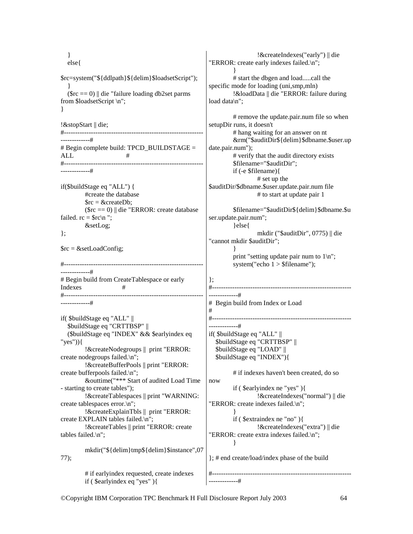} else{ \$rc=system("\${ddlpath}\${delim}\$loadsetScript"); }  $(\text{Src} == 0)$  || die "failure loading db2set parms from \$loadsetScript \n"; } !&stopStart || die; #-------------------------------------------------------------- -------------#  $\#$  Begin complete build: TPCD BUILDSTAGE = ALL # #-------------------------------------------------------------- -------------# if(\$buildStage eq "ALL") { #create the database  $\text{Src} = \&\text{createDb}:$  $(\text{Src} == 0)$  || die "ERROR: create database failed.  $rc =$  \$ $rc \n\mid n$  "; &setLog; };  $\text{Src} = \&\text{setLoadConfig};$ #-------------------------------------------------------------- -------------# # Begin build from CreateTablespace or early Indexes # #-------------------------------------------------------------- -------------# if( \$buildStage eq "ALL" || \$buildStage eq "CRTTBSP" || (\$buildStage eq "INDEX" && \$earlyindex eq "yes")){ !&createNodegroups || print "ERROR: create nodegroups failed.\n"; !&createBufferPools || print "ERROR: create bufferpools failed.\n"; &outtime("\*\*\* Start of audited Load Time - starting to create tables"); !&createTablespaces || print "WARNING: create tablespaces error.\n"; !&createExplainTbls || print "ERROR: create EXPLAIN tables failed.\n"; !&createTables || print "ERROR: create tables failed.\n"; mkdir("\${delim}tmp\${delim}\$instance",07 77); # if earlyindex requested, create indexes if ( \$earlyindex eq "yes" ){ !&createIndexes("early") || die "ERROR: create early indexes failed.\n"; } # start the dbgen and load.....call the specific mode for loading (uni,smp,mln) !&loadData || die "ERROR: failure during load data\n"; # remove the update.pair.num file so when setupDir runs, it doesn't # hang waiting for an answer on nt &rm("\$auditDir\${delim}\$dbname.\$user.up date.pair.num"); # verify that the audit directory exists \$filename="\$auditDir"; if (-e \$filename){ # set up the \$auditDir/\$dbname.\$user.update.pair.num file # to start at update pair 1 \$filename="\$auditDir\${delim}\$dbname.\$u ser.update.pair.num"; }else{ mkdir ("\$auditDir", 0775) || die "cannot mkdir \$auditDir"; } print "setting update pair num to  $1\ln$ "; system("echo 1 > \$filename"); }; #-------------------------------------------------------------- -------------# # Begin build from Index or Load # #-------------------------------------------------------------- -------------# if( \$buildStage eq "ALL" || \$buildStage eq "CRTTBSP" || \$buildStage eq "LOAD" || \$buildStage eq "INDEX"){ # if indexes haven't been created, do so now if ( \$earlyindex ne "yes" ){ !&createIndexes("normal") || die "ERROR: create indexes failed.\n"; } if ( \$extraindex ne "no" ){ !&createIndexes("extra") || die "ERROR: create extra indexes failed.\n"; } }; # end create/load/index phase of the build #-------------------------------------------------------------- -------------#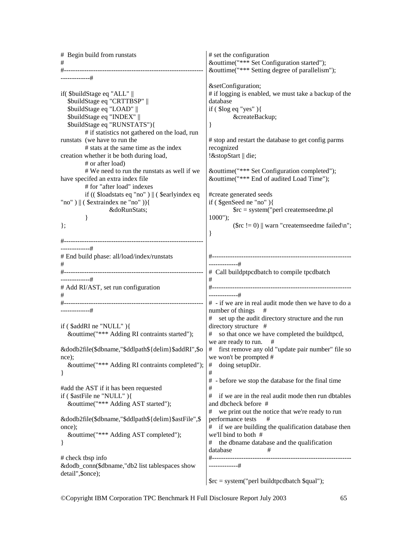| # Begin build from runstats                          | # set the configuration                                       |
|------------------------------------------------------|---------------------------------------------------------------|
| #                                                    | &outtime("*** Set Configuration started");                    |
|                                                      | &outtime("*** Setting degree of parallelism");                |
| -------------#                                       | &setConfiguration                                             |
| if(\$buildStage eq "ALL"                             | # if logging is enabled, we must take a backup of the         |
| \$buildStage eq "CRTTBSP"                            | database                                                      |
| \$buildStage eq "LOAD"                               | if $($ \$log eq "yes" $)$ {                                   |
| \$buildStage eq "INDEX"                              | &createBackup                                                 |
| \$buildStage eq "RUNSTATS"){                         | }                                                             |
| # if statistics not gathered on the load, run        |                                                               |
| runstats (we have to run the                         | # stop and restart the database to get config parms           |
| # stats at the same time as the index                | recognized                                                    |
|                                                      |                                                               |
| creation whether it be both during load,             | !&stopStart    die;                                           |
| # or after load)                                     |                                                               |
| # We need to run the runstats as well if we          | &outtime("*** Set Configuration completed");                  |
| have specifed an extra index file                    | &outtime("*** End of audited Load Time");                     |
| # for "after load" indexes                           |                                                               |
| if ((\$loadstats eq "no")    (\$earlyindex eq        | #create generated seeds                                       |
| "no") $\ $ (\$extraindex ne "no")){                  | if $(\$ \$genSeed ne "no" $)$ {                               |
| &doRunStats                                          | $\text{src} = \text{system}$ ("perl createmseedme.pl          |
| ł                                                    | $1000$ ");                                                    |
| $\}$ ;                                               | (\$rc != 0)    warn "createmseedme failed\n";                 |
|                                                      | ∤                                                             |
|                                                      |                                                               |
| -------------#                                       |                                                               |
| # End build phase: all/load/index/runstats           |                                                               |
| #                                                    | -------------#                                                |
|                                                      | # Call buildptpcdbatch to compile tpcdbatch                   |
| -------------#                                       | #                                                             |
|                                                      |                                                               |
| # Add RI/AST, set run configuration                  | -------------#                                                |
| #                                                    |                                                               |
|                                                      | # - if we are in real audit mode then we have to do a         |
| -------------#                                       | number of things<br>#                                         |
|                                                      | set up the audit directory structure and the run<br>#         |
| if ( $$addRI$ ne "NULL"){                            | directory structure #                                         |
| &outtime("*** Adding RI contraints started");        | # so that once we have completed the buildtpcd,               |
|                                                      | we are ready to run.<br>#                                     |
| &dodb2file(\$dbname,"\$ddlpath\${delim}\$addRI",\$o  | # first remove any old "update pair number" file so           |
| nce);                                                | we won't be prompted #                                        |
| &outtime("*** Adding RI contraints completed");      | doing setupDir.<br>#                                          |
| }                                                    | $\#$                                                          |
|                                                      | - before we stop the database for the final time<br>#         |
| #add the AST if it has been requested                | $\#$                                                          |
| if (\$astFile ne "NULL"){                            | $^{\#}$<br>if we are in the real audit mode then run dbtables |
| &outtime("*** Adding AST started");                  | and dbcheck before #                                          |
|                                                      | $\#$<br>we print out the notice that we're ready to run       |
| &dodb2file(\$dbname,"\$ddlpath\${delim}\$astFile",\$ | #                                                             |
|                                                      | performance tests                                             |
| once);                                               | if we are building the qualification database then<br>#       |
| &outtime("*** Adding AST completed");                | we'll bind to both #                                          |
| $\}$                                                 | the dbname database and the qualification<br>#                |
|                                                      | database<br>#                                                 |
| # check tbsp info                                    | #---------------------                                        |
| &dodb_conn(\$dbname,"db2 list tablespaces show       | -------------#                                                |
| detail", \$once);                                    |                                                               |
|                                                      | $\text{Src} = \text{system("perl build}$ tpcdbatch \$qual");  |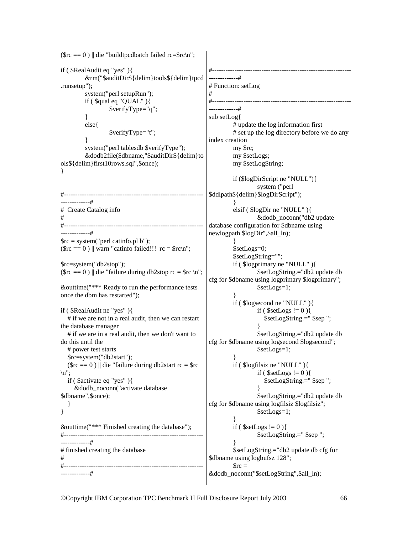```
(\text{src} == 0) || die "buildtpcdbatch failed rc=$rc\n";
if ( $RealAudit eq "yes" ){ 
           &rm("$auditDir${delim}tools${delim}tpcd
.runsetup"); 
          system("perl setupRun"); 
         if (\quadqual eq "QUAL")\{ $verifyType="q"; 
           } 
          else{ 
                    $verifyType="t"; 
           } 
          system("perl tablesdb $verifyType"); 
           &dodb2file($dbname,"$auditDir${delim}to
ols${delim}first10rows.sql",$once); 
} 
#--------------------------------------------------------------
-------------# 
# Create Catalog info 
# 
#--------------------------------------------------------------
-------------# 
\text{Src} = \text{system}("perl \text{ catinfo.pl b}");(\text{src} == 0) || warn "catinfo failed!!! rc = \text{src}\langle n'';$rc=system("db2stop"); 
(\text{Src} = 0) || die "failure during db2stop rc = \text{Src} \setminus n";
&outtime("*** Ready to run the performance tests 
once the dbm has restarted"); 
if ( $RealAudit ne "yes" ){ 
    # if we are not in a real audit, then we can restart 
the database manager 
    # if we are in a real audit, then we don't want to 
do this until the 
   # power test starts 
    $rc=system("db2start"); 
  (\text{Src} == 0) || die "failure during db2start rc = $rc
\ln":
   if ( $activate eq "yes" ){ 
      &dodb_noconn("activate database 
$dbname",$once); 
    } 
} 
&outtime("*** Finished creating the database"); 
#--------------------------------------------------------------
-------------# 
# finished creating the database 
# 
#--------------------------------------------------------------
 -------------# 
                                                           #--------------------------------------------------------------
                                                           -------------# 
                                                           # Function: setLog 
                                                           # 
                                                           #--------------------------------------------------------------
                                                           -------------# 
                                                           sub setLog{ 
                                                                     # update the log information first 
                                                                     # set up the log directory before we do any 
                                                           index creation 
                                                                     my $rc; 
                                                                     my $setLogs; 
                                                                     my $setLogString; 
                                                                     if ($logDirScript ne "NULL"){ 
                                                                               system ("perl 
                                                          $ddlpath${delim}$logDirScript"); 
                                                            } 
                                                                     elsif ( $logDir ne "NULL" ){ 
                                                                               &dodb_noconn("db2 update 
                                                           database configuration for $dbname using 
                                                           newlogpath $logDir",$all_ln); 
                                                            } 
                                                                     $setLogs=0; 
                                                                     $setLogString=""; 
                                                                     if ( $logprimary ne "NULL" ){ 
                                                                               $setLogString.="db2 update db 
                                                           cfg for $dbname using logprimary $logprimary"; 
                                                                               $setLogs=1; 
                                                            } 
                                                                     if ( $logsecond ne "NULL" ){ 
                                                                              if ($setLogs := 0){
                                                                                 $setLogString.=" $sep "; 
                                                            } 
                                                                               $setLogString.="db2 update db 
                                                           cfg for $dbname using logsecond $logsecond"; 
                                                                               $setLogs=1; 
                                                            } 
                                                                     if ( $logfilsiz ne "NULL" ){ 
                                                                              if ($setLogs := 0){
                                                                                 $setLogString.=" $sep "; 
                                                            } 
                                                                               $setLogString.="db2 update db 
                                                           cfg for $dbname using logfilsiz $logfilsiz"; 
                                                                               $setLogs=1; 
                                                                     } 
                                                                    if ($setLogs := 0){
                                                                               $setLogString.=" $sep "; 
                                                            } 
                                                                     $setLogString.="db2 update db cfg for 
                                                          $dbname using logbufsz 128"; 
                                                                    \text{Src} =&dodb_noconn("$setLogString",$all_ln);
```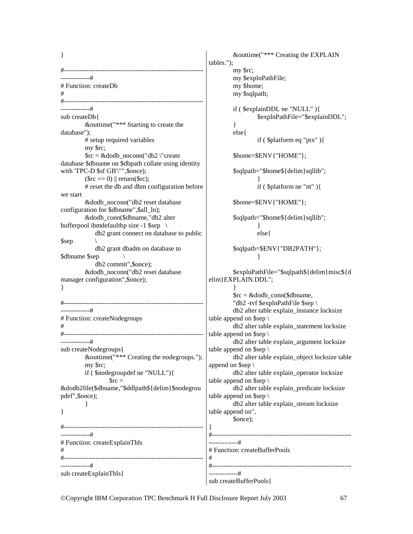} #-------------------------------------------------------------- -------------# # Function: createDb # #-------------------------------------------------------------- -------------# sub createDb{ &outtime("\*\*\* Starting to create the database"); # setup required variables my \$rc; \$rc = &dodb\_noconn("db2 \"create database \$dbname on \$dbpath collate using identity with 'TPC-D \$sf GB'\"",\$once);  $(\text{Src} == 0)$  || return( $\text{Src}$ ); # reset the db and dbm configuration before we start &dodb\_noconn("db2 reset database configuration for \$dbname",\$all\_ln); &dodb\_conn(\$dbname,"db2 alter bufferpool ibmdefaultbp size -1 \$sep \ db2 grant connect on database to public \$sep \ db2 grant dbadm on database to \$dbname \$sep \ db2 commit",\$once); &dodb\_noconn("db2 reset database manager configuration",\$once); } #-------------------------------------------------------------- -------------# # Function: createNodegroups # #-------------------------------------------------------------- -------------# sub createNodegroups{ &outtime("\*\*\* Creating the nodegroups."); my \$rc; if ( \$nodegroupdef ne "NULL"){  $Src =$ &dodb2file(\$dbname,"\$ddlpath\${delim}\$nodegrou pdef",\$once); } } #-------------------------------------------------------------- -------------# # Function: createExplainTbls # #-------------------------------------------------------------- -------------# sub createExplainTbls{ &outtime("\*\*\* Creating the EXPLAIN tables."); my \$rc; my \$explnPathFile; my \$home; } else{ } } } elim}EXPLAIN.DDL"; } table append on \$sep \ table append on \$sep \ table append on \$sep \ append on \$sep \ table append on  $\$ table append on \$sep \ table append on", \$once); }<br>#---------------------------# # #-------------------------------------------------------------- -------------# sub createBufferPools{

 my \$sqlpath; if ( \$explainDDL ne "NULL" ){ \$explnPathFile="\$explainDDL"; if ( \$platform eq "ptx" ){ \$home=\$ENV{"HOME"}; \$sqlpath="\$home\${delim}sqllib"; if ( \$platform ne "nt" ){ \$home=\$ENV{"HOME"}; \$sqlpath="\$home\${delim}sqllib"; else{ \$sqlpath=\$ENV{"DB2PATH"}; \$explnPathFile="\$sqlpath\${delim}misc\${d  $\text{Src} = \&$  dodb conn(\$dbname, "db2 -tvf \$explnPathFile \$sep \ db2 alter table explain\_instance locksize db2 alter table explain\_statement locksize db2 alter table explain\_argument locksize db2 alter table explain\_object locksize table db2 alter table explain\_operator locksize db2 alter table explain\_predicate locksize db2 alter table explain\_stream locksize #-------------------------------------------------------------- # Function: createBufferPools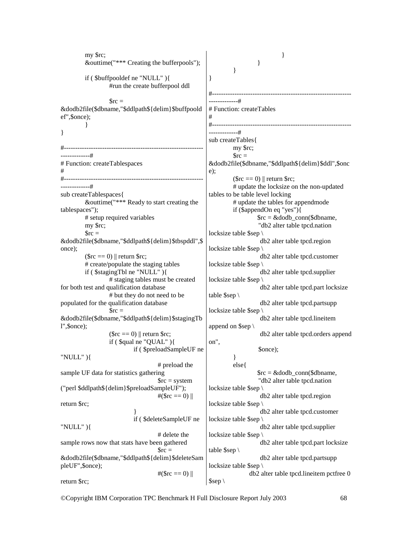my \$rc; &outtime("\*\*\* Creating the bufferpools"); if ( \$buffpooldef ne "NULL" ){ #run the create bufferpool ddl  $\text{Src} =$ &dodb2file(\$dbname,"\$ddlpath\${delim}\$buffpoold ef",\$once); } } #-------------------------------------------------------------- -------------# # Function: createTablespaces # #-------------------------------------------------------------- -------------# sub createTablespaces{ &outtime("\*\*\* Ready to start creating the tablespaces"); # setup required variables my \$rc;  $\text{Src} =$ &dodb2file(\$dbname,"\$ddlpath\${delim}\$tbspddl",\$ once);  $(\$rc = 0)$  || return  $$rc;$  # create/populate the staging tables if ( \$stagingTbl ne "NULL" ){ # staging tables must be created for both test and qualification database # but they do not need to be populated for the qualification database  $\text{Src} =$ &dodb2file(\$dbname,"\$ddlpath\${delim}\$stagingTb l",\$once);  $(\$rc = 0)$  || return  $$rc;$  if ( \$qual ne "QUAL" ){ if ( \$preloadSampleUF ne "NULL" ){ # preload the sample UF data for statistics gathering \$rc = system ("perl \$ddlpath\${delim}\$preloadSampleUF");  $\#(\${rc} == 0)$  || return \$rc; } if ( \$deleteSampleUF ne "NULL" ){ # delete the sample rows now that stats have been gathered  $\text{Src} =$ &dodb2file(\$dbname,"\$ddlpath\${delim}\$deleteSam pleUF",\$once);  $\#(\${rc} == 0)$ return \$rc; } } } } #-------------------------------------------------------------- -------------# # Function: createTables # #-------------------------------------------------------------- -------------# sub createTables{ my \$rc;  $\text{Src} =$ &dodb2file(\$dbname,"\$ddlpath\${delim}\$ddl",\$onc e);  $(\$rc = 0)$  || return  $$rc;$  # update the locksize on the non-updated tables to be table level locking # update the tables for appendmode if (\$appendOn eq "yes"){  $\text{src} = \&\text{doub\_conn}(\text{Sdbname},$  "db2 alter table tpcd.nation locksize table \$sep \ db2 alter table tpcd.region locksize table \$sep db2 alter table tpcd.customer locksize table \$sep db2 alter table tpcd.supplier locksize table \$sep \ db2 alter table tpcd.part locksize table \$sep \ db2 alter table tpcd.partsupp locksize table \$sep \ db2 alter table tpcd.lineitem append on \$sep \ db2 alter table tpcd.orders append on", \$once); } else{  $\text{src} = \&\text{doub\_conn}(\text{\$dbname},$  "db2 alter table tpcd.nation locksize table \$sep \ db2 alter table tpcd.region locksize table \$sep db2 alter table tpcd.customer locksize table \$sep \ db2 alter table tpcd.supplier locksize table \$sep db2 alter table tpcd.part locksize table \$sep \ db2 alter table tpcd.partsupp locksize table \$sep \ db2 alter table tpcd.lineitem pctfree 0 \$sep \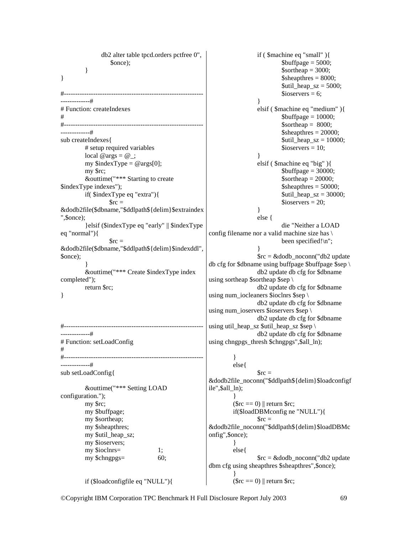```
 db2 alter table tpcd.orders pctfree 0", 
                    $once); 
          } 
} 
#--------------------------------------------------------------
-------------# 
# Function: createIndexes 
# 
#--------------------------------------------------------------
-------------# 
sub createIndexes{ 
          # setup required variables 
         local @args = @_{\cdot};
         my $indexType = @args[0]; my $rc; 
          &outtime("*** Starting to create 
$indexType indexes"); 
          if( $indexType eq "extra"){ 
                  Src =&dodb2file($dbname,"$ddlpath${delim}$extraindex
",$once); 
          }elsif ($indexType eq "early" || $indexType 
eq "normal"){ 
                  \text{Src} =&dodb2file($dbname,"$ddlpath${delim}$indexddl",
$once); 
 } 
          &outtime("*** Create $indexType index 
completed"); 
          return $rc; 
} 
#--------------------------------------------------------------
-------------# 
# Function: setLoadConfig 
# 
#--------------------------------------------------------------
-------------# 
sub setLoadConfig{ 
          &outtime("*** Setting LOAD 
configuration."); 
          my $rc; 
          my $buffpage; 
          my $sortheap; 
          my $sheapthres; 
         my $util_heap_sz;
          my $ioservers; 
          my $ioclnrs= 1; 
          my $chngpgs= 60; 
          if ($loadconfigfile eq "NULL"){ 
                                                                            if ( $machine eq "small" ){ 
                                                                                    \text{Subffpage} = 5000;
                                                                                     \text{Sortheap} = 3000;\text{Ssheaphres} = 8000;
                                                                                     \text{Sutil\_heap\_sz} = 5000;$ioservers = 6;
                                                          } 
                                                                            elsif ( $machine eq "medium" ){ 
                                                                                     \text{Subffpage} = 10000;
                                                                                     \text{Sortheap} = 8000;
                                                                                     \deltasheapthres = 20000;
                                                                                     \text{Sutil}\_\text{heap\_SZ} = 10000;
                                                                                     $ioservers = 10;
                                                          } 
                                                                            elsif ( $machine eq "big" ){ 
                                                                                     \text{Subffpage} = 30000;
                                                                                     \text{Sortheap} = 20000;\deltasheapthres = 50000;
                                                                                     $util\text{ heap}\text{ sz} = 30000;$ioservers = 20;
                                                          } 
                                                                            else { 
                                                                                     die "Neither a LOAD 
                                                        config filename nor a valid machine size has \ 
                                                                                     been specified!\n"; 
                                                          } 
                                                                           \text{Src} = \&dodb noconn("db2 update
                                                         db cfg for $dbname using buffpage $buffpage $sep \ 
                                                                            db2 update db cfg for $dbname 
                                                         using sortheap $sortheap $sep \ 
                                                                            db2 update db cfg for $dbname 
                                                         using num_iocleaners $ioclnrs $sep \setminus db2 update db cfg for $dbname 
                                                        using num_ioservers $ioservers $sep \ 
                                                                            db2 update db cfg for $dbname 
                                                        using util_heap_sz $util_heap_sz $sep \ 
                                                                            db2 update db cfg for $dbname 
                                                        using chngpgs_thresh $chngpgs",$all_ln); 
                                                                   } 
                                                                   else{ 
                                                                           \text{Src} =&dodb2file_noconn("$ddlpath${delim}$loadconfigf
                                                         ile",$all_ln); 
                                                          } 
                                                                  (\$rc = 0) || return $rc; if($loadDBMconfig ne "NULL"){ 
                                                                           \text{Src} =&dodb2file_noconn("$ddlpath${delim}$loadDBMc
                                                         onfig",$once); 
                                                                   } 
                                                                   else{ 
                                                                           \text{src} = \& dodb noconn("db2 update
                                                         dbm cfg using sheapthres $sheapthres", $once);
                                                          } 
                                                                  (\text{src} == 0) || return $rc;
```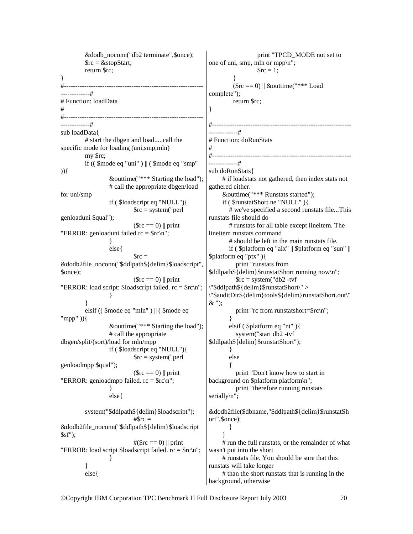&dodb\_noconn("db2 terminate",\$once);  $\text{Src} = \& \text{stopStart};$  return \$rc; } #--------------------------------------------------------------  $+$ # Function: loadData # #-------------------------------------------------------------- -------------# sub loadData{ # start the dbgen and load.....call the specific mode for loading (uni,smp,mln) my \$rc; if (( \$mode eq "uni" ) || ( \$mode eq "smp"  $)$ } $\{$  &outtime("\*\*\* Starting the load"); # call the appropriate dbgen/load for uni/smp if ( \$loadscript eq "NULL"){  $\text{Src} = \text{system}('perl)$ genloaduni \$qual");  $(\text{Src} == 0)$  || print "ERROR: genloaduni failed  $rc = \frac{c}{n}$ "; } else{  $\text{Src} =$ &dodb2file\_noconn("\$ddlpath\${delim}\$loadscript", \$once);  $(\text{Src} == 0)$  || print "ERROR: load script: \$loadscript failed. rc = \$rc\n"; } } elsif (( \$mode eq "mln" ) || ( \$mode eq "mpp" )){ &outtime("\*\*\* Starting the load"); # call the appropriate dbgen/split/(sort)/load for mln/mpp if ( \$loadscript eq "NULL"){  $\text{Src} = \text{system}('perl)$ genloadmpp \$qual");  $(\text{Src} == 0)$  || print "ERROR: genloadmpp failed.  $rc = \frac{c}{n}$ "; } else{ system("\$ddlpath\${delim}\$loadscript");  $#$ Src = &dodb2file\_noconn("\$ddlpath\${delim}\$loadscript  $\sqrt{\$sf}$ sf");  $\#(\${rc} == 0) || print$ "ERROR: load script \$loadscript failed.  $rc =$ \$rc $\ln$ "; } } else{ print "TPCD\_MODE not set to one of uni, smp, mln or mpp\n";  $\text{Src} = 1$ ; }  $(\text{Src} == 0)$  || &outtime("\*\*\* Load complete"); return \$rc; } #-------------------------------------------------------------- -------------# # Function: doRunStats # #-------------------------------------------------------------- -------------# sub doRunStats{ # if loadstats not gathered, then index stats not gathered either. &outtime("\*\*\* Runstats started"); if ( \$runstatShort ne "NULL" ){ # we've specified a second runstats file...This runstats file should do # runstats for all table except lineitem. The lineitem runstats command # should be left in the main runstats file. if ( \$platform eq "aix" || \$platform eq "sun" || \$platform eq "ptx" ){ print "runstats from \$ddlpath\${delim}\$runstatShort running now\n";  $\text{Src} = \text{system}('db2 - tvf)$ \"\$ddlpath\${delim}\$runstatShort\" > \"\$auditDir\${delim}tools\${delim}runstatShort.out\"  $\&$  "); print "rc from runstatshort=\$rc\n"; } elsif ( \$platform eq "nt" ){ system("start db2 -tvf \$ddlpath\${delim}\$runstatShort"); } else  $\left\{\begin{array}{ccc} \end{array}\right\}$  print "Don't know how to start in background on \$platform platform\n"; print "therefore running runstats serially\n"; &dodb2file(\$dbname,"\$ddlpath\${delim}\$runstatSh ort",\$once); } } # run the full runstats, or the remainder of what wasn't put into the short # runstats file. You should be sure that this runstats will take longer # than the short runstats that is running in the background, otherwise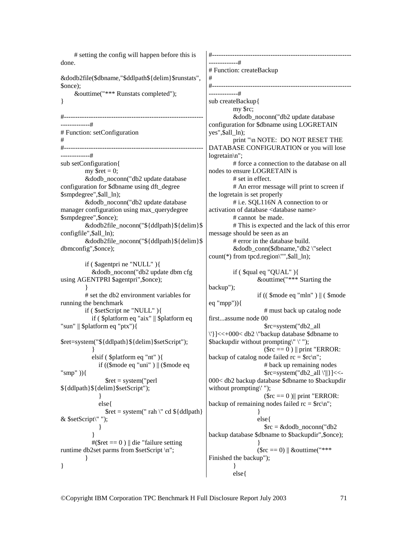# setting the config will happen before this is done. &dodb2file(\$dbname,"\$ddlpath\${delim}\$runstats", \$once); &outtime("\*\*\* Runstats completed"); } #-------------------------------------------------------------- -------------# # Function: setConfiguration # #-------------------------------------------------------------- -------------# sub setConfiguration{ my  $\text{Sret} = 0$ ; &dodb\_noconn("db2 update database configuration for \$dbname using dft\_degree \$smpdegree",\$all\_ln); &dodb\_noconn("db2 update database manager configuration using max\_querydegree \$smpdegree",\$once); &dodb2file\_noconn("\${ddlpath}\${delim}\$ configfile",\$all\_ln); &dodb2file\_noconn("\${ddlpath}\${delim}\$ dbmconfig",\$once); if ( \$agentpri ne "NULL" ){ &dodb\_noconn("db2 update dbm cfg using AGENTPRI \$agentpri",\$once); } # set the db2 environment variables for running the benchmark if ( \$setScript ne "NULL" ){ if ( \$platform eq "aix" || \$platform eq "sun" || \$platform eq "ptx"){ \$ret=system("\${ddlpath}\${delim}\$setScript"); } elsif ( \$platform eq "nt" ){ if  $((\text{6] mode eq} \text{ "uni" })$  ||  $(\text{6] mode eq}$ "smp" )){  $$ret = system("perl$ \${ddlpath}\${delim}\$setScript"); } else{  $$ret = system(" rah)' cd ${ddlpath}$ & \$setScript\" "); } }  $\#(\text{Sret} == 0)$  || die "failure setting runtime db2set parms from \$setScript \n"; } } #-------------------------------------------------------------- -------------# # Function: createBackup # #--------------------------------------------------------------  $+$ sub createBackup{ my \$rc; &dodb\_noconn("db2 update database configuration for \$dbname using LOGRETAIN yes",\$all\_ln); print "\n NOTE: DO NOT RESET THE DATABASE CONFIGURATION or you will lose logretain\n"; # force a connection to the database on all nodes to ensure LOGRETAIN is # set in effect. # An error message will print to screen if the logretain is set properly # i.e. SQL116N A connection to or activation of database <database name> # cannot be made. # This is expected and the lack of this error message should be seen as an # error in the database build. &dodb\_conn(\$dbname,"db2 \"select count(\*) from tpcd.region\"",\$all\_ln); if ( \$qual eq "QUAL" ){ &outtime("\*\*\* Starting the backup"); if  $(( \text{~6mode eq} \text{''mln''} ) || ( \text{~6mode}$ eq "mpp")){ # must back up catalog node first...assume node 00 \$rc=system("db2\_all \'}]<<+000< db2 \"backup database \$dbname to \$backupdir without prompting\" \' ");  $(\text{src} == 0)$  || print "ERROR: backup of catalog node failed  $rc = \frac{c}{n}$ ; # back up remaining nodes  $\frac{\text{Src}}{\text{Src}}$  system("db2\_all \'||}] <<-000< db2 backup database \$dbname to \$backupdir without prompting\'");  $(\text{src} == 0)$ || print "ERROR: backup of remaining nodes failed  $rc = \frac{c}{n}$ ; } else{  $\text{src} = \&$ dodb\_noconn("db2 backup database \$dbname to \$backupdir",\$once); }  $(\$rc = 0)$  || &outtime("\*\*\* Finished the backup"); } else{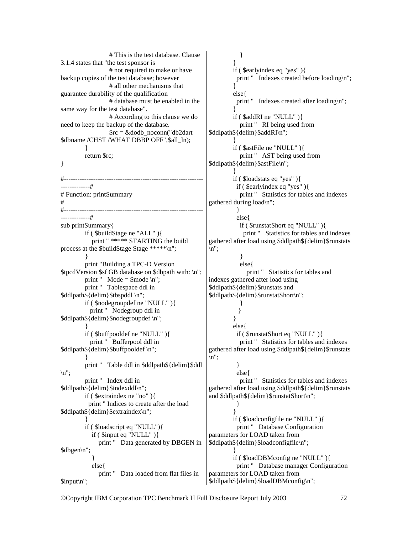# This is the test database. Clause 3.1.4 states that "the test sponsor is # not required to make or have backup copies of the test database; however # all other mechanisms that guarantee durability of the qualification # database must be enabled in the same way for the test database". # According to this clause we do need to keep the backup of the database.  $\text{Src} = \&$ dodb\_noconn("db2dart \$dbname /CHST /WHAT DBBP OFF",\$all\_ln); } return \$rc; } #-------------------------------------------------------------- -------------# # Function: printSummary # #-------------------------------------------------------------- -------------# sub printSummary{ if ( \$buildStage ne "ALL" ){ print " \*\*\*\*\* STARTING the build process at the \$buildStage Stage \*\*\*\*\*\n"; } print "Building a TPC-D Version \$tpcdVersion \$sf GB database on \$dbpath with: \n"; print "  $Mode =$  \$mode \n"; print " Tablespace ddl in \$ddlpath\${delim}\$tbspddl \n"; if ( \$nodegroupdef ne "NULL" ){ print " Nodegroup ddl in \$ddlpath\${delim}\$nodegroupdef \n"; } if ( \$buffpooldef ne "NULL" ){ print " Bufferpool ddl in \$ddlpath\${delim}\$buffpooldef \n"; } print " Table ddl in \$ddlpath\${delim}\$ddl  $\ln$ ": print " Index ddl in \$ddlpath\${delim}\$indexddl\n"; if ( \$extraindex ne "no" ){ print " Indices to create after the load \$ddlpath\${delim}\$extraindex\n"; } if ( \$loadscript eq "NULL"){ if ( \$input eq "NULL" ){ print " Data generated by DBGEN in \$dbgen\n"; } else{ print " Data loaded from flat files in \$input\n";  $\ln$ ";  $\ln$ ";

 } } if ( \$earlyindex eq "yes" ){ print " Indexes created before loading\n"; } else{ print " Indexes created after loading\n"; } if ( \$addRI ne "NULL" ){ print " RI being used from \$ddlpath\${delim}\$addRI\n"; } if ( \$astFile ne "NULL" ){ print " AST being used from \$ddlpath\${delim}\$astFile\n"; } if ( \$loadstats eq "yes" ){ if ( \$earlyindex eq "yes" ){ print " Statistics for tables and indexes gathered during load\n"; } else{ if ( \$runstatShort eq "NULL" ){ print " Statistics for tables and indexes gathered after load using \$ddlpath\${delim}\$runstats } else{ print " Statistics for tables and indexes gathered after load using \$ddlpath\${delim}\$runstats and \$ddlpath\${delim}\$runstatShort\n"; } } } else{ if ( \$runstatShort eq "NULL" ){ print " Statistics for tables and indexes gathered after load using \$ddlpath\${delim}\$runstats } else{ print " Statistics for tables and indexes gathered after load using \$ddlpath\${delim}\$runstats and \$ddlpath\${delim}\$runstatShort\n"; } } if ( \$loadconfigfile ne "NULL" ){ print " Database Configuration parameters for LOAD taken from \$ddlpath\${delim}\$loadconfigfile\n"; } if ( \$loadDBMconfig ne "NULL" ){ print " Database manager Configuration parameters for LOAD taken from \$ddlpath\${delim}\$loadDBMconfig\n";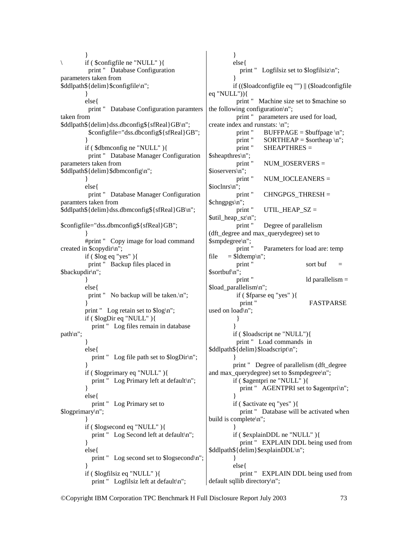}  $if ($  \$configfile ne "NULL"  $)$ { print " Database Configuration parameters taken from \$ddlpath\${delim}\$configfile\n"; } else{ print " Database Configuration paramters taken from \$ddlpath\${delim}dss.dbconfig\${sfReal}GB\n"; \$configfile="dss.dbconfig\${sfReal}GB"; } if ( \$dbmconfig ne "NULL" ){ print " Database Manager Configuration parameters taken from \$ddlpath\${delim}\$dbmconfig\n"; } else{ print " Database Manager Configuration paramters taken from \$ddlpath\${delim}dss.dbmconfig\${sfReal}GB\n"; \$configfile="dss.dbmconfig\${sfReal}GB"; } #print " Copy image for load command created in \$copydir\n"; if ( $\text{ilog eq}$  "yes") $\{$  print " Backup files placed in \$backupdir\n"; } else{ print " No backup will be taken.\n"; } print " Log retain set to \$log\n"; if ( \$logDir eq "NULL" ){ print " Log files remain in database path\n"; } else{ print " Log file path set to \$logDir\n"; } if ( \$logprimary eq "NULL" ){ print " Log Primary left at default\n"; } else{ print " Log Primary set to \$logprimary\n"; } if ( \$logsecond eq "NULL" ){ print " Log Second left at default\n"; } else{ print " Log second set to \$logsecond\n"; } if ( \$logfilsiz eq "NULL" ){ print " Logfilsiz left at default\n";

 } else{ print " Logfilsiz set to \$logfilsiz\n"; } if ((\$loadconfigfile eq "") || (\$loadconfigfile eq "NULL")){ print " Machine size set to \$machine so the following configuration\n"; print " parameters are used for load, create index and runstats:  $\ln$ ";<br>print " BUFFPA  $BUFFPAGE = $bufferpage \n|n";$ print "  $SORTHEAP =$  \$sortheap \n"; print " SHEAPTHRES = \$sheapthres\n"; print " NUM\_IOSERVERS = \$ioservers\n";<br>print "  $NUM~IOCLEANERS =$ \$ioclnrs\n"; print " CHNGPGS\_THRESH =  $\mathcal{S}chngpgs\in\mathcal{S}$ ;<br>print " UTIL HEAP  $SZ =$ \$util\_heap\_sz\n"; print " Degree of parallelism (dft\_degree and max\_querydegree) set to \$smpdegree\n"; Parameters for load are: temp file  $=$  \$ldtemp\n";<br>print " sort buf  $=$  $\$sortbuf\n\uparrow"$ ;<br>print "  $ld$  parallelism  $=$ \$load\_parallelism\n"; if ( \$fparse eq "yes" ){ **FASTPARSE** used on load\n"; } } if ( \$loadscript ne "NULL"){ print " Load commands in \$ddlpath\${delim}\$loadscript\n"; } print " Degree of parallelism (dft\_degree and max\_querydegree) set to \$smpdegree\n"; if ( \$agentpri ne "NULL" ){ print " AGENTPRI set to \$agentpri\n"; } if ( \$activate eq "yes" ){ print " Database will be activated when build is complete\n"; } if ( \$explainDDL ne "NULL" ){ print " EXPLAIN DDL being used from \$ddlpath\${delim}\$explainDDL\n"; } else{ print " EXPLAIN DDL being used from default sqllib directory\n";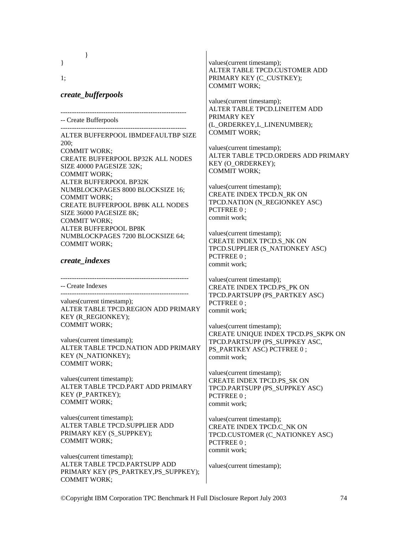}

1;

### *create\_bufferpools*

}

-------------------------------------------------------- -- Create Bufferpools

--------------------------------------------------------

ALTER BUFFERPOOL IBMDEFAULTBP SIZE 200; COMMIT WORK; CREATE BUFFERPOOL BP32K ALL NODES SIZE 40000 PAGESIZE 32K; COMMIT WORK; ALTER BUFFERPOOL BP32K NUMBLOCKPAGES 8000 BLOCKSIZE 16; COMMIT WORK; CREATE BUFFERPOOL BP8K ALL NODES SIZE 36000 PAGESIZE 8K; COMMIT WORK; ALTER BUFFERPOOL BP8K NUMBLOCKPAGES 7200 BLOCKSIZE 64; COMMIT WORK;

## *create\_indexes*

---------------------------------------------------------

-- Create Indexes ---------------------------------------------------------

values(current timestamp); ALTER TABLE TPCD.REGION ADD PRIMARY KEY (R\_REGIONKEY); COMMIT WORK;

values(current timestamp); ALTER TABLE TPCD.NATION ADD PRIMARY KEY (N\_NATIONKEY); COMMIT WORK;

values(current timestamp); ALTER TABLE TPCD.PART ADD PRIMARY KEY (P\_PARTKEY); COMMIT WORK;

values(current timestamp); ALTER TABLE TPCD.SUPPLIER ADD PRIMARY KEY (S\_SUPPKEY); COMMIT WORK;

values(current timestamp); ALTER TABLE TPCD.PARTSUPP ADD PRIMARY KEY (PS\_PARTKEY,PS\_SUPPKEY); COMMIT WORK;

values(current timestamp); ALTER TABLE TPCD.CUSTOMER ADD PRIMARY KEY (C\_CUSTKEY); COMMIT WORK;

values(current timestamp); ALTER TABLE TPCD.LINEITEM ADD PRIMARY KEY (L\_ORDERKEY,L\_LINENUMBER); COMMIT WORK;

values(current timestamp); ALTER TABLE TPCD.ORDERS ADD PRIMARY KEY (O\_ORDERKEY); COMMIT WORK;

values(current timestamp); CREATE INDEX TPCD.N\_RK ON TPCD.NATION (N\_REGIONKEY ASC) PCTFREE  $0:$ commit work;

values(current timestamp); CREATE INDEX TPCD.S\_NK ON TPCD.SUPPLIER (S\_NATIONKEY ASC) PCTFREE 0 ; commit work;

values(current timestamp); CREATE INDEX TPCD.PS\_PK ON TPCD.PARTSUPP (PS\_PARTKEY ASC) PCTFREE 0: commit work;

values(current timestamp); CREATE UNIQUE INDEX TPCD.PS\_SKPK ON TPCD.PARTSUPP (PS\_SUPPKEY ASC, PS\_PARTKEY ASC) PCTFREE 0 ; commit work;

values(current timestamp); CREATE INDEX TPCD.PS\_SK ON TPCD.PARTSUPP (PS\_SUPPKEY ASC) PCTFREE 0: commit work;

values(current timestamp); CREATE INDEX TPCD.C\_NK ON TPCD.CUSTOMER (C\_NATIONKEY ASC) PCTFREE 0 ; commit work;

values(current timestamp);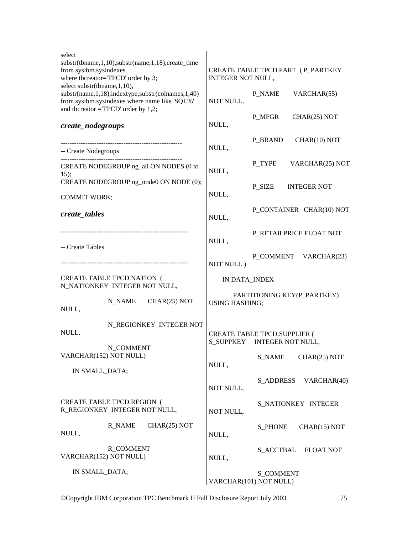| select<br>substr(tbname, 1,10), substr(name, 1,18), create_time<br>from sysibm.sysindexes<br>where tbcreator="TPCD' order by 3;<br>select substr(tbname, 1,10), | CREATE TABLE TPCD.PART (P_PARTKEY<br>INTEGER NOT NULL, |                                                                    |  |  |
|-----------------------------------------------------------------------------------------------------------------------------------------------------------------|--------------------------------------------------------|--------------------------------------------------------------------|--|--|
| substr(name, 1,18), indextype, substr(colnames, 1,40)<br>from sysibm.sysindexes where name like 'SQL%'<br>and tbcreator = $TPCD'$ order by 1,2;                 | NOT NULL,                                              | P_NAME<br>VARCHAR(55)                                              |  |  |
| create_nodegroups                                                                                                                                               | NULL,                                                  | P_MFGR<br>CHAR(25) NOT                                             |  |  |
| -- Create Nodegroups                                                                                                                                            | NULL,                                                  | P BRAND<br>CHAR(10) NOT                                            |  |  |
| ------------------------------<br>CREATE NODEGROUP ng_all ON NODES (0 to<br>15);                                                                                | NULL,                                                  | P_TYPE<br>VARCHAR(25) NOT                                          |  |  |
| CREATE NODEGROUP ng_node0 ON NODE (0);                                                                                                                          | NULL,                                                  | P_SIZE<br><b>INTEGER NOT</b>                                       |  |  |
| <b>COMMIT WORK;</b><br>create_tables                                                                                                                            | NULL,                                                  | P_CONTAINER CHAR(10) NOT                                           |  |  |
|                                                                                                                                                                 | NULL,                                                  | P_RETAILPRICE FLOAT NOT                                            |  |  |
| -- Create Tables                                                                                                                                                | NOT NULL)                                              | P_COMMENT VARCHAR(23)                                              |  |  |
| <b>CREATE TABLE TPCD.NATION (</b><br>N_NATIONKEY INTEGER NOT NULL,                                                                                              | IN DATA_INDEX                                          |                                                                    |  |  |
| N_NAME<br>CHAR(25) NOT<br>NULL,                                                                                                                                 | PARTITIONING KEY(P_PARTKEY)<br><b>USING HASHING;</b>   |                                                                    |  |  |
| N_REGIONKEY INTEGER NOT<br>NULL,                                                                                                                                |                                                        | <b>CREATE TABLE TPCD.SUPPLIER (</b><br>S_SUPPKEY INTEGER NOT NULL, |  |  |
| N COMMENT<br>VARCHAR(152) NOT NULL)                                                                                                                             | NULL,                                                  | <b>S_NAME</b><br>CHAR(25) NOT                                      |  |  |
| IN SMALL_DATA;                                                                                                                                                  | NOT NULL,                                              | <b>S_ADDRESS</b><br>VARCHAR(40)                                    |  |  |
| <b>CREATE TABLE TPCD.REGION (</b><br>R_REGIONKEY INTEGER NOT NULL,                                                                                              | NOT NULL,                                              | S_NATIONKEY INTEGER                                                |  |  |
| R NAME<br>CHAR(25) NOT<br>NULL,                                                                                                                                 | NULL,                                                  | <b>S_PHONE</b><br>CHAR(15) NOT                                     |  |  |
| <b>R_COMMENT</b><br>VARCHAR(152) NOT NULL)                                                                                                                      | NULL,                                                  | S_ACCTBAL<br><b>FLOAT NOT</b>                                      |  |  |
| IN SMALL_DATA;                                                                                                                                                  |                                                        | <b>S_COMMENT</b><br>VARCHAR(101) NOT NULL)                         |  |  |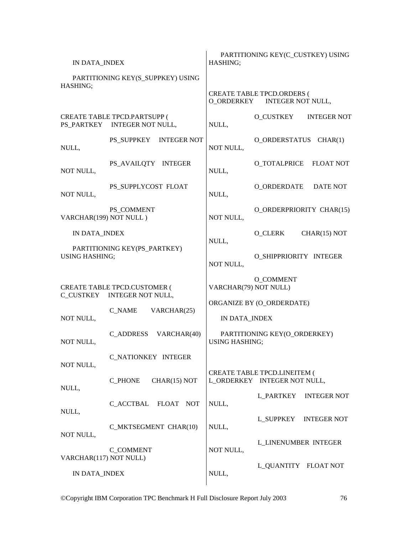| IN DATA_INDEX                                                      |                                                              | PARTITIONING KEY(C_CUSTKEY) USING<br>HASHING;                |                                                                   |  |  |
|--------------------------------------------------------------------|--------------------------------------------------------------|--------------------------------------------------------------|-------------------------------------------------------------------|--|--|
| PARTITIONING KEY(S_SUPPKEY) USING<br>HASHING;                      |                                                              |                                                              |                                                                   |  |  |
|                                                                    |                                                              |                                                              | <b>CREATE TABLE TPCD.ORDERS (</b><br>O_ORDERKEY INTEGER NOT NULL, |  |  |
|                                                                    | CREATE TABLE TPCD.PARTSUPP (<br>PS_PARTKEY INTEGER NOT NULL, | NULL,                                                        | O_CUSTKEY<br><b>INTEGER NOT</b>                                   |  |  |
| NULL,                                                              | PS_SUPPKEY<br><b>INTEGER NOT</b>                             | NOT NULL,                                                    | O_ORDERSTATUS<br>CHAR(1)                                          |  |  |
| NOT NULL,                                                          | PS_AVAILQTY INTEGER                                          | NULL,                                                        | O_TOTALPRICE<br><b>FLOAT NOT</b>                                  |  |  |
| NOT NULL,                                                          | PS SUPPLYCOST FLOAT                                          | NULL,                                                        | O_ORDERDATE<br><b>DATE NOT</b>                                    |  |  |
| VARCHAR(199) NOT NULL)                                             | PS_COMMENT                                                   | NOT NULL,                                                    | O_ORDERPRIORITY CHAR(15)                                          |  |  |
| IN DATA_INDEX                                                      |                                                              | NULL,                                                        | O CLERK<br>CHAR(15) NOT                                           |  |  |
| PARTITIONING KEY(PS_PARTKEY)<br><b>USING HASHING;</b>              |                                                              | NOT NULL,                                                    | O_SHIPPRIORITY INTEGER                                            |  |  |
| <b>CREATE TABLE TPCD.CUSTOMER (</b><br>C_CUSTKEY INTEGER NOT NULL, |                                                              | <b>O_COMMENT</b><br>VARCHAR(79) NOT NULL)                    |                                                                   |  |  |
|                                                                    | C NAME<br>VARCHAR(25)                                        |                                                              | ORGANIZE BY (O_ORDERDATE)                                         |  |  |
| NOT NULL.                                                          |                                                              |                                                              | IN DATA_INDEX                                                     |  |  |
| NOT NULL,                                                          | VARCHAR(40)<br>C ADDRESS                                     | PARTITIONING KEY(O_ORDERKEY)<br><b>USING HASHING;</b>        |                                                                   |  |  |
| NOT NULL,                                                          | C NATIONKEY INTEGER                                          |                                                              |                                                                   |  |  |
| NULL,                                                              | <b>C_PHONE</b><br>CHAR(15) NOT                               | CREATE TABLE TPCD.LINEITEM (<br>L ORDERKEY INTEGER NOT NULL, |                                                                   |  |  |
| NULL,                                                              | C ACCTBAL FLOAT NOT                                          | NULL,                                                        | L_PARTKEY<br><b>INTEGER NOT</b>                                   |  |  |
| NOT NULL,                                                          | C_MKTSEGMENT CHAR(10)                                        | NULL,                                                        | L SUPPKEY<br><b>INTEGER NOT</b>                                   |  |  |
| <b>C_COMMENT</b><br>VARCHAR(117) NOT NULL)                         |                                                              | NOT NULL,                                                    | <b>L_LINENUMBER INTEGER</b>                                       |  |  |
| IN DATA_INDEX                                                      |                                                              | NULL,                                                        | L_QUANTITY FLOAT NOT                                              |  |  |
|                                                                    |                                                              |                                                              |                                                                   |  |  |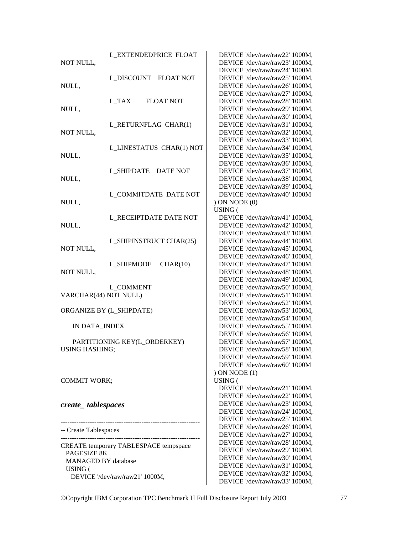| NOT NULL,                             | <b>L_EXTENDEDPRICE FLOAT</b>   | DEVICE '/dev/raw/raw22' 1000M,<br>DEVICE '/dev/raw/raw23' 1000M, |
|---------------------------------------|--------------------------------|------------------------------------------------------------------|
|                                       |                                | DEVICE '/dev/raw/raw24' 1000M,                                   |
|                                       | L_DISCOUNT FLOAT NOT           | DEVICE '/dev/raw/raw25' 1000M,                                   |
| NULL,                                 |                                | DEVICE '/dev/raw/raw26' 1000M,                                   |
|                                       |                                | DEVICE '/dev/raw/raw27' 1000M,                                   |
|                                       | L_TAX<br><b>FLOAT NOT</b>      | DEVICE '/dev/raw/raw28' 1000M,                                   |
| NULL,                                 |                                | DEVICE '/dev/raw/raw29' 1000M,                                   |
|                                       |                                | DEVICE '/dev/raw/raw30' 1000M,                                   |
|                                       | L_RETURNFLAG CHAR(1)           | DEVICE '/dev/raw/raw31' 1000M,                                   |
| NOT NULL,                             |                                | DEVICE '/dev/raw/raw32' 1000M,                                   |
|                                       |                                | DEVICE '/dev/raw/raw33' 1000M,                                   |
|                                       | L LINESTATUS CHAR(1) NOT       | DEVICE '/dev/raw/raw34' 1000M,                                   |
| NULL,                                 |                                | DEVICE '/dev/raw/raw35' 1000M,                                   |
|                                       |                                | DEVICE '/dev/raw/raw36' 1000M,                                   |
|                                       | L_SHIPDATE DATE NOT            | DEVICE '/dev/raw/raw37' 1000M,                                   |
| NULL,                                 |                                | DEVICE '/dev/raw/raw38' 1000M,                                   |
|                                       |                                | DEVICE '/dev/raw/raw39' 1000M,                                   |
|                                       | <b>L_COMMITDATE DATE NOT</b>   | DEVICE '/dev/raw/raw40' 1000M                                    |
| NULL,                                 |                                | ) ON NODE(0)                                                     |
|                                       |                                | USING (                                                          |
|                                       | L RECEIPTDATE DATE NOT         | DEVICE '/dev/raw/raw41' 1000M,                                   |
| NULL,                                 |                                | DEVICE '/dev/raw/raw42' 1000M,                                   |
|                                       |                                | DEVICE '/dev/raw/raw43' 1000M,                                   |
|                                       | L_SHIPINSTRUCT CHAR(25)        | DEVICE '/dev/raw/raw44' 1000M,                                   |
| NOT NULL,                             |                                | DEVICE '/dev/raw/raw45' 1000M,                                   |
|                                       |                                | DEVICE '/dev/raw/raw46' 1000M,                                   |
|                                       | L_SHIPMODE<br>CHAR(10)         | DEVICE '/dev/raw/raw47' 1000M,                                   |
| NOT NULL,                             |                                | DEVICE '/dev/raw/raw48' 1000M,                                   |
|                                       | <b>L_COMMENT</b>               | DEVICE '/dev/raw/raw49' 1000M,<br>DEVICE '/dev/raw/raw50' 1000M, |
| VARCHAR(44) NOT NULL)                 |                                | DEVICE '/dev/raw/raw51' 1000M,                                   |
|                                       |                                | DEVICE '/dev/raw/raw52' 1000M,                                   |
|                                       | ORGANIZE BY (L_SHIPDATE)       | DEVICE '/dev/raw/raw53' 1000M,                                   |
|                                       |                                | DEVICE '/dev/raw/raw54' 1000M,                                   |
| IN DATA_INDEX                         |                                | DEVICE '/dev/raw/raw55' 1000M,                                   |
|                                       |                                | DEVICE '/dev/raw/raw56' 1000M,                                   |
|                                       | PARTITIONING KEY(L_ORDERKEY)   | DEVICE '/dev/raw/raw57' 1000M,                                   |
| <b>USING HASHING:</b>                 |                                | DEVICE '/dev/raw/raw58' 1000M,                                   |
|                                       |                                | DEVICE '/dev/raw/raw59' 1000M,                                   |
|                                       |                                | DEVICE '/dev/raw/raw60' 1000M                                    |
|                                       |                                | $(1)$ ON NODE $(1)$                                              |
| <b>COMMIT WORK;</b>                   |                                | USING (                                                          |
|                                       |                                | DEVICE '/dev/raw/raw21' 1000M,                                   |
|                                       |                                | DEVICE '/dev/raw/raw22' 1000M,                                   |
| create_tablespaces                    |                                | DEVICE '/dev/raw/raw23' 1000M,                                   |
|                                       |                                | DEVICE '/dev/raw/raw24' 1000M,                                   |
|                                       |                                | DEVICE '/dev/raw/raw25' 1000M,                                   |
| -- Create Tablespaces                 |                                | DEVICE '/dev/raw/raw26' 1000M,                                   |
|                                       |                                | DEVICE '/dev/raw/raw27' 1000M,                                   |
| CREATE temporary TABLESPACE tempspace |                                | DEVICE '/dev/raw/raw28' 1000M,                                   |
| PAGESIZE 8K                           |                                | DEVICE '/dev/raw/raw29' 1000M,                                   |
| <b>MANAGED BY database</b>            |                                | DEVICE '/dev/raw/raw30' 1000M,                                   |
| USING (                               |                                | DEVICE '/dev/raw/raw31' 1000M,                                   |
|                                       | DEVICE '/dev/raw/raw21' 1000M, | DEVICE '/dev/raw/raw32' 1000M,                                   |
|                                       |                                | DEVICE '/dev/raw/raw33' 1000M,                                   |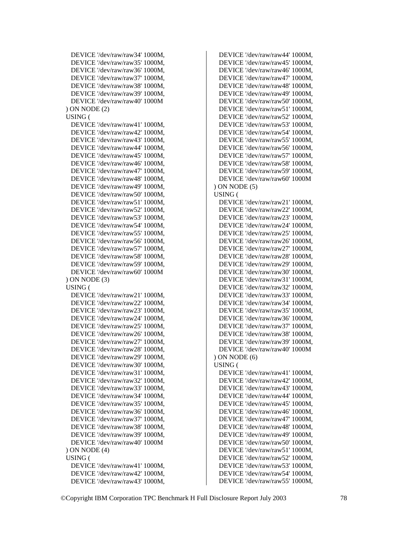```
 DEVICE '/dev/raw/raw34' 1000M, 
  DEVICE '/dev/raw/raw35' 1000M, 
  DEVICE '/dev/raw/raw36' 1000M, 
  DEVICE '/dev/raw/raw37' 1000M, 
  DEVICE '/dev/raw/raw38' 1000M, 
  DEVICE '/dev/raw/raw39' 1000M, 
  DEVICE '/dev/raw/raw40' 1000M 
 ) ON NODE (2) 
 USING ( 
  DEVICE '/dev/raw/raw41' 1000M, 
  DEVICE '/dev/raw/raw42' 1000M, 
  DEVICE '/dev/raw/raw43' 1000M, 
  DEVICE '/dev/raw/raw44' 1000M, 
  DEVICE '/dev/raw/raw45' 1000M, 
  DEVICE '/dev/raw/raw46' 1000M, 
  DEVICE '/dev/raw/raw47' 1000M, 
  DEVICE '/dev/raw/raw48' 1000M, 
  DEVICE '/dev/raw/raw49' 1000M, 
  DEVICE '/dev/raw/raw50' 1000M, 
  DEVICE '/dev/raw/raw51' 1000M, 
  DEVICE '/dev/raw/raw52' 1000M, 
  DEVICE '/dev/raw/raw53' 1000M, 
  DEVICE '/dev/raw/raw54' 1000M, 
  DEVICE '/dev/raw/raw55' 1000M, 
  DEVICE '/dev/raw/raw56' 1000M, 
  DEVICE '/dev/raw/raw57' 1000M, 
  DEVICE '/dev/raw/raw58' 1000M, 
  DEVICE '/dev/raw/raw59' 1000M, 
  DEVICE '/dev/raw/raw60' 1000M 
 ) ON NODE (3) 
 USING ( 
  DEVICE '/dev/raw/raw21' 1000M, 
  DEVICE '/dev/raw/raw22' 1000M, 
  DEVICE '/dev/raw/raw23' 1000M, 
  DEVICE '/dev/raw/raw24' 1000M, 
  DEVICE '/dev/raw/raw25' 1000M, 
  DEVICE '/dev/raw/raw26' 1000M, 
  DEVICE '/dev/raw/raw27' 1000M, 
  DEVICE '/dev/raw/raw28' 1000M, 
  DEVICE '/dev/raw/raw29' 1000M, 
  DEVICE '/dev/raw/raw30' 1000M, 
  DEVICE '/dev/raw/raw31' 1000M, 
  DEVICE '/dev/raw/raw32' 1000M, 
  DEVICE '/dev/raw/raw33' 1000M, 
  DEVICE '/dev/raw/raw34' 1000M, 
  DEVICE '/dev/raw/raw35' 1000M, 
  DEVICE '/dev/raw/raw36' 1000M, 
  DEVICE '/dev/raw/raw37' 1000M, 
  DEVICE '/dev/raw/raw38' 1000M, 
  DEVICE '/dev/raw/raw39' 1000M, 
  DEVICE '/dev/raw/raw40' 1000M 
 ) ON NODE (4) 
 USING ( 
  DEVICE '/dev/raw/raw41' 1000M, 
  DEVICE '/dev/raw/raw42' 1000M, 
  DEVICE '/dev/raw/raw43' 1000M,
```
 DEVICE '/dev/raw/raw44' 1000M, DEVICE '/dev/raw/raw45' 1000M, DEVICE '/dev/raw/raw46' 1000M, DEVICE '/dev/raw/raw47' 1000M, DEVICE '/dev/raw/raw48' 1000M, DEVICE '/dev/raw/raw49' 1000M, DEVICE '/dev/raw/raw50' 1000M, DEVICE '/dev/raw/raw51' 1000M, DEVICE '/dev/raw/raw52' 1000M, DEVICE '/dev/raw/raw53' 1000M, DEVICE '/dev/raw/raw54' 1000M, DEVICE '/dev/raw/raw55' 1000M, DEVICE '/dev/raw/raw56' 1000M, DEVICE '/dev/raw/raw57' 1000M, DEVICE '/dev/raw/raw58' 1000M, DEVICE '/dev/raw/raw59' 1000M, DEVICE '/dev/raw/raw60' 1000M ) ON NODE (5) USING ( DEVICE '/dev/raw/raw21' 1000M, DEVICE '/dev/raw/raw22' 1000M, DEVICE '/dev/raw/raw23' 1000M, DEVICE '/dev/raw/raw24' 1000M, DEVICE '/dev/raw/raw25' 1000M, DEVICE '/dev/raw/raw26' 1000M, DEVICE '/dev/raw/raw27' 1000M, DEVICE '/dev/raw/raw28' 1000M, DEVICE '/dev/raw/raw29' 1000M, DEVICE '/dev/raw/raw30' 1000M, DEVICE '/dev/raw/raw31' 1000M, DEVICE '/dev/raw/raw32' 1000M, DEVICE '/dev/raw/raw33' 1000M, DEVICE '/dev/raw/raw34' 1000M, DEVICE '/dev/raw/raw35' 1000M, DEVICE '/dev/raw/raw36' 1000M, DEVICE '/dev/raw/raw37' 1000M, DEVICE '/dev/raw/raw38' 1000M, DEVICE '/dev/raw/raw39' 1000M, DEVICE '/dev/raw/raw40' 1000M ) ON NODE (6) USING ( DEVICE '/dev/raw/raw41' 1000M, DEVICE '/dev/raw/raw42' 1000M, DEVICE '/dev/raw/raw43' 1000M, DEVICE '/dev/raw/raw44' 1000M, DEVICE '/dev/raw/raw45' 1000M, DEVICE '/dev/raw/raw46' 1000M, DEVICE '/dev/raw/raw47' 1000M, DEVICE '/dev/raw/raw48' 1000M, DEVICE '/dev/raw/raw49' 1000M, DEVICE '/dev/raw/raw50' 1000M, DEVICE '/dev/raw/raw51' 1000M, DEVICE '/dev/raw/raw52' 1000M, DEVICE '/dev/raw/raw53' 1000M, DEVICE '/dev/raw/raw54' 1000M, DEVICE '/dev/raw/raw55' 1000M,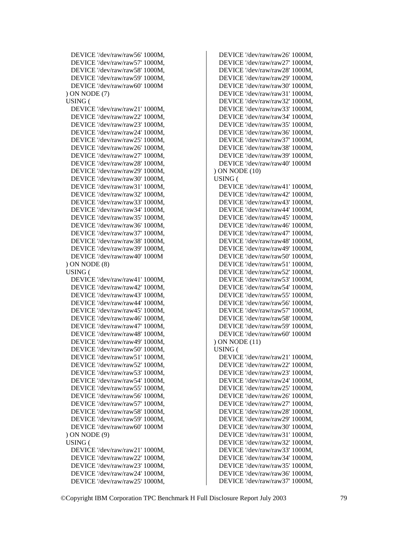```
 DEVICE '/dev/raw/raw56' 1000M, 
  DEVICE '/dev/raw/raw57' 1000M, 
  DEVICE '/dev/raw/raw58' 1000M, 
  DEVICE '/dev/raw/raw59' 1000M, 
  DEVICE '/dev/raw/raw60' 1000M 
 ) ON NODE (7) 
 USING ( 
  DEVICE '/dev/raw/raw21' 1000M, 
  DEVICE '/dev/raw/raw22' 1000M, 
  DEVICE '/dev/raw/raw23' 1000M, 
  DEVICE '/dev/raw/raw24' 1000M, 
  DEVICE '/dev/raw/raw25' 1000M, 
  DEVICE '/dev/raw/raw26' 1000M, 
  DEVICE '/dev/raw/raw27' 1000M, 
  DEVICE '/dev/raw/raw28' 1000M, 
  DEVICE '/dev/raw/raw29' 1000M, 
  DEVICE '/dev/raw/raw30' 1000M, 
  DEVICE '/dev/raw/raw31' 1000M, 
  DEVICE '/dev/raw/raw32' 1000M, 
  DEVICE '/dev/raw/raw33' 1000M, 
  DEVICE '/dev/raw/raw34' 1000M, 
  DEVICE '/dev/raw/raw35' 1000M, 
  DEVICE '/dev/raw/raw36' 1000M, 
  DEVICE '/dev/raw/raw37' 1000M, 
  DEVICE '/dev/raw/raw38' 1000M, 
  DEVICE '/dev/raw/raw39' 1000M, 
  DEVICE '/dev/raw/raw40' 1000M 
 ) ON NODE (8) 
 USING ( 
  DEVICE '/dev/raw/raw41' 1000M, 
  DEVICE '/dev/raw/raw42' 1000M, 
  DEVICE '/dev/raw/raw43' 1000M, 
  DEVICE '/dev/raw/raw44' 1000M, 
  DEVICE '/dev/raw/raw45' 1000M, 
  DEVICE '/dev/raw/raw46' 1000M, 
  DEVICE '/dev/raw/raw47' 1000M, 
  DEVICE '/dev/raw/raw48' 1000M, 
  DEVICE '/dev/raw/raw49' 1000M, 
  DEVICE '/dev/raw/raw50' 1000M, 
  DEVICE '/dev/raw/raw51' 1000M, 
  DEVICE '/dev/raw/raw52' 1000M, 
  DEVICE '/dev/raw/raw53' 1000M, 
  DEVICE '/dev/raw/raw54' 1000M, 
  DEVICE '/dev/raw/raw55' 1000M, 
  DEVICE '/dev/raw/raw56' 1000M, 
  DEVICE '/dev/raw/raw57' 1000M, 
  DEVICE '/dev/raw/raw58' 1000M, 
  DEVICE '/dev/raw/raw59' 1000M, 
  DEVICE '/dev/raw/raw60' 1000M 
 ) ON NODE (9) 
 USING ( 
  DEVICE '/dev/raw/raw21' 1000M, 
  DEVICE '/dev/raw/raw22' 1000M, 
  DEVICE '/dev/raw/raw23' 1000M, 
  DEVICE '/dev/raw/raw24' 1000M, 
  DEVICE '/dev/raw/raw25' 1000M,
```
 DEVICE '/dev/raw/raw26' 1000M, DEVICE '/dev/raw/raw27' 1000M, DEVICE '/dev/raw/raw28' 1000M, DEVICE '/dev/raw/raw29' 1000M, DEVICE '/dev/raw/raw30' 1000M, DEVICE '/dev/raw/raw31' 1000M, DEVICE '/dev/raw/raw32' 1000M, DEVICE '/dev/raw/raw33' 1000M, DEVICE '/dev/raw/raw34' 1000M, DEVICE '/dev/raw/raw35' 1000M, DEVICE '/dev/raw/raw36' 1000M, DEVICE '/dev/raw/raw37' 1000M, DEVICE '/dev/raw/raw38' 1000M, DEVICE '/dev/raw/raw39' 1000M, DEVICE '/dev/raw/raw40' 1000M ) ON NODE (10) USING ( DEVICE '/dev/raw/raw41' 1000M, DEVICE '/dev/raw/raw42' 1000M, DEVICE '/dev/raw/raw43' 1000M, DEVICE '/dev/raw/raw44' 1000M, DEVICE '/dev/raw/raw45' 1000M, DEVICE '/dev/raw/raw46' 1000M, DEVICE '/dev/raw/raw47' 1000M, DEVICE '/dev/raw/raw48' 1000M, DEVICE '/dev/raw/raw49' 1000M, DEVICE '/dev/raw/raw50' 1000M, DEVICE '/dev/raw/raw51' 1000M, DEVICE '/dev/raw/raw52' 1000M, DEVICE '/dev/raw/raw53' 1000M, DEVICE '/dev/raw/raw54' 1000M, DEVICE '/dev/raw/raw55' 1000M, DEVICE '/dev/raw/raw56' 1000M, DEVICE '/dev/raw/raw57' 1000M, DEVICE '/dev/raw/raw58' 1000M, DEVICE '/dev/raw/raw59' 1000M, DEVICE '/dev/raw/raw60' 1000M ) ON NODE (11) USING ( DEVICE '/dev/raw/raw21' 1000M, DEVICE '/dev/raw/raw22' 1000M, DEVICE '/dev/raw/raw23' 1000M, DEVICE '/dev/raw/raw24' 1000M, DEVICE '/dev/raw/raw25' 1000M, DEVICE '/dev/raw/raw26' 1000M, DEVICE '/dev/raw/raw27' 1000M, DEVICE '/dev/raw/raw28' 1000M, DEVICE '/dev/raw/raw29' 1000M, DEVICE '/dev/raw/raw30' 1000M, DEVICE '/dev/raw/raw31' 1000M, DEVICE '/dev/raw/raw32' 1000M, DEVICE '/dev/raw/raw33' 1000M, DEVICE '/dev/raw/raw34' 1000M, DEVICE '/dev/raw/raw35' 1000M, DEVICE '/dev/raw/raw36' 1000M, DEVICE '/dev/raw/raw37' 1000M,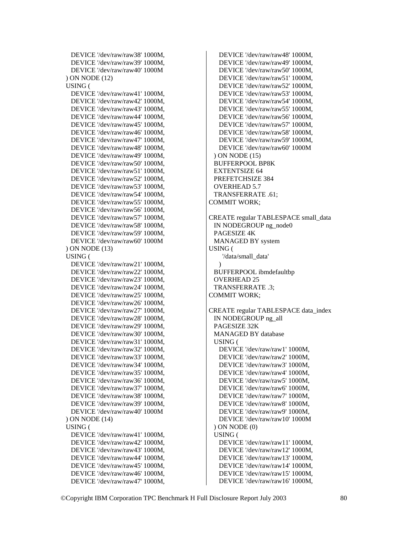```
 DEVICE '/dev/raw/raw38' 1000M, 
  DEVICE '/dev/raw/raw39' 1000M, 
  DEVICE '/dev/raw/raw40' 1000M 
 ) ON NODE (12) 
 USING ( 
  DEVICE '/dev/raw/raw41' 1000M, 
  DEVICE '/dev/raw/raw42' 1000M, 
  DEVICE '/dev/raw/raw43' 1000M, 
  DEVICE '/dev/raw/raw44' 1000M, 
  DEVICE '/dev/raw/raw45' 1000M, 
  DEVICE '/dev/raw/raw46' 1000M, 
  DEVICE '/dev/raw/raw47' 1000M, 
  DEVICE '/dev/raw/raw48' 1000M, 
  DEVICE '/dev/raw/raw49' 1000M, 
  DEVICE '/dev/raw/raw50' 1000M, 
  DEVICE '/dev/raw/raw51' 1000M, 
  DEVICE '/dev/raw/raw52' 1000M, 
  DEVICE '/dev/raw/raw53' 1000M, 
  DEVICE '/dev/raw/raw54' 1000M, 
  DEVICE '/dev/raw/raw55' 1000M, 
  DEVICE '/dev/raw/raw56' 1000M, 
  DEVICE '/dev/raw/raw57' 1000M, 
  DEVICE '/dev/raw/raw58' 1000M, 
  DEVICE '/dev/raw/raw59' 1000M, 
  DEVICE '/dev/raw/raw60' 1000M 
 ) ON NODE (13) 
 USING ( 
  DEVICE '/dev/raw/raw21' 1000M, 
  DEVICE '/dev/raw/raw22' 1000M, 
  DEVICE '/dev/raw/raw23' 1000M, 
  DEVICE '/dev/raw/raw24' 1000M, 
  DEVICE '/dev/raw/raw25' 1000M, 
  DEVICE '/dev/raw/raw26' 1000M, 
  DEVICE '/dev/raw/raw27' 1000M, 
  DEVICE '/dev/raw/raw28' 1000M, 
  DEVICE '/dev/raw/raw29' 1000M, 
  DEVICE '/dev/raw/raw30' 1000M, 
  DEVICE '/dev/raw/raw31' 1000M, 
  DEVICE '/dev/raw/raw32' 1000M, 
  DEVICE '/dev/raw/raw33' 1000M, 
  DEVICE '/dev/raw/raw34' 1000M, 
  DEVICE '/dev/raw/raw35' 1000M, 
  DEVICE '/dev/raw/raw36' 1000M, 
  DEVICE '/dev/raw/raw37' 1000M, 
  DEVICE '/dev/raw/raw38' 1000M, 
  DEVICE '/dev/raw/raw39' 1000M, 
  DEVICE '/dev/raw/raw40' 1000M 
 ) ON NODE (14) 
 USING ( 
  DEVICE '/dev/raw/raw41' 1000M, 
  DEVICE '/dev/raw/raw42' 1000M, 
  DEVICE '/dev/raw/raw43' 1000M, 
  DEVICE '/dev/raw/raw44' 1000M, 
  DEVICE '/dev/raw/raw45' 1000M, 
  DEVICE '/dev/raw/raw46' 1000M, 
  DEVICE '/dev/raw/raw47' 1000M,
```
 DEVICE '/dev/raw/raw48' 1000M, DEVICE '/dev/raw/raw49' 1000M, DEVICE '/dev/raw/raw50' 1000M, DEVICE '/dev/raw/raw51' 1000M, DEVICE '/dev/raw/raw52' 1000M, DEVICE '/dev/raw/raw53' 1000M, DEVICE '/dev/raw/raw54' 1000M, DEVICE '/dev/raw/raw55' 1000M, DEVICE '/dev/raw/raw56' 1000M, DEVICE '/dev/raw/raw57' 1000M, DEVICE '/dev/raw/raw58' 1000M, DEVICE '/dev/raw/raw59' 1000M, DEVICE '/dev/raw/raw60' 1000M ) ON NODE (15) BUFFERPOOL BP8K EXTENTSIZE 64 PREFETCHSIZE 384 OVERHEAD 5.7 TRANSFERRATE .61; COMMIT WORK; CREATE regular TABLESPACE small\_data IN NODEGROUP ng\_node0 PAGESIZE 4K MANAGED BY system USING ( '/data/small\_data'  $\rightarrow$  BUFFERPOOL ibmdefaultbp OVERHEAD 25 TRANSFERRATE .3; COMMIT WORK; CREATE regular TABLESPACE data\_index IN NODEGROUP ng\_all PAGESIZE 32K MANAGED BY database USING ( DEVICE '/dev/raw/raw1' 1000M, DEVICE '/dev/raw/raw2' 1000M, DEVICE '/dev/raw/raw3' 1000M, DEVICE '/dev/raw/raw4' 1000M, DEVICE '/dev/raw/raw5' 1000M, DEVICE '/dev/raw/raw6' 1000M, DEVICE '/dev/raw/raw7' 1000M, DEVICE '/dev/raw/raw8' 1000M, DEVICE '/dev/raw/raw9' 1000M, DEVICE '/dev/raw/raw10' 1000M

 USING ( DEVICE '/dev/raw/raw11' 1000M, DEVICE '/dev/raw/raw12' 1000M, DEVICE '/dev/raw/raw13' 1000M, DEVICE '/dev/raw/raw14' 1000M, DEVICE '/dev/raw/raw15' 1000M, DEVICE '/dev/raw/raw16' 1000M,

) ON NODE (0)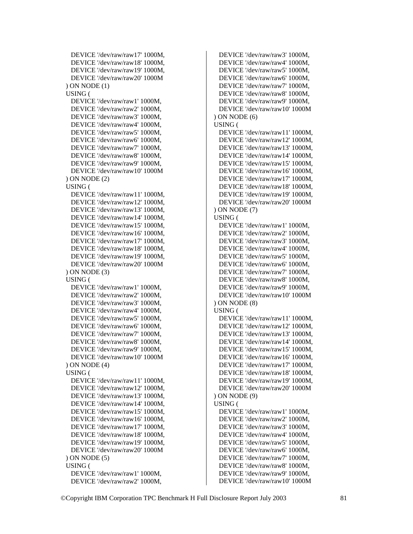```
 DEVICE '/dev/raw/raw17' 1000M, 
  DEVICE '/dev/raw/raw18' 1000M, 
  DEVICE '/dev/raw/raw19' 1000M, 
  DEVICE '/dev/raw/raw20' 1000M 
 ) ON NODE (1) 
 USING ( 
  DEVICE '/dev/raw/raw1' 1000M, 
  DEVICE '/dev/raw/raw2' 1000M, 
  DEVICE '/dev/raw/raw3' 1000M, 
  DEVICE '/dev/raw/raw4' 1000M, 
  DEVICE '/dev/raw/raw5' 1000M, 
  DEVICE '/dev/raw/raw6' 1000M, 
  DEVICE '/dev/raw/raw7' 1000M, 
  DEVICE '/dev/raw/raw8' 1000M, 
  DEVICE '/dev/raw/raw9' 1000M, 
  DEVICE '/dev/raw/raw10' 1000M 
 ) ON NODE (2) 
 USING ( 
  DEVICE '/dev/raw/raw11' 1000M, 
  DEVICE '/dev/raw/raw12' 1000M, 
  DEVICE '/dev/raw/raw13' 1000M, 
  DEVICE '/dev/raw/raw14' 1000M, 
  DEVICE '/dev/raw/raw15' 1000M, 
  DEVICE '/dev/raw/raw16' 1000M, 
  DEVICE '/dev/raw/raw17' 1000M, 
  DEVICE '/dev/raw/raw18' 1000M, 
  DEVICE '/dev/raw/raw19' 1000M, 
  DEVICE '/dev/raw/raw20' 1000M 
 ) ON NODE (3) 
 USING ( 
  DEVICE '/dev/raw/raw1' 1000M, 
  DEVICE '/dev/raw/raw2' 1000M, 
  DEVICE '/dev/raw/raw3' 1000M, 
  DEVICE '/dev/raw/raw4' 1000M, 
  DEVICE '/dev/raw/raw5' 1000M, 
  DEVICE '/dev/raw/raw6' 1000M, 
  DEVICE '/dev/raw/raw7' 1000M, 
  DEVICE '/dev/raw/raw8' 1000M, 
  DEVICE '/dev/raw/raw9' 1000M, 
  DEVICE '/dev/raw/raw10' 1000M 
 ) ON NODE (4) 
 USING ( 
  DEVICE '/dev/raw/raw11' 1000M, 
  DEVICE '/dev/raw/raw12' 1000M, 
  DEVICE '/dev/raw/raw13' 1000M, 
  DEVICE '/dev/raw/raw14' 1000M, 
  DEVICE '/dev/raw/raw15' 1000M, 
  DEVICE '/dev/raw/raw16' 1000M, 
  DEVICE '/dev/raw/raw17' 1000M, 
  DEVICE '/dev/raw/raw18' 1000M, 
  DEVICE '/dev/raw/raw19' 1000M, 
  DEVICE '/dev/raw/raw20' 1000M 
 ) ON NODE (5) 
 USING ( 
  DEVICE '/dev/raw/raw1' 1000M, 
  DEVICE '/dev/raw/raw2' 1000M,
```
 DEVICE '/dev/raw/raw3' 1000M, DEVICE '/dev/raw/raw4' 1000M, DEVICE '/dev/raw/raw5' 1000M, DEVICE '/dev/raw/raw6' 1000M, DEVICE '/dev/raw/raw7' 1000M, DEVICE '/dev/raw/raw8' 1000M, DEVICE '/dev/raw/raw9' 1000M, DEVICE '/dev/raw/raw10' 1000M ) ON NODE (6) USING ( DEVICE '/dev/raw/raw11' 1000M, DEVICE '/dev/raw/raw12' 1000M, DEVICE '/dev/raw/raw13' 1000M, DEVICE '/dev/raw/raw14' 1000M, DEVICE '/dev/raw/raw15' 1000M, DEVICE '/dev/raw/raw16' 1000M, DEVICE '/dev/raw/raw17' 1000M, DEVICE '/dev/raw/raw18' 1000M, DEVICE '/dev/raw/raw19' 1000M, DEVICE '/dev/raw/raw20' 1000M ) ON NODE (7) USING ( DEVICE '/dev/raw/raw1' 1000M, DEVICE '/dev/raw/raw2' 1000M, DEVICE '/dev/raw/raw3' 1000M, DEVICE '/dev/raw/raw4' 1000M, DEVICE '/dev/raw/raw5' 1000M, DEVICE '/dev/raw/raw6' 1000M, DEVICE '/dev/raw/raw7' 1000M, DEVICE '/dev/raw/raw8' 1000M, DEVICE '/dev/raw/raw9' 1000M, DEVICE '/dev/raw/raw10' 1000M ) ON NODE (8) USING ( DEVICE '/dev/raw/raw11' 1000M, DEVICE '/dev/raw/raw12' 1000M, DEVICE '/dev/raw/raw13' 1000M, DEVICE '/dev/raw/raw14' 1000M, DEVICE '/dev/raw/raw15' 1000M, DEVICE '/dev/raw/raw16' 1000M, DEVICE '/dev/raw/raw17' 1000M, DEVICE '/dev/raw/raw18' 1000M, DEVICE '/dev/raw/raw19' 1000M, DEVICE '/dev/raw/raw20' 1000M ) ON NODE (9) USING ( DEVICE '/dev/raw/raw1' 1000M, DEVICE '/dev/raw/raw2' 1000M, DEVICE '/dev/raw/raw3' 1000M, DEVICE '/dev/raw/raw4' 1000M, DEVICE '/dev/raw/raw5' 1000M, DEVICE '/dev/raw/raw6' 1000M, DEVICE '/dev/raw/raw7' 1000M, DEVICE '/dev/raw/raw8' 1000M, DEVICE '/dev/raw/raw9' 1000M, DEVICE '/dev/raw/raw10' 1000M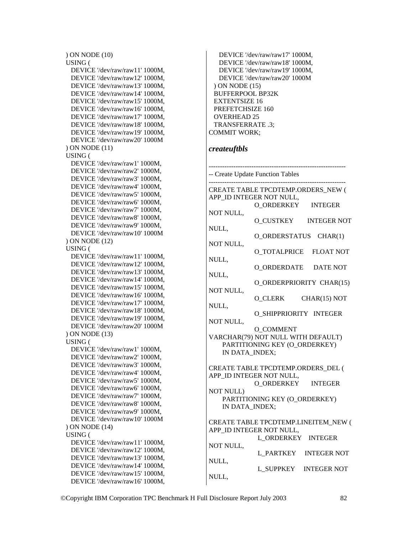```
 ) ON NODE (10) 
 USING ( 
  DEVICE '/dev/raw/raw11' 1000M, 
  DEVICE '/dev/raw/raw12' 1000M, 
  DEVICE '/dev/raw/raw13' 1000M, 
  DEVICE '/dev/raw/raw14' 1000M, 
  DEVICE '/dev/raw/raw15' 1000M, 
  DEVICE '/dev/raw/raw16' 1000M, 
  DEVICE '/dev/raw/raw17' 1000M, 
  DEVICE '/dev/raw/raw18' 1000M, 
  DEVICE '/dev/raw/raw19' 1000M, 
  DEVICE '/dev/raw/raw20' 1000M 
 ) ON NODE (11) 
 USING ( 
  DEVICE '/dev/raw/raw1' 1000M, 
  DEVICE '/dev/raw/raw2' 1000M, 
  DEVICE '/dev/raw/raw3' 1000M, 
  DEVICE '/dev/raw/raw4' 1000M, 
  DEVICE '/dev/raw/raw5' 1000M, 
  DEVICE '/dev/raw/raw6' 1000M, 
  DEVICE '/dev/raw/raw7' 1000M, 
  DEVICE '/dev/raw/raw8' 1000M, 
  DEVICE '/dev/raw/raw9' 1000M, 
  DEVICE '/dev/raw/raw10' 1000M 
 ) ON NODE (12) 
 USING ( 
  DEVICE '/dev/raw/raw11' 1000M, 
  DEVICE '/dev/raw/raw12' 1000M, 
  DEVICE '/dev/raw/raw13' 1000M, 
  DEVICE '/dev/raw/raw14' 1000M, 
  DEVICE '/dev/raw/raw15' 1000M, 
  DEVICE '/dev/raw/raw16' 1000M, 
  DEVICE '/dev/raw/raw17' 1000M, 
  DEVICE '/dev/raw/raw18' 1000M, 
  DEVICE '/dev/raw/raw19' 1000M, 
  DEVICE '/dev/raw/raw20' 1000M 
 ) ON NODE (13) 
 USING ( 
  DEVICE '/dev/raw/raw1' 1000M, 
  DEVICE '/dev/raw/raw2' 1000M, 
  DEVICE '/dev/raw/raw3' 1000M, 
  DEVICE '/dev/raw/raw4' 1000M, 
  DEVICE '/dev/raw/raw5' 1000M, 
  DEVICE '/dev/raw/raw6' 1000M, 
  DEVICE '/dev/raw/raw7' 1000M, 
  DEVICE '/dev/raw/raw8' 1000M, 
  DEVICE '/dev/raw/raw9' 1000M, 
  DEVICE '/dev/raw/raw10' 1000M 
 ) ON NODE (14) 
 USING ( 
  DEVICE '/dev/raw/raw11' 1000M, 
  DEVICE '/dev/raw/raw12' 1000M, 
  DEVICE '/dev/raw/raw13' 1000M, 
  DEVICE '/dev/raw/raw14' 1000M, 
  DEVICE '/dev/raw/raw15' 1000M, 
  DEVICE '/dev/raw/raw16' 1000M,
```

```
 DEVICE '/dev/raw/raw17' 1000M, 
    DEVICE '/dev/raw/raw18' 1000M, 
    DEVICE '/dev/raw/raw19' 1000M, 
    DEVICE '/dev/raw/raw20' 1000M 
  ) ON NODE (15) 
  BUFFERPOOL BP32K 
  EXTENTSIZE 16 
  PREFETCHSIZE 160 
  OVERHEAD 25 
  TRANSFERRATE .3; 
COMMIT WORK;
```
#### *createuftbls*

------------------------------------------------------------- -- Create Update Function Tables ------------------------------------------------------------- CREATE TABLE TPCDTEMP.ORDERS\_NEW ( APP\_ID INTEGER NOT NULL, O\_ORDERKEY INTEGER NOT NULL, O\_CUSTKEY INTEGER NOT NULL, O\_ORDERSTATUS CHAR(1) NOT NULL, O\_TOTALPRICE FLOAT NOT NULL, O\_ORDERDATE DATE NOT NULL, O\_ORDERPRIORITY CHAR(15) NOT NULL, O CLERK CHAR(15) NOT NULL, O\_SHIPPRIORITY INTEGER NOT NULL, O\_COMMENT VARCHAR(79) NOT NULL WITH DEFAULT) PARTITIONING KEY (O\_ORDERKEY) IN DATA\_INDEX; CREATE TABLE TPCDTEMP.ORDERS\_DEL ( APP\_ID INTEGER NOT NULL, O\_ORDERKEY INTEGER NOT NULL) PARTITIONING KEY (O\_ORDERKEY) IN DATA\_INDEX; CREATE TABLE TPCDTEMP.LINEITEM\_NEW ( APP\_ID INTEGER NOT NULL, L\_ORDERKEY INTEGER NOT NULL, L\_PARTKEY INTEGER NOT NULL, L\_SUPPKEY INTEGER NOT NULL,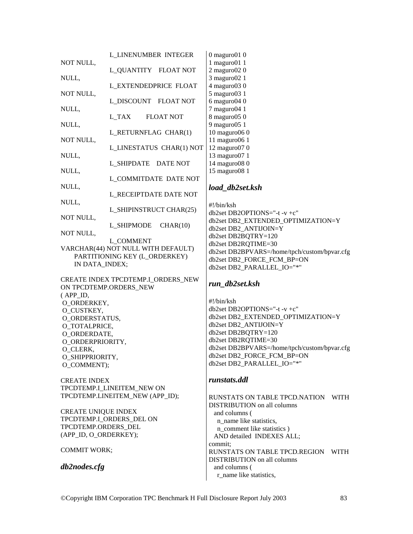|                              | <b>L_LINENUMBER INTEGER</b>          | $0$ maguro $010$             |
|------------------------------|--------------------------------------|------------------------------|
| NOT NULL,                    |                                      | $1$ maguro $01$ 1            |
|                              | L QUANTITY FLOAT NOT                 | $2$ maguro $020$             |
| NULL,                        |                                      | 3 maguro02 1                 |
|                              | <b>L_EXTENDEDPRICE FLOAT</b>         | 4 maguro03 0                 |
| NOT NULL,                    |                                      | 5 maguro03 1                 |
|                              | L DISCOUNT FLOAT NOT                 | $6$ maguro $040$             |
| NULL,                        | L_TAX<br><b>FLOAT NOT</b>            | 7 maguro04 1<br>8 maguro05 0 |
| NULL,                        |                                      | $9$ maguro $051$             |
|                              | L_RETURNFLAG CHAR(1)                 | 10 maguro06 0                |
| NOT NULL,                    |                                      | 11 maguro06 1                |
|                              | L_LINESTATUS CHAR(1) NOT             | 12 maguro07 0                |
| NULL,                        |                                      | 13 maguro07 1                |
|                              | <b>L_SHIPDATE</b><br><b>DATE NOT</b> | 14 maguro08 0                |
| NULL,                        |                                      | 15 maguro08 1                |
|                              | <b>L_COMMITDATE DATE NOT</b>         |                              |
| NULL,                        |                                      | load db2set.                 |
|                              | L RECEIPTDATE DATE NOT               |                              |
| NULL,                        |                                      |                              |
|                              | L_SHIPINSTRUCT CHAR(25)              | #!/bin/ksh<br>db2set DB2OP'  |
| NOT NULL,                    |                                      | db2set DB2_EX                |
|                              | L_SHIPMODE CHAR(10)                  | db2set DB2 Al                |
| NOT NULL,                    |                                      | db2set DB2BQ                 |
|                              | <b>L_COMMENT</b>                     | db2set DB2RQ                 |
|                              | VARCHAR(44) NOT NULL WITH DEFAULT)   | db2set DB2BP'                |
|                              | PARTITIONING KEY (L_ORDERKEY)        | db2set DB2_FO                |
| IN DATA_INDEX;               |                                      | db2set DB2_P/                |
|                              |                                      |                              |
|                              | CREATE INDEX TPCDTEMP.I_ORDERS_NEW   | run_db2set.k                 |
|                              | ON TPCDTEMP.ORDERS_NEW               |                              |
| (APP_ID,                     |                                      | #!/bin/ksh                   |
| O_ORDERKEY,                  |                                      | db2set DB2OP'                |
| O_CUSTKEY,                   |                                      | db2set DB2_EX                |
| O_ORDERSTATUS,               |                                      | db2set DB2_Al                |
| O_TOTALPRICE,                |                                      | db2set DB2BQ                 |
| O_ORDERDATE,                 |                                      | db2set DB2RQ                 |
| O_ORDERPRIORITY,<br>O_CLERK, |                                      | db2set DB2BP'                |
| O_SHIPPRIORITY,              |                                      | db2set DB2_FO                |
| O_COMMENT);                  |                                      | db2set DB2_P/                |
|                              |                                      |                              |
| <b>CREATE INDEX</b>          |                                      | runstats.ddl                 |
|                              | TPCDTEMP.I_LINEITEM_NEW ON           |                              |
|                              | TPCDTEMP.LINEITEM NEW (APP ID);      | <b>RUNSTATS O</b>            |
|                              |                                      | <b>DISTRIBUTIO</b>           |
| <b>CREATE UNIQUE INDEX</b>   |                                      | and columns                  |
|                              | TPCDTEMP.I_ORDERS_DEL ON             | n name like                  |
| TPCDTEMP.ORDERS DEL          |                                      | n_comment                    |
| (APP_ID, O_ORDERKEY);        |                                      | AND detailed                 |
|                              |                                      | commit;                      |
| <b>COMMIT WORK;</b>          |                                      | <b>RUNSTATS O</b>            |
|                              |                                      |                              |

*db2nodes.cfg* 

## *load\_db2set.ksh*

 $/ksh$ t DB2OPTIONS="-t -v +c" t DB2\_EXTENDED\_OPTIMIZATION=Y  $t$  DB2\_ANTIJOIN=Y t DB2BQTRY=120 t DB2RQTIME=30 t DB2BPVARS=/home/tpch/custom/bpvar.cfg t DB2\_FORCE\_FCM\_BP=ON t DB2\_PARALLEL\_IO="\*"

## *run\_db2set.ksh*

 $/ksh$ t DB2OPTIONS="-t -v +c" t DB2\_EXTENDED\_OPTIMIZATION=Y  $t$  DB2\_ANTIJOIN=Y  $t$  DB2BQTRY=120 t DB2RQTIME=30 t DB2BPVARS=/home/tpch/custom/bpvar.cfg t DB2\_FORCE\_FCM\_BP=ON t DB2\_PARALLEL\_IO="\*"

## *runstats.ddl*

**STATS ON TABLE TPCD.NATION WITH** RIBUTION on all columns columns ( name like statistics, comment like statistics ) D detailed INDEXES ALL; it: STATS ON TABLE TPCD.REGION WITH DISTRIBUTION on all columns and columns ( r\_name like statistics,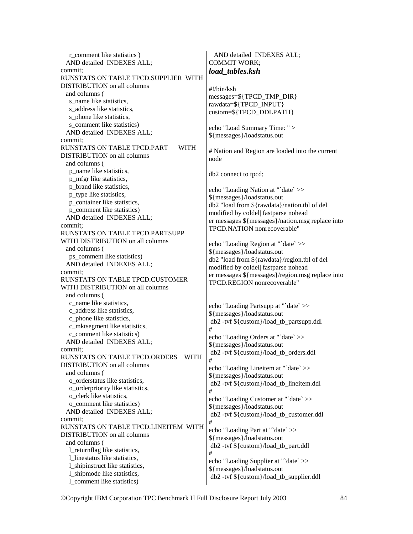r\_comment like statistics ) AND detailed INDEXES ALL; commit; RUNSTATS ON TABLE TPCD.SUPPLIER WITH DISTRIBUTION on all columns and columns ( s name like statistics. s address like statistics, s\_phone like statistics, s\_comment like statistics) AND detailed INDEXES ALL; commit; RUNSTATS ON TABLE TPCD.PART WITH DISTRIBUTION on all columns and columns ( p\_name like statistics, p\_mfgr like statistics, p\_brand like statistics, p\_type like statistics, p\_container like statistics, p\_comment like statistics) AND detailed INDEXES ALL; commit; RUNSTATS ON TABLE TPCD.PARTSUPP WITH DISTRIBUTION on all columns and columns ( ps\_comment like statistics) AND detailed INDEXES ALL; commit; RUNSTATS ON TABLE TPCD.CUSTOMER WITH DISTRIBUTION on all columns and columns ( c\_name like statistics, c\_address like statistics, c\_phone like statistics, c\_mktsegment like statistics, c\_comment like statistics) AND detailed INDEXES ALL; commit; RUNSTATS ON TABLE TPCD.ORDERS WITH DISTRIBUTION on all columns and columns ( o\_orderstatus like statistics, o\_orderpriority like statistics, o\_clerk like statistics, o\_comment like statistics) AND detailed INDEXES ALL; commit; RUNSTATS ON TABLE TPCD.LINEITEM WITH DISTRIBUTION on all columns and columns ( l\_returnflag like statistics, l\_linestatus like statistics, l\_shipinstruct like statistics, l\_shipmode like statistics, l\_comment like statistics) AND detailed INDEXES ALL; COMMIT WORK; #!/bin/ksh node # # # # #

*load\_tables.ksh*  messages=\${TPCD\_TMP\_DIR} rawdata=\${TPCD\_INPUT} custom=\${TPCD\_DDLPATH} echo "Load Summary Time: " > \${messages}/loadstatus.out

# Nation and Region are loaded into the current

db2 connect to tpcd;

echo "Loading Nation at "`date` >> \${messages}/loadstatus.out db2 "load from \${rawdata}/nation.tbl of del modified by coldel| fastparse nohead er messages \${messages}/nation.msg replace into TPCD.NATION nonrecoverable"

echo "Loading Region at "`date` >> \${messages}/loadstatus.out db2 "load from \${rawdata}/region.tbl of del modified by coldel| fastparse nohead er messages \${messages}/region.msg replace into TPCD.REGION nonrecoverable"

echo "Loading Partsupp at "`date` >> \${messages}/loadstatus.out db2 -tvf \${custom}/load\_tb\_partsupp.ddl echo "Loading Orders at "`date` >> \${messages}/loadstatus.out db2 -tvf \${custom}/load\_tb\_orders.ddl echo "Loading Lineitem at "`date` >> \${messages}/loadstatus.out db2 -tvf \${custom}/load\_tb\_lineitem.ddl echo "Loading Customer at "`date` >> \${messages}/loadstatus.out db2 -tvf \${custom}/load\_tb\_customer.ddl echo "Loading Part at "`date` >> \${messages}/loadstatus.out db2 -tvf \${custom}/load\_tb\_part.ddl echo "Loading Supplier at "`date` >> \${messages}/loadstatus.out db2 -tvf \${custom}/load\_tb\_supplier.ddl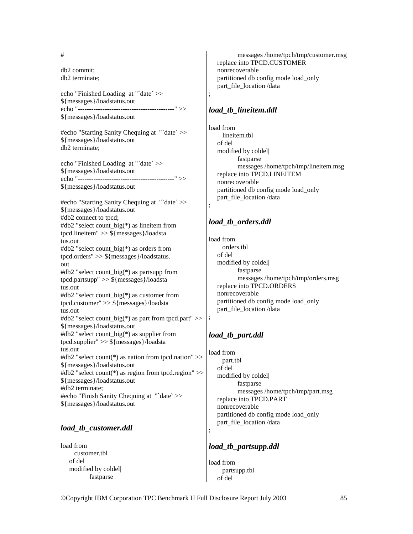#### #

db2 commit; db2 terminate;

echo "Finished Loading at "`date` >> \${messages}/loadstatus.out echo "-------------------------------------------" >> \${messages}/loadstatus.out

#echo "Starting Sanity Chequing at "`date` >> \${messages}/loadstatus.out db2 terminate;

echo "Finished Loading at "`date` >> \${messages}/loadstatus.out echo "-------------------------------------------" >> \${messages}/loadstatus.out

#echo "Starting Sanity Chequing at "`date` >> \${messages}/loadstatus.out #db2 connect to tpcd; #db2 "select count\_big(\*) as lineitem from tpcd.lineitem" >> \${messages}/loadsta tus.out #db2 "select count\_big(\*) as orders from tpcd.orders" >> \${messages}/loadstatus. out #db2 "select count  $big(*)$  as partsupp from tpcd.partsupp" >> \${messages}/loadsta tus.out #db2 "select count\_big(\*) as customer from tpcd.customer" >> \${messages}/loadsta tus.out #db2 "select count big(\*) as part from tpcd.part" >> \${messages}/loadstatus.out #db2 "select count\_big(\*) as supplier from tpcd.supplier" >> \${messages}/loadsta tus.out #db2 "select count(\*) as nation from tpcd.nation" >> \${messages}/loadstatus.out #db2 "select count(\*) as region from tpcd.region" >> \${messages}/loadstatus.out #db2 terminate; #echo "Finish Sanity Chequing at "`date` >> \${messages}/loadstatus.out

## *load\_tb\_customer.ddl*

load from customer.tbl of del modified by coldel| fastparse

 messages /home/tpch/tmp/customer.msg replace into TPCD.CUSTOMER nonrecoverable partitioned db config mode load\_only part\_file\_location /data

#### *load\_tb\_lineitem.ddl*

;

;

;

;

load from lineitem.tbl of del modified by coldel| fastparse messages /home/tpch/tmp/lineitem.msg replace into TPCD.LINEITEM nonrecoverable partitioned db config mode load\_only part\_file\_location /data

## *load\_tb\_orders.ddl*

load from orders.tbl of del modified by coldel| fastparse messages /home/tpch/tmp/orders.msg replace into TPCD.ORDERS nonrecoverable partitioned db config mode load\_only part\_file\_location /data

## *load\_tb\_part.ddl*

load from part.tbl of del modified by coldel| fastparse messages /home/tpch/tmp/part.msg replace into TPCD.PART nonrecoverable partitioned db config mode load\_only part\_file\_location /data

#### *load\_tb\_partsupp.ddl*

load from partsupp.tbl of del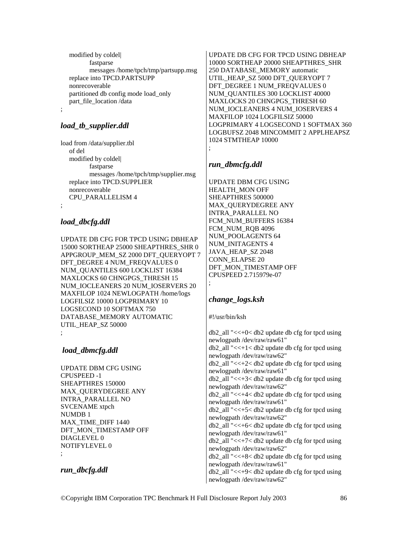modified by coldel| fastparse messages /home/tpch/tmp/partsupp.msg replace into TPCD.PARTSUPP nonrecoverable partitioned db config mode load\_only part\_file\_location /data

## *load\_tb\_supplier.ddl*

;

load from /data/supplier.tbl of del modified by coldel| fastparse messages /home/tpch/tmp/supplier.msg replace into TPCD.SUPPLIER nonrecoverable CPU\_PARALLELISM 4 ;

# *load\_dbcfg.ddl*

UPDATE DB CFG FOR TPCD USING DBHEAP 15000 SORTHEAP 25000 SHEAPTHRES\_SHR 0 APPGROUP\_MEM\_SZ 2000 DFT\_OUERYOPT 7 DFT\_DEGREE 4 NUM\_FREQVALUES 0 NUM\_QUANTILES 600 LOCKLIST 16384 MAXLOCKS 60 CHNGPGS\_THRESH 15 NUM\_IOCLEANERS 20 NUM\_IOSERVERS 20 MAXFILOP 1024 NEWLOGPATH /home/logs LOGFILSIZ 10000 LOGPRIMARY 10 LOGSECOND 10 SOFTMAX 750 DATABASE\_MEMORY AUTOMATIC UTIL\_HEAP\_SZ 50000 ;

*load\_dbmcfg.ddl* 

UPDATE DBM CFG USING CPUSPEED -1 SHEAPTHRES 150000 MAX\_QUERYDEGREE ANY INTRA\_PARALLEL NO SVCENAME xtpch NUMDB 1 MAX\_TIME\_DIFF 1440 DFT\_MON\_TIMESTAMP OFF DIAGLEVEL 0 NOTIFYLEVEL 0 ;

## *run\_dbcfg.ddl*

UPDATE DB CFG FOR TPCD USING DBHEAP 10000 SORTHEAP 20000 SHEAPTHRES\_SHR 250 DATABASE\_MEMORY automatic UTIL\_HEAP\_SZ 5000 DFT\_QUERYOPT 7 DFT\_DEGREE 1 NUM\_FREQVALUES 0 NUM\_QUANTILES 300 LOCKLIST 40000 MAXLOCKS 20 CHNGPGS THRESH 60 NUM\_IOCLEANERS 4 NUM\_IOSERVERS 4 MAXFILOP 1024 LOGFILSIZ 50000 LOGPRIMARY 4 LOGSECOND 1 SOFTMAX 360 LOGBUFSZ 2048 MINCOMMIT 2 APPLHEAPSZ 1024 STMTHEAP 10000

# *run\_dbmcfg.ddl*

;

UPDATE DBM CFG USING HEALTH\_MON OFF SHEAPTHRES 500000 MAX\_QUERYDEGREE ANY INTRA\_PARALLEL NO FCM\_NUM\_BUFFERS 16384 FCM\_NUM\_RQB 4096 NUM\_POOLAGENTS 64 NUM\_INITAGENTS 4 JAVA\_HEAP\_SZ 2048 CONN\_ELAPSE 20 DFT\_MON\_TIMESTAMP OFF CPUSPEED 2.715979e-07 ;

## *change\_logs.ksh*

#!/usr/bin/ksh

 $db2$  all " $<<+0<$  db2 update db cfg for tpcd using newlogpath /dev/raw/raw61"  $db2$ \_all "<< $+1$ <  $db2$  update db cfg for tpcd using newlogpath /dev/raw/raw62" db2\_all "<<+2< db2 update db cfg for tpcd using newlogpath /dev/raw/raw61" db2\_all "<<+3< db2 update db cfg for tpcd using newlogpath /dev/raw/raw62"  $db2$  all " $<<+4< db2$  update db cfg for tpcd using newlogpath /dev/raw/raw61"  $db2$  all " $<<+5< db2$  update db cfg for tpcd using newlogpath /dev/raw/raw62" db2\_all "<<+6< db2 update db cfg for tpcd using newlogpath /dev/raw/raw61" db2 all " $<<+7<$  db2 update db cfg for tpcd using newlogpath /dev/raw/raw62" db2\_all "<<+8< db2 update db cfg for tpcd using newlogpath /dev/raw/raw61"

db2\_all "<<+9< db2 update db cfg for tpcd using newlogpath /dev/raw/raw62"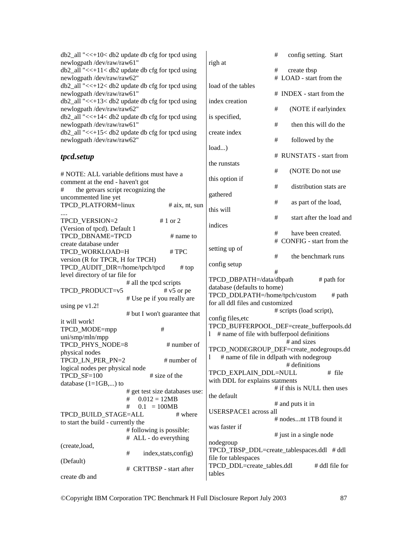| $db2$ _all "<<+10< $db2$ update db cfg for tpcd using<br>newlogpath /dev/raw/raw61" |                                |                       | righ at                                                       | $\#$    |                          | config setting. Start       |
|-------------------------------------------------------------------------------------|--------------------------------|-----------------------|---------------------------------------------------------------|---------|--------------------------|-----------------------------|
| $db2$ _all "<<+11< $db2$ update db cfg for tpcd using                               |                                |                       |                                                               | #       | create tbsp              |                             |
| newlogpath /dev/raw/raw62"                                                          |                                |                       |                                                               |         | # LOAD - start from the  |                             |
| db2_all "<<+12< db2 update db cfg for tpcd using                                    |                                |                       | load of the tables                                            |         |                          |                             |
| newlogpath /dev/raw/raw61"                                                          |                                |                       |                                                               |         | # INDEX - start from the |                             |
| db2_all "<<+13< db2 update db cfg for tpcd using                                    |                                |                       | index creation                                                |         |                          |                             |
| newlogpath /dev/raw/raw62"                                                          |                                |                       |                                                               | #       |                          | (NOTE if earlyindex         |
| db2_all "<<+14< db2 update db cfg for tpcd using                                    |                                |                       | is specified,                                                 |         |                          |                             |
| newlogpath/dev/raw/raw61"                                                           |                                |                       |                                                               | #       |                          | then this will do the       |
| db2_all "<<+15< db2 update db cfg for tpcd using                                    |                                |                       | create index                                                  |         |                          |                             |
| newlogpath /dev/raw/raw62"                                                          |                                |                       |                                                               | #       | followed by the          |                             |
|                                                                                     |                                |                       | $load$ )                                                      |         |                          |                             |
| tpcd.setup                                                                          |                                |                       |                                                               |         |                          | # RUNSTATS - start from     |
|                                                                                     |                                |                       | the runstats                                                  |         |                          |                             |
| # NOTE: ALL variable defitions must have a                                          |                                |                       |                                                               | #       |                          | (NOTE Do not use            |
| comment at the end - haven't got                                                    |                                |                       | this option if                                                |         |                          |                             |
| the getvars script recognizing the<br>#                                             |                                |                       |                                                               | #       |                          | distribution stats are      |
| uncommented line yet                                                                |                                |                       | gathered                                                      |         |                          |                             |
| TPCD_PLATFORM=linux                                                                 |                                | $# a$ ix, nt, sun     |                                                               | $^{\#}$ |                          | as part of the load,        |
|                                                                                     |                                |                       | this will                                                     |         |                          |                             |
| TPCD VERSION=2                                                                      |                                | # 1 or 2              |                                                               | #       |                          | start after the load and    |
| (Version of tpcd). Default 1                                                        |                                |                       | indices                                                       |         |                          |                             |
| TPCD_DBNAME=TPCD                                                                    |                                | # name to             |                                                               | #       |                          | have been created.          |
| create database under                                                               |                                |                       |                                                               |         |                          | # CONFIG - start from the   |
| TPCD_WORKLOAD=H                                                                     |                                | #TPC                  | setting up of                                                 |         |                          |                             |
| version (R for TPCR, H for TPCH)                                                    |                                |                       |                                                               | #       |                          | the benchmark runs          |
| TPCD_AUDIT_DIR=/home/tpch/tpcd                                                      |                                | # top                 | config setup                                                  | #       |                          |                             |
| level directory of tar file for                                                     |                                |                       |                                                               |         |                          |                             |
|                                                                                     | # all the tpcd scripts         |                       | TPCD_DBPATH=/data/dbpath                                      |         |                          | # path for                  |
| TPCD_PRODUCT=v5                                                                     |                                | $# v5$ or pe          | database (defaults to home)<br>TPCD_DDLPATH=/home/tpch/custom |         |                          | $#$ path                    |
|                                                                                     | # Use pe if you really are     |                       | for all ddl files and customized                              |         |                          |                             |
| using pe $v1.2!$                                                                    |                                |                       |                                                               |         | # scripts (load script), |                             |
|                                                                                     | # but I won't guarantee that   |                       | config files, etc                                             |         |                          |                             |
| it will work!                                                                       |                                |                       | TPCD_BUFFERPOOL_DEF=create_bufferpools.dd                     |         |                          |                             |
| TPCD_MODE=mpp                                                                       | #                              |                       | # name of file with bufferpool definitions<br>1               |         |                          |                             |
| uni/smp/mln/mpp                                                                     |                                |                       |                                                               |         | # and sizes              |                             |
| TPCD_PHYS_NODE=8                                                                    |                                | # number of           | TPCD_NODEGROUP_DEF=create_nodegroups.dd                       |         |                          |                             |
| physical nodes                                                                      |                                |                       | # name of file in ddlpath with nodegroup<br>1                 |         |                          |                             |
| TPCD_LN_PER_PN=2<br>logical nodes per physical node                                 |                                | # number of           |                                                               |         | # definitions            |                             |
|                                                                                     |                                | # size of the         | TPCD_EXPLAIN_DDL=NULL                                         |         |                          | # file                      |
| TPCD_SF=100<br>database $(1=1GB,)$ to                                               |                                |                       | with DDL for explains statments                               |         |                          |                             |
|                                                                                     | # get test size databases use: |                       |                                                               |         |                          | # if this is NULL then uses |
|                                                                                     | $0.012 = 12MB$<br>#            |                       | the default                                                   |         |                          |                             |
|                                                                                     | #<br>$0.1 = 100MB$             |                       |                                                               |         | # and puts it in         |                             |
| TPCD_BUILD_STAGE=ALL                                                                |                                | # where               | <b>USERSPACE1</b> across all                                  |         |                          |                             |
| to start the build - currently the                                                  |                                |                       |                                                               |         | # nodesnt 1TB found it   |                             |
|                                                                                     | # following is possible:       |                       | was faster if                                                 |         |                          |                             |
|                                                                                     | # ALL - do everything          |                       |                                                               |         | # just in a single node  |                             |
| (create,load,                                                                       |                                |                       | nodegroup                                                     |         |                          |                             |
|                                                                                     | #                              | index, stats, config) | TPCD_TBSP_DDL=create_tablespaces.ddl #ddl                     |         |                          |                             |
| (Default)                                                                           |                                |                       | file for tablespaces                                          |         |                          |                             |
|                                                                                     | # CRTTBSP - start after        |                       | TPCD_DDL=create_tables.ddl                                    |         |                          | # ddl file for              |
| create db and                                                                       |                                |                       | tables                                                        |         |                          |                             |
|                                                                                     |                                |                       |                                                               |         |                          |                             |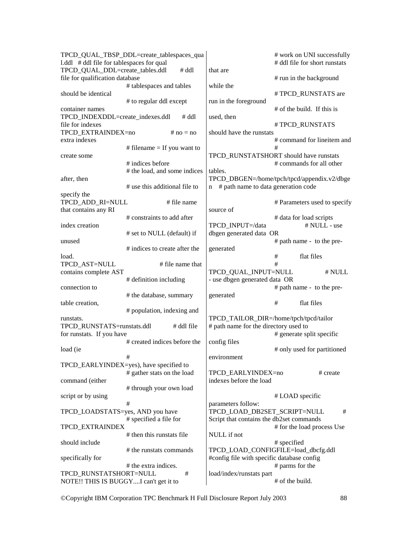|                                           | TPCD_QUAL_TBSP_DDL=create_tablespaces_qua |                                                    | # work on UNI successfully                  |  |
|-------------------------------------------|-------------------------------------------|----------------------------------------------------|---------------------------------------------|--|
| 1.ddl # ddl file for tablespaces for qual |                                           |                                                    | # ddl file for short runstats               |  |
| TPCD_QUAL_DDL=create_tables.ddl           | $#$ ddl                                   | that are                                           |                                             |  |
| file for qualification database           |                                           |                                                    | # run in the background                     |  |
|                                           | # tablespaces and tables                  | while the                                          |                                             |  |
| should be identical                       |                                           |                                                    | #TPCD RUNSTATS are                          |  |
|                                           | # to regular ddl except                   | run in the foreground                              |                                             |  |
| container names                           |                                           |                                                    | # of the build. If this is                  |  |
| TPCD_INDEXDDL=create_indexes.ddl          | $#$ ddl                                   | used, then                                         |                                             |  |
| file for indexes                          |                                           | #TPCD_RUNSTATS                                     |                                             |  |
| TPCD_EXTRAINDEX=no                        | # $no = no$                               | should have the runstats                           |                                             |  |
| extra indexes                             |                                           |                                                    | # command for lineitem and<br>#             |  |
|                                           | # filename $=$ If you want to             |                                                    | TPCD_RUNSTATSHORT should have runstats      |  |
| create some                               | # indices before                          |                                                    | # commands for all other                    |  |
|                                           | # the load, and some indices              | tables.                                            |                                             |  |
| after, then                               |                                           |                                                    | TPCD_DBGEN=/home/tpch/tpcd/appendix.v2/dbge |  |
|                                           | # use this additional file to             | # path name to data generation code<br>$\mathbf n$ |                                             |  |
| specify the                               |                                           |                                                    |                                             |  |
| TPCD_ADD_RI=NULL                          | # file name                               |                                                    | # Parameters used to specify                |  |
| that contains any RI                      |                                           | source of                                          |                                             |  |
|                                           | # constraints to add after                |                                                    | # data for load scripts                     |  |
| index creation                            |                                           | TPCD INPUT=/data                                   | # NULL - use                                |  |
|                                           | # set to NULL (default) if                | dbgen generated data OR                            |                                             |  |
| unused                                    |                                           |                                                    | # path name - to the pre-                   |  |
|                                           | # indices to create after the             | generated                                          |                                             |  |
| load.                                     |                                           |                                                    | $\#$<br>flat files                          |  |
| TPCD_AST=NULL                             | # file name that                          |                                                    | #                                           |  |
| contains complete AST                     |                                           | TPCD_QUAL_INPUT=NULL                               | # NULL                                      |  |
|                                           | # definition including                    | - use dbgen generated data OR                      |                                             |  |
| connection to                             |                                           |                                                    | # path name - to the pre-                   |  |
|                                           | # the database, summary                   | generated                                          |                                             |  |
| table creation,                           |                                           |                                                    | flat files<br>#                             |  |
|                                           | # population, indexing and                |                                                    |                                             |  |
| runstats.                                 |                                           | TPCD_TAILOR_DIR=/home/tpch/tpcd/tailor             |                                             |  |
| TPCD_RUNSTATS=runstats.ddl                | # ddl file                                | # path name for the directory used to              |                                             |  |
| for runstats. If you have                 |                                           |                                                    | # generate split specific                   |  |
|                                           | # created indices before the              | config files                                       |                                             |  |
| load (ie                                  |                                           |                                                    | # only used for partitioned                 |  |
|                                           | #                                         | environment                                        |                                             |  |
|                                           | TPCD_EARLYINDEX=yes), have specified to   |                                                    |                                             |  |
|                                           | # gather stats on the load                | TPCD_EARLYINDEX=no                                 | # create                                    |  |
| command (either                           |                                           | indexes before the load                            |                                             |  |
|                                           | # through your own load                   |                                                    |                                             |  |
| script or by using                        |                                           |                                                    | # LOAD specific                             |  |
|                                           | #                                         | parameters follow:                                 |                                             |  |
| TPCD_LOADSTATS=yes, AND you have          |                                           | TPCD_LOAD_DB2SET_SCRIPT=NULL                       | #                                           |  |
| TPCD_EXTRAINDEX                           | # specified a file for                    | Script that contains the db2set commands           |                                             |  |
|                                           | # then this runstats file                 | NULL if not                                        | # for the load process Use                  |  |
| should include                            |                                           |                                                    | # specified                                 |  |
|                                           | # the runstats commands                   | TPCD_LOAD_CONFIGFILE=load_dbcfg.ddl                |                                             |  |
| specifically for                          |                                           | #config file with specific database config         |                                             |  |
|                                           | # the extra indices.                      |                                                    | # parms for the                             |  |
| TPCD_RUNSTATSHORT=NULL                    | #                                         | load/index/runstats part                           |                                             |  |
| NOTE!! THIS IS BUGGYI can't get it to     |                                           |                                                    | # of the build.                             |  |
|                                           |                                           |                                                    |                                             |  |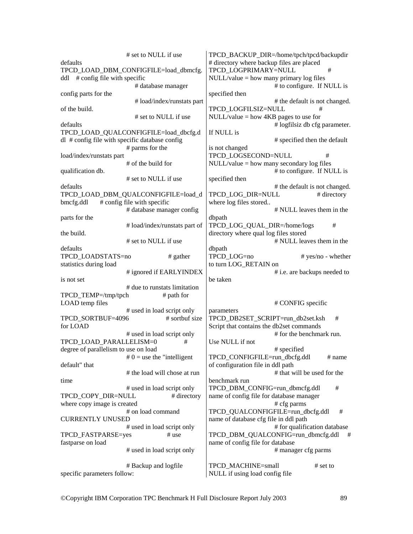# set to NULL if use defaults TPCD\_LOAD\_DBM\_CONFIGFILE=load\_dbmcfg. ddl # config file with specific # database manager config parts for the # load/index/runstats part of the build. # set to NULL if use defaults TPCD\_LOAD\_QUALCONFIGFILE=load\_dbcfg.d dl # config file with specific database config # parms for the load/index/runstats part # of the build for qualification db. # set to NULL if use defaults TPCD\_LOAD\_DBM\_QUALCONFIGFILE=load\_d  $bmcfg$ .ddl  $\#$  config file with specific # database manager config parts for the # load/index/runstats part of the build. # set to NULL if use defaults TPCD LOADSTATS=no # gather statistics during load # ignored if EARLYINDEX is not set # due to runstats limitation TPCD TEMP $=$ /tmp/tpch  $#$  path for LOAD temp files # used in load script only TPCD SORTBUF=4096 # sortbuf size for LOAD # used in load script only TPCD\_LOAD\_PARALLELISM=0 # degree of parallelism to use on load  $# 0 =$  use the "intelligent" default" that # the load will chose at run time # used in load script only TPCD COPY DIR=NULL # directory where copy image is created # on load command CURRENTLY UNUSED # used in load script only TPCD FASTPARSE=yes # use fastparse on load # used in load script only # Backup and logfile specific parameters follow: TPCD\_BACKUP\_DIR=/home/tpch/tpcd/backupdir # directory where backup files are placed TPCD\_LOGPRIMARY=NULL #  $NULL/value = how many primary log files$  # to configure. If NULL is specified then # the default is not changed. TPCD\_LOGFILSIZ=NULL # NULL/value = how 4KB pages to use for # logfilsiz db cfg parameter. If NULL is # specified then the default is not changed TPCD\_LOGSECOND=NULL # NULL/value = how many secondary log files # to configure. If NULL is specified then # the default is not changed. TPCD LOG DIR=NULL # directory where log files stored.. # NULL leaves them in the dbpath TPCD LOG QUAL DIR=/home/logs # directory where qual log files stored # NULL leaves them in the dbpath<br>TPCD LOG=no # yes/no - whether to turn LOG\_RETAIN on # i.e. are backups needed to be taken # CONFIG specific parameters TPCD\_DB2SET\_SCRIPT=run\_db2set.ksh # Script that contains the db2set commands # for the benchmark run. Use NULL if not # specified TPCD CONFIGFILE=run\_dbcfg.ddl # name of configuration file in ddl path # that will be used for the benchmark run TPCD\_DBM\_CONFIG=run\_dbmcfg.ddl # name of config file for database manager # cfg parms TPCD\_QUALCONFIGFILE=run\_dbcfg.ddl # name of database cfg file in ddl path # for qualification database TPCD\_DBM\_QUALCONFIG=run\_dbmcfg.ddl # name of config file for database # manager cfg parms TPCD MACHINE=small # set to NULL if using load config file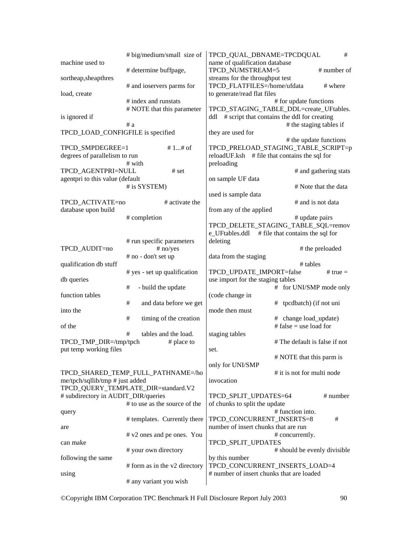|                                     | # big/medium/small size of          | TPCD_QUAL_DBNAME=TPCDQUAL                     |                                             | # |
|-------------------------------------|-------------------------------------|-----------------------------------------------|---------------------------------------------|---|
| machine used to                     |                                     | name of qualification database                |                                             |   |
|                                     | # determine buffpage,               | TPCD_NUMSTREAM=5                              | # number of                                 |   |
| sortheap, sheapthres                |                                     | streams for the throughput test               |                                             |   |
|                                     | # and ioservers parms for           | TPCD_FLATFILES=/home/ufdata                   | # where                                     |   |
| load, create                        |                                     | to generate/read flat files                   |                                             |   |
|                                     | # index and runstats                |                                               | # for update functions                      |   |
|                                     | # NOTE that this parameter          |                                               | TPCD_STAGING_TABLE_DDL=create_UFtables.     |   |
| is ignored if                       |                                     | ddl                                           | # script that contains the ddl for creating |   |
| TPCD_LOAD_CONFIGFILE is specified   | #a                                  |                                               | # the staging tables if                     |   |
|                                     |                                     | they are used for                             | # the update functions                      |   |
| TPCD_SMPDEGREE=1                    | # 1# of                             |                                               | TPCD_PRELOAD_STAGING_TABLE_SCRIPT=p         |   |
| degrees of parallelism to run       |                                     | reloadUF.ksh # file that contains the sql for |                                             |   |
|                                     | # with                              | preloading                                    |                                             |   |
| TPCD_AGENTPRI=NULL                  | # set                               |                                               | # and gathering stats                       |   |
| agentpri to this value (default     |                                     | on sample UF data                             |                                             |   |
|                                     | # is SYSTEM)                        |                                               | # Note that the data                        |   |
|                                     |                                     | used is sample data                           |                                             |   |
| TPCD_ACTIVATE=no                    | # activate the                      |                                               | # and is not data                           |   |
| database upon build                 |                                     | from any of the applied                       |                                             |   |
|                                     | # completion                        |                                               | # update pairs                              |   |
|                                     |                                     |                                               | TPCD_DELETE_STAGING_TABLE_SQL=remov         |   |
|                                     |                                     | e_UFtables.ddl                                | # file that contains the sql for            |   |
|                                     | # run specific parameters           | deleting                                      |                                             |   |
| TPCD_AUDIT=no                       | # no/yes                            |                                               | # the preloaded                             |   |
|                                     | # no - don't set up                 | data from the staging                         |                                             |   |
| qualification db stuff              |                                     |                                               | # tables                                    |   |
|                                     | # yes - set up qualification        | TPCD_UPDATE_IMPORT=false                      | # true $=$                                  |   |
| db queries                          |                                     | use import for the staging tables             |                                             |   |
| function tables                     | #<br>- build the update             |                                               | # for UNI/SMP mode only                     |   |
|                                     | #<br>and data before we get         | (code change in                               | # tpcdbatch) (if not uni                    |   |
| into the                            |                                     | mode then must                                |                                             |   |
|                                     | $\#$<br>timing of the creation      |                                               | # change load_update)                       |   |
| of the                              |                                     |                                               | # false = use load for                      |   |
|                                     | #<br>tables and the load.           | staging tables                                |                                             |   |
| TPCD_TMP_DIR=/tmp/tpch              | # place to                          |                                               | # The default is false if not               |   |
| put temp working files              |                                     | set.                                          |                                             |   |
|                                     |                                     |                                               | # NOTE that this parm is                    |   |
|                                     |                                     | only for UNI/SMP                              |                                             |   |
|                                     | TPCD_SHARED_TEMP_FULL_PATHNAME=/ho  |                                               | # it is not for multi node                  |   |
| me/tpch/sqllib/tmp # just added     |                                     | invocation                                    |                                             |   |
|                                     | TPCD_QUERY_TEMPLATE_DIR=standard.V2 |                                               |                                             |   |
| # subdirectory in AUDIT_DIR/queries |                                     | TPCD SPLIT UPDATES=64                         | # number                                    |   |
|                                     | # to use as the source of the       | of chunks to split the update                 |                                             |   |
| query                               |                                     |                                               | # function into.                            |   |
|                                     | # templates. Currently there        | TPCD_CONCURRENT_INSERTS=8                     | #                                           |   |
| are                                 |                                     | number of insert chunks that are run          |                                             |   |
|                                     | # v2 ones and pe ones. You          |                                               | # concurrently.                             |   |
| can make                            |                                     | TPCD_SPLIT_UPDATES                            |                                             |   |
| following the same                  | # your own directory                | by this number                                | # should be evenly divisible                |   |
|                                     | # form as in the v2 directory       | TPCD_CONCURRENT_INSERTS_LOAD=4                |                                             |   |
| using                               |                                     | # number of insert chunks that are loaded     |                                             |   |
|                                     | # any variant you wish              |                                               |                                             |   |
|                                     |                                     |                                               |                                             |   |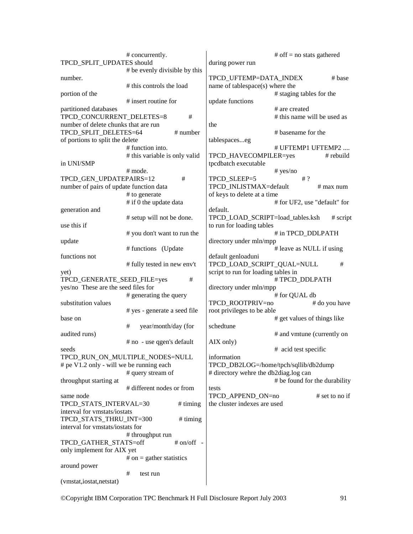|                                          | # concurrently.                 |                                       | # off = no stats gathered     |
|------------------------------------------|---------------------------------|---------------------------------------|-------------------------------|
| TPCD_SPLIT_UPDATES should                |                                 | during power run                      |                               |
|                                          | # be evenly divisible by this   |                                       |                               |
| number.                                  |                                 | TPCD_UFTEMP=DATA_INDEX                | $# \text{base}$               |
|                                          | # this controls the load        | name of tablespace(s) where the       |                               |
| portion of the                           |                                 |                                       | # staging tables for the      |
|                                          | # insert routine for            | update functions                      |                               |
| partitioned databases                    |                                 |                                       | # are created                 |
| TPCD_CONCURRENT_DELETES=8                | #                               |                                       | # this name will be used as   |
| number of delete chunks that are run     |                                 | the                                   |                               |
| TPCD_SPLIT_DELETES=64                    | $#$ number                      |                                       | # basename for the            |
| of portions to split the delete          |                                 | tablespaceseg                         |                               |
|                                          | # function into.                |                                       | # UFTEMP1 UFTEMP2             |
|                                          | # this variable is only valid   | TPCD_HAVECOMPILER=yes                 | # rebuild                     |
| in UNI/SMP                               |                                 | tpcdbatch executable                  |                               |
|                                          | # mode.                         |                                       | # yes/no                      |
| TPCD_GEN_UPDATEPAIRS=12                  | #                               | TPCD_SLEEP=5                          | # 2                           |
| number of pairs of update function data  |                                 | TPCD INLISTMAX=default                | $#$ max num                   |
|                                          | # to generate                   | of keys to delete at a time           |                               |
|                                          | # if 0 the update data          |                                       | # for UF2, use "default" for  |
| generation and                           |                                 | default.                              |                               |
|                                          | # setup will not be done.       | TPCD_LOAD_SCRIPT=load_tables.ksh      | $#$ script                    |
| use this if                              |                                 | to run for loading tables             |                               |
|                                          | # you don't want to run the     |                                       | # in TPCD DDLPATH             |
| update                                   |                                 | directory under mln/mpp               |                               |
|                                          | # functions (Update             |                                       | # leave as NULL if using      |
| functions not                            |                                 | default genloaduni                    |                               |
|                                          | # fully tested in new env't     | TPCD_LOAD_SCRIPT_QUAL=NULL            | #                             |
| yet)                                     |                                 | script to run for loading tables in   |                               |
| TPCD_GENERATE_SEED_FILE=yes              | #                               |                                       | #TPCD_DDLPATH                 |
| yes/no These are the seed files for      |                                 | directory under mln/mpp               |                               |
|                                          | # generating the query          |                                       | # for QUAL db                 |
| substitution values                      |                                 | TPCD_ROOTPRIV=no                      | # do you have                 |
|                                          | # yes - generate a seed file    | root privileges to be able            |                               |
| base on                                  |                                 |                                       | # get values of things like   |
|                                          | #<br>year/month/day (for        | schedtune                             |                               |
| audited runs)                            |                                 |                                       | # and vmtune (currently on    |
|                                          | # no - use qgen's default       | AIX only)                             |                               |
| seeds                                    |                                 |                                       | # acid test specific          |
|                                          | TPCD_RUN_ON_MULTIPLE_NODES=NULL | information                           |                               |
| # pe V1.2 only - will we be running each |                                 | TPCD_DB2LOG=/home/tpch/sqllib/db2dump |                               |
|                                          | # query stream of               | # directory wehre the db2diag.log can |                               |
| throughput starting at                   |                                 |                                       | # be found for the durability |
|                                          | # different nodes or from       | tests                                 |                               |
| same node                                |                                 | TPCD_APPEND_ON=no                     | $#$ set to no if              |
| TPCD_STATS_INTERVAL=30                   | # timing                        | the cluster indexes are used          |                               |
| interval for vmstats/iostats             |                                 |                                       |                               |
| TPCD_STATS_THRU_INT=300                  | $#$ timing                      |                                       |                               |
| interval for vmstats/iostats for         |                                 |                                       |                               |
|                                          | # throughput run                |                                       |                               |
| TPCD_GATHER_STATS=off                    | $# on/off -$                    |                                       |                               |
| only implement for AIX yet               |                                 |                                       |                               |
|                                          | # on = gather statistics        |                                       |                               |
| around power                             |                                 |                                       |                               |
|                                          | #<br>test run                   |                                       |                               |
| (vmstat, iostat, netstat)                |                                 |                                       |                               |
|                                          |                                 |                                       |                               |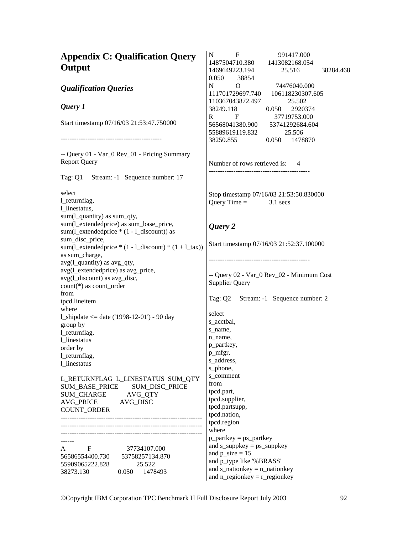| <b>Appendix C: Qualification Query</b>                                                      | $\mathbf F$<br>991417.000<br>N<br>1487504710.380<br>1413082168.054 |
|---------------------------------------------------------------------------------------------|--------------------------------------------------------------------|
| Output                                                                                      | 1469649223.194<br>25.516<br>38284.468                              |
|                                                                                             | 0.050<br>38854                                                     |
| <b>Qualification Queries</b>                                                                | N<br>O<br>74476040.000<br>111701729697.740<br>106118230307.605     |
|                                                                                             | 110367043872.497<br>25.502                                         |
| Query 1                                                                                     | 2920374<br>38249.118<br>0.050                                      |
|                                                                                             | 37719753.000<br>R<br>F                                             |
| Start timestamp 07/16/03 21:53:47.750000                                                    | 56568041380.900<br>53741292684.604                                 |
|                                                                                             | 55889619119.832<br>25.506<br>38250.855<br>1478870<br>0.050         |
|                                                                                             |                                                                    |
| -- Query 01 - Var_0 Rev_01 - Pricing Summary                                                |                                                                    |
| <b>Report Query</b>                                                                         | Number of rows retrieved is: 4                                     |
| Tag: Q1 Stream: -1 Sequence number: 17                                                      |                                                                    |
| select                                                                                      | Stop timestamp 07/16/03 21:53:50.830000                            |
| 1_returnflag,                                                                               | Query Time $=$<br>$3.1$ secs                                       |
| 1_linestatus,                                                                               |                                                                    |
| sum(l_quantity) as sum_qty,                                                                 |                                                                    |
| sum(l_extendedprice) as sum_base_price,<br>sum( $l$ _extendedprice $*(1 - l$ _discount)) as | Query 2                                                            |
| sum_disc_price,                                                                             |                                                                    |
| sum(1_extendedprice $*(1 - 1_d \text{iscount}) * (1 + 1_d \text{ax}))$                      | Start timestamp 07/16/03 21:52:37.100000                           |
| as sum_charge,                                                                              |                                                                    |
| avg(l_quantity) as avg_qty,<br>avg(l_extendedprice) as avg_price,                           |                                                                    |
| avg(l_discount) as avg_disc,                                                                | -- Query 02 - Var_0 Rev_02 - Minimum Cost                          |
| count(*) as count_order                                                                     | <b>Supplier Query</b>                                              |
| from                                                                                        | Tag: Q2 Stream: -1 Sequence number: 2                              |
| tpcd.lineitem<br>where                                                                      |                                                                    |
| 1_shipdate $\le$ date ('1998-12-01') - 90 day                                               | select                                                             |
| group by                                                                                    | s_acctbal,                                                         |
| l_returnflag,                                                                               | s_name,<br>n_name,                                                 |
| 1_linestatus                                                                                | p_partkey,                                                         |
| order by<br>l_returnflag,                                                                   | p_mfgr,                                                            |
| 1 linestatus                                                                                | s_address,                                                         |
|                                                                                             | s_phone,<br>s comment                                              |
| L_RETURNFLAG L_LINESTATUS SUM_QTY                                                           | from                                                               |
| SUM_BASE_PRICE<br>SUM_DISC_PRICE<br><b>SUM_CHARGE</b><br>AVG_QTY                            | tpcd.part,                                                         |
| <b>AVG_PRICE</b><br>AVG_DISC                                                                | tpcd.supplier,                                                     |
| COUNT_ORDER                                                                                 | tpcd.partsupp,<br>tpcd.nation,                                     |
|                                                                                             | tpcd.region                                                        |
|                                                                                             | where                                                              |
|                                                                                             | $p$ _partkey = ps_partkey                                          |
| A F<br>37734107.000                                                                         | and $s$ _suppkey = $ps$ _suppkey                                   |
| 56586554400.730<br>53758257134.870                                                          | and $p\_size = 15$<br>and p_type like '%BRASS'                     |
| 55909065222.828<br>25.522                                                                   | and $s$ _nationkey = $n$ _nationkey                                |
| 38273.130<br>0.050 1478493                                                                  | and $n$ _regionkey = $r$ _regionkey                                |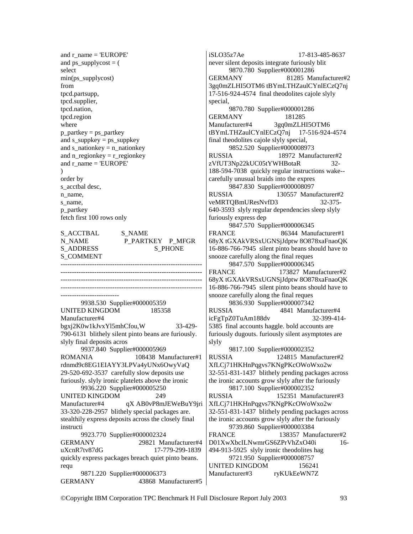and  $r$  name = 'EUROPE' and  $ps\_supply cost = ($ select min(ps\_supplycost) from tpcd.partsupp, tpcd.supplier, tpcd.nation, tpcd.region where  $p$ \_partkey =  $ps$ \_partkey and  $s$ \_suppkey =  $ps$ \_suppkey and s\_nationkey = n\_nationkey and  $n$ \_regionkey =  $r$ \_regionkey and r\_name = 'EUROPE' ) order by s acctbal desc, n\_name, s\_name, p\_partkey fetch first 100 rows only

S\_ACCTBAL S\_NAME N\_NAME P\_PARTKEY P\_MFGR S\_ADDRESS S\_PHONE S\_COMMENT

---------------------------------------------------------------

--------------------------------------------------------------- --------------------------------------------------------------- --------------------------------------------------------------- -------------------------- 9938.530 Supplier#000005359 UNITED KINGDOM 185358 Manufacturer#4 bgxj2K0w1kJvxYl5mhCfou,W 33-429- 790-6131 blithely silent pinto beans are furiously. slyly final deposits acros 9937.840 Supplier#000005969 ROMANIA 108438 Manufacturer#1 rdnmd9c8EG1EIAYY3LPVa4yUNx6OwyVaQ 29-520-692-3537 carefully slow deposits use furiously. slyly ironic platelets above the ironic 9936.220 Supplier#000005250 UNITED KINGDOM 249 Manufacturer#4 qX AB0vP8mJEWeBuY9jri 33-320-228-2957 blithely special packages are. stealthily express deposits across the closely final instructi 9923.770 Supplier#000002324 GERMANY 29821 Manufacturer#4 uXcnR7tv87dG 17-779-299-1839 quickly express packages breach quiet pinto beans. requ 9871.220 Supplier#000006373 GERMANY 43868 Manufacturer#5 iSLO35z7Ae 17-813-485-8637 never silent deposits integrate furiously blit 9870.780 Supplier#000001286 GERMANY 81285 Manufacturer#2 3gq0mZLHI5OTM6 tBYmLTHZaulCYnlECzQ7nj 17-516-924-4574 final theodolites cajole slyly special, 9870.780 Supplier#000001286 GERMANY 181285 Manufacturer#4 3gq0mZLHI5OTM6 tBYmLTHZaulCYnlECzQ7nj 17-516-924-4574 final theodolites cajole slyly special, 9852.520 Supplier#000008973 RUSSIA 18972 Manufacturer#2 zVfUT3Np22kUC05tYWHBotaR 32- 188-594-7038 quickly regular instructions wake- carefully unusual braids into the expres 9847.830 Supplier#000008097 RUSSIA 130557 Manufacturer#2 veMRTQBmUResNvfD3 32-375- 640-3593 slyly regular dependencies sleep slyly furiously express dep 9847.570 Supplier#000006345 FRANCE 86344 Manufacturer#1 68yX tGXAkVRSxUGNSjJdptw 8O878xaFnaoQK 16-886-766-7945 silent pinto beans should have to snooze carefully along the final reques 9847.570 Supplier#000006345 FRANCE 173827 Manufacturer#2 68yX tGXAkVRSxUGNSjJdptw 8O878xaFnaoQK 16-886-766-7945 silent pinto beans should have to snooze carefully along the final reques 9836.930 Supplier#000007342 RUSSIA 4841 Manufacturer#4 icFgTpZ0TuAm188dv 32-399-414- 5385 final accounts haggle. bold accounts are furiously dugouts. furiously silent asymptotes are slyly 9817.100 Supplier#000002352 RUSSIA 124815 Manufacturer#2 XfLCj71HKHnPqgvs7KNgPKcOWoWxo2w 32-551-831-1437 blithely pending packages across the ironic accounts grow slyly after the furiously 9817.100 Supplier#000002352 RUSSIA 152351 Manufacturer#3 XfLCj71HKHnPqgvs7KNgPKcOWoWxo2w 32-551-831-1437 blithely pending packages across the ironic accounts grow slyly after the furiously 9739.860 Supplier#000003384 FRANCE 138357 Manufacturer#2 D01XwXbcILNwmrGS6ZPrVhZxO40i 16- 494-913-5925 slyly ironic theodolites hag 9721.950 Supplier#000008757 UNITED KINGDOM 156241 Manufacturer#3 ryKUkEeWN7Z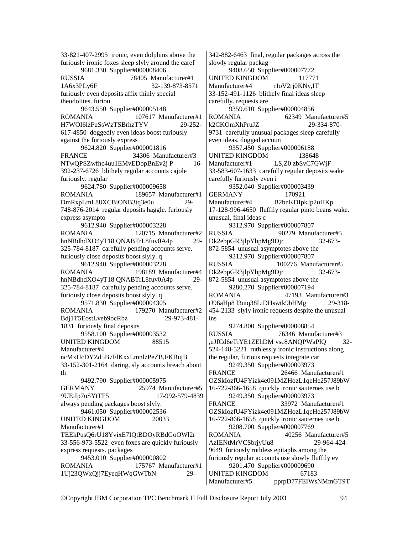33-821-407-2995 ironic, even dolphins above the furiously ironic foxes sleep slyly around the caref 9681.330 Supplier#000008406 RUSSIA 78405 Manufacturer#1 1A6x3PLy6F 32-139-873-8571 furiously even deposits affix thinly special theodolites. furiou 9643.550 Supplier#000005148 ROMANIA 107617 Manufacturer#1 H7WOI6lzFuSsWzTSBrhzTYV 29-252- 617-4850 doggedly even ideas boost furiously against the furiously express 9624.820 Supplier#000001816 FRANCE 34306 Manufacturer#3 NTwQPSZwfhc4uu1EMvEDopBnEv2j P 16-392-237-6726 blithely regular accounts cajole furiously. regular 9624.780 Supplier#000009658 ROMANIA 189657 Manufacturer#1 DmRxpLmL88XCBiONB3tq3e0u 29- 748-876-2014 regular deposits haggle. furiously express asympto 9612.940 Supplier#000003228 ROMANIA 120715 Manufacturer#2 hnNBdhdXO4yT18 QNABTrL8fuv0A4p 29- 325-784-8187 carefully pending accounts serve. furiously close deposits boost slyly. q 9612.940 Supplier#000003228 ROMANIA 198189 Manufacturer#4 hnNBdhdXO4yT18 QNABTrL8fuv0A4p 29- 325-784-8187 carefully pending accounts serve. furiously close deposits boost slyly. q 9571.830 Supplier#000004305 ROMANIA 179270 Manufacturer#2 Bdj1T5EostLveb9ocRbz 29-973-481- 1831 furiously final deposits 9558.100 Supplier#000003532 UNITED KINGDOM 88515 Manufacturer#4 ncMxIJcDYZd5B7FlKxxLmnlzPeZB,FKBujB 33-152-301-2164 daring, sly accounts breach about th 9492.790 Supplier#000005975 GERMANY 25974 Manufacturer#5 9UEiIp7uSYtTF5 17-992-579-4839 always pending packages boost slyly. 9461.050 Supplier#000002536 UNITED KINGDOM 20033 Manufacturer#1 TEEkPusQ6rU18YvixE7IQtBDOyRBdGoOWl2r 33-556-973-5522 even foxes are quickly furiously express requests. packages 9453.010 Supplier#000000802 ROMANIA 175767 Manufacturer#1 1Uj23QWxQjj7EyeqHWqGWTbN 29-

342-882-6463 final, regular packages across the slowly regular packag 9408.650 Supplier#000007772 UNITED KINGDOM 117771 Manufacturer#4 rIoV2rj0KNy,IT 33-152-491-1126 blithely final ideas sleep carefully. requests are 9359.610 Supplier#000004856 ROMANIA 62349 Manufacturer#5 k2CKOmXhPruJZ 29-334-870- 9731 carefully unusual packages sleep carefully even ideas. dogged accoun 9357.450 Supplier#000006188 UNITED KINGDOM 138648 Manufacturer#1 LS,Z0 zbSvC7GWjF 33-583-607-1633 carefully regular deposits wake carefully furiously even i 9352.040 Supplier#000003439 GERMANY 170921 Manufacturer#4 B2bnKDIpkJp2uHKp 17-128-996-4650 fluffily regular pinto beans wake. unusual, final ideas c 9312.970 Supplier#000007807 RUSSIA 90279 Manufacturer#5 Dk2ebpGR3jlpYbpMg9Djr 32-673- 872-5854 unusual asymptotes above the 9312.970 Supplier#000007807 RUSSIA 100276 Manufacturer#5 Dk2ebpGR3jlpYbpMg9Djr 32-673- 872-5854 unusual asymptotes above the 9280.270 Supplier#000007194 ROMANIA 47193 Manufacturer#3 tJ96aHp8 l3uiq38LiDHswtk9bHMg 29-318- 454-2133 slyly ironic requests despite the unusual ins 9274.800 Supplier#000008854 RUSSIA 76346 Manufacturer#3 ,uJfCd6eTiYE1ZEhDM vsc8ANQPWaPlQ 32- 524-148-5221 ruthlessly ironic instructions along the regular, furious requests integrate car 9249.350 Supplier#000003973 FRANCE 26466 Manufacturer#1 OZSkIozfU4FYizk4e091MZHozL1qcHe257J89bW 16-722-866-1658 quickly ironic sauternes use b 9249.350 Supplier#000003973 FRANCE 33972 Manufacturer#1 OZSkIozfU4FYizk4e091MZHozL1qcHe257J89bW 16-722-866-1658 quickly ironic sauternes use b 9208.700 Supplier#000007769 ROMANIA 40256 Manufacturer#5 AzIENtMrVCSbrjyUu8 29-964-424- 9649 furiously ruthless epitaphs among the furiously regular accounts use slowly fluffily ev 9201.470 Supplier#000009690 UNITED KINGDOM 67183 Manufacturer#5 pprpD77FEIWsNMmGT9T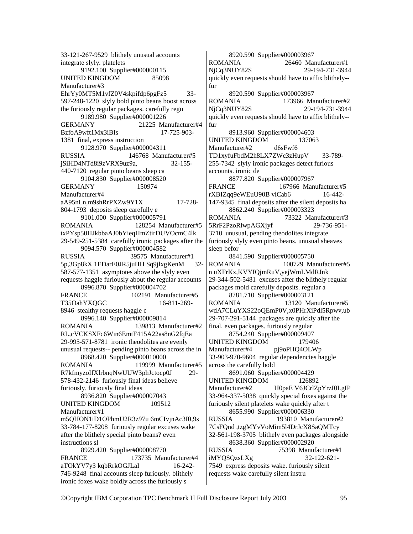33-121-267-9529 blithely unusual accounts integrate slyly. platelets 9192.100 Supplier#000000115 UNITED KINGDOM 85098 Manufacturer#3 EhrYy0MT5M1vfZ0V4skpifdp6pgFz5 33- 597-248-1220 slyly bold pinto beans boost across the furiously regular packages. carefully regu 9189.980 Supplier#000001226 GERMANY 21225 Manufacturer#4 BzfoA9wft1Mx3iBIs 17-725-903- 1381 final, express instruction 9128.970 Supplier#000004311 RUSSIA 146768 Manufacturer#5 jSiHD4NTd8i9zVRX9uz9a, 32-155- 440-7120 regular pinto beans sleep ca 9104.830 Supplier#000008520 GERMANY 150974 Manufacturer#4 aA95nLn,m9shRrPXZw9Y1X 17-728- 804-1793 deposits sleep carefully e 9101.000 Supplier#000005791 ROMANIA 128254 Manufacturer#5 txPYsp50HJkbbaAJ0bYieqHmZtirDUVOcmC4lk 29-549-251-5384 carefully ironic packages after the 9094.570 Supplier#000004582 RUSSIA 39575 Manufacturer#1 5p,3Gp8kX 1EDarE0JR5juHH Sq9jlxgKenM 32- 587-577-1351 asymptotes above the slyly even requests haggle furiously about the regular accounts 8996.870 Supplier#000004702 FRANCE 102191 Manufacturer#5 T35OahYXOGC 16-811-269-8946 stealthy requests haggle c 8996.140 Supplier#000009814 ROMANIA 139813 Manufacturer#2 RL,cVCKSXFc6Win6EmtF415A22as8nG2fqEa 29-995-571-8781 ironic theodolites are evenly unusual requests-- pending pinto beans across the in 8968.420 Supplier#000010000 ROMANIA 119999 Manufacturer#5 R7kfmyzoIfXlrbnqNwUUW3phJctocp0J 29- 578-432-2146 furiously final ideas believe furiously. furiously final ideas 8936.820 Supplier#000007043 UNITED KINGDOM 109512 Manufacturer#1 m5QHON1iD1OPhmU2R3z97u 6mCIvjnAc3I0,9s 33-784-177-8208 furiously regular excuses wake after the blithely special pinto beans? even instructions sl 8929.420 Supplier#000008770 FRANCE 173735 Manufacturer#4 aTOkYV7y3 kqbRrkOGJLaI 16-242-746-9248 final accounts sleep furiously. blithely

ironic foxes wake boldly across the furiously s

 8920.590 Supplier#000003967 ROMANIA 26460 Manufacturer#1 NjCq3NUY82S 29-194-731-3944 quickly even requests should have to affix blithely- fur 8920.590 Supplier#000003967 ROMANIA 173966 Manufacturer#2 NjCq3NUY82S 29-194-731-3944 quickly even requests should have to affix blithely- fur 8913.960 Supplier#000004603 UNITED KINGDOM 137063 Manufacturer#2 d6sFwf6 TD1xyfuFbdM2h8LX7ZWc3zHupV 33-789- 255-7342 slyly ironic packages detect furious accounts. ironic de 8877.820 Supplier#000007967 FRANCE 167966 Manufacturer#5 rXBIZqq9eWEuU90B vlCab6 16-442- 147-9345 final deposits after the silent deposits ha 8862.240 Supplier#000003323 ROMANIA 73322 Manufacturer#3 5RrF2PzoRlwpAGXjyf 29-736-951- 3710 unusual, pending theodolites integrate furiously slyly even pinto beans. unusual sheaves sleep befor 8841.590 Supplier#000005750 ROMANIA 100729 Manufacturer#5 n uXFrKx,KVYIQjmRuV,yejWmLMdRJnk 29-344-502-5481 excuses after the blithely regular packages mold carefully deposits. regular a 8781.710 Supplier#000003121 ROMANIA 13120 Manufacturer#5 wdA7CLuYXS22oQEmP0V,x0PHrXiPdl5Rpwv,ub 29-707-291-5144 packages are quickly after the final, even packages. furiously regular 8754.240 Supplier#000009407 UNITED KINGDOM 179406 Manufacturer#4 pj9oPHQ4OLWp 33-903-970-9604 regular dependencies haggle across the carefully bold 8691.060 Supplier#000004429 UNITED KINGDOM 126892 Manufacturer#2 H0paE V6JCrlZpYrzI0LgIP 33-964-337-5038 quickly special foxes against the furiously silent platelets wake quickly after t 8655.990 Supplier#000006330<br>RUSSIA 193810 Manu 193810 Manufacturer#2 7CsFQnd ,tzgMYvVoMim5l4DrJcX8SaQMTcy 32-561-198-3705 blithely even packages alongside 8638.360 Supplier#000002920 RUSSIA 75398 Manufacturer#1 iMYQSQzsLXg 32-122-621- 7549 express deposits wake. furiously silent requests wake carefully silent instru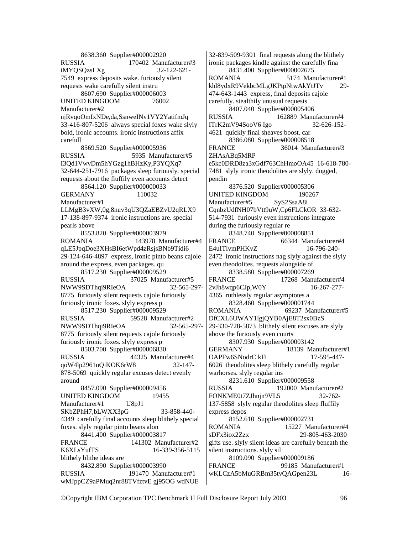8638.360 Supplier#000002920 RUSSIA 170402 Manufacturer#3 iMYQSQzsLXg 32-122-621- 7549 express deposits wake. furiously silent requests wake carefully silent instru 8607.690 Supplier#000006003 UNITED KINGDOM 76002 Manufacturer#2 njRvqoOmIxNDe,da,SsnweINv1VY2YatifmJq 33-416-807-5206 always special foxes wake slyly bold, ironic accounts. ironic instructions affix carefull 8569.520 Supplier#000005936 RUSSIA 5935 Manufacturer#5 I3Qd1VwvDm5hYGzg1hBHzKy,P3YQXq7 32-644-251-7916 packages sleep furiously. special requests about the fluffily even accounts detect 8564.120 Supplier#000000033 GERMANY 110032 Manufacturer#1 LLMgB3vXW,0g,8nuv3qU3QZaEBZvU2qRLX9 17-138-897-9374 ironic instructions are. special pearls above 8553.820 Supplier#000003979 ROMANIA 143978 Manufacturer#4 qLE5JpqDoe3XHsBI6etWpd4zRsjsBNb9Tidi6 29-124-646-4897 express, ironic pinto beans cajole around the express, even packages. qu 8517.230 Supplier#000009529 RUSSIA 37025 Manufacturer#5<br>NWW9SDThqi9RIeOA 32-565-297-NWW9SDThqi9RIeOA 8775 furiously silent requests cajole furiously furiously ironic foxes. slyly express p 8517.230 Supplier#000009529 RUSSIA 59528 Manufacturer#2<br>NWW9SDThai9RIeOA 32-565-297-NWW9SDThqi9RIeOA 8775 furiously silent requests cajole furiously furiously ironic foxes. slyly express p 8503.700 Supplier#000006830 RUSSIA 44325 Manufacturer#4 qoW4lp2961uQiKOK6rW8 32-147- 878-5069 quickly regular excuses detect evenly around 8457.090 Supplier#000009456 UNITED KINGDOM 19455 Manufacturer#1 U8pJ1 SKbZPhH7,bLWXX3pG 33-858-440-4349 carefully final accounts sleep blithely special foxes. slyly regular pinto beans alon 8441.400 Supplier#000003817 FRANCE 141302 Manufacturer#2 K6XLsYufTS 16-339-356-5115 blithely blithe ideas are 8432.890 Supplier#000003990 RUSSIA 191470 Manufacturer#1 wMJppCZ9aPMuq2nr88TVfztvE gj95OG wdNUE

32-839-509-9301 final requests along the blithely ironic packages kindle against the carefully fina 8431.400 Supplier#000002675 ROMANIA 5174 Manufacturer#1 khl8ydxR9VekbcMLgJKPtpNtwAkYtJTv 29- 474-643-1443 express, final deposits cajole carefully. stealthily unusual requests 8407.040 Supplier#000005406 RUSSIA 162889 Manufacturer#4 ITrK2mV94SooV6 Igo 32-626-152- 4621 quickly final sheaves boost. car 8386.080 Supplier#000008518 FRANCE 36014 Manufacturer#3 ZHAsABq5MRP e5kc0DRD8za3xGdf763ChHmoOA45 16-618-780- 7481 slyly ironic theodolites are slyly. dogged, pendin 8376.520 Supplier#000005306 UNITED KINGDOM 190267 Manufacturer#5 SyS2SsaA8i CqnbzUdfNH07bVtt9uW,Cp6FLCkOR 33-632- 514-7931 furiously even instructions integrate during the furiously regular re 8348.740 Supplier#000008851 FRANCE 66344 Manufacturer#4 E4uITlvmPHKvZ 16-796-240- 2472 ironic instructions nag slyly against the slyly even theodolites. requests alongside of 8338.580 Supplier#000007269 FRANCE 17268 Manufacturer#4 2vJh8wqp6CJp,W0Y 16-267-277- 4365 ruthlessly regular asymptotes a 8328.460 Supplier#000001744 ROMANIA 69237 Manufacturer#5 DfCXL6UWAY1lgjQYB0AjE8T2sx0BzS 29-330-728-5873 blithely silent excuses are slyly above the furiously even courts 8307.930 Supplier#000003142 GERMANY 18139 Manufacturer#1 OAPFw6SNodrC kFi 17-595-447-6026 theodolites sleep blithely carefully regular warhorses. slyly regular ins 8231.610 Supplier#000009558 RUSSIA 192000 Manufacturer#2 FONKME0t7ZJhnjn9VL5 32-762- 137-5858 slyly regular theodolites sleep fluffily express depos 8152.610 Supplier#000002731 ROMANIA 15227 Manufacturer#4 sDFx3iox2Zzx 29-805-463-2030 gifts use. slyly silent ideas are carefully beneath the silent instructions. slyly sil 8109.090 Supplier#000009186<br>FRANCE 99185 Manu 99185 Manufacturer#1 wKLCzA5bMuGRBm35tvQAGpen23L 16-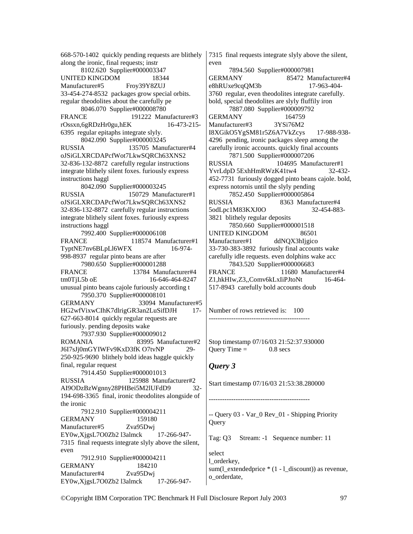668-570-1402 quickly pending requests are blithely along the ironic, final requests; instr 8102.620 Supplier#000003347 UNITED KINGDOM 18344 Manufacturer#5 Froy39Y8ZUJ 33-454-274-8532 packages grow special orbits. regular theodolites about the carefully pe 8046.070 Supplier#000008780 FRANCE 191222 Manufacturer#3 rOssxn,6gRDzHr0gu,hEK 16-473-215- 6395 regular epitaphs integrate slyly. 8042.090 Supplier#000003245 RUSSIA 135705 Manufacturer#4 oJSiGLXRCDAPcfWot7LkwSQRCh63XNS2 32-836-132-8872 carefully regular instructions integrate blithely silent foxes. furiously express instructions haggl 8042.090 Supplier#000003245 RUSSIA 150729 Manufacturer#1 oJSiGLXRCDAPcfWot7LkwSQRCh63XNS2 32-836-132-8872 carefully regular instructions integrate blithely silent foxes. furiously express instructions haggl 7992.400 Supplier#000006108 FRANCE 118574 Manufacturer#1 TyptNE7nv6BLpLl6WFX 16-974- 998-8937 regular pinto beans are after 7980.650 Supplier#000001288 FRANCE 13784 Manufacturer#4 tm0TiL5b oE 16-646-464-8247 unusual pinto beans cajole furiously according t 7950.370 Supplier#000008101 GERMANY 33094 Manufacturer#5 HG2wfVixwCIhK7dlrigGR3an2LuSifDJH 17- 627-663-8014 quickly regular requests are furiously. pending deposits wake 7937.930 Supplier#000009012 ROMANIA 83995 Manufacturer#2 J6I7sJj0mGYIWFv9KxD3fK O7tvNP 29- 250-925-9690 blithely bold ideas haggle quickly final, regular request 7914.450 Supplier#000001013 RUSSIA 125988 Manufacturer#2 AI9ODzBzWgnny28PHBei5M2lUFdD9 32- 194-698-3365 final, ironic theodolites alongside of the ironic 7912.910 Supplier#000004211 GERMANY 159180 Manufacturer#5 Zva95Dwj EY0w,XjgsL7O0Zb2 l3almck 17-266-947- 7315 final requests integrate slyly above the silent, even 7912.910 Supplier#000004211 GERMANY 184210 Manufacturer#4 Zva95Dwj EY0w,XjgsL7O0Zb2 l3almck 17-266-9477315 final requests integrate slyly above the silent, even 7894.560 Supplier#000007981 GERMANY 85472 Manufacturer#4 e8hRUxe9cqQM3b 17-963-404- 3760 regular, even theodolites integrate carefully. bold, special theodolites are slyly fluffily iron 7887.080 Supplier#000009792 GERMANY 164759 Manufacturer#3 3YSi76M2 I8XGikO5YgSM81r5Z6A7VkZcys 17-988-938- 4296 pending, ironic packages sleep among the carefully ironic accounts. quickly final accounts 7871.500 Supplier#000007206 RUSSIA 104695 Manufacturer#1 YvrLdpD 5ExhHmRWzK41tw4 32-432- 452-7731 furiously dogged pinto beans cajole. bold, express notornis until the slyly pending 7852.450 Supplier#000005864<br>RUSSIA 8363 Manuf 8363 Manufacturer#4 5odLpc1M83KXJ0O 32-454-883- 3821 blithely regular deposits 7850.660 Supplier#000001518 UNITED KINGDOM 86501 Manufacturer#1 ddNQX3hIjgico 33-730-383-3892 furiously final accounts wake carefully idle requests. even dolphins wake acc 7843.520 Supplier#000006683 FRANCE 11680 Manufacturer#4 Z1,hkHIw,Z3,,Comv6kLxIiPJtoNt 16-464- 517-8943 carefully bold accounts doub

Number of rows retrieved is: 100 ---------------------------------------------

Stop timestamp 07/16/03 21:52:37.930000 Ouery Time  $=$  0.8 secs

#### *Query 3*

Start timestamp 07/16/03 21:53:38.280000

---------------------------------------------

-- Query 03 - Var\_0 Rev\_01 - Shipping Priority Query

Tag: Q3 Stream: -1 Sequence number: 11

select l\_orderkey, sum(l\_extendedprice \* (1 - l\_discount)) as revenue, o\_orderdate,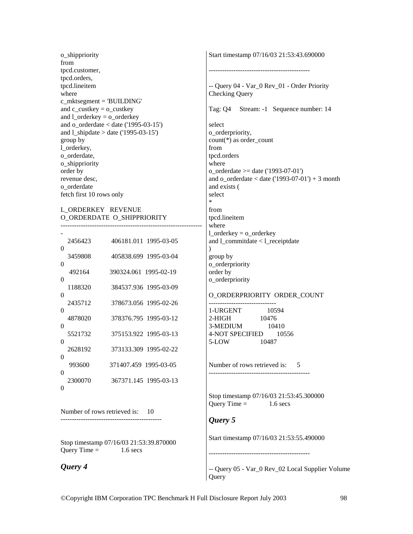o\_shippriority from tpcd.customer, tpcd.orders, tpcd.lineitem where c\_mktsegment = 'BUILDING' and  $c$ \_custkey =  $o$ \_custkey and l\_orderkey = o\_orderkey and o  $\text{orderdate} <$  date ('1995-03-15') and l\_shipdate > date ('1995-03-15') group by l\_orderkey, o\_orderdate, o\_shippriority order by revenue desc, o\_orderdate fetch first 10 rows only

#### L\_ORDERKEY REVENUE O\_ORDERDATE O\_SHIPPRIORITY ---------------------------------------------------------------

|          | 2456423 | 406181.011 1995-03-05 |
|----------|---------|-----------------------|
| 0        | 3459808 | 405838.699 1995-03-04 |
| 0        | 492164  | 390324.061 1995-02-19 |
| 0        | 1188320 | 384537.936 1995-03-09 |
| 0        | 2435712 | 378673.056 1995-02-26 |
| 0        | 4878020 | 378376.795 1995-03-12 |
| 0        | 5521732 | 375153.922 1995-03-13 |
| 0        | 2628192 | 373133.309 1995-02-22 |
| 0        | 993600  | 371407.459 1995-03-05 |
| 0        | 2300070 | 367371.145 1995-03-13 |
| $\theta$ |         |                       |

Number of rows retrieved is: 10 ---------------------------------------------

Stop timestamp 07/16/03 21:53:39.870000 Query Time  $=$  1.6 secs

# *Query 4*

Start timestamp 07/16/03 21:53:43.690000 --------------------------------------------- -- Query 04 - Var\_0 Rev\_01 - Order Priority Checking Query Tag: Q4 Stream: -1 Sequence number: 14 select o\_orderpriority, count(\*) as order\_count from tpcd.orders where o orderdate  $>=$  date ('1993-07-01') and o  $\text{orderdate} < \text{date}$  ('1993-07-01') + 3 month and exists ( select \* from tpcd.lineitem where l orderkey = o orderkey and l\_commitdate < l\_receiptdate  $\lambda$ group by o\_orderpriority order by

#### O\_ORDERPRIORITY ORDER\_COUNT

------------------------------ 1-URGENT 10594 2-HIGH 10476 3-MEDIUM 10410 4-NOT SPECIFIED 10556 5-LOW 10487

o\_orderpriority

Number of rows retrieved is: 5 ---------------------------------------------

Stop timestamp 07/16/03 21:53:45.300000 Query Time  $=$  1.6 secs

# *Query 5*

Start timestamp 07/16/03 21:53:55.490000

---------------------------------------------

-- Query 05 - Var\_0 Rev\_02 Local Supplier Volume **Query**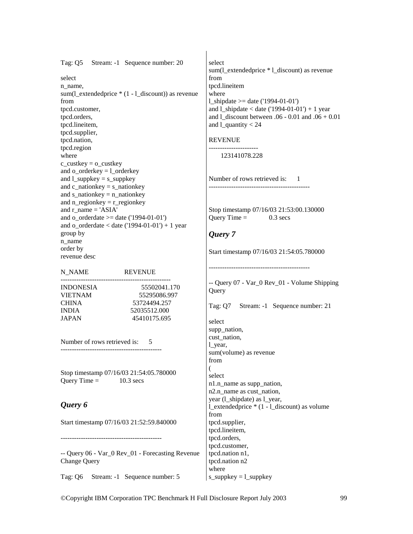Tag: Q5 Stream: -1 Sequence number: 20

select n\_name, sum(1 extendedprice  $*(1 - 1$  discount)) as revenue from tpcd.customer, tpcd.orders, tpcd.lineitem, tpcd.supplier, tpcd.nation, tpcd.region where  $c$ \_custkey =  $o$ \_custkey and o\_orderkey = l\_orderkey and l\_suppkey = s\_suppkey and c\_nationkey = s\_nationkey and s\_nationkey = n\_nationkey and n\_regionkey = r\_regionkey and r\_name =  $'ASIA'$ and o  $\text{orderdate} \geq \text{date}$  ('1994-01-01') and  $o\_orderedate < date$  ('1994-01-01') + 1 year group by n\_name order by revenue desc

------------------------------------------------- INDONESIA 55502041.170 VIETNAM 55295086.997 CHINA 53724494.257 INDIA 52035512.000 JAPAN 45410175.695

N\_NAME REVENUE

Number of rows retrieved is: 5 ---------------------------------------------

Stop timestamp 07/16/03 21:54:05.780000 Query Time  $=$  10.3 secs

## *Query 6*

Start timestamp 07/16/03 21:52:59.840000

---------------------------------------------

-- Query 06 - Var\_0 Rev\_01 - Forecasting Revenue Change Query

Tag: Q6 Stream: -1 Sequence number: 5

select sum(l\_extendedprice \* l\_discount) as revenue from tpcd.lineitem where l shipdate  $>=$  date ('1994-01-01') and  $l$ \_shipdate < date ('1994-01-01') + 1 year and l\_discount between .06 - 0.01 and .06 + 0.01 and 1 quantity  $< 24$ 

#### REVENUE

---------------------- 123141078.228

Number of rows retrieved is: 1 ---------------------------------------------

Stop timestamp 07/16/03 21:53:00.130000 Query Time  $=$  0.3 secs

# *Query 7*

Start timestamp 07/16/03 21:54:05.780000

---------------------------------------------

-- Query 07 - Var\_0 Rev\_01 - Volume Shipping **Query** 

Tag: Q7 Stream: -1 Sequence number: 21

select supp\_nation, cust\_nation, l\_year, sum(volume) as revenue from ( select n1.n\_name as supp\_nation, n<sub>2</sub>.n\_name as cust\_nation, year (l\_shipdate) as l\_year, l\_extendedprice \* (1 - l\_discount) as volume from tpcd.supplier, tpcd.lineitem, tpcd.orders, tpcd.customer, tpcd.nation n1, tpcd.nation n2 where s\_suppkey  $=$  l\_suppkey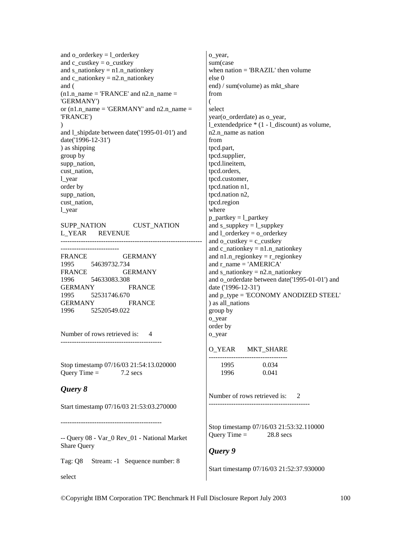```
and o orderkey = 1 orderkey
and c_custkey = o_custkey
and s_nationkey = n1.n_nationkey
and c_nationkey = n2.n_nationkey
and ( 
(n1.n name = 'FRANCE' and n2.n_name =
'GERMANY') 
or (n1.n_name = 'GERMANY' and n2.n_name =
'FRANCE') 
\mathcal{L}and l_shipdate between date('1995-01-01') and 
date('1996-12-31') 
) as shipping 
group by 
supp_nation, 
cust nation,
l_year 
order by 
supp_nation,
cust nation,
l_year 
SUPP_NATION CUST_NATION
L_YEAR REVENUE 
---------------------------------------------------------------
-------------------------- 
FRANCE GERMANY
1995 54639732.734 
FRANCE GERMANY
1996 54633083.308 
GERMANY FRANCE 
1995 52531746.670 
GERMANY FRANCE 
1996 52520549.022 
Number of rows retrieved is: 4
--------------------------------------------- 
Stop timestamp 07/16/03 21:54:13.020000 
Ouery Time = 7.2 secs
Query 8 
Start timestamp 07/16/03 21:53:03.270000 
--------------------------------------------- 
-- Query 08 - Var_0 Rev_01 - National Market 
Share Query 
                                                o_year, 
                                                else 0 
                                                from 
                                                ( 
                                                select 
                                                from 
                                                where 
                                                o_year 
                                                o_year
```
Tag: Q8 Stream: -1 Sequence number: 8

sum(case when nation = 'BRAZIL' then volume end) / sum(volume) as mkt\_share year(o\_orderdate) as o\_year, l\_extendedprice \* (1 - l\_discount) as volume, n2.n\_name as nation tpcd.part, tpcd.supplier, tpcd.lineitem, tpcd.orders, tpcd.customer, tpcd.nation n1, tpcd.nation n2, tpcd.region  $p$ \_partkey =  $l$ \_partkey and  $s$ \_suppkey =  $l$ \_suppkey and l\_orderkey = o\_orderkey and  $o$ \_custkey =  $c$ \_custkey and  $c$ \_nationkey =  $n1.n$ \_nationkey and  $n1.n$  regionkey =  $r$  regionkey and r\_name = 'AMERICA' and s\_nationkey =  $n2.n$  nationkey and o orderdate between date('1995-01-01') and date ('1996-12-31') and  $p$  type = 'ECONOMY ANODIZED STEEL' ) as all\_nations group by order by

O\_YEAR MKT\_SHARE

| 1995 | 0.034 |
|------|-------|
| 1996 | 0.041 |

Number of rows retrieved is: 2 ---------------------------------------------

Stop timestamp 07/16/03 21:53:32.110000 Query Time  $=$  28.8 secs

# *Query 9*

Start timestamp 07/16/03 21:52:37.930000

select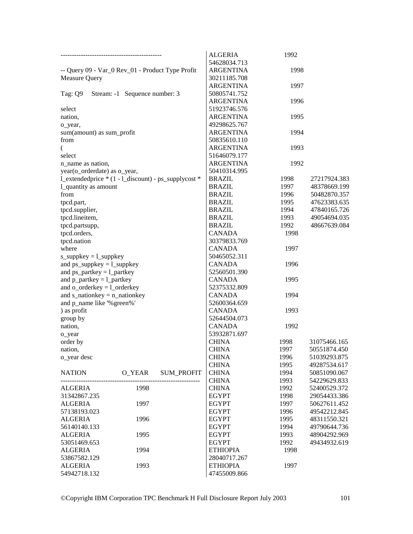|                                                      |                               |                   | <b>ALGERIA</b>   | 1992 |              |
|------------------------------------------------------|-------------------------------|-------------------|------------------|------|--------------|
|                                                      |                               |                   | 54628034.713     |      |              |
| -- Query 09 - Var_0 Rev_01 - Product Type Profit     |                               |                   | <b>ARGENTINA</b> | 1998 |              |
| Measure Query                                        |                               |                   | 30211185.708     |      |              |
|                                                      |                               |                   | <b>ARGENTINA</b> | 1997 |              |
| Tag: Q9                                              | Stream: -1 Sequence number: 3 |                   | 50805741.752     |      |              |
|                                                      |                               |                   | <b>ARGENTINA</b> | 1996 |              |
| select                                               |                               |                   | 51923746.576     |      |              |
| nation,                                              |                               |                   | <b>ARGENTINA</b> | 1995 |              |
| o_year,                                              |                               |                   | 49298625.767     |      |              |
| sum(amount) as sum_profit                            |                               |                   | <b>ARGENTINA</b> | 1994 |              |
| from                                                 |                               |                   | 50835610.110     |      |              |
| €                                                    |                               |                   | <b>ARGENTINA</b> | 1993 |              |
| select                                               |                               |                   | 51646079.177     |      |              |
| n_name as nation,                                    |                               |                   | <b>ARGENTINA</b> | 1992 |              |
| year(o_orderdate) as o_year,                         |                               |                   | 50410314.995     |      |              |
| l_extendedprice * (1 - l_discount) - ps_supplycost * |                               |                   | <b>BRAZIL</b>    | 1998 | 27217924.383 |
| 1_quantity as amount                                 |                               |                   | <b>BRAZIL</b>    | 1997 | 48378669.199 |
| from                                                 |                               |                   | <b>BRAZIL</b>    |      |              |
|                                                      |                               |                   |                  | 1996 | 50482870.357 |
| tpcd.part,                                           |                               |                   | <b>BRAZIL</b>    | 1995 | 47623383.635 |
| tpcd.supplier,                                       |                               |                   | <b>BRAZIL</b>    | 1994 | 47840165.726 |
| tpcd.lineitem,                                       |                               |                   | <b>BRAZIL</b>    | 1993 | 49054694.035 |
| tpcd.partsupp,                                       |                               |                   | <b>BRAZIL</b>    | 1992 | 48667639.084 |
| tpcd.orders,                                         |                               |                   | <b>CANADA</b>    | 1998 |              |
| tpcd.nation                                          |                               |                   | 30379833.769     |      |              |
| where                                                |                               |                   | <b>CANADA</b>    | 1997 |              |
| $s$ _suppkey = $l$ _suppkey                          |                               |                   | 50465052.311     |      |              |
| and $ps\_suppkey = l\_suppkey$                       |                               |                   | <b>CANADA</b>    | 1996 |              |
| and $ps\_partkey = l\_partkey$                       |                               |                   | 52560501.390     |      |              |
| and $p$ _partkey = $l$ _partkey                      |                               |                   | <b>CANADA</b>    | 1995 |              |
| and $o$ _orderkey = $l$ _orderkey                    |                               |                   | 52375332.809     |      |              |
| and $s$ _nationkey = $n$ _nationkey                  |                               |                   | <b>CANADA</b>    | 1994 |              |
| and p_name like '% green%'                           |                               |                   | 52600364.659     |      |              |
| ) as profit                                          |                               |                   | <b>CANADA</b>    | 1993 |              |
| group by                                             |                               |                   | 52644504.073     |      |              |
| nation,                                              |                               |                   | <b>CANADA</b>    | 1992 |              |
| o_year                                               |                               |                   | 53932871.697     |      |              |
| order by                                             |                               |                   | <b>CHINA</b>     | 1998 | 31075466.165 |
| nation,                                              |                               |                   | <b>CHINA</b>     | 1997 | 50551874.450 |
| o_year desc                                          |                               |                   | <b>CHINA</b>     | 1996 | 51039293.875 |
|                                                      |                               |                   | <b>CHINA</b>     | 1995 | 49287534.617 |
| <b>NATION</b>                                        | O_YEAR                        | <b>SUM_PROFIT</b> | <b>CHINA</b>     | 1994 | 50851090.067 |
|                                                      |                               |                   | <b>CHINA</b>     | 1993 | 54229629.833 |
| ALGERIA                                              | 1998                          |                   | <b>CHINA</b>     | 1992 | 52400529.372 |
| 31342867.235                                         |                               |                   | <b>EGYPT</b>     | 1998 | 29054433.386 |
| <b>ALGERIA</b>                                       | 1997                          |                   | <b>EGYPT</b>     | 1997 | 50627611.452 |
| 57138193.023                                         |                               |                   | <b>EGYPT</b>     | 1996 | 49542212.845 |
| <b>ALGERIA</b>                                       | 1996                          |                   | <b>EGYPT</b>     | 1995 | 48311550.321 |
| 56140140.133                                         |                               |                   | <b>EGYPT</b>     | 1994 | 49790644.736 |
| <b>ALGERIA</b>                                       | 1995                          |                   | <b>EGYPT</b>     | 1993 | 48904292.969 |
| 53051469.653                                         |                               |                   | <b>EGYPT</b>     | 1992 | 49434932.619 |
| <b>ALGERIA</b>                                       | 1994                          |                   | <b>ETHIOPIA</b>  | 1998 |              |
| 53867582.129                                         |                               |                   | 28040717.267     |      |              |
| <b>ALGERIA</b>                                       | 1993                          |                   | <b>ETHIOPIA</b>  | 1997 |              |
| 54942718.132                                         |                               |                   | 47455009.866     |      |              |
|                                                      |                               |                   |                  |      |              |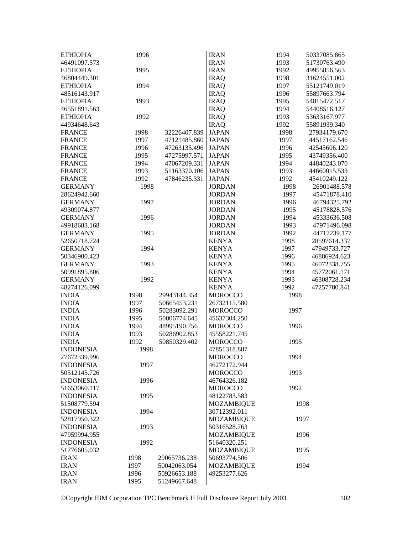| <b>ETHIOPIA</b>  | 1996 |              | <b>IRAN</b>       | 1994 | 50337085.865 |
|------------------|------|--------------|-------------------|------|--------------|
| 46491097.573     |      |              | <b>IRAN</b>       | 1993 | 51730763.490 |
| <b>ETHIOPIA</b>  | 1995 |              | <b>IRAN</b>       | 1992 | 49955856.563 |
| 46804449.301     |      |              | <b>IRAQ</b>       | 1998 | 31624551.002 |
| <b>ETHIOPIA</b>  | 1994 |              | <b>IRAQ</b>       | 1997 | 55121749.019 |
| 48516143.917     |      |              | <b>IRAQ</b>       | 1996 | 55897663.794 |
| <b>ETHIOPIA</b>  | 1993 |              | <b>IRAQ</b>       | 1995 | 54815472.517 |
| 46551891.563     |      |              | <b>IRAQ</b>       | 1994 | 54408516.127 |
| <b>ETHIOPIA</b>  | 1992 |              | <b>IRAQ</b>       | 1993 | 53633167.977 |
| 44934648.643     |      |              | <b>IRAQ</b>       | 1992 | 55891939.340 |
| <b>FRANCE</b>    | 1998 | 32226407.839 | <b>JAPAN</b>      | 1998 | 27934179.670 |
| <b>FRANCE</b>    | 1997 | 47121485.860 | <b>JAPAN</b>      | 1997 | 44517162.546 |
| <b>FRANCE</b>    | 1996 | 47263135.496 | <b>JAPAN</b>      | 1996 | 42545606.120 |
| <b>FRANCE</b>    | 1995 | 47275997.571 | <b>JAPAN</b>      | 1995 | 43749356.400 |
| <b>FRANCE</b>    | 1994 | 47067209.331 | <b>JAPAN</b>      | 1994 | 44840243.070 |
| <b>FRANCE</b>    | 1993 | 51163370.106 | <b>JAPAN</b>      | 1993 | 44660015.533 |
| <b>FRANCE</b>    | 1992 | 47846235.331 | <b>JAPAN</b>      | 1992 | 45410249.122 |
| <b>GERMANY</b>   | 1998 |              | <b>JORDAN</b>     | 1998 | 26901488.578 |
| 28624942.660     |      |              | <b>JORDAN</b>     | 1997 | 45471878.410 |
| <b>GERMANY</b>   | 1997 |              | <b>JORDAN</b>     | 1996 | 46794325.792 |
| 49309074.877     |      |              | <b>JORDAN</b>     | 1995 | 45178828.576 |
|                  |      |              | <b>JORDAN</b>     |      |              |
| <b>GERMANY</b>   | 1996 |              |                   | 1994 | 45333636.508 |
| 49918683.168     |      |              | <b>JORDAN</b>     | 1993 | 47971496.098 |
| <b>GERMANY</b>   | 1995 |              | <b>JORDAN</b>     | 1992 | 44717239.177 |
| 52650718.724     |      |              | <b>KENYA</b>      | 1998 | 28597614.337 |
| <b>GERMANY</b>   | 1994 |              | <b>KENYA</b>      | 1997 | 47949733.727 |
| 50346900.423     |      |              | <b>KENYA</b>      | 1996 | 46886924.623 |
| <b>GERMANY</b>   | 1993 |              | <b>KENYA</b>      | 1995 | 46072338.755 |
| 50991895.806     |      |              | <b>KENYA</b>      | 1994 | 45772061.171 |
| <b>GERMANY</b>   | 1992 |              | <b>KENYA</b>      | 1993 | 46308728.234 |
| 48274126.099     |      |              | <b>KENYA</b>      | 1992 | 47257780.841 |
| <b>INDIA</b>     | 1998 | 29943144.354 | <b>MOROCCO</b>    | 1998 |              |
| <b>INDIA</b>     | 1997 | 50665453.231 | 26732115.580      |      |              |
| <b>INDIA</b>     | 1996 | 50283092.291 | <b>MOROCCO</b>    | 1997 |              |
| <b>INDIA</b>     | 1995 | 50006774.645 | 45637304.250      |      |              |
| <b>INDIA</b>     | 1994 | 48995190.756 | <b>MOROCCO</b>    | 1996 |              |
| <b>INDIA</b>     | 1993 | 50286902.853 | 45558221.745      |      |              |
| <b>INDIA</b>     | 1992 | 50850329.402 | <b>MOROCCO</b>    | 1995 |              |
| <b>INDONESIA</b> | 1998 |              | 47851318.887      |      |              |
| 27672339.996     |      |              | <b>MOROCCO</b>    | 1994 |              |
| <b>INDONESIA</b> | 1997 |              | 46272172.944      |      |              |
| 50512145.726     |      |              | <b>MOROCCO</b>    | 1993 |              |
| <b>INDONESIA</b> | 1996 |              | 46764326.182      |      |              |
| 51653060.117     |      |              | <b>MOROCCO</b>    | 1992 |              |
| <b>INDONESIA</b> | 1995 |              | 48122783.583      |      |              |
| 51508779.594     |      |              | <b>MOZAMBIQUE</b> | 1998 |              |
| <b>INDONESIA</b> | 1994 |              | 30712392.011      |      |              |
| 52817950.322     |      |              | <b>MOZAMBIQUE</b> | 1997 |              |
| <b>INDONESIA</b> | 1993 |              | 50316528.763      |      |              |
| 47959994.955     |      |              | <b>MOZAMBIQUE</b> | 1996 |              |
| <b>INDONESIA</b> | 1992 |              | 51640320.251      |      |              |
| 51776605.032     |      |              | <b>MOZAMBIQUE</b> | 1995 |              |
| <b>IRAN</b>      | 1998 | 29065736.238 | 50693774.506      |      |              |
| <b>IRAN</b>      | 1997 | 50042063.054 | <b>MOZAMBIQUE</b> | 1994 |              |
| <b>IRAN</b>      | 1996 | 50926653.188 | 49253277.626      |      |              |
| <b>IRAN</b>      | 1995 | 51249667.648 |                   |      |              |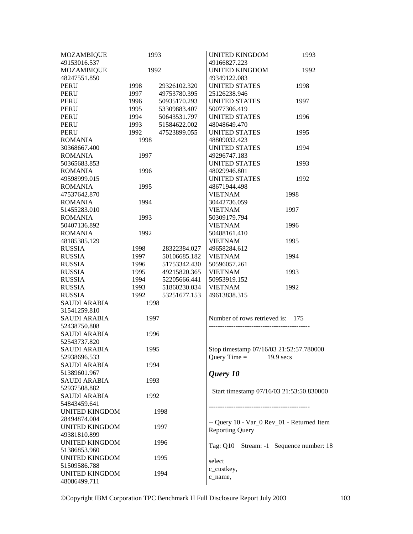| <b>MOZAMBIQUE</b>                     | 1993 |              | <b>UNITED KINGDOM</b>                      | 1993        |
|---------------------------------------|------|--------------|--------------------------------------------|-------------|
| 49153016.537                          |      |              | 49166827.223                               |             |
| <b>MOZAMBIQUE</b>                     | 1992 |              | <b>UNITED KINGDOM</b>                      | 1992        |
| 48247551.850                          |      |              | 49349122.083                               |             |
| <b>PERU</b>                           | 1998 | 29326102.320 | UNITED STATES                              | 1998        |
| <b>PERU</b>                           | 1997 | 49753780.395 | 25126238.946                               |             |
| <b>PERU</b>                           | 1996 | 50935170.293 | <b>UNITED STATES</b>                       | 1997        |
| PERU                                  | 1995 | 53309883.407 | 50077306.419                               |             |
| <b>PERU</b>                           | 1994 | 50643531.797 | <b>UNITED STATES</b>                       | 1996        |
| <b>PERU</b>                           | 1993 | 51584622.002 | 48048649.470                               |             |
| PERU                                  | 1992 | 47523899.055 | <b>UNITED STATES</b>                       | 1995        |
| <b>ROMANIA</b>                        | 1998 |              | 48809032.423                               |             |
| 30368667.400                          |      |              | <b>UNITED STATES</b>                       | 1994        |
| <b>ROMANIA</b>                        | 1997 |              | 49296747.183                               |             |
| 50365683.853                          |      |              | <b>UNITED STATES</b>                       | 1993        |
| <b>ROMANIA</b>                        | 1996 |              | 48029946.801                               |             |
| 49598999.015                          |      |              | UNITED STATES                              | 1992        |
| <b>ROMANIA</b>                        | 1995 |              | 48671944.498                               |             |
| 47537642.870                          |      |              | <b>VIETNAM</b>                             | 1998        |
| <b>ROMANIA</b>                        | 1994 |              | 30442736.059                               |             |
| 51455283.010                          |      |              | <b>VIETNAM</b>                             | 1997        |
| <b>ROMANIA</b>                        | 1993 |              | 50309179.794                               |             |
| 50407136.892                          |      |              | <b>VIETNAM</b>                             | 1996        |
| <b>ROMANIA</b>                        | 1992 |              | 50488161.410                               |             |
| 48185385.129                          |      |              | <b>VIETNAM</b>                             | 1995        |
| <b>RUSSIA</b>                         | 1998 | 28322384.027 | 49658284.612                               |             |
| <b>RUSSIA</b>                         | 1997 | 50106685.182 | <b>VIETNAM</b>                             | 1994        |
| <b>RUSSIA</b>                         | 1996 | 51753342.430 | 50596057.261                               |             |
| <b>RUSSIA</b>                         | 1995 | 49215820.365 | <b>VIETNAM</b>                             | 1993        |
| <b>RUSSIA</b>                         | 1994 | 52205666.441 | 50953919.152                               |             |
| <b>RUSSIA</b>                         | 1993 | 51860230.034 | <b>VIETNAM</b>                             | 1992        |
| <b>RUSSIA</b>                         | 1992 | 53251677.153 | 49613838.315                               |             |
| <b>SAUDI ARABIA</b>                   | 1998 |              |                                            |             |
| 31541259.810                          |      |              |                                            |             |
| <b>SAUDI ARABIA</b>                   | 1997 |              | Number of rows retrieved is:               | 175         |
| 52438750.808                          |      |              |                                            |             |
| <b>SAUDI ARABIA</b>                   | 1996 |              |                                            |             |
| 52543737.820                          |      |              |                                            |             |
| <b>SAUDI ARABIA</b>                   |      |              | Stop timestamp 07/16/03 21:52:57.780000    |             |
| 52938696.533                          | 1995 |              | Query Time $=$                             | $19.9$ secs |
| <b>SAUDI ARABIA</b>                   | 1994 |              |                                            |             |
| 51389601.967                          |      |              |                                            |             |
| <b>SAUDI ARABIA</b>                   | 1993 |              | Query 10                                   |             |
| 52937508.882                          |      |              |                                            |             |
| <b>SAUDI ARABIA</b>                   | 1992 |              | Start timestamp 07/16/03 21:53:50.830000   |             |
| 54843459.641                          |      |              |                                            |             |
| <b>UNITED KINGDOM</b>                 |      |              | -----------------------------------        |             |
|                                       | 1998 |              |                                            |             |
| 28494874.004<br><b>UNITED KINGDOM</b> |      |              | -- Query 10 - Var_0 Rev_01 - Returned Item |             |
| 49381810.899                          | 1997 |              | <b>Reporting Query</b>                     |             |
|                                       |      |              |                                            |             |
| <b>UNITED KINGDOM</b>                 | 1996 |              | Tag: Q10 Stream: -1 Sequence number: 18    |             |
| 51386853.960                          |      |              |                                            |             |
| <b>UNITED KINGDOM</b>                 | 1995 |              | select                                     |             |
| 51509586.788<br><b>UNITED KINGDOM</b> |      |              | c_custkey,                                 |             |
| 48086499.711                          |      | 1994         | c_name,                                    |             |
|                                       |      |              |                                            |             |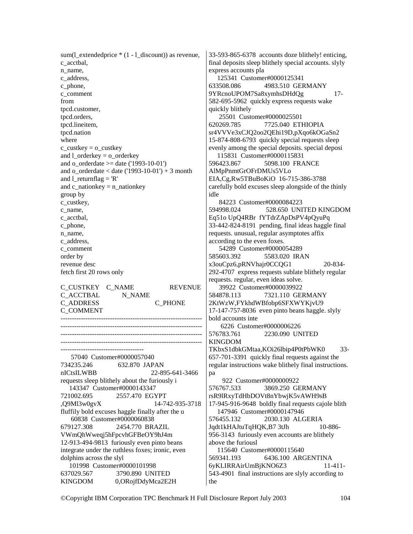sum(1 extendedprice  $*(1 - 1$  discount)) as revenue, c\_acctbal, n\_name, c\_address, c\_phone, c\_comment from tpcd.customer, tpcd.orders, tpcd.lineitem, tpcd.nation where c\_custkey =  $\circ$  custkey and l\_orderkey = o\_orderkey and o\_orderdate >= date ('1993-10-01') and o  $\text{orderdate} < \text{date}$  ('1993-10-01') + 3 month and 1 returnflag =  $'R'$ and c\_nationkey = n\_nationkey group by c\_custkey, c\_name, c\_acctbal, c\_phone, n\_name, c\_address, c\_comment order by revenue desc fetch first 20 rows only C\_CUSTKEY C\_NAME REVENUE C\_ACCTBAL N\_NAME C\_ADDRESS C\_PHONE C\_COMMENT --------------------------------------------------------------- --------------------------------------------------------------- --------------------------------------------------------------- --------------------------------------------------------------- ------------------------------------- 57040 Customer#0000057040 734235.246 632.870 JAPAN nICtsILWBB 22-895-641-3466 requests sleep blithely about the furiously i 143347 Customer#0000143347 721002.695 2557.470 EGYPT ,Q9Ml3w0gvX 14-742-935-3718 fluffily bold excuses haggle finally after the u 60838 Customer#0000060838 679127.308 2454.770 BRAZIL VWmQhWweqj5hFpcvhGFBeOY9hJ4m 12-913-494-9813 furiously even pinto beans integrate under the ruthless foxes; ironic, even dolphins across the slyl 101998 Customer#0000101998

637029.567 3790.890 UNITED KINGDOM 0,ORojfDdyMca2E2H 33-593-865-6378 accounts doze blithely! enticing, final deposits sleep blithely special accounts. slyly express accounts pla

 125341 Customer#0000125341 633508.086 4983.510 GERMANY 9YRcnoUPOM7Sa8xymhsDHdQg 17- 582-695-5962 quickly express requests wake quickly blithely 25501 Customer#0000025501 620269.785 7725.040 ETHIOPIA sr4VVVe3xCJQ2oo2QEhi19D,pXqo6kOGaSn2 15-874-808-6793 quickly special requests sleep evenly among the special deposits. special deposi 115831 Customer#0000115831 596423.867 5098.100 FRANCE AlMpPnmtGrOFrDMUs5VLo EIA,Cg,Rw5TBuBoKiO 16-715-386-3788 carefully bold excuses sleep alongside of the thinly idle 84223 Customer#0000084223 594998.024 528.650 UNITED KINGDOM Eq51o UpQ4RBr fYTdrZApDsPV4pQyuPq 33-442-824-8191 pending, final ideas haggle final requests. unusual, regular asymptotes affix according to the even foxes. 54289 Customer#0000054289 585603.392 5583.020 IRAN x3ouCpz6,pRNVhajr0CCQG1 20-834- 292-4707 express requests sublate blithely regular requests. regular, even ideas solve. 39922 Customer#0000039922 584878.113 7321.110 GERMANY 2KtWzW,FYkhdWBfobp6SFXWYKjvU9 17-147-757-8036 even pinto beans haggle. slyly bold accounts inte 6226 Customer#0000006226 576783.761 2230.090 UNITED KINGDOM TKbxS1dbkGMtaa,KOi26lbip4P0tPbWK0 33- 657-701-3391 quickly final requests against the regular instructions wake blithely final instructions. pa 922 Customer#0000000922 576767.533 3869.250 GERMANY rsR9lRxyTdHbDOVt8nYbwjK5vAWH9sB 17-945-916-9648 boldly final requests cajole blith 147946 Customer#0000147946<br>576455.132 2030.130 ALC 576455.132 2030.130 ALGERIA Jqdt1kHAJtuTqHQK,B7 3tJh 10-886- 956-3143 furiously even accounts are blithely above the furiousl 115640 Customer#0000115640 569341.193 6436.100 ARGENTINA 6yKLIRRAirUmBjKNO6Z3 11-411- 543-4901 final instructions are slyly according to the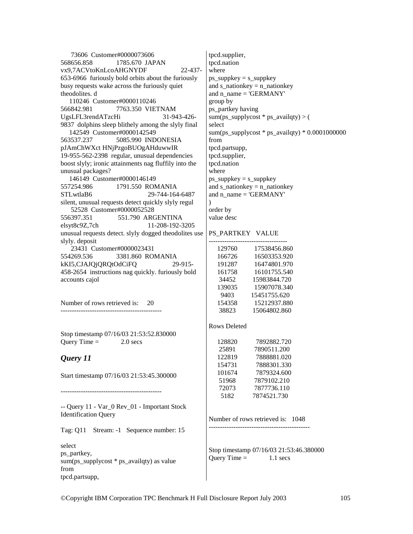73606 Customer#0000073606 568656.858 1785.670 JAPAN vx9,7ACVtoKnLcoAHGNYDF 22-437- 653-6966 furiously bold orbits about the furiously busy requests wake across the furiously quiet theodolites. d 110246 Customer#0000110246 566842.981 7763.350 VIETNAM UgsLFL3rendATzcHi 31-943-426- 9837 dolphins sleep blithely among the slyly final 142549 Customer#0000142549 563537.237 5085.990 INDONESIA pJAmChWXct HNjPzgoBUOgAHduwwIR 19-955-562-2398 regular, unusual dependencies boost slyly; ironic attainments nag fluffily into the unusual packages? 146149 Customer#0000146149 557254.986 1791.550 ROMANIA STLwtlaB6 29-744-164-6487 silent, unusual requests detect quickly slyly regul 52528 Customer#0000052528 556397.351 551.790 ARGENTINA elsyt8c9Z,7ch 11-208-192-3205 unusual requests detect. slyly dogged theodolites use slyly. deposit 23431 Customer#0000023431 554269.536 3381.860 ROMANIA kKI5,CJAJQjQRQtOdCiFQ 29-915- 458-2654 instructions nag quickly. furiously bold accounts cajol Number of rows retrieved is: 20 --------------------------------------------- Stop timestamp 07/16/03 21:53:52.830000 Query Time  $=$  2.0 secs *Query 11*  Start timestamp 07/16/03 21:53:45.300000 ---------------------------------------------  $\lambda$ 

-- Query 11 - Var\_0 Rev\_01 - Important Stock Identification Query

Tag: Q11 Stream: -1 Sequence number: 15

select ps\_partkey, sum(ps\_supplycost  $*$  ps\_availqty) as value from tpcd.partsupp,

tpcd.supplier, tpcd.nation where ps\_suppkey = s\_suppkey and s\_nationkey =  $n$  nationkey and  $n$  name = 'GERMANY' group by ps\_partkey having  $sum(ps\_supplycost * ps\_availability) > ($ select sum(ps\_supplycost  $*$  ps\_availqty)  $*$  0.0001000000 from tpcd.partsupp, tpcd.supplier, tpcd.nation where ps\_suppkey = s\_suppkey and s\_nationkey = n\_nationkey and n\_name =  $'GERMANY'$ order by value desc

### PS\_PARTKEY VALUE

| 129760 | 17538456.860 |
|--------|--------------|
| 166726 | 16503353.920 |
| 191287 | 16474801.970 |
| 161758 | 16101755.540 |
| 34452  | 15983844.720 |
| 139035 | 15907078.340 |
| 9403   | 15451755.620 |
| 154358 | 15212937.880 |
| 38823  | 15064802.860 |

#### Rows Deleted

| 128820 | 7892882.720 |
|--------|-------------|
| 25891  | 7890511.200 |
| 122819 | 7888881.020 |
| 154731 | 7888301.330 |
| 101674 | 7879324.600 |
| 51968  | 7879102.210 |
| 72073  | 7877736.110 |
| 5182   | 7874521.730 |

Number of rows retrieved is: 1048 ---------------------------------------------

Stop timestamp 07/16/03 21:53:46.380000 Query Time  $=$  1.1 secs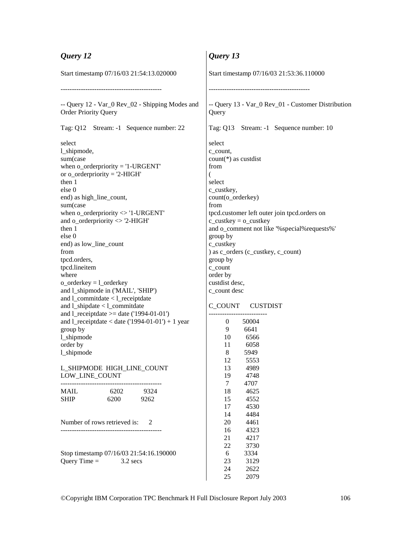| Query 12                                                                                                                         | Query 13                                                                                                                           |  |  |
|----------------------------------------------------------------------------------------------------------------------------------|------------------------------------------------------------------------------------------------------------------------------------|--|--|
| Start timestamp 07/16/03 21:54:13.020000                                                                                         | Start timestamp 07/16/03 21:53:36.110000                                                                                           |  |  |
|                                                                                                                                  |                                                                                                                                    |  |  |
| -- Query 12 - Var_0 Rev_02 - Shipping Modes and<br><b>Order Priority Query</b>                                                   | -- Query 13 - Var_0 Rev_01 - Customer Distribution<br>Query                                                                        |  |  |
| Tag: Q12 Stream: -1 Sequence number: 22                                                                                          | Tag: Q13 Stream: -1 Sequence number: 10                                                                                            |  |  |
| select<br>l_shipmode,<br>sum(case<br>when $o\_orderpriority = '1-URGENT'$<br>or $o$ _orderpriority = '2-HIGH'<br>then 1          | select<br>c_count,<br>$count(*)$ as custdist<br>from<br>€<br>select                                                                |  |  |
| else 0<br>end) as high_line_count,                                                                                               | c_custkey,<br>count(o_orderkey)                                                                                                    |  |  |
| sum(case<br>when $o\_orderpriority \ll 1$ -URGENT<br>and o_orderpriority $\langle$ 2-HIGH'<br>then 1                             | from<br>tpcd.customer left outer join tpcd.orders on<br>$c$ _custkey = $o$ _custkey<br>and o_comment not like '%special%requests%' |  |  |
| else 0<br>end) as low_line_count<br>from                                                                                         | group by<br>c_custkey<br>) as c_orders (c_custkey, c_count)                                                                        |  |  |
| tpcd.orders,<br>tpcd.lineitem<br>where                                                                                           | group by<br>c_count<br>order by                                                                                                    |  |  |
| $o$ _orderkey = $l$ _orderkey<br>and l_shipmode in ('MAIL', 'SHIP')<br>and l_commitdate < l_receiptdate                          | custdist desc,<br>c_count desc                                                                                                     |  |  |
| and l_shipdate < l_commitdate<br>and $1$ _receiptdate >= date ('1994-01-01')<br>and l_receiptdate < date $(1994-01-01) + 1$ year | C_COUNT CUSTDIST<br>50004<br>0                                                                                                     |  |  |
| group by<br>1_shipmode<br>order by                                                                                               | 6641<br>9<br>10<br>6566<br>11<br>6058                                                                                              |  |  |
| 1_shipmode                                                                                                                       | 8<br>5949<br>12<br>5553                                                                                                            |  |  |
| L_SHIPMODE HIGH_LINE_COUNT<br>LOW LINE COUNT                                                                                     | 13<br>4989<br>19<br>4748<br>$\tau$<br>4707                                                                                         |  |  |
| MAIL 6202 9324<br><b>SHIP</b><br>6200<br>9262                                                                                    | 18<br>4625<br>15<br>4552<br>17<br>4530                                                                                             |  |  |
| Number of rows retrieved is:<br>- 2                                                                                              | 14<br>4484<br>20<br>4461<br>16<br>4323                                                                                             |  |  |
| Stop timestamp 07/16/03 21:54:16.190000<br>Query Time $=$<br>$3.2$ secs                                                          | 21<br>4217<br>22<br>3730<br>6<br>3334<br>23<br>3129<br>24<br>2622<br>2079<br>25                                                    |  |  |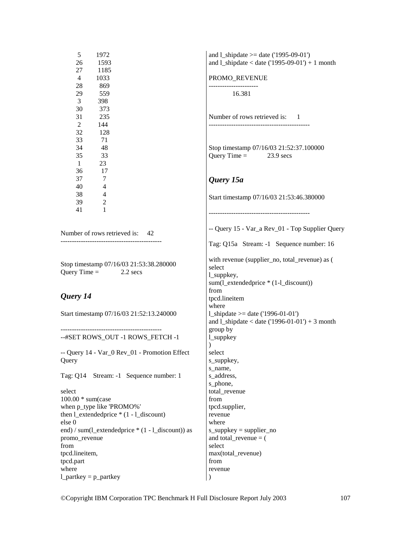| 5<br>1972<br>26<br>1593                                                                                   | and $1$ _shipdate >= date ('1995-09-01')<br>and $1$ _shipdate < date ('1995-09-01') + 1 month                                         |
|-----------------------------------------------------------------------------------------------------------|---------------------------------------------------------------------------------------------------------------------------------------|
| 27<br>1185<br>1033<br>$\overline{4}$                                                                      | PROMO_REVENUE                                                                                                                         |
| 28<br>869<br>559<br>29<br>3<br>398                                                                        | -----------------<br>16.381                                                                                                           |
| 30<br>373<br>31<br>235<br>2<br>144                                                                        | Number of rows retrieved is: 1<br>-------------------------------------                                                               |
| 32<br>128<br>33<br>71<br>34<br>48<br>35<br>33                                                             | Stop timestamp 07/16/03 21:52:37.100000<br>Query Time = $23.9$ secs                                                                   |
| $\mathbf{1}$<br>23<br>36<br>17<br>37<br>7                                                                 | Query 15a                                                                                                                             |
| 40<br>$\overline{4}$<br>38<br>$\overline{4}$<br>39<br>$\mathfrak{2}$<br>41<br>1                           | Start timestamp 07/16/03 21:53:46.380000                                                                                              |
| Number of rows retrieved is: 42                                                                           | --------------------------------------<br>-- Query 15 - Var_a Rev_01 - Top Supplier Query<br>Tag: Q15a Stream: -1 Sequence number: 16 |
| Stop timestamp 07/16/03 21:53:38.280000<br>Query Time $=$<br>2.2 secs                                     | with revenue (supplier_no, total_revenue) as (<br>select<br>l_suppkey,<br>sum(l_extendedprice * (1-l_discount))                       |
| Query 14                                                                                                  | from<br>tpcd.lineitem<br>where                                                                                                        |
| Start timestamp 07/16/03 21:52:13.240000                                                                  | 1_shipdate >= date $('1996-01-01')$<br>and l_shipdate < date $(1996-01-01') + 3$ month<br>group by                                    |
| --#SET ROWS_OUT -1 ROWS_FETCH -1                                                                          | $l$ _suppkey<br>$\mathcal{E}$                                                                                                         |
| -- Query 14 - Var_0 Rev_01 - Promotion Effect<br>Query                                                    | select<br>s_suppkey,<br>s_name,                                                                                                       |
| Tag: Q14 Stream: -1 Sequence number: 1                                                                    | s_address,<br>s_phone,                                                                                                                |
| select<br>$100.00*$ sum(case<br>when p_type like 'PROMO%'<br>then $l$ _extendedprice $*(1 - l$ _discount) | total revenue<br>from<br>tpcd.supplier,                                                                                               |
| else 0<br>end) / sum(1_extendedprice * (1 - 1_discount)) as                                               | revenue<br>where<br>$s$ _suppkey = supplier_no                                                                                        |
| promo_revenue<br>from<br>tpcd.lineitem,                                                                   | and total_revenue $=$ (<br>select<br>max(total_revenue)                                                                               |
| tpcd.part<br>where                                                                                        | from<br>revenue                                                                                                                       |
| $1$ _partkey = p_partkey                                                                                  | )                                                                                                                                     |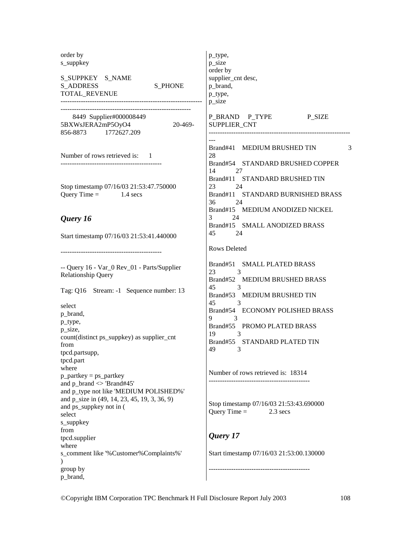| order by<br>s_suppkey<br>S_SUPPKEY S_NAME<br><b>S_ADDRESS</b><br><b>S PHONE</b><br>TOTAL_REVENUE                                                                                                                                                              | p_type,<br>p_size<br>order by<br>supplier_cnt desc,<br>p_brand,<br>p_type,<br>p_size                                                                                                                                                                                                                                                                           |
|---------------------------------------------------------------------------------------------------------------------------------------------------------------------------------------------------------------------------------------------------------------|----------------------------------------------------------------------------------------------------------------------------------------------------------------------------------------------------------------------------------------------------------------------------------------------------------------------------------------------------------------|
| 8449 Supplier#000008449<br>5BXWsJERA2mP5OyO4<br>20-469-<br>856-8873 1772627.209                                                                                                                                                                               | P_BRAND P_TYPE P_SIZE<br>SUPPLIER_CNT                                                                                                                                                                                                                                                                                                                          |
| Number of rows retrieved is: 1                                                                                                                                                                                                                                | Brand#41 MEDIUM BRUSHED TIN<br>3<br>28<br>Brand#54 STANDARD BRUSHED COPPER<br>14<br>27                                                                                                                                                                                                                                                                         |
| Stop timestamp 07/16/03 21:53:47.750000<br>Query Time = $1.4$ secs                                                                                                                                                                                            | Brand#11 STANDARD BRUSHED TIN<br>23<br>24<br>Brand#11 STANDARD BURNISHED BRASS<br>36<br>24<br>Brand#15 MEDIUM ANODIZED NICKEL                                                                                                                                                                                                                                  |
| Query 16<br>Start timestamp 07/16/03 21:53:41.440000                                                                                                                                                                                                          | 3<br>24<br>Brand#15 SMALL ANODIZED BRASS<br>45<br>24                                                                                                                                                                                                                                                                                                           |
| -- Query 16 - Var_0 Rev_01 - Parts/Supplier<br><b>Relationship Query</b><br>Tag: Q16 Stream: -1 Sequence number: 13<br>select<br>p_brand,<br>p_type,<br>p_size,<br>count(distinct ps_suppkey) as supplier_cnt<br>from<br>tpcd.partsupp,<br>tpcd.part<br>where | <b>Rows Deleted</b><br>Brand#51 SMALL PLATED BRASS<br>23<br>$\mathcal{E}$<br>Brand#52 MEDIUM BRUSHED BRASS<br>$\overline{\phantom{a}}$<br>45<br>Brand#53 MEDIUM BRUSHED TIN<br>45<br>$\overline{\phantom{a}}$ 3<br>Brand#54 ECONOMY POLISHED BRASS<br>$9 \qquad \qquad 3$<br>Brand#55 PROMO PLATED BRASS<br>19<br>3<br>Brand#55 STANDARD PLATED TIN<br>49<br>3 |
| $p$ _partkey = ps_partkey<br>and $p_{\text{parallel}} \ll 1$ Brand#45'<br>and p_type not like 'MEDIUM POLISHED%'<br>and p_size in (49, 14, 23, 45, 19, 3, 36, 9)<br>and ps_suppkey not in (<br>select<br>s_suppkey                                            | Number of rows retrieved is: 18314<br>Stop timestamp 07/16/03 21:53:43.690000<br>Query Time $=$<br>$2.3$ secs                                                                                                                                                                                                                                                  |
| from<br>tpcd.supplier<br>where<br>s_comment like '%Customer%Complaints%'<br>$\mathcal{E}$                                                                                                                                                                     | Query 17<br>Start timestamp 07/16/03 21:53:00.130000                                                                                                                                                                                                                                                                                                           |
| group by<br>p_brand,                                                                                                                                                                                                                                          |                                                                                                                                                                                                                                                                                                                                                                |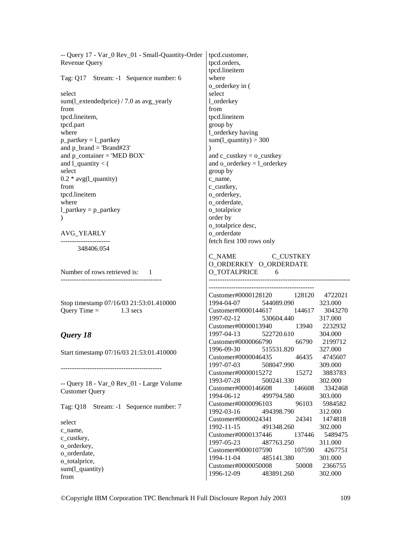| -- Query 17 - Var_0 Rev_01 - Small-Quantity-Order | tpcd.customer,                           |
|---------------------------------------------------|------------------------------------------|
| Revenue Query                                     | tpcd.orders,                             |
|                                                   | tpcd.lineitem                            |
| Tag: Q17 Stream: -1 Sequence number: 6            | where                                    |
|                                                   | o_orderkey in (                          |
| select                                            |                                          |
|                                                   | select                                   |
| sum $(1$ _extendedprice $)$ / 7.0 as avg_yearly   | 1_orderkey                               |
| from                                              | from                                     |
| tpcd.lineitem,                                    | tpcd.lineitem                            |
| tpcd.part                                         | group by                                 |
| where                                             | 1_orderkey having                        |
| $p$ _partkey = $l$ _partkey                       | sum( $1$ <sup>-</sup> quantity) > 300    |
| and $p_{\text{parallel}} = 'Brand#23'$            | $\lambda$                                |
| and $p_{\text{1}}$ container = 'MED BOX'          | and $c$ _custkey = $o$ _custkey          |
| and $1$ <sup>quantity &lt; (</sup>                | and $o$ _orderkey = $l$ _orderkey        |
| select                                            |                                          |
|                                                   | group by                                 |
| $0.2 * avg(l_quantity)$                           | c_name,                                  |
| from                                              | c_custkey,                               |
| tpcd.lineitem                                     | o_orderkey,                              |
| where                                             | o_orderdate,                             |
| $1$ partkey = $p$ partkey                         | o_totalprice                             |
|                                                   | order by                                 |
|                                                   | o_totalprice desc,                       |
| AVG_YEARLY                                        | o_orderdate                              |
|                                                   | fetch first 100 rows only                |
| 348406.054                                        |                                          |
|                                                   | C_NAME C_CUSTKEY                         |
|                                                   | O_ORDERKEY O_ORDERDATE                   |
| Number of rows retrieved is: 1                    | O_TOTALPRICE 6                           |
|                                                   |                                          |
|                                                   |                                          |
|                                                   |                                          |
|                                                   | Customer#0000128120 128120 4722021       |
| Stop timestamp 07/16/03 21:53:01.410000           | 1994-04-07 544089.090 323.000            |
| Query Time = $1.3$ secs                           | Customer#0000144617 144617 3043270       |
|                                                   | 1997-02-12  530604.440  317.000          |
|                                                   | Customer#0000013940 13940 2232932        |
| Query 18                                          | 1997-04-13 522720.610 304.000            |
|                                                   | Customer#0000066790 66790 2199712        |
| Start timestamp 07/16/03 21:53:01.410000          | 1996-09-30 515531.820<br>327.000         |
|                                                   | Customer#0000046435<br>46435<br>4745607  |
|                                                   | 1997-07-03<br>508047.990<br>309.000      |
|                                                   | Customer#0000015272<br>3883783<br>15272  |
|                                                   | 1993-07-28<br>302.000<br>500241.330      |
| -- Query 18 - Var_0 Rev_01 - Large Volume         | Customer#0000146608<br>3342468<br>146608 |
| <b>Customer Query</b>                             | 1994-06-12<br>499794.580<br>303.000      |
|                                                   | Customer#0000096103<br>96103<br>5984582  |
| Tag: Q18 Stream: -1 Sequence number: 7            | 1992-03-16<br>312.000<br>494398.790      |
|                                                   | 1474818<br>24341                         |
| select                                            | Customer#0000024341                      |
| c_name,                                           | 1992-11-15<br>491348.260<br>302.000      |
| c_custkey,                                        | Customer#0000137446<br>5489475<br>137446 |
| o_orderkey,                                       | 1997-05-23<br>487763.250<br>311.000      |
| o_orderdate,                                      | Customer#0000107590<br>4267751<br>107590 |
| o_totalprice,                                     | 1994-11-04<br>485141.380<br>301.000      |
| sum(l_quantity)                                   | Customer#0000050008<br>2366755<br>50008  |
|                                                   | 1996-12-09<br>483891.260<br>302.000      |
| from                                              |                                          |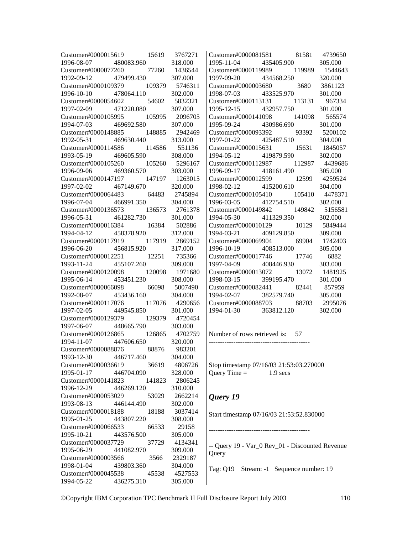| Customer#0000015619 15619 3767271  |                    |        |                | Customer#0000081581 81581 4739650               |                           |  |
|------------------------------------|--------------------|--------|----------------|-------------------------------------------------|---------------------------|--|
| 1996-08-07 480083.960              |                    |        | 318.000        | 1995-11-04 435405.900                           | 305.000                   |  |
| Customer#0000077260 77260 1436544  |                    |        |                | Customer#0000119989 119989 1544643              |                           |  |
| 1992-09-12 479499.430              |                    |        | 307.000        | 1997-09-20 434568.250                           | 320.000                   |  |
| Customer#0000109379 109379 5746311 |                    |        |                | Customer#0000003680 3680 3861123                |                           |  |
| 1996-10-10 478064.110 302.000      |                    |        |                | 1998-07-03 433525.970                           | 301.000                   |  |
| Customer#0000054602 54602 5832321  |                    |        |                | Customer#0000113131 113131 967334               |                           |  |
| 1997-02-09 471220.080 307.000      |                    |        |                | 1995-12-15 432957.750                           | 301.000                   |  |
| Customer#0000105995 105995 2096705 |                    |        |                | Customer#0000141098 141098 565574               |                           |  |
| 1994-07-03 469692.580 307.000      |                    |        |                | 1995-09-24 430986.690                           | 301.000                   |  |
| Customer#0000148885 148885 2942469 |                    |        |                | Customer#0000093392 93392                       | 5200102                   |  |
| 1992-05-31 469630.440 313.000      |                    |        |                | 1997-01-22 425487.510                           | 304.000                   |  |
| Customer#0000114586 114586 551136  |                    |        |                | Customer#0000015631 15631 1845057               |                           |  |
| 1993-05-19                         | 469605.590 308.000 |        |                | 1994-05-12 419879.590                           | 302.000                   |  |
| Customer#0000105260 105260 5296167 |                    |        |                | Customer#0000112987 112987 4439686              |                           |  |
| 1996-09-06                         | 469360.570 303.000 |        |                | 1996-09-17 418161.490                           | 305.000                   |  |
| Customer#0000147197                |                    |        | 147197 1263015 | Customer#0000012599 12599 4259524               |                           |  |
| 1997-02-02                         | 467149.670 320.000 |        |                | 1998-02-12 415200.610                           | 304.000                   |  |
| Customer#0000064483                |                    |        | 64483 2745894  | Customer#0000105410                             | 105410 4478371            |  |
| 1996-07-04                         | 466991.350 304.000 |        |                | 412754.510                                      |                           |  |
|                                    |                    |        |                | 1996-03-05                                      | 302.000<br>149842 5156581 |  |
| Customer#0000136573                |                    |        | 136573 2761378 | Customer#0000149842                             |                           |  |
| 1996-05-31                         | 461282.730         |        | 301.000        | 411329.350<br>1994-05-30                        | 302.000                   |  |
| Customer#0000016384                |                    |        | 16384 502886   | Customer#0000010129                             | 10129 5849444             |  |
| 1994-04-12                         | 458378.920 312.000 |        |                | 409129.850<br>1994-03-21                        | 309.000                   |  |
| Customer#0000117919                |                    |        | 117919 2869152 | Customer#0000069904 69904 1742403               |                           |  |
| 1996-06-20                         | 456815.920         |        | 317.000        | 408513.000<br>1996-10-19                        | 305.000                   |  |
| Customer#0000012251                |                    |        | 12251 735366   | Customer#0000017746 17746 6882                  |                           |  |
| 1993-11-24                         | 455107.260         |        | 309.000        | 1997-04-09 408446.930                           | 303.000                   |  |
| Customer#0000120098                |                    |        | 120098 1971680 | Customer#0000013072 13072 1481925               |                           |  |
| 1995-06-14                         | 453451.230 308.000 |        |                | 1998-03-15 399195.470                           | 301.000                   |  |
| Customer#0000066098 66098 5007490  |                    |        |                | Customer#0000082441 82441 857959                |                           |  |
| 1992-08-07                         | 453436.160 304.000 |        |                | 1994-02-07 382579.740                           | 305.000                   |  |
| Customer#0000117076 117076 4290656 |                    |        |                | Customer#0000088703 88703 2995076               |                           |  |
| 1997-02-05 449545.850              |                    |        | 301.000        | 1994-01-30 363812.120                           | 302.000                   |  |
| Customer#0000129379 129379 4720454 |                    |        |                |                                                 |                           |  |
| 1997-06-07 448665.790              |                    |        | 303.000        |                                                 |                           |  |
| Customer#0000126865 126865 4702759 |                    |        |                | Number of rows retrieved is: 57                 |                           |  |
| 1994-11-07 447606.650 320.000      |                    |        |                |                                                 |                           |  |
| Customer#0000088876 88876 983201   |                    |        |                |                                                 |                           |  |
| 1993-12-30                         | 446717.460         |        | 304.000        |                                                 |                           |  |
| Customer#0000036619                |                    | 36619  | 4806726        | Stop timestamp 07/16/03 21:53:03.270000         |                           |  |
| 1995-01-17                         | 446704.090         |        | 328.000        | Query Time $=$<br>$1.9$ secs                    |                           |  |
| Customer#0000141823                |                    | 141823 | 2806245        |                                                 |                           |  |
| 1996-12-29                         | 446269.120         |        | 310.000        |                                                 |                           |  |
| Customer#0000053029                |                    | 53029  | 2662214        | Query 19                                        |                           |  |
| 1993-08-13                         | 446144.490         |        | 302.000        |                                                 |                           |  |
| Customer#0000018188                |                    | 18188  | 3037414        | Start timestamp 07/16/03 21:53:52.830000        |                           |  |
| 1995-01-25                         | 443807.220         |        | 308.000        |                                                 |                           |  |
| Customer#0000066533                |                    | 66533  | 29158          |                                                 |                           |  |
| 1995-10-21                         | 443576.500         |        | 305.000        |                                                 |                           |  |
| Customer#0000037729                |                    | 37729  | 4134341        | -- Query 19 - Var_0 Rev_01 - Discounted Revenue |                           |  |
| 1995-06-29                         | 441082.970         |        | 309.000        | Query                                           |                           |  |
| Customer#0000003566                |                    | 3566   | 2329187        |                                                 |                           |  |
| 1998-01-04                         | 439803.360         |        | 304.000        | Tag: Q19 Stream: -1 Sequence number: 19         |                           |  |
| Customer#0000045538                |                    | 45538  | 4527553        |                                                 |                           |  |
| 1994-05-22                         | 436275.310         |        | 305.000        |                                                 |                           |  |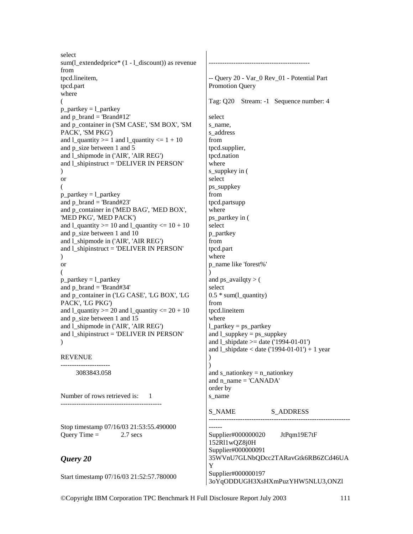select sum(1 extendedprice\*  $(1 - 1$  discount)) as revenue from tpcd.lineitem, tpcd.part where (  $p$ \_partkey =  $l$ \_partkey and  $p_{\text{parallel}} = 'Brand#12'$ and p\_container in ('SM CASE', 'SM BOX', 'SM PACK', 'SM PKG') and  $l$ \_quantity >= 1 and  $l$ \_quantity <=  $1 + 10$ and p size between 1 and 5 and l\_shipmode in ('AIR', 'AIR REG') and l\_shipinstruct = 'DELIVER IN PERSON'  $\mathcal{L}$ or (  $p$ \_partkey =  $l$ \_partkey and p\_brand = 'Brand#23' and p\_container in ('MED BAG', 'MED BOX', 'MED PKG', 'MED PACK') and  $l$ <sub>quantity</sub>  $>= 10$  and  $l$ <sub>quantity</sub>  $<= 10 + 10$ and p\_size between 1 and 10 and l\_shipmode in ('AIR', 'AIR REG') and l\_shipinstruct = 'DELIVER IN PERSON'  $\mathcal{L}$ or (  $p$ \_partkey =  $l$ \_partkey and p\_brand = 'Brand#34' and p\_container in ('LG CASE', 'LG BOX', 'LG PACK', 'LG PKG') and  $1$ <sub>quantity</sub>  $>= 20$  and  $1$ <sub>quantity</sub>  $<= 20 + 10$ and p\_size between 1 and 15 and l\_shipmode in ('AIR', 'AIR REG') and l\_shipinstruct = 'DELIVER IN PERSON' ) REVENUE ---------------------- 3083843.058 Number of rows retrieved is: 1 --------------------------------------------- Stop timestamp 07/16/03 21:53:55.490000 Query Time  $=$  2.7 secs *Query 20*  Start timestamp 07/16/03 21:52:57.780000 --------------------------------------------- -- Query 20 - Var\_0 Rev\_01 - Potential Part Promotion Query Tag: Q20 Stream: -1 Sequence number: 4 select s\_name. s\_address from tpcd.supplier, tpcd.nation where s\_suppkey in ( select ps\_suppkey from tpcd.partsupp where ps\_partkey in ( select p\_partkey from tpcd.part where p\_name like 'forest%'  $\lambda$ and ps\_availqty  $>$  ( select  $0.5$  \* sum(1 quantity) from tpcd.lineitem where  $l$ \_partkey = ps\_partkey and  $l$ \_suppkey = ps\_suppkey and 1 shipdate  $>=$  date ('1994-01-01') and 1 shipdate  $<$  date ('1994-01-01') + 1 year  $\lambda$  $\lambda$ and s\_nationkey  $=$  n\_nationkey and n\_name = 'CANADA' order by s\_name S\_NAME S\_ADDRESS --------------------------------------------------------------- ------ Supplier#000000020 JtPqm19E7tF 152Rl1wQZ8j0H Supplier#000000091 35WVnU7GLNbQDcc2TARavGtk6RB6ZCd46UA Y Supplier#000000197 3oYqODDUGH3XsHXmPuzYHW5NLU3,ONZl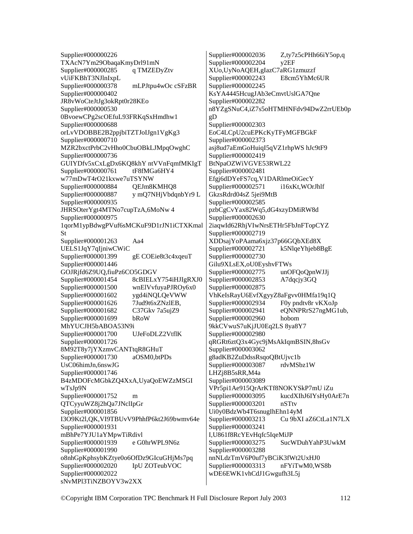Supplier#000000226 TXAcN7Ym29ObaqaKmyDrl91mN Supplier#000000285 q TMZEDyZtv vUiFKBhT3NJlnIxpL Supplier#000000378 mLPJtpu4wOc cSFzBR Supplier#000000402 JR8vWoCteJtJg3okRpt0r28KEo Supplier#000000530 0BvoewCPg2scOEfuL93FRKqSxHmdhw1 Supplier#000000688 orLvVDOBBE2B2ppjbiTZTJoIJgn1VgKg3 Supplier#000000710 MZR2bxctPrbC2vHho0CbuOBkLJMpqOwghC Supplier#000000736 GUIYDfv5xCxLgDx6KQ8khY ntVVnFqmfMKIgT Supplier#000000761 tF8fMGa6HY4 w77mDwT4rO21kxwe7uTSYNW Supplier#000000884 QEJm8KMHQ8 Supplier#000000887 y mQ7NHjVbdqnbYr9 L Supplier#000000935 JHRSOterYgt4MTNo7cupTzA,6MoNw 4 Supplier#000000975 1qorM1ypBdwgPVuf6sMCKuF9D1rJN1iCTXKmal St Supplier#000001263 Aa4 UELS1JqY7qIjniwCWiC Supplier#000001399 gE COEie8t3c4xqeuT Supplier#000001446 GOJRjfd6Z9UQ,fiuPz6CO5GDGV Supplier#000001454 8cBIELxY754iHJIgRXJ0 Supplier#000001500 wnElVvfuyaPJROy6x0 Supplier#000001602 ygd4iNQLQeVWW Supplier#000001626 7Jud9t6xZNzlEB, Supplier#000001682 C37Gkv 7a5ujZ9 Supplier#000001699 bRoW MhYUCJH5bABOA53N9i Supplier#000001700 UJeFoDLZ2VtflK Supplier#000001726 8M92T8y7jYXzmvCANTtqR8GHuT Supplier#000001730 aOSM0.btPDs UsC06himJn,6nswJG Supplier#000001746 B4zMDOFcMGbkZQ4XxA,UyaQoEWZzMSGI wTsJp9N Supplier#000001752 m QTCyyuWZ8j2hQa7JNclIpGr Supplier#000001856 I3O9Kt2l,QK,VI9TBUvV9PhhfP6kt2J69bwmv64e Supplier#000001931 mBhPe7YJU1aYMpwTiRdivl Supplier#000001939 e G0hrWPL9N6z Supplier#000001990 o8nhGpKphsybKZtye0o6OfDz9GIcuGHjMs7pq Supplier#000002020 IpU ZOTeubVOC Supplier#000002022 sNvMPl3TiNZBOYV3w2XX

Supplier#000002036 Z,ty7z5cPHh66iY5op,q Supplier#000002204 y2EF XUo,UyNoAQEH,gIazC7aRG1zmuzzf Supplier#000002243 E8cm5YhMc6UR Supplier#000002245 KsYA4445HcugJAb3eCmvtUslGA7Qne Supplier#000002282 n8YZgSNuC4,iZ7s5oHTMHNFdv94DwZ2rrUEb0p gD Supplier#000002303 EoC4LCpU2cuEPKcKyTFyMGFBGkF Supplier#000002373 asj8ud7aEmGoHuiqI5qVZ1rhpWS hJc9tF9 Supplier#000002419 BtNpaOZWiVGVE53RWL22 Supplier#000002481 Efgj6dDYeFS7cq,V1DARlmeOiGecY Supplier#000002571 i16xKt,WOrJhlf GkzsRdrd04sZ 5jei9MtB Supplier#000002585 pzbCgCvYax82Wq5,dG4xzyDMiRW8d Supplier#000002630 2iaqwId62RhjVIwNrsETHr5FbJnFTopCYZ Supplier#000002719 XDDsajYoPAama6xjz37p66GQbXEd8X Supplier#000002721 k5NlqeYhjeb8BgE Supplier#000002730 Gilu9XLsEX,oU0EyshvFTWs Supplier#000002775 unOFQoQpnWJJj Supplier#000002853 A7dqcjy3GQ Supplier#000002875 VhKeIsRayU6EvfXgyyZ8aFgvv0HMfa19q1Q Supplier#000002934 F0y pndtv8r vKXoJp Supplier#000002941 eQNNPRrS27ngMG1ub, Supplier#000002960 hobom 9kkCVwuS7uKjJU0Eq2LS 8ya8Y7 Supplier#000002980 qRGRt6ztQ3x4Gyc9jMsAkIqmBSIN,8hsGv Supplier#000003062 g8adKB2ZuDdssRsqoQBtUjvc1b Supplier#000003087 rdvMSbz1W LHZj8B5sRR,M4a Supplier#000003089 VPr5pi1Ae915QrArKTf8NOKYSkP7mU iZu Supplier#000003095 kucdXIhJ6IYsHy0ArE7n Supplier#000003201 nSTtv Ui0y0BdzWb4T6snugIhEhn14yM<br>Supplier#000003213 Cu 9bXI Cu 9bXI aZ6CtLa1N7LX Supplier#000003241 I,U861f8RcYEvHqfc5IqeMiJP Supplier#000003275 SucWDuhYahP3UwkM Supplier#000003288 nnNLdzTmV6P0uf7yBCiK3fWt2UxHJ0 Supplier#000003313 nFYiTwM0,WS8b wDE6EWK1vhCdJ1Gwgufh3L5j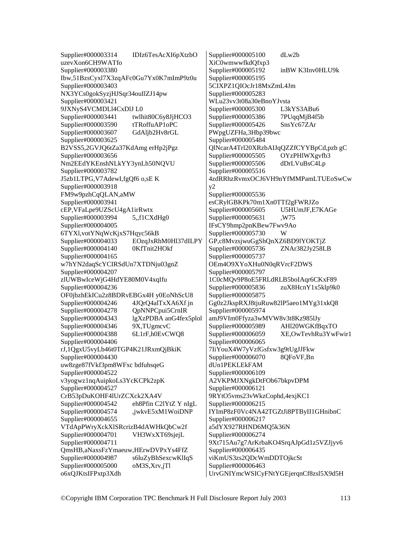Supplier#000003314 IDIz6TesAcXI6pXtzbO uzevXon6CH9WATfo Supplier#000003380 Ibw,51BzsCyxl7X3zqAFc0Gu7Yx0K7mImP9z0u Supplier#000003403 NX3YCs0gokSyzjHJSqr34ouIlZJ14pw Supplier#000003421 9JXNyS4VCMDLl4CxDlJ L0 Supplier#000003441 twlhit80C6y8JjHCO3 Supplier#000003590 tTRoffuAP1oPC Supplier#000003607 GdAljb2Hv8rGL Supplier#000003625 B2VSS5,2GVJQ6tZa37KdAmg erHp2jPgz Supplier#000003656 Nm2EEdYKEnshNLkYY3ynLh50NQVU Supplier#000003782 J5zb1LTPG,V7AdewI,fgQf6 o,sE K Supplier#000003918 FM9w9pzhCqQLAN,aMW Supplier#000003941 cEP,VFaLpe9UZScU4gA1irRwtx Supplier#000003994 5,,f1CXdHg0 Supplier#000004005 6TYXl,votYNqWcKjxS7Hqyc56kB Supplier#000004033 EOzqJxRhM0Hl37dILPY Supplier#000004140 0KfTnit2HOkf Supplier#000004165 w7hYN2daqScYCIRSdUn7XTDNju03gnZ Supplier#000004207 zlUWBwIceWjG4HdYE80M0V4xqIfu Supplier#000004236 OF0jbzhEkICu2z8BDRvEBGx4H y0EoNhScU8 Supplier#000004246 4JOrO4alTxXA6Xf in Supplier#000004278 QpNNPCpui5CrnIR Supplier#000004343 lgXzPDBA anG4fex5plol<br>Supplier#000004346 9X.TUgmcvC Supplier#000004346 Supplier#000004388 6L1rF,h0EvCWQ8 Supplier#000004406 rJ,1QgxU5vyLb46t0TGP4K21JRxmQjBkiK Supplier#000004430 uw8zge87fVkf3pm8WFxc bdfuhsqeG Supplier#000004522 v3yogwz1nqAuipkoLs3YcKCPk2zpK Supplier#000004527 CrB53pDuKOHF4lUrZCXck2XA4V Supplier#000004542 eh8Pfin C2lYtZ Y nIgL Supplier#000004574 ,jwkvE5xM1WoiDNP Supplier#000004655 VTdApPWryXckXlSRcrizB4dAWHkQbCw2f Supplier#000004701 VH3WxXT69sjejL Supplier#000004711 QmsHB,aNaxsFzYmaeuw,HErwDVPxYs4FfZ Supplier#000004987 s6luZyBhSexcwKlIqS Supplier#000005000 oM3S,Xrv,jTl o6xQJKtsIFPxtp3Xdh

Supplier#000005100 dLw2b XiC0wmwwfkdQfxp3<br>Supplier#000005192 inBW K3Inv0HLU9k Supplier#000005195 5CIXPZ1QIOcJr18MxZmL4Jm Supplier#000005283 WLu23vv3t08a30eBnoYJvsta Supplier#000005300 L3kYS3ABu6 Supplier#000005386 7PUqqMjB4f5b Supplier#000005426 SnsYc67ZAr PWpgUZFHa,3Hbp39bwc Supplier#000005484 QlNcarA4Trl20XRzbAIJqQZZfCYYBpCd,pzb gC Supplier#000005505 OYzPHlWXgvfb3 Supplier#000005506 dDrLVuBsC4Lp Supplier#000005516 4zdRRhzRvmxOCJ6VH9nYfMMPamLTUEoSwCw  $v2$ Supplier#000005536 esCRylGBKPk70m1Xn0TTf2gFWRJZo Supplier#000005605 U5HUmJF,E7KAGe Supplier#000005631 ,W75 IFsCY9hmp2pnKBew7Fwv9Ao Supplier#000005730 W GP,c8MvzsjwuGgShQnXZ6BD9lYOKTjZ Supplier#000005736 ZNAr382Jy258LB Supplier#000005737 OEm4O9XYoXHu0N0qRVrcF2DWS Supplier#000005797 1C0cMQv9P8oE5FRLdRLB5boIAqr6CKxF89 Supplier#000005836 zuX8HcnY1x5klp9k0 Supplier#000005875 Gg0z2JkspRXJ8tjuRuw82lP5aeo1MYg31xkQ8 Supplier#000005974 amJ9VIm0Ffyza3wMVW8v3t8Kz985lJy<br>Supplier#000005989 AHl20WGKfB AHl20WGKfBqxTO Supplier#000006059 XE,OwTevhRu3YwFwir1 Supplier#000006065 7IiYouX4W7yVzfGsfxw3g9tUgJJFkw Supplier#000006070 8QFoVF,Bn dUn1PEKLEkFAM Supplier#000006109 A2VKPMJXNgkDtFOb67bkpvDPM Supplier#000006121 9RYtO5vms23vWkzCophd,4exjKC1 Supplier#000006215 IYImP8zF0Vc4NA42TGZtJi8PTByII1GHnibnC Supplier#000006217 a5dYX927RHND6MQ5k36N Supplier#000006274 9Xt715Au7g7ArKrbaKO4SrqAJpGd1z5VZJjyv6 Supplier#000006435 viKmUS3zs2QDcWmDDTOjkcSt Supplier#000006463 UrvGNIYmcWSICyFNtYGEjerqnCf8zsl5X9d5H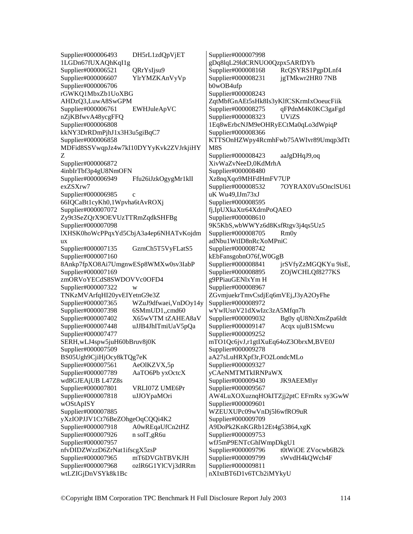Supplier#000006493 DH5rL1zdQpVjET 1LGDn67fUXAQhKqI1g Supplier#000006521 QRrYsIjsu9 Supplier#000006607 YlrYMZKAnVyVp Supplier#000006706 rGWKQ1MbxZb1UoXBG AHDzQ3,LuwA8SwGPM Supplier#000006761 EWHJuleApVC nZjKBfwvA48ycgFFQ Supplier#000006808 kkNY3DrRDmPjhJ1x3H3u5giBqC7 Supplier#000006858 MDFid8SSVwqpJz4w7kI10DYYyKvk2ZVJrkjiHY Z Supplier#000006872 4inbIrTbf3p4gU8NmOFN Supplier#000006949 Ffu26iJzkOgygMr1klI exZSXrw7 Supplier#000006985 c 66IQCaBt1cyKh0,1Wpvha6tAvROXj Supplier#000007072 Zy9t3SeZQrX9OEVUzTTRmZqdkSHFBg Supplier#000007098 lXHSK0hoWcPPqxYd5CbjA3a4ep6NHATvKojdm ux Supplier#000007135 GzrnCh5T5VyFLatS5 Supplier#000007160 8Ankp7fpXO8Ai7UmgnwESp8WMXw0sv3IabP Supplier#000007169 zmORVoYECdS8SWDOVVc0OFD4 Supplier#000007322 w TNKzMVArfqHI20yvEIYetnG9e3Z Supplier#000007365 WZuJ9dfwaei,VnDOy14y Supplier#000007398 6SMmUD1,,cmd60 Supplier#000007402 X65wVTM tZAHEA8aV<br>Supplier#000007448 uJJB4JhITmiUaV5pOa uJJB4JhITmiUaV5pQa Supplier#000007477 SERH,wLJ4spw5juH60bBruv8j0K Supplier#000007509 BS05Ugh9CjiHjOcy8kTQg7eK Supplier#000007561 AeOlKZVX.5p Supplier#000007789 AaTO6Pb yxOctcX wd8GJEAjUB L47Z8s Supplier#000007801 VRLI07Z UME6Pr Supplier#000007818 uJJOYpaMOri wOStApISY Supplier#000007885 yXzIOPJJV1Ct76BeZOhgeOqCQQi4K2 Supplier#000007918 A0wREqaUfCn2tHZ Supplier#000007926 n solT,gR6u Supplier#000007957 nfvDIDZWzzD6ZrNat1ifscgX5zsP Supplier#000007965 mT6DVGhTBVKJH Supplier#000007968 ozlR6G1YlCVj3dRRm wtLZIGjDnVSYk8k1Bc

Supplier#000007998 gDq8lqL29ldCRNUO0Qzpx5ARfDYb Supplier#000008168 RcQSYRS1PgpDLnf4 Supplier#000008231 jgTMkwr2HR0 7NB b0wOB4ufp Supplier#000008243 ZqtMbfGnAEt5sHk8Is3yKlfCSKrmIxOoeucFiik Supplier#000008275 qFPdnM4K0KC3gaFgd Supplier#000008323 UViZS 1Eq8wErbcNJM9eOHRyECtMa0qLo3dWpiqP Supplier#000008366 KTTSOnHZWpy4RcmhFwb75AWIvr89Umqp3dTt M8S Supplier#000008423 aaJgDHqJ9,oq XivWaZvNeeD,0KdMrhA Supplier#000008480 Xz8nqXqo9MHFdHmFV7UP Supplier#000008532 7OYRAX0Vu5OnclSU61 uK Wu49,IJm73xJ Supplier#000008595 fj,IpUXkaXtr64XdrnPoQAEO Supplier#000008610 9K5KbS,wbWWYz6d8KsfRtgv3j4qs5Uz5 Supplier#000008705 Rm0y adNbu1WtID8nRcXoMPniC Supplier#000008742 kEbFansgobnO76f,W0GgB Supplier#000008841 jrSVfyZzMGQKYu 9isE, Supplier#000008895 ZOjWCHLQf8277KS g9PPiauGENlxYm H Supplier#000008967 ZGvmjuekrTmvCsdjEq6mVEj,J3yA2OyFhe Supplier#000008972 wYwlUsnV21dXwIzc3zA5Mfqn7h Supplier#000009032 Bg0y qU8NtXnsZpa6ldt<br>Supplier#000009147 Acqx ujuB1SMcwu Acqx ujuB1SMcwu Supplier#000009252 mTO1Qc6jvJ,r1gtIXuEq64oZ3ObrxM,BVE0J Supplier#000009278 aA27sLuHRXpf3r,FO2LondcMLo Supplier#000009327 yCAeNMTMTkIRNPaWX Supplier#000009430 JK9AEEMlyr Supplier#000009567 AW4LuXOXuznqHOkITZjj2ptC EFrnRx sy3GwW Supplier#000009601 WZEUXUPc09wVnDj5l6wfRO9uR Supplier#000009709 A9DoPk2KnKGRb12Et4g53864,xgK Supplier#000009753 wfJ5mP9ENTcGhlWmpDkgU1 Supplier#000009796 t0tWiOE ZVocwb6B2k Supplier#000009799 sWvdH4kQWch4F Supplier#000009811 nXIxtBT6D1v6TCb2iMYkyU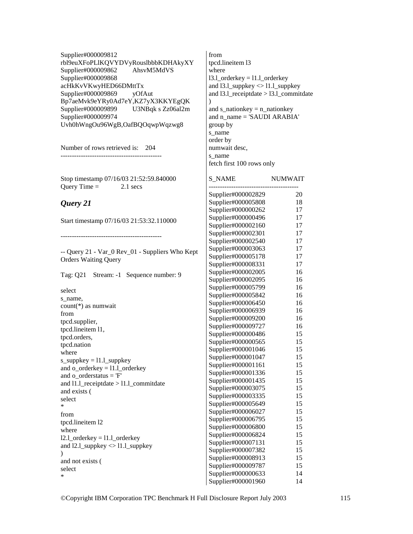Supplier#000009812 rbl9euXFoPLlKQVYDVyRouslbbbKDHAkyXY Supplier#000009862 AhsvM5MdVS Supplier#000009868 acHkKvVKwyHED66DMttTx<br>Supplier#000009869 vOfAut Supplier#000009869 Bp7aeMvk9eYRy0Ad7eY,KZ7yX3KKYEgQK Supplier#000009899 U3NBqk s Zz06al2m Supplier#000009974 Uvh0hWngOu96WgB,OafBQOqwpWqzwg8

Number of rows retrieved is: 204 ---------------------------------------------

Stop timestamp 07/16/03 21:52:59.840000 Ouery Time  $=$  2.1 secs

## *Query 21*

Start timestamp 07/16/03 21:53:32.110000

---------------------------------------------

-- Query 21 - Var\_0 Rev\_01 - Suppliers Who Kept Orders Waiting Query

Tag: Q21 Stream: -1 Sequence number: 9

select s\_name, count(\*) as numwait from tpcd.supplier, tpcd.lineitem l1, tpcd.orders, tpcd.nation where s\_suppkey =  $11.1$  suppkey and o  $orderkey = 11.1$  orderkey and o  $\text{orderstatus} = 'F'$ and l1.l\_receiptdate  $>$  l1.l\_commitdate and exists ( select \* from tpcd.lineitem l2 where 12.1 orderkey  $= 11.1$  orderkey and l2.l\_suppkey <> l1.l\_suppkey  $\mathcal{L}$ and not exists ( select \*

from tpcd.lineitem l3 where 13.1 orderkey = 11.1 orderkey and 13.1 suppkey  $\langle 11.1 \text{ suppose} \rangle$ and 13.1 receiptdate  $> 13.1$  commitdate  $\lambda$ and  $s$ <sup>nationkey = n\_nationkey</sup> and n\_name = 'SAUDI ARABIA' group by s\_name order by numwait desc, s\_name fetch first 100 rows only

| <b>S NAME</b>      | <b>NUMWAIT</b> |
|--------------------|----------------|
| Supplier#000002829 | 20             |
| Supplier#000005808 | 18             |
| Supplier#000000262 | 17             |
| Supplier#000000496 | 17             |
| Supplier#000002160 | 17             |
| Supplier#000002301 | 17             |
| Supplier#000002540 | 17             |
| Supplier#000003063 | 17             |
| Supplier#000005178 | 17             |
| Supplier#000008331 | 17             |
| Supplier#000002005 | 16             |
| Supplier#000002095 | 16             |
| Supplier#000005799 | 16             |
| Supplier#000005842 | 16             |
| Supplier#000006450 | 16             |
| Supplier#000006939 | 16             |
| Supplier#000009200 | 16             |
| Supplier#000009727 | 16             |
| Supplier#000000486 | 15             |
| Supplier#000000565 | 15             |
| Supplier#000001046 | 15             |
| Supplier#000001047 | 15             |
| Supplier#000001161 | 15             |
| Supplier#000001336 | 15             |
| Supplier#000001435 | 15             |
| Supplier#000003075 | 15             |
| Supplier#000003335 | 15             |
| Supplier#000005649 | 15             |
| Supplier#000006027 | 15             |
| Supplier#000006795 | 15             |
| Supplier#000006800 | 15             |
| Supplier#000006824 | 15             |
| Supplier#000007131 | 15             |
| Supplier#000007382 | 15             |
| Supplier#000008913 | 15             |
| Supplier#000009787 | 15             |
| Supplier#000000633 | 14             |
| Supplier#000001960 | 14             |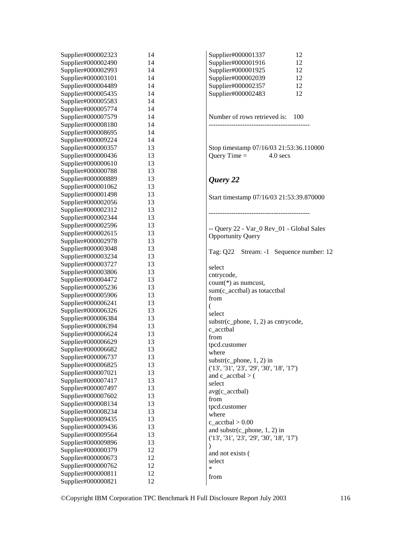| Supplier#000002490<br>Supplier#000001916<br>14<br>12<br>Supplier#000002993<br>Supplier#000001925<br>14<br>12<br>Supplier#000003101<br>Supplier#000002039<br>14<br>12<br>Supplier#000004489<br>Supplier#000002357<br>14<br>12<br>12<br>Supplier#000005435<br>Supplier#000002483<br>14<br>Supplier#000005583<br>14<br>Supplier#000005774<br>14<br>Number of rows retrieved is: 100<br>Supplier#000007579<br>14<br>Supplier#000008180<br>14<br>Supplier#000008695<br>14<br>Supplier#000009224<br>14<br>Supplier#000000357<br>13<br>Stop timestamp 07/16/03 21:53:36.110000<br>Query Time $=$<br>Supplier#000000436<br>13<br>$4.0 \text{ secs}$<br>Supplier#000000610<br>13<br>Supplier#000000788<br>13<br>Supplier#000000889<br>13<br>Query 22<br>Supplier#000001062<br>13<br>Supplier#000001498<br>13<br>Start timestamp 07/16/03 21:53:39.870000<br>Supplier#000002056<br>13<br>Supplier#000002312<br>13<br>Supplier#000002344<br>13<br>Supplier#000002596<br>13<br>-- Query 22 - Var_0 Rev_01 - Global Sales<br>Supplier#000002615<br>13<br><b>Opportunity Query</b><br>Supplier#000002978<br>13<br>Supplier#000003048<br>13<br>Supplier#000003234<br>13<br>Supplier#000003727<br>13<br>select<br>Supplier#000003806<br>13<br>cntrycode,<br>Supplier#000004472<br>13<br>count(*) as numeust,<br>Supplier#000005236<br>13<br>sum(c_acctbal) as totacctbal<br>Supplier#000005906<br>13<br>from<br>Supplier#000006241<br>13<br>(<br>Supplier#000006326<br>13<br>select<br>Supplier#000006384<br>13<br>$substr(c_{\text{phone}, 1, 2})$ as cntrycode,<br>Supplier#000006394<br>13<br>c_acctbal<br>Supplier#000006624<br>13<br>from<br>13<br>Supplier#000006629<br>tpcd.customer<br>Supplier#000006682<br>13<br>where<br>Supplier#000006737<br>13<br>$substr(c_{\text{phone}, 1, 2})$ in<br>Supplier#000006825<br>13<br>(13', 31', 23', 29', 30', 18', 17')<br>Supplier#000007021<br>13<br>and $c$ _acctbal > $($<br>Supplier#000007417<br>13<br>select<br>Supplier#000007497<br>13<br>$avg(c_accelbal)$<br>Supplier#000007602<br>13<br>from<br>Supplier#000008134<br>13<br>tpcd.customer<br>Supplier#000008234<br>13<br>where<br>Supplier#000009435<br>13<br>$c$ <sub>_acctbal</sub> $> 0.00$<br>Supplier#000009436<br>13<br>and $\text{substr}(c\_{phone}, 1, 2)$ in<br>Supplier#000009564<br>13<br>(13', 31', 23', 29', 30', 18', 17')<br>Supplier#000009896<br>13<br>Supplier#000000379<br>12<br>and not exists (<br>12<br>Supplier#000000673<br>select<br>Supplier#000000762<br>12<br>*<br>Supplier#000000811<br>12<br>from |                    |    |                                         |
|-----------------------------------------------------------------------------------------------------------------------------------------------------------------------------------------------------------------------------------------------------------------------------------------------------------------------------------------------------------------------------------------------------------------------------------------------------------------------------------------------------------------------------------------------------------------------------------------------------------------------------------------------------------------------------------------------------------------------------------------------------------------------------------------------------------------------------------------------------------------------------------------------------------------------------------------------------------------------------------------------------------------------------------------------------------------------------------------------------------------------------------------------------------------------------------------------------------------------------------------------------------------------------------------------------------------------------------------------------------------------------------------------------------------------------------------------------------------------------------------------------------------------------------------------------------------------------------------------------------------------------------------------------------------------------------------------------------------------------------------------------------------------------------------------------------------------------------------------------------------------------------------------------------------------------------------------------------------------------------------------------------------------------------------------------------------------------------------------------------------------------------------------------------------------------------------------------------------------------------------------------------------------------------------------------------------------------------------------------------------------------------------------------------------------------------------------------------------------------------------------------------------------------|--------------------|----|-----------------------------------------|
|                                                                                                                                                                                                                                                                                                                                                                                                                                                                                                                                                                                                                                                                                                                                                                                                                                                                                                                                                                                                                                                                                                                                                                                                                                                                                                                                                                                                                                                                                                                                                                                                                                                                                                                                                                                                                                                                                                                                                                                                                                                                                                                                                                                                                                                                                                                                                                                                                                                                                                                             | Supplier#000002323 | 14 | Supplier#000001337<br>12                |
|                                                                                                                                                                                                                                                                                                                                                                                                                                                                                                                                                                                                                                                                                                                                                                                                                                                                                                                                                                                                                                                                                                                                                                                                                                                                                                                                                                                                                                                                                                                                                                                                                                                                                                                                                                                                                                                                                                                                                                                                                                                                                                                                                                                                                                                                                                                                                                                                                                                                                                                             |                    |    |                                         |
|                                                                                                                                                                                                                                                                                                                                                                                                                                                                                                                                                                                                                                                                                                                                                                                                                                                                                                                                                                                                                                                                                                                                                                                                                                                                                                                                                                                                                                                                                                                                                                                                                                                                                                                                                                                                                                                                                                                                                                                                                                                                                                                                                                                                                                                                                                                                                                                                                                                                                                                             |                    |    |                                         |
|                                                                                                                                                                                                                                                                                                                                                                                                                                                                                                                                                                                                                                                                                                                                                                                                                                                                                                                                                                                                                                                                                                                                                                                                                                                                                                                                                                                                                                                                                                                                                                                                                                                                                                                                                                                                                                                                                                                                                                                                                                                                                                                                                                                                                                                                                                                                                                                                                                                                                                                             |                    |    |                                         |
|                                                                                                                                                                                                                                                                                                                                                                                                                                                                                                                                                                                                                                                                                                                                                                                                                                                                                                                                                                                                                                                                                                                                                                                                                                                                                                                                                                                                                                                                                                                                                                                                                                                                                                                                                                                                                                                                                                                                                                                                                                                                                                                                                                                                                                                                                                                                                                                                                                                                                                                             |                    |    |                                         |
|                                                                                                                                                                                                                                                                                                                                                                                                                                                                                                                                                                                                                                                                                                                                                                                                                                                                                                                                                                                                                                                                                                                                                                                                                                                                                                                                                                                                                                                                                                                                                                                                                                                                                                                                                                                                                                                                                                                                                                                                                                                                                                                                                                                                                                                                                                                                                                                                                                                                                                                             |                    |    |                                         |
|                                                                                                                                                                                                                                                                                                                                                                                                                                                                                                                                                                                                                                                                                                                                                                                                                                                                                                                                                                                                                                                                                                                                                                                                                                                                                                                                                                                                                                                                                                                                                                                                                                                                                                                                                                                                                                                                                                                                                                                                                                                                                                                                                                                                                                                                                                                                                                                                                                                                                                                             |                    |    |                                         |
|                                                                                                                                                                                                                                                                                                                                                                                                                                                                                                                                                                                                                                                                                                                                                                                                                                                                                                                                                                                                                                                                                                                                                                                                                                                                                                                                                                                                                                                                                                                                                                                                                                                                                                                                                                                                                                                                                                                                                                                                                                                                                                                                                                                                                                                                                                                                                                                                                                                                                                                             |                    |    |                                         |
|                                                                                                                                                                                                                                                                                                                                                                                                                                                                                                                                                                                                                                                                                                                                                                                                                                                                                                                                                                                                                                                                                                                                                                                                                                                                                                                                                                                                                                                                                                                                                                                                                                                                                                                                                                                                                                                                                                                                                                                                                                                                                                                                                                                                                                                                                                                                                                                                                                                                                                                             |                    |    |                                         |
|                                                                                                                                                                                                                                                                                                                                                                                                                                                                                                                                                                                                                                                                                                                                                                                                                                                                                                                                                                                                                                                                                                                                                                                                                                                                                                                                                                                                                                                                                                                                                                                                                                                                                                                                                                                                                                                                                                                                                                                                                                                                                                                                                                                                                                                                                                                                                                                                                                                                                                                             |                    |    |                                         |
|                                                                                                                                                                                                                                                                                                                                                                                                                                                                                                                                                                                                                                                                                                                                                                                                                                                                                                                                                                                                                                                                                                                                                                                                                                                                                                                                                                                                                                                                                                                                                                                                                                                                                                                                                                                                                                                                                                                                                                                                                                                                                                                                                                                                                                                                                                                                                                                                                                                                                                                             |                    |    |                                         |
|                                                                                                                                                                                                                                                                                                                                                                                                                                                                                                                                                                                                                                                                                                                                                                                                                                                                                                                                                                                                                                                                                                                                                                                                                                                                                                                                                                                                                                                                                                                                                                                                                                                                                                                                                                                                                                                                                                                                                                                                                                                                                                                                                                                                                                                                                                                                                                                                                                                                                                                             |                    |    |                                         |
|                                                                                                                                                                                                                                                                                                                                                                                                                                                                                                                                                                                                                                                                                                                                                                                                                                                                                                                                                                                                                                                                                                                                                                                                                                                                                                                                                                                                                                                                                                                                                                                                                                                                                                                                                                                                                                                                                                                                                                                                                                                                                                                                                                                                                                                                                                                                                                                                                                                                                                                             |                    |    |                                         |
|                                                                                                                                                                                                                                                                                                                                                                                                                                                                                                                                                                                                                                                                                                                                                                                                                                                                                                                                                                                                                                                                                                                                                                                                                                                                                                                                                                                                                                                                                                                                                                                                                                                                                                                                                                                                                                                                                                                                                                                                                                                                                                                                                                                                                                                                                                                                                                                                                                                                                                                             |                    |    |                                         |
|                                                                                                                                                                                                                                                                                                                                                                                                                                                                                                                                                                                                                                                                                                                                                                                                                                                                                                                                                                                                                                                                                                                                                                                                                                                                                                                                                                                                                                                                                                                                                                                                                                                                                                                                                                                                                                                                                                                                                                                                                                                                                                                                                                                                                                                                                                                                                                                                                                                                                                                             |                    |    |                                         |
|                                                                                                                                                                                                                                                                                                                                                                                                                                                                                                                                                                                                                                                                                                                                                                                                                                                                                                                                                                                                                                                                                                                                                                                                                                                                                                                                                                                                                                                                                                                                                                                                                                                                                                                                                                                                                                                                                                                                                                                                                                                                                                                                                                                                                                                                                                                                                                                                                                                                                                                             |                    |    |                                         |
|                                                                                                                                                                                                                                                                                                                                                                                                                                                                                                                                                                                                                                                                                                                                                                                                                                                                                                                                                                                                                                                                                                                                                                                                                                                                                                                                                                                                                                                                                                                                                                                                                                                                                                                                                                                                                                                                                                                                                                                                                                                                                                                                                                                                                                                                                                                                                                                                                                                                                                                             |                    |    |                                         |
|                                                                                                                                                                                                                                                                                                                                                                                                                                                                                                                                                                                                                                                                                                                                                                                                                                                                                                                                                                                                                                                                                                                                                                                                                                                                                                                                                                                                                                                                                                                                                                                                                                                                                                                                                                                                                                                                                                                                                                                                                                                                                                                                                                                                                                                                                                                                                                                                                                                                                                                             |                    |    |                                         |
|                                                                                                                                                                                                                                                                                                                                                                                                                                                                                                                                                                                                                                                                                                                                                                                                                                                                                                                                                                                                                                                                                                                                                                                                                                                                                                                                                                                                                                                                                                                                                                                                                                                                                                                                                                                                                                                                                                                                                                                                                                                                                                                                                                                                                                                                                                                                                                                                                                                                                                                             |                    |    |                                         |
|                                                                                                                                                                                                                                                                                                                                                                                                                                                                                                                                                                                                                                                                                                                                                                                                                                                                                                                                                                                                                                                                                                                                                                                                                                                                                                                                                                                                                                                                                                                                                                                                                                                                                                                                                                                                                                                                                                                                                                                                                                                                                                                                                                                                                                                                                                                                                                                                                                                                                                                             |                    |    |                                         |
|                                                                                                                                                                                                                                                                                                                                                                                                                                                                                                                                                                                                                                                                                                                                                                                                                                                                                                                                                                                                                                                                                                                                                                                                                                                                                                                                                                                                                                                                                                                                                                                                                                                                                                                                                                                                                                                                                                                                                                                                                                                                                                                                                                                                                                                                                                                                                                                                                                                                                                                             |                    |    |                                         |
|                                                                                                                                                                                                                                                                                                                                                                                                                                                                                                                                                                                                                                                                                                                                                                                                                                                                                                                                                                                                                                                                                                                                                                                                                                                                                                                                                                                                                                                                                                                                                                                                                                                                                                                                                                                                                                                                                                                                                                                                                                                                                                                                                                                                                                                                                                                                                                                                                                                                                                                             |                    |    |                                         |
|                                                                                                                                                                                                                                                                                                                                                                                                                                                                                                                                                                                                                                                                                                                                                                                                                                                                                                                                                                                                                                                                                                                                                                                                                                                                                                                                                                                                                                                                                                                                                                                                                                                                                                                                                                                                                                                                                                                                                                                                                                                                                                                                                                                                                                                                                                                                                                                                                                                                                                                             |                    |    |                                         |
|                                                                                                                                                                                                                                                                                                                                                                                                                                                                                                                                                                                                                                                                                                                                                                                                                                                                                                                                                                                                                                                                                                                                                                                                                                                                                                                                                                                                                                                                                                                                                                                                                                                                                                                                                                                                                                                                                                                                                                                                                                                                                                                                                                                                                                                                                                                                                                                                                                                                                                                             |                    |    |                                         |
|                                                                                                                                                                                                                                                                                                                                                                                                                                                                                                                                                                                                                                                                                                                                                                                                                                                                                                                                                                                                                                                                                                                                                                                                                                                                                                                                                                                                                                                                                                                                                                                                                                                                                                                                                                                                                                                                                                                                                                                                                                                                                                                                                                                                                                                                                                                                                                                                                                                                                                                             |                    |    |                                         |
|                                                                                                                                                                                                                                                                                                                                                                                                                                                                                                                                                                                                                                                                                                                                                                                                                                                                                                                                                                                                                                                                                                                                                                                                                                                                                                                                                                                                                                                                                                                                                                                                                                                                                                                                                                                                                                                                                                                                                                                                                                                                                                                                                                                                                                                                                                                                                                                                                                                                                                                             |                    |    |                                         |
|                                                                                                                                                                                                                                                                                                                                                                                                                                                                                                                                                                                                                                                                                                                                                                                                                                                                                                                                                                                                                                                                                                                                                                                                                                                                                                                                                                                                                                                                                                                                                                                                                                                                                                                                                                                                                                                                                                                                                                                                                                                                                                                                                                                                                                                                                                                                                                                                                                                                                                                             |                    |    |                                         |
|                                                                                                                                                                                                                                                                                                                                                                                                                                                                                                                                                                                                                                                                                                                                                                                                                                                                                                                                                                                                                                                                                                                                                                                                                                                                                                                                                                                                                                                                                                                                                                                                                                                                                                                                                                                                                                                                                                                                                                                                                                                                                                                                                                                                                                                                                                                                                                                                                                                                                                                             |                    |    | Tag: Q22 Stream: -1 Sequence number: 12 |
|                                                                                                                                                                                                                                                                                                                                                                                                                                                                                                                                                                                                                                                                                                                                                                                                                                                                                                                                                                                                                                                                                                                                                                                                                                                                                                                                                                                                                                                                                                                                                                                                                                                                                                                                                                                                                                                                                                                                                                                                                                                                                                                                                                                                                                                                                                                                                                                                                                                                                                                             |                    |    |                                         |
|                                                                                                                                                                                                                                                                                                                                                                                                                                                                                                                                                                                                                                                                                                                                                                                                                                                                                                                                                                                                                                                                                                                                                                                                                                                                                                                                                                                                                                                                                                                                                                                                                                                                                                                                                                                                                                                                                                                                                                                                                                                                                                                                                                                                                                                                                                                                                                                                                                                                                                                             |                    |    |                                         |
|                                                                                                                                                                                                                                                                                                                                                                                                                                                                                                                                                                                                                                                                                                                                                                                                                                                                                                                                                                                                                                                                                                                                                                                                                                                                                                                                                                                                                                                                                                                                                                                                                                                                                                                                                                                                                                                                                                                                                                                                                                                                                                                                                                                                                                                                                                                                                                                                                                                                                                                             |                    |    |                                         |
|                                                                                                                                                                                                                                                                                                                                                                                                                                                                                                                                                                                                                                                                                                                                                                                                                                                                                                                                                                                                                                                                                                                                                                                                                                                                                                                                                                                                                                                                                                                                                                                                                                                                                                                                                                                                                                                                                                                                                                                                                                                                                                                                                                                                                                                                                                                                                                                                                                                                                                                             |                    |    |                                         |
|                                                                                                                                                                                                                                                                                                                                                                                                                                                                                                                                                                                                                                                                                                                                                                                                                                                                                                                                                                                                                                                                                                                                                                                                                                                                                                                                                                                                                                                                                                                                                                                                                                                                                                                                                                                                                                                                                                                                                                                                                                                                                                                                                                                                                                                                                                                                                                                                                                                                                                                             |                    |    |                                         |
|                                                                                                                                                                                                                                                                                                                                                                                                                                                                                                                                                                                                                                                                                                                                                                                                                                                                                                                                                                                                                                                                                                                                                                                                                                                                                                                                                                                                                                                                                                                                                                                                                                                                                                                                                                                                                                                                                                                                                                                                                                                                                                                                                                                                                                                                                                                                                                                                                                                                                                                             |                    |    |                                         |
|                                                                                                                                                                                                                                                                                                                                                                                                                                                                                                                                                                                                                                                                                                                                                                                                                                                                                                                                                                                                                                                                                                                                                                                                                                                                                                                                                                                                                                                                                                                                                                                                                                                                                                                                                                                                                                                                                                                                                                                                                                                                                                                                                                                                                                                                                                                                                                                                                                                                                                                             |                    |    |                                         |
|                                                                                                                                                                                                                                                                                                                                                                                                                                                                                                                                                                                                                                                                                                                                                                                                                                                                                                                                                                                                                                                                                                                                                                                                                                                                                                                                                                                                                                                                                                                                                                                                                                                                                                                                                                                                                                                                                                                                                                                                                                                                                                                                                                                                                                                                                                                                                                                                                                                                                                                             |                    |    |                                         |
|                                                                                                                                                                                                                                                                                                                                                                                                                                                                                                                                                                                                                                                                                                                                                                                                                                                                                                                                                                                                                                                                                                                                                                                                                                                                                                                                                                                                                                                                                                                                                                                                                                                                                                                                                                                                                                                                                                                                                                                                                                                                                                                                                                                                                                                                                                                                                                                                                                                                                                                             |                    |    |                                         |
|                                                                                                                                                                                                                                                                                                                                                                                                                                                                                                                                                                                                                                                                                                                                                                                                                                                                                                                                                                                                                                                                                                                                                                                                                                                                                                                                                                                                                                                                                                                                                                                                                                                                                                                                                                                                                                                                                                                                                                                                                                                                                                                                                                                                                                                                                                                                                                                                                                                                                                                             |                    |    |                                         |
|                                                                                                                                                                                                                                                                                                                                                                                                                                                                                                                                                                                                                                                                                                                                                                                                                                                                                                                                                                                                                                                                                                                                                                                                                                                                                                                                                                                                                                                                                                                                                                                                                                                                                                                                                                                                                                                                                                                                                                                                                                                                                                                                                                                                                                                                                                                                                                                                                                                                                                                             |                    |    |                                         |
|                                                                                                                                                                                                                                                                                                                                                                                                                                                                                                                                                                                                                                                                                                                                                                                                                                                                                                                                                                                                                                                                                                                                                                                                                                                                                                                                                                                                                                                                                                                                                                                                                                                                                                                                                                                                                                                                                                                                                                                                                                                                                                                                                                                                                                                                                                                                                                                                                                                                                                                             |                    |    |                                         |
|                                                                                                                                                                                                                                                                                                                                                                                                                                                                                                                                                                                                                                                                                                                                                                                                                                                                                                                                                                                                                                                                                                                                                                                                                                                                                                                                                                                                                                                                                                                                                                                                                                                                                                                                                                                                                                                                                                                                                                                                                                                                                                                                                                                                                                                                                                                                                                                                                                                                                                                             |                    |    |                                         |
|                                                                                                                                                                                                                                                                                                                                                                                                                                                                                                                                                                                                                                                                                                                                                                                                                                                                                                                                                                                                                                                                                                                                                                                                                                                                                                                                                                                                                                                                                                                                                                                                                                                                                                                                                                                                                                                                                                                                                                                                                                                                                                                                                                                                                                                                                                                                                                                                                                                                                                                             |                    |    |                                         |
|                                                                                                                                                                                                                                                                                                                                                                                                                                                                                                                                                                                                                                                                                                                                                                                                                                                                                                                                                                                                                                                                                                                                                                                                                                                                                                                                                                                                                                                                                                                                                                                                                                                                                                                                                                                                                                                                                                                                                                                                                                                                                                                                                                                                                                                                                                                                                                                                                                                                                                                             |                    |    |                                         |
|                                                                                                                                                                                                                                                                                                                                                                                                                                                                                                                                                                                                                                                                                                                                                                                                                                                                                                                                                                                                                                                                                                                                                                                                                                                                                                                                                                                                                                                                                                                                                                                                                                                                                                                                                                                                                                                                                                                                                                                                                                                                                                                                                                                                                                                                                                                                                                                                                                                                                                                             |                    |    |                                         |
|                                                                                                                                                                                                                                                                                                                                                                                                                                                                                                                                                                                                                                                                                                                                                                                                                                                                                                                                                                                                                                                                                                                                                                                                                                                                                                                                                                                                                                                                                                                                                                                                                                                                                                                                                                                                                                                                                                                                                                                                                                                                                                                                                                                                                                                                                                                                                                                                                                                                                                                             |                    |    |                                         |
|                                                                                                                                                                                                                                                                                                                                                                                                                                                                                                                                                                                                                                                                                                                                                                                                                                                                                                                                                                                                                                                                                                                                                                                                                                                                                                                                                                                                                                                                                                                                                                                                                                                                                                                                                                                                                                                                                                                                                                                                                                                                                                                                                                                                                                                                                                                                                                                                                                                                                                                             |                    |    |                                         |
|                                                                                                                                                                                                                                                                                                                                                                                                                                                                                                                                                                                                                                                                                                                                                                                                                                                                                                                                                                                                                                                                                                                                                                                                                                                                                                                                                                                                                                                                                                                                                                                                                                                                                                                                                                                                                                                                                                                                                                                                                                                                                                                                                                                                                                                                                                                                                                                                                                                                                                                             |                    |    |                                         |
|                                                                                                                                                                                                                                                                                                                                                                                                                                                                                                                                                                                                                                                                                                                                                                                                                                                                                                                                                                                                                                                                                                                                                                                                                                                                                                                                                                                                                                                                                                                                                                                                                                                                                                                                                                                                                                                                                                                                                                                                                                                                                                                                                                                                                                                                                                                                                                                                                                                                                                                             |                    |    |                                         |
|                                                                                                                                                                                                                                                                                                                                                                                                                                                                                                                                                                                                                                                                                                                                                                                                                                                                                                                                                                                                                                                                                                                                                                                                                                                                                                                                                                                                                                                                                                                                                                                                                                                                                                                                                                                                                                                                                                                                                                                                                                                                                                                                                                                                                                                                                                                                                                                                                                                                                                                             |                    |    |                                         |
|                                                                                                                                                                                                                                                                                                                                                                                                                                                                                                                                                                                                                                                                                                                                                                                                                                                                                                                                                                                                                                                                                                                                                                                                                                                                                                                                                                                                                                                                                                                                                                                                                                                                                                                                                                                                                                                                                                                                                                                                                                                                                                                                                                                                                                                                                                                                                                                                                                                                                                                             |                    |    |                                         |
|                                                                                                                                                                                                                                                                                                                                                                                                                                                                                                                                                                                                                                                                                                                                                                                                                                                                                                                                                                                                                                                                                                                                                                                                                                                                                                                                                                                                                                                                                                                                                                                                                                                                                                                                                                                                                                                                                                                                                                                                                                                                                                                                                                                                                                                                                                                                                                                                                                                                                                                             |                    |    |                                         |
|                                                                                                                                                                                                                                                                                                                                                                                                                                                                                                                                                                                                                                                                                                                                                                                                                                                                                                                                                                                                                                                                                                                                                                                                                                                                                                                                                                                                                                                                                                                                                                                                                                                                                                                                                                                                                                                                                                                                                                                                                                                                                                                                                                                                                                                                                                                                                                                                                                                                                                                             |                    |    |                                         |
|                                                                                                                                                                                                                                                                                                                                                                                                                                                                                                                                                                                                                                                                                                                                                                                                                                                                                                                                                                                                                                                                                                                                                                                                                                                                                                                                                                                                                                                                                                                                                                                                                                                                                                                                                                                                                                                                                                                                                                                                                                                                                                                                                                                                                                                                                                                                                                                                                                                                                                                             |                    |    |                                         |
|                                                                                                                                                                                                                                                                                                                                                                                                                                                                                                                                                                                                                                                                                                                                                                                                                                                                                                                                                                                                                                                                                                                                                                                                                                                                                                                                                                                                                                                                                                                                                                                                                                                                                                                                                                                                                                                                                                                                                                                                                                                                                                                                                                                                                                                                                                                                                                                                                                                                                                                             |                    |    |                                         |
|                                                                                                                                                                                                                                                                                                                                                                                                                                                                                                                                                                                                                                                                                                                                                                                                                                                                                                                                                                                                                                                                                                                                                                                                                                                                                                                                                                                                                                                                                                                                                                                                                                                                                                                                                                                                                                                                                                                                                                                                                                                                                                                                                                                                                                                                                                                                                                                                                                                                                                                             |                    |    |                                         |
|                                                                                                                                                                                                                                                                                                                                                                                                                                                                                                                                                                                                                                                                                                                                                                                                                                                                                                                                                                                                                                                                                                                                                                                                                                                                                                                                                                                                                                                                                                                                                                                                                                                                                                                                                                                                                                                                                                                                                                                                                                                                                                                                                                                                                                                                                                                                                                                                                                                                                                                             |                    |    |                                         |
|                                                                                                                                                                                                                                                                                                                                                                                                                                                                                                                                                                                                                                                                                                                                                                                                                                                                                                                                                                                                                                                                                                                                                                                                                                                                                                                                                                                                                                                                                                                                                                                                                                                                                                                                                                                                                                                                                                                                                                                                                                                                                                                                                                                                                                                                                                                                                                                                                                                                                                                             |                    |    |                                         |
|                                                                                                                                                                                                                                                                                                                                                                                                                                                                                                                                                                                                                                                                                                                                                                                                                                                                                                                                                                                                                                                                                                                                                                                                                                                                                                                                                                                                                                                                                                                                                                                                                                                                                                                                                                                                                                                                                                                                                                                                                                                                                                                                                                                                                                                                                                                                                                                                                                                                                                                             |                    |    |                                         |
|                                                                                                                                                                                                                                                                                                                                                                                                                                                                                                                                                                                                                                                                                                                                                                                                                                                                                                                                                                                                                                                                                                                                                                                                                                                                                                                                                                                                                                                                                                                                                                                                                                                                                                                                                                                                                                                                                                                                                                                                                                                                                                                                                                                                                                                                                                                                                                                                                                                                                                                             | Supplier#000000821 | 12 |                                         |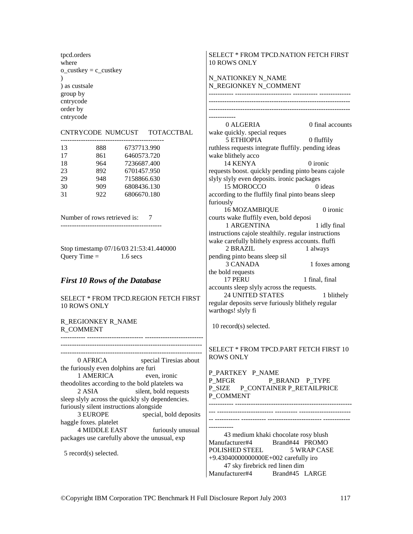tpcd.orders where  $o$ \_custkey =  $c$ \_custkey  $\mathcal{L}$ ) as custsale group by cntrycode order by cntrycode

#### CNTRYCODE NUMCUST TOTACCTBAL

| 13 | 888 | 6737713.990 |
|----|-----|-------------|
| 17 | 861 | 6460573.720 |
| 18 | 964 | 7236687.400 |
| 23 | 892 | 6701457.950 |
| 29 | 948 | 7158866.630 |
| 30 | 909 | 6808436.130 |
| 31 | 922 | 6806670.180 |

Number of rows retrieved is: 7

---------------------------------------------

Stop timestamp 07/16/03 21:53:41.440000 Ouery Time  $=$  1.6 secs

### *First 10 Rows of the Database*

SELECT \* FROM TPCD.REGION FETCH FIRST 10 ROWS ONLY

### R\_REGIONKEY R\_NAME R\_COMMENT

----------- ------------------------- --------------------------

--------------------------------------------------------------- ---------------------------------------------------------------

 0 AFRICA special Tiresias about the furiously even dolphins are furi 1 AMERICA even, ironic theodolites according to the bold platelets wa 2 ASIA silent, bold requests sleep slyly across the quickly sly dependencies. furiously silent instructions alongside 3 EUROPE special, bold deposits haggle foxes. platelet 4 MIDDLE EAST furiously unusual packages use carefully above the unusual, exp

5 record(s) selected.

### SELECT \* FROM TPCD.NATION FETCH FIRST 10 ROWS ONLY

N\_NATIONKEY N\_NAME N\_REGIONKEY N\_COMMENT ----------- ------------------------- ----------- -------------- --------------------------------------------------------------- --------------------------------------------------------------- ------------ 0 ALGERIA 0 final accounts wake quickly. special reques 5 ETHIOPIA 0 fluffily ruthless requests integrate fluffily. pending ideas wake blithely acco 14 KENYA 0 ironic requests boost. quickly pending pinto beans cajole slyly slyly even deposits. ironic packages 15 MOROCCO 0 ideas according to the fluffily final pinto beans sleep furiously 16 MOZAMBIQUE 0 ironic courts wake fluffily even, bold deposi 1 ARGENTINA 1 idly final instructions cajole stealthily. regular instructions wake carefully blithely express accounts. fluffi 2 BRAZIL 1 always pending pinto beans sleep sil 3 CANADA 1 foxes among the bold requests<br>17 PERU 1 final, final accounts sleep slyly across the requests. 24 UNITED STATES 1 blithely

regular deposits serve furiously blithely regular warthogs! slyly fi

10 record(s) selected.

SELECT \* FROM TPCD.PART FETCH FIRST 10 ROWS ONLY

P\_PARTKEY P\_NAME P\_MFGR P\_BRAND P\_TYPE P\_SIZE P\_CONTAINER P\_RETAILPRICE P\_COMMENT ----------- ----------------------------------------------------

--- ------------------------- ---------- -----------------------

-- ----------- ----------- ------------------------ ------------ -----------

 43 medium khaki chocolate rosy blush Manufacturer#4 Brand#44 PROMO POLISHED STEEL 5 WRAP CASE +9.43040000000000E+002 carefully iro 47 sky firebrick red linen dim Manufacturer#4 Brand#45 LARGE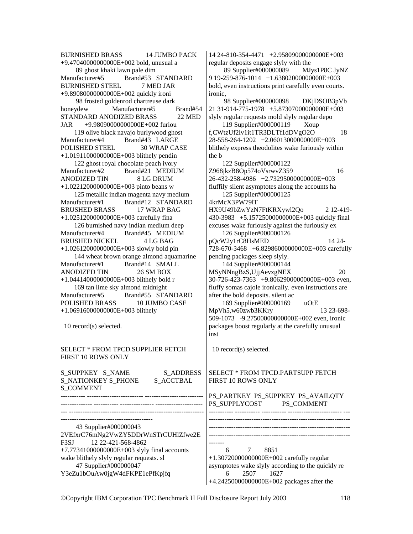BURNISHED BRASS 14 JUMBO PACK +9.47040000000000E+002 bold, unusual a 89 ghost khaki lawn pale dim Manufacturer#5 Brand#53 STANDARD BURNISHED STEEL 7 MED JAR +9.89080000000000E+002 quickly ironi 98 frosted goldenrod chartreuse dark honeydew Manufacturer#5 Brand#54 STANDARD ANODIZED BRASS 22 MED JAR +9.98090000000000E+002 furiou 119 olive black navajo burlywood ghost Manufacturer#4 Brand#43 LARGE POLISHED STEEL 30 WRAP CASE +1.01911000000000E+003 blithely pendin 122 ghost royal chocolate peach ivory Manufacturer#2 Brand#21 MEDIUM ANODIZED TIN 8 LG DRUM +1.02212000000000E+003 pinto beans w 125 metallic indian magenta navy medium Manufacturer#1 Brand#12 STANDARD BRUSHED BRASS 17 WRAP BAG +1.02512000000000E+003 carefully fina 126 burnished navy indian medium deep Manufacturer#4 Brand#45 MEDIUM BRUSHED NICKEL 4 LG BAG +1.02612000000000E+003 slowly bold pin 144 wheat brown orange almond aquamarine Manufacturer#1 Brand#14 SMALL ANODIZED TIN 26 SM BOX +1.04414000000000E+003 blithely bold r 169 tan lime sky almond midnight Manufacturer#5 Brand#55 STANDARD POLISHED BRASS 10 JUMBO CASE +1.06916000000000E+003 blithely 10 record(s) selected. SELECT \* FROM TPCD.SUPPLIER FETCH FIRST 10 ROWS ONLY S\_SUPPKEY S\_NAME S\_ADDRESS S\_NATIONKEY S\_PHONE S\_ACCTBAL S\_COMMENT ----------- ------------------------- -------------------------- -------------- ----------- --------------- --------------------- --- ------------------------------------------------------------ ----------------------------------------- 43 Supplier#000000043 2VEfxrC76mNg2VwZY5DDrWnSTrCUHlZfwe2E F3SJ 12 22-421-568-4862 +7.77341000000000E+003 slyly final accounts wake blithely slyly regular requests. sl 47 Supplier#000000047 ironic, the b 4krMcX3PW79lT inst -------

Y3eZu1bOuAw0jgW4dFKPE1ePfKpjfq

14 24-810-354-4471 +2.95809000000000E+003 regular deposits engage slyly with the

 89 Supplier#000000089 MJys1P8C JyNZ 9 19-259-876-1014 +1.63802000000000E+003 bold, even instructions print carefully even courts.

 98 Supplier#000000098 DKjDSOB3pVb 21 31-914-775-1978 +5.87307000000000E+003 slyly regular requests mold slyly regular depo 119 Supplier#000000119 Xoup f,CWtzUf2lv1it1TR3DLTf1dDVgO2O 18 28-558-264-1202 +2.06013000000000E+003 blithely express theodolites wake furiously within 122 Supplier#000000122 Z968jkzB8Op574oVsrwvZ359 16 26-432-258-4986 +2.73295000000000E+003 fluffily silent asymptotes along the accounts ha 125 Supplier#000000125 HX9U49bZwYzN7FtKRXywl2Qo 2 12-419- 430-3983 +5.15725000000000E+003 quickly final excuses wake furiously against the furiously ex 126 Supplier#000000126 pQcW2y1rC8HsMED 14 24- 728-670-3468 +6.82986000000000E+003 carefully pending packages sleep slyly. 144 Supplier#000000144 MSyNNngBzS,UjjAevzgNEX 20 30-726-423-7363 +9.80629000000000E+003 even, fluffy somas cajole ironically. even instructions are after the bold deposits. silent ac 169 Supplier#000000169 uOtE MpVh5,w60zwb3KKry 13 23-698- 509-1073 -9.27500000000000E+002 even, ironic packages boost regularly at the carefully unusual 10 record(s) selected.

### SELECT \* FROM TPCD.PARTSUPP FETCH FIRST 10 ROWS ONLY

PS\_PARTKEY PS\_SUPPKEY PS\_AVAILOTY PS\_SUPPLYCOST PS\_COMMENT ----------- ----------- ----------- ------------------------ --- --------------------------------------------------------------- --------------------------------------------------------------- --------------------------------------------------------------- 6 7 8851 +1.30720000000000E+002 carefully regular asymptotes wake slyly according to the quickly re 6 2507 1627 +4.24250000000000E+002 packages after the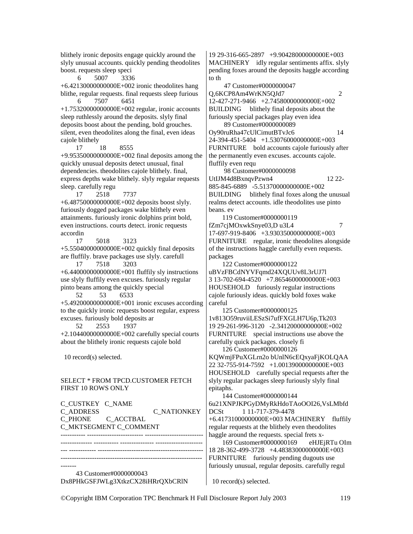blithely ironic deposits engage quickly around the slyly unusual accounts. quickly pending theodolites boost. requests sleep speci

6 5007 3336

 $+6.42130000000000E+002$  ironic theodolites hang blithe, regular requests. final requests sleep furious 6 7507 6451

+1.75320000000000E+002 regular, ironic accounts sleep ruthlessly around the deposits. slyly final deposits boost about the pending, bold grouches. silent, even theodolites along the final, even ideas cajole blithely

 17 18 8555  $+9.95350000000000E+002$  final deposits among the quickly unusual deposits detect unusual, final dependencies. theodolites cajole blithely. final, express depths wake blithely. slyly regular requests sleep. carefully regu

 17 2518 7737 +6.48750000000000E+002 deposits boost slyly. furiously dogged packages wake blithely even attainments. furiously ironic dolphins print bold, even instructions. courts detect. ironic requests accordin

 17 5018 3123 +5.55040000000000E+002 quickly final deposits are fluffily. brave packages use slyly. carefull

 17 7518 3203  $+6.44000000000000E+001$  fluffily sly instructions use slyly fluffily even excuses. furiously regular pinto beans among the quickly special

 52 53 6533  $+5.49200000000000E+001$  ironic excuses according to the quickly ironic requests boost regular, express excuses. furiously bold deposits ar

52 2553 +2.10440000000000E+002 carefully special courts about the blithely ironic requests cajole bold

10 record(s) selected.

### SELECT \* FROM TPCD.CUSTOMER FETCH FIRST 10 ROWS ONLY

C\_CUSTKEY C\_NAME C\_ADDRESS C\_NATIONKEY<br>C\_PHONE C\_ACCTBAL C\_ACCTBAL C\_MKTSEGMENT C\_COMMENT ----------- ------------------------- --------------------------

-------------- ----------- --------------- ---------------------

--- ------------ ----------------------------------------------- ---------------------------------------------------------------

------- 43 Customer#0000000043 Dx8PHkGSFJWLg3XtkzCX28iHRrQXbCRlN 19 29-316-665-2897 +9.90428000000000E+003 MACHINERY idly regular sentiments affix. slyly pending foxes around the deposits haggle according to th

47 Customer#0000000047

Q,6KCP8Am4WrKN5QJd7 2

12-427-271-9466 +2.74580000000000E+002 BUILDING blithely final deposits about the furiously special packages play even idea 89 Customer#0000000089

Oy90ruRha47cUlCimutBTvJc6 14 24-394-451-5404 +1.53076000000000E+003 FURNITURE bold accounts cajole furiously after the permanently even excuses. accounts cajole. fluffily even requ

 98 Customer#0000000098 UtIJM4d8BxnqvPzwn4 12 22-885-845-6889 -5.51370000000000E+002 BUILDING blithely final foxes along the unusual realms detect accounts. idle theodolites use pinto beans. ev

 119 Customer#0000000119  $fZm7cjMOxwkSnye03,D u3L4$  7 17-697-919-8406 +3.93035000000000E+003 FURNITURE regular, ironic theodolites alongside of the instructions haggle carefully even requests. packages

 122 Customer#0000000122 uBVzFBCdNYVFqmd24XQUUv8L3rUJ7l 3 13-702-694-4520 +7.86546000000000E+003 HOUSEHOLD furiously regular instructions cajole furiously ideas. quickly bold foxes wake careful

 125 Customer#0000000125 1v813O59ruviiLESzSi7ufFXGLH7U6p,Tk203 19 29-261-996-3120 -2.34120000000000E+002 FURNITURE special instructions use above the carefully quick packages. closely fi 126 Customer#0000000126

KQWmjFPuXGLrn2o bUnlN6cEQxyaFjKOLQAA 22 32-755-914-7592 +1.00139000000000E+003 HOUSEHOLD carefully special requests after the slyly regular packages sleep furiously slyly final epitaphs.

 144 Customer#0000000144 6u21XNPJKPGyDMyRkHdoTAoOOI26,VsLMbfd DCSt 1 11-717-379-4478 +6.41731000000000E+003 MACHINERY fluffily regular requests at the blithely even theodolites haggle around the requests. special frets x-

 169 Customer#0000000169 eHJEjRTu OIm 18 28-362-499-3728 +4.48383000000000E+003 FURNITURE furiously pending dugouts use furiously unusual, regular deposits. carefully regul

10 record(s) selected.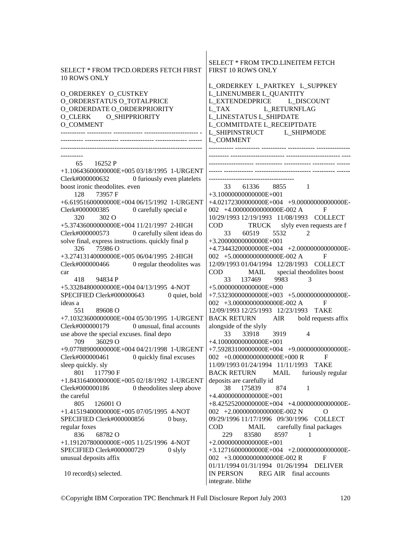| SELECT * FROM TPCD.ORDERS FETCH FIRST<br>10 ROWS ONLY<br><b>O_ORDERKEY O_CUSTKEY</b><br>O_ORDERSTATUS O_TOTALPRICE<br>O_ORDERDATE O_ORDERPRIORITY<br>O_CLERK O_SHIPPRIORITY<br><b>O_COMMENT</b>                                                                                                                                                                                                                                                                                                                                                                                                            | <b>SELECT * FROM TPCD.LINEITEM FETCH</b><br>FIRST 10 ROWS ONLY<br>L_ORDERKEY L_PARTKEY L_SUPPKEY<br>L_LINENUMBER L_QUANTITY<br>L EXTENDEDPRICE L_DISCOUNT<br>L_RETURNFLAG<br>L_TAX<br>L_LINESTATUS L_SHIPDATE<br>L_COMMITDATE L_RECEIPTDATE<br>L_SHIPINSTRUCT<br>L SHIPMODE<br>L_COMMENT                                                                                                                                                                                                                                                  |
|------------------------------------------------------------------------------------------------------------------------------------------------------------------------------------------------------------------------------------------------------------------------------------------------------------------------------------------------------------------------------------------------------------------------------------------------------------------------------------------------------------------------------------------------------------------------------------------------------------|-------------------------------------------------------------------------------------------------------------------------------------------------------------------------------------------------------------------------------------------------------------------------------------------------------------------------------------------------------------------------------------------------------------------------------------------------------------------------------------------------------------------------------------------|
| 16252 P<br>65<br>+1.10643600000000E+005 03/18/1995 1-URGENT<br>Clerk#000000632 0 furiously even platelets<br>boost ironic theodolites. even<br>73957 F<br>128<br>+6.61951600000000E+004 06/15/1992 1-URGENT<br>0 carefully special e<br>Clerk#000000385<br>320<br>302 O<br>+5.37436000000000E+004 11/21/1997 2-HIGH<br>Clerk#000000573<br>0 carefully silent ideas do<br>solve final, express instructions. quickly final p<br>75986 O<br>326<br>+3.27413140000000E+005 06/04/1995 2-HIGH<br>0 regular theodolites was<br>Clerk#000000466<br>car<br>418 94834 P<br>+5.33284800000000E+004 04/13/1995 4-NOT | 33<br>61336 8855 1<br>$+3.10000000000000E+001$<br>+4.02172300000000E+004 +9.00000000000000E-<br>002 +4.000000000000000E-002 A<br>F<br>10/29/1993 12/19/1993 11/08/1993 COLLECT<br><b>COD</b><br>slyly even requests are f<br>TRUCK<br>60519<br>5532<br>2<br>33<br>$+3.200000000000000E+001$<br>+4.73443200000000E+004 +2.00000000000000E-<br>002 +5.000000000000000E-002 A<br>F<br>12/09/1993 01/04/1994  12/28/1993  COLLECT<br><b>COD</b><br>MAIL<br>special theodolites boost<br>9983<br>137469<br>33<br>3<br>$+5.00000000000000E+000$ |
| 0 quiet, bold<br>SPECIFIED Clerk#000000643<br>ideas a<br>551<br>89608 O<br>+7.10323600000000E+004 05/30/1995 1-URGENT<br>Clerk#000000179<br>0 unusual, final accounts<br>use above the special excuses. final depo<br>36029 O<br>709                                                                                                                                                                                                                                                                                                                                                                       | $+7.53230000000000E+003$ $+5.0000000000000E-$<br>002 +3.000000000000000E-002 A<br>F<br>12/09/1993 12/25/1993 12/23/1993 TAKE<br><b>BACK RETURN</b><br>AIR<br>bold requests affix<br>alongside of the slyly<br>33918<br>33<br>3919<br>$\overline{4}$<br>$+4.10000000000000E+001$                                                                                                                                                                                                                                                           |
| +9.07788900000000E+004 04/21/1998 1-URGENT<br>Clerk#000000461<br>0 quickly final excuses<br>sleep quickly. sly<br>801 117790 F<br>+1.84316400000000E+005 02/18/1992 1-URGENT<br>0 theodolites sleep above<br>Clerk#000000186<br>the careful                                                                                                                                                                                                                                                                                                                                                                | +7.59283100000000E+004 +9.00000000000000E-<br>002 +0.000000000000000E+000 R<br>F<br>11/09/1993 01/24/1994 11/11/1993<br><b>TAKE</b><br><b>BACK RETURN</b><br>MAIL<br>furiously regular<br>deposits are carefully id<br>38<br>175839<br>874<br>$\mathbf{1}$<br>$+4.40000000000000E+001$                                                                                                                                                                                                                                                    |
| 805<br>126001 O<br>+1.41519400000000E+005 07/05/1995 4-NOT<br>SPECIFIED Clerk#000000856<br>0 busy,<br>regular foxes<br>68782 O<br>836<br>+1.19120780000000E+005 11/25/1996 4-NOT<br>SPECIFIED Clerk#000000729<br>0 slyly<br>unusual deposits affix                                                                                                                                                                                                                                                                                                                                                         | $+8.42525200000000E+004$ $+4.0000000000000E-$<br>002 +2.00000000000000E-002 N<br>О<br>09/29/1996 11/17/1996 09/30/1996<br><b>COLLECT</b><br>carefully final packages<br><b>COD</b><br>MAIL<br>83580<br>8597<br>229<br>1<br>$+2.00000000000000E+001$<br>$+3.12716000000000E+004$ $+2.0000000000000E-$<br>002 +3.000000000000000E-002 R<br>F<br>01/11/1994 01/31/1994 01/26/1994 DELIVER                                                                                                                                                    |
| 10 record(s) selected.                                                                                                                                                                                                                                                                                                                                                                                                                                                                                                                                                                                     | <b>IN PERSON</b><br>REG AIR final accounts<br>integrate. blithe                                                                                                                                                                                                                                                                                                                                                                                                                                                                           |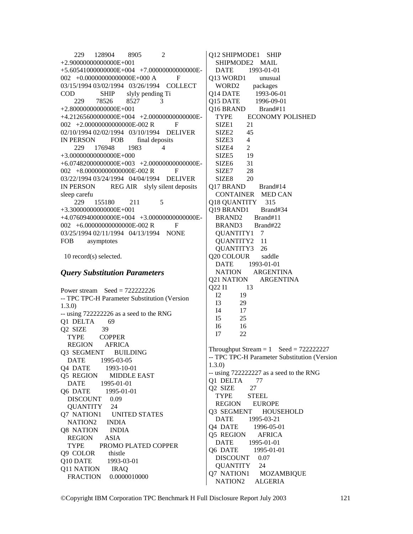229 128904 8905 2 +2.90000000000000E+001 +5.60541000000000E+004 +7.00000000000000E-002 +0.0000000000000000E+000 A F 03/15/1994 03/02/1994 03/26/1994 COLLECT COD SHIP slyly pending Ti 229 78526 8527 3 +2.80000000000000E+001 +4.21265600000000E+004 +2.00000000000000E-002 +2.0000000000000000E-002 R F 02/10/1994 02/02/1994 03/10/1994 DELIVER IN PERSON FOB final deposits 229 176948 1983 4 +3.00000000000000E+000 +6.07482000000000E+003 +2.00000000000000E-002 +8.0000000000000000E-002 R F 03/22/1994 03/24/1994 04/04/1994 DELIVER IN PERSON REG AIR slyly silent deposits sleep carefu 229 155180 211 5 +3.30000000000000E+001 +4.07609400000000E+004 +3.00000000000000E-002 +6.0000000000000000E-002 R F 03/25/1994 02/11/1994 04/13/1994 NONE FOB asymptotes

10 record(s) selected.

### *Query Substitution Parameters*

Power stream  $\text{Seed} = 722222226$ -- TPC TPC-H Parameter Substitution (Version 1.3.0) -- using 722222226 as a seed to the RNG Q1 DELTA 69 Q2 SIZE 39 TYPE COPPER REGION AFRICA Q3 SEGMENT BUILDING DATE 1995-03-05 Q4 DATE 1993-10-01 Q5 REGION MIDDLE EAST DATE 1995-01-01 Q6 DATE 1995-01-01 DISCOUNT 0.09 QUANTITY 24 Q7 NATION1 UNITED STATES<br>NATION2 INDIA NATION<sub>2</sub> Q8 NATION INDIA REGION ASIA TYPE PROMO PLATED COPPER Q9 COLOR thistle Q10 DATE 1993-03-01 Q11 NATION IRAQ FRACTION 0.0000010000

Q12 SHIPMODE1 SHIP SHIPMODE2 MAIL DATE 1993-01-01 Q13 WORD1 unusual WORD2 packages Q14 DATE 1993-06-01 Q15 DATE 1996-09-01 Q16 BRAND Brand#11 TYPE ECONOMY POLISHED SIZE1 21 SIZE<sub>2</sub> 45 SIZE<sub>3</sub> 4 SIZE4 2 SIZE5 19 SIZE6 31 SIZE7 28 SIZE8 20 Q17 BRAND Brand#14 CONTAINER MED CAN Q18 QUANTITY 315 Q19 BRAND1 Brand#34 BRAND2 Brand#11 BRAND3 Brand#22 QUANTITY1 7 QUANTITY2 11 QUANTITY3 26 Q20 COLOUR saddle DATE 1993-01-01 NATION ARGENTINA Q21 NATION ARGENTINA Q22 I1 13 I2 19 I3 29 I4 17  $\frac{15}{16}$  25 I6 16 I7 22 Throughput Stream  $= 1$  Seed  $= 722222227$ -- TPC TPC-H Parameter Substitution (Version 1.3.0) -- using 722222227 as a seed to the RNG Q1 DELTA 77 Q2 SIZE 27 TYPE STEEL REGION EUROPE Q3 SEGMENT HOUSEHOLD DATE 1995-03-21 Q4 DATE 1996-05-01 Q5 REGION AFRICA DATE 1995-01-01 Q6 DATE 1995-01-01 DISCOUNT 0.07 QUANTITY 24 Q7 NATION1 MOZAMBIQUE NATION2 ALGERIA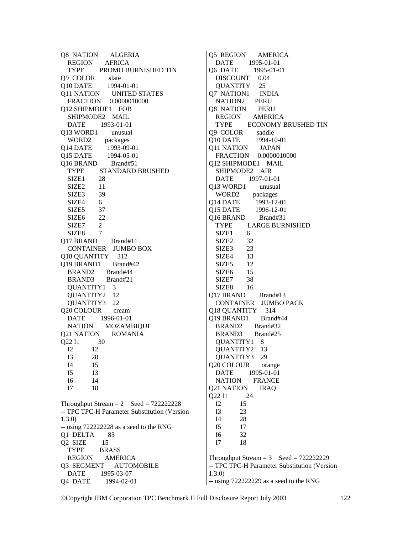Q8 NATION ALGERIA REGION AFRICA TYPE PROMO BURNISHED TIN Q9 COLOR slate Q10 DATE 1994-01-01 Q11 NATION UNITED STATES FRACTION 0.0000010000 Q12 SHIPMODE1 FOB SHIPMODE2 MAIL DATE 1993-01-01 Q13 WORD1 unusual WORD2 packages Q14 DATE 1993-09-01 Q15 DATE 1994-05-01 Q16 BRAND Brand#51 TYPE STANDARD BRUSHED SIZE1 28 SIZE2 11 SIZE3 39  $SIZE4$  6 SIZE5 37 SIZE6 22 SIZE7 2 SIZE8 7 Q17 BRAND Brand#11 CONTAINER JUMBO BOX Q18 QUANTITY 312 Q19 BRAND1 Brand#42 BRAND2 Brand#44 BRAND3 Brand#21 QUANTITY1 3 QUANTITY2 12 QUANTITY3 22 Q20 COLOUR cream DATE 1996-01-01 NATION MOZAMBIQUE Q21 NATION ROMANIA  $Q22 11 30$ <br> $I2 12$  I2 12 I3 28 14 15<br>15 13 I5 13 I6 14 I7 18 Throughput Stream  $= 2$  Seed  $= 722222228$ -- TPC TPC-H Parameter Substitution (Version 1.3.0) -- using 722222228 as a seed to the RNG Q1 DELTA 85 Q2 SIZE 15 TYPE BRASS REGION AMERICA Q3 SEGMENT AUTOMOBILE DATE 1995-03-07

Q4 DATE 1994-02-01

Q5 REGION AMERICA DATE 1995-01-01 Q6 DATE 1995-01-01 DISCOUNT 0.04 QUANTITY 25 Q7 NATION1 INDIA NATION2 PERU Q8 NATION PERU REGION AMERICA TYPE ECONOMY BRUSHED TIN Q9 COLOR saddle Q10 DATE 1994-10-01 Q11 NATION JAPAN FRACTION 0.0000010000 Q12 SHIPMODE1 MAIL SHIPMODE2 AIR DATE 1997-01-01 Q13 WORD1 unusual WORD2 packages Q14 DATE 1993-12-01 Q15 DATE 1996-12-01 Q16 BRAND Brand#31 TYPE LARGE BURNISHED SIZE1 6 SIZE2 32 SIZE3 23 SIZE4 13 SIZE5 12 SIZE<sub>6</sub> 15 SIZE7 38 SIZE8 16 Q17 BRAND Brand#13 CONTAINER JUMBO PACK Q18 QUANTITY 314 Q19 BRAND1 Brand#44<br>BRAND2 Brand#32 BRAND<sub>2</sub> BRAND3 Brand#25 QUANTITY1 8 QUANTITY2 13 QUANTITY3 29 Q20 COLOUR orange DATE 1995-01-01 NATION FRANCE Q21 NATION IRAQ Q22 I1 24 I2 15 I3 23<br>I4 28  $I_4$  I5 17 I6 32 I7 18 Throughput Stream  $= 3$  Seed  $= 722222229$ -- TPC TPC-H Parameter Substitution (Version 1.3.0)

-- using 722222229 as a seed to the RNG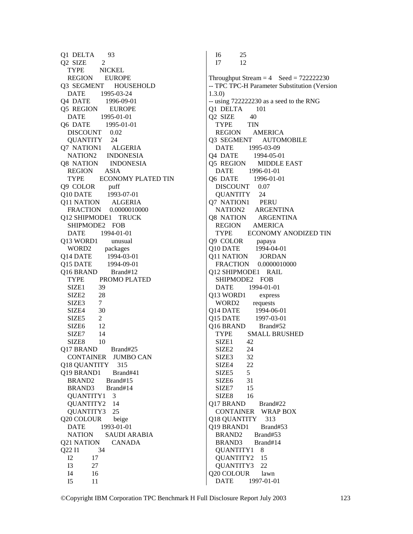Q1 DELTA 93 Q<sub>2</sub> SIZE 2 TYPE NICKEL REGION EUROPE Q3 SEGMENT HOUSEHOLD DATE 1995-03-24 Q4 DATE 1996-09-01 Q5 REGION EUROPE DATE 1995-01-01 Q6 DATE 1995-01-01 DISCOUNT 0.02 QUANTITY 24 Q7 NATION1 ALGERIA NATION2 INDONESIA Q8 NATION INDONESIA REGION ASIA TYPE ECONOMY PLATED TIN Q9 COLOR puff Q10 DATE 1993-07-01 Q11 NATION ALGERIA FRACTION 0.0000010000 Q12 SHIPMODE1 TRUCK SHIPMODE2 FOB DATE 1994-01-01 Q13 WORD1 unusual WORD2 packages Q14 DATE 1994-03-01 Q15 DATE 1994-09-01 Q16 BRAND Brand#12 TYPE PROMO PLATED SIZE1 39 SIZE2 28 SIZE3 7 SIZE4 30 SIZE5 2<br>SIZE6 12 SIZE6 12<br>SIZE7 14 SIZE7 SIZE8 10 Q17 BRAND Brand#25 CONTAINER JUMBO CAN Q18 QUANTITY 315 Q19 BRAND1 Brand#41 BRAND2 Brand#15 BRAND3 Brand#14 QUANTITY1 3 QUANTITY2 14 QUANTITY3 25 Q20 COLOUR beige DATE 1993-01-01 NATION SAUDI ARABIA Q21 NATION CANADA Q22 I1 34  $\begin{array}{ccc} 12 & 17 \\ 13 & 27 \end{array}$ 27 I4 16 I5 11

 I6 25 I7 12 Throughput Stream  $= 4$  Seed  $= 722222230$ -- TPC TPC-H Parameter Substitution (Version 1.3.0) -- using 722222230 as a seed to the RNG Q1 DELTA 101 Q2 SIZE 40 TYPE TIN REGION AMERICA Q3 SEGMENT AUTOMOBILE DATE 1995-03-09 Q4 DATE 1994-05-01 Q5 REGION MIDDLE EAST DATE 1996-01-01 Q6 DATE 1996-01-01 DISCOUNT 0.07 QUANTITY 24 Q7 NATION1 PERU NATION2 ARGENTINA Q8 NATION ARGENTINA REGION AMERICA TYPE ECONOMY ANODIZED TIN Q9 COLOR papaya Q10 DATE 1994-04-01 Q11 NATION JORDAN FRACTION 0.0000010000 Q12 SHIPMODE1 RAIL SHIPMODE2 FOB DATE 1994-01-01 Q13 WORD1 express WORD2 requests Q14 DATE 1994-06-01 Q15 DATE 1997-03-01<br>016 BRAND Brand#52 **O16 BRAND**  TYPE SMALL BRUSHED SIZE1 42 SIZE2 24 SIZE3 32 SIZE4 22 SIZE<sub>5</sub> 5 SIZE6 31 SIZE7 15 SIZE8 16 Q17 BRAND Brand#22 CONTAINER WRAP BOX<br>18 OUANTITY 313 Q18 QUANTITY Q19 BRAND1 Brand#53 BRAND2 Brand#53 BRAND3 Brand#14 QUANTITY1 8 QUANTITY2 15 QUANTITY3 22 Q20 COLOUR lawn

DATE 1997-01-01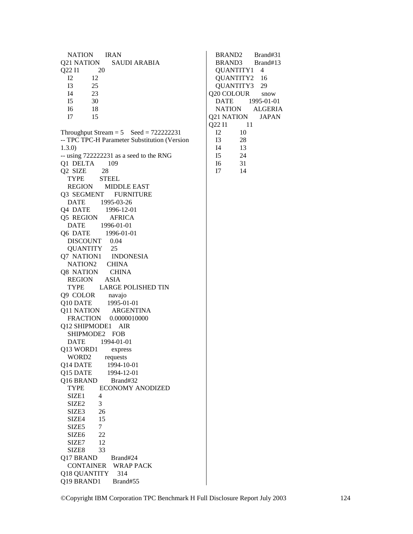NATION IRAN Q21 NATION SAUDI ARABIA Q22 I1 20 I2 12  $\begin{array}{cc} 13 & 25 \\ 14 & 23 \end{array}$  $23$  I5 30 I6 18 I7 15 Throughput Stream =  $5$  Seed = 722222231 -- TPC TPC-H Parameter Substitution (Version 1.3.0) -- using 722222231 as a seed to the RNG Q1 DELTA 109 Q2 SIZE 28 TYPE STEEL REGION MIDDLE EAST Q3 SEGMENT FURNITURE DATE 1995-03-26 Q4 DATE 1996-12-01 Q5 REGION AFRICA DATE 1996-01-01 Q6 DATE 1996-01-01 DISCOUNT 0.04 QUANTITY 25<br>7 NATION1 INDONESIA Q7 NATION1 NATION2 CHINA Q8 NATION CHINA REGION ASIA TYPE LARGE POLISHED TIN Q9 COLOR navajo Q10 DATE 1995-01-01 Q11 NATION ARGENTINA FRACTION 0.0000010000 Q12 SHIPMODE1 AIR SHIPMODE2 FOB DATE 1994-01-01 Q13 WORD1 express WORD2 requests Q14 DATE 1994-10-01<br>015 DATE 1994-12-01 O15 DATE Q16 BRAND Brand#32 TYPE ECONOMY ANODIZED SIZE<sub>1</sub> 4 SIZE<sub>2</sub> 3 SIZE3 26<br>SIZE4 15 SIZE4 SIZE<sub>5</sub> 7 SIZE6 22 SIZE7 12 SIZE8 33 Q17 BRAND Brand#24 CONTAINER WRAP PACK Q18 QUANTITY 314<br>Q19 BRAND1 Brand#55 Q19 BRAND1

 BRAND2 Brand#31 BRAND3 Brand#13 QUANTITY1 4 QUANTITY2 16 QUANTITY3 29 Q20 COLOUR snow DATE 1995-01-01 NATION ALGERIA Q21 NATION JAPAN 022 I1 11  $\begin{array}{cc} 12 & 10 \\ 13 & 28 \end{array}$  I3 28  $\begin{array}{cc}\n 14 & 13 \\
 \hline\n 15 & 24\n \end{array}$ 24 I6 31 I7 14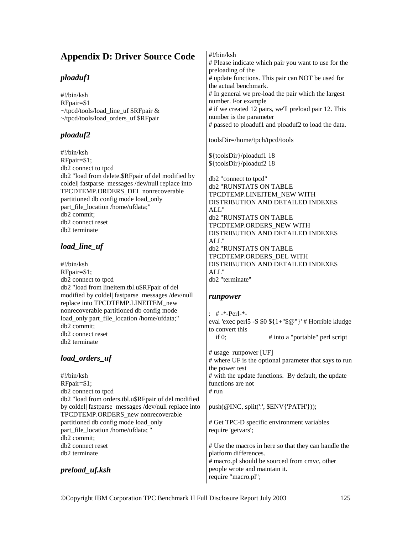# **Appendix D: Driver Source Code**

## *ploaduf1*

#!/bin/ksh RFpair=\$1  $\sim$ /tpcd/tools/load line uf \$RFpair & ~/tpcd/tools/load\_orders\_uf \$RFpair

# *ploaduf2*

#!/bin/ksh RFpair=\$1; db2 connect to tpcd db2 "load from delete.\$RFpair of del modified by coldel| fastparse messages /dev/null replace into TPCDTEMP.ORDERS\_DEL nonrecoverable partitioned db config mode load\_only part\_file\_location /home/ufdata;" db2 commit; db2 connect reset db2 terminate

## *load\_line\_uf*

#!/bin/ksh RFpair=\$1; db2 connect to tpcd db2 "load from lineitem.tbl.u\$RFpair of del modified by coldel| fastparse messages /dev/null replace into TPCDTEMP.LINEITEM\_new nonrecoverable partitioned db config mode load\_only part\_file\_location /home/ufdata;" db2 commit; db2 connect reset db2 terminate

## *load\_orders\_uf*

#!/bin/ksh RFpair=\$1; db2 connect to tpcd db2 "load from orders.tbl.u\$RFpair of del modified by coldel| fastparse messages /dev/null replace into TPCDTEMP.ORDERS\_new nonrecoverable partitioned db config mode load\_only part\_file\_location /home/ufdata; " db2 commit; db2 connect reset db2 terminate

*preload\_uf.ksh* 

#!/bin/ksh # Please indicate which pair you want to use for the preloading of the # update functions. This pair can NOT be used for the actual benchmark. # In general we pre-load the pair which the largest number. For example # if we created 12 pairs, we'll preload pair 12. This number is the parameter # passed to ploaduf1 and ploaduf2 to load the data. toolsDir=/home/tpch/tpcd/tools \${toolsDir}/ploaduf1 18 \${toolsDir}/ploaduf2 18 db2 "connect to tpcd" db2 "RUNSTATS ON TABLE TPCDTEMP.LINEITEM\_NEW WITH DISTRIBUTION AND DETAILED INDEXES ALL" db2 "RUNSTATS ON TABLE TPCDTEMP.ORDERS\_NEW WITH

DISTRIBUTION AND DETAILED INDEXES ALL" db2 "RUNSTATS ON TABLE TPCDTEMP.ORDERS\_DEL WITH DISTRIBUTION AND DETAILED INDEXES ALL" db2 "terminate"

## *runpower*

: # -\*-Perl-\* eval 'exec perl5 -S \$0 \${1+"\$@"}' # Horrible kludge to convert this if 0;  $\#$  into a "portable" perl script # usage runpower [UF] # where UF is the optional parameter that says to run the power test # with the update functions. By default, the update functions are not

 $# \text{ run}$ 

push(@INC, split(':', \$ENV{'PATH'}));

# Get TPC-D specific environment variables require 'getvars';

# Use the macros in here so that they can handle the platform differences. # macro.pl should be sourced from cmvc, other people wrote and maintain it. require "macro.pl";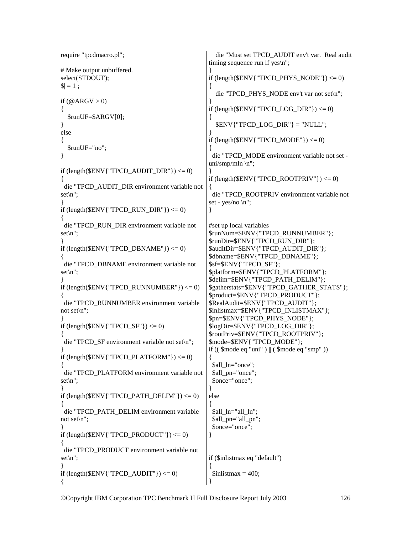```
require "tpcdmacro.pl"; 
# Make output unbuffered. 
select(STDOUT); 
|S| = 1;if (QARGV > 0){ 
   $runUF=$ARGV[0]; 
} 
else 
{ 
   $runUF="no"; 
} 
if (length(\mathcal{E}ENV{"TPCD_AUDIT_DIR"}) <= 0)
{ 
  die "TPCD_AUDIT_DIR environment variable not 
set\n"; 
} 
if (length(\mathcal{S}ENV{"TPCD_RUN_DIR" }) <= 0)
{ 
  die "TPCD_RUN_DIR environment variable not 
set\n"; 
} 
if (length(SENV{TTPCD_DBNAME}) \leq 0){ 
  die "TPCD_DBNAME environment variable not 
set\n"; 
} 
if (length(ENV{"TPCD_RUNNUMBER"}) <= 0)
{ 
  die "TPCD_RUNNUMBER environment variable 
not set\n"; 
} 
if (length(SENV{TTPCD SF'}) \leq 0){ 
  die "TPCD_SF environment variable not set\n"; 
} 
if (length(\mathcal{E}ENV{"TPCD_PLATFORM"}) <= 0)
{ 
  die "TPCD_PLATFORM environment variable not 
set\n"; 
} 
if (length(\text{SENV}{"TPCD_PATH_DELIM"}) <= 0)
{ 
  die "TPCD_PATH_DELIM environment variable 
not set\n"; 
} 
if (length(ENV{"TPCD_PRODUCT"}) <= 0)
{ 
  die "TPCD_PRODUCT environment variable not 
set\n"; 
} 
if \left(\frac{\text{length}(\text{SENV} \cdot \text{TPCD} \text{ AUDIT''})}{\text{TECD}}\right){ 
                                                        die "Must set TPCD_AUDIT env't var. Real audit 
                                                     timing sequence run if yes\n"; 
                                                     } 
                                                     if (length(ENV{"TPCD_PHYS_NODE"}) <= 0)
                                                     { 
                                                        die "TPCD_PHYS_NODE env't var not set\n"; 
                                                     } 
                                                     if \text{(length(SENV\{''TPCD\ LOG\ DIR\})} \leq 0){ 
                                                       \text{SENV}{"TPCD LOG DIR"} = "NULL";
                                                     } 
                                                     if (length(SENV{TPCD MODEL}) \leq 0){ 
                                                       die "TPCD_MODE environment variable not set - 
                                                     uni/smp/mln \n";
                                                     } 
                                                     if \left(\text{length}(\text{SENV} \mid \text{TPCD\_ROOTPRIV''\}\right) \leq 0{ 
                                                       die "TPCD_ROOTPRIV environment variable not 
                                                     set - yes/no \ln";
                                                     } 
                                                     #set up local variables 
                                                     $runNum=$ENV{"TPCD_RUNNUMBER"}; 
                                                     $runDir=$ENV{"TPCD_RUN_DIR"}; 
                                                     $auditDir=$ENV{"TPCD_AUDIT_DIR"}; 
                                                     $dbname=$ENV{"TPCD_DBNAME"}; 
                                                     $sf=$ENV{"TPCD_SF"}; 
                                                     $platform=$ENV{"TPCD_PLATFORM"}; 
                                                     $delim=$ENV{"TPCD_PATH_DELIM"}; 
                                                     $gatherstats=$ENV{"TPCD_GATHER_STATS"}; 
                                                     $product=$ENV{"TPCD_PRODUCT"}; 
                                                     $RealAudit=$ENV{"TPCD_AUDIT"}; 
                                                     $inlistmax=$ENV{"TPCD_INLISTMAX"}; 
                                                     $pn=$ENV{"TPCD_PHYS_NODE"}; 
                                                     $logDir=$ENV{"TPCD_LOG_DIR"}; 
                                                     $rootPriv=$ENV{"TPCD_ROOTPRIV"}; 
                                                     $mode=$ENV{"TPCD_MODE"}; 
                                                     if ((\text{~6mode eq} \text{''uni''}) || (\text{~6mode eq} \text{''smp''})){ 
                                                      $all_ln="once";
                                                       $all_pn="once"; 
                                                       $once="once"; 
                                                     } 
                                                     else 
                                                     { 
                                                      $all_ln="all_ln";
                                                       $all_pn="all_pn"; 
                                                       $once="once"; 
                                                     } 
                                                     if ($inlistmax eq "default") 
                                                     { 
                                                      \text{Sinlistmax} = 400:
                                                     }
```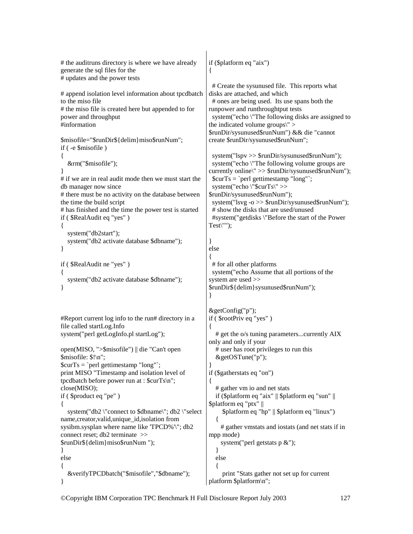```
# the auditruns directory is where we have already 
generate the sql files for the 
# updates and the power tests 
# append isolation level information about tpcdbatch 
to the miso file 
# the miso file is created here but appended to for 
power and throughput 
#information 
$misofile="$runDir${delim}miso$runNum"; 
if ( -e $misofile ) 
{ 
   &rm("$misofile"); 
} 
# if we are in real audit mode then we must start the 
db manager now since 
# there must be no activity on the database between 
the time the build script 
# has finished and the time the power test is started 
if ( $RealAudit eq "yes" ) 
{ 
   system("db2start"); 
   system("db2 activate database $dbname"); 
} 
if ( $RealAudit ne "yes" ) 
{ 
   system("db2 activate database $dbname"); 
} 
#Report current log info to the run# directory in a 
file called startLog.Info 
system("perl getLogInfo.pl startLog"); 
open(MISO, ">$misofile") || die "Can't open 
$misofile: $!\n"; 
ScurTs = 'perl gettimestamp "long"':
print MISO "Timestamp and isolation level of 
tpcdbatch before power run at : $curTs\n"; 
close(MISO); 
if ( $product eq "pe" ) 
{ 
  system("db2\"connect to $dbname\"; db2\"select
name,creator,valid,unique_id,isolation from 
sysibm.sysplan where name like 'TPCD%'\"; db2 
connect reset; db2 terminate >> 
$runDir${delim}miso$runNum "); 
} 
else 
{ 
   &verifyTPCDbatch("$misofile","$dbname"); 
} 
                                                        if ($platform eq "aix") 
                                                        { 
                                                          # Create the sysunused file. This reports what 
                                                        disks are attached, and which 
                                                          # ones are being used. Its use spans both the 
                                                        runpower and runthroughtput tests 
                                                          system("echo \"The following disks are assigned to 
                                                        the indicated volume groups\" > 
                                                        $runDir/sysunused$runNum") && die "cannot 
                                                        create $runDir/sysunused$runNum"; 
                                                          system("lspv >> $runDir/sysunused$runNum"); 
                                                          system("echo \"The following volume groups are 
                                                        currently online\" >> $runDir/sysunused$runNum"); 
                                                         $curTs = 'perl gettimestamp "long"';
                                                          system("echo \"$curTs\" >> 
                                                        $runDir/sysunused$runNum"); 
                                                          system("lsvg -o >> $runDir/sysunused$runNum"); 
                                                          # show the disks that are used/unused 
                                                          #system("getdisks \"Before the start of the Power 
                                                        Test\langle"");
                                                        } 
                                                        else 
                                                        { 
                                                          # for all other platforms 
                                                          system("echo Assume that all portions of the 
                                                        system are used >> 
                                                        $runDir${delim}sysunused$runNum"); 
                                                        } 
                                                        &getConfig("p"); 
                                                        if ( $rootPriv eq "yes" ) 
                                                        { 
                                                            # get the o/s tuning parameters...currently AIX 
                                                        only and only if your 
                                                            # user has root privileges to run this 
                                                            &getOSTune("p"); 
                                                        } 
                                                        if ($gatherstats eq "on") 
                                                        { 
                                                            # gather vm io and net stats 
                                                           if ($platform eq "aix" || $platform eq "sun" || 
                                                        $platform eq "ptx" || 
                                                              $platform eq "hp" || $platform eq "linux") 
                                                            { 
                                                              # gather vmstats and iostats (and net stats if in 
                                                        mpp mode) 
                                                             system("perl getstats p &");
                                                            } 
                                                           else 
                                                        \{ print "Stats gather not set up for current 
                                                        platform $platform\n";
```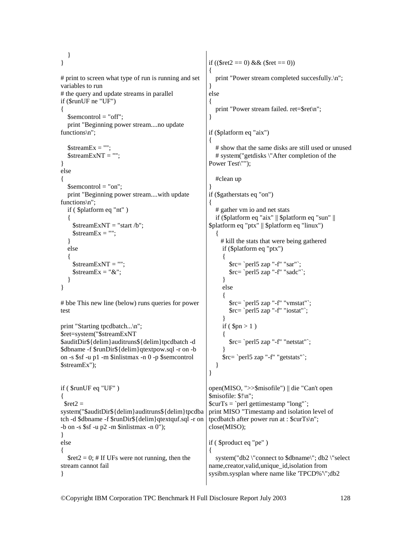} } # print to screen what type of run is running and set variables to run # the query and update streams in parallel if (\$runUF ne "UF") { \$semcontrol = "off"; print "Beginning power stream....no update functions\n";  $$streamEx = "":$  $$streamExNT = "";$ } else {  $$semcontrol = "on":$  print "Beginning power stream....with update functions\n"; if ( \$platform eq "nt" ) {  $$streamExNT = "start/b";$  $$streamEx = "";$  } else  $\{$  $$streamExNT = "":$  $$streamEx = "&":$  } } # bbe This new line (below) runs queries for power test print "Starting tpcdbatch...\n"; \$ret=system("\$streamExNT \$auditDir\${delim}auditruns\${delim}tpcdbatch -d \$dbname -f \$runDir\${delim}qtextpow.sql -r on -b on -s \$sf -u p1 -m \$inlistmax -n 0 -p \$semcontrol \$streamEx"); if ( \$runUF eq "UF" ) {  $$ret2 =$ system("\$auditDir\${delim}auditruns\${delim}tpcdba tch -d \$dbname -f \$runDir\${delim}qtextquf.sql -r on -b on -s  $s f - u p^2$  -m  $sinlistmax - n 0$ "); } else {  $\text{Set2} = 0$ ; # If UFs were not running, then the stream cannot fail } if ((\$ret2 = 0) & & (\$ret = 0)) { print "Power stream completed succesfully.\n"; } else { print "Power stream failed. ret=\$ret\n"; } if (\$platform eq "aix") { # show that the same disks are still used or unused # system("getdisks \"After completion of the Power Test\""); #clean up } if (\$gatherstats eq "on") { # gather vm io and net stats if (\$platform eq "aix" || \$platform eq "sun" || \$platform eq "ptx" || \$platform eq "linux") { # kill the stats that were being gathered if (\$platform eq "ptx") {  $\frac{\text{sec}}{\text{sec}}$  `perl5 zap "-f" "sar"`; \$rc= `perl5 zap "-f" "sadc"`; } else { \$rc= `perl5 zap "-f" "vmstat"`; \$rc= `perl5 zap "-f" "iostat"`; } if ( $$pn > 1$ )  $\left\{ \begin{array}{c} \end{array} \right\}$  \$rc= `perl5 zap "-f" "netstat"`; } \$rc= `perl5 zap "-f" "getstats"`; } } open(MISO, ">>\$misofile") || die "Can't open \$misofile: \$!\n";  $$curTs = 'perl$  gettimestamp "long"'; print MISO "Timestamp and isolation level of tpcdbatch after power run at : \$curTs\n"; close(MISO); if ( \$product eq "pe" ) { system("db2 \"connect to \$dbname\"; db2 \"select name,creator,valid,unique\_id,isolation from sysibm.sysplan where name like 'TPCD%'\";db2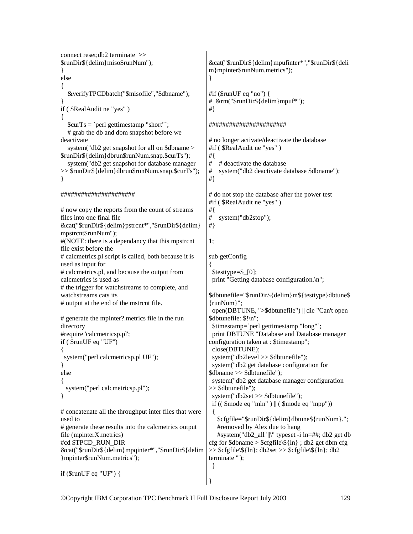```
connect reset;db2 terminate >> 
$runDir${delim}miso$runNum"); 
} 
else 
{ 
   &verifyTPCDbatch("$misofile","$dbname"); 
} 
if ( $RealAudit ne "yes" ) 
{ 
  $curTs = 'perl gettimestamp "short"';
   # grab the db and dbm snapshot before we 
deactivate 
   system("db2 get snapshot for all on $dbname > 
$runDir${delim}dbrun$runNum.snap.$curTs"); 
   system("db2 get snapshot for database manager 
>> $runDir${delim}dbrun$runNum.snap.$curTs"); 
} 
###################### 
# now copy the reports from the count of streams 
files into one final file 
&cat("$runDir${delim}pstrcnt*","$runDir${delim}
mpstrcnt$runNum"); 
#(NOTE: there is a dependancy that this mpstrcnt 
file exist before the 
# calcmetrics.pl script is called, both because it is 
used as input for 
# calcmetrics.pl, and because the output from 
calcmetrics is used as 
# the trigger for watchstreams to complete, and 
watchstreams cats its 
# output at the end of the mstrcnt file. 
# generate the mpinter?.metrics file in the run 
directory 
#require 'calcmetricsp.pl'; 
if ( $runUF eq "UF") 
{ 
  system("perl calcmetricsp.pl UF"); 
} 
else 
{ 
  system("perl calcmetricsp.pl"); 
} 
# concatenate all the throughput inter files that were 
used to 
# generate these results into the calcmetrics output 
file (mpinterX.metrics) 
#cd $TPCD_RUN_DIR 
&cat("$runDir${delim}mpqinter*","$runDir${delim
}mpinter$runNum.metrics"); 
if ($runUF eq "UF") { 
                                                        &cat("$runDir${delim}mpufinter*","$runDir${deli
                                                        m}mpinter$runNum.metrics"); 
                                                        } 
                                                        #if ($runUF eq "no") { 
                                                        # &rm("$runDir${delim}mpuf*"); 
                                                        #} 
                                                        ####################### 
                                                        # no longer activate/deactivate the database 
                                                        #if ( $RealAudit ne "yes" ) 
                                                       #{ 
                                                        # # deactivate the database 
                                                       # system("db2 deactivate database $dbname"); 
                                                        #} 
                                                        # do not stop the database after the power test 
                                                        #if ( $RealAudit ne "yes" ) 
                                                        #{ 
                                                        # system("db2stop"); 
                                                       #} 
                                                        1; 
                                                        sub getConfig 
                                                        { 
                                                          $testtype=$_[0]; 
                                                         print "Getting database configuration.\n":
                                                        $dbtunefile="$runDir${delim}m${testtype}dbtune$
                                                        {runNum}"; 
                                                          open(DBTUNE, ">$dbtunefile") || die "Can't open 
                                                        $dbtunefile: $!\n"; 
                                                          $timestamp=`perl gettimestamp "long"`; 
                                                          print DBTUNE "Database and Database manager 
                                                        configuration taken at : $timestamp"; 
                                                          close(DBTUNE); 
                                                          system("db2level >> $dbtunefile"); 
                                                          system("db2 get database configuration for 
                                                        $dbname >> $dbtunefile"); 
                                                          system("db2 get database manager configuration 
                                                        >> $dbtunefile"); 
                                                          system("db2set >> $dbtunefile"); 
                                                         if (( \text{~6mode eq} \text{''min} \text{''}) || (\text{~6mode eq} \text{''mpp''})) { 
                                                            $cfgfile="$runDir${delim}dbtune${runNum}."; 
                                                            #removed by Alex due to hang 
                                                            #system("db2_all '||\" typeset -i ln=##; db2 get db 
                                                        cfg for $dbname > $cfgfile\${ln} ; db2 get dbm cfg
                                                       \gg $cfgfile\${ln}; db2set \gg $cfgfile\${ln}; db2
                                                        terminate '"); 
                                                          } 
                                                       }
```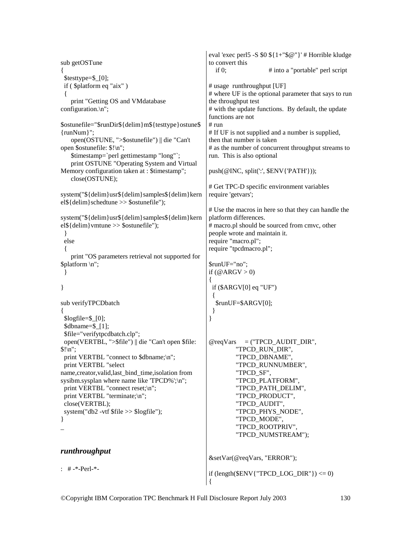```
sub getOSTune 
{ 
  $testtype=$_[0]; 
  if ( $platform eq "aix" ) 
 { 
     print "Getting OS and VMdatabase 
configuration.\n"; 
$ostunefile="$runDir${delim}m${testtype}ostune$
{runNum}"; 
     open(OSTUNE, ">$ostunefile") || die "Can't 
open $ostunefile: $!\n"; 
     $timestamp=`perl gettimestamp "long"`; 
     print OSTUNE "Operating System and Virtual 
Memory configuration taken at : $timestamp"; 
     close(OSTUNE); 
system("${delim}usr${delim}samples${delim}kern
el${delim}schedtune >> $ostunefile"); 
system("${delim}usr${delim}samples${delim}kern
el${delim}vmtune >> $ostunefile"); 
  } 
  else 
 { 
     print "OS parameters retrieval not supported for 
$platform \n"; 
  } 
} 
sub verifyTPCDbatch 
{ 
 $logfile = $ [0];$dbname=$ [1];
  $file="verifytpcdbatch.clp"; 
  open(VERTBL, ">$file") || die "Can't open $file: 
$! \infty";
 print VERTBL "connect to $dbname;\n";
  print VERTBL "select 
name,creator,valid,last_bind_time,isolation from 
sysibm.sysplan where name like 'TPCD%';\n";
  print VERTBL "connect reset;\n"; 
 print VERTBL "terminate;\n";
  close(VERTBL); 
  system("db2 -vtf $file >> $logfile"); 
} 
\overline{a}runthroughput 
: # -*-Perl-*- 
                                                      eval 'exec perl5 -S $0 ${1+"$@"}' # Horrible kludge 
                                                      to convert this 
                                                        if 0; \# into a "portable" perl script
                                                      # usage runthroughput [UF] 
                                                      # where UF is the optional parameter that says to run 
                                                      the throughput test 
                                                      # with the update functions. By default, the update 
                                                      functions are not 
                                                      # run 
                                                      # If UF is not supplied and a number is supplied, 
                                                      then that number is taken 
                                                      # as the number of concurrent throughput streams to 
                                                      run. This is also optional 
                                                      push(@INC, split(':', $ENV{'PATH'})); 
                                                      # Get TPC-D specific environment variables 
                                                      require 'getvars'; 
                                                      # Use the macros in here so that they can handle the 
                                                      platform differences. 
                                                      # macro.pl should be sourced from cmvc, other 
                                                      people wrote and maintain it. 
                                                      require "macro.pl"; 
                                                      require "tpcdmacro.pl"; 
                                                      $runUF="no"; 
                                                      if (\mathcal{Q} \text{ARGV} > 0){ 
                                                        if ($ARGV[0] eq "UF") 
                                                        { 
                                                         $runUF=$ARGV[0]; 
                                                        } 
                                                      } 
                                                      @reqVars = ("TPCD \text{ AUDIT} DIR", "TPCD_RUN_DIR", 
                                                                 "TPCD_DBNAME", 
                                                                 "TPCD_RUNNUMBER", 
                                                                 "TPCD_SF", 
                                                                 "TPCD_PLATFORM", 
                                                                 "TPCD_PATH_DELIM", 
                                                                 "TPCD_PRODUCT", 
                                                                 "TPCD_AUDIT", 
                                                                 "TPCD_PHYS_NODE", 
                                                                 "TPCD_MODE", 
                                                                 "TPCD_ROOTPRIV", 
                                                                 "TPCD_NUMSTREAM"); 
                                                      &setVar(@reqVars, "ERROR"); 
                                                      if (length(ENV{"TPCD LOG DIR"}) <= 0)
                                                      {
```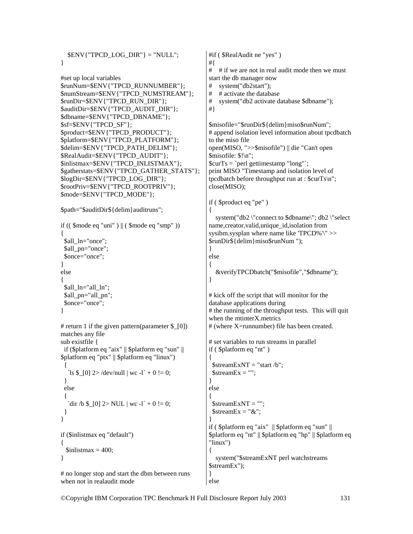$\text{SENV}$ {"TPCD LOG DIR"} = "NULL"; }

```
#set up local variables 
$runNum=$ENV{"TPCD_RUNNUMBER"}; 
$numStream=$ENV{"TPCD_NUMSTREAM"}; 
$runDir=$ENV{"TPCD_RUN_DIR"}; 
$auditDir=$ENV{"TPCD_AUDIT_DIR"}; 
$dbname=$ENV{"TPCD_DBNAME"}; 
$sf=$ENV{"TPCD_SF"}; 
$product=$ENV{"TPCD_PRODUCT"}; 
$platform=$ENV{"TPCD_PLATFORM"}; 
$delim=$ENV{"TPCD_PATH_DELIM"}; 
$RealAudit=$ENV{"TPCD_AUDIT"}; 
$inlistmax=$ENV{"TPCD_INLISTMAX"}; 
$gatherstats=$ENV{"TPCD_GATHER_STATS"}; 
$logDir=$ENV{"TPCD_LOG_DIR"}; 
$rootPriv=$ENV{"TPCD_ROOTPRIV"}; 
$mode=$ENV{"TPCD_MODE"};
```

```
$path="$auditDir${delim}auditruns";
```

```
if ((\text{~6mode eq} \text{''uni} \text{''}) \parallel (\text{~6mode eq} \text{''smp} \text{''})){ 
 $all_ln="once";
 $all_pn="once";
  $once="once"; 
} 
else 
{ 
 $all_ln="all_ln";
  $all_pn="all_pn"; 
  $once="once"; 
}
```

```
# return 1 if the given pattern(parameter $_[0]) 
matches any file 
sub existfile { 
 if ($platform eq "aix" || $platform eq "sun" || 
$platform eq "ptx" || $platform eq "linux") 
 { 
  `ls $ [0] 2>/dev/null | wc -l` + 0 != 0;
```

```
 } 
  else 
 { 
    dir /b $ [0] 2> NUL | wc -l` + 0 != 0;
  } 
} 
if ($inlistmax eq "default") 
{ 
  \text{Sinlistmax} = 400:
}
```
# no longer stop and start the dbm between runs when not in realaudit mode

#if ( \$RealAudit ne "yes" ) #{ # # if we are not in real audit mode then we must start the db manager now # system("db2start"); # # activate the database # system("db2 activate database \$dbname"); #} \$misofile="\$runDir\${delim}miso\$runNum"; # append isolation level information about tpcdbatch to the miso file open(MISO, ">>\$misofile") || die "Can't open \$misofile: \$!\n"; \$curTs = `perl gettimestamp "long"`; print MISO "Timestamp and isolation level of tpcdbatch before throughput run at : \$curTs\n"; close(MISO); if ( \$product eq "pe" ) { system("db2 \"connect to \$dbname\"; db2 \"select name,creator,valid,unique\_id,isolation from sysibm.sysplan where name like 'TPCD%'\" >> \$runDir\${delim}miso\$runNum "); } else { &verifyTPCDbatch("\$misofile","\$dbname"); } # kick off the script that will monitor for the database applications during # the running of the throughput tests. This will quit when the mtinterX.metrics # (where X=runnumber) file has been created. # set variables to run streams in parallel if ( \$platform eq "nt" ) {  $$streamExNT = "start/b":$  $$streamEx = "":$ } else {  $$streamExNT = "";$  $$streamEx = "&";$ } if ( \$platform eq "aix" || \$platform eq "sun" || \$platform eq "nt" || \$platform eq "hp" || \$platform eq "linux") { system("\$streamExNT perl watchstreams \$streamEx");

} else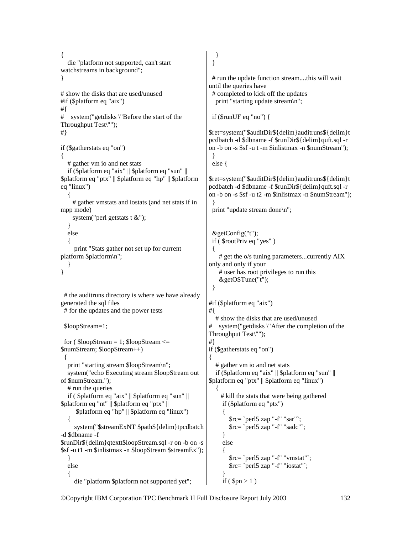```
{ 
    die "platform not supported, can't start 
watchstreams in background"; 
} 
# show the disks that are used/unused 
#if ($platform eq "aix") 
#{ 
# system("getdisks \"Before the start of the 
Throughput Test\""); 
#} 
if ($gatherstats eq "on") 
{ 
    # gather vm io and net stats 
   if ($platform eq "aix" || $platform eq "sun" || 
$platform eq "ptx" || $platform eq "hp" || $platform 
eq "linux") 
\{ # gather vmstats and iostats (and net stats if in 
mpp mode) 
     system("perl getstats t &");
    } 
   else 
\{ print "Stats gather not set up for current 
platform $platform\n"; 
 } 
} 
  # the auditruns directory is where we have already 
generated the sql files 
  # for the updates and the power tests 
  $loopStream=1; 
 for (\text{SloopStream} = 1; \text{SloopStream} \leq$numStream; $loopStream++) 
 { 
   print "starting stream $loopStream\n"; 
   system("echo Executing stream $loopStream out 
of $numStream."); 
    # run the queries 
   if ( $platform eq "aix" || $platform eq "sun" || 
$platform eq "nt" || $platform eq "ptx" || 
       $platform eq "hp" || $platform eq "linux") 
    { 
      system("$streamExNT $path${delim}tpcdbatch 
-d $dbname -f 
$runDir${delim}qtextt$loopStream.sql -r on -b on -s 
$sf -u t1 -m $inlistmax -n $loopStream $streamEx"); 
    } 
   else 
\{ die "platform $platform not supported yet"; 
                                                               } 
                                                              } 
                                                              # run the update function stream....this will wait 
                                                           until the queries have 
                                                             # completed to kick off the updates 
                                                               print "starting update stream\n"; 
                                                             if ($runUF eq "no") { 
                                                           $ret=system("$auditDir${delim}auditruns${delim}t
                                                           pcdbatch -d $dbname -f $runDir${delim}quft.sql -r 
                                                           on -b on -s $sf -u t -m $inlistmax -n $numStream"); 
                                                             } 
                                                             else { 
                                                           $ret=system("$auditDir${delim}auditruns${delim}t
                                                           pcdbatch -d $dbname -f $runDir${delim}quft.sql -r 
                                                           on -b on -s $sf -u t2 -m $inlistmax -n $numStream"); 
                                                              } 
                                                             print "update stream done\n"; 
                                                              &getConfig("t"); 
                                                              if ( $rootPriv eq "yes" ) 
                                                             { 
                                                                # get the o/s tuning parameters...currently AIX 
                                                           only and only if your 
                                                                # user has root privileges to run this 
                                                                &getOSTune("t"); 
                                                             } 
                                                           #if ($platform eq "aix") 
                                                           #{ 
                                                               # show the disks that are used/unused 
                                                           # system("getdisks \"After the completion of the 
                                                           Throughput Test\""); 
                                                           #} 
                                                           if ($gatherstats eq "on") 
                                                            { 
                                                               # gather vm io and net stats 
                                                               if ($platform eq "aix" || $platform eq "sun" || 
                                                           $platform eq "ptx" || $platform eq "linux") 
                                                               { 
                                                                 # kill the stats that were being gathered 
                                                                 if ($platform eq "ptx") 
                                                                  { 
                                                                    $rc= `perl5 zap "-f" "sar"`; 
                                                                    $rc= `perl5 zap "-f" "sadc"`; 
                                                                  } 
                                                                 else 
                                                            \left\{ \begin{array}{c} \end{array} \right. $rc= `perl5 zap "-f" "vmstat"`; 
                                                                    $rc= `perl5 zap "-f" "iostat"`; 
                                                             } 
                                                                 if ($pn > 1)
```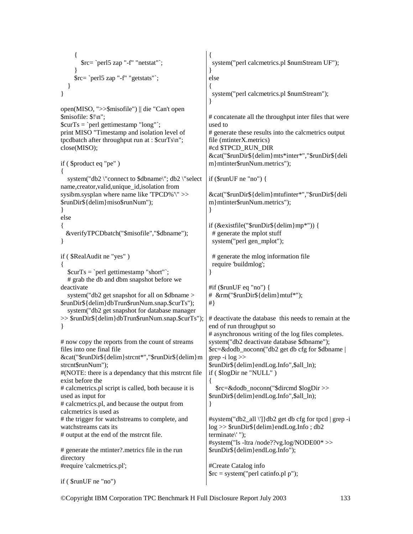```
 { 
        $rc= `perl5 zap "-f" "netstat"`; 
 } 
      $rc= `perl5 zap "-f" "getstats"`; 
   } 
} 
open(MISO, ">>$misofile") || die "Can't open 
$misofile: $!\n"; 
$curTs = 'perl gettimestamp "long"';
print MISO "Timestamp and isolation level of 
tpcdbatch after throughput run at : $curTs\n"; 
close(MISO); 
if ( $product eq "pe" ) 
{ 
   system("db2 \"connect to $dbname\"; db2 \"select 
name,creator,valid,unique_id,isolation from 
sysibm.sysplan where name like 'TPCD%'\" >> 
$runDir${delim}miso$runNum"); 
} 
else 
{ 
   &verifyTPCDbatch("$misofile","$dbname"); 
} 
if ( $RealAudit ne "yes" ) 
{ 
  $curTs = 'perl gettimestamp "short"';
   # grab the db and dbm snapshot before we 
deactivate 
   system("db2 get snapshot for all on $dbname > 
$runDir${delim}dbTrun$runNum.snap.$curTs"); 
   system("db2 get snapshot for database manager 
>> $runDir${delim}dbTrun$runNum.snap.$curTs"); 
} 
# now copy the reports from the count of streams 
files into one final file 
&cat("$runDir${delim}strcnt*","$runDir${delim}m
strcnt$runNum"); 
#(NOTE: there is a dependancy that this mstrcnt file 
exist before the 
# calcmetrics.pl script is called, both because it is 
used as input for 
# calcmetrics.pl, and because the output from 
calcmetrics is used as 
# the trigger for watchstreams to complete, and 
watchstreams cats its 
# output at the end of the mstrcnt file. 
# generate the mtinter?.metrics file in the run 
directory 
#require 'calcmetrics.pl'; 
if ( $runUF ne "no") 
                                                        { 
                                                          system("perl calcmetrics.pl $numStream UF"); 
                                                        } 
                                                        else 
                                                        { 
                                                          system("perl calcmetrics.pl $numStream"); 
                                                        } 
                                                        # concatenate all the throughput inter files that were 
                                                        used to 
                                                        # generate these results into the calcmetrics output 
                                                        file (mtinterX.metrics) 
                                                        #cd $TPCD_RUN_DIR 
                                                        &cat("$runDir${delim}mts*inter*","$runDir${deli
                                                        m}mtinter$runNum.metrics"); 
                                                        if ($runUF ne "no") { 
                                                        &cat("$runDir${delim}mtufinter*","$runDir${deli
                                                        m}mtinter$runNum.metrics"); 
                                                        } 
                                                        if (&existfile("$runDir${delim}mp*")) { 
                                                          # generate the mplot stuff 
                                                          system("perl gen_mplot"); 
                                                          # generate the mlog information file 
                                                          require 'buildmlog'; 
                                                        } 
                                                        #if ($runUF eq "no") { 
                                                        # &rm("$runDir${delim}mtuf*"); 
                                                        #} 
                                                        # deactivate the database this needs to remain at the 
                                                        end of run throughput so 
                                                        # asynchronous writing of the log files completes. 
                                                        system("db2 deactivate database $dbname"); 
                                                        $rc=&dodb_noconn("db2 get db cfg for $dbname | 
                                                        grep -i log \gg$runDir${delim}endLog.Info",$all_ln); 
                                                        if ( $logDir ne "NULL" ) 
                                                        { 
                                                           $rc=&dodb_noconn("$dircmd $logDir >> 
                                                        $runDir${delim}endLog.Info",$all_ln); 
                                                        } 
                                                        #system("db2_all \']}db2 get db cfg for tpcd | grep -i 
                                                        log >> $runDir${delim}endLog.Info ; db2 
                                                        terminate\' "); 
                                                        #system("ls -ltra /node??vg.log/NODE00* >> 
                                                        $runDir${delim}endLog.Info"); 
                                                        #Create Catalog info 
                                                        \text{Src} = \text{system}("perl \text{ catinfo.pl p}");
```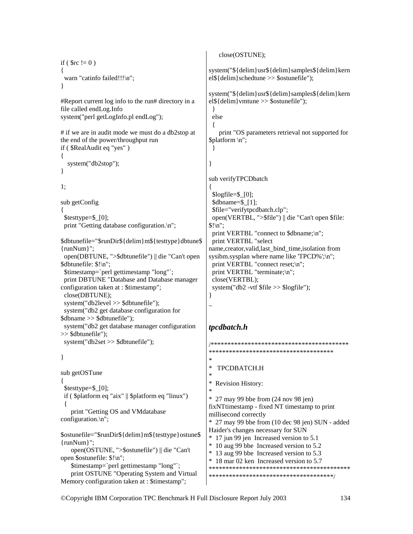```
if ( \text{src} := 0 )
{ 
 warn "catinfo failed!!!\n";
} 
#Report current log info to the run# directory in a 
file called endLog.Info 
system("perl getLogInfo.pl endLog"); 
# if we are in audit mode we must do a db2stop at 
the end of the power/throughput run 
if ( $RealAudit eq "yes" ) 
{ 
   system("db2stop"); 
} 
1; 
sub getConfig 
{ 
  $testtype=$_[0]; 
 print "Getting database configuration.\n";
$dbtunefile="$runDir${delim}m${testtype}dbtune$
{runNum}"; 
  open(DBTUNE, ">$dbtunefile") || die "Can't open 
$dbtunefile: $!\n"; 
  $timestamp=`perl gettimestamp "long"`; 
  print DBTUNE "Database and Database manager 
configuration taken at : $timestamp"; 
  close(DBTUNE); 
  system("db2level >> $dbtunefile"); 
  system("db2 get database configuration for 
$dbname >> $dbtunefile"); 
  system("db2 get database manager configuration 
>> $dbtunefile"); 
  system("db2set >> $dbtunefile"); 
} 
sub getOSTune 
{ 
  $testtype=$_[0]; 
  if ( $platform eq "aix" || $platform eq "linux") 
 { 
    print "Getting OS and VMdatabase 
configuration.\n"; 
$ostunefile="$runDir${delim}m${testtype}ostune$
{runNum}"; 
    open(OSTUNE, ">$ostunefile") || die "Can't 
open $ostunefile: $!\n"; 
    $timestamp=`perl gettimestamp "long"`; 
    print OSTUNE "Operating System and Virtual 
Memory configuration taken at : $timestamp"; 
                                                           close(OSTUNE); 
                                                       system("${delim}usr${delim}samples${delim}kern
                                                       el${delim}schedtune >> $ostunefile"); 
                                                       system("${delim}usr${delim}samples${delim}kern
                                                       el${delim}vmtune >> $ostunefile"); 
                                                         } 
                                                         else 
                                                         { 
                                                           print "OS parameters retrieval not supported for 
                                                       $platform \n"; 
                                                         } 
                                                       } 
                                                       sub verifyTPCDbatch 
                                                       { 
                                                        \text{Slogfile} = \{0\}; $dbname=$_[1]; 
                                                         $file="verifytpcdbatch.clp"; 
                                                         open(VERTBL, ">$file") || die "Can't open $file: 
                                                       \frac{\sin}{\pi};
                                                        print VERTBL "connect to $dbname;\n";
                                                         print VERTBL "select 
                                                       name,creator,valid,last_bind_time,isolation from 
                                                       sysibm.sysplan where name like 'TPCD%';\n";
                                                         print VERTBL "connect reset;\n"; 
                                                        print VERTBL "terminate;\n";
                                                         close(VERTBL); 
                                                         system("db2 -vtf $file >> $logfile"); 
                                                       } 
                                                       \overline{a}tpcdbatch.h 
                                                       /*****************************************
                                                       ************************************* 
                                                       * 
                                                          TPCDBATCH.H
                                                       * 
                                                       * Revision History: 
                                                       * 
                                                       * 27 may 99 bbe from (24 nov 98 jen) 
                                                       fixNTtimestamp - fixed NT timestamp to print 
                                                       millisecond correctly 
                                                       * 27 may 99 bbe from (10 dec 98 jen) SUN - added 
                                                       Haider's changes necessary for SUN 
                                                       * 17 jun 99 jen Increased version to 5.1 
                                                       * 10 aug 99 bbe Increased version to 5.2 
                                                       * 13 aug 99 bbe Increased version to 5.3 
                                                       * 18 mar 02 ken Increased version to 5.7 
                                                       ******************************************
                                                       *************************************/
```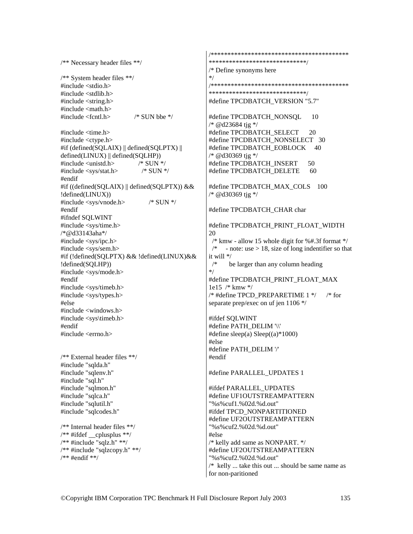/\*\* Necessary header files \*\*/ /\*\* System header files \*\*/ #include <stdio.h> #include <stdlib.h> #include <string.h>  $\#$ include  $\langle \text{math.h} \rangle$ #include <fcntl.h> /\* SUN bbe \*/ #include <time.h> #include <ctype.h> #if (defined(SQLAIX) || defined(SQLPTX) || defined(LINUX) || defined(SQLHP)) #include <unistd.h> /\* SUN \*/ #include <sys/stat.h> /\* SUN \*/ #endif #if ((defined(SQLAIX) || defined(SQLPTX)) && !defined(LINUX)) #include <sys/vnode.h> /\* SUN \*/ #endif #ifndef SQLWINT #include <sys/time.h> /\*@d33143aha\*/ #include <sys/ipc.h> #include <sys/sem.h> #if (!defined(SQLPTX) && !defined(LINUX)&& !defined(SQLHP)) #include <sys/mode.h> #endif #include <sys/timeb.h> #include <sys/types.h> #else #include <windows.h> #include <sys\timeb.h> #endif #include <errno.h> /\*\* External header files \*\*/ #include "sqlda.h" #include "sqlenv.h" #include "sql.h" #include "sqlmon.h" #include "sqlca.h" #include "sqlutil.h" #include "sqlcodes.h" /\*\* Internal header files \*\*/  $/*$  #ifdef cplusplus \*\*/ /\*\* #include "sqlz.h" \*\*/ /\*\* #include "sqlzcopy.h" \*\*/ /\*\* #endif \*\*/

/\*\*\*\*\*\*\*\*\*\*\*\*\*\*\*\*\*\*\*\*\*\*\*\*\*\*\*\*\*\*\*\*\*\*\*\*\*\*\*\*\* \*\*\*\*\*\*\*\*\*\*\*\*\*\*\*\*\*\*\*\*\*\*\*\*\*\*\*\*\*/ /\* Define synonyms here \*/ /\*\*\*\*\*\*\*\*\*\*\*\*\*\*\*\*\*\*\*\*\*\*\*\*\*\*\*\*\*\*\*\*\*\*\*\*\*\*\*\*\* \*\*\*\*\*\*\*\*\*\*\*\*\*\*\*\*\*\*\*\*\*\*\*\*\*\*\*\*\*/ #define TPCDBATCH\_VERSION "5.7" #define TPCDBATCH\_NONSQL 10 /\* @d23684 tjg \*/ #define TPCDBATCH\_SELECT 20 #define TPCDBATCH\_NONSELECT 30 #define TPCDBATCH\_EOBLOCK 40 /\* @d30369 tjg \*/ #define TPCDBATCH\_INSERT 50 #define TPCDBATCH\_DELETE 60 #define TPCDBATCH\_MAX\_COLS 100 /\* @d30369 tjg \*/ #define TPCDBATCH\_CHAR char #define TPCDBATCH\_PRINT\_FLOAT\_WIDTH 20  $\frac{1}{8}$  kmw - allow 15 whole digit for %#.3f format \*/  $\frac{1}{*}$  - note: use > 18, size of long indentifier so that it will \*/ /\* be larger than any column heading \*/ #define TPCDBATCH\_PRINT\_FLOAT\_MAX 1e15 /\* kmw \*/ /\* #define TPCD\_PREPARETIME 1 \*/ /\* for separate prep/exec on uf jen 1106 \*/ #ifdef SQLWINT #define PATH\_DELIM '\\' #define sleep(a) Sleep((a)\*1000) #else #define PATH\_DELIM '/' #endif #define PARALLEL\_UPDATES 1 #ifdef PARALLEL\_UPDATES #define UF1OUTSTREAMPATTERN "%s%cuf1.%02d.%d.out" #ifdef TPCD\_NONPARTITIONED #define UF2OUTSTREAMPATTERN "%s%cuf2.%02d.%d.out" #else /\* kelly add same as NONPART. \*/ #define UF2OUTSTREAMPATTERN "%s%cuf2.%02d.%d.out"

/\* kelly ... take this out ... should be same name as for non-paritioned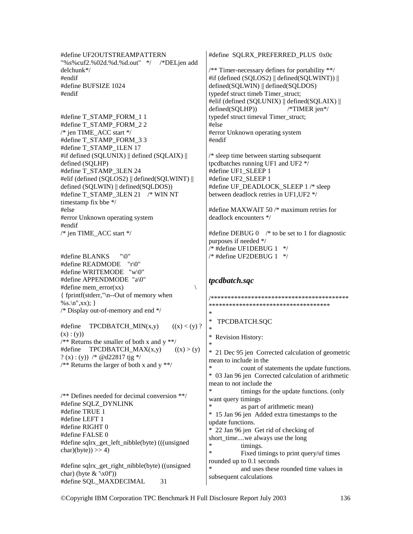#define UF2OUTSTREAMPATTERN "%s%cuf2.%02d.%d.%d.out" \*/ /\*DELjen add delchunk\*/ #endif #define BUFSIZE 1024 #endif

#define T\_STAMP\_FORM\_1 1 #define T\_STAMP\_FORM\_2 2 /\* jen TIME\_ACC start \*/ #define T\_STAMP\_FORM\_3 3 #define T\_STAMP\_1LEN 17 #if defined (SQLUNIX) || defined (SQLAIX) || defined (SQLHP) #define T\_STAMP\_3LEN 24 #elif (defined (SQLOS2) || defined(SQLWINT) || defined (SQLWIN) || defined(SQLDOS)) #define T\_STAMP\_3LEN 21 /\* WIN NT timestamp fix bbe \*/ #else #error Unknown operating system #endif /\* jen TIME\_ACC start \*/

#define BLANKS "\0" #define READMODE "r\0" #define WRITEMODE "w\0" #define APPENDMODE "a\0" #define mem\_error(xx)  $\qquad$ { fprintf(stderr,"\n--Out of memory when  $%s.\n n''.xx);$ } /\* Display out-of-memory and end \*/

#define TPCDBATCH\_MIN(x,y)  $((x) < (y)$  ?  $(x) : (y))$  $/*$  Returns the smaller of both x and y \*\*/ #define TPCDBATCH  $MAX(x,y)$   $((x) > (y))$ ? (x) : (y)) /\* @d22817 tjg \*/ /\*\* Returns the larger of both x and y \*\*/

/\*\* Defines needed for decimal conversion \*\*/ #define SQLZ\_DYNLINK #define TRUE 1 #define LEFT 1 #define RIGHT 0 #define FALSE 0 #define sqlrx\_get\_left\_nibble(byte) (((unsigned  $char)(byte)) >> 4)$ 

#define sqlrx get right nibble(byte) ((unsigned) char) (byte  $& \sqrt{x(0)}$ ) #define SQL\_MAXDECIMAL 31

#define SQLRX\_PREFERRED\_PLUS 0x0c

/\*\* Timer-necessary defines for portability \*\*/ #if (defined (SQLOS2) || defined(SQLWINT)) || defined(SQLWIN) || defined(SQLDOS) typedef struct timeb Timer\_struct; #elif (defined (SQLUNIX) || defined(SQLAIX) || defined(SQLHP)) /\*TIMER jen\*/ typedef struct timeval Timer\_struct; #else #error Unknown operating system #endif

/\* sleep time between starting subsequent tpcdbatches running UF1 and UF2 \*/ #define UF1\_SLEEP 1 #define UF2\_SLEEP 1 #define UF\_DEADLOCK\_SLEEP 1 /\* sleep between deadlock retries in UF1,UF2 \*/

#define MAXWAIT 50 /\* maximum retries for deadlock encounters \*/

#define DEBUG 0 /\* to be set to 1 for diagnostic purposes if needed \*/  $*$  #define UF1DEBUG 1  $*$ / /\* #define UF2DEBUG 1 \*/

### *tpcdbatch.sqc*

/\*\*\*\*\*\*\*\*\*\*\*\*\*\*\*\*\*\*\*\*\*\*\*\*\*\*\*\*\*\*\*\*\*\*\*\*\*\*\*\*\* \*\*\*\*\*\*\*\*\*\*\*\*\*\*\*\*\*\*\*\*\*\*\*\*\*\*\*\*\*\*\*\*\*\*\*\* \* TPCDBATCH.SQC \* \* Revision History: \* \* 21 Dec 95 jen Corrected calculation of geometric mean to include in the count of statements the update functions. \* 03 Jan 96 jen Corrected calculation of arithmetic mean to not include the timings for the update functions. (only want query timings as part of arithmetic mean) \* 15 Jan 96 jen Added extra timestamps to the update functions. \* 22 Jan 96 jen Get rid of checking of short time....we always use the long \* timings.<br>\* Fixed times Fixed timings to print query/uf times rounded up to 0.1 seconds and uses these rounded time values in subsequent calculations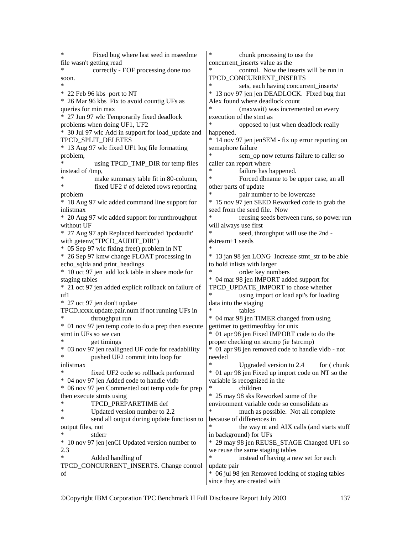Fixed bug where last seed in mseedme file wasn't getting read correctly - EOF processing done too soon. \* \* 22 Feb 96 kbs port to NT \* 26 Mar 96 kbs Fix to avoid countig UFs as queries for min max \* 27 Jun 97 wlc Temporarily fixed deadlock problems when doing UF1, UF2 \* 30 Jul 97 wlc Add in support for load\_update and TPCD\_SPLIT\_DELETES \* 13 Aug 97 wlc fixed UF1 log file formatting problem, using TPCD\_TMP\_DIR for temp files instead of /tmp, make summary table fit in 80-column, fixed UF2  $#$  of deleted rows reporting problem \* 18 Aug 97 wlc added command line support for inlistmax \* 20 Aug 97 wlc added support for runthroughput without UF \* 27 Aug 97 aph Replaced hardcoded 'tpcdaudit' with getenv("TPCD\_AUDIT\_DIR") \* 05 Sep 97 wlc fixing free() problem in NT \* 26 Sep 97 kmw change FLOAT processing in echo\_sqlda and print\_headings \* 10 oct 97 jen add lock table in share mode for staging tables \* 21 oct 97 jen added explicit rollback on failure of uf1 \* 27 oct 97 jen don't update TPCD.xxxx.update.pair.num if not running UFs in throughput run \* 01 nov 97 jen temp code to do a prep then execute stmt in UFs so we can get timings \* 03 nov 97 jen realligned UF code for readablility pushed UF2 commit into loop for inlistmax fixed UF2 code so rollback performed \* 04 nov 97 jen Added code to handle vldb \* 06 nov 97 jen Commented out temp code for prep then execute stmts using \* TPCD\_PREPARETIME def \* Updated version number to 2.2 send all output during update functiosn to output files, not stderr \* 10 nov 97 jen jenCI Updated version number to 2.3 Added handling of TPCD\_CONCURRENT\_INSERTS. Change control of chunk processing to use the concurrent\_inserts value as the control. Now the inserts will be run in TPCD\_CONCURRENT\_INSERTS sets, each having concurrent inserts/ \* 13 nov 97 jen jen DEADLOCK. FIxed bug that Alex found where deadlock count (maxwait) was incremented on every execution of the stmt as opposed to just when deadlock really happened. \* 14 nov 97 jen jenSEM - fix up error reporting on semaphore failure sem\_op now returns failure to caller so caller can report where failure has happened. Forced dbname to be upper case, an all other parts of update pair number to be lowercase \* 15 nov 97 jen SEED Reworked code to grab the seed from the seed file. Now reusing seeds between runs, so power run will always use first seed, throughput will use the 2nd -#stream+1 seeds \* \* 13 jan 98 jen LONG Increase stmt\_str to be able to hold inlists with larger order key numbers \* 04 mar 98 jen IMPORT added support for TPCD\_UPDATE\_IMPORT to chose whether using import or load api's for loading data into the staging tables \* 04 mar 98 jen TIMER changed from using gettimer to gettimeofday for unix \* 01 apr 98 jen Fixed IMPORT code to do the proper checking on strcmp (ie !strcmp) \* 01 apr 98 jen removed code to handle vldb - not needed Upgraded version to  $2.4$  for ( chunk \* 01 apr 98 jen Fixed up import code on NT so the variable is recognized in the \* children \* 25 may 98 sks Reworked some of the environment variable code so consolidate as much as possible. Not all complete because of differences in the way nt and AIX calls (and starts stuff in background) for UFs \* 29 may 98 jen REUSE\_STAGE Changed UF1 so we reuse the same staging tables \* instead of having a new set for each update pair \* 06 jul 98 jen Removed locking of staging tables since they are created with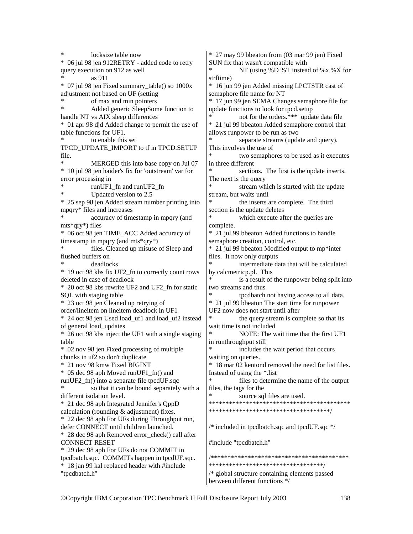locksize table now \* 06 jul 98 jen 912RETRY - added code to retry query execution on 912 as well as 911 \* 07 jul 98 jen Fixed summary\_table() so 1000x adjustment not based on UF (setting \* of max and min pointers<br>Added generic SleepSom Added generic SleepSome function to handle NT vs AIX sleep differences \* 01 apr 98 djd Added change to permit the use of table functions for UF1. to enable this set TPCD\_UPDATE\_IMPORT to tf in TPCD.SETUP file. MERGED this into base copy on Jul 07 \* 10 jul 98 jen haider's fix for 'outstream' var for error processing in runUF1\_fn and runUF2\_fn Updated version to 2.5 \* 25 sep 98 jen Added stream number printing into mpqry\* files and increases accuracy of timestamp in mpqry (and mts\*qry\*) files \* 06 oct 98 jen TIME\_ACC Added accuracy of timestamp in mpqry (and mts\*qry\*) files. Cleaned up misuse of Sleep and flushed buffers on deadlocks \* 19 oct 98 kbs fix UF2\_fn to correctly count rows deleted in case of deadlock \* 20 oct 98 kbs rewrite UF2 and UF2\_fn for static SQL with staging table \* 23 oct 98 jen Cleaned up retrying of order/lineitem on lineitem deadlock in UF1 \* 24 oct 98 jen Used load\_uf1 and load\_uf2 instead of general load\_updates \* 26 oct 98 kbs inject the UF1 with a single staging table \* 02 nov 98 jen Fixed processing of multiple chunks in uf2 so don't duplicate \* 21 nov 98 kmw Fixed BIGINT \* 05 dec 98 aph Moved runUF1\_fn() and runUF2\_fn() into a separate file tpcdUF.sqc \* so that it can be bound separately with a different isolation level. \* 21 dec 98 aph Integrated Jennifer's QppD calculation (rounding  $&$  adjustment) fixes. \* 22 dec 98 aph For UFs during Throughput run, defer CONNECT until children launched. \* 28 dec 98 aph Removed error\_check() call after CONNECT RESET \* 29 dec 98 aph For UFs do not COMMIT in tpcdbatch.sqc. COMMITs happen in tpcdUF.sqc. \* 18 jan 99 kal replaced header with #include "tpcdbatch.h" \* 27 may 99 bbeaton from (03 mar 99 jen) Fixed SUN fix that wasn't compatible with NT (using  $%D$  %T instead of %x %X for strftime) \* 16 jun 99 jen Added missing LPCTSTR cast of semaphore file name for NT \* 17 jun 99 jen SEMA Changes semaphore file for update functions to look for tpcd.setup not for the orders.\*\*\* update data file \* 21 jul 99 bbeaton Added semaphore control that allows runpower to be run as two separate streams (update and query). This involves the use of two semaphores to be used as it executes in three different sections. The first is the update inserts. The next is the query stream which is started with the update stream, but waits until the inserts are complete. The third section is the update deletes \* which execute after the queries are complete. \* 21 jul 99 bbeaton Added functions to handle semaphore creation, control, etc. \* 21 jul 99 bbeaton Modified output to mp\*inter files. It now only outputs intermediate data that will be calculated by calcmetricp.pl. This is a result of the runpower being split into two streams and thus tpcdbatch not having access to all data. \* 21 jul 99 bbeaton The start time for runpower UF2 now does not start until after the query stream is complete so that its wait time is not included NOTE: The wait time that the first UF1 in runthroughput still includes the wait period that occurs waiting on queries. \* 18 mar 02 kentond removed the need for list files. Instead of using the \*.list files to determine the name of the output files, the tags for the source sql files are used. \*\*\*\*\*\*\*\*\*\*\*\*\*\*\*\*\*\*\*\*\*\*\*\*\*\*\*\*\*\*\*\*\*\*\*\*\*\*\*\*\*\* \*\*\*\*\*\*\*\*\*\*\*\*\*\*\*\*\*\*\*\*\*\*\*\*\*\*\*\*\*\*\*\*\*\*\*\*/ /\* included in tpcdbatch.sqc and tpcdUF.sqc \*/ #include "tpcdbatch.h" /\*\*\*\*\*\*\*\*\*\*\*\*\*\*\*\*\*\*\*\*\*\*\*\*\*\*\*\*\*\*\*\*\*\*\*\*\*\*\*\*\* \*\*\*\*\*\*\*\*\*\*\*\*\*\*\*\*\*\*\*\*\*\*\*\*\*\*\*\*\*\*\*\*\*\*/ /\* global structure containing elements passed between different functions \*/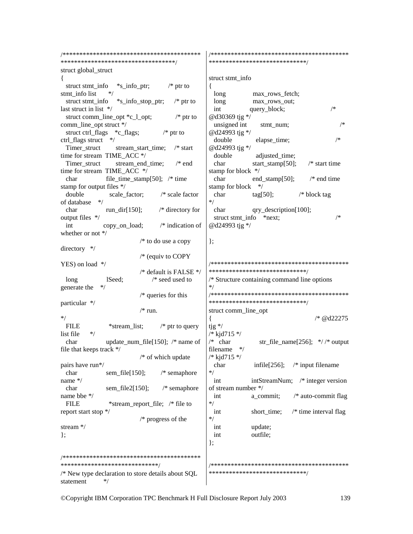/\*\*\*\*\*\*\*\*\*\*\*\*\*\*\*\*\*\*\*\*\*\*\*\*\*\*\*\*\*\*\*\*\*\*\*\*\*\*\*\*\* \*\*\*\*\*\*\*\*\*\*\*\*\*\*\*\*\*\*\*\*\*\*\*\*\*\*\*\*\*\*\*\*\*\*/ struct global\_struct { struct stmt\_info \*s\_info\_ptr; /\* ptr to stmt\_info list struct stmt\_info  $*$ s\_info\_stop\_ptr; /\* ptr to last struct in list \*/ struct comm\_line\_opt \*c\_l\_opt; /\* ptr to comm\_line\_opt struct \*/ struct ctrl\_flags \*c\_flags; /\* ptr to ctrl\_flags struct \*/ Timer\_struct stream\_start\_time; /\* start time for stream TIME\_ACC \*/ Timer\_struct stream\_end\_time; /\* end time for stream TIME\_ACC \*/ char file time stamp[50];  $/*$  time stamp for output files \*/ double scale factor; /\* scale factor of database \*/ char run dir[150];  $/*$  directory for output files \*/ int copy\_on\_load; /\* indication of whether or not \*/ /\* to do use a copy directory \*/ /\* (equiv to COPY YES) on load \*/ /\* default is FALSE \*/ long lSeed; /\* seed used to generate the \*/ /\* queries for this particular \*/  $/* run.$  $*$ /<br>FILE \*stream\_list;  $\frac{1}{2}$  /\* ptr to query list file char update\_num\_file[150]; /\* name of file that keeps track \*/ /\* of which update pairs have run\*/ char sem file[150]; /\* semaphore name \*/ char sem file2[150]; /\* semaphore name bbe \*/ FILE \*stream\_report\_file; /\* file to report start stop \*/ /\* progress of the stream \*/ }; /\*\*\*\*\*\*\*\*\*\*\*\*\*\*\*\*\*\*\*\*\*\*\*\*\*\*\*\*\*\*\*\*\*\*\*\*\*\*\*\*\* \*\*\*\*\*\*\*\*\*\*\*\*\*\*\*\*\*\*\*\*\*\*\*\*\*\*\*\*\*/ /\* New type declaration to store details about SQL statement \*/ /\*\*\*\*\*\*\*\*\*\*\*\*\*\*\*\*\*\*\*\*\*\*\*\*\*\*\*\*\*\*\*\*\*\*\*\*\*\*\*\*\* \*\*\*\*\*\*\*\*\*\*\*\*\*\*\*\*\*\*\*\*\*\*\*\*\*\*\*\*\*/ struct stmt\_info { long max rows fetch; long max rows out: int query\_block; /\* @d30369 tjg \*/ unsigned int stmt num;  $/*$ @d24993 tjg \*/ double elapse\_time; /\* @d24993 tjg \*/ double adjusted time; char start\_stamp[50]; /\* start time stamp for block \*/ char end stamp[50];  $/*$  end time stamp for block \*/ char tag[50]; /\* block tag \*/ char qry description [100]; struct stmt\_info \*next;  $\frac{1}{2}$  /\* @d24993 tjg \*/ }; /\*\*\*\*\*\*\*\*\*\*\*\*\*\*\*\*\*\*\*\*\*\*\*\*\*\*\*\*\*\*\*\*\*\*\*\*\*\*\*\*\* \*\*\*\*\*\*\*\*\*\*\*\*\*\*\*\*\*\*\*\*\*\*\*\*\*\*\*\*\*/ /\* Structure containing command line options \*/ /\*\*\*\*\*\*\*\*\*\*\*\*\*\*\*\*\*\*\*\*\*\*\*\*\*\*\*\*\*\*\*\*\*\*\*\*\*\*\*\*\* \*\*\*\*\*\*\*\*\*\*\*\*\*\*\*\*\*\*\*\*\*\*\*\*\*\*\*\*\*/ struct comm\_line\_opt { /\* @d22275 tjg \*/ /\* kjd715 \*/ /\* char  $str\_file\_name[256]$ ;  $\frac{\ast}{\phantom{0}}$  /\* output filename \*/ /\* kjd715 \*/ char infile[256]; /\* input filename \*/ int intStreamNum; /\* integer version of stream number \*/ int a\_commit; /\* auto-commit flag \*/ int short\_time; /\* time interval flag \*/ int update; int outfile; }; /\*\*\*\*\*\*\*\*\*\*\*\*\*\*\*\*\*\*\*\*\*\*\*\*\*\*\*\*\*\*\*\*\*\*\*\*\*\*\*\*\* \*\*\*\*\*\*\*\*\*\*\*\*\*\*\*\*\*\*\*\*\*\*\*\*\*\*\*\*\*/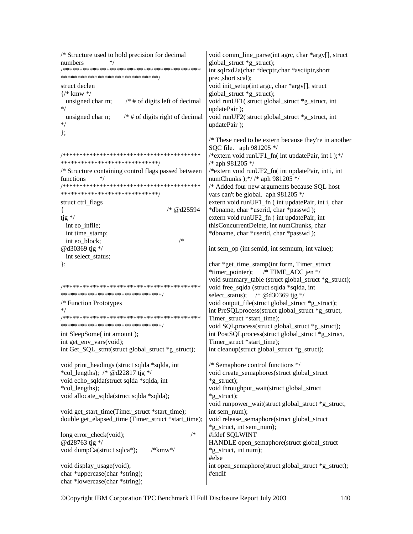```
/* Structure used to hold precision for decimal 
numbers */ 
/*****************************************
*****************************/ 
struct declen 
{/* kmw */ 
 unsigned char m; \frac{1}{4} the digits left of decimal
*/ 
 unsigned char n; \frac{1}{*} # of digits right of decimal
*/ 
}; 
/*****************************************
*****************************/ 
/* Structure containing control flags passed between 
functions */ 
/*****************************************
*****************************/ 
struct ctrl_flags
\frac{1}{8} /* @d25594
tjg */ 
  int eo_infile; 
  int time_stamp; 
  int eo_block; /* 
@d30369 tjg */ 
 int select status;
}; 
/*****************************************
******************************/ 
/* Function Prototypes 
*/ 
/*****************************************
******************************/ 
int SleepSome( int amount ); 
int get env vars(void);
int Get_SQL_stmt(struct global_struct *g_struct);
void print_headings (struct sqlda *sqlda, int 
*col lengths); /* @d22817 tjg */
void echo_sqlda(struct sqlda *sqlda, int 
*col_lengths); 
void allocate_sqlda(struct sqlda *sqlda); 
void get start time(Timer struct *start time);
double get_elapsed_time (Timer_struct *start_time); 
long error check(void); /*@d28763 tjg */ 
void dumpCa(struct sqlca*); /*kmw*/ 
void display_usage(void);
char *uppercase(char *string); 
char *lowercase(char *string); 
                                                     void comm_line_parse(int agrc, char *argv[], struct 
                                                     global_struct *g_struct); 
                                                     int sqlrxd2a(char *decptr,char *asciiptr,short 
                                                     prec,short scal); 
                                                     void init_setup(int argc, char *argv[], struct 
                                                     global struct *g_struct);
                                                     void runUF1( struct global struct *g_struct, int
                                                     updatePair ); 
                                                     void runUF2( struct global_struct *g_struct, int 
                                                     updatePair ); 
                                                     /* These need to be extern because they're in another 
                                                     SQC file. aph 981205 */ 
                                                     /*extern void runUF1 fn( int updatePair, int i );*/
                                                     /* aph 981205 */ 
                                                     /*extern void runUF2_fn( int updatePair, int i, int 
                                                     numChunks );*/ /* aph 981205 */ 
                                                     /* Added four new arguments because SQL host 
                                                     vars can't be global. aph 981205 */ 
                                                     extern void runUF1 fn ( int updatePair, int i, char
                                                     *dbname, char *userid, char *passwd ); 
                                                     extern void runUF2_fn ( int updatePair, int 
                                                     thisConcurrentDelete, int numChunks, char 
                                                     *dbname, char *userid, char *passwd ); 
                                                     int sem_op (int semid, int semnum, int value); 
                                                     char *get_time_stamp(int form, Timer_struct
                                                     *timer_pointer); /* TIME_ACC jen */
                                                     void summary table (struct global struct *g_struct);
                                                     void free_sqlda (struct sqlda *sqlda, int 
                                                     select status); /* @d30369 tjg */
                                                     void output_file(struct global_struct *g_struct); 
                                                     int PreSQLprocess(struct global_struct *g_struct, 
                                                     Timer_struct *start_time);
                                                     void SOLprocess(struct global_struct *g_struct);
                                                     int PostSQLprocess(struct global_struct *g_struct, 
                                                     Timer_struct *start_time);
                                                     int cleanup(struct global struct *g struct);
                                                     /* Semaphore control functions */ 
                                                     void create_semaphores(struct global_struct 
                                                     *g struct);
                                                     void throughput_wait(struct global_struct 
                                                     *g_struct); 
                                                     void runpower_wait(struct global_struct *g_struct, 
                                                     int sem_num);
                                                     void release_semaphore(struct global_struct 
                                                     *g_struct, int sem_num); 
                                                     #ifdef SQLWINT 
                                                     HANDLE open_semaphore(struct global_struct 
                                                     *g_struct, int num); 
                                                     #else 
                                                    int open_semaphore(struct global_struct *g_struct);
                                                     #endif
```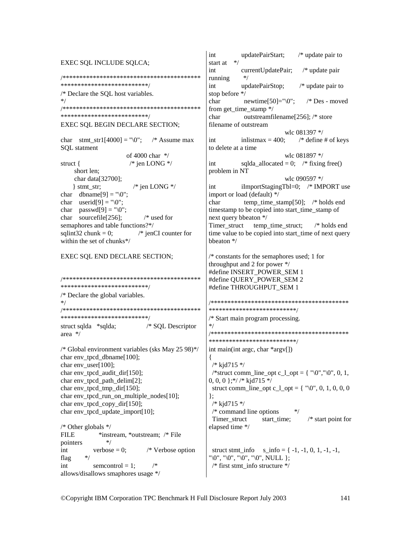```
EXEC SQL INCLUDE SQLCA; 
/*****************************************
**************************/ 
/* Declare the SQL host variables. 
*/ 
/*****************************************
**************************/ 
EXEC SQL BEGIN DECLARE SECTION; 
char stmt str1[4000] = "\sqrt{0}"; /* Assume max
SQL statment 
                          of 4000 char */ 
struct { \frac{\pi}{6} | \frac{1}{2} | \frac{1}{2} | \frac{1}{2} | \frac{1}{2} | \frac{1}{2} | \frac{1}{2} | \frac{1}{2} | \frac{1}{2} | \frac{1}{2} | \frac{1}{2} | \frac{1}{2} | \frac{1}{2} | \frac{1}{2} | \frac{1}{2} | \frac{1}{2} | \frac{1}{2} | \frac{1}{2} short len; 
      char data[32700]; 
    } stmt_str; /* jen LONG */char dbname[9] = "\n0":
char userid[9] = "\n0";char passwd[9] = "\0":char sourcefile[256]; /* used for 
semaphores and table functions?*/ 
sqlint32 chunk = 0; \frac{\text{m}}{\text{s}} ienCI counter for
within the set of chunks*/ 
EXEC SQL END DECLARE SECTION; 
/*****************************************
**************************/ 
/* Declare the global variables. 
*/ 
/*****************************************
****************************/<br>struct sqlda *sqlda: /* SOL Descriptor
struct sqlda * sqlda;
area */ 
/* Global environment variables (sks May 25 98)*/ 
char env_tpcd_dbname[100];
char env_user[100];
char env_tpcd_audit_dir[150];
char env tpcd path delim[2];
char env tpcd tmp_dir[150];
char env_tpcd_run_on_multiple_nodes[10]; 
char env tpcd copy dir[150];
char env_tpcd_update_import[10]; 
/* Other globals */ 
FILE *instream, *outstream; /* File
pointers
int verbose = 0; /* Verbose option<br>flag \frac{1}{2}flag
int semcontrol = 1;
allows/disallows smaphores usage */ 
                                                         int updatePairStart; /* update pair to 
                                                         start at */
                                                        int currentUpdatePair; /* update pair 
                                                         running
                                                         int updatePairStop; /* update pair to 
                                                         stop before */ 
                                                         char newtime[50]="\sqrt{0}"; /* Des - moved
                                                        from get time stamp */char outstreamfilename[256]; /* store 
                                                         filename of outstream 
                                                                     wlc 081397 */<br>inlistmax = 400; * define
                                                         int inlistmax = 400; \frac{\text{#} \times \text{#}}{\text{#} \times \text{#}} in \frac{\text{#} \times \text{#}}{\text{#} \times \text{#}}to delete at a time 
                                                                                       wlc 081897 */ 
                                                         int sqlda_allocated = 0; /* fixing free()
                                                         problem in NT 
                                                                                       wlc 090597 */ 
                                                         int iImportStagingTbl=0; /* IMPORT use 
                                                        import or load (default) */ 
                                                         char temp time stamp[50]; /* holds end
                                                         timestamp to be copied into start time stamp of
                                                         next query bbeaton */ 
                                                         Timer_struct temp_time_struct; /* holds end
                                                         time value to be copied into start time of next query
                                                         bbeaton */ 
                                                         /* constants for the semaphores used; 1 for 
                                                         throughput and 2 for power */ 
                                                         #define INSERT_POWER_SEM 1 
                                                         #define QUERY_POWER_SEM 2 
                                                         #define THROUGHPUT_SEM 1 
                                                         /*****************************************
                                                         **************************/ 
                                                         /* Start main program processing. 
                                                         */ 
                                                         /*****************************************
                                                         **************************/ 
                                                         int main(int argc, char *argv[]) 
                                                         { 
                                                           /* kjd715 */ 
                                                          /*struct comm_line_opt c_l_opt = { "\0","\0", 0, 1,
                                                         0, 0, 0 \frac{1}{2} /* kjd715 */
                                                          struct comm_line_opt c_1_opt = { \degree\\omegon{0}^0, 0, 0, 0, 0}
                                                         }; 
                                                           /* kjd715 */ 
                                                          /* command line options *Timer_struct start_time; /* start point for
                                                         elapsed time */ 
                                                          struct stmt_info s__info = { -1, -1, 0, 1, -1, -1,
                                                         "\0", "\0", "\0", "\0", NULL };
                                                          /* first stmt info structure */
```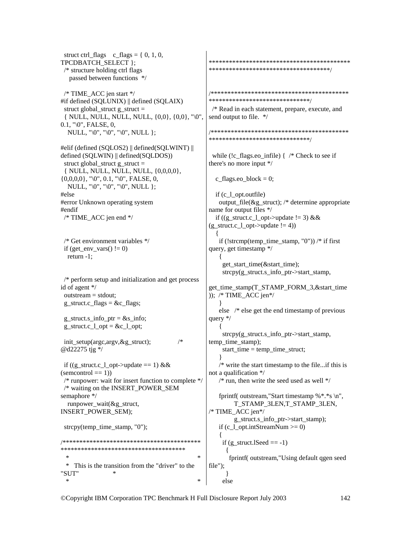struct ctrl\_flags c\_ flags =  $\{ 0, 1, 0,$ TPCDBATCH\_SELECT }; /\* structure holding ctrl flags passed between functions \*/ /\* TIME\_ACC jen start \*/ #if defined (SQLUNIX) || defined (SQLAIX) struct global\_struct g\_struct = { NULL, NULL, NULL, NULL, {0,0}, {0,0}, "\0",  $0.1,$  " $\&0$ ", FALSE, 0, NULL, "\0", "\0", "\0", NULL }; #elif (defined (SQLOS2) || defined(SQLWINT) || defined (SQLWIN) || defined(SQLDOS)) struct global\_struct g\_struct = { NULL, NULL, NULL, NULL, {0,0,0,0},  $\{0,0,0,0\}$ , "\0", 0.1, "\0", FALSE, 0, NULL, "\0", "\0", "\0", NULL }; #else #error Unknown operating system #endif /\* TIME\_ACC jen end \*/ /\* Get environment variables \*/ if (get\_env\_vars()  $!= 0$ ) return -1; /\* perform setup and initialization and get process id of agent \*/ outstream = stdout; g\_struct.c\_flags =  $&c$  flags; g\_struct.s\_info\_ptr =  $&$ s\_info; g\_struct.c\_l\_opt =  $&c_1$ \_opt; init\_setup(argc,argv,&g\_struct); /\* @d22275 tjg \*/ if ((g\_struct.c\_l\_opt->update == 1) &&  $(semcontrol == 1)$  /\* runpower: wait for insert function to complete \*/ /\* waiting on the INSERT\_POWER\_SEM semaphore \*/ runpower\_wait $(\&$ g\_struct, INSERT\_POWER\_SEM); strcpy(temp\_time\_stamp,  $"0"$ ); /\*\*\*\*\*\*\*\*\*\*\*\*\*\*\*\*\*\*\*\*\*\*\*\*\*\*\*\*\*\*\*\*\*\*\*\*\*\*\*\*\* \*\*\*\*\*\*\*\*\*\*\*\*\*\*\*\*\*\*\*\*\*\*\*\*\*\*\*\*\*\*\*\*\*\*\*\*\*  $*$   $*$  \* This is the transition from the "driver" to the "SUT" \*  $*$   $*$ \*\*\*\*\*\*\*\*\*\*\*\*\*\*\*\*\*\*\*\*\*\*\*\*\*\*\*\*\*\*\*\*\*\*\*\*\*\*\*\*\*\* \*\*\*\*\*\*\*\*\*\*\*\*\*\*\*\*\*\*\*\*\*\*\*\*\*\*\*\*\*\*\*\*\*\*\*\*/ /\*\*\*\*\*\*\*\*\*\*\*\*\*\*\*\*\*\*\*\*\*\*\*\*\*\*\*\*\*\*\*\*\*\*\*\*\*\*\*\*\* \*\*\*\*\*\*\*\*\*\*\*\*\*\*\*\*\*\*\*\*\*\*\*\*\*\*\*\*\*\*/ /\* Read in each statement, prepare, execute, and send output to file. \*/ /\*\*\*\*\*\*\*\*\*\*\*\*\*\*\*\*\*\*\*\*\*\*\*\*\*\*\*\*\*\*\*\*\*\*\*\*\*\*\*\*\* \*\*\*\*\*\*\*\*\*\*\*\*\*\*\*\*\*\*\*\*\*\*\*\*\*\*\*\*\*\*/ while (!c\_flags.eo\_infile) { /\* Check to see if there's no more input \*/ c flags.eo block = 0; if (c\_l\_opt.outfile) output file( $\&$ g\_struct); /\* determine appropriate name for output files \*/ if  $((g_{\text{1}}<sub>c</sub> - 1<sub>c</sub>)<sub>c</sub>$  = 3) & &  $(g_<sub>1</sub>,<sub>c</sub>,<sub>c</sub>,<sub>c</sub>)$  = 4) { if (!strcmp(temp\_time\_stamp,  $"0")$ ) /\* if first query, get timestamp \*/ { get\_start\_time(&start\_time); strcpy(g\_struct.s\_info\_ptr->start\_stamp, get\_time\_stamp(T\_STAMP\_FORM\_3,&start\_time ));  $/*$  TIME ACC jen $*/$  } else /\* else get the end timestamp of previous query \*/  $\{$  strcpy(g\_struct.s\_info\_ptr->start\_stamp, temp\_time\_stamp); start  $time = temp$  time struct; } /\* write the start timestamp to the file...if this is not a qualification \*/  $/*$  run, then write the seed used as well  $*/$  fprintf( outstream,"Start timestamp %\*.\*s \n", T\_STAMP\_3LEN,T\_STAMP\_3LEN, /\* TIME\_ACC jen\*/ g\_struct.s\_info\_ptr->start\_stamp); if (c\_l\_opt.intStreamNum  $>= 0$ )  $\{$ if  $(g_{\text{1}}\text{struct.}$  ISeed  $== -1)$  $\left\{\begin{array}{ccc} \end{array}\right\}$  fprintf( outstream,"Using default qgen seed file"); } else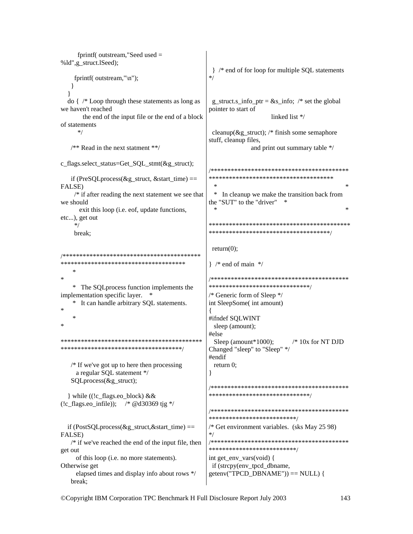```
fprintf(outstream,"Seedused =%ld",g_struct.lSeed);
                                           } /* end of for loop for multiple SQL statements
   fprintf( outstream,"\n");
  \left\{ \right\}\mathcal{E}\alpha { /* Loop through these statements as long as
                                           g struct.s info ptr = \&s info; /* set the global
                                           pointer to start of
we haven't reached
                                                             linked list */
      the end of the input file or the end of a block
of statements
    *cleanup(\&g_struct); /* finish some semaphore
                                           stuff, cleanup files,
  /* Read in the next statment **/
                                                       and print out summary table */
c_flags.select_status=Get_SQL_stmt(&g_struct);
                                           *************************************
  if (PreSQL process (\& g \text{ struct}, \& \text{start time}) ==FALSE)
   /* if after reading the next statement we see that
                                            \astIn cleanup we make the transition back from
                                           the "SUT" to the "driver" *we should
     exit this loop (i.e. eof, update functions,
etc...), get out
                                           *break:
                                           return(0);*************************************
                                           \} /* end of main */
                                           ر.<br>پ
                                           *******************************
   * The SQL process function implements the
implementation specific layer. *
                                           /* Generic form of Sleep */
   * It can handle arbitrary SOL statements.
                                           int SleepSome( int amount)
   \ast#ifndef SQLWINT
                                            sleep (amount);
                                           #else
Sleep (amount *1000);
                                                                   /* 10x for NT DJD
Changed "sleep" to "Sleep" */
                                           #endif
  /* If we've got up to here then processing
                                            return 0:
    a regular SQL statement */
                                           ļ
  SOLprocess(\&g struct);
                                           *******************************
  } while ((!c_flags.eo_block) &&
(!c flags.eo infile)); /* @d30369 tjg */
                                           **************************
 if (PostSQLprocess(\&g struct,&start time) ==
                                           /* Get environment variables. (sks May 25 98)
FALSE)
                                           */* if we've reached the end of the input file, then
                                           **************************
get out
    of this loop (i.e. no more statements).
                                           int get_env_vars(void) {
Otherwise get
                                           if (strcpy(env_tpcd_dbname,
                                           getenv("TPCD_DBNAME")) == NULL) {
    elapsed times and display info about rows */
  break:
```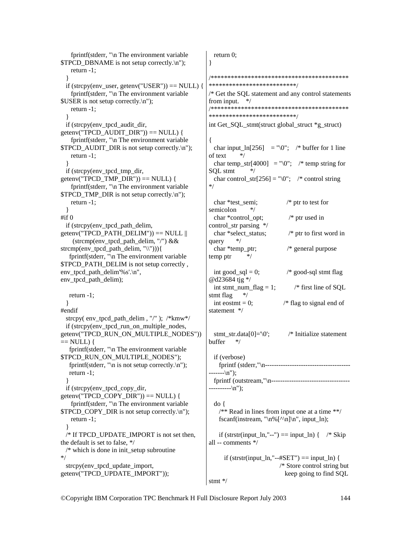| fprintf(stderr, "\n The environment variable                                                | return $0$ ;                                                      |
|---------------------------------------------------------------------------------------------|-------------------------------------------------------------------|
| \$TPCD_DBNAME is not setup correctly.\n");                                                  | }                                                                 |
| return $-1$ ;                                                                               |                                                                   |
| if (strcpy(env_user, getenv("USER")) = $NULL$ ) {                                           | **************************/                                       |
| fprintf(stderr, "\n The environment variable                                                | /* Get the SQL statement and any control statements               |
| $SUSER$ is not setup correctly. $\ln$ ");                                                   | from input.<br>*/                                                 |
| return $-1$ ;                                                                               |                                                                   |
|                                                                                             | **************************/                                       |
| if (strcpy(env_tpcd_audit_dir,                                                              | int Get_SQL_stmt(struct global_struct *g_struct)                  |
| $getenv("TPCD_AUDIT_DIR")) == NULL)$ {                                                      |                                                                   |
| fprintf(stderr, "\n The environment variable                                                | ∤                                                                 |
| \$TPCD_AUDIT_DIR is not setup correctly.\n");                                               | char input_ln[256] = "\0"; /* buffer for 1 line                   |
| return $-1$ ;                                                                               | of text<br>*/                                                     |
|                                                                                             | char temp_str[4000] = "\0"; /* temp string for                    |
| if (strcpy(env_tpcd_tmp_dir,                                                                | SQL stmt<br>*/                                                    |
| $getenv("TPCD_TMP_DIR")) == NULL$ {                                                         | char control_str[256] = "\0"; /* control string<br>*/             |
| fprintf(stderr, "\n The environment variable<br>\$TPCD_TMP_DIR is not setup correctly.\n"); |                                                                   |
| return $-1$ ;                                                                               | char *test semi;<br>$/*$ ptr to test for                          |
|                                                                                             | semicolon<br>*/                                                   |
| $\#$ if $\theta$                                                                            | $/*$ ptr used in<br>char *control_opt;                            |
| if (strcpy(env_tpcd_path_delim,                                                             | control_str parsing */                                            |
| $getenv("TPCD\_PATH\_DELIM")) == NULL$                                                      | char *select_status;<br>$/*$ ptr to first word in                 |
| (strcmp(env_tpcd_path_delim, "/") &&                                                        | $*$<br>query                                                      |
| strcmp(env_tpcd_path_delim, "\\"))){                                                        | $/*$ general purpose<br>char *temp_ptr;                           |
| fprintf(stderr, "\n The environment variable                                                | $*$<br>temp ptr                                                   |
| \$TPCD_PATH_DELIM is not setup correctly,                                                   |                                                                   |
| env_tpcd_path_delim'%s'.\n",                                                                | /* good-sql stmt flag<br>int $good\_sql = 0;$                     |
| env_tpcd_path_delim);                                                                       | @d23684 tjg */                                                    |
|                                                                                             | int stmt_num_flag = 1;<br>/* first line of SQL<br>stmt flag<br>*/ |
| return $-1$ ;                                                                               | int eostm $t = 0$ ;<br>$/*$ flag to signal end of                 |
| #endif                                                                                      | statement */                                                      |
| strcpy(env_tpcd_path_delim,"/"); /*kmw*/                                                    |                                                                   |
| if (strcpy(env_tpcd_run_on_multiple_nodes,                                                  |                                                                   |
| getenv("TPCD_RUN_ON_MULTIPLE_NODES"))                                                       | $/*$ Initialize statement<br>$stmt\_str.data[0] = \0$             |
| $==$ NULL) {                                                                                | buffer<br>*/                                                      |
| fprintf(stderr, "\n The environment variable                                                |                                                                   |
| \$TPCD_RUN_ON_MULTIPLE_NODES");                                                             | if (verbose)                                                      |
| fprintf(stderr, "\n is not setup correctly.\n");                                            |                                                                   |
| return $-1$ ;                                                                               | $---\n\langle n'' \rangle;$                                       |
| if (strcpy(env_tpcd_copy_dir,                                                               | ----------\n");                                                   |
| $getenv("TPCD\_COPY_DIR")) == NULL)$ {                                                      |                                                                   |
| fprintf(stderr, "\n The environment variable                                                | $\text{do}$ {                                                     |
| \$TPCD_COPY_DIR is not setup correctly.\n");                                                | $/*$ Read in lines from input one at a time **/                   |
| return $-1$ ;                                                                               | fscanf(instream, " $\n\frac{\wedge \n\ln$ ", input_ln);           |
|                                                                                             |                                                                   |
| /* If TPCD_UPDATE_IMPORT is not set then,                                                   | if (strstr(input_ln,"--") == input_ln) {<br>$/*$ Skip             |
| the default is set to false, */                                                             | all -- comments */                                                |
| $/*$ which is done in init_setup subroutine                                                 |                                                                   |
| $*$                                                                                         | if $(strstr(input_l, "-#SET") == input_l)$ {                      |
| strcpy(env_tpcd_update_import,                                                              | /* Store control string but                                       |
| getenv("TPCD_UPDATE_IMPORT"));                                                              | keep going to find SQL                                            |
|                                                                                             | stmt $*/$                                                         |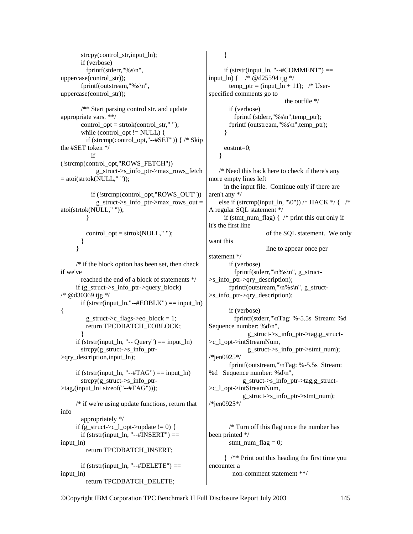```
strcpy(control_str,input_ln);
        if (verbose) 
          fprintf(stderr,"%s\n", 
uppercase(control_str)); 
        fprintf(outstream,"%s\n", 
uppercase(control_str)); 
        /** Start parsing control str. and update 
appropriate vars. **/ 
       control_opt = strtok(control_str," ");
       while (control_opt != NULL) {
         if (strcmp(control_opt,"--#SET")) { /* Skip
the #SET token */ 
            if 
(!strcmp(control_opt,"ROWS_FETCH")) 
              g_struct->s_info_ptr->max_rows_fetch 
= atoi(strtok(NULL,""));
            if (!strcmp(control_opt,"ROWS_OUT")) 
              g_struct->s_info_ptr->max_rows_out = 
atoi(strtok(NULL," ")); 
          } 
         control opt = \text{strtok}(NULL," "); } 
      } 
     /* if the block option has been set, then check
if we've 
        reached the end of a block of statements */ 
      if (g_struct->s_info_ptr->query_block) 
/* @d30369 tjg */ 
       if (strstr(input_ln,"--#EOBLK") == input_ln)
{ 
         g_struct->c_flags->eo_block = 1;
          return TPCDBATCH_EOBLOCK; 
 } 
     if (strstr(input \ln, "-- Query") == input \ln)
       strcpy(g struct-\geq s info ptr-
>qry_description,input_ln); 
     if (strstr(input_ln, "--#TAG") == input_ln)
       strcpy(g struct-\geqs info ptr-
>tag,(input_ln+sizeof("--#TAG"))); 
      /* if we're using update functions, return that 
info 
        appropriately */ 
     if (g_struct->c_l_opt->update != 0) {
       if (strstr(input \ln, "--#INSERT") ==
input ln)
          return TPCDBATCH_INSERT; 
       if (strstr(input_ln, "--#DELETE") ==input ln)
          return TPCDBATCH_DELETE; 
                                                        } 
                                                            }
```

```
 } 
     if (strstr(input_ln, "--#COMMENT") ==input_ln) { /* @d25594 tjg */ 
       temp_ptr = (input_ln + 11); /* User-
specified comments go to 
                              the outfile */ 
        if (verbose) 
          fprintf (stderr,"%s\n",temp_ptr); 
        fprintf (outstream,"%s\n",temp_ptr); 
      eostmt=0; 
    /* Need this hack here to check if there's any 
more empty lines left 
      in the input file. Continue only if there are 
aren't any */ 
   else if (strcmp(input_ln, "\0")) /* HACK */ { /*
A regular SQL statement */ 
      if (stmt_num_flag) {/* print this out only if
it's the first line 
                       of the SQL statement. We only 
want this 
                       line to appear once per 
statement */ 
        if (verbose) 
         fprintf(stderr,"\n%s\n", g_struct-
>s_info_ptr->qry_description); 
        fprintf(outstream,"\n\frac{9}{6}s\n\frac{n}{2}, g_struct-
>s_info_ptr->qry_description); 
        if (verbose) 
          fprintf(stderr,"\nTag: %-5.5s Stream: %d 
Sequence number: %d\n", 
                g_struct->s_info_ptr->tag,g_struct-
>c_l_opt->intStreamNum, 
                g_struct->s_info_ptr->stmt_num); 
/*jen0925*/ 
        fprintf(outstream,"\nTag: %-5.5s Stream: 
%d Sequence number: %d\n", 
              g_struct->s_info_ptr->tag,g_struct-
>c_l_opt->intStreamNum, 
             g_struct->s_info_ptr->stmt_num); 
/*jen0925*/ 
        /* Turn off this flag once the number has
```
been printed \*/ stmt\_num\_flag = 0;

 } /\*\* Print out this heading the first time you encounter a non-comment statement \*\*/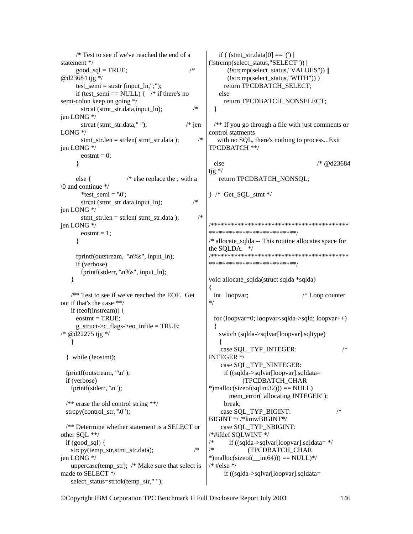```
 /* Test to see if we've reached the end of a 
statement */ 
     good\_sql = TRUE; /*
@d23684 tjg */ 
     test\_semi = start (input\_ln,";");
     if (test semi == NULL) { /* if there's no
semi-colon keep on going */ 
       strcat (stmt_str.data,input_ln); /*jen LONG */ 
       strcat (stmt_str.data," "); \frac{1}{2} /* jen
LONG */ 
       stmt_str.len = strlen( stmt_str.data ); /*
jen LONG */ 
       eostmt = 0;
       } 
      else { /* else replace the ; with a 
\0 and continue */ 
       *test_semi = \sqrt{0}:
       strcat (stmt_str.data,input_ln); /*jen LONG */ 
       stmt\_str.length = strlen(<math>stmt\_str.data</math>); /*
jen LONG */ 
       eostmt = 1;
      } 
      fprintf(outstream, "\n%s", input_ln); 
      if (verbose) 
        fprintf(stderr,"\n%s", input_ln); 
     } 
    /** Test to see if we've reached the EOF. Get 
out if that's the case **/ 
    if (feof(instream)) { 
     eostmt = TRUE;
      g_struct->c_flags->eo_infile = TRUE; 
/* @d22275 tjg */ 
     } 
   } while (!eostmt); 
   fprintf(outstream, "\n"); 
   if (verbose) 
    fprintf(stderr,"\n"); 
  /** erase the old control string **/ 
  strcpy(control_str,"\0");
   /** Determine whether statement is a SELECT or 
other SQL **/ 
  if (good \text{sgl}) {
   strcpy(temp_str,stmt_str.data); /*
jen LONG */ 
     uppercase(temp_str); /* Make sure that select is 
made to SELECT */ 
    select_status=strtok(temp_str," "); 
                                                       if ( (stmt_str.data[0] == '(') ||(!strcmp(select_status,"SELECT")) || 
                                                           (!strcmp(select_status,"VALUES")) || 
                                                           (!strcmp(select_status,"WITH")) ) 
                                                          return TPCDBATCH_SELECT; 
                                                        else 
                                                          return TPCDBATCH_NONSELECT; 
                                                       } 
                                                      /** If you go through a file with just comments or 
                                                    control statments 
                                                        with no SQL, there's nothing to process...Exit 
                                                    TPCDBATCH **/ 
                                                      else /* @d23684 
                                                    tjg */ 
                                                        return TPCDBATCH_NONSQL; 
                                                    } /* Get_SQL_stmt */ 
                                                    /*****************************************
                                                    **************************/ 
                                                    /* allocate_sqlda -- This routine allocates space for 
                                                    the SQLDA. */ 
                                                    /*****************************************
                                                    **************************/ 
                                                    void allocate_sqlda(struct sqlda *sqlda) 
                                                    { 
                                                      int loopvar; /* Loop counter 
                                                    */ 
                                                       for (loopvar=0; loopvar<sqlda->sqld; loopvar++) 
                                                     { 
                                                        switch (sqlda->sqlvar[loopvar].sqltype) 
                                                    \left\{\right.case SOL_TYP_INTEGER: /*
                                                    INTEGER */ 
                                                         case SQL_TYP_NINTEGER: 
                                                          if ((sqlda->sqlvar[loopvar].sqldata= 
                                                                 (TPCDBATCH_CHAR 
                                                    *)malloc(sizeof(sqlint32))) == NULL)
                                                            mem_error("allocating INTEGER"); 
                                                          break; 
                                                        case SQL_TYP_BIGINT: /*
                                                    BIGINT */ /*kmwBIGINT*/ 
                                                         case SQL_TYP_NBIGINT: 
                                                    /*#ifdef SQLWINT */ 
                                                    \frac{1}{*} if ((sqlda->sqlvar[loopvar].sqldata= */
                                                    /* (TPCDBATCH_CHAR 
                                                    *)malloc(sizeof(int64))) == NULL)*/
                                                    /* #else */ if ((sqlda->sqlvar[loopvar].sqldata=
```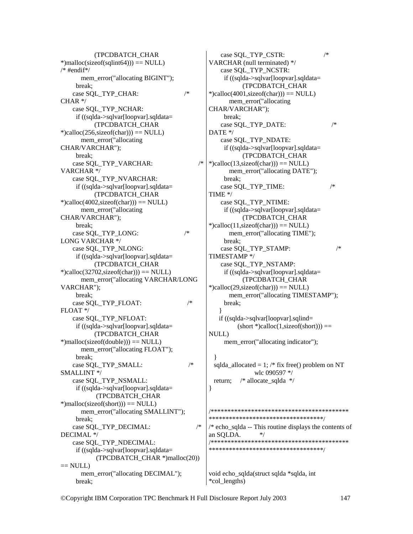(TPCDBATCH\_CHAR  $*$ )malloc(sizeof(sqlint64))) == NULL) /\* #endif\*/ mem\_error("allocating BIGINT"); break; case SOL\_TYP\_CHAR:  $/*$ CHAR \*/ case SQL\_TYP\_NCHAR: if ((sqlda->sqlvar[loopvar].sqldata= (TPCDBATCH\_CHAR  $*$ )calloc(256,sizeof(char))) == NULL) mem\_error("allocating CHAR/VARCHAR"); break; case SQL\_TYP\_VARCHAR: /\* VARCHAR \*/ case SQL\_TYP\_NVARCHAR: if ((sqlda->sqlvar[loopvar].sqldata= (TPCDBATCH\_CHAR  $*$ )calloc(4002,sizeof(char))) = NULL) mem\_error("allocating CHAR/VARCHAR"); break; case SOL TYP LONG:  $/*$ LONG VARCHAR \*/ case SQL\_TYP\_NLONG: if ((sqlda->sqlvar[loopvar].sqldata= (TPCDBATCH\_CHAR  $*$ )calloc(32702, size of(char)) = NULL) mem\_error("allocating VARCHAR/LONG VARCHAR"); break; case SOL\_TYP\_FLOAT:  $/*$ FLOAT \*/ case SQL\_TYP\_NFLOAT: if ((sqlda->sqlvar[loopvar].sqldata= (TPCDBATCH\_CHAR  $*$ )malloc(sizeof(double))) == NULL) mem\_error("allocating FLOAT"); break; case SQL\_TYP\_SMALL:  $/*$ SMALLINT \*/ case SQL\_TYP\_NSMALL: if ((sqlda->sqlvar[loopvar].sqldata= (TPCDBATCH\_CHAR  $*$ )malloc(sizeof(short))) == NULL) mem\_error("allocating SMALLINT"); break; case SQL\_TYP\_DECIMAL: /\* DECIMAL \*/ case SQL\_TYP\_NDECIMAL: if ((sqlda->sqlvar[loopvar].sqldata= (TPCDBATCH\_CHAR \*)malloc(20))  $==$  NULL) mem\_error("allocating DECIMAL"); break;

case SQL\_TYP\_CSTR:  $/*$ VARCHAR (null terminated) \*/ case SQL\_TYP\_NCSTR: if ((sqlda->sqlvar[loopvar].sqldata= (TPCDBATCH\_CHAR  $*$ )calloc(4001,sizeof(char))) == NULL) mem\_error("allocating CHAR/VARCHAR"); break; case SQL\_TYP\_DATE:  $/*$ DATE \*/ case SQL\_TYP\_NDATE: if ((sqlda->sqlvar[loopvar].sqldata= (TPCDBATCH\_CHAR  $*$ )calloc(13,sizeof(char))) == NULL) mem\_error("allocating DATE"); break; case SOL\_TYP\_TIME: /\* TIME \*/ case SQL\_TYP\_NTIME: if ((sqlda->sqlvar[loopvar].sqldata= (TPCDBATCH\_CHAR  $*$ )calloc(11,sizeof(char))) == NULL) mem\_error("allocating TIME"); break; case SQL\_TYP\_STAMP:  $/*$ TIMESTAMP \*/ case SQL\_TYP\_NSTAMP: if ((sqlda->sqlvar[loopvar].sqldata= (TPCDBATCH\_CHAR  $*$ )calloc(29,sizeof(char))) == NULL) mem\_error("allocating TIMESTAMP"); break; } if ((sqlda->sqlvar[loopvar].sqlind=  $(\text{short}^*)\text{calloc}(1,\text{sizeof}(\text{short})) ==$ NULL) mem\_error("allocating indicator"); } sqlda\_allocated = 1; /\* fix free() problem on NT wlc 090597 \*/ return; /\* allocate\_sqlda \*/ } /\*\*\*\*\*\*\*\*\*\*\*\*\*\*\*\*\*\*\*\*\*\*\*\*\*\*\*\*\*\*\*\*\*\*\*\*\*\*\*\*\* \*\*\*\*\*\*\*\*\*\*\*\*\*\*\*\*\*\*\*\*\*\*\*\*\*\*\*\*\*\*\*\*\*\*/  $/*$  echo sqlda -- This routine displays the contents of an SOLDA.  $*$ / /\*\*\*\*\*\*\*\*\*\*\*\*\*\*\*\*\*\*\*\*\*\*\*\*\*\*\*\*\*\*\*\*\*\*\*\*\*\*\*\*\* \*\*\*\*\*\*\*\*\*\*\*\*\*\*\*\*\*\*\*\*\*\*\*\*\*\*\*\*\*\*\*\*\*\*/

void echo\_sqlda(struct sqlda \*sqlda, int \*col\_lengths)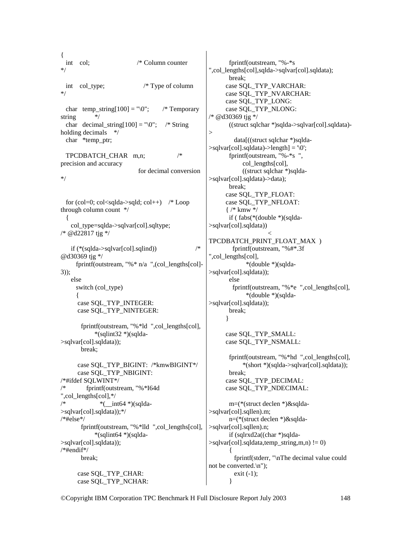{ int col; /\* Column counter \*/ int col\_type; /\* Type of column \*/ char temp string[100] = " $\sqrt{0}$ "; /\* Temporary string \*/ char decimal string[100] = " $\sqrt{0}$ "; /\* String holding decimals  $*$ / char \*temp\_ptr; TPCDBATCH\_CHAR m,n; /\* precision and accuracy for decimal conversion \*/ for  $\text{(col=0; col<} \text{sglda}> \text{sgld; col++})$  /\* Loop through column count \*/ { col\_type=sqlda->sqlvar[col].sqltype; /\* @d22817 tjg \*/ if  $(* (sqlda > sqlvar[col].sqlind))$  /\* @d30369 tjg \*/ fprintf(outstream, "%\* n/a ",(col\_lengths[col]- 3)); else switch (col\_type)  $\left\{\begin{array}{ccc} \end{array}\right\}$  case SQL\_TYP\_INTEGER: case SQL\_TYP\_NINTEGER: fprintf(outstream, "%\*ld ",col\_lengths[col], \*(sqlint32 \*)(sqlda- >sqlvar[col].sqldata)); break; case SQL\_TYP\_BIGINT: /\*kmwBIGINT\*/ case SQL\_TYP\_NBIGINT: /\*#ifdef SQLWINT\*/ /\* fprintf(outstream, "%\*I64d ",col\_lengths[col],\*/  $*$   $*$   $\frac{\text{im}64 \cdot \text{m}}{\text{im}64 \cdot \text{m}}$ >sqlvar[col].sqldata));\*/ /\*#else\*/ fprintf(outstream, "%\*lld ",col\_lengths[col], \*(sqlint64 \*)(sqlda- >sqlvar[col].sqldata)); /\*#endif\*/ break; case SQL\_TYP\_CHAR: case SQL\_TYP\_NCHAR: > }

 fprintf(outstream, "%-\*s ",col\_lengths[col],sqlda->sqlvar[col].sqldata); break; case SQL\_TYP\_VARCHAR: case SQL\_TYP\_NVARCHAR: case SQL\_TYP\_LONG: case SQL\_TYP\_NLONG: /\* @d30369 tjg \*/ ((struct sqlchar \*)sqlda->sqlvar[col].sqldata) data[((struct sqlchar \*)sqlda-  $>$ sqlvar[col].sqldata)- $>$ length] = '\0'; fprintf(outstream, "%-\*s ", col\_lengths[col], ((struct sqlchar \*)sqlda- >sqlvar[col].sqldata)->data); break; case SQL\_TYP\_FLOAT: case SQL\_TYP\_NFLOAT: { /\* kmw \*/ if ( fabs(\*(double \*)(sqlda- >sqlvar[col].sqldata)) < TPCDBATCH\_PRINT\_FLOAT\_MAX ) fprintf(outstream, "%#\*.3f ",col\_lengths[col], \*(double \*)(sqlda- >sqlvar[col].sqldata)); else fprintf(outstream, "%\*e ",col\_lengths[col], \*(double \*)(sqlda- >sqlvar[col].sqldata)); break; } case SQL\_TYP\_SMALL: case SQL\_TYP\_NSMALL: fprintf(outstream, "%\*hd ",col\_lengths[col], \*(short \*)(sqlda->sqlvar[col].sqldata)); break; case SQL\_TYP\_DECIMAL: case SQL\_TYP\_NDECIMAL: m=(\*(struct declen \*)&sqlda- >sqlvar[col].sqllen).m; n=(\*(struct declen \*)&sqlda- >sqlvar[col].sqllen).n; if (sqlrxd2a((char \*)sqlda-  $>$ sqlvar[col].sqldata,temp\_string,m,n) != 0)  $\left\{\begin{array}{ccc} \end{array}\right\}$  fprintf(stderr, "\nThe decimal value could not be converted.\n"); exit  $(-1)$ ;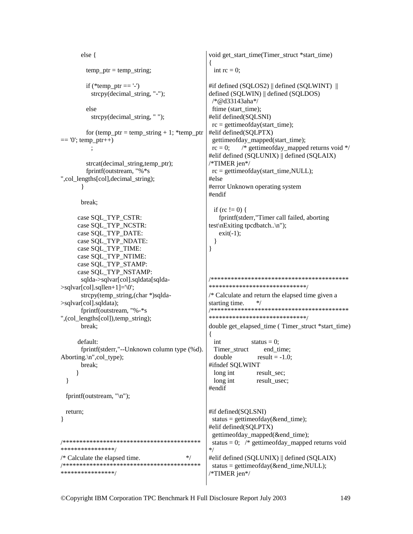```
void get start time(Timer struct *start time)
      else {
                                                  int rc = 0;
        temp\_ptr = temp\_string;if (*temp ptr =='-')
                                                #if defined (SQLOS2) || defined (SQLWINT) ||
         strcpy(decimal string, "-");
                                                defined (SOLWIN) || defined (SOLDOS)
                                                 /*@d33143aha*/
        else
                                                 ftime (start time);
                                                #elif defined(SQLSNI)
         strcpy(decimal_string, "");
                                                 rc = gettimeofday(start time);for (temp_ptr = temp_string + 1; *temp_ptr
                                                #elif defined(SQLPTX)
== 0; temp_ptr++)
                                                 gettimeofday_mapped(start_time);
                                                           /* gettimeofday mapped returns void \frac{k}{4}\ddot{\cdot}rc = 0:
                                                #elif defined (SQLUNIX) || defined (SQLAIX)
                                                /*TIMER jen*/
        strcat(decimal_string,temp_ptr);
        fprintf(outstream, "%*s
                                                 rc = gettimeofday(start time, NULL);", col lengths[col], decimal string);
                                                #else
                                                #error Unknown operating system
      ₹
                                                #endif
      break:
                                                  if (rc != 0) {
                                                   fprintf(stderr,"Timer call failed, aborting
     case SQL_TYP_CSTR:
     case SQL_TYP_NCSTR:
                                                test\nExiting tpcdbatch..\n");
     case SOL TYP DATE:
                                                   exit(-1);
     case SQL_TYP_NDATE:
                                                  <sup>1</sup>
     case SQL_TYP_TIME:
                                                \mathcal{E}case SQL_TYP_NTIME:
     case SQL TYP STAMP:
     case SQL TYP NSTAMP:
                                                sqlda->sqlvar[col].sqldata[sqlda-
                                                ******************************
>sqlvar[col].sqllen+1]=\0;
      strcpy(temp_string,(char *)sqlda-
                                                /* Calculate and return the elapsed time given a
>sqlvar[col].sqldata);
                                                starting time.
                                                                *fprintf(outstream, "%-*s
                                                ******************************
",(col_lengths[col]),temp_string);
      break:
                                                double get elapsed time (Timer struct *start time)
     default:
                                                  int
                                                              status = 0;
      fprintf(stderr,"--Unknown column type (%d).
                                                  Timer struct
                                                                  end time;
Aborting.\ln", col type);
                                                  double
                                                                result = -1.0:
      break:
                                                #ifndef SOLWINT
                                                  long int
                                                                result sec:
     \mathcal{E}long int
 \mathcal{E}result usec;
                                                #endif
 fprintf(outstream, "\n");
                                                #if defined(SQLSNI)
 return:
                                                 status = gettimeofday(\&end_time);
                                                #elif defined(SQLPTX)
                                                 gettimeofday mapped(&end time);
status = 0; /* gettimeofday mapped returns void
****************/
                                                */* Calculate the elapsed time.
                                         *#elif defined (SQLUNIX) || defined (SQLAIX)
status = gettimeofday(&end time, NULL);
****************/
                                                *TIMER jen*/
```
 $\mathcal{E}$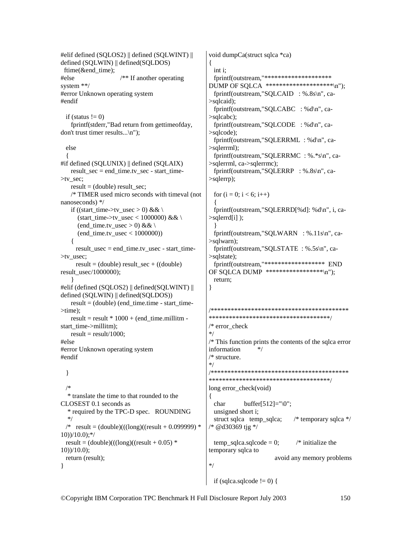#elif defined (SQLOS2) || defined (SQLWINT) || defined (SQLWIN) || defined(SQLDOS) ftime(&end\_time); #else /\*\* If another operating system \*\*/ #error Unknown operating system #endif if (status  $!= 0$ ) fprintf(stderr,"Bad return from gettimeofday, don't trust timer results...\n"); else { #if defined (SQLUNIX) || defined (SQLAIX) result  $sec = end$  time.tv  $sec - start$  time->tv\_sec; result =  $(double)$  result sec; /\* TIMER used micro seconds with timeval (not nanoseconds) \*/ if ((start\_time->tv\_usec > 0) && \ (start\_time->tv\_usec < 1000000) && \ (end time.tv usec > 0) &&  $\setminus$ (end time.tv usec  $< 1000000$ )) { result\_usec = end\_time.tv\_usec - start\_time- >tv\_usec; result =  $(double)$  result sec +  $((double)$ result\_usec/1000000); } #elif (defined (SQLOS2) || defined(SQLWINT) || defined (SQLWIN) || defined(SQLDOS)) result =  $(double)$  (end time.time - start time->time); result = result  $* 1000 + (end$  time.millitm start\_time->millitm);  $result = result/1000;$ #else #error Unknown operating system #endif } /\* \* translate the time to that rounded to the CLOSEST 0.1 seconds as \* required by the TPC-D spec. ROUNDING \*/ /\*  $result = (double)((long)((result + 0.099999) *$  $10)$ )/ $10.0$ );\*/ result =  $(double)((\text{long})(\text{result} + 0.05)$  \* 10))/10.0); return (result); } void dumpCa(struct sqlca \*ca) { int i; fprintf(outstream,"\*\*\*\*\*\*\*\*\*\*\*\*\*\*\*\*\*\*\*\* DUMP OF SQLCA \*\*\*\*\*\*\*\*\*\*\*\*\*\*\*\*\*\*\*\*\n"); fprintf(outstream,"SQLCAID : %.8s\n", ca- >sqlcaid); fprintf(outstream,"SQLCABC : %d\n", ca- >sqlcabc); fprintf(outstream,"SQLCODE : %d\n", ca- >sqlcode); fprintf(outstream,"SQLERRML : %d\n", ca- >sqlerrml); fprintf(outstream,"SQLERRMC : %.\*s\n", ca- >sqlerrml, ca->sqlerrmc); fprintf(outstream,"SQLERRP : %.8s\n", ca- >sqlerrp); for  $(i = 0; i < 6; i++)$  $\{$  fprintf(outstream,"SQLERRD[%d]: %d\n", i, ca- >sqlerrd[i] ); } fprintf(outstream,"SQLWARN : %.11s\n", ca- >sqlwarn); fprintf(outstream,"SQLSTATE : %.5s\n", ca- >sqlstate); fprintf(outstream,"\*\*\*\*\*\*\*\*\*\*\*\*\*\*\*\*\*\* END OF SQLCA DUMP \*\*\*\*\*\*\*\*\*\*\*\*\*\*\*\*\*\n"); return; } /\*\*\*\*\*\*\*\*\*\*\*\*\*\*\*\*\*\*\*\*\*\*\*\*\*\*\*\*\*\*\*\*\*\*\*\*\*\*\*\*\* \*\*\*\*\*\*\*\*\*\*\*\*\*\*\*\*\*\*\*\*\*\*\*\*\*\*\*\*\*\*\*\*\*\*\*\*/  $/*$  error\_check \*/ /\* This function prints the contents of the sqlca error information \*/ /\* structure. \*/ /\*\*\*\*\*\*\*\*\*\*\*\*\*\*\*\*\*\*\*\*\*\*\*\*\*\*\*\*\*\*\*\*\*\*\*\*\*\*\*\*\* \*\*\*\*\*\*\*\*\*\*\*\*\*\*\*\*\*\*\*\*\*\*\*\*\*\*\*\*\*\*\*\*\*\*\*\*/ long error\_check(void) { char buffer[512]=" $\langle 0"$ ; unsigned short i; struct sqlca temp\_sqlca; /\* temporary sqlca \*/ /\* @d30369 tjg \*/ temp\_sqlca.sqlcode = 0;  $\frac{\partial^*}{\partial t^*}$  initialize the temporary sqlca to avoid any memory problems \*/

if (sqlca.sqlcode  $!= 0$ ) {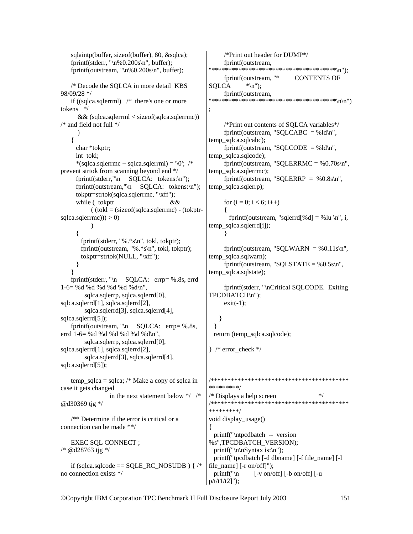sqlaintp(buffer, sizeof(buffer), 80, &sqlca); fprintf(stderr, " $n\%0.200s\ n$ ", buffer); fprintf(outstream, "\n%0.200s\n", buffer); /\* Decode the SQLCA in more detail KBS 98/09/28 \*/ if ((sqlca.sqlerrml) /\* there's one or more tokens \*/ && (sqlca.sqlerrml < sizeof(sqlca.sqlerrmc)) /\* and field not full \*/ ) { char \*tokptr; int tokl;  $*(\text{sqlca.sqlerrmc} + \text{sqlca.sqlerrml}) = \sqrt{0};$  /\* prevent strtok from scanning beyond end \*/ fprintf(stderr,"\n SQLCA: tokens:\n"); fprintf(outstream,"\n SOLCA: tokens:\n"); tokptr=strtok(sqlca.sqlerrmc, "\xff"); while ( tokptr &&  $($  (tokl = (sizeof(sqlca.sqlerrmc) - (tokptr $sqlca.sqlerrmc))$ ) > 0)  $\overline{\phantom{a}}$  $\left\{\begin{array}{ccc} \end{array}\right\}$  fprintf(stderr, "%.\*s\n", tokl, tokptr); fprintf(outstream, "%.\*s\n", tokl, tokptr); tokptr=strtok(NULL, "\xff"); } } fprintf(stderr, "\n SQLCA: errp= %.8s, errd 1-6= %d %d %d %d %d %d\n", sqlca.sqlerrp, sqlca.sqlerrd[0], sqlca.sqlerrd[1], sqlca.sqlerrd[2], sqlca.sqlerrd[3], sqlca.sqlerrd[4], sqlca.sqlerrd[5]); fprintf(outstream, "\n SQLCA: errp= %.8s, errd 1-6= %d %d %d %d %d %d\n", sqlca.sqlerrp, sqlca.sqlerrd[0], sqlca.sqlerrd[1], sqlca.sqlerrd[2], sqlca.sqlerrd[3], sqlca.sqlerrd[4], sqlca.sqlerrd[5]); temp\_sqlca = sqlca; /\* Make a copy of sqlca in case it gets changed in the next statement below \*/ /\* @d30369 tjg \*/ /\*\* Determine if the error is critical or a connection can be made \*\*/ EXEC SQL CONNECT ; /\* @d28763 tjg \*/ if (sqlca.sqlcode == SQLE\_RC\_NOSUDB )  $\frac{1}{*}$ no connection exists \*/ /\*Print out header for DUMP\*/ fprintf(outstream, "\*\*\*\*\*\*\*\*\*\*\*\*\*\*\*\*\*\*\*\*\*\*\*\*\*\*\*\*\*\*\*\*\*\*\*\*\*\n"); fprintf(outstream, "\* CONTENTS OF  $SOLCA$  \*\n"); fprintf(outstream, "\*\*\*\*\*\*\*\*\*\*\*\*\*\*\*\*\*\*\*\*\*\*\*\*\*\*\*\*\*\*\*\*\*\*\*\*\*\n\n") ; /\*Print out contents of SQLCA variables\*/ fprintf(outstream, "SQLCABC = % $ld\$ <sup>n</sup>", temp\_sqlca.sqlcabc); fprintf(outstream, "SQLCODE = % $ld\$ n", temp\_sqlca.sqlcode); fprintf(outstream, "SQLERRMC =  $%0.70$ s\n", temp\_sqlca.sqlerrmc); fprintf(outstream, "SQLERRP =  $%0.8s\$ n", temp\_sqlca.sqlerrp); for  $(i = 0; i < 6; i++)$  $\left\{\begin{array}{ccc} \end{array}\right\}$ fprintf(outstream, "sqlerrd[%d] = %lu \n", i, temp\_sqlca.sqlerrd[i]); } fprintf(outstream, "SQLWARN = %0.11s\n", temp\_sqlca.sqlwarn); fprintf(outstream, "SQLSTATE =  $%0.5s\$ n", temp\_sqlca.sqlstate); fprintf(stderr, "\nCritical SQLCODE. Exiting TPCDBATCH\n");  $exit(-1);$  } } return (temp\_sqlca.sqlcode);  $\}$  /\* error check \*/ /\*\*\*\*\*\*\*\*\*\*\*\*\*\*\*\*\*\*\*\*\*\*\*\*\*\*\*\*\*\*\*\*\*\*\*\*\*\*\*\*\* \*\*\*\*\*\*\*\*\*/  $\frac{*}{*}$  Displays a help screen  $\frac{*}{*}$ /\*\*\*\*\*\*\*\*\*\*\*\*\*\*\*\*\*\*\*\*\*\*\*\*\*\*\*\*\*\*\*\*\*\*\*\*\*\*\*\*\* \*\*\*\*\*\*\*\*\*/ void display\_usage() { printf("\ntpcdbatch -- version %s",TPCDBATCH\_VERSION); printf(" $\n\overline{\text{Nn}}$ Syntax is: $\ln$ "); printf("tpcdbatch [-d dbname] [-f file\_name] [-l file\_name] [-r on/off]"); printf(" $\ln$  [-v on/off] [-b on/off] [-u p/t/t1/t2]");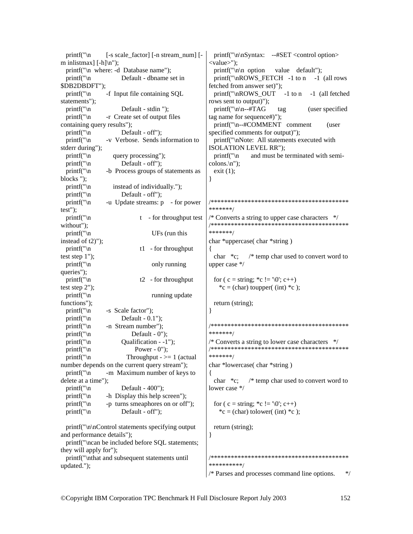printf(" $\langle n \rangle$  [-s scale factor] [-n stream num] [m inlistmax $\left[ -h \right] \infty$ ; printf("\n where: -d Database name"); printf("\n Default - dbname set in \$DB2DBDFT"); printf("\n -f Input file containing SQL statements"); printf("\n Default - stdin "); printf("\n -r Create set of output files containing query results"); printf("\n Default - off"); printf("\n -v Verbose. Sends information to stderr during"); printf( $\lceil \ln \rceil$  query processing"); printf( $\lceil \ln \rceil$ ); Default - off"); printf("\n -b Process groups of statements as blocks "); printf("\n instead of individually."); printf( $\lceil \ln \rceil$ ); Default - off"); printf( $\lceil \cdot \rceil$  -u Update streams: p - for power test");  $print("n \t - for throughput test)$ without"); printf("\n UFs (run this instead of t2)"); printf( $\lceil \cdot \rceil$  t1 - for throughput test step 1"); printf("\n only running queries"); printf( $\ln$  t2 - for throughput test step 2"); printf("\n running update functions"); printf( $\lceil \cdot \rceil$  -s Scale factor"); printf("\n Default -  $0.1$ ");<br>printf("\n -n Stream number"); -n Stream number"); printf(" $\ln$  Default - 0"); printf("\n Qualification - -1"); printf( $\lceil \cdot \rceil$ ) Power - 0"); printf(" $\ln$  Throughput -  $\geq 1$  (actual number depends on the current query stream"); printf("\n -m Maximum number of keys to delete at a time"); printf(" $\ln$  Default - 400"); printf( $"\n|$  -h Display this help screen"); printf( $\lceil \cdot \rceil$  -p turns smeaphores on or off"); printf(" $\ln$  Default - off"); printf("\n\nControl statements specifying output and performance details"); printf("\ncan be included before SQL statements; they will apply for"); printf("\nthat and subsequent statements until updated."); printf("\n\nSyntax: --#SET <control option> <value>"); printf(" $\ln \sim$  option value default"); printf(" $nROWS$  FETCH -1 to n -1 (all rows fetched from answer set)"); printf("\nROWS\_OUT -1 to n -1 (all fetched rows sent to output)");  $print('\\n\n-i+TAG$  tag (user specified tag name for sequence#)"); printf("\n--#COMMENT comment (user specified comments for output)"); printf("\nNote: All statements executed with ISOLATION LEVEL RR"); printf( $\lceil \cdot \rceil$  and must be terminated with semicolons.\n"); exit  $(1)$ ; } /\*\*\*\*\*\*\*\*\*\*\*\*\*\*\*\*\*\*\*\*\*\*\*\*\*\*\*\*\*\*\*\*\*\*\*\*\*\*\*\*\* \*\*\*\*\*\*\*/ /\* Converts a string to upper case characters \*/ /\*\*\*\*\*\*\*\*\*\*\*\*\*\*\*\*\*\*\*\*\*\*\*\*\*\*\*\*\*\*\*\*\*\*\*\*\*\*\*\*\* \*\*\*\*\*\*\*/ char \*uppercase( char \*string ) { char \*c; /\* temp char used to convert word to upper case \*/ for ( c = string;  $C = \sqrt{0}$ ; c++) \*c = (char) toupper( (int) \*c ); return (string); } /\*\*\*\*\*\*\*\*\*\*\*\*\*\*\*\*\*\*\*\*\*\*\*\*\*\*\*\*\*\*\*\*\*\*\*\*\*\*\*\*\* \*\*\*\*\*\*\*/  $/*$  Converts a string to lower case characters  $*$ /\*\*\*\*\*\*\*\*\*\*\*\*\*\*\*\*\*\*\*\*\*\*\*\*\*\*\*\*\*\*\*\*\*\*\*\*\*\*\*\*\* \*\*\*\*\*\*\*/ char \*lowercase( char \*string ) { char \*c; /\* temp char used to convert word to lower case \*/ for ( c = string;  $C = \sqrt{0}$ ; c++)  ${}^*\text{c} = \text{(char)}$  tolower( (int)  ${}^*\text{c}$ ); return (string); } /\*\*\*\*\*\*\*\*\*\*\*\*\*\*\*\*\*\*\*\*\*\*\*\*\*\*\*\*\*\*\*\*\*\*\*\*\*\*\*\*\* \*\*\*\*\*\*\*\*\*\*/ /\* Parses and processes command line options. \*/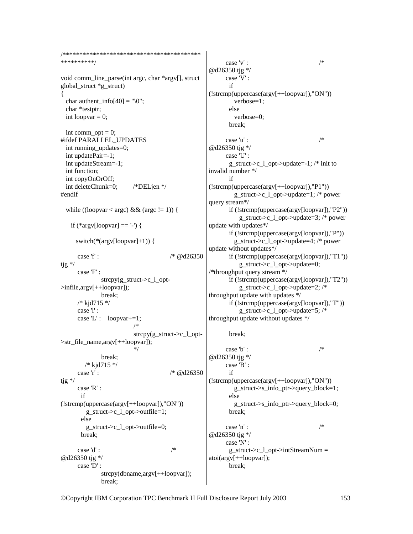```
**********/
void comm_line_parse(int argc, char *argv[], struct
global_struct *g_struct)
 char authent info[40] ="[0":
 char *testptr;
 int loopvar = 0;
  int comm opt = 0;
#ifdef PARALLEL UPDATES
  int running updates=0;
 int updatePair=-1;
  int updateStream=-1;
  int function:
 int copyOnOrOff;
 int deleteChunk=0;
                        /*DELjen */
#endif
  while ((loopvar < argc) && (argc != 1)) {
   if (*argv[loopvar] = -'-') {
     switch(*(argv[loopvar]+1)) {
                                     * @d26350
     case 'f' :
tig */
     case F:
             strcpy(g_struct->c_l_opt-
>infile,argv[++loopvar]);
             break:
     /* kjd715 */
     case 'l' :
     case 'L': loopvar+=1;
                         strcpy(g_struct > c_1_opt>str_file_name,argv[++loopvar]);
             break:
        /* kid715 *//* @d26350case 'r' :
tjg */case 'R':
      if(!stromp(uppercase(argv[++loopvar]), "ON"))g struct->c 1 opt->outfile=1;
       else
        g struct->c 1 opt->outfile=0;
       break:
                                     /*case 'd':
@d26350 tjg */
     case 'D':
              stropy(dbname, argv[++loopvar]);
             break:
```
case 'v' :  $/*$ @d26350 tjg \*/ case 'V' : if  $(!stromp(uppercase(argv[++loopvar]), "ON"))$  $verbose=1$ : else  $verbose=0$ ; break:  $/*$ case 'u' : @d26350 tjg \*/ case 'U' : g\_struct->c\_l\_opt->update=-1;  $/*$  init to invalid number \*/  $if$  $(!stromp(uppercase(argv[++loopvar]), "P1"))$ g struct->c 1 opt->update=1; /\* power query stream\*/ if  $(!stromp(uppercase(argv[loopvar]), "P2")$  $g_{\text{1}}$ struct->c $_{\text{2}}$ opt->update=3; /\* power update with updates\*/ if  $(!stromp(uppercase(arg[loopvar]), "P")')$ g\_struct->c\_l\_opt->update=4; /\* power update without updates\*/ if (!strcmp(uppercase(argv[loopvar]),"T1")) g struct->c 1 opt->update=0; /\*throughput query stream  $*/$ if  $(!stromp(uppercase(arg[loopvar]), "T2"))$ g struct->c 1 opt->update=2;  $/*$ throughput update with updates \*/ if (!strcmp(uppercase(argv[loopvar]),"T")) g\_struct->c\_l\_opt->update=5; /\* throughput update without updates \*/

break;

case 'b' :  $/*$ @d26350 tjg \*/ case 'B':  $if$  $(!stromp(uppercase(argv[++loopvar]), "ON"))$ g struct->s info ptr->query block=1;  $\rho$ lse g\_struct->s\_info\_ptr->query\_block=0; break:  $\overline{ }$ case 'n' : @d26350 tjg \*/ case 'N' :  $g_{\text{struct}} > c_{\text{1} \text{opt}} > intStreamNum =$ atoi(argv[++loopvar]); break: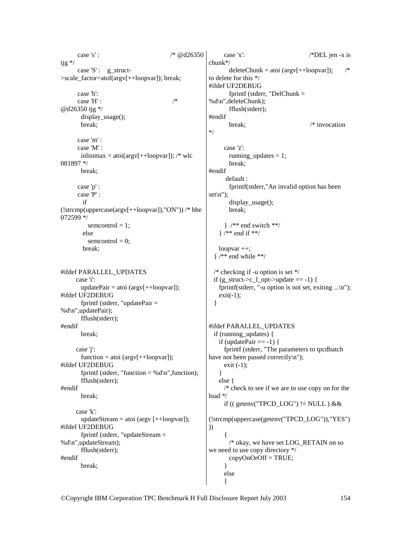case 's' : /\* @d26350 tjg \*/ case 'S' : g\_struct->scale\_factor=atof(argv[++loopvar]); break; case 'h': case 'H' :  $/$ \* @d26350 tjg \*/ display\_usage(); break; case 'm' : case 'M' : inlistmax = atoi( $argv[++loopvar]$ ); /\* wlc 081897 \*/ break; case 'p' : case 'P' : if (!strcmp(uppercase(argv[++loopvar]),"ON")) /\* bbe 072599 \*/  $s$ emcontrol = 1; else  $s$ emcontrol = 0; break; #ifdef PARALLEL\_UPDATES case 'i':  $updatePair = atoi (argv[++loopvar]);$ #ifdef UF2DEBUG fprintf (stderr, "updatePair = %d\n",updatePair); fflush(stderr); #endif break; case 'j':  $function = atoi (argv[++loopvar])$ ; #ifdef UF2DEBUG fprintf (stderr, "function = %d\n", function); fflush(stderr); #endif break; case 'k': updateStream = atoi (argv  $[++loopvar]$ ); #ifdef UF2DEBUG fprintf (stderr, "updateStream = %d\n",updateStream); fflush(stderr); #endif break; \*/ ))

 case 'x': /\*DEL jen -x is chunk\*/  $deleteChunk = atoi (argv[++loop var]);$  /\* to delete for this \*/ #ifdef UF2DEBUG fprintf (stderr, "DelChunk  $=$ %d\n",deleteChunk); fflush(stderr); #endif break:  $/*$  invocation case 'z': running\_updates = 1; break; #endif default : fprintf(stderr,"An invalid option has been  $set\{n"\};$  display\_usage(); break; } /\*\* end switch \*\*/ } /\*\* end if \*\*/ loopvar ++;  $\}$  /\*\* end while \*\*/ /\* checking if -u option is set  $*/$ if (g\_struct->c\_l\_opt->update == -1) { fprintf(stderr, "-u option is not set, exiting  $\ldots$ \n");  $exit(-1);$  } #ifdef PARALLEL\_UPDATES if (running\_updates) { if (updatePair  $== -1$ ) { fprintf (stderr, "The parameters to tpcdbatch have not been passed correctly\n"); exit  $(-1)$ : } else { /\* check to see if we are to use copy on for the load \*/ if (( getenv("TPCD\_LOG") != NULL )  $&&&\n$ (!strcmp(uppercase(getenv("TPCD\_LOG")),"YES")  $\left\{\begin{array}{ccc} \end{array}\right\}$  /\* okay, we have set LOG\_RETAIN on so we need to use copy directory \*/ copyOnOrOff = TRUE; } else  $\left\{\begin{array}{ccc} \end{array}\right\}$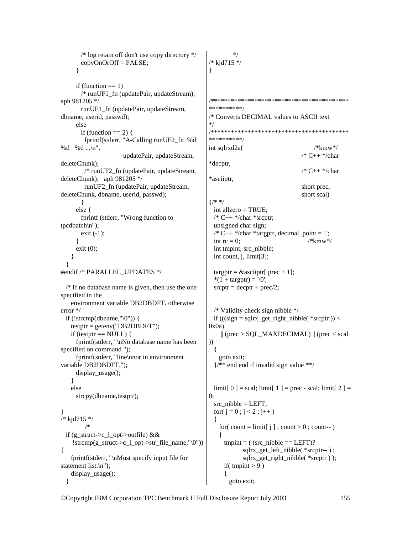/\* log retain off don't use copy directory \*/  $copyOnOrOff = FALSE;$  } if (function  $== 1$ ) /\* runUF1\_fn (updatePair, updateStream); aph 981205 \*/ runUF1\_fn (updatePair, updateStream, dbname, userid, passwd); else if (function  $== 2$ ) { fprintf(stderr, "A-Calling runUF2\_fn %d %d %d ...\n", updatePair, updateStream, deleteChunk); /\* runUF2\_fn (updatePair, updateStream, deleteChunk); aph 981205 \*/ runUF2\_fn (updatePair, updateStream, deleteChunk, dbname, userid, passwd); } else { fprintf (stderr, "Wrong function to tpcdbatch\n"); exit (-1); } exit (0); } } #endif /\* PARALLEL\_UPDATES \*/  $/*$  If no database name is given, then use the one specified in the environment variable DB2DBDFT, otherwise error \*/ if  $(!stromp(dbrane, "\langle 0") )$  {  $testptr = getenv("DB2DBDFT")$ ; if (testptr  $==$  NULL) { fprintf(stderr, "\nNo database name has been specified on command "); fprintf(stderr, "line\nnor in environment variable DB2DBDFT."); display\_usage(); } else strcpy(dbname,testptr); } /\* kjd715 \*/ /\* if (g\_struct->c\_l\_opt->outfile) && !strcmp(g\_struct->c\_l\_opt->str\_file\_name,"\0")) { fprintf(stderr, "\nMust specify input file for statement list.\n"); display\_usage(); } \*/ /\* kjd715 \*/ } /\*\*\*\*\*\*\*\*\*\*\*\*\*\*\*\*\*\*\*\*\*\*\*\*\*\*\*\*\*\*\*\*\*\*\*\*\*\*\*\*\* \*\*\*\*\*\*\*\*\*\*/ /\* Converts DECIMAL values to ASCII text \*/ \*\*\*\*\*\*\*\*\*\*/ \*decptr, \*asciiptr,  $\frac{1}{*}$  int allzero = TRUE;  $/* C++ */char * sreptr;$  unsigned char sign; int tmpint, src\_nibble; int count, j, limit[3]; targptr =  $\&$ asciiptr[ prec + 1]; \* $(1 + \text{target}) = \sqrt{0}$ ;  $srcptr = decptr + prec/2;$  $0x0a)$ )) { goto exit;  $0:$  $src\_nibble = LEFT;$ for(  $j = 0$  ;  $j < 2$  ;  $j++)$  {  $\{$ if( tmpint  $> 9$  ) { goto exit;

/\*\*\*\*\*\*\*\*\*\*\*\*\*\*\*\*\*\*\*\*\*\*\*\*\*\*\*\*\*\*\*\*\*\*\*\*\*\*\*\*\* int sqlrxd2a( /\*kmw\*/ /\* C++ \*/char  $/* C++ */char$  short prec, short scal)  $/* C++*/char * target$ r, decimal point = '.'; int  $rc = 0$ ; /\*kmw\*/

```
 /* Validity check sign nibble */ 
if (((sign = sqlrx\_get\_right\_nibble(*srcptr)) <
  \| (prec > SQL_MAXDECIMAL) \| (prec < scal
 }/** end end if invalid sign value **/
```

```
limit[ 0 ] = scal; limit[ 1 ] = prec - scal; limit[ 2 ] =
  for( count = limit[ j ]; count > 0; count-- )
    tmpint = ( (src_nibble == LEFT)?
            sqlrx_get_left_nibble( *srcptr-- ) : 
            sqlrx_get_right_nibble( *srcptr ) );
```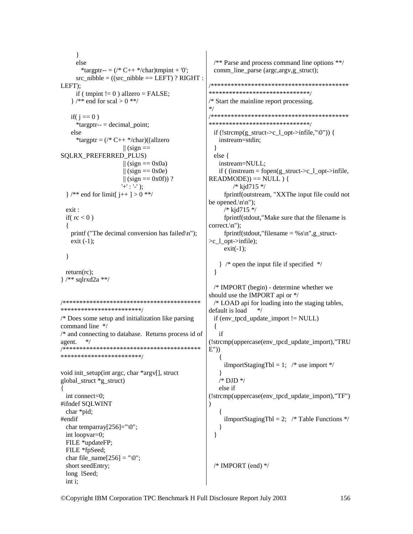$\left\{ \right.$ else  $/*$  Parse and process command line options \*\*/ \*targptr-- =  $(\frac{*}{*}C++*/{char})$ tmpint + '0'; comm\_line\_parse (argc,argv,g\_struct); src nibble =  $((src \nwhile == LEFT) ? RIGHT :$ LEFT): if ( tmpint  $!= 0$  ) allzero = FALSE;  $\frac{1}{2}$  /\*\* end for scal > 0 \*\*/  $*$ if( $i == 0$ ) \*targptr-- = decimal point; else \*targptr =  $(\frac{*C}{+} + \frac{*}{char})($  (allzero instream=stdin;  $\parallel$  (sign ==  $\mathcal{E}$ SQLRX\_PREFERRED\_PLUS) else { instream=NULL;  $\parallel$  (sign == 0x0a)  $\parallel$  (sign == 0x0e)  $\|$  (sign == 0x0f))?  $'+'$  : '-');  $/*$  kid715 \*/  $\frac{1}{2}$  /\*\* end for limit[ j++ ] > 0 \*\*/ be opened. $\ln \ln$ ");  $exist:$  $/*$  kjd715 \*/ if( $rc < 0$ ) correct. $\ln$ ");  $\{$ printf ("The decimal conversion has failed\n");  $exit (-1);$  $\geq c_l$  \_opt- $\geq$ infile);  $exit(-1);$  $\mathcal{E}$  $return (rc)$ :  $\mathcal{E}$  $\frac{1}{*}$  /\*\* sqlrxd2a \*\*/ \*\*\*\*\*\*\*\*\*\*\*\*\*\*\*\*\*\*\*\*\*\*\*\*/ default is load  $*$ /\* Does some setup and initialization like parsing command line \*/  $\left\{ \right.$ /\* and connecting to database. Returns process id of if agent.  $*$ / (!strcmp(uppercase(env\_tpcd\_update\_import),"TRU  $E'')$ \*\*\*\*\*\*\*\*\*\*\*\*\*\*\*\*\*\*\*\*\*\*\*\* iImportStagingTbl = 1; /\* use import \*/ void init\_setup(int argc, char \*argv[], struct  $/*$  DJD  $*/$ global struct \*g struct) else if Į  $int connect=0$ : (!strcmp(uppercase(env\_tpcd\_update\_import),"TF") #ifndef SQLWINT  $\lambda$ char \*pid; #endif iImportStagingTbl = 2; /\* Table Functions \*/ char temparray[ $256$ ]=" $\sqrt{0}$ "; ļ int loopvar=0;  $\mathcal{E}$ FILE \*updateFP; FILE \*fpSeed: char file name  $[256] = "0";$  $/*$  IMPORT (end)  $*/$ short seedEntry; long 1Seed; int i:

\*\*\*\*\*\*\*\*\*\*\*\*\*\*\*\*\*\*\*\*\*\*\*\*\*\*\*\*\*\*\*\*  $/*$  Start the mainline report processing. if  $(!stromp(g_struct > c_1_opt > infinite, "\langle 0") )$  { if ((instream = fopen(g struct->c 1 opt->infile,  $READING)) == NULL$  } { fprintf(outstream, "XXThe input file could not fprintf(stdout,"Make sure that the filename is fprintf(stdout,"filename = %s\n",g struct- $\}$  /\* open the input file if specified \*/  $/*$  IMPORT (begin) - determine whether we should use the IMPORT api or \*/  $/*$  LOAD api for loading into the staging tables, if (env tpcd update import  $!=$  NULL)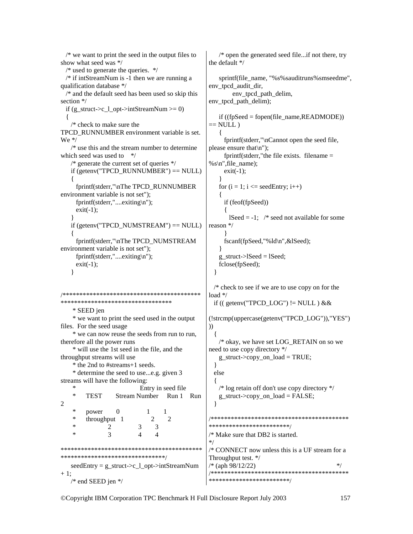```
 /* we want to print the seed in the output files to 
show what seed was */ 
  /* used to generate the queries. */ 
  /* if intStreamNum is -1 then we are running a 
qualification database */ 
   /* and the default seed has been used so skip this 
section */ 
  if (g_struct->c_l_opt->intStreamNum >= 0)
   { 
    /* check to make sure the 
TPCD_RUNNUMBER environment variable is set. 
We <i>*</i> /* use this and the stream number to determine 
which seed was used to * /* generate the current set of queries */ 
   if (getenv("TPCD_RUNNUMBER") == NULL)
\left\{\begin{array}{c}1\end{array}\right\} fprintf(stderr,"\nThe TPCD_RUNNUMBER 
environment variable is not set"); 
      fprintf(stderr,"....exiting\n"); 
     exit(-1);
 } 
   if (getenv("TPCD_NUMSTREAM") == NULL)
\{ fprintf(stderr,"\nThe TPCD_NUMSTREAM 
environment variable is not set"); 
      fprintf(stderr,"....exiting\n"); 
     exit(-1); } 
/*****************************************
********************************* 
     * SEED jen 
     * we want to print the seed used in the output 
files. For the seed usage 
     * we can now reuse the seeds from run to run, 
therefore all the power runs 
     * will use the 1st seed in the file, and the 
throughput streams will use 
     * the 2nd to #streams+1 seeds. 
     * determine the seed to use...e.g. given 3 
streams will have the following: 
     * Entry in seed file 
          * TEST Stream Number Run 1 Run 
2 
    * power 0 1 1<br>* throughput 1 2 2
         throughput 1
* 2 3 3
* 3 4 4
******************************************
*******************************/ 
   seedEntry = g_{struct} > c_1_{opt} > intStreamNum+1:
    /* end SEED jen */ 
                                                          /* open the generated seed file...if not there, try 
                                                      the default */ 
                                                         sprintf(file_name, "%s%sauditruns%smseedme",
                                                      env_tpcd_audit_dir, 
                                                               env_tpcd_path_delim, 
                                                      env tpcd path delim);
                                                          if ((fpSeed = fopen(file_name,READMODE)) 
                                                      == NULL)
                                                          { 
                                                            fprintf(stderr,"\nCannot open the seed file, 
                                                      please ensure that\n"); 
                                                            fprintf(stderr,"the file exists. filename = 
                                                      %s\n",file_name);
                                                           exit(-1); } 
                                                         for (i = 1; i \leq = seedEntry; i++)\left\{\right. if (feof(fpSeed)) 
                                                      \left\{\begin{array}{ccc} \end{array}\right\}lSeed = -1; /* seed not available for some
                                                      reason */ 
                                                       } 
                                                            fscanf(fpSeed,"%ld\n",&lSeed); 
                                                       } 
                                                         g struct->lSeed = lSeed;
                                                          fclose(fpSeed); 
                                                         } 
                                                        /* check to see if we are to use copy on for the 
                                                      load */ 
                                                       if (( getenv("TPCD LOG") != NULL ) &&&&\n(!strcmp(uppercase(getenv("TPCD_LOG")),"YES")
                                                      )) 
                                                       { 
                                                           /* okay, we have set LOG_RETAIN on so we 
                                                      need to use copy directory */ 
                                                         g_struct->copy_on_load = TRUE;
                                                         } 
                                                        else 
                                                         { 
                                                          /* log retain off don't use copy directory */ 
                                                         g_{\text{start}} > copy\_on_{\text{load}} = FALSE; } 
                                                      /*****************************************
                                                      ************************/ 
                                                      /* Make sure that DB2 is started. 
                                                      */ 
                                                      /* CONNECT now unless this is a UF stream for a 
                                                      Throughput test. */ 
                                                      /* (aph 98/12/22) */
                                                      /*****************************************
                                                      ************************/
```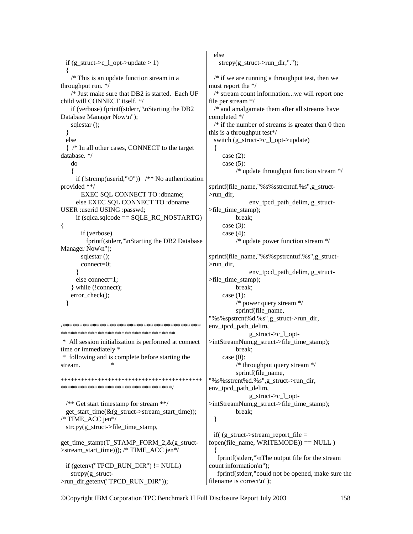```
if (g_struct > c_l_opt > update > 1)\{/* This is an update function stream in a
throughput run. \overline{\ast/}/* Just make sure that DB2 is started. Each UF
child will CONNECT itself. */
   if (verbose) fprintf(stderr,"\nStarting the DB2
Database Manager Now\n");
   sqlestar():
 ₹
 else
 { /* In all other cases, CONNECT to the target
database. */
   do
     if (!strcmp(userid,"\0")) /* No authentication
provided **/
      EXEC SQL CONNECT TO :dbname;
     else EXEC SQL CONNECT TO :dbname
USER :userid USING :passwd;
     if (sqlca.sqlcode == SQLE\_RC\_NOSTARTG)
\{if (verbose)
        fprintf(stderr,"\nStarting the DB2 Database
Manager Now\n");
      sqlestar():
      connect=0;else connect=1:
   while (!connect);
   error check();
 \mathbf{I}**********************************
* All session initialization is performed at connect
time or immediately *
* following and is complete before starting the
stream.
**********************************
 /* Get start timestamp for stream **/
 get_start_time(&(g_struct->stream_start_time));
/* TIME_ACC jen*/
                                                   \left\{ \right\}strcpy(g struct->file time stamp,
get time stamp(T STAMP FORM 2, \& (g \text{ struct-}>stream start time))); /* TIME ACC jen*/
 if (getenv("TPCD RUN DIR") != NULL)
   strcpy(g \nstrut struct->run_dir,getenv("TPCD_RUN_DIR"));
                                                 filename is correct\n");
```
else  $stropy(g_struct->run\_dir,".")$ ;  $\frac{1}{2}$  if we are running a throughput test, then we must report the \*/  $/*$  stream count information...we will report one file per stream \*/ /\* and amalgamate them after all streams have completed \*/  $/*$  if the number of streams is greater than 0 then this is a throughput test\*/ switch  $(g_{struct} > c_{l}$  opt->update) case  $(2)$ : case  $(5)$ : /\* update throughput function stream  $*/$ sprintf(file name,"%s%sstrcntuf.%s",g struct- $>$ run dir. env tpcd path delim, g struct- $>\text{file time stamp}$ : break: case  $(3)$ : case  $(4)$ :  $/*$  update power function stream \*/ sprintf(file\_name,"%s%spstrcntuf.%s",g\_struct->run dir, env tpcd path delim, g struct- $>\text{file time stamp}$ : break; case  $(1)$ :  $/*$  power query stream  $*/$ sprintf(file name, "%s%spstrcnt%d.%s",g\_struct->run\_dir, env\_tpcd\_path\_delim, g\_struct->c\_l\_opt->intStreamNum,g\_struct->file\_time\_stamp); break; case  $(0)$ : /\* throughput query stream  $*/$ sprintf(file name, "%s%sstrcnt%d.%s",g\_struct->run\_dir, env tpcd path delim, g\_struct->c\_l\_opt->intStreamNum,g\_struct->file\_time\_stamp); break: if( $(g \text{ struct}\rightarrow \text{stream report file} =$ fopen(file name, WRITEMODE)) == NULL) fprintf(stderr,"\nThe output file for the stream count information\n"); fprintf(stderr,"could not be opened, make sure the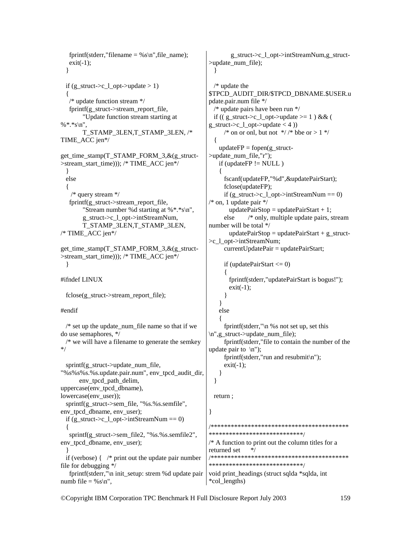fprintf(stderr,"filename = %s\n", file\_name);  $exit(-1);$  } if  $(g_<sub>-</sub>struct->c_1_opt->update > 1)$  { /\* update function stream \*/ fprintf(g\_struct->stream\_report\_file, "Update function stream starting at  $%$ \*.\*s\n", T\_STAMP\_3LEN,T\_STAMP\_3LEN, /\* TIME\_ACC jen\*/ get\_time\_stamp(T\_STAMP\_FORM\_3,&(g\_struct- >stream\_start\_time))); /\* TIME\_ACC jen\*/ } else { /\* query stream \*/ fprintf(g\_struct->stream\_report\_file, "Stream number %d starting at %\*.\*s\n", g\_struct->c\_l\_opt->intStreamNum, T\_STAMP\_3LEN,T\_STAMP\_3LEN, /\* TIME\_ACC jen\*/ get\_time\_stamp(T\_STAMP\_FORM\_3,&(g\_struct- >stream\_start\_time))); /\* TIME\_ACC jen\*/ } #ifndef LINUX  $fclose(g \text{ struct}\rightarrow stream \text{ report file});$ #endif  $/*$  set up the update num file name so that if we do use semaphores, \*/  $/*$  we will have a filename to generate the semkey \*/ sprintf(g\_struct->update\_num\_file, "%s%s%s.%s.update.pair.num", env\_tpcd\_audit\_dir, env\_tpcd\_path\_delim, uppercase(env\_tpcd\_dbname), lowercase(env\_user)); sprintf(g\_struct->sem\_file, "%s.%s.semfile", env\_tpcd\_dbname, env\_user); if  $(g_{\text{struct}}>c_1_{\text{opt}}>intStreamNum == 0)$  { sprintf(g\_struct->sem\_file2, "%s.%s.semfile2", env\_tpcd\_dbname, env\_user); } if (verbose)  $\frac{1}{2}$  /\* print out the update pair number file for debugging \*/ fprintf(stderr,"\n init\_setup: strem %d update pair numb file = % $s \nightharpoonup$ ", } /\* update the {  $\left\{\right.$  $\left\{\begin{array}{ccc} \end{array}\right\}$  } } else {  $exit(-1)$ : } } return ; } /\*\*\*\*\*\*\*\*\*\*\*\*\*\*\*\*\*\*\*\*\*\*\*\*\*\*\*\*\*\*\*\*\*\*\*\*\*\*\*\*\* \*\*\*\*\*\*\*\*\*\*\*\*\*\*\*\*\*\*\*\*\*\*\*\*\*\*\*\*/

 g\_struct->c\_l\_opt->intStreamNum,g\_struct- >update\_num\_file); \$TPCD\_AUDIT\_DIR/\$TPCD\_DBNAME.\$USER.u pdate.pair.num file \*/ /\* update pairs have been run \*/ if (( g\_struct->c\_l\_opt->update >= 1 ) && ( g\_struct->c\_l\_opt->update < 4 )) /\* on or onl, but not  $\frac{\ast}{\sqrt{2}}$  bbe or > 1  $\frac{\ast}{\sqrt{2}}$ updateFP = fopen(g\_struct->update\_num\_file,"r");  $if (updateFP != NULL)$  fscanf(updateFP,"%d",&updatePairStart); fclose(updateFP); if (g\_struct->c\_l\_opt->intStreamNum == 0)  $\frac{1}{2}$  on, 1 update pair  $\frac{k}{2}$ updatePairStop = updatePairStart + 1; else /\* only, multiple update pairs, stream number will be total \*/ updatePairStop = updatePairStart + g\_struct->c\_l\_opt->intStreamNum; currentUpdatePair = updatePairStart; if (updatePairStart  $\leq$  0) fprintf(stderr,"updatePairStart is bogus!");  $exit(-1);$  fprintf(stderr,"\n %s not set up, set this \n",g\_struct->update\_num\_file); fprintf(stderr,"file to contain the number of the update pair to  $\ln$ "); fprintf(stderr,"run and resubmit\n"); /\*\*\*\*\*\*\*\*\*\*\*\*\*\*\*\*\*\*\*\*\*\*\*\*\*\*\*\*\*\*\*\*\*\*\*\*\*\*\*\*\* \*\*\*\*\*\*\*\*\*\*\*\*\*\*\*\*\*\*\*\*\*\*\*\*\*\*\*\*/  $/*$  A function to print out the column titles for a returned set \*/

void print\_headings (struct sqlda \*sqlda, int \*col\_lengths)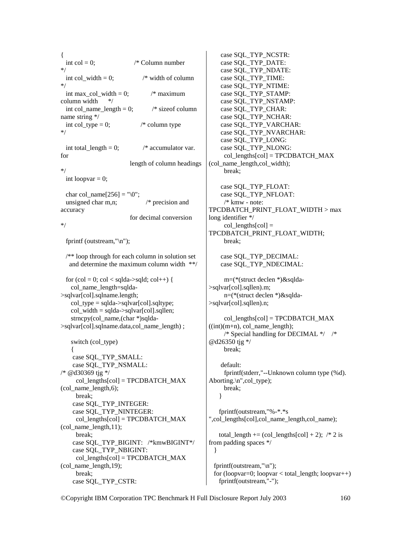{ int col = 0;  $\frac{\partial^* f}{\partial x^*}$  /\* Column number \*/ int col width  $= 0$ ; /\* width of column \*/ int max col width = 0;  $/*$  maximum column width \*/ int col\_name\_length = 0;  $\frac{\text{# size of column}}{}$ name string \*/ int col type = 0;  $/*$  column type \*/ int total  $length = 0;$  /\* accumulator var. for length of column headings \*/ int loopvar  $= 0$ ; char col\_name[256] = " $\setminus 0$ "; unsigned char m,n; /\* precision and accuracy for decimal conversion \*/ fprintf (outstream,"\n"); /\*\* loop through for each column in solution set and determine the maximum column width \*\*/ for  $(col = 0; col <$  sqlda->sqld;  $col++$ ) { col name length=sqlda->sqlvar[col].sqlname.length; col  $type = \frac{q}{da} > \frac{q}{q}$ .sqlvar[col].sqltype; col width  $=$  sqlda- $>$ sqlvar[col].sqllen; strncpy(col\_name,(char \*)sqlda->sqlvar[col].sqlname.data,col\_name\_length) ; switch (col\_type)  $\{$  case SQL\_TYP\_SMALL: case SQL\_TYP\_NSMALL: /\* @d30369 tjg \*/ col lengths[col] =  $TPCDBATCH$  MAX (col name length, $6$ ); break; case SQL\_TYP\_INTEGER: case SQL\_TYP\_NINTEGER: col\_lengths[col] = TPCDBATCH\_MAX (col name  $length,11$ ); break; case SQL\_TYP\_BIGINT: /\*kmwBIGINT\*/ case SQL\_TYP\_NBIGINT: col lengths[col] = TPCDBATCH\_MAX  $\left(\text{col}\right)$  name length, 19); break; case SQL\_TYP\_CSTR: } }

 case SQL\_TYP\_NCSTR: case SQL\_TYP\_DATE: case SQL\_TYP\_NDATE: case SQL\_TYP\_TIME: case SQL\_TYP\_NTIME: case SQL\_TYP\_STAMP: case SQL\_TYP\_NSTAMP: case SQL\_TYP\_CHAR: case SQL\_TYP\_NCHAR: case SQL\_TYP\_VARCHAR: case SQL\_TYP\_NVARCHAR: case SQL\_TYP\_LONG: case SQL\_TYP\_NLONG: col\_lengths[col] = TPCDBATCH\_MAX (col\_name\_length,col\_width); break; case SQL\_TYP\_FLOAT: case SQL\_TYP\_NFLOAT: /\* kmw - note: TPCDBATCH\_PRINT\_FLOAT\_WIDTH > max long identifier \*/  $col\_lengths[col] =$ TPCDBATCH\_PRINT\_FLOAT\_WIDTH; break; case SQL\_TYP\_DECIMAL: case SQL\_TYP\_NDECIMAL: m=(\*(struct declen \*)&sqlda- >sqlvar[col].sqllen).m; n=(\*(struct declen \*)&sqlda- >sqlvar[col].sqllen).n; col\_lengths[col] =  $TPCDBATCH$  MAX  $((int)(m+n), col_name_length);$  /\* Special handling for DECIMAL \*/ /\* @d26350 tjg \*/ break; default: fprintf(stderr,"--Unknown column type (%d). Aborting. $\ln$ ", col type); break; fprintf(outstream,"%-\*.\*s ",col\_lengths[col],col\_name\_length,col\_name); total length += (col lengths[col] + 2); /\* 2 is from padding spaces \*/ fprintf(outstream,"\n"); for (loopvar=0; loopvar  $<$  total length; loopvar++) fprintf(outstream,"-");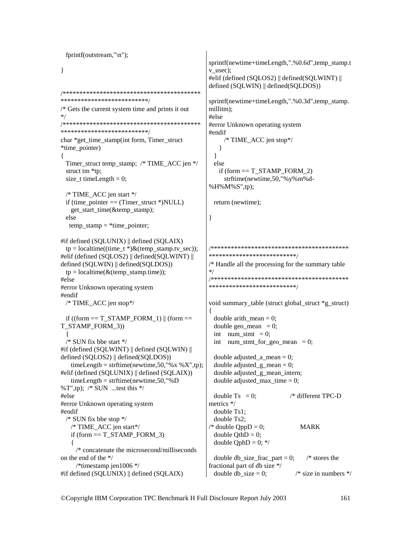```
fprintf(outstream,"\n");
                                                sprintf(newtime+timeLength,".%0.6d",temp_stamp.t
\left\{ \right\}v_usec);#elif (defined (SQLOS2) || defined(SQLWINT) ||
                                                defined (SQLWIN) || defined(SQLDOS))
***************************
                                                sprintf(newtime+timeLength,".%0.3d",temp stamp.
/* Gets the current system time and prints it out
                                                millitm):
* /
                                                #else
#error Unknown operating system
***************************
                                                #endif
char *get_time_stamp(int form, Timer_struct
                                                     /* TIME ACC jen stop*/
*time pointer)
                                                   \mathcal{E}\mathcal{E}\{Timer_struct temp_stamp; /* TIME_ACC jen */
                                                 else
                                                   if (form == T STAMP FORM 2)
 struct tm *tp;
                                                     strftime(newtime,50,"%y%m%d-
 size t timeLength = 0;
                                                %H%M%S",tp);
 /* TIME ACC jen start */
 if (time pointer == (Timer struct *) NULL)
                                                 return (newtime);
   get start time(&temp stamp);
 else
                                                \mathcal{E}temp\_ stamp = *time\_ pointer;#if defined (SQLUNIX) || defined (SQLAIX)
                                                tp = localtime((time_t * )&(temp_stamp.tv_sec));***************************
#elif (defined (SQLOS2) || defined(SQLWINT) ||
defined (SQLWIN) || defined(SQLDOS))
                                                /* Handle all the processing for the summary table
                                                */
 tp = localtime(<math>\&</math>(temp stamp.time));#else
                                                **************************/
#error Unknown operating system
#endif
 /* TIME ACC jen stop*/
                                                void summary table (struct global struct *g struct)
                                                ₹
 if ((form == T STAMP FORM 1) || (form ==double arith mean = 0;
T_STAMP_FORM 3))
                                                 double geo mean = 0;
                                                 int num stmt = 0;
 /* SUN fix bbe start */int num stmt for geo mean = 0;
#if (defined (SOLWINT) || defined (SOLWIN) ||
defined (SQLOS2) || defined(SQLDOS))
                                                  double adjusted a mean = 0;
   timeLength = strftime(newtime.50."%x %X".tp):
                                                  double adjusted \epsilon mean = 0:
#elif (defined (SQLUNIX) || defined (SQLAIX))
                                                 double adjusted_g_mean_intern;
   timeLength = strftime(newtime, 50,"%D
                                                  double adjusted max time = 0;
%T",tp); /* SUN ...test this */
#else
                                                 double Ts = 0:
                                                                          /* different TPC-D
                                                metrics */
#error Unknown operating system
                                                 double Ts1:
#endif
                                                 double Ts2:
 /* SUN fix bbe stop *//* TIME ACC jen start*/
                                                \sqrt{*} double OppD = 0;
                                                                              MARK
   if (form == T STAMP FORM 3)
                                                 double QthD = 0;
                                                  double OphD = 0; */
   ł
    /* concatenate the microsecond/milliseconds
on the end of the */
                                                 double db size frac part = 0;
                                                                                /* stores the
    /*timestamp jen1006 */fractional part of db size */
#if defined (SQLUNIX) || defined (SQLAIX)
                                                  double db size = 0:
                                                                            /* size in numbers */
```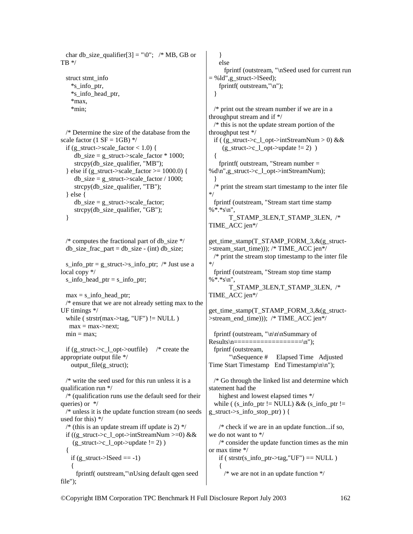```
char db_size_qualifier[3] = "\sqrt{0}"; /* MB, GB or
TB^*/ struct stmt_info 
     *s_info_ptr, 
     *s_info_head_ptr, 
     *max, 
     *min; 
   /* Determine the size of the database from the 
scale factor (1 SF = 1GB) */
  if (g_struct->scale_factor < 1.0) {
     db\_size = g\_struct\text{-}scale\_factor * 1000; strcpy(db_size_qualifier, "MB"); 
  } else if (g_struct->scale_factor >= 1000.0) {
     db_size = g_struct->scale_factor / 1000;
     strcpy(db_size_qualifier, "TB");
   } else { 
     db size = g struct->scale factor;
     strcpy(db_size_qualifier, "GB");
   } 
   /* computes the fractional part of db_size */ 
  db\_size\_frac part = db\_size - (int) db\_size;
  s info ptr = g_struct->s_info_ptr; /* Just use a
local copy */ 
  s info head ptr = s info ptr;
  max = s info head ptr;
   /* ensure that we are not already setting max to the 
UF timings */ 
  while (strstrstr(max->tag, "UF") != NULL )
   max = max->next:
  min = max;if (g_struct->c_l_opt->outfile) /* create the
appropriate output file */ 
     output_file(g_struct); 
   /* write the seed used for this run unless it is a 
qualification run */ 
   /* (qualification runs use the default seed for their 
queries) or */ 
  /* unless it is the update function stream (no seeds 
used for this) */ 
  /* (this is an update stream iff update is 2) \frac{k}{r}if ((g_struct->c_l_opt->intStreamNum >=0) &&
    (g_struct->c_l_opt->update != 2))
   { 
   if (g_{\text{1}}\text{struct} > l\text{Seed} == -1)\{ fprintf( outstream,"\nUsing default qgen seed 
file"); 
                                                                } 
                                                              } 
                                                              { 
                                                            } 
                                                           */ 
                                                           */ 
                                                                {
```

```
 else 
      fprintf (outstream, "\nSeed used for current run 
= %ld",g_struct->lSeed);
    fprintf( outstream,"\n"); 
  /* print out the stream number if we are in a 
throughput stream and if */ 
  /* this is not the update stream portion of the 
throughput test */ 
  if ( (g_struct->c_l_opt->intStreamNum > 0) && 
     (g_struct->c_l_opt->update != 2))
    fprintf( outstream, "Stream number = 
%d\n",g_struct->c_l_opt->intStreamNum); 
  /* print the stream start timestamp to the inter file 
  fprintf (outstream, "Stream start time stamp 
% * *s\n".
        T_STAMP_3LEN,T_STAMP_3LEN, /* 
TIME_ACC jen*/ 
get_time_stamp(T_STAMP_FORM_3,&(g_struct-
>stream_start_time))); /* TIME_ACC jen*/ 
 /* print the stream stop timestamp to the inter file
  fprintf (outstream, "Stream stop time stamp 
% * *_{s}n".
        T_STAMP_3LEN,T_STAMP_3LEN, /* 
TIME_ACC jen*/ 
get_time_stamp(T_STAMP_FORM_3,&(g_struct-
>stream_end_time))); /* TIME_ACC jen*/ 
  fprintf (outstream, "\n\n\nSummary of 
Results \n\begin{bmatrix} n == \texttt{if} \n \end{bmatrix} fprintf (outstream, 
        "\nSequence # Elapsed Time Adjusted 
Time Start Timestamp End Timestamp\n\n"); 
  /* Go through the linked list and determine which 
statement had the 
    highest and lowest elapsed times */ 
 while ( (s_info\_ptr != NULL) && (s_info\_ptr !=
g_struct->s_info_stop_ptr) ) { 
    /* check if we are in an update function...if so, 
we do not want to */ 
    /* consider the update function times as the min 
or max time */ 
   if ( strstr(s info ptr->tag,"UF") == NULL )
```
 $/*$  we are not in an update function  $*/$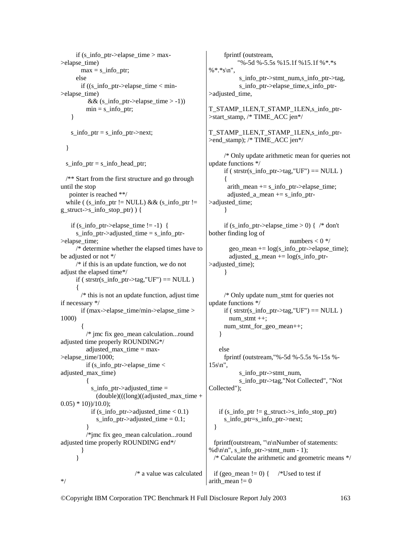```
if (s_info_ptr->elapse_time > max-
>elapse_time) 
       max = s_info__ptr; else 
        if ((s_info_ptr->elapse_time < min-
>elapse_time) 
          && (s_info_ptr->elapse_time > -1))
         min = s info ptr;
     }
```
 $s_info_ptr = s_info_ptr \rightarrow next;$ 

```
 }
```
\*/

s\_info\_ptr =  $s$ \_info\_head\_ptr; /\*\* Start from the first structure and go through

until the stop pointer is reached \*\*/ while (  $(s_info\_ptr != NULL)$  & &  $(s_info\_ptr !=$ g\_struct- $>$ s\_info\_stop\_ptr)  $)$  {

if (s\_info\_ptr->elapse\_time != -1) { s info ptr- $>$ adjusted time = s info ptr->elapse\_time; /\* determine whether the elapsed times have to be adjusted or not \*/ /\* if this is an update function, we do not adjust the elapsed time\*/ if ( strstr(s\_info\_ptr->tag,"UF") ==  $NULL$  )  $\left\{\begin{array}{ccc} \end{array}\right\}$  /\* this is not an update function, adjust time if necessary \*/ if (max->elapse\_time/min->elapse\_time > 1000)  $\left\{\begin{array}{ccc} \end{array}\right\}$  /\* jmc fix geo\_mean calculation...round adjusted time properly ROUNDING\*/ adjusted max time  $=$  max->elapse\_time/1000; if (s\_info\_ptr->elapse\_time  $\lt$ adjusted\_max\_time)  $\left\{\begin{array}{ccc} \end{array}\right\}$ s info ptr->adjusted time  $=$  $(double)((long)((adjusted_max_time +$  $(0.05) * 10$ )/10.0); if (s\_info\_ptr->adjusted\_time < 0.1) s\_info\_ptr->adjusted\_time  $= 0.1$ ; } /\*jmc fix geo\_mean calculation...round adjusted time properly ROUNDING end\*/ } } /\* a value was calculated

 fprintf (outstream, "%-5d %-5.5s %15.1f %15.1f %\*.\*s %\*.\*s\n", s\_info\_ptr->stmt\_num,s\_info\_ptr->tag, s\_info\_ptr->elapse\_time,s\_info\_ptr- >adjusted\_time, T\_STAMP\_1LEN,T\_STAMP\_1LEN,s\_info\_ptr- >start\_stamp, /\* TIME\_ACC jen\*/ T\_STAMP\_1LEN,T\_STAMP\_1LEN,s\_info\_ptr- >end\_stamp); /\* TIME\_ACC jen\*/ /\* Only update arithmetic mean for queries not update functions \*/ if ( strstr(s info ptr->tag,"UF") == NULL )  $\left\{\begin{array}{ccc} \end{array}\right\}$ arith mean  $+= s$  info ptr->elapse time; adjusted a mean  $+= s$  info ptr->adjusted\_time; } if  $(s_info\_ptr > elapse\_time > 0)$  {  $/* don't$ bother finding log of numbers  $< 0$  \*/  $geo_mean += log(s_info_ptr->elapse_time);$ adjusted\_g\_mean  $+= log(s_0)$ info\_ptr->adjusted\_time); } /\* Only update num\_stmt for queries not update functions \*/ if ( $str(s_info_ptr\text{-}tag,'UF") == NULL$ ) num  $stmt ++;$  num\_stmt\_for\_geo\_mean++; } else fprintf (outstream,"%-5d %-5.5s %-15s %-  $15s\cdot n$ ". s\_info\_ptr->stmt\_num, s info ptr->tag,"Not Collected", "Not Collected"); if  $(s_info_ptr != g_struct->s_info_stop_ptr)$  s\_info\_ptr=s\_info\_ptr->next; } fprintf(outstream, "\n\nNumber of statements: %d\n\n", s\_info\_ptr->stmt\_num - 1); /\* Calculate the arithmetic and geometric means \*/

if (geo mean  $!= 0$ ) { /\*Used to test if arith mean  $!= 0$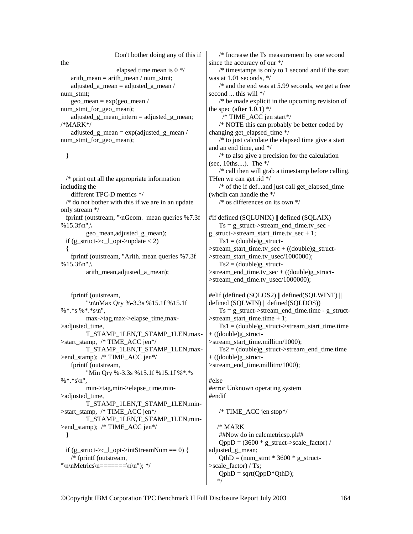| Don't bother doing any of this if                |
|--------------------------------------------------|
| the                                              |
| elapsed time mean is $0 \frac{*}{ }$             |
| arith mean = arith mean / num stmt;              |
| adjusted a mean = adjusted a mean /              |
| num stmt;                                        |
| $geo_mean = exp(geo_mean /$                      |
| num_stmt_for_geo_mean);                          |
| $adjusted\_g\_mean\_intern = adjusted\_g\_mean;$ |
| $/*MARY$                                         |
| $adjusted\_g\_mean = exp(adjusted\_g\_mean /$    |
| num_stmt_for_geo_mean);                          |
|                                                  |

## }

 /\* print out all the appropriate information including the different TPC-D metrics \*/ /\* do not bother with this if we are in an update only stream \*/ fprintf (outstream, "\nGeom. mean queries %7.3f %  $15.3$ f\n",\ geo\_mean,adjusted\_g\_mean); if  $(g_<sub>-</sub>struct->c_<sub>-</sub>l_opt->update < 2)$  { fprintf (outstream, "Arith. mean queries %7.3f %15.3f\n",\ arith\_mean,adjusted\_a\_mean);

 fprintf (outstream, "\n\nMax Qry %-3.3s %15.1f %15.1f %\*.\*s %\*.\*s\n", max->tag,max->elapse\_time,max- >adjusted\_time, T\_STAMP\_1LEN,T\_STAMP\_1LEN,max- >start\_stamp, /\* TIME\_ACC jen\*/ T\_STAMP\_1LEN,T\_STAMP\_1LEN,max->end\_stamp); /\* TIME\_ACC jen\*/ fprintf (outstream, "Min Qry %-3.3s %15.1f %15.1f %\*.\*s %\*.\*s\n", min->tag,min->elapse\_time,min- >adjusted\_time, T\_STAMP\_1LEN,T\_STAMP\_1LEN,min->start\_stamp, /\* TIME\_ACC jen\*/ T\_STAMP\_1LEN,T\_STAMP\_1LEN,min- >end\_stamp); /\* TIME\_ACC jen\*/ } if (g\_struct->c\_l\_opt->intStreamNum == 0) { /\* fprintf (outstream, "\n\nMetrics\n=======\n\n"); \*/

 /\* Increase the Ts measurement by one second since the accuracy of our \*/ /\* timestamps is only to 1 second and if the start was at 1.01 seconds, \*/ /\* and the end was at 5.99 seconds, we get a free second ... this will \*/ /\* be made explicit in the upcoming revision of the spec (after  $1.0.1$ )  $\frac{*}{ }$  /\* TIME\_ACC jen start\*/ /\* NOTE this can probably be better coded by changing get\_elapsed\_time \*/ /\* to just calculate the elapsed time give a start and an end time, and \*/ /\* to also give a precision for the calculation (sec, 10ths....). The \*/ /\* call then will grab a timestamp before calling. THen we can get rid \*/  $/*$  of the if def...and just call get elapsed time (whcih can handle the \*/ /\* os differences on its own \*/ #if defined (SQLUNIX) || defined (SQLAIX)  $Ts = g_{\text{start}} > stream_{\text{end\_time.tv\_sec}}$ g\_struct->stream\_start\_time.tv\_sec + 1;  $Ts1 = (double)g<sub>str</sub>$  struct->stream\_start\_time.tv\_sec + ((double)g\_struct- >stream\_start\_time.tv\_usec/1000000);  $Ts2 = (double)g<sub>str</sub>$  struct->stream\_end\_time.tv\_sec + ((double)g\_struct-  $\ge$ stream\_end\_time.tv\_usec/1000000); #elif (defined (SQLOS2) || defined(SQLWINT) || defined (SQLWIN) || defined(SQLDOS))  $Ts = g \text{ struct}\rightarrow stream \text{ end time.time} - g \text{ struct}$  $\triangleright$ stream start time.time + 1;  $Ts1 = (double)g_struct \rightarrow stream_start_time.time$ + ((double)g\_struct- >stream\_start\_time.millitm/1000);  $Ts2 = (double)g<sub>g</sub> struct->stream<sub>g</sub>end time.time<sub>g</sub>$ 

+ ((double)g\_struct-

>stream\_end\_time.millitm/1000);

## #else

#error Unknown operating system #endif

/\* TIME\_ACC jen stop\*/

 /\* MARK ##Now do in calcmetricsp.pl##  $QppD = (3600 * g struct - \text{scale factor}) /$ adjusted\_g\_mean;  $QthD = (num \text{stmt} * 3600 * g \text{ struct-}$ >scale\_factor) / Ts;  $QphD = sqrt(QppD*QthD);$ \*/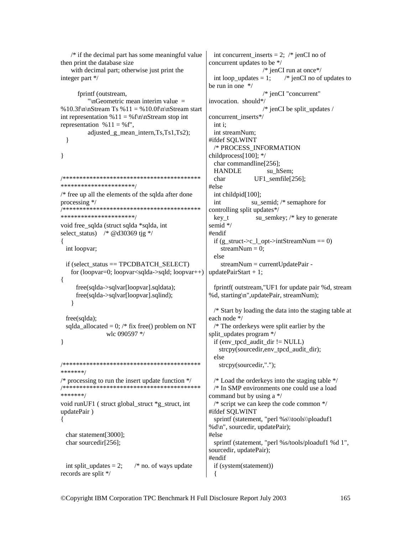```
/* if the decimal part has some meaningful value
                                                      int concurrent inserts = 2; \frac{1}{2} ienCI no of
then print the database size
                                                     concurrent updates to be */
   with decimal part; otherwise just print the
                                                                        /* jenCI run at once*/
integer part */
                                                       int loop updates = 1;
                                                     be run in one */fprintf (outstream,
                                                                        /* jenCI "concurrent"
          "\nGeometric mean interim value =invocation. should*/
% 10.3f\n\nStream Ts % 11 = % 10.0f\n\nStream start
                                                                        /* jenCI be split updates /
int representation % 11 = %f\n\in Strean stop int
                                                     concurrent_inserts*/
representation % 11 = %f'',
                                                      int i:
         adjusted_g_mean_intern,Ts,Ts1,Ts2);
                                                      int streamNum:
                                                     #ifdef SOLWINT
 \mathcal{E}/* PROCESS INFORMATION
\mathcal{E}childprocess[100]; */
                                                      char commandline[256];
                                                       HANDLE
                                                                          su hSem;
char
                                                                     UF1 semfile[256];
**********************
                                                     #else
/* free up all the elements of the sqlda after done
                                                      int childpid[100];
processing */su semid; /* semaphore for
                                                      int
controlling split updates*/
**********************/
                                                      key t
                                                                     su_semkey; /* key to generate
void free_sqlda (struct sqlda *sqlda, int
                                                     semid */
select status) \frac{*}{*} @d30369 tig */
                                                     #endif
                                                      if (g_{\text{1}}\text{struct} > c_{\text{1}}\text{opt} > \text{intStreamNum} == 0)ł
 int loopvar;
                                                         streamNum = 0;
                                                       else
 if (select status == TPCDBATCH SELECT)
                                                         streamNum = currentUpdatePair -
   for (loopvar=0; loopvar<sqlda->sqld; loopvar++)
                                                     updatePairStart + 1;\left\{ \right.free(sqlda->sqlvar[loopvar].sqldata);
                                                       fprintf( outstream, "UF1 for update pair %d, stream
     free(sqlda->sqlvar[loopvar].sqlind);%d, starting\n",updatePair, streamNum);
   ļ
                                                      /* Start by loading the data into the staging table at
 free(sqlda);
                                                     each node */
 sqlda_allocated = 0; /* fix free() problem on NT
                                                      /* The orderkeys were split earlier by the
                wlc 090597 */
                                                     split updates program */
                                                      if (env tpcd audit dir != NULL)
\mathcal{E}strepy(sourcedir, env tpcd audit dir);
                                                      else
strcpy(sourcedir,".");
*******/
/* processing to run the insert update function *//* Load the orderkeys into the staging table *//******
       ***********************************
                                                      \frac{1}{2} In SMP environments one could use a load
*******/
                                                     command but by using a */
                                                      /* script we can keep the code common \frac{k}{ }void runUF1 (struct global struct *g struct, int
                                                     #ifdef SOLWINT
updatePair)
                                                      sprintf (statement, "perl %s\\tools\\ploaduf1
\{%d\n", sourcedir, updatePair);
 char statement[3000];
                                                     #else
 char sourcedir[256];
                                                      sprintf (statement, "perl %s/tools/ploaduf1 %d 1",
                                                     sourcedir, updatePair);
                                                     #endif
                          /* no. of ways update
                                                      if (system(statement))
 int split updates = 2;
records are split */
                                                      \left\{ \right.
```
 $/*$  jenCI no of updates to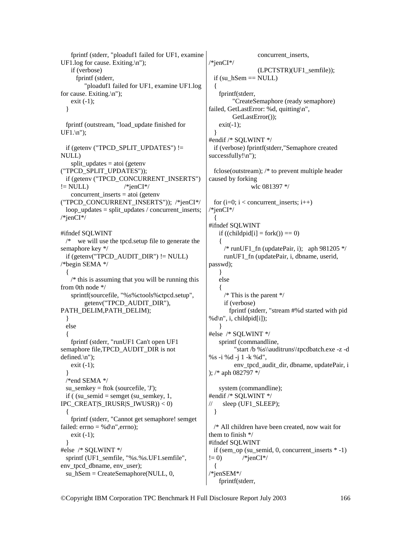```
 fprintf (stderr, "ploaduf1 failed for UF1, examine 
UF1.log for cause. Exiting.\n"); 
    if (verbose) 
      fprintf (stderr, 
         "ploaduf1 failed for UF1, examine UF1.log 
for cause. Exiting.\n"); 
    exit (-1); 
   } 
   fprintf (outstream, "load_update finished for 
UF1.\n\cdot");
   if (getenv ("TPCD_SPLIT_UPDATES") != 
NULL) 
    split_updates = atoi (getenv 
("TPCD_SPLIT_UPDATES")); 
  if (getenv ("TPCD_CONCURRENT_INSERTS") 
!= NULL) /*jenCI*/
   concurrent inserts = atoi (getenv
("TPCD_CONCURRENT_INSERTS")); /*jenCI*/ 
  loop updates = split updates / concurrent inserts;
/*jenCI*/ 
#ifndef SQLWINT 
  /* we will use the tpcd.setup file to generate the 
semaphore key */ 
  if (getenv("TPCD_AUDIT_DIR") != NULL) 
/*begin SEMA */ 
 { 
   /* this is assuming that you will be running this
from 0th node */ 
    sprintf(sourcefile, "%s%ctools%ctpcd.setup", 
         getenv("TPCD_AUDIT_DIR"), 
PATH_DELIM,PATH_DELIM);
   } 
  else 
 { 
    fprintf (stderr, "runUF1 Can't open UF1 
semaphore file, TPCD AUDIT DIR is not
defined.\n"); 
    exit (-1); 
   } 
  /*end SEMA */ 
 su_semkey = ftok (sourcefile, 'J');
 if ( (su_semid = semget (su_semkey, 1,
IPC CREAT|S_IRUSR|S_IWUSR)) < 0)
 { 
    fprintf (stderr, "Cannot get semaphore! semget 
failed: errno = %d\nu", errno;
   exit (-1);
   } 
#else /* SQLWINT */ 
  sprintf (UF1_semfile, "%s.%s.UF1.semfile",
env_tpcd_dbname, env_user); 
  su hSem = CreateSemaphore(NULL, 0, 0)concurrent_inserts,
                                                       /*jenCI*/ 
                                                                          (LPCTSTR)(UF1_semfile)); 
                                                        if (su hSem == NULL)
                                                       \{ fprintf(stderr, 
                                                                "CreateSemaphore (ready semaphore) 
                                                       failed, GetLastError: %d, quitting\n",
                                                                GetLastError()); 
                                                          exit(-1); } 
                                                       #endif /* SQLWINT */ 
                                                         if (verbose) fprintf(stderr,"Semaphore created 
                                                       successfully!\n");
                                                         fclose(outstream); /* to prevent multiple header 
                                                       caused by forking 
                                                                       wlc 081397 */ 
                                                        for (i=0; i < concurrent inserts; i++)
                                                       /*jenCI*/ 
                                                         { 
                                                       #ifndef SQLWINT 
                                                          if ((childpid[i] = fork()) = 0)
                                                       \left\{\right./* runUF1 fn (updatePair, i); aph 981205 */
                                                             runUF1_fn (updatePair, i, dbname, userid, 
                                                       passwd); 
                                                           } 
                                                           else 
                                                           { 
                                                            /* This is the parent */ if (verbose) 
                                                               fprintf (stderr, "stream #%d started with pid 
                                                       %d\in', i, childpid[i]);
                                                           } 
                                                       #else /* SQLWINT */ 
                                                           sprintf (commandline, 
                                                                 "start /b %s\\auditruns\\tpcdbatch.exe -z -d 
                                                       %s -i %d -j 1 -k %d", 
                                                                 env_tpcd_audit_dir, dbname, updatePair, i 
                                                       ); /* aph 082797 */ 
                                                           system (commandline); 
                                                       #endif /* SQLWINT */ 
                                                      // sleep (UF1_SLEEP); 
                                                         } 
                                                         /* All children have been created, now wait for 
                                                       them to finish */ 
                                                       #ifndef SQLWINT 
                                                         if (sem_op (su_semid, 0, concurrent_inserts * -1) 
                                                       != 0) /*ienCI*/
                                                         { 
                                                       /*jenSEM*/ 
                                                           fprintf(stderr,
```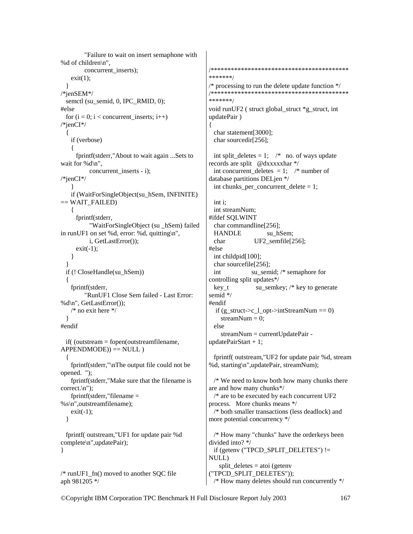"Failure to wait on insert semaphone with %d of children\n", concurrent\_inserts);  $exit(1);$  } /\*jenSEM\*/ semctl (su\_semid, 0, IPC\_RMID, 0); #else for  $(i = 0; i <$  concurrent\_inserts;  $i++$ ) /\*jenCI\*/ { if (verbose) { fprintf(stderr,"About to wait again ...Sets to wait for %d\n", concurrent inserts - i); /\*jenCI\*/ } if (WaitForSingleObject(su\_hSem, INFINITE)  $==$  WAIT\_FAILED) { fprintf(stderr, "WaitForSingleObject (su \_hSem) failed in runUF1 on set %d, error: %d, quitting\n", i, GetLastError());  $exit(-1);$  } } if (! CloseHandle(su\_hSem)) { fprintf(stderr, "RunUF1 Close Sem failed - Last Error: %d\n", GetLastError());  $/*$  no exit here  $*/$  } #endif if( (outstream = fopen(outstreamfilename,  $APPENDMODE$  $)$  == NULL  $)$  { fprintf(stderr,"\nThe output file could not be opened. "); fprintf(stderr,"Make sure that the filename is correct.\n"); fprintf(stderr,"filename = %s\n",outstreamfilename);  $exit(-1);$  } fprintf( outstream,"UF1 for update pair %d complete\n",updatePair); } {

 $/* runUF1$  fn() moved to another SQC file aph 981205 \*/

```
/*****************************************
*******/ 
/* processing to run the delete update function *//*****************************************
*******/ 
void runUF2 ( struct global_struct *g_struct, int 
updatePair ) 
  char statement[3000]; 
  char sourcedir[256]; 
 int split_deletes = 1; \prime^* no. of ways update
records are split @dxxxxxhar */ 
 int concurrent deletes = 1; /* number of
database partitions DELjen */ 
 int chunks per concurrent delete = 1;
  int i; 
  int streamNum; 
#ifdef SQLWINT 
  char commandline[256]; 
 HANDLE su hSem;
 char UF2_semfile[256];
#else 
  int childpid[100]; 
  char sourcefile[256]; 
 int su_semid; /* semaphore for
controlling split updates*/ 
 key t su_semkey; /* key to generate
semid */ 
#endif 
  if (g_{\text{1st}} - c_{\text{2pt}})->intStreamNum == 0)
    streamNum = 0;
  else 
     streamNum = currentUpdatePair - 
updatePairStart + 1;
```
 fprintf( outstream,"UF2 for update pair %d, stream %d, starting\n",updatePair, streamNum);

 /\* We need to know both how many chunks there are and how many chunks\*/  $/*$  are to be executed by each concurrent UF2 process. More chunks means \*/ /\* both smaller transactions (less deadlock) and more potential concurrency \*/ /\* How many "chunks" have the orderkeys been divided into? \*/ if (getenv ("TPCD\_SPLIT\_DELETES") != NULL) split deletes  $=$  atoi (getenv

("TPCD\_SPLIT\_DELETES")); /\* How many deletes should run concurrently \*/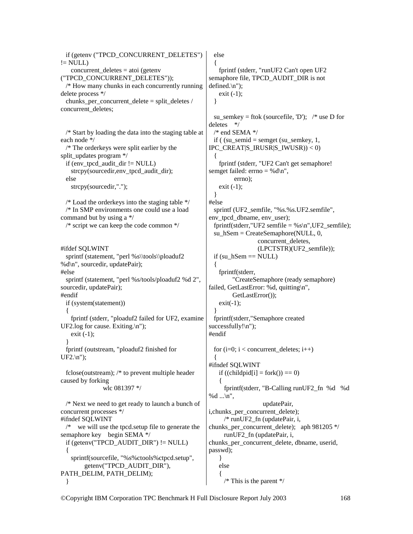if (getenv ("TPCD\_CONCURRENT\_DELETES")  $!=$  NULL $)$  concurrent\_deletes = atoi (getenv ("TPCD\_CONCURRENT\_DELETES")); /\* How many chunks in each concurrently running delete process \*/ chunks per concurrent delete = split deletes / concurrent\_deletes; /\* Start by loading the data into the staging table at each node \*/ /\* The orderkeys were split earlier by the split\_updates program \*/ if (env\_tpcd\_audit\_dir != NULL) strcpy(sourcedir,env\_tpcd\_audit\_dir); else strcpy(sourcedir,"."); /\* Load the orderkeys into the staging table \*/ /\* In SMP environments one could use a load command but by using a \*/ /\* script we can keep the code common \*/ #ifdef SQLWINT sprintf (statement, "perl %s\\tools\\ploaduf2 %d\n", sourcedir, updatePair); #else sprintf (statement, "perl %s/tools/ploaduf2 %d 2", sourcedir, updatePair); #endif if (system(statement)) { fprintf (stderr, "ploaduf2 failed for UF2, examine UF2.log for cause. Exiting.\n"); exit (-1); } fprintf (outstream, "ploaduf2 finished for UF2.\n"); fclose(outstream); /\* to prevent multiple header caused by forking wlc 081397 \*/ /\* Next we need to get ready to launch a bunch of concurrent processes \*/ #ifndef SQLWINT /\* we will use the tpcd.setup file to generate the semaphore key begin SEMA \*/ if (getenv("TPCD\_AUDIT\_DIR")  $!=$  NULL) { sprintf(sourcefile, "%s%ctools%ctpcd.setup", getenv("TPCD\_AUDIT\_DIR"), PATH\_DELIM, PATH\_DELIM); } else { }  $\{$  } #else { } #endif {  $\left\{\right.$ % $d \ldots \vert n''$ , passwd); } else {

 fprintf (stderr, "runUF2 Can't open UF2 semaphore file, TPCD\_AUDIT\_DIR is not defined.\n"); exit  $(-1)$ ; su\_semkey = ftok (sourcefile,  $D'$ ); /\* use D for deletes \*/  $/*$  end SEMA  $*/$ if (  $(su$ \_semid = semget  $(su$ \_semkey, 1, IPC CREAT|S\_IRUSR|S\_IWUSR)) < 0) fprintf (stderr, "UF2 Can't get semaphore! semget failed:  $\text{errno} = \% d \mid n$ ", errno); exit  $(-1)$ ; sprintf (UF2 semfile, "%s.%s.UF2.semfile", env\_tpcd\_dbname, env\_user); fprintf(stderr,"UF2 semfile = %s\n",UF2 semfile); su  $hSem = CreateSemaphore(NULL, 0, ...)$  concurrent\_deletes, (LPCTSTR)(UF2\_semfile)); if (su  $hSem == NULL$ ) fprintf(stderr, "CreateSemaphore (ready semaphore) failed, GetLastError: %d, quitting\n", GetLastError());  $exit(-1);$  fprintf(stderr,"Semaphore created  $successfully! \n\\n"$ : for  $(i=0; i <$  concurrent deletes;  $i++$ ) #ifndef SQLWINT if ((childpid[i] = fork()) =  $0$ ) fprintf(stderr, "B-Calling runUF2\_fn %d %d updatePair, i, chunks per concurrent delete); /\* runUF2\_fn (updatePair, i, chunks per concurrent delete); aph 981205  $*/$  runUF2\_fn (updatePair, i, chunks\_per\_concurrent\_delete, dbname, userid,

 $/*$  This is the parent  $*/$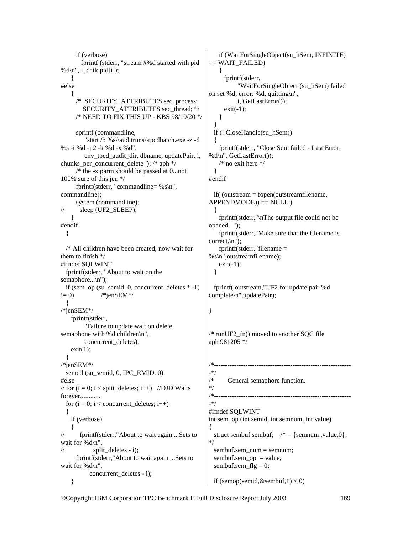if (verbose) fprintf (stderr, "stream #%d started with pid %d\n", i, childpid[i]); } #else  $\{$  /\* SECURITY\_ATTRIBUTES sec\_process; SECURITY\_ATTRIBUTES sec\_thread; \*/ /\* NEED TO FIX THIS UP - KBS 98/10/20 \*/ sprintf (commandline, "start /b %s\\auditruns\\tpcdbatch.exe -z -d %s -i %d -j 2 -k %d -x %d", env\_tpcd\_audit\_dir, dbname, updatePair, i, chunks\_per\_concurrent\_delete ); /\* aph \*/ /\* the -x parm should be passed at 0...not 100% sure of this jen \*/ fprintf(stderr, "commandline=  $% s \nightharpoonup s$ ", commandline); system (commandline);  $\mathcal{U}$  sleep (UF2 SLEEP); } #endif } /\* All children have been created, now wait for them to finish \*/ #ifndef SQLWINT fprintf(stderr, "About to wait on the semaphore...\n"); if (sem\_op (su\_semid, 0, concurrent\_deletes  $* -1$ )  $!= 0$ ) /\*jenSEM\*/ { /\*jenSEM\*/ fprintf(stderr, "Failure to update wait on delete semaphone with %d children\n", concurrent\_deletes);  $exit(1)$ ; } /\*jenSEM\*/ semctl (su\_semid, 0, IPC\_RMID, 0); #else // for  $(i = 0; i <$  split\_deletes;  $i++)$  //DJD Waits forever............ for  $(i = 0; i <$  concurrent deletes;  $i++)$  { if (verbose)  $\{$ // fprintf(stderr,"About to wait again ...Sets to wait for %d\n", //  $\text{split }$  deletes - i); fprintf(stderr,"About to wait again ...Sets to wait for %d\n", concurrent deletes - i); } if (WaitForSingleObject(su\_hSem, INFINITE)  $==$ WAIT\_FAILED)  $\{$  fprintf(stderr, "WaitForSingleObject (su\_hSem) failed on set %d, error: %d, quitting\n", i, GetLastError());  $exit(-1);$  } } if (! CloseHandle(su\_hSem)) { fprintf(stderr, "Close Sem failed - Last Error: %d\n", GetLastError()); /\* no exit here \*/ } #endif if( (outstream = fopen(outstreamfilename,  $APPENDMODE$  $)$  == NULL  $)$  { fprintf(stderr,"\nThe output file could not be opened. "); fprintf(stderr,"Make sure that the filename is correct.\n"); fprintf(stderr,"filename = %s\n",outstreamfilename);  $exit(-1);$  } fprintf( outstream,"UF2 for update pair %d complete\n",updatePair); } /\* runUF2\_fn() moved to another SQC file aph 981205 \*/ /\*------------------------------------------------------------- -\*/ /\* General semaphore function. \*/ /\*------------------------------------------------------------- -\*/ #ifndef SQLWINT int sem\_op (int semid, int semnum, int value) { struct sembuf sembuf;  $/* = {$  semnum ,value,0}; \*/ sembuf.sem\_num = semnum; sembuf.sem\_op = value; sembuf.sem  $flg = 0$ ; if (semop(semid,  $&$ sembuf,  $1$ ) < 0)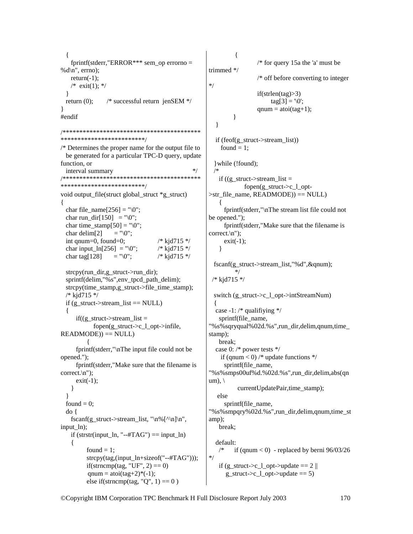$\{$ fprintf(stderr,"ERROR\*\*\* sem op errorno = % $d\ln$ ", errno);  $return(-1);$ /\* exit(1); \*/ ₹ return  $(0)$ :  $/*$  successful return ienSEM  $*/$ ∤ #endif \*\*\*\*\*\*\*\*\*\*\*\*\*\*\*\*\*\*\*\*\*\*\*\*\* /\* Determines the proper name for the output file to be generated for a particular TPC-D query, update function, or  $*$ interval summary /\*\*\*\*\*\*\*\*\*\*\*\*\*\*\*\*\*\*\*\*\*\*\*\*\*\*\* \*\*\*\*\*\*\*\*\*\*\*\* \*\*\*\*\*\*\*\*\*\*\*\*\*\*\*\*\*\*\*\*\*\*\*\*\*\* void output file(struct global struct \*g struct)  $\{$ char file\_name[ $256$ ] = " $0$ "; char run dir $[150]$  = "\0"; char time\_stamp $[50] = "\0";$ char delim $[2]$  $=$  "\0"; int qnum=0, found=0;  $/*$  kjd715 \*/ char input\_ln[256] = "\0";  $/*$  kjd715 \*/ char tag[ $128$ ]  $=$  "\0";  $/*$  kjd715 \*/ strcpy(run dir, g struct->run dir); sprintf(delim,"%s", env tpcd path delim); strcpy(time\_stamp,g\_struct->file\_time\_stamp); /\* kjd715 \*/ if (g struct->stream list  $==$  NULL)  $if((g struct->stream list =$ fopen $(g_{struct} > c_1_{opt} > infile,$  $READING)) == NULL)$ fprintf(stderr,"\nThe input file could not be opened."); fprintf(stderr,"Make sure that the filename is  $correct \, \cdot \, n'$ :  $exit(-1);$ ł ₹ found  $= 0$ ;  $do\{$ fscanf(g\_struct->stream\_list, "\n%[^\n]\n", input ln); if (strstr(input  $\ln$ , "--#TAG") == input  $\ln$ )  $\{$ found  $= 1$ : strcpy(tag,(input\_ln+sizeof("--#TAG"))); if(strncmp(tag, "UF", 2) = = 0) qnum = atoi(tag+2)\*(-1);

else if(strncmp(tag, "Q", 1) =  $0$ )

 $\{$ /\* for query 15a the 'a' must be trimmed \*/  $/*$  off before converting to integer  $*$ /  $if(strlen(tag) > 3)$  $\text{tag}[3] = \text{'0':}$  $qnum = \text{atoi}(\text{tag}+1);$ ≀  $\mathcal{E}$ if (feof(g struct->stream list)) found  $= 1$ : } while (!found); if  $((g \nvert struct - s)$  struct -> stream list = fopen(g struct- $\geq c$  1 opt- $\triangleright$ str file name, READMODE)) == NULL) fprintf(stderr,"\nThe stream list file could not be opened."); fprintf(stderr,"Make sure that the filename is correct. $\ln$ ");  $exit(-1);$ ∤ fscanf(g struct->stream list,"%d",  $\&$ qnum);  $*$  $/*$  kid715 \*/ switch (g struct- $\gtrsim 1$  opt- $\gtrsim$ intStreamNum)  $\{$ case -1:  $/*$  qualifiying  $*/$ sprintf(file name, "%s%sqryqual%02d.%s",run\_dir,delim,qnum,time\_ stamp); break; case 0:  $/*$  power tests  $*/$ if (qnum < 0) /\* update functions \*/ sprintf(file name. "%s%smps00uf%d.%02d.%s",run dir,delim,abs(qn  $um)$ ,  $\langle$ currentUpdatePair,time stamp); else sprintf(file\_name, "%s%smpqry%02d.%s",run\_dir,delim,qnum,time\_st amp); break; default: if (qnum  $<$  0) - replaced by berni 96/03/26  $*$ / if  $(g_{\text{struct}} > c_1_{\text{opt}} > \text{update} == 2$ g struct->c 1 opt->update == 5)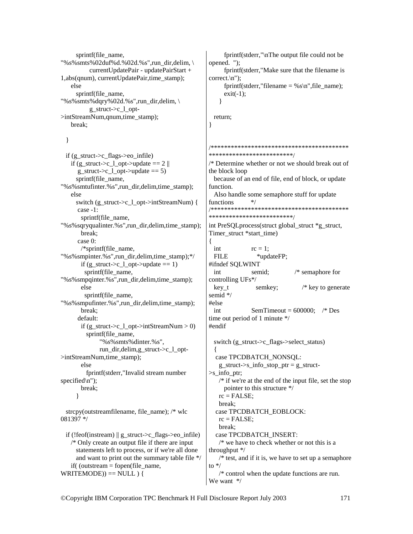```
sprintf(file_name,
"%s%smts%02duf%d.%02d.%s",run_dir,delim, \
           currentUpdatePair - updatePairStart + 
1,abs(qnum), currentUpdatePair,time_stamp); 
    else 
     sprintf(file_name,
"%s%smts%dqry%02d.%s",run_dir,delim, \ 
          g_struct-\geq c 1 opt-
>intStreamNum,qnum,time_stamp); 
    break;
```
}

 if (g\_struct->c\_flags->eo\_infile) if  $(g_{\text{start}}>c_1_{\text{opt}}>$ update == 2  $\parallel$ g\_struct->c\_l\_opt->update == 5) sprintf(file\_name, "%s%smtufinter.%s",run\_dir,delim,time\_stamp); else switch (g\_struct->c\_l\_opt->intStreamNum) { case -1: sprintf(file\_name, "%s%sqryqualinter.%s",run\_dir,delim,time\_stamp); break; case 0: /\*sprintf(file\_name, "%s%smpinter.%s",run\_dir,delim,time\_stamp);\*/ if (g\_struct->c\_l\_opt->update == 1) sprintf(file\_name, "%s%smpqinter.%s",run\_dir,delim,time\_stamp); else sprintf(file\_name, "%s%smpufinter.%s",run\_dir,delim,time\_stamp); break; default: if  $(g_{\text{1}}\text{struct} > c_{\text{1}}\text{opt} > \text{intStreamNum} > 0)$ sprintf(file\_name, "%s%smts%dinter.%s", run\_dir,delim,g\_struct->c\_l\_opt- >intStreamNum,time\_stamp); else fprintf(stderr,"Invalid stream number specified\n"); break; } strcpy(outstreamfilename, file\_name); /\* wlc 081397 \*/

```
if (!feof(instream) \parallel g_struct->c_flags->eo_infile)
    /* Only create an output file if there are input 
      statements left to process, or if we're all done 
      and want to print out the summary table file */ 
   if( (outstream = fopen(file name,
WRITEMODE) == NULL ) {
```
 fprintf(stderr,"\nThe output file could not be opened. "); fprintf(stderr,"Make sure that the filename is correct.\n"); fprintf(stderr,"filename = %s\n", file\_name);  $exit(-1);$ }

 return; }

/\*\*\*\*\*\*\*\*\*\*\*\*\*\*\*\*\*\*\*\*\*\*\*\*\*\*\*\*\*\*\*\*\*\*\*\*\*\*\*\*\* \*\*\*\*\*\*\*\*\*\*\*\*\*\*\*\*\*\*\*\*\*\*\*\*\*/ /\* Determine whether or not we should break out of the block loop because of an end of file, end of block, or update function. Also handle some semaphore stuff for update functions  $*$ /

```
/*****************************************
*************************/
```
int PreSQLprocess(struct global\_struct \*g\_struct, Timer\_struct \*start\_time)

{ int  $rc = 1$ ; FILE \*updateFP; #ifndef SQLWINT int semid; /\* semaphore for controlling UFs\*/ key t semkey;  $/*$  key to generate semid \*/ #else int SemTimeout =  $600000$ ; /\* Des time out period of 1 minute \*/ #endif switch (g\_struct->c\_flags->select\_status) { case TPCDBATCH\_NONSQL: g\_struct- $>$ s info\_stop\_ptr = g\_struct- $\gg$ s info ptr;

 /\* if we're at the end of the input file, set the stop pointer to this structure \*/  $rc = FALSE$ ; break; case TPCDBATCH\_EOBLOCK:  $rc = FALSE;$  break; case TPCDBATCH\_INSERT: /\* we have to check whether or not this is a throughput \*/

 $/*$  test, and if it is, we have to set up a semaphore to  $*$ /

 /\* control when the update functions are run. We want \*/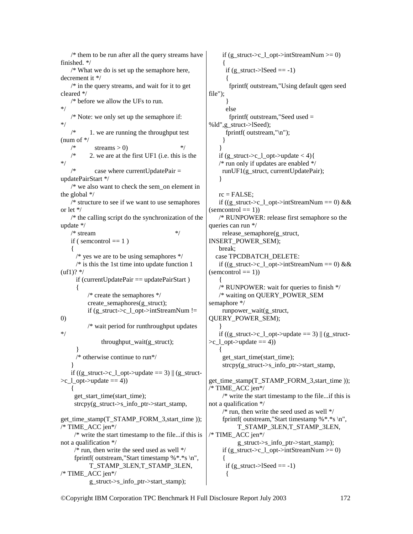/\* them to be run after all the query streams have finished. \*/ /\* What we do is set up the semaphore here, decrement it \*/  $/*$  in the query streams, and wait for it to get cleared \*/ /\* before we allow the UFs to run. \*/ /\* Note: we only set up the semaphore if: \*/ 1. we are running the throughput test (num of \*/  $\frac{1}{*}$  streams > 0)  $\frac{1}{*}$  $/*$  2. we are at the first UF1 (i.e. this is the \*/ case where currentUpdatePair  $=$ updatePairStart \*/  $/*$  we also want to check the sem\_on element in the global \*/ /\* structure to see if we want to use semaphores or let \*/ /\* the calling script do the synchronization of the update \*/  $/*$  stream  $*$ if ( semcontrol  $== 1$  ) { /\* yes we are to be using semaphores  $*/$  $/*$  is this the 1st time into update function 1  $(uf1)?$  \*/ if (currentUpdatePair  $==$  updatePairStart) { /\* create the semaphores \*/ create\_semaphores(g\_struct); if (g\_struct->c\_l\_opt->intStreamNum != 0) /\* wait period for runthroughput updates \*/ throughput\_wait(g\_struct); } /\* otherwise continue to run\*/ } if  $((g_{\text{start}}>c_1_{\text{opt}}>update == 3))$   $|(g_{\text{start}}>g_{\text{start}}>g_{\text{start}})>g_{\text{start}}>g_{\text{start}}>g_{\text{start}}>g_{\text{start}}>g_{\text{start}}>g_{\text{start}}>g_{\text{start}}>g_{\text{start}}>g_{\text{start}}>g_{\text{start}}>g_{\text{start}}>g_{\text{start}}>g_{\text{start}}>g_{\text{start}}>g_{\text{start}}>g_{\text$  $\geq c \cdot 1$  opt- $\geq$ update  $== 4$ ) { get\_start\_time(start\_time); strcpy(g\_struct- $>$ s\_info\_ptr- $>$ start\_stamp, get\_time\_stamp(T\_STAMP\_FORM\_3,start\_time )); /\* TIME\_ACC jen\*/ /\* write the start timestamp to the file...if this is not a qualification \*/  $\frac{1}{2}$  run, then write the seed used as well  $\frac{1}{2}$ fprintf( outstream,"Start timestamp  $%$ \*.\*s \n", T\_STAMP\_3LEN,T\_STAMP\_3LEN,  $/*$  TIME ACC jen $*/$ g\_struct->s\_info\_ptr->start\_stamp);

if (g\_struct->c\_l\_opt->intStreamNum >= 0) { if  $(g_{\text{1}}\text{struct} > 1$ Seed == -1)  $\{$  fprintf( outstream,"Using default qgen seed file"); } else fprintf( outstream,"Seed used = %ld",g\_struct->lSeed); fprintf( outstream,"\n"); } } if  $(g_{\text{1st}} - c_{\text{2pt}})$ ->update < 4){ /\* run only if updates are enabled \*/ runUF1(g\_struct, currentUpdatePair); }  $rc = FALSE$ ; if ((g\_struct->c\_l\_opt->intStreamNum == 0) &&  $(semcontrol == 1)$  /\* RUNPOWER: release first semaphore so the queries can run \*/ release\_semaphore(g\_struct, INSERT\_POWER\_SEM); break; case TPCDBATCH\_DELETE: if ((g\_struct->c\_l\_opt->intStreamNum == 0) &&  $(semcontrol == 1))$  $\{$  /\* RUNPOWER: wait for queries to finish \*/ /\* waiting on QUERY\_POWER\_SEM semaphore \*/ runpower\_wait(g\_struct, QUERY\_POWER\_SEM); } if  $((g_{\text{start}}>c_{\text{end}})-\text{update} == 3) || (g_{\text{start}})$  $\geq c \cdot 1$  opt- $\geq$ update  $== 4$ )  $\{$ get start time(start time); strcpy(g\_struct- $>$ s\_info\_ptr- $>$ start\_stamp, get time stamp(T\_STAMP\_FORM\_3,start\_time ));  $/*$  TIME ACC jen $*/$  /\* write the start timestamp to the file...if this is not a qualification \*/  $\frac{1}{*}$  run, then write the seed used as well  $\frac{1}{*}$  fprintf( outstream,"Start timestamp %\*.\*s \n", T\_STAMP\_3LEN,T\_STAMP\_3LEN,  $/*$  TIME ACC jen $*/$  g\_struct->s\_info\_ptr->start\_stamp); if  $(g_{\text{start}}>c_1_{\text{opt}}>=0)$  { if (g\_struct- $>l$ Seed == -1) {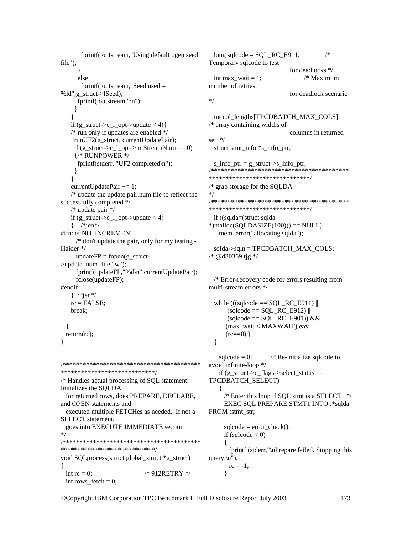```
/*fprintf(outstream,"Using default qgen seed
                                                    long sqlcode = SQL RC E911;
file"):
                                                  Temporary sqlcode to test
                                                                              for deadlocks */
     else
                                                    int max wait = 1;
                                                                                  /* Maximum
      fprintf(outstream,"Seedused =number of retries
%ld",g struct->lSeed);
                                                                              for deadlock scenario
                                                  */
     fprintf( outstream."\n"):
    ₹
                                                    int col_lengths[TPCDBATCH_MAX_COLS];
   if (g struct->c 1 opt->update < 4){
                                                  /* array containing widths of
   /* run only if updates are enabled */
                                                                              columns in returned
                                                  set */
    runUF2(g_struct, currentUpdatePair);
    if (g struct->c 1 opt->intStreamNum == 0)
                                                    struct stmt_info *s_info_ptr;
    {/* RUNPOWER */
     fprintf(stderr, "UF2 completed\n");
                                                    s_info_ptr = g__struct->s_info_ptr;
                                                  \mathcal{E}*******************************
   \mathcal{E}currentUpdatePair += 1;
                                                  /* grab storage for the SOLDA
   /* update the update.pair.num file to reflect the
                                                  successfully completed */
                                                  *******************************
   /* update pair */if (g_{\text{1}}\text{struct} > c_{\text{1}}\text{opt} > \text{update} < 4)if ((sqlda=(struct sqlda
   \frac{\text{#}}{\text{#}}*)malloc(SQLDASIZE(100))) == NULL)
#ifndef NO INCREMENT
                                                     mem error("allocating sqlda");
     /* don't update the pair, only for my testing -
Haider */
                                                    sqlda->sqln = TPCDBATCH_MAX_COLS;
                                                  * @d30369 tjg */
     updateFP = fopen(g struct-
>update num file,"w");
     fprintf(updateFP,"%d\n",currentUpdatePair);
     fclose(updateFP);
                                                    /* Error-recovery code for errors resulting from
                                                  multi-stream errors */
#endif
   \} /*jen*/
   rc = FALSE:
                                                    while (((\text{sglcode} == \text{SOL} \ \text{RC} \ \text{E911})break:
                                                        (sqlcode == SQL\_RC_E912)(sqlcode == SQL RC E901)) &(max_wait < MAXWAIT) &&
 \mathcal{E}(rc == 0))
 return(rc);\{\mathcal{E}salcode = 0:
                                                                       /* Re-initialize sqlcode to
avoid infinite-loop */
*****************************
                                                     if (g_{struct} >c_{flags} > select_{status} ==TPCDBATCH SELECT)
/* Handles actual processing of SQL statement.
Initializes the SOLDA
                                                     \{for returned rows, does PREPARE, DECLARE,
                                                       \frac{*}{*} Enter this loop if SOL stmt is a SELECT *EXEC SQL PREPARE STMT1 INTO :* sqlda
and OPEN statements and
 executed multiple FETCHes as needed. If not a
                                                  FROM :stmt_str;
SELECT statement,
 goes into EXECUTE IMMEDIATE section
                                                       sqlcode = error \text{ check});*if (sqlcode < 0)
*****************************
                                                         fprintf (stderr,"\nPrepare failed. Stopping this
void SQL process (struct global struct *g struct)
                                                  query.\ln");
                                                         rc = -1;
\{int rc = 0:
                            /* 912RETRY */
                                                       }
 int rows_fetch = 0;
```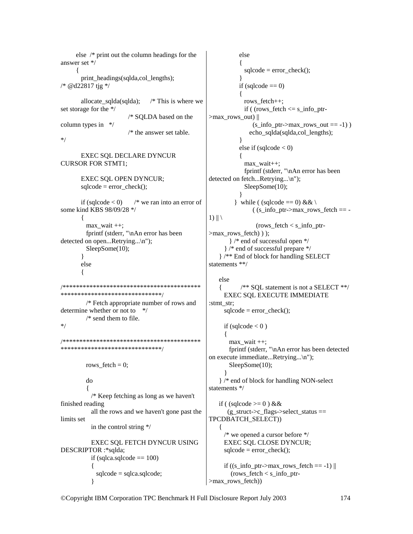else  $/*$  print out the column headings for the answer set \*/ print\_headings(sqlda,col\_lengths); /\* @d22817 tjg \*/ allocate sqlda(sqlda);  $\frac{1}{2}$  This is where we set storage for the \*/ /\* SQLDA based on the column types in  $*/$  $/*$  the answer set table.  $*$  / **EXEC SQL DECLARE DYNCUR CURSOR FOR STMT1; EXEC SQL OPEN DYNCUR;**  $\text{sqlcode} = \text{error} \text{ check}()$ ; if (sqlcode  $< 0$ )  $/*$  we ran into an error of some kind KBS 98/09/28 \*/ 1)  $\|\n\|$  $\left\{ \right.$  $max$  wait  $++$ ; fprintf (stderr, "\nAn error has been detected on open...Retrying...\n");  $SleepSome(10);$  $\mathcal{E}$ else  $\{$ \*\*\*\*\*\*\*\*\*\*\*\*\*\*\*\*\*\*\*\*\*\*\*\*\*\*\*\*\*\*\*  $/*$  Fetch appropriate number of rows and determine whether or not to  $*$  $/*$  send them to file.  $*$ / \*\*\*\*\*\*\*\*\*\*\*\*\*\*\*\*\*\*\*\*\*\*\*\*\*\*\*\*\*\*\*\* rows  $fetch = 0$ ; do  $/*$  Keep fetching as long as we haven't finished reading all the rows and we haven't gone past the limits set in the control string  $*/$  $\left\{ \right.$ EXEC SOL FETCH DYNCUR USING DESCRIPTOR :\*salda: if (sqlca.sqlcode  $== 100$ )  $\left\{ \right.$  $sqlcode = sqlca.sqlcode;$ 

else  $sqlcode = error_{check}();$ if (sqlcode  $==$  0) Ţ rows fetch++: if ( $\text{rows\_fetch} \leq \text{s\_info\_ptr}$  $>$ max\_rows\_out) || (s info ptr->max rows out == -1)) echo\_sqlda(sqlda,col\_lengths);  $\mathcal{E}$ else if  $(sqlcode < 0)$  $max\_wait++;$ fprintf (stderr, "\nAn error has been detected on fetch...Retrying...\n");  $SleepSome(10);$  $\mathcal{E}$ while ((sqlcode == 0) &  $\&$  \  $($  (s info ptr->max rows fetch == - $(\text{rows\_fetch} < s\_info\_ptr-)$  $>$ max rows fetch $)$ ); } /\* end of successful open \*/ }/\* end of successful prepare \*/ }/\*\* End of block for handling SELECT statements  $**/$ else /\*\* SQL statement is not a SELECT \*\*/ **EXEC SQL EXECUTE IMMEDIATE** :stmt str;  $sqlcode = error_{check}();$ if (sqlcode  $< 0$ ) max wait  $++$ ; fprintf (stderr, "\nAn error has been detected on execute immediate...Retrying...\n");  $SleepSome(10);$ }/\* end of block for handling NON-select statements  $*/$ if ((sqlcode  $\geq$  = 0) & &  $(g_struct \gt c_flags \gt \select\_status ==$ TPCDBATCH\_SELECT))  $*$  we opened a cursor before  $*$ / **EXEC SOL CLOSE DYNCUR:**  $sqlcode = error_{check}();$ if  $((s_info__ptr>max__rows__fetch == -1)$ (rows fetch  $\lt$  s info ptr->max\_rows\_fetch))

©Copyright IBM Corporation TPC Benchmark H Full Disclosure Report July 2003

₹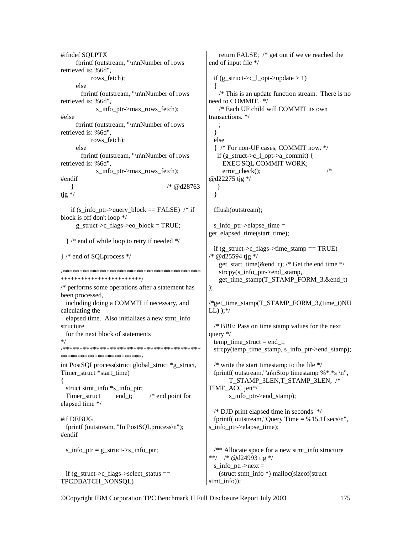#ifndef SOLPTX return FALSE; /\* get out if we've reached the fprintf (outstream, "\n\nNumber of rows end of input file \*/ retrieved is: %6d", rows fetch); if  $(g_{\text{1}}\text{struct} > c_{\text{1}}\text{opt} > \text{update} > 1)$ else fprintf (outstream, "\n\nNumber of rows  $/*$  This is an update function stream. There is no need to COMMIT. \*/ retrieved is: %6d". /\* Each UF child will COMMIT its own s info ptr->max rows fetch); transactions. \*/ #else fprintf (outstream, "\n\nNumber of rows retrieved is: %6d",  $\mathcal{E}$ rows fetch); else { /\* For non-UF cases, COMMIT now. \*/ else fprintf (outstream, "\n\nNumber of rows if  $(g_{struct} > c_l_{opt} > a_{committ})$  { retrieved is: %6d", **EXEC SQL COMMIT WORK;**  $/*$ s info ptr->max rows fetch);  $error$  check $()$ ; #endif @d22275 tjg \*/ /\* @d28763 }  $\mathcal{E}$  $tig \nmid$  $\mathcal{E}$ if (s info ptr->query block == FALSE) /\* if fflush(outstream); block is off don't loop \*/  $g_{\text{1}}$ struct->c\_flags->eo\_block = TRUE;  $s_$ info\_ptr->elapse\_time = get elapsed time(start time); }/\* end of while loop to retry if needed \*/ if  $(g_{\text{1}}\text{struct} > c_{\text{1}}\text{flags} > time_{\text{1}}\text{temp} == TRUE)$ /\* @d25594 tjg \*/ }/\* end of SOL process \*/ get start time(&end t); /\* Get the end time \*/ strcpy(s info ptr->end stamp, \*\*\*\*\*\*\*\*\*\*\*\*\*\*\*\*\*\*\*\*\*\*\*\* get time stamp(T STAMP FORM 3,&end t)  $/*$  performs some operations after a statement has  $\mathcal{E}$ been processed, including doing a COMMIT if necessary, and /\*get time stamp(T STAMP FORM 3,(time t)NU calculating the  $LL)$  );\*/ elapsed time. Also initializes a new stmt info structure  $/*$  BBE: Pass on time stamp values for the next for the next block of statements query  $*/$  $*$ / temp time struct = end t; strcpy(temp time stamp, s info ptr->end stamp); \*\*\*\*\*\*\*\*\*\*\*\*\*\*\*\*\*\*\*\*\*\*\*\* int PostSQLprocess(struct global struct \*g struct, /\* write the start timestamp to the file  $*/$ fprintf( outstream, "\n\nStop timestamp % \*.\* s \n", Timer struct \*start time) T STAMP 3LEN,T STAMP 3LEN, /\* ſ struct stmt info \*s info ptr; TIME ACC ien\*/ Timer struct end t;  $/*$  end point for s\_info\_ptr->end\_stamp); elapsed time \*/  $\frac{*}{*}$  DJD print elapsed time in seconds  $\frac{*}{*}$ #if DEBUG fprintf( outstream, "Query Time =  $% 15.1$ f secs\n", fprintf (outstream, "In PostSQLprocess\n"); s info ptr->elapse time); #endif s info ptr =  $g$  struct->s info ptr;  $/*$  Allocate space for a new stmt\_info structure \*\*/ /\* @d24993 tjg \*/ s info  $ptr$  > next = if (g struct->c flags->select status == (struct stmt info \*) malloc(sizeof(struct) TPCDBATCH\_NONSQL) stmt info));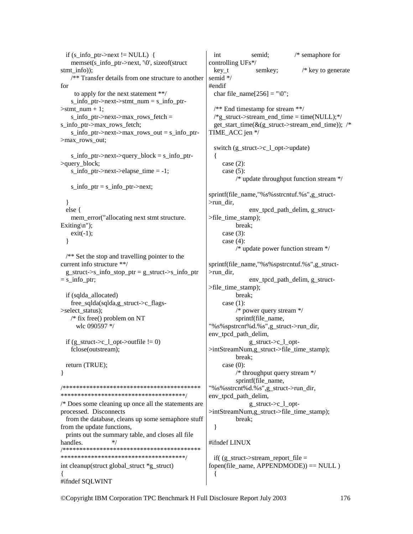if (s info ptr->next != NULL) { int semid:  $/*$  semaphore for memset(s info ptr->next,  $\sqrt{0}$ , sizeof(struct) controlling UFs\*/  $key_t$  $/*$  key to generate  $stmt_info);$ semkey; /\*\* Transfer details from one structure to another semid \*/ for #endif char file\_name[ $256$ ] = " $0$ "; to apply for the next statement \*\*/ s info ptr->next->stmt num = s info ptr- $/*$  End timestamp for stream \*\*/  $\ge$ stmt num + 1;  $\frac{*g_{\text{struct}}}{*}$  struct->stream\_end\_time = time(NULL);\*/  $s_info_ptr>next>max_rows_fetch =$ s info ptr->max rows fetch; get start time( $\&$ (g struct->stream end time)); /\*  $s_info_ptr>next>max_rows_out = s_info_ptr-$ TIME ACC jen \*/ >max rows out; switch (g\_struct->c\_l\_opt->update)  $s_info_ptr>next>query_block = s_info_ptr-$ >query\_block; case  $(2)$ : s info ptr->next->elapse time =  $-1$ ; case  $(5)$ : /\* update throughput function stream \*/ s info ptr = s info ptr->next; sprintf(file name,"%s%sstrcntuf.%s",g struct->run dir,  $\mathcal{F}$ env tpcd path delim, g struct $else$  { mem\_error("allocating next stmt structure.  $>$ file time stamp); Exiting $\langle n'' \rangle$ ; break: case  $(3)$ :  $exit(-1)$ ; case  $(4)$ : ₹  $/*$  update power function stream \*/  $/*$  Set the stop and travelling pointer to the current info structure \*\*/ sprintf(file name,"%s%spstrcntuf.%s",g structg struct->s info stop ptr = g struct->s info ptr  $>$ run dir,  $=$  s info ptr; env tpcd path delim, g struct->file time stamp); if (sqlda allocated) break: free sqlda(sqlda,g struct- $>c$  flagscase  $(1)$ : >select status);  $/*$  power query stream  $*/$ /\* fix free() problem on NT sprintf(file name, "%s%spstrcnt%d.%s",g\_struct->run\_dir, wlc 090597 \*/ env\_tpcd\_path\_delim, if (g struct->c 1 opt->outfile  $!= 0$ ) g struct- $\geq c$  1 optfclose(outstream); >intStreamNum.g struct->file time stamp); break: return (TRUE): case  $(0)$ : /\* throughput query stream  $*/$ } sprintf(file name, "%s%sstrcnt%d.%s",g\_struct->run\_dir, env\_tpcd\_path\_delim, /\* Does some cleaning up once all the statements are g\_struct->c\_l\_optprocessed. Disconnects >intStreamNum,g\_struct->file\_time\_stamp); from the database, cleans up some semaphore stuff break: from the update functions, ∤ prints out the summary table, and closes all file handles.  $*$ / #ifndef LINUX \*\*\*\*\*\*\*\*\*\*\*\*\*\*\*\*\*\*\*\*\*\*\*\*\*\*\*\*\*\*\*\*\*\*\*\*\*\* if( $(g \text{ struct}\text{-}$ stream report file = fopen(file name, APPENDMODE)) ==  $NULL$ ) int cleanup(struct global struct \*g struct)  $\{$ #ifndef SQLWINT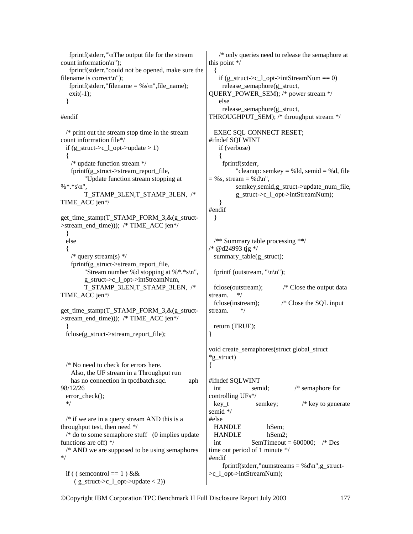fprintf(stderr,"\nThe output file for the stream count information\n"); fprintf(stderr,"could not be opened, make sure the filename is correct $\langle n'' \rangle$ ; fprintf(stderr,"filename = %s\n", file\_name);  $exit(-1);$ }

#endif

 /\* print out the stream stop time in the stream count information file\*/ if (g\_struct->c\_l\_opt->update > 1) { /\* update function stream \*/ fprintf(g\_struct->stream\_report\_file, "Update function stream stopping at %\*.\*s\n", T\_STAMP\_3LEN,T\_STAMP\_3LEN, /\* TIME\_ACC jen\*/ get\_time\_stamp(T\_STAMP\_FORM\_3,&(g\_struct- >stream\_end\_time))); /\* TIME\_ACC jen\*/ } else {  $/*$  query stream(s)  $*/$ fprintf(g\_struct->stream\_report\_file, "Stream number %d stopping at %\*.\*s\n", g\_struct->c\_l\_opt->intStreamNum, T\_STAMP\_3LEN,T\_STAMP\_3LEN, /\* TIME\_ACC jen\*/ get\_time\_stamp(T\_STAMP\_FORM\_3,&(g\_struct- >stream\_end\_time))); /\* TIME\_ACC jen\*/ } fclose(g\_struct->stream\_report\_file); /\* No need to check for errors here. Also, the UF stream in a Throughput run has no connection in tpcdbatch.sqc.  $aph$ 98/12/26 error\_check(); \*/  $/*$  if we are in a query stream AND this is a throughput test, then need \*/  $/*$  do to some semaphore stuff  $(0 \text{ implies update})$ functions are off) \*/ /\* AND we are supposed to be using semaphores \*/ } {

if ( ( semcontrol == 1 ) &  $\&$  $(g_{\text{1}}\text{struct} > c_{\text{1}}\text{opt} > \text{update} < 2)$ 

 /\* only queries need to release the semaphore at this point \*/ { if (g\_struct->c\_l\_opt->intStreamNum == 0) release\_semaphore(g\_struct, QUERY\_POWER\_SEM); /\* power stream \*/ else release\_semaphore(g\_struct, THROUGHPUT\_SEM); /\* throughput stream \*/ EXEC SQL CONNECT RESET; #ifndef SQLWINT if (verbose) { fprintf(stderr, "cleanup: semkey = % $ld$ , semid = % $d$ , file  $=$  %s, stream  $=$  %d\n", semkey, semid,g\_struct->update\_num\_file, g\_struct->c\_l\_opt->intStreamNum); } #endif } /\*\* Summary table processing \*\*/ /\* @d24993 tjg \*/ summary table(g\_struct); fprintf (outstream,  $"\n\ln"$ ); fclose(outstream); /\* Close the output data stream. \*/ fclose(instream); /\* Close the SQL input stream. \*/ return (TRUE); void create\_semaphores(struct global\_struct \*g\_struct) #ifndef SQLWINT int semid; /\* semaphore for controlling UFs\*/ key\_t semkey; /\* key to generate semid \*/ #else HANDLE hSem; HANDLE hSem2; int SemTimeout =  $600000$ ; /\* Des time out period of 1 minute \*/ #endif fprintf(stderr,"numstreams = %d\n",g\_struct->c\_l\_opt->intStreamNum);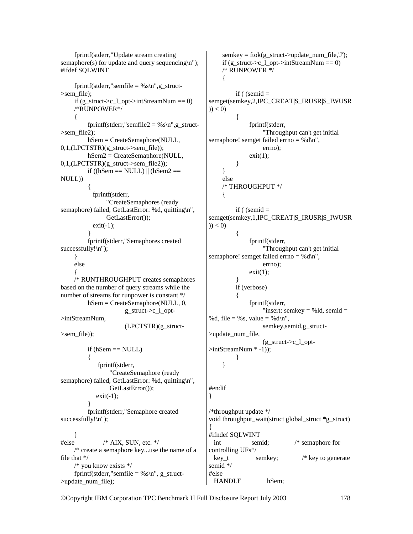fprintf(stderr,"Update stream creating semaphore(s) for update and query sequencing $\langle n'' \rangle$ ; #ifdef SQLWINT fprintf(stderr,"semfile = %s\n",g\_struct->sem\_file); if (g\_struct->c\_l\_opt->intStreamNum == 0) /\*RUNPOWER\*/ { fprintf(stderr,"semfile2 = %s\n",g\_struct->sem\_file2); hSem = CreateSemaphore(NULL,  $0,1,(LPCTSTR)(g_struct\rightarrow semfile)$ : hSem2 = CreateSemaphore(NULL, 0,1,(LPCTSTR)(g\_struct->sem\_file2)); if  $((hSem == NULL) || (hSem2 == ...)$ NULL))  $\left\{\begin{array}{ccc} \end{array}\right\}$  fprintf(stderr, "CreateSemaphores (ready semaphore) failed, GetLastError: %d, quitting\n", GetLastError());  $exit(-1);$  } fprintf(stderr,"Semaphores created successfully!\n"); } else  $\left\{\begin{array}{c} \end{array}\right\}$  /\* RUNTHROUGHPUT creates semaphores based on the number of query streams while the number of streams for runpower is constant \*/ hSem = CreateSemaphore(NULL, 0, g\_struct->c\_l\_opt- >intStreamNum, (LPCTSTR)(g\_struct- >sem\_file)); if  $(hSem == NULL)$  $\left\{\begin{array}{ccc} \end{array}\right\}$  fprintf(stderr, "CreateSemaphore (ready semaphore) failed, GetLastError: %d, quitting\n", GetLastError());  $exit(-1)$ ; } fprintf(stderr,"Semaphore created successfully!\n"); } #else /\* AIX, SUN, etc. \*/ /\* create a semaphore key...use the name of a file that \*/ /\* you know exists \*/ fprintf(stderr,"semfile =  $%s\n$ , g\_struct->update\_num\_file); semkey = ftok(g\_struct->update\_num\_file,'J'); if (g\_struct->c\_l\_opt->intStreamNum == 0) /\* RUNPOWER \*/ { if ( (semid  $=$ semget(semkey,2,IPC\_CREAT|S\_IRUSR|S\_IWUSR  $) < 0$  $\left\{\begin{array}{ccc} \end{array}\right\}$  fprintf(stderr, "Throughput can't get initial semaphore! semget failed errno = % $d\ln$ ", errno);  $exit(1);$  } } else /\* THROUGHPUT \*/ { if ( (semid  $=$ semget(semkey,1,IPC\_CREAT|S\_IRUSR|S\_IWUSR  $)) < 0$  $\left\{\begin{array}{ccc} \end{array}\right\}$  fprintf(stderr, "Throughput can't get initial semaphore! semget failed errno = % $d\ln$ ", errno);  $exit(1)$ : } if (verbose)  $\left\{ \begin{array}{c} 1 & 1 \\ 1 & 1 \end{array} \right\}$  fprintf(stderr, "insert: semkey = % $ld$ , semid = %d, file = %s, value = %d\n", semkey,semid,g\_struct- >update\_num\_file, (g\_struct- $>c$  1 opt->intStreamNum \* -1)); } } #endif } /\*throughput update \*/ void throughput\_wait(struct global\_struct \*g\_struct) { #ifndef SQLWINT int semid; /\* semaphore for controlling UFs\*/ key\_t semkey;  $/*$  key to generate semid \*/ #else HANDLE hSem;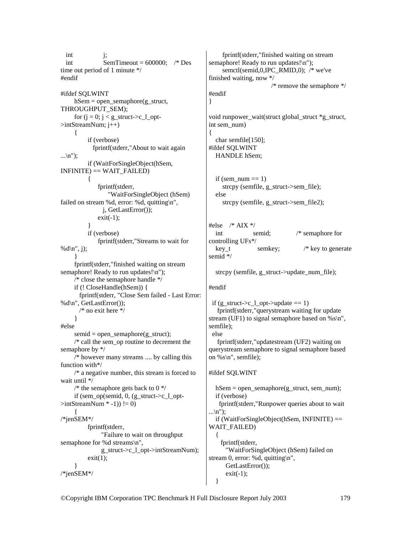int i; int SemTimeout =  $600000$ ; /\* Des time out period of 1 minute \*/ #endif #ifdef SQLWINT  $hSem = open$  semaphore(g\_struct, THROUGHPUT\_SEM); for  $(j = 0; j < g_{{\text{struct}}}>c_{{\text{1}}_{\text{opt}}}$  $\geq$ intStreamNum;  $j++$ ) { if (verbose) fprintf(stderr,"About to wait again  $\ldots$ \n"); if (WaitForSingleObject(hSem,  $INFINITE) == WAIT FAILED)$  $\{$  fprintf(stderr, "WaitForSingleObject (hSem) failed on stream %d, error: %d, quitting\n", j, GetLastError());  $exit(-1);$  } if (verbose) fprintf(stderr,"Streams to wait for % $d\langle n'', j\rangle$ ; } fprintf(stderr,"finished waiting on stream semaphore! Ready to run updates!\n"); /\* close the semaphore handle \*/ if (! CloseHandle(hSem)) { fprintf(stderr, "Close Sem failed - Last Error: %d\n", GetLastError()); /\* no exit here \*/ } #else semid = open\_semaphore(g\_struct); /\* call the sem\_op routine to decrement the semaphore by \*/ /\* however many streams .... by calling this function with\*/  $/* a negative number, this stream is forced to$ wait until \*/ /\* the semaphore gets back to  $0 \frac{*}{ }$ if (sem\_op(semid,  $0$ , (g\_struct->c\_l\_opt- $\text{SintStreamNum}$ \*-1)) != 0)  $\left\{\begin{array}{c} \end{array}\right\}$ /\*jenSEM\*/ fprintf(stderr, "Failure to wait on throughput semaphone for %d streams\n", g\_struct->c\_l\_opt->intStreamNum);  $exit(1);$  } /\*jenSEM\*/

 fprintf(stderr,"finished waiting on stream semaphore! Ready to run updates!\n"); semctl(semid,0,IPC\_RMID,0); /\* we've finished waiting, now \*/ /\* remove the semaphore \*/ #endif }

void runpower\_wait(struct global\_struct \*g\_struct, int sem\_num) { char semfile[150]; #ifdef SQLWINT

HANDLE hSem;

if (sem\_num  $== 1$ ) strcpy (semfile, g\_struct->sem\_file); else strcpy (semfile, g\_struct->sem\_file2);

#else  $/*$  AIX  $*/$  int semid; /\* semaphore for controlling UFs\*/ key\_t semkey;  $/*$  key to generate semid \*/

strcpy (semfile, g\_struct->update\_num\_file);

### #endif

```
if (g_struct->c_l_opt->update == 1)
    fprintf(stderr,"querystream waiting for update 
stream (UF1) to signal semaphore based on % \s\nn",
semfile);
```
 else fprintf(stderr,"updatestream (UF2) waiting on querystream semaphore to signal semaphore based on  $\%s\$ <sup>"</sup>, semfile);

#### #ifdef SQLWINT

hSem = open\_semaphore(g\_struct, sem\_num); if (verbose) fprintf(stderr,"Runpower queries about to wait  $\ldots$ \n"); if (WaitForSingleObject(hSem, INFINITE)  $==$ WAIT\_FAILED)  $\{$  fprintf(stderr, "WaitForSingleObject (hSem) failed on stream 0, error: %d, quitting\n", GetLastError());  $exit(-1);$ }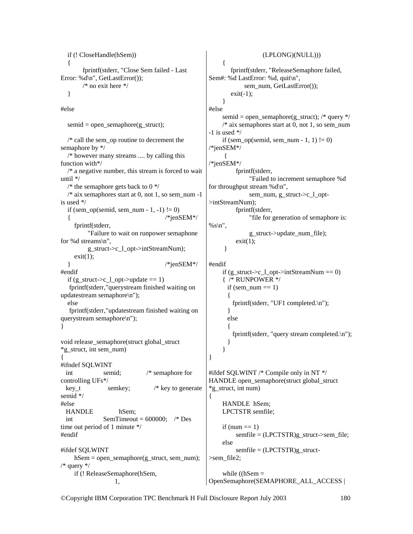```
 if (! CloseHandle(hSem)) 
   { 
        fprintf(stderr, "Close Sem failed - Last 
Error: %d\n", GetLastError()); 
        /* no exit here */ 
   } 
#else 
  semid = open_semaphore(g_struct);
   /* call the sem_op routine to decrement the 
semaphore by */ 
   /* however many streams .... by calling this 
function with*/ 
  /* a negative number, this stream is forced to waituntil */ 
  /* the semaphore gets back to 0 */
  /* aix semaphores start at 0, not 1, so sem_num -1
is used */ 
  if (sem_op(semid, sem_num - 1, -1) != 0)
  \{ /*jenSEM*/
      fprintf(stderr, 
          "Failure to wait on runpower semaphone 
for %d streams\n", 
          g_struct->c_l_opt->intStreamNum); 
    exit(1);\frac{1}{2} /*jenSEM*/
#endif 
  if (g_struct->c_l_opt->update == 1)
    fprintf(stderr,"querystream finished waiting on 
updatestream semaphore\n"); 
   else 
    fprintf(stderr,"updatestream finished waiting on 
querystream semaphore\n"); 
} 
void release_semaphore(struct global_struct 
*g_struct, int sem_num) 
{ 
#ifndef SQLWINT 
  int semid; /* semaphore for 
controlling UFs*/ 
 key t semkey; /* key to generate
semid */ 
#else 
  HANDLE hSem; 
 int SemTimeout = 600000; /* Des
time out period of 1 minute */ 
#endif 
#ifdef SQLWINT 
     hSem = open_semaphore(g_struct, sem_num); 
/* query */ 
     if (! ReleaseSemaphore(hSem, 
 1, 
                                                                        (LPLONG)(NULL))) 
                                                          { 
                                                             fprintf(stderr, "ReleaseSemaphore failed, 
                                                    Sem#: %d LastError: %d, quit\n", 
                                                                 sem_num, GetLastError());
                                                            exit(-1); } 
                                                    #else 
                                                         semid = open_semaphore(g_struct); /* query */
                                                         /* aix semaphores start at 0, not 1, so sem_num
                                                    -1 is used */if (sem_op(semid, sem_num - 1, 1) != 0)
                                                    /*jenSEM*/ 
                                                     \left\{\begin{array}{ccc} \end{array}\right\}/*jenSEM*/ 
                                                               fprintf(stderr, 
                                                                    "Failed to increment semaphore %d 
                                                    for throughput stream %d\n", 
                                                                    sem_num, g_struct->c_l_opt-
                                                    >intStreamNum); 
                                                               fprintf(stderr, 
                                                                    "file for generation of semaphore is: 
                                                    %s\n",
                                                                    g_struct->update_num_file); 
                                                              exit(1); } 
                                                    #endif 
                                                         if (g_struct->c_l_opt->intStreamNum == 0)
                                                          { /* RUNPOWER */ 
                                                           if (sem_num == 1)
                                                     \{ fprintf(stderr, "UF1 completed.\n"); 
                                                            } 
                                                            else 
                                                     \{ fprintf(stderr, "query stream completed.\n"); 
                                                      } 
                                                          } 
                                                    } 
                                                    #ifdef SQLWINT /* Compile only in NT */ 
                                                    HANDLE open_semaphore(struct global_struct 
                                                     *g_struct, int num) 
                                                    { 
                                                          HANDLE hSem; 
                                                          LPCTSTR semfile; 
                                                         if (num == 1)
                                                              semfile = (LPCTSTR)g struct->sem file;
                                                          else 
                                                              semfile = (LPCTSTR)g_struct->sem_file2; 
                                                         while ((hSem =OpenSemaphore(SEMAPHORE_ALL_ACCESS |
```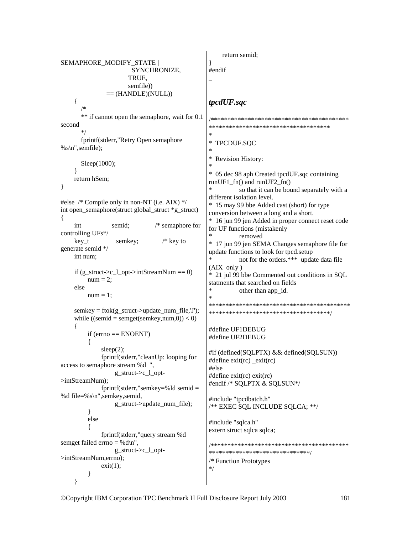```
return semid:
SEMAPHORE MODIFY STATE |
                                                  \mathcal{E}SYNCHRONIZE,
                                                  #endif
                      TRUE.
                      semfile))
               == (HANDLE)(NULL))
    \{tpcdUF.sqc
       ** if cannot open the semaphore, wait for 0.1
                                                  second
                                                  ************************************
                                                  j.
       fprintf(stderr,"Retry Open semaphore
                                                  *
                                                    TPCDUF.SQC
% s \nightharpoonup s: semfile);
                                                  \ast\astRevision History:
      Sleep(1000);
    \mathcal{E}* 05 dec 98 aph Created tpcdUF.sqc containing
    return hSem;
                                                  runUF1_fn() and runUF2_fn()\mathcal{E}so that it can be bound separately with a
                                                  different isolation level.
#else /* Compile only in non-NT (i.e. AIX) */* 15 may 99 bbe Added cast (short) for type
int open semaphore(struct global struct *g struct)
                                                  conversion between a long and a short.
\{* 16 jun 99 jen Added in proper connect reset code
                 semid;
                               /* semaphore for
    int
                                                  for UF functions (mistakenly
controlling UFs*/
                                                            removed
                                  /* key to
    key_tsemkey;
                                                  * 17 jun 99 jen SEMA Changes semaphore file for
generate semid */
                                                  update functions to look for tpcd.setup
    int num:
                                                            not for the orders.*** update data file
                                                  \ast(AIX only)if (g struct->c 1 opt->intStreamNum == 0)
                                                  * 21 jul 99 bbe Commented out conditions in SQL
         num = 2:
                                                  statments that searched on fields
    else
                                                            other than app_id.
                                                  \starnum = 1:
                                                  semkey = ftok(g_struct \rightarrow update\_num_file, 'J');*************************************
    while ((semid = semget(semkey, num, 0)) < 0)\{#define UF1DEBUG
         if (errno == ENOENT)#define UF2DEBUG
         \{sleep(2);
                                                  #if (defined(SQLPTX) && defined(SQLSUN))
             fprintf(stderr,"cleanUp: looping for
                                                  #define exit(rc) exit(rc)
access to semaphore stream %d ",
                                                  #else
                  g_struct->c_l_opt-
                                                  #define exit(rc) exit(rc)
>intStreamNum):
                                                  #endif /* SQLPTX & SQLSUN*/
             fprintf(stderr,"semkey=%ld semid =
%d file=%s\n",semkey,semid,
                                                  #include "tpcdbatch.h"
                  g struct->update num file);
                                                  /** EXEC SQL INCLUDE SQLCA; **/
         \}else
                                                  #include "sqlca.h"
                                                  extern struct sqlca sqlca;
             fprintf(stderr,"query stream %d
semget failed errno = %d\n".
                                                  g struct-\geq c 1 opt-
                                                  *******************************
\geqintStreamNum.errno):
                                                  /* Function Prototypes
             exit(1);
                                                  */
         \mathbf{R}\mathcal{E}
```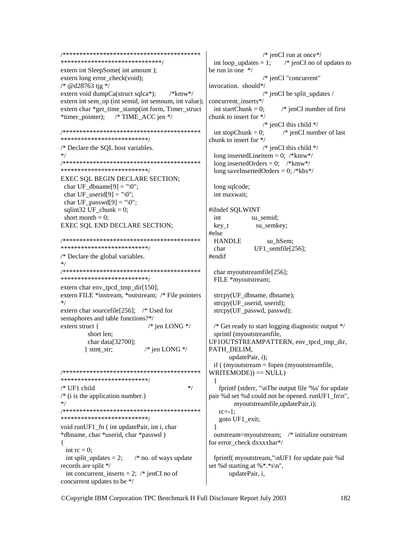```
******************************
extern int SleepSome( int amount );
extern long error check(void);
/* @d28763 tjg */
extern void dumpCa(struct sqlca*);
                               /*kmw*/extern int sem op (int semid, int semnum, int value):
extern char *get_time_stamp(int form, Timer_struct
              \frac{\text{N}}{\text{N}} TIME_ACC jen \frac{\text{N}}{\text{N}}*timer_pointer);
***************************
/* Declare the SQL host variables.
* /
***************************
EXEC SQL BEGIN DECLARE SECTION;
char UF dbname[9] = "\langle 0";
char UF userid[9] = "\0";char UF passwd[9] = "0";
sqlint 32 \text{UF} chunk = 0;
 short month = 0;
EXEC SQL END DECLARE SECTION;
***************************
/* Declare the global variables.
****************************
extern char env_tpcd_tmp_dir[150];
extern FILE *instream, *outstream; /* File pointers
*extern char sourcefile [256]; /* Used for
semaphores and table functions?*/
extern struct {
                         /* jen LONG */short len;
       char data[32700];
       \} stmt str;
                        /* jen LONG */**************************/
/* UF1 child
                                    */* (i is the application number.)
****************************
void runUF1 fn (int updatePair, int i, char
*dbname, char *userid, char *passwd)
\left\{ \right.int rc = 0:
 int split_updates = 2;
                     /* no. of ways update
records are split */
 int concurrent_inserts = 2; \frac{*}{*} jenCI no of
concurrent updates to be */
```

```
/* jenCI run at once*/
                          /* jenCI no of updates to
 int loop updates = 1;
be run in one */
                   /* jenCI "concurrent"
invocation. should*/
                   /* jenCI be split updates /
concurrent inserts*/
 int startChunk = 0:
                          /* jenCI number of first
chunk to insert for */
                   /* jenCI this child */int stopChunk = 0;
                          /* jenCI number of last
chunk to insert for */
                   /* jenCI this child */long insertedLineitem = 0; /*kmw*/long inserted Orders = 0; \frac{\text{m}}{\text{m}w^*}long saveInsertedOrders = 0; /*kbs*/
 long sqlcode;
 int maxwait:
#ifndef SOLWINT
 int
               su semid;
 key_tsu_semkey;
#else
 HANDLE
                    su_hSem;
                UF1_semfile[256];
 char
#endif
 char myoutstreamfile[256];
 FILE *myoutstream;
 strcpy(UF dbname, dbname);
 strcpy(UF userid, userid);
 strcpy(UF_passwd, passwd);
 /* Get ready to start logging diagnostic output */sprintf (myoutstreamfile,
UF1OUTSTREAMPATTERN, env tpcd tmp dir,
PATH DELIM.
       updatePair, i);
 if ( (myoutstream = fopen (myoutstreamfile,
WRITEMODE) == NULLfprintf (stderr, "\nThe output file '%s' for update
pair %d set %d could not be opened. runUF1_fn\n",
         myoutstreamfile,updatePair,i);
   rc=-1:
   goto UF1_exit;
 outstream=myoutstream; /* initialize outstream
for error check dxxxxhar*/
 fprintf( myoutstream,"\nUF1 for update pair %d
set %d starting at %*.*s\n",
       updatePair, i,
```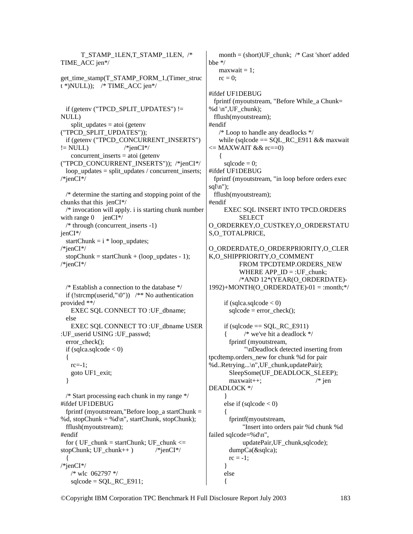T\_STAMP\_1LEN,T\_STAMP\_1LEN, /\* TIME\_ACC jen\*/ get time\_stamp(T\_STAMP\_FORM\_1,(Timer\_struc  $t$  \*)NULL)); /\* TIME\_ACC jen\*/ if (getenv ("TPCD\_SPLIT\_UPDATES")  $!=$ NULL) split updates  $=$  atoi (getenv ("TPCD\_SPLIT\_UPDATES")); if (getenv ("TPCD\_CONCURRENT\_INSERTS")  $!=$  NULL)  $\frac{\text{#jenc}}{1\text{#jenc}}$  concurrent\_inserts = atoi (getenv ("TPCD\_CONCURRENT\_INSERTS")); /\*jenCI\*/ loop updates = split updates / concurrent inserts; /\*jenCI\*/ /\* determine the starting and stopping point of the chunks that this jenCI\*/ /\* invocation will apply. i is starting chunk number with range  $0$  jenCI $*/$  $/*$  through (concurrent inserts -1) jenCI\*/ startChunk =  $i * loop\_update$ ; /\*jenCI\*/ stopChunk = startChunk + (loop\_updates - 1); /\*jenCI\*/ /\* Establish a connection to the database \*/ if (!strcmp(userid,"\0"))  $\frac{1}{2}$  No authentication provided \*\*/ EXEC SQL CONNECT TO :UF\_dbname; else EXEC SQL CONNECT TO :UF\_dbname USER :UF\_userid USING :UF\_passwd; error\_check(); if (sqlca.sqlcode  $< 0$ ) { rc=-1; goto UF1\_exit; } /\* Start processing each chunk in my range \*/ #ifdef UF1DEBUG fprintf (myoutstream, "Before loop a startChunk  $=$ %d, stopChunk = %d\n", startChunk, stopChunk); fflush(myoutstream); #endif for ( UF\_chunk = startChunk; UF\_chunk  $\leq$ stopChunk; UF\_chunk++ )  $\frac{\text{#jenCI*}}{\text{#jenCI*}}$  { /\*jenCI\*/ /\* wlc 062797 \*/  $sqlcode = SQL\_RC\_E911;$  $\left\{\right.$  $\left\{\begin{array}{ccc} \end{array}\right\}$ 

month =  $(short)UF$  chunk; /\* Cast 'short' added bbe \*/  $maxwait = 1;$  $rc = 0$ : #ifdef UF1DEBUG fprintf (myoutstream, "Before While a Chunk= %d \n", $UF$  chunk); fflush(myoutstream); #endif /\* Loop to handle any deadlocks \*/ while (sqlcode  $==$  SOL RC E911 && maxwait  $\leq$ = MAXWAIT && rc==0)  $sqlcode = 0;$ #ifdef UF1DEBUG fprintf (myoutstream, "in loop before orders exec sql $\ln$ "); fflush(myoutstream); #endif EXEC SQL INSERT INTO TPCD.ORDERS SELECT O\_ORDERKEY,O\_CUSTKEY,O\_ORDERSTATU S,O\_TOTALPRICE, O\_ORDERDATE,O\_ORDERPRIORITY,O\_CLER K,O\_SHIPPRIORITY,O\_COMMENT FROM TPCDTEMP.ORDERS\_NEW WHERE APP  $ID = :UF$  chunk; /\*AND 12\*(YEAR(O\_ORDERDATE)-  $1992$ )+MONTH(O\_ORDERDATE)-01 = :month;\*/ if (sqlca.sqlcode  $< 0$ )  $sqlcode = error_{check}();$ if (sqlcode  $==$  SQL\_RC\_E911)  $/*$  we've hit a deadlock  $*/$  fprintf (myoutstream, "\nDeadlock detected inserting from tpcdtemp.orders\_new for chunk %d for pair %d..Retrying...\n",UF\_chunk,updatePair); SleepSome(UF\_DEADLOCK\_SLEEP); maxwait++; /\* jen DEADLOCK \*/ } else if  $(sqlcode < 0)$  $\left\{\begin{array}{ccc} \end{array}\right\}$  fprintf(myoutstream, "Insert into orders pair %d chunk %d failed sqlcode=%d\n", updatePair,UF\_chunk,sqlcode); dumpCa(&sqlca);  $rc = -1$ ; } else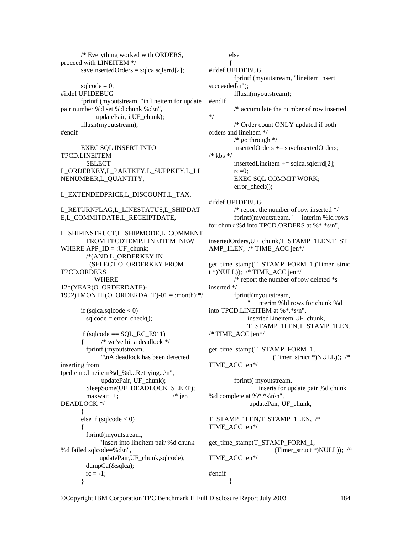/\* Everything worked with ORDERS, proceed with LINEITEM \*/ saveInsertedOrders = sqlca.sqlerrd[2];  $\text{sqlcode} = 0$ ; #ifdef UF1DEBUG fprintf (myoutstream, "in lineitem for update pair number %d set %d chunk %d\n", updatePair, i,UF\_chunk); fflush(myoutstream); #endif EXEC SQL INSERT INTO TPCD.LINEITEM SELECT L\_ORDERKEY,L\_PARTKEY,L\_SUPPKEY,L\_LI NENUMBER,L\_QUANTITY, L\_EXTENDEDPRICE,L\_DISCOUNT,L\_TAX, L\_RETURNFLAG,L\_LINESTATUS,L\_SHIPDAT E,L\_COMMITDATE,L\_RECEIPTDATE, L\_SHIPINSTRUCT,L\_SHIPMODE,L\_COMMENT FROM TPCDTEMP.LINEITEM\_NEW WHERE APP\_ID = :UF\_chunk; /\*(AND L\_ORDERKEY IN (SELECT O\_ORDERKEY FROM TPCD.ORDERS WHERE 12\*(YEAR(O\_ORDERDATE)-  $1992$ )+MONTH(O\_ORDERDATE)-01 = :month);\*/ if (sqlca.sqlcode  $< 0$ )  $sqlcode = error_{check}();$ if (sqlcode  $==$  SQL\_RC\_E911)  $/*$  we've hit a deadlock  $*/$  fprintf (myoutstream, "\nA deadlock has been detected inserting from tpcdtemp.lineitem%d\_%d...Retrying...\n", updatePair, UF\_chunk); SleepSome(UF\_DEADLOCK\_SLEEP); maxwait++; /\* jen DEADLOCK \*/ } else if  $(sqlcode < 0)$  $\{$  fprintf(myoutstream, "Insert into lineitem pair %d chunk %d failed sqlcode=%d\n", updatePair,UF\_chunk,sqlcode); dumpCa(&sqlca);  $rc = -1$ ; } else  $\left\{\begin{array}{ccc} \end{array}\right\}$ #ifdef UF1DEBUG fprintf (myoutstream, "lineitem insert succeeded\n"); fflush(myoutstream); #endif /\* accumulate the number of row inserted \*/ /\* Order count ONLY updated if both orders and lineitem \*/  $/*$  go through  $*/$  insertedOrders += saveInsertedOrders; /\* kbs \*/ insertedLineitem  $+=$  sqlca.sqlerrd[2];  $rc=0$ : EXEC SQL COMMIT WORK; error\_check(); #ifdef UF1DEBUG /\* report the number of row inserted \*/ fprintf(myoutstream, " interim %ld rows for chunk %d into TPCD.ORDERS at %\*.\*s\n", insertedOrders,UF\_chunk,T\_STAMP\_1LEN,T\_ST AMP\_1LEN, /\* TIME\_ACC jen\*/ get\_time\_stamp(T\_STAMP\_FORM\_1,(Timer\_struc  $t^*$ )NULL)); /\* TIME ACC jen\*/ /\* report the number of row deleted \*s inserted \*/ fprintf(myoutstream, " interim %ld rows for chunk %d into TPCD.LINEITEM at %\*.\*s\n", insertedLineitem,UF\_chunk, T\_STAMP\_1LEN,T\_STAMP\_1LEN, /\* TIME\_ACC jen\*/ get\_time\_stamp(T\_STAMP\_FORM\_1, TIME\_ACC jen\*/ fprintf( myoutstream, " inserts for update pair %d chunk %d complete at %\*.\*s\n\n", updatePair, UF\_chunk, T\_STAMP\_1LEN,T\_STAMP\_1LEN, /\* TIME\_ACC jen\*/ get\_time\_stamp(T\_STAMP\_FORM\_1, TIME\_ACC jen\*/ #endif }

©Copyright IBM Corporation TPC Benchmark H Full Disclosure Report July 2003 184

(Timer\_struct \*)NULL));  $/*$ 

(Timer\_struct \*)NULL)); /\*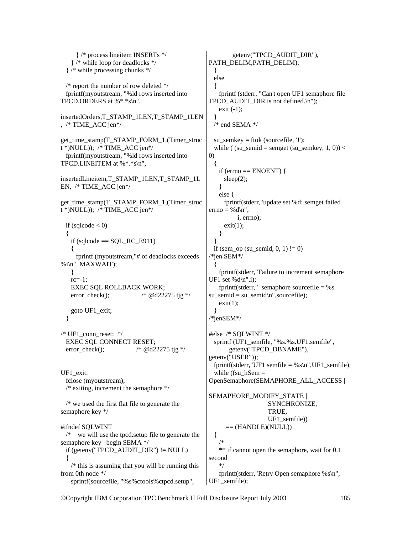} /\* process lineitem INSERTs \*/ } /\* while loop for deadlocks \*/ } /\* while processing chunks \*/ /\* report the number of row deleted \*/ fprintf(myoutstream, "%ld rows inserted into TPCD.ORDERS at %\*.\*s\n", insertedOrders,T\_STAMP\_1LEN,T\_STAMP\_1LEN , /\* TIME\_ACC jen\*/ get\_time\_stamp(T\_STAMP\_FORM\_1,(Timer\_struc  $t$ \*)NULL)); /\* TIME ACC jen\*/ fprintf(myoutstream, "%ld rows inserted into TPCD.LINEITEM at %\*.\*s\n", insertedLineitem,T\_STAMP\_1LEN,T\_STAMP\_1L EN, /\* TIME\_ACC jen\*/ get\_time\_stamp(T\_STAMP\_FORM\_1,(Timer\_struc  $t^*$ )NULL)); /\* TIME ACC jen\*/ if (sqlcode  $< 0$ ) {  $if (sqlcode == SQL\_RC\_E911)$  $\left\{\begin{array}{c}1\end{array}\right\}$  fprintf (myoutstream,"# of deadlocks exceeds %i\n", MAXWAIT); }  $rc=-1$ : EXEC SQL ROLLBACK WORK; error check();  $/* @d22275$  tjg \*/ goto UF1\_exit; }  $/*$  UF1 conn reset:  $*/$  EXEC SQL CONNECT RESET; error check();  $\frac{\partial^*}{\partial x^*}$  /\* @d22275 tjg \*/ UF1\_exit: fclose (myoutstream); /\* exiting, increment the semaphore \*/ /\* we used the first flat file to generate the semaphore key \*/ #ifndef SQLWINT /\* we will use the tpcd.setup file to generate the semaphore key begin SEMA \*/ if (getenv("TPCD\_AUDIT\_DIR") != NULL) {  $/*$  this is assuming that you will be running this from 0th node \*/ sprintf(sourcefile, "%s%ctools%ctpcd.setup", getenv("TPCD\_AUDIT\_DIR"), PATH\_DELIM,PATH\_DELIM); } else  $\{$  fprintf (stderr, "Can't open UF1 semaphore file TPCD\_AUDIT\_DIR is not defined.\n"); exit  $(-1)$ ; }  $/*$  end SEMA  $*/$ su\_semkey = ftok (sourcefile,  $'$ J'); while ( (su\_semid = semget (su\_semkey, 1, 0)) < 0) { if (errno  $==$  ENOENT) { sleep(2); } else { fprintf(stderr,"update set %d: semget failed  $errno = %d\nu$ ", i, errno);  $exit(1);$  } } if (sem\_op (su\_semid,  $0, 1$ ) != 0) /\*jen SEM\*/ { fprintf(stderr,"Failure to increment semaphore UF1 set % $d\ln$ ",i); fprintf(stderr," semaphore sourcefile  $=$  %s su\_semid = su\_semid $n$ ",sourcefile);  $exit(1)$ ; } /\*jenSEM\*/ #else /\* SQLWINT \*/ sprintf (UF1\_semfile, "%s.%s.UF1.semfile", getenv("TPCD\_DBNAME"), getenv("USER")); fprintf(stderr,"UF1 semfile =  $%s\n$ ,",UF1 semfile); while ((su  $hSem =$ OpenSemaphore(SEMAPHORE\_ALL\_ACCESS | SEMAPHORE\_MODIFY\_STATE | SYNCHRONIZE, TRUE, UF1\_semfile))  $==$  (HANDLE)(NULL)) { /\* \*\* if cannot open the semaphore, wait for 0.1 second \*/ fprintf(stderr,"Retry Open semaphore %s\n", UF1\_semfile);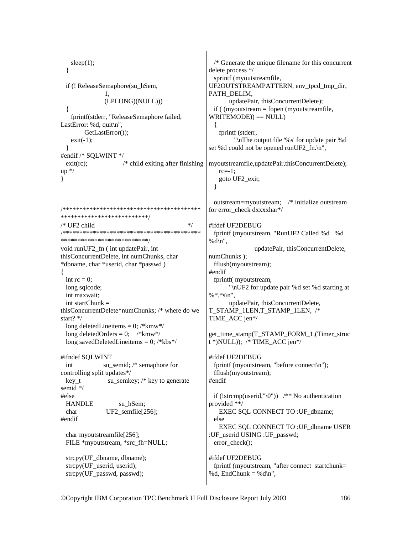```
/* Generate the unique filename for this concurrent
   sleep(1);\mathcal{E}delete process */
                                                   sprintf (myoutstreamfile,
 if (! ReleaseSemaphore(su hSem,
                                                  UF2OUTSTREAMPATTERN, env_tpcd_tmp_dir,
                                                  PATH DELIM.
               \mathbf{1}(LPLONG)(NULL)))
                                                         updatePair, thisConcurrentDelete):
                                                   if ( (myoutstream = fopen (myoutstreamfile,
 \{WRITEMODE) == NULL)fprintf(stderr, "ReleaseSemaphore failed,
LastError: %d, quit\ln",
        GetLastError()):
                                                     fprintf (stderr,
   exit(-1);"\nThe output file '%s' for update pair %d
                                                  set %d could not be opened runUF2 fn.\n",
 \mathcal{E}#endif /* SQLWINT */
 exit(rc);/* child exiting after finishing
                                                  myoutstreamfile, updatePair, thisConcurrentDelete);
up */
                                                     rc=-1:
                                                     goto UF2 exit;
\mathcal{F}\mathcal{E}outstream=myoutstream; /* initialize outstream
for error check dxxxxhar*/
***************************
                                           */* UF2 child
                                                  #ifdef UF2DEBUG
fprintf (myoutstream, "RunUF2 Called %d %d
***************************
                                                  %d\n",
void runUF2_fn (int updatePair, int
                                                                 updatePair, thisConcurrentDelete,
thisConcurrentDelete, int numChunks, char
                                                  numChunks);
*dbname, char *userid, char *passwd)
                                                   fflush(myoutstream);
ł
                                                  #endif
 int rc = 0:
                                                    fprintf(myoutstream,
 long sqlcode;
                                                         "\nUF2 for update pair %d set %d starting at
 int maxwait:
                                                  %*.*s\n".
 int startChunk =updatePair, thisConcurrentDelete,
thisConcurrentDelete*numChunks; /* where do we
                                                  T_STAMP_1LEN,T_STAMP_1LEN, /*
start? */TIME ACC jen*/
 long deleted Lineitems = 0; /*kmw*/
 long deletedOrders = 0; \frac{\text{m}}{\text{m}} \end{math}
                                                  get_time_stamp(T_STAMP_FORM_1,(Timer_struc
 long savedDeletedLineitems = 0; /*kbs*/
                                                  t*)NULL)); /* TIME_ACC jen*/
#ifndef SOLWINT
                                                  #ifdef UF2DEBUG
              su semid; /* semaphore for
                                                    fprintf (myoutstream, "before connect\n");
 int
controlling split updates*/
                                                   fflush(myoutstream);
               su semkey; /* key to generate
                                                  #endif
 kev t
semid */
#else
                                                   if (!strcmp(userid,"\0")) /* No authentication
                                                  provided **/
 HANDLE
                   su hSem;
                                                     EXEC SQL CONNECT TO : UF_dbname;
 char
               UF2_semfile[256];
#endif
                                                   else
                                                     EXEC SQL CONNECT TO : UF dbname USER
 char myoutstreamfile[256];
                                                  :UF userid USING :UF passwd;
 FILE *myoutstream, *src fh=NULL;
                                                   error check();
 strcpy(UF dbname, dbname);
                                                  #ifdef UF2DEBUG
                                                   fprintf (myoutstream, "after connect startchunk=
 strcpy(UF userid, userid);
 strcpy(UF passwd, passwd);
                                                  %d, EndChunk = %d\n",
```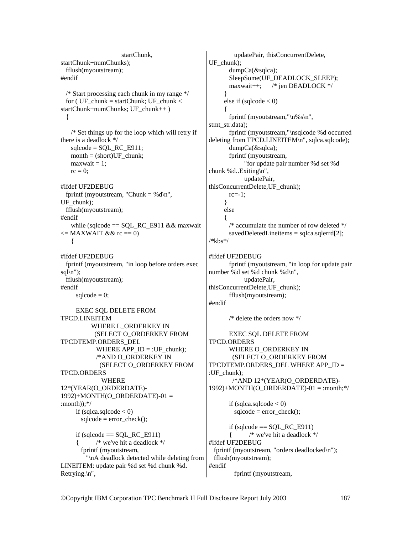startChunk, startChunk+numChunks); fflush(myoutstream); #endif /\* Start processing each chunk in my range \*/ for ( UF\_chunk = startChunk; UF\_chunk < startChunk+numChunks; UF\_chunk++ ) { /\* Set things up for the loop which will retry if there is a deadlock \*/  $sqlcode = SQL RC E911;$  $month = (short)UF_chunk;$  $maxwait = 1;$  $rc = 0$ ; #ifdef UF2DEBUG fprintf (myoutstream, "Chunk = % $d \n\rightharpoonup$ ", UF chunk); fflush(myoutstream); #endif while (sqlcode  $==$  SQL\_RC\_E911 && maxwait  $\leq$ = MAXWAIT && rc == 0) { #ifdef UF2DEBUG fprintf (myoutstream, "in loop before orders exec  $\text{sgl}\n$ "); fflush(myoutstream); #endif sqlcode  $= 0$ ; EXEC SQL DELETE FROM TPCD.LINEITEM WHERE L\_ORDERKEY IN (SELECT O\_ORDERKEY FROM TPCDTEMP.ORDERS\_DEL WHERE APP  $ID = :UF$  chunk); /\*AND O\_ORDERKEY IN (SELECT O\_ORDERKEY FROM TPCD.ORDERS WHERE 12\*(YEAR(O\_ORDERDATE)- 1992)+MONTH(O\_ORDERDATE)-01 = :month));\*/ if (sqlca.sqlcode  $< 0$ )  $sqlcode = error_{check}();$ if (sqlcode  $==$  SQL RC E911)  $/*$  we've hit a deadlock  $*/$  fprintf (myoutstream, "\nA deadlock detected while deleting from LINEITEM: update pair %d set %d chunk %d. Retrying.\n",

 updatePair, thisConcurrentDelete, UF\_chunk); dumpCa(&sqlca); SleepSome(UF\_DEADLOCK\_SLEEP); maxwait++; /\* jen DEADLOCK \*/ } else if  $(sqlcode < 0)$  $\left\{\begin{array}{ccc} \end{array}\right\}$  fprintf (myoutstream,"\n%s\n", stmt\_str.data); fprintf (myoutstream,"\nsqlcode %d occurred deleting from TPCD.LINEITEM\n", sqlca.sqlcode); dumpCa(&sqlca); fprintf (myoutstream, "for update pair number %d set %d chunk %d..Exiting\n", updatePair, thisConcurrentDelete,UF\_chunk);  $rc=-1$ : } else { /\* accumulate the number of row deleted \*/  $savedDeletedLine items = 2;$ /\*kbs\*/ #ifdef UF2DEBUG fprintf (myoutstream, "in loop for update pair number %d set %d chunk %d\n", updatePair, thisConcurrentDelete,UF\_chunk); fflush(myoutstream); #endif /\* delete the orders now \*/ EXEC SQL DELETE FROM TPCD.ORDERS WHERE O\_ORDERKEY IN (SELECT O\_ORDERKEY FROM TPCDTEMP.ORDERS\_DEL WHERE APP\_ID = :UF\_chunk); /\*AND 12\*(YEAR(O\_ORDERDATE)-  $1992$ )+MONTH(O\_ORDERDATE)-01 = :month;\*/ if (sqlca.sqlcode  $< 0$ )

 $sqlcode = error_{check}();$ 

if (sqlcode  $==$  SQL RC E911)  $/*$  we've hit a deadlock  $*/$ #ifdef UF2DEBUG fprintf (myoutstream, "orders deadlocked\n"); fflush(myoutstream); #endif

fprintf (myoutstream,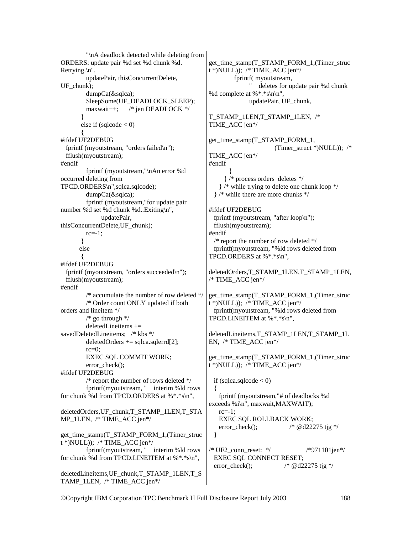"\nA deadlock detected while deleting from ORDERS: update pair %d set %d chunk %d. Retrying.\n", updatePair, thisConcurrentDelete, UF\_chunk); dumpCa(&sqlca); SleepSome(UF\_DEADLOCK\_SLEEP); maxwait++; /\* jen DEADLOCK \*/ } else if  $(sqlcode < 0)$  $\left\{\begin{array}{ccc} \end{array}\right\}$ #ifdef UF2DEBUG fprintf (myoutstream, "orders failed\n"); fflush(myoutstream); #endif fprintf (myoutstream,"\nAn error %d occurred deleting from TPCD.ORDERS\n",sqlca.sqlcode); dumpCa(&sqlca); fprintf (myoutstream,"for update pair number %d set %d chunk %d..Exiting\n", updatePair, thisConcurrentDelete,UF\_chunk); rc=-1; } else  $\left\{\begin{array}{ccc} \end{array}\right\}$ #ifdef UF2DEBUG fprintf (myoutstream, "orders succeeded\n"); fflush(myoutstream); #endif /\* accumulate the number of row deleted \*/ /\* Order count ONLY updated if both orders and lineitem \*/ /\* go through \*/  $deledLine items +=$ savedDeletedLineitems; /\* kbs \*/  $deletedOrders += sqlca.sqlerrd[2];$  $rc=0$ ; EXEC SQL COMMIT WORK; error\_check(); #ifdef UF2DEBUG /\* report the number of rows deleted \*/ fprintf(myoutstream, " interim %ld rows for chunk %d from TPCD.ORDERS at %\*.\*s\n", deletedOrders,UF\_chunk,T\_STAMP\_1LEN,T\_STA MP\_1LEN, /\* TIME\_ACC jen\*/ get\_time\_stamp(T\_STAMP\_FORM\_1,(Timer\_struc  $t^*$ )NULL)); /\* TIME\_ACC jen\*/ fprintf(myoutstream, " interim %ld rows for chunk %d from TPCD.LINEITEM at %\*.\*s\n", deletedLineitems,UF\_chunk,T\_STAMP\_1LEN,T\_S TAMP\_1LEN, /\* TIME\_ACC jen\*/ #endif } #endif { rc=-1; }

get\_time\_stamp(T\_STAMP\_FORM\_1,(Timer\_struc t \*)NULL)); /\* TIME\_ACC jen\*/ fprintf( myoutstream, " deletes for update pair %d chunk %d complete at %\*.\*s\n\n", updatePair, UF\_chunk, T\_STAMP\_1LEN,T\_STAMP\_1LEN, /\* TIME\_ACC jen\*/ get\_time\_stamp(T\_STAMP\_FORM\_1, (Timer\_struct \*)NULL)); /\* TIME\_ACC jen\*/ } /\* process orders deletes \*/ } /\* while trying to delete one chunk loop \*/ } /\* while there are more chunks \*/ #ifdef UF2DEBUG fprintf (myoutstream, "after loop\n"); fflush(myoutstream); /\* report the number of row deleted \*/ fprintf(myoutstream, "%ld rows deleted from TPCD.ORDERS at  $%$ \*.\*s\n", deletedOrders,T\_STAMP\_1LEN,T\_STAMP\_1LEN,  $/*$  TIME ACC jen $*/$ get time\_stamp(T\_STAMP\_FORM\_1,(Timer\_struc  $t$  \*)NULL)); /\* TIME\_ACC jen\*/ fprintf(myoutstream, "%ld rows deleted from TPCD.LINEITEM at %\*.\*s\n", deletedLineitems,T\_STAMP\_1LEN,T\_STAMP\_1L EN, /\* TIME\_ACC jen\*/ get time\_stamp(T\_STAMP\_FORM\_1,(Timer\_struc  $t^*$ )NULL)); /\* TIME\_ACC jen\*/ if (sqlca.sqlcode  $< 0$ ) fprintf (myoutstream,"# of deadlocks %d exceeds %i\n", maxwait,MAXWAIT); EXEC SQL ROLLBACK WORK; error check();  $\frac{\partial^*}{\partial q} = \frac{d^*q}{22275}$  tjg \*/  $/$ \* UF2 conn reset: \*/ /\*971101jen\*/ EXEC SQL CONNECT RESET; error check();  $\frac{\partial^*}{\partial q} = \frac{d^*q}{22275}$  tig \*/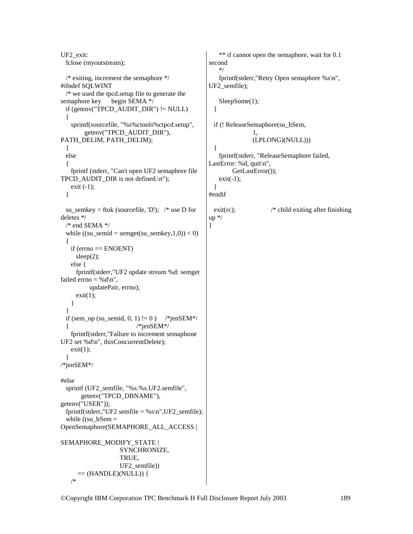UF2\_exit: fclose (myoutstream); /\* exiting, increment the semaphore \*/ #ifndef SQLWINT /\* we used the tpcd.setup file to generate the semaphore key begin SEMA  $*/$ if (getenv("TPCD\_AUDIT\_DIR")  $!=$  NULL) { sprintf(sourcefile, "%s%ctools%ctpcd.setup", getenv("TPCD\_AUDIT\_DIR"), PATH\_DELIM, PATH\_DELIM); } else { fprintf (stderr, "Can't open UF2 semaphore file TPCD AUDIT DIR is not defined. $\ln$ "); exit  $(-1)$ ; } su\_semkey = ftok (sourcefile, 'D'); /\* use D for deletes \*/ /\* end SEMA \*/ while ((su\_semid = semget(su\_semkey,1,0)) < 0) { if (errno == ENOENT) sleep(2); else { fprintf(stderr,"UF2 update stream %d: semget failed errno = % $d \n\cdot n$ ", updatePair, errno);  $exit(1);$  } } if (sem\_op (su\_semid,  $0, 1$ )  $!= 0$ ) /\*jenSEM\*/  $\frac{1}{\sqrt{2}}$  /\*jenSEM\*/ fprintf(stderr,"Failure to increment semaphone UF2 set %d\n", thisConcurrentDelete);  $exit(1)$ ; } /\*jenSEM\*/ #else sprintf (UF2 semfile, "%s.%s.UF2.semfile", getenv("TPCD\_DBNAME"), getenv("USER")); fprintf(stderr,"UF2 semfile =  $%s\n$ ,",UF2\_semfile); while  $((su_hSem =$ OpenSemaphore(SEMAPHORE\_ALL\_ACCESS | SEMAPHORE\_MODIFY\_STATE | SYNCHRONIZE, TRUE, UF2\_semfile))  $==$  (HANDLE)(NULL)) { /\*

```
 ** if cannot open the semaphore, wait for 0.1 
second 
    */ 
    fprintf(stderr,"Retry Open semaphore %s\n", 
UF2_semfile); 
   SleepSome(1);
   } 
  if (! ReleaseSemaphore(su_hSem, 
                  1, 
                  (LPLONG)(NULL))) 
   { 
    fprintf(stderr, "ReleaseSemaphore failed, 
LastError: %d, quit\n",
          GetLastError()); 
   exit(-1); } 
#endif 
 exit(rc); \frac{1}{2} /* child exiting after finishing
up */ 
}
```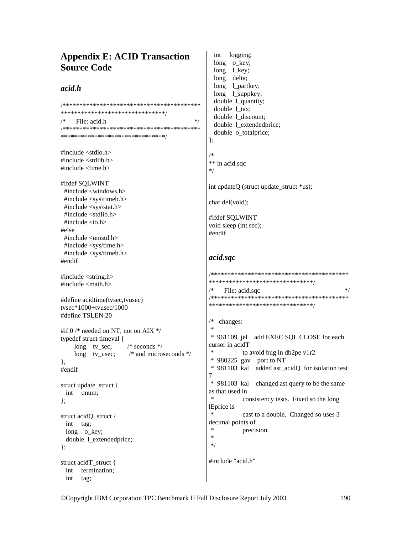# **Appendix E: ACID Transaction Source Code**

## $acid.h$

\*\*\*\*\*\*\*\*\*\*\*\*\*\*\*\*\*\*\*\*\*\*\*\*\*\*\*\*\*\*\*\*  $/*$  $*$ / File: acid.h  $\}$ #include <stdio.h>  $/*$ #include  $\lt$ stdlib.h  $>$ #include <time.h>  $*$ / #ifdef SOLWINT #include <windows.h> #include <sys\timeb.h> #include <sys\stat.h> #include <stdlib.h> #include  $\langle$ io.h $>$ #else #endif #include <unistd.h> #include <sys/time.h> #include <sys/timeb.h> acid.sqc #endif #include <string.h> #include <math.h> #define acidtime(tysec,tyusec) tysec\*1000+tyusec/1000 #define TSLEN 20 /\*  $\ast$ #if  $0$  /\* needed on NT, not on AIX \*/ typedef struct timeval { long tv\_sec;  $/*$  seconds  $*/$  $\ast$ long tv\_usec;  $/*$  and microseconds  $*/$  $\mathcal{E}$ #endif 7 struct update\_struct { int qnum;  $\ast$  $\}$ lEprice is  $\ast$ struct acidQ struct { int tag; long o key; j. double 1 extendedprice;  $*$ /  $\}$ ; struct acidT struct { int termination; int tag;

int logging; long o\_key; long  $1$  key;  $long$ delta; long 1\_partkey; long 1\_suppkey; double 1 quantity; double 1 tax; double 1\_discount; double 1 extendedprice; double o\_totalprice; \*\* in acid.sqc int updateO (struct update struct \*us); char del(void); #ifdef SQLWINT void sleep (int sec); \*\*\*\*\*\*\*\*\*\*\*\*\*\*\*\*\*\*\*\*\*\*\*\*\*\*\*\*\*\*\*\* File: acid.sac  $*$ / \*\*\*\*\*\*\*\*\*\*\*\*\*\*\*\*\*\*\*\*\*\*\*\*\*\*\*\*\*\*\*\* changes: \* 961109 jel add EXEC SQL CLOSE for each cursor in acidT to avoid bug in db2pe v1r2  $*$  980225 gav port to NT \* 981103 kal added ast\_acidQ for isolation test \* 981103 kal changed ast query to be the same as that used in consistency tests. Fixed so the long cast to a double. Changed so uses 3 decimal points of precision. #include "acid.h"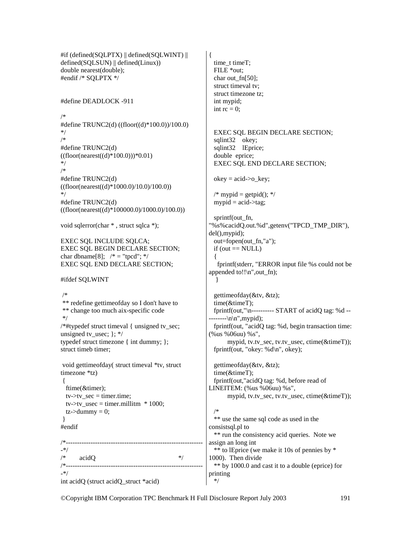#if (defined(SQLPTX) || defined(SQLWINT) || defined(SQLSUN) || defined(Linux)) double nearest(double); #endif /\* SQLPTX \*/

#define DEADLOCK -911

/\* #define TRUNC2(d) ((floor((d)\*100.0))/100.0) \*/ /\* #define TRUNC2(d)  $((floor(nearest((d)*100.0)))*0.01)$ \*/ /\* #define TRUNC2(d)  $((floor(nearest((d)*1000.0)/10.0)/100.0))$ \*/ #define TRUNC2(d)  $((floor(nearest((d)*100000.0)/1000.0)/100.0))$ 

```
void sqlerror(char * , struct sqlca *);
```
EXEC SQL INCLUDE SQLCA; EXEC SQL BEGIN DECLARE SECTION; char dbname[8];  $/* = "tpcd"; */$ EXEC SQL END DECLARE SECTION;

#ifdef SQLWINT

 /\* \*\* redefine gettimeofday so I don't have to \*\* change too much aix-specific code \*/ /\*#typedef struct timeval { unsigned tv\_sec; unsigned tv\_usec;  $\}$ ; \*/ typedef struct timezone { int dummy; }; struct timeb timer; void gettimeofday( struct timeval \*tv, struct timezone \*tz)

```
 { 
  ftime(&timer); 
tv->tv_sec = timer.time;
tv->tv usec = timer.millitm * 1000;
tz->dummy = 0;
```

```
 } 
#endif
```
/\*------------------------------------------------------------- -\*/ /\* acidQ \*/ /\*------------------------------------------------------------- -\*/ int acidQ (struct acidQ\_struct \*acid)

{ time t timeT; FILE \*out; char out  $fn[50]$ ; struct timeval tv; struct timezone tz; int mypid; int  $rc = 0$ : EXEC SQL BEGIN DECLARE SECTION; sqlint32 okey; sqlint32 lEprice; double eprice; EXEC SQL END DECLARE SECTION;  $okey = acid \rightarrow o\;key;$  $\frac{\partial^*}{\partial x^*}$  mypid = getpid(); \*/ mypid  $=$  acid- $>$ tag; sprintf(out fn, "%s%cacidQ.out.%d",getenv("TPCD\_TMP\_DIR"), del(),mypid); out=fopen(out\_fn,"a");  $if (out == NULL)$  { fprintf(stderr, "ERROR input file %s could not be appended to!! $\ln$ ", out fn); } gettimeofday(&tv, &tz); time(&timeT); fprintf(out," $\eta$ ----------- START of acidQ tag: %d -- $---\n\frac{n}{n}$ , mypid); fprintf(out, "acidQ tag: %d, begin transaction time: (%us %06uu) %s", mypid, tv.tv\_sec, tv.tv\_usec, ctime(&timeT)); fprintf(out, "okey: %d\n", okey); gettimeofday(&tv, &tz); time(&timeT); fprintf(out,"acidQ tag: %d, before read of LINEITEM: (%us %06uu) %s", mypid, tv.tv\_sec, tv.tv\_usec, ctime(&timeT)); /\* \*\* use the same sql code as used in the consistsql.pl to \*\* run the consistency acid queries. Note we assign an long int \*\* to lEprice (we make it 10s of pennies by \* 1000). Then divide \*\* by 1000.0 and cast it to a double (eprice) for printing \*/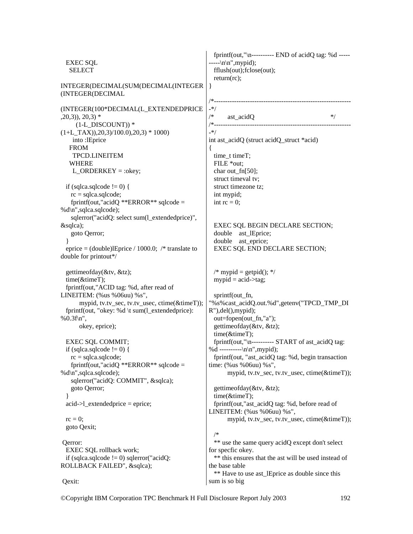EXEC SQL SELECT INTEGER(DECIMAL(SUM(DECIMAL(INTEGER (INTEGER(DECIMAL (INTEGER(100\*DECIMAL(L\_EXTENDEDPRICE  $(20,3)$ ,  $20,3$ ) \*  $(1-L$  DISCOUNT))  $*$  $(1+L_TAX))$ , 20, 3)/100.0), 20, 3) \* 1000) into :lEprice FROM TPCD.LINEITEM WHERE L\_ORDERKEY = :okey; if (sqlca.sqlcode  $!= 0$ ) {  $rc = sqlca.sqlcode;$  fprintf(out,"acidQ \*\*ERROR\*\* sqlcode = %d\n",sqlca.sqlcode); sqlerror("acidQ: select sum(l\_extendedprice)", &sqlca); goto Qerror; } eprice = (double)lEprice / 1000.0; /\* translate to double for printout\*/ gettimeofday(&tv, &tz); time(&timeT); fprintf(out,"ACID tag: %d, after read of LINEITEM: (%us %06uu) %s", mypid, tv.tv\_sec, tv.tv\_usec, ctime(&timeT)); fprintf(out, "okey: %d \t sum(l\_extendedprice): %0.3f\n", okey, eprice); EXEC SQL COMMIT; if (sqlca.sqlcode  $!= 0$ ) {  $rc = sqlca.sqlcode;$ fprintf(out,"acidQ \*\*ERROR\*\* sqlcode = %d\n",sqlca.sqlcode); sqlerror("acidQ: COMMIT", &sqlca); goto Qerror; }  $acid$ ->l extendedprice = eprice;  $rc = 0$ ; goto Qexit; Qerror: EXEC SOL rollback work: if (sqlca.sqlcode  $!=$  0) sqlerror("acidQ: ROLLBACK FAILED", &sqlca); Qexit: fprintf(out,"\n---------- END of acidQ tag: %d -----  $---\n\ln^n, mypid);$  fflush(out);fclose(out); return(rc); } /\*------------------------------------------------------------- -\*/  $\frac{1}{*}$  ast\_acidQ  $\frac{1}{*}$ /\*------------------------------------------------------------- -\*/ int ast\_acidQ (struct acidQ\_struct \*acid) { time\_t timeT; FILE \*out; char out  $fn[50]$ ; struct timeval tv; struct timezone tz; int mypid; int  $rc = 0$ ; EXEC SQL BEGIN DECLARE SECTION; double ast lEprice; double ast eprice; EXEC SQL END DECLARE SECTION;  $/*$  mypid = getpid(); \*/  $mypid = acid$ - $\geq$ tag; sprintf(out fn, "%s%cast\_acidQ.out.%d",getenv("TPCD\_TMP\_DI R"),del(),mypid); out=fopen(out\_fn,"a"); gettimeofday(&tv, &tz); time(&timeT); fprintf(out,"\n---------- START of ast\_acidQ tag: %d ---------- $\ln\langle n', m \rangle$  fprintf(out, "ast\_acidQ tag: %d, begin transaction time: (%us %06uu) %s", mypid, tv.tv\_sec, tv.tv\_usec, ctime(&timeT)); gettimeofday(&tv, &tz); time(&timeT); fprintf(out,"ast\_acidQ tag: %d, before read of LINEITEM: (%us %06uu) %s", mypid, tv.tv\_sec, tv.tv\_usec, ctime(&timeT)); /\* \*\* use the same query acidQ except don't select for specfic okey. \*\* this ensures that the ast will be used instead of the base table \*\* Have to use ast lEprice as double since this sum is so big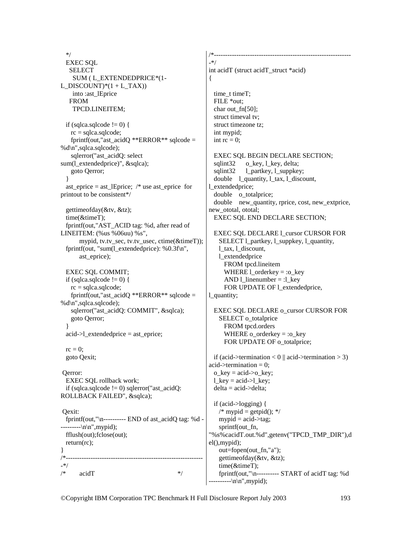\*/ EXEC SQL SELECT SUM ( L\_EXTENDEDPRICE\*(1- L\_DISCOUNT)\* $(1 + L TAX)$  into :ast\_lEprice FROM TPCD.LINEITEM; if (sqlca.sqlcode  $!= 0$ ) { rc = sqlca.sqlcode; fprintf(out,"ast\_acidQ \*\*ERROR\*\* sqlcode = %d\n",sqlca.sqlcode); sqlerror("ast\_acidQ: select sum(l\_extendedprice)", &sqlca); goto Qerror; } ast eprice = ast lEprice; /\* use ast eprice for printout to be consistent\*/ gettimeofday(&tv, &tz); time(&timeT); fprintf(out,"AST\_ACID tag: %d, after read of LINEITEM: (%us %06uu) %s", mypid, tv.tv\_sec, tv.tv\_usec, ctime(&timeT)); fprintf(out, "sum(l\_extendedprice): %0.3f\n", ast\_eprice); EXEC SQL COMMIT; if (sqlca.sqlcode  $!= 0$ ) {  $rc = sqlca.sqlcode;$ fprintf(out,"ast\_acidQ \*\*ERROR\*\* sqlcode = %d\n",sqlca.sqlcode); sqlerror("ast\_acidQ: COMMIT", &sqlca); goto Qerror; } acid->l\_extendedprice = ast\_eprice;  $rc = 0$ : goto Qexit; Qerror: EXEC SQL rollback work; if (sqlca.sqlcode  $!= 0$ ) sqlerror("ast acidQ: ROLLBACK FAILED", &sqlca); Qexit: fprintf(out,"\n---------- END of ast\_acidQ tag: %d -  $-----\n\ln^n, mypid);$  fflush(out);fclose(out); return(rc); } /\*------------------------------------------------------------- -\*/  $\frac{1}{*}$  acidT  $\frac{1}{*}$ /\*------------------------------------------------------------- -\*/ int acidT (struct acidT\_struct \*acid) { time t timeT; FILE \*out; char out  $fn[50]$ ; struct timeval tv; struct timezone tz; int mypid; int  $rc = 0$ ; EXEC SQL BEGIN DECLARE SECTION; sqlint32 o\_key, l\_key, delta; sqlint32 1 partkey, 1 suppkey; double 1 quantity, 1 tax, 1 discount, extendedprice; double o\_totalprice; double new quantity, rprice, cost, new extprice, new\_ototal, ototal; EXEC SQL END DECLARE SECTION; EXEC SOL DECLARE 1 cursor CURSOR FOR SELECT l\_partkey, l\_suppkey, l\_quantity, l\_tax, l\_discount, l\_extendedprice FROM tpcd.lineitem WHERE  $1$  orderkey = :o key AND 1 linenumber = :1 key FOR UPDATE OF 1 extendedprice, l\_quantity; EXEC SQL DECLARE o\_cursor CURSOR FOR SELECT o\_totalprice FROM tpcd.orders WHERE o\_orderkey = :o\_key FOR UPDATE OF o\_totalprice; if (acid->termination < 0 || acid->termination > 3)  $acid$ ->termination = 0:  $o$ \_key = acid-> $o$ \_key; l key = acid- $>l$  key;  $delta = acid$   $>delta$ : if (acid->logging) {  $/*$  mypid = getpid(); \*/  $mypid = acid$ - $tag;$ sprintf(out fn, "%s%cacidT.out.%d",getenv("TPCD\_TMP\_DIR"),d el(),mypid); out=fopen(out\_fn,"a"); gettimeofday(&tv, &tz); time(&timeT); fprintf(out,"\n---------- START of acidT tag: %d  $-----\n\ln^n, mypid);$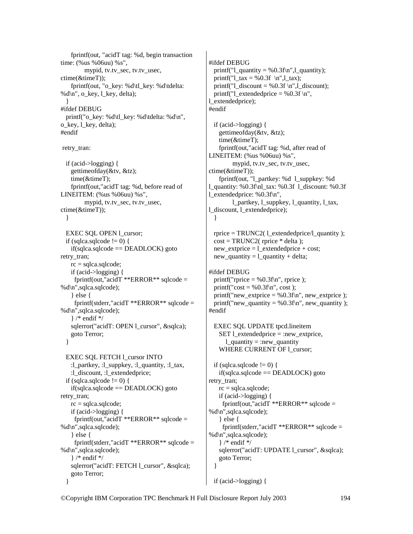fprintf(out, "acidT tag: %d, begin transaction time: (%us %06uu) %s", mypid, tv.tv\_sec, tv.tv\_usec, ctime(&timeT)); fprintf(out, "o\_key: %d\tl\_key: %d\tdelta: % $d\ln$ ", o key, l key, delta); } #ifdef DEBUG printf("o\_key: %d\tl\_key: %d\tdelta: %d\n", o\_key, l\_key, delta); #endif retry\_tran: if (acid->logging) { gettimeofday(&tv, &tz); time(&timeT); fprintf(out,"acidT tag: %d, before read of LINEITEM: (%us %06uu) %s", mypid, tv.tv\_sec, tv.tv\_usec, ctime(&timeT)); } EXEC SOL OPEN 1 cursor; if (sqlca.sqlcode  $!= 0$ ) { if(sqlca.sqlcode == DEADLOCK) goto retry\_tran;  $rc = sqlca.sqlcode;$  if (acid->logging) { fprintf(out,"acidT \*\*ERROR\*\* sqlcode = %d\n",sqlca.sqlcode); } else { fprintf(stderr,"acidT \*\*ERROR\*\* sqlcode = %d\n",sqlca.sqlcode); } /\* endif \*/ sqlerror("acidT: OPEN l\_cursor", &sqlca); goto Terror; } EXEC SQL FETCH 1 cursor INTO :l\_partkey, :l\_suppkey, :l\_quantity, :l\_tax, :l\_discount, :l\_extendedprice; if (sqlca.sqlcode  $!= 0$ ) {  $if(sq|ca.sq|code == DEADLOCK)$  goto retry\_tran;  $rc = sqlca.sqlcode;$  if (acid->logging) { fprintf(out,"acidT \*\*ERROR\*\* sqlcode = %d\n",sqlca.sqlcode); } else { fprintf(stderr,"acidT \*\*ERROR\*\* sqlcode = %d\n",sqlca.sqlcode); } /\* endif \*/ sqlerror("acidT: FETCH 1 cursor", &sqlca);

goto Terror;

}

#ifdef DEBUG printf(" $l$ \_quantity = %0.3f\n", $l$ \_quantity); printf("l\_tax = %0.3f \n",l\_tax); printf(" $l$ \_discount = %0.3f \n", $l$ \_discount); printf("l\_extendedprice = %0.3f \n", l\_extendedprice); #endif if (acid->logging) { gettimeofday(&tv, &tz); time(&timeT); fprintf(out,"acidT tag: %d, after read of LINEITEM: (%us %06uu) %s", mypid, tv.tv\_sec, tv.tv\_usec, ctime(&timeT)); fprintf(out, "l\_partkey: %d l\_suppkey: %d l\_quantity: %0.3f\nl\_tax: %0.3f l\_discount: %0.3f l\_extendedprice: %0.3f\n", l\_partkey, l\_suppkey, l\_quantity, l\_tax, l\_discount, l\_extendedprice); } rprice = TRUNC2(1 extendedprice/l quantity );  $cost = TRUNC2$  (rprice  $*$  delta); new extprice  $= 1$  extendedprice + cost;  $new\_quantity = 1\_quantity + delta;$ #ifdef DEBUG printf("rprice  $=$  %0.3f\n", rprice ); printf(" $cost = %0.3f\$ n",  $cost$ ); printf("new\_extprice = %0.3f\n", new\_extprice ); printf("new\_quantity =  $% 0.3$ f $\n\pi$ ", new\_quantity ); #endif EXEC SQL UPDATE tpcd.lineitem SET l\_extendedprice = :new\_extprice, l\_quantity = :new\_quantity WHERE CURRENT OF 1\_cursor; if (sqlca.sqlcode  $!= 0$ ) {  $if(sq) \cdot \text{gcd} = \text{DEADLOCK}$  goto retry tran; rc = sqlca.sqlcode; if (acid->logging) { fprintf(out,"acidT \*\*ERROR\*\* sqlcode = %d\n",sqlca.sqlcode); } else { fprintf(stderr,"acidT \*\*ERROR\*\* sqlcode = %d\n",sqlca.sqlcode);

 } /\* endif \*/ sqlerror("acidT: UPDATE l\_cursor", &sqlca); goto Terror; }

```
 if (acid->logging) {
```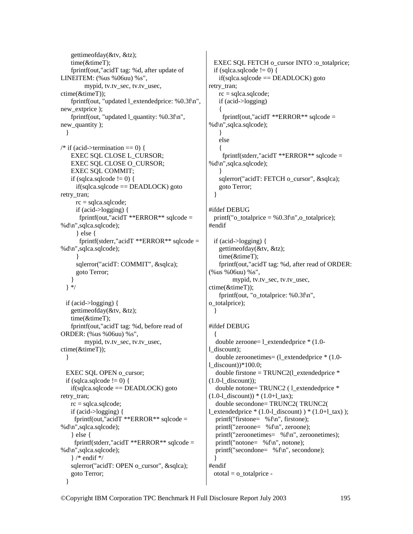```
 gettimeofday(&tv, &tz); 
    time(&timeT); 
    fprintf(out,"acidT tag: %d, after update of 
LINEITEM: (%us %06uu) %s", 
         mypid, tv.tv_sec, tv.tv_usec, 
ctime(&timeT)); 
   fprintf(out, "updated 1 extendedprice: %0.3f\n",
new_extprice ); 
    fprintf(out, "updated l_quantity: %0.3f\n", 
new_quantity ); 
   } 
/* if (acid->termination == 0) {
    EXEC SQL CLOSE L_CURSOR; 
    EXEC SQL CLOSE O_CURSOR; 
    EXEC SQL COMMIT; 
   if (sqlca.sqlcode != 0) {
     if(sq) \cdot \text{gcd} = \text{DEADLOCK} goto
retry tran;
      rc = sqlca.sqlcode; 
      if (acid->logging) { 
      fprintf(out,"acidT **ERROR** sqlcode =
%d\n",sqlca.sqlcode); 
      } else { 
       fprintf(stderr,"acidT **ERROR** sqlcode = 
%d\n",sqlca.sqlcode); 
 } 
     sqlerror("acidT: COMMIT", &sqlca);
      goto Terror; 
 } 
   } */ 
  if (acid->logging) { 
    gettimeofday(&tv, &tz); 
    time(&timeT); 
    fprintf(out,"acidT tag: %d, before read of 
ORDER: (%us %06uu) %s", 
         mypid, tv.tv_sec, tv.tv_usec, 
ctime(&timeT)); 
   } 
 EXEC SOL OPEN o_cursor;
 if (sqlca.sqlcode != 0) {
   if(sq|ca.sq|code == DEADLOCK) goto
retry_tran; 
   rc = sqlca.sqlcode; if (acid->logging) { 
     fprintf(out,"acidT **ERROR** sqlcode =
%d\n",sqlca.sqlcode); 
     } else { 
     fprintf(stderr,"acidT **ERROR** sqlcode =
%d\n",sqlca.sqlcode); 
    } /* endif */ 
   sqlerror("acidT: OPEN o_cursor", &sqlca);
    goto Terror; 
   }
```

```
EXEC SQL FETCH o_cursor INTO :o_totalprice;
 if (sqlca.sqlcode != 0) {
   if(sq) \cdot \text{gcd} = \text{DEADLOCK} goto
retry_tran; 
   rc = 1sqlcode;
    if (acid->logging) 
\left\{\right.fprintf(out,"acidT **ERROR** sqlcode =
%d\n",sqlca.sqlcode); 
    } 
    else 
\left\{\right. fprintf(stderr,"acidT **ERROR** sqlcode = 
%d\n",sqlca.sqlcode); 
 } 
   sqlerror("acidT: FETCH o_cursor", &sqlca);
    goto Terror; 
  } 
#ifdef DEBUG 
 printf("o_{totalprice} = %0.3f\n",o_{totalprice});
#endif 
  if (acid->logging) { 
    gettimeofday(&tv, &tz); 
    time(&timeT); 
    fprintf(out,"acidT tag: %d, after read of ORDER: 
(%us %06uu) %s", 
         mypid, tv.tv_sec, tv.tv_usec, 
ctime(&timeT)); 
   fprintf(out, "o_totalprice: %0.3f\n",
o_totalprice); 
  } 
#ifdef DEBUG 
 { 
   double zeroone= l_extendedprice * (1.0- 
l_discount); 
   double zeroonetimes= (l_extendedprice * (1.0- 
l_discount)*100.0;
  double firstone = TRUNC2(1) extendedprice *(1.0-1 discount));
  double notone= TRUNC2 (1 extendedprice *
(1.0-1_discount)) * (1.0+1_tax);
   double secondone= TRUNC2( TRUNC2( 
l extendedprice *(1.0-1 discount) )*(1.0+1 tax) ;
   printf("firstone= %f\n", firstone); 
   printf("zeroone= %f\n", zeroone); 
   printf("zeroonetimes= %f\n", zeroonetimes); 
   printf("notone= %f\n", notone); 
   printf("secondone= %f\n", secondone); 
  } 
#endif 
 ototal = o\_totalprice -
```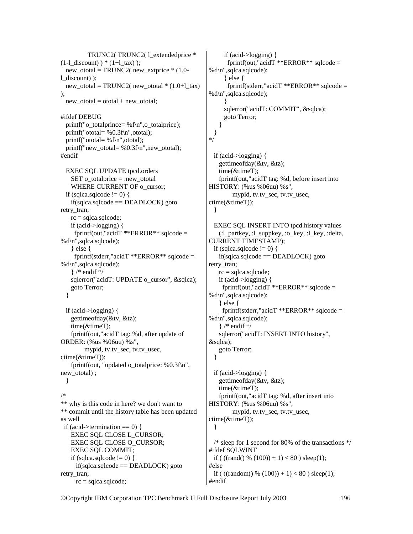TRUNC2(TRUNC2(1 extendedprice \*  $(1-l_discount)$  )  $*(1+l_tax)$  ); new\_ototal = TRUNC2( new\_extprice \* (1.0 l\_discount) );  $new\_ototal = TRUNC2$ ( $new\_ototal * (1.0+1\_tax)$ ); new ototal = ototal + new ototal; #ifdef DEBUG printf("o\_totalprince= %f\n",o\_totalprice); printf("ototal= %0.3f\n",ototal); printf("ototal= %f\n",ototal); printf("new\_ototal=  $% 0.3$ f $\n\pi$ ",new\_ototal); #endif EXEC SQL UPDATE tpcd.orders SET o totalprice  $=$  :new ototal WHERE CURRENT OF o\_cursor; if (sqlca.sqlcode  $!= 0$ ) {  $if(sq) \cdot \text{gcd} = \text{DEADLOCK}$  goto retry tran; rc = sqlca.sqlcode; if (acid->logging) { fprintf(out,"acidT \*\*ERROR\*\* sqlcode = %d\n",sqlca.sqlcode); } else { fprintf(stderr,"acidT \*\*ERROR\*\* sqlcode = %d\n",sqlca.sqlcode); } /\* endif \*/ sqlerror("acidT: UPDATE o\_cursor", &sqlca); goto Terror; } if (acid->logging) { gettimeofday(&tv, &tz); time(&timeT); fprintf(out,"acidT tag: %d, after update of ORDER: (%us %06uu) %s", mypid, tv.tv\_sec, tv.tv\_usec, ctime(&timeT)); fprintf(out, "updated o\_totalprice:  $%0.3f\$ n", new\_ototal) ; } /\* \*\* why is this code in here? we don't want to \*\* commit until the history table has been updated as well if (acid->termination  $== 0$ ) { EXEC SQL CLOSE L\_CURSOR; EXEC SQL CLOSE O\_CURSOR; EXEC SQL COMMIT; if (sqlca.sqlcode  $!= 0$ ) {  $if(sq) \geq$ ca.sqlcode = DEADLOCK) goto retry tran; rc = sqlca.sqlcode;

 if (acid->logging) { fprintf(out,"acidT \*\*ERROR\*\* sqlcode = %d\n",sqlca.sqlcode); } else { fprintf(stderr,"acidT \*\*ERROR\*\* sqlcode = %d\n",sqlca.sqlcode); } sqlerror("acidT: COMMIT", &sqlca); goto Terror; } } \*/ if (acid->logging) { gettimeofday(&tv, &tz); time(&timeT); fprintf(out,"acidT tag: %d, before insert into HISTORY: (%us %06uu) %s", mypid, tv.tv\_sec, tv.tv\_usec, ctime(&timeT)); } EXEC SQL INSERT INTO tpcd.history values (:1 partkey, :1 suppkey, :o\_key, :1 key, :delta, CURRENT TIMESTAMP); if (sqlca.sqlcode  $!= 0$ ) {  $if(sqlca.sqlcode == DEADLOCK)$  goto retry tran;  $rc = sqlca.sqlcode;$  if (acid->logging) { fprintf(out,"acidT \*\*ERROR\*\* sqlcode = %d\n",sqlca.sqlcode); } else { fprintf(stderr,"acid $T$  \*\*ERROR\*\* sqlcode = %d\n",sqlca.sqlcode); } /\* endif \*/ sqlerror("acidT: INSERT INTO history", &sqlca); goto Terror; } if (acid->logging) { gettimeofday(&tv, &tz); time(&timeT); fprintf(out,"acidT tag: %d, after insert into HISTORY: (%us %06uu) %s", mypid, tv.tv\_sec, tv.tv\_usec, ctime(&timeT)); }  $/*$  sleep for 1 second for 80% of the transactions  $*/$ #ifdef SQLWINT if ( ((rand() % (100)) + 1) < 80 ) sleep(1); #else if ( ((random() % (100)) + 1) < 80 ) sleep(1);

#endif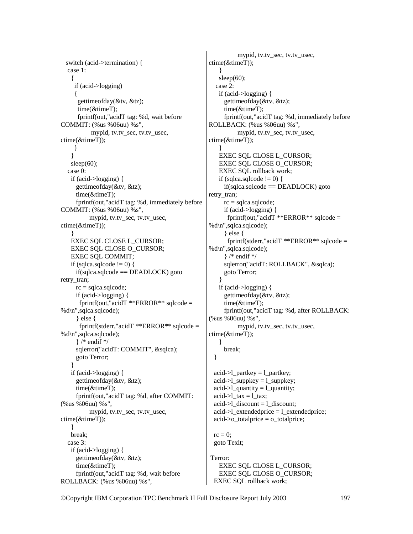switch (acid->termination) { case 1:  $\{$  if (acid->logging) { gettimeofday(&tv, &tz); time(&timeT); fprintf(out,"acidT tag: %d, wait before COMMIT: (%us %06uu) %s", mypid, tv.tv\_sec, tv.tv\_usec, ctime(&timeT)); } } sleep $(60)$ ; case 0: if (acid->logging) { gettimeofday(&tv, &tz); time(&timeT); fprintf(out,"acidT tag: %d, immediately before COMMIT: (%us %06uu) %s", mypid, tv.tv\_sec, tv.tv\_usec, ctime(&timeT)); } EXEC SQL CLOSE L\_CURSOR; EXEC SQL CLOSE O\_CURSOR; EXEC SQL COMMIT; if (sqlca.sqlcode  $!= 0$ ) {  $if(sq) \cdot \text{gcd} = \text{DEADLOCK}$  goto retry tran;  $rc = sqlca.sqlcode;$  if (acid->logging) { fprintf(out,"acid $T$  \*\*ERROR\*\* sqlcode = %d\n",sqlca.sqlcode); } else { fprintf(stderr,"acidT \*\*ERROR\*\* sqlcode = %d\n",sqlca.sqlcode); } /\* endif \*/ sqlerror("acidT: COMMIT", &sqlca); goto Terror; } if (acid->logging) { gettimeofday(&tv, &tz); time(&timeT); fprintf(out,"acidT tag: %d, after COMMIT: (%us %06uu) %s", mypid, tv.tv\_sec, tv.tv\_usec, ctime(&timeT)); } break; case 3: if (acid->logging) { gettimeofday(&tv, &tz); time(&timeT); fprintf(out,"acidT tag: %d, wait before ROLLBACK: (%us %06uu) %s",

 mypid, tv.tv\_sec, tv.tv\_usec, ctime(&timeT)); } sleep $(60)$ ; case 2: if (acid->logging) { gettimeofday(&tv, &tz); time(&timeT); fprintf(out,"acidT tag: %d, immediately before ROLLBACK: (%us %06uu) %s", mypid, tv.tv\_sec, tv.tv\_usec, ctime(&timeT)); } EXEC SQL CLOSE L\_CURSOR; EXEC SQL CLOSE O\_CURSOR; EXEC SQL rollback work; if (sqlca.sqlcode  $!= 0$ ) {  $if(sq) \cdot \text{gcd} = \text{DEADLOCK}$  goto retry tran;  $rc = sqlca.sqlcode;$  if (acid->logging) { fprintf(out,"acid $T$  \*\*ERROR\*\* sqlcode = %d\n",sqlca.sqlcode); } else { fprintf(stderr,"acidT \*\*ERROR\*\* sqlcode = %d\n",sqlca.sqlcode); } /\* endif \*/ sqlerror("acidT: ROLLBACK", &sqlca); goto Terror; } if (acid->logging) { gettimeofday(&tv, &tz); time(&timeT); fprintf(out,"acidT tag: %d, after ROLLBACK: (%us %06uu) %s", mypid, tv.tv\_sec, tv.tv\_usec, ctime(&timeT)); } break; } acid- $>l$  partkey = l\_partkey; acid- $>l$  suppkey = l\_suppkey; acid- $>l$  quantity = l\_quantity;  $acid$ ->l\_tax = l\_tax;  $acid$ ->l\_discount = l\_discount;  $acid$ ->l extendedprice = l extendedprice;  $acid$ - $>o_{total}$  price =  $o_{total}$  price;  $rc = 0$ ; goto Texit; Terror: EXEC SQL CLOSE L\_CURSOR; EXEC SQL CLOSE O\_CURSOR;

EXEC SQL rollback work;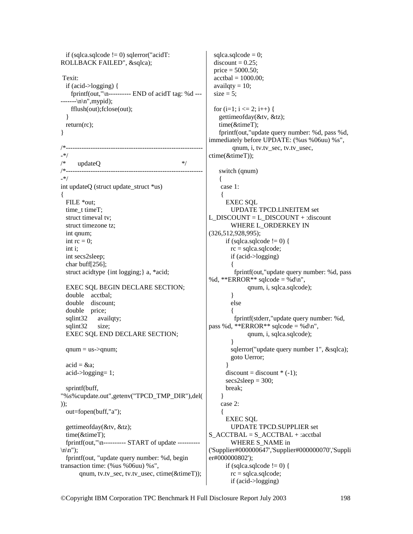if (sqlca.sqlcode  $!=$  0) sqlerror("acidT: ROLLBACK FAILED", &sqlca); Texit: if (acid->logging) { fprintf(out," $\infty$ ------------ END of acidT tag: %d --- $---\n\ln$ ", mypid); fflush(out);fclose(out); } return(rc); } /\*------------------------------------------------------------- -\*/  $updateQ$  \*/ /\*------------------------------------------------------------- -\*/ int updateQ (struct update struct \*us) { FILE \*out; time t timeT; struct timeval tv; struct timezone tz; int qnum; int  $rc = 0$ ; int i; int secs2sleep; char buff[256]; struct acidtype {int logging;} a, \*acid; EXEC SQL BEGIN DECLARE SECTION; double acctbal; double discount; double price; sqlint32 availqty; sqlint32 size; EXEC SQL END DECLARE SECTION;  $qnum = us$ -> $qnum$ ;  $acid = \&a$ : acid->logging= 1; sprintf(buff, "%s%cupdate.out",getenv("TPCD\_TMP\_DIR"),del( )); out=fopen(buff,"a"); gettimeofday(&tv, &tz); time(&timeT); fprintf(out,"\n---------- START of update ----------  $\ln$ "): fprintf(out, "update query number: %d, begin transaction time: (%us %06uu) %s", qnum, tv.tv\_sec, tv.tv\_usec, ctime(&timeT));

 $sqlcade = 0;$  $discount = 0.25$ ; price = 5000.50;  $\text{accelsal} = 1000.00$ ; availqty  $= 10$ ;  $size = 5$ ; for  $(i=1; i \leq 2; i++)$  { gettimeofday(&tv, &tz); time(&timeT); fprintf(out,"update query number: %d, pass %d, immediately before UPDATE: (%us %06uu) %s", qnum, i, tv.tv\_sec, tv.tv\_usec, ctime(&timeT)); switch (qnum)  $\left\{ \right.$  case 1:  $\{$  EXEC SQL UPDATE TPCD.LINEITEM set L\_DISCOUNT = L\_DISCOUNT + :discount WHERE L\_ORDERKEY IN (326,512,928,995); if (sqlca.sqlcode  $!= 0$ ) { rc = sqlca.sqlcode; if (acid->logging)  $\left\{\begin{array}{ccc} \end{array}\right\}$  fprintf(out,"update query number: %d, pass %d, \*\*ERROR\*\* sqlcode = %d\n", qnum, i, sqlca.sqlcode); } else { fprintf(stderr,"update query number: %d, pass %d, \*\*ERROR\*\* sqlcode = %d\n", qnum, i, sqlca.sqlcode); } sqlerror("update query number 1", &sqlca); goto Uerror; }  $discount = discount * (-1);$  $secs2sleep = 300;$  break; } case 2: { EXEC SQL UPDATE TPCD.SUPPLIER set  $S$  ACCTBAL =  $S$  ACCTBAL + :acctbal WHERE S\_NAME in ('Supplier#000000647','Supplier#000000070','Suppli er#000000802'); if (sqlca.sqlcode  $!= 0$ ) {  $rc = sqlca.sqlcode;$ if (acid->logging)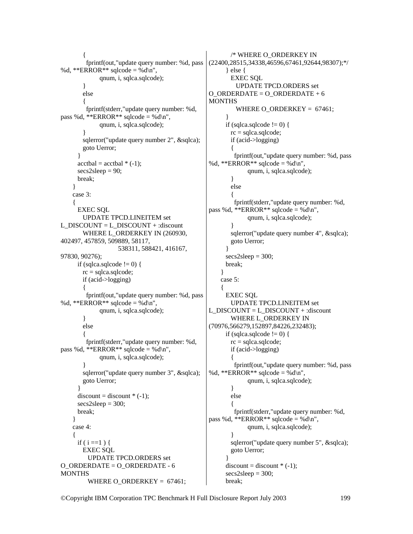```
 { 
          fprintf(out,"update query number: %d, pass 
%d, **ERROR** sqlcode = %d\n",
               qnum, i, sqlca.sqlcode); 
         } 
         else 
\left\{\begin{array}{ccc} \end{array}\right\} fprintf(stderr,"update query number: %d, 
pass %d, **ERROR** sqlcode = %d\n",
               qnum, i, sqlca.sqlcode); 
         } 
        sqlerror("update query number 2", &sqlca);
         goto Uerror; 
 } 
      \text{accelal} = \text{acctbal} * (-1);secs2sleep = 90; break; 
     } 
     case 3: 
\{EXEC SOL
         UPDATE TPCD.LINEITEM set 
L_DISCOUNT = L_DISCOUNT + :discount
        WHERE L_ORDERKEY IN (260930,
402497, 457859, 509889, 58117, 
                      538311, 588421, 416167, 
97830, 90276); 
      if (sqlca.sqlcode != 0) {
        rc = sqlca.sqlcode; if (acid->logging) 
         { 
          fprintf(out,"update query number: %d, pass 
%d, **ERROR** sqlcode = %d\n",
               qnum, i, sqlca.sqlcode); 
         } 
         else 
\left\{\begin{array}{ccc} \end{array}\right\} fprintf(stderr,"update query number: %d, 
pass %d, **ERROR** sqlcode = %d\n",
               qnum, i, sqlca.sqlcode); 
 } 
        sqlerror("update query number 3", &sqlca);
         goto Uerror; 
 } 
      discount = discount * (-1);secs2sleep = 300; break; 
     } 
     case 4: 
\{if ( i =1 ) {
         EXEC SQL 
           UPDATE TPCD.ORDERS set 
O_ORDERDATE = O_ORDERDATE - 6 
MONTHS
           WHERE O_ORDERKEY = 67461;
```

```
 /* WHERE O_ORDERKEY IN 
(22400,28515,34338,46596,67461,92644,98307);*/ 
       } else { 
         EXEC SQL 
           UPDATE TPCD.ORDERS set 
O_ORDERDATE = O ORDERDATE + 6
MONTHS
          WHERE O_ORDERKEY = 67461;
 } 
      if (sqlca.sqlcode != 0) {
         rc = sqlca.sqlcode; 
         if (acid->logging) 
\left\{\begin{array}{ccc} \end{array}\right\} fprintf(out,"update query number: %d, pass 
%d, **ERROR** sqlcode = %d\n",
                qnum, i, sqlca.sqlcode); 
         } 
         else 
         { 
          fprintf(stderr,"update query number: %d, 
pass %d, **ERROR** sqlcode = %d\n",
                qnum, i, sqlca.sqlcode); 
 } 
        sqlerror("update query number 4", &sqlca);
         goto Uerror; 
       } 
      secs2sleep = 300;
       break; 
     } 
     case 5: 
     { 
       EXEC SQL 
         UPDATE TPCD.LINEITEM set 
L_DISCOUNT = L_DISCOUNT + :discount
         WHERE L_ORDERKEY IN 
(70976,566279,152897,84226,232483); 
      if (sqlca.sqlcode != 0) {
        rc = sqlca.sqlcode; if (acid->logging) 
\left\{\begin{array}{ccc} \end{array}\right\} fprintf(out,"update query number: %d, pass 
%d, **ERROR** sqlcode = %d\n",
                qnum, i, sqlca.sqlcode); 
         } 
         else 
\left\{\begin{array}{ccc} \end{array}\right\} fprintf(stderr,"update query number: %d, 
pass %d, **ERROR** sqlcode = %d\n",
                qnum, i, sqlca.sqlcode); 
 } 
        sqlerror("update query number 5", &sqlca);
         goto Uerror; 
 } 
      discount = discount *(-1);
      secs2sleep = 300; break;
```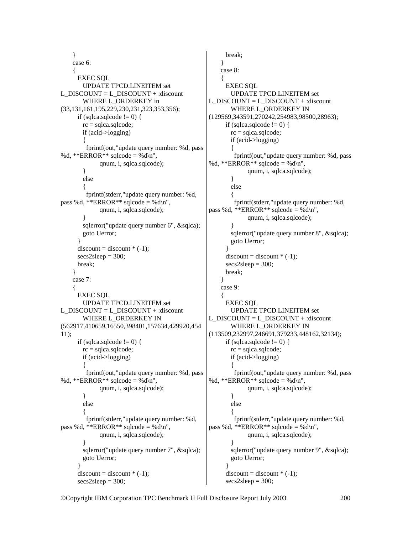```
 } 
     case 6: 
\{ EXEC SQL 
        UPDATE TPCD.LINEITEM set 
L_DISCOUNT = L_DISCOUNT + :discount
       WHERE L_ORDERKEY in
(33,131,161,195,229,230,231,323,353,356); 
     if (sqlca.sqlcode != 0) {
       rc = sqlca.sqlcode; if (acid->logging) 
        { 
         fprintf(out,"update query number: %d, pass 
%d, **ERROR** sqlcode = %d\n",
              qnum, i, sqlca.sqlcode); 
        } 
        else 
\left\{\begin{array}{ccc} \end{array}\right\} fprintf(stderr,"update query number: %d, 
pass %d, **ERROR** sqlcode = %d\n",
              qnum, i, sqlca.sqlcode); 
        } 
       sqlerror("update query number 6", &sqlca);
        goto Uerror; 
 } 
     discount = discount * (-1);secs2sleep = 300;
      break; 
 } 
     case 7: 
\{ EXEC SQL 
        UPDATE TPCD.LINEITEM set 
L_DISCOUNT = L_DISCOUNT + :discount
        WHERE L_ORDERKEY IN 
(562917,410659,16550,398401,157634,429920,454
11); 
     if (sqlca.sqlcode != 0) {
       rc = 1sqlcode;
        if (acid->logging) 
\{ fprintf(out,"update query number: %d, pass 
%d, **ERROR** sqlcode = %d\n",
              qnum, i, sqlca.sqlcode); 
        } 
        else 
\{ fprintf(stderr,"update query number: %d, 
pass %d, **ERROR** sqlcode = %d\n",
              qnum, i, sqlca.sqlcode); 
 } 
       sqlerror("update query number 7", &sqlca);
        goto Uerror; 
 } 
     discount = discount * (-1);secs2sleep = 300;
```

```
 break; 
     } 
     case 8: 
\{ EXEC SQL 
         UPDATE TPCD.LINEITEM set 
L_DISCOUNT = L_DISCOUNT + :discount
         WHERE L_ORDERKEY IN 
(129569,343591,270242,254983,98500,28963); 
      if (sqlca.sqlcode != 0) {
         rc = sqlca.sqlcode; 
         if (acid->logging) 
\left\{\begin{array}{ccc} \end{array}\right\} fprintf(out,"update query number: %d, pass 
%d, **ERROR** sqlcode = %d\n",
                qnum, i, sqlca.sqlcode); 
 } 
         else 
\left\{\begin{array}{ccc} \end{array}\right\} fprintf(stderr,"update query number: %d, 
pass %d, **ERROR** sqlcode = %d\n",
                qnum, i, sqlca.sqlcode); 
 } 
        sqlerror("update query number 8", &sqlca);
         goto Uerror; 
 } 
      discount = discount *(-1);
      secs2sleep = 300; break; 
     } 
     case 9: 
     { 
       EXEC SQL 
         UPDATE TPCD.LINEITEM set 
L_DISCOUNT = L_DISCOUNT + :discount
         WHERE L_ORDERKEY IN 
(113509,232997,246691,379233,448162,32134); 
      if (sqlca.sqlcode != 0) {
        rc = 1sqlcode;
         if (acid->logging) 
\left\{\begin{array}{ccc} \end{array}\right\} fprintf(out,"update query number: %d, pass 
%d, **ERROR** sqlcode = %d\n",
                qnum, i, sqlca.sqlcode); 
         } 
         else 
\left\{\begin{array}{ccc} \end{array}\right\} fprintf(stderr,"update query number: %d, 
pass %d, **ERROR** sqlcode = %d\n",
                qnum, i, sqlca.sqlcode); 
 } 
        sqlerror("update query number 9", &sqlca);
         goto Uerror; 
 } 
      discount = discount *(-1);
      secs2sleep = 300;
```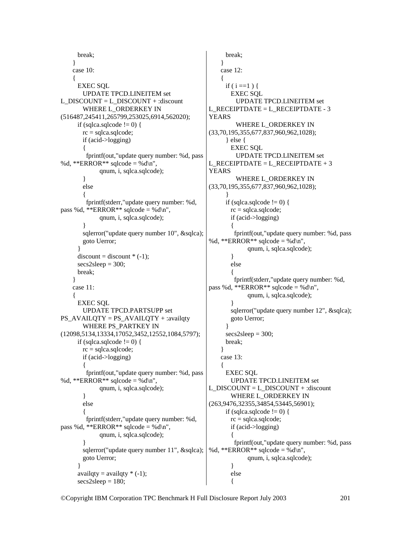```
 break; 
     } 
     case 10: 
\{ EXEC SQL 
        UPDATE TPCD.LINEITEM set 
L_DISCOUNT = L_DISCOUNT + :discount
        WHERE L_ORDERKEY IN 
(516487,245411,265799,253025,6914,562020); 
     if (sqlca.sqlcode != 0) {
        rc = sqlca.sqlcode; 
        if (acid->logging) 
        { 
         fprintf(out,"update query number: %d, pass 
%d, **ERROR** sqlcode = %d\n",
              qnum, i, sqlca.sqlcode); 
        } 
        else 
        { 
         fprintf(stderr,"update query number: %d, 
pass %d, **ERROR** sqlcode = %d\n",
              qnum, i, sqlca.sqlcode); 
 } 
       sqlerror("update query number 10", &sqlca);
        goto Uerror; 
 } 
     discount = discount * (-1);secs2sleep = 300; break; 
     } 
     case 11: 
\{ EXEC SQL 
        UPDATE TPCD.PARTSUPP set 
PS_AVAILQTY = PS_AVAILQTY + :availqty
        WHERE PS_PARTKEY IN 
(12098,5134,13334,17052,3452,12552,1084,5797); 
     if (sqlca.sqlcode != 0) {
       rc = 1sqlcode;
        if (acid->logging) 
\{ fprintf(out,"update query number: %d, pass 
%d, **ERROR** sqlcode = %d\n",
              qnum, i, sqlca.sqlcode); 
        } 
        else 
\{ fprintf(stderr,"update query number: %d, 
pass %d, **ERROR** sqlcode = %d\n",
              qnum, i, sqlca.sqlcode); 
 } 
       sqlerror("update query number 11", &sqlca);
        goto Uerror; 
 } 
     availqty = availqty *(-1);
     secs2sleep = 180; break; 
                                                         } 
                                                         case 12: 
                                                    \{if (i == 1) {
                                                             EXEC SQL 
                                                               UPDATE TPCD.LINEITEM set 
                                                    L_RECEIPTDATE = L_RECEIPTDATE - 3 
                                                    YEARS 
                                                               WHERE L_ORDERKEY IN 
                                                    (33,70,195,355,677,837,960,962,1028); 
                                                           } else { 
                                                             EXEC SQL 
                                                               UPDATE TPCD.LINEITEM set 
                                                    L<sub>RECEIPTDATE</sub> = L<sub>RECEIPTDATE</sub> + 3
                                                    YEARS 
                                                               WHERE L_ORDERKEY IN 
                                                    (33,70,195,355,677,837,960,962,1028); 
                                                     } 
                                                          if (sqlca.sqlcode != 0) {
                                                            rc = \text{sqlca.sqlcode}; if (acid->logging) 
                                                             { 
                                                              fprintf(out,"update query number: %d, pass 
                                                    %d, **ERROR** sqlcode = %d\n".
                                                                   qnum, i, sqlca.sqlcode); 
                                                             } 
                                                             else 
                                                    \left\{\begin{array}{ccc} \end{array}\right\} fprintf(stderr,"update query number: %d, 
                                                    pass %d, **ERROR** sqlcode = %d\n",
                                                                   qnum, i, sqlca.sqlcode); 
                                                             } 
                                                            sqlerror("update query number 12", &sqlca);
                                                             goto Uerror; 
                                                           } 
                                                          secs2sleep = 300; break; 
                                                         } 
                                                         case 13: 
                                                    \{ EXEC SQL 
                                                             UPDATE TPCD.LINEITEM set 
                                                    L_DISCOUNT = L_DISCOUNT + :discount
                                                             WHERE L_ORDERKEY IN 
                                                    (263,9476,32355,34854,53445,56901); 
                                                          if (sqlca.sqlcode != 0) {
                                                             rc = sqlca.sqlcode; 
                                                             if (acid->logging) 
                                                    \{ } 
                                                             else
```

```
©Copyright IBM Corporation TPC Benchmark H Full Disclosure Report July 2003 201
                                                      fprintf(out,"update query number: %d, pass 
                                             %d, **ERROR** sqlcode = %d\n",
                                                          qnum, i, sqlca.sqlcode); 
                                             \{
```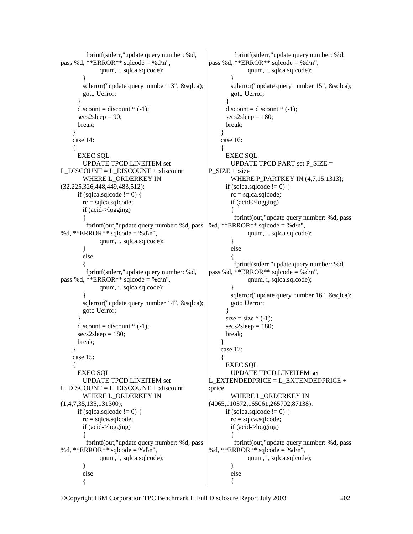```
 fprintf(stderr,"update query number: %d, 
pass %d, **ERROR** sqlcode = %d\n",
               qnum, i, sqlca.sqlcode); 
 } 
        sqlerror("update query number 13", &sqlca);
        goto Uerror; 
 } 
      discount = discount * (-1);secs2sleep = 90; break; 
     } 
     case 14: 
\{ EXEC SQL 
         UPDATE TPCD.LINEITEM set 
L_DISCOUNT = L_DISCOUNT + :discount
         WHERE L_ORDERKEY IN 
(32,225,326,448,449,483,512); 
      if (sqlca.sqlcode != 0) {
        rc = sqlca.sqlcode; if (acid->logging) 
         { 
          fprintf(out,"update query number: %d, pass 
%d, **ERROR** sqlcode = %d\n",
               qnum, i, sqlca.sqlcode); 
         } 
         else 
\left\{\begin{array}{ccc} \end{array}\right\} fprintf(stderr,"update query number: %d, 
pass %d, **ERROR** sqlcode = %d\n".
               qnum, i, sqlca.sqlcode); 
 } 
        sqlerror("update query number 14", &sqlca);
        goto Uerror; 
 } 
      discount = discount * (-1);secs2sleep = 180; break; 
     } 
     case 15: 
\{ EXEC SQL 
         UPDATE TPCD.LINEITEM set 
L_DISCOUNT = L_DISCOUNT + :discount
        WHERE L_ORDERKEY IN 
(1,4,7,35,135,131300); 
      if (sqlca.sqlcode != 0) {
        rc = sqlca.sqlcode; 
        if (acid->logging) 
\left\{\begin{array}{ccc} \end{array}\right\} fprintf(out,"update query number: %d, pass 
%d, **ERROR** sqlcode = %d\n".
               qnum, i, sqlca.sqlcode); 
         } 
        else 
         { 
                                                               fprintf(stderr,"update query number: %d, 
                                                     pass %d, **ERROR** sqlcode = %d\n",
                                                                    qnum, i, sqlca.sqlcode); 
                                                      } 
                                                             sqlerror("update query number 15", &sqlca);
                                                              goto Uerror; 
                                                      } 
                                                           discount = discount * (-1);secs2sleep = 180; break; 
                                                          } 
                                                          case 16: 
                                                     \{ EXEC SQL 
                                                              UPDATE TPCD.PART set P_SIZE = 
                                                     P SIZE + :sizeWHERE P_PARTKEY IN (4,7,15,1313);
                                                           if (sqlca.sqlcode != 0) {
                                                              rc = sqlca.sqlcode; 
                                                              if (acid->logging) 
                                                              { 
                                                               fprintf(out,"update query number: %d, pass 
                                                     %d, **ERROR** sqlcode = %d\n",
                                                                    qnum, i, sqlca.sqlcode); 
                                                              } 
                                                              else 
                                                     \{ fprintf(stderr,"update query number: %d, 
                                                     pass %d, **ERROR** sqlcode = %d\n",
                                                                    qnum, i, sqlca.sqlcode); 
                                                      } 
                                                             sqlerror("update query number 16", &sqlca);
                                                              goto Uerror; 
                                                      } 
                                                           size = size * (-1);secs2sleep = 180; break; 
                                                          } 
                                                          case 17: 
                                                     \{ EXEC SQL 
                                                              UPDATE TPCD.LINEITEM set 
                                                     L_EXTENDEDPRICE = L_EXTENDEDPRICE +
                                                     :price 
                                                              WHERE L_ORDERKEY IN 
                                                     (4065,110372,165061,265702,87138); 
                                                           if (sqlca.sqlcode != 0) {
                                                              rc = sqlca.sqlcode; 
                                                              if (acid->logging) 
                                                     \{ fprintf(out,"update query number: %d, pass 
                                                     %d, **ERROR** sqlcode = %d\n",
                                                                    qnum, i, sqlca.sqlcode); 
                                                              } 
                                                              else 
                                                     \{
```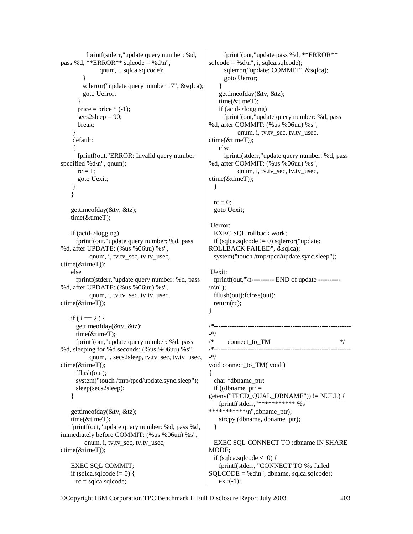```
 fprintf(stderr,"update query number: %d, 
pass %d, **ERROR** sqlcode = %d\n",
               qnum, i, sqlca.sqlcode); 
 } 
        sqlerror("update query number 17", &sqlca);
         goto Uerror; 
 } 
      price = price *(-1);
      secs2sleep = 90; break; 
 } 
     default: 
     { 
       fprintf(out,"ERROR: Invalid query number 
specified %d\n", qnum);
      rc = 1;
       goto Uexit; 
     } 
    } 
    gettimeofday(&tv, &tz); 
    time(&timeT); 
    if (acid->logging) 
      fprintf(out,"update query number: %d, pass 
%d, after UPDATE: (%us %06uu) %s", 
           qnum, i, tv.tv_sec, tv.tv_usec, 
ctime(&timeT)); 
    else 
      fprintf(stderr,"update query number: %d, pass 
%d, after UPDATE: (%us %06uu) %s", 
           qnum, i, tv.tv_sec, tv.tv_usec, 
ctime(&timeT)); 
   if ( i == 2 ) {
      gettimeofday(&tv, &tz); 
      time(&timeT); 
      fprintf(out,"update query number: %d, pass 
%d, sleeping for %d seconds: (%us %06uu) %s", 
           qnum, i, secs2sleep, tv.tv_sec, tv.tv_usec, 
ctime(&timeT)); 
      fflush(out); 
      system("touch /tmp/tpcd/update.sync.sleep"); 
      sleep(secs2sleep); 
     } 
    gettimeofday(&tv, &tz); 
    time(&timeT); 
    fprintf(out,"update query number: %d, pass %d, 
immediately before COMMIT: (%us %06uu) %s", 
         qnum, i, tv.tv_sec, tv.tv_usec, 
ctime(&timeT)); 
    EXEC SQL COMMIT; 
   if (sqlca.sqlcode != 0) {
      rc = sqlca.sqlcode; 
                                                       } 
                                                       SQLCDDE = %d\nu, dbname, sqlca.sqlcode);
```

```
 fprintf(out,"update pass %d, **ERROR** 
sqlcode = %d\nu", i, sqlcode);
      sqlerror("update: COMMIT", &sqlca); 
      goto Uerror; 
 } 
    gettimeofday(&tv, &tz); 
    time(&timeT); 
    if (acid->logging) 
      fprintf(out,"update query number: %d, pass 
%d, after COMMIT: (%us %06uu) %s", 
           qnum, i, tv.tv_sec, tv.tv_usec, 
ctime(&timeT)); 
    else 
      fprintf(stderr,"update query number: %d, pass 
%d, after COMMIT: (%us %06uu) %s", 
           qnum, i, tv.tv_sec, tv.tv_usec, 
ctime(&timeT)); 
  } 
 rc = 0;
  goto Uexit; 
 Uerror: 
  EXEC SQL rollback work; 
 if (sqlca.sqlcode != 0) sqlerror("update:
ROLLBACK FAILED", &sqlca); 
  system("touch /tmp/tpcd/update.sync.sleep"); 
 Uexit: 
  fprintf(out,"\n---------- END of update ----------
\ln\;
  fflush(out);fclose(out); 
  return(rc); 
/*-------------------------------------------------------------
-*/ 
/* connect_to_TM */ 
          /*-------------------------------------------------------------
-*/ 
void connect to TM( void )
{ 
  char *dbname_ptr; 
 if ((dbname_ptr =
getenv("TPCD_QUAL_DBNAME")) != NULL) { 
    fprintf(stderr,"*********** %s 
***********\n",dbname_ptr); 
    strcpy (dbname, dbname_ptr); 
 } 
  EXEC SQL CONNECT TO :dbname IN SHARE 
MODE; 
 if (sqlca.sqlcode < 0) {
    fprintf(stderr, "CONNECT TO %s failed
```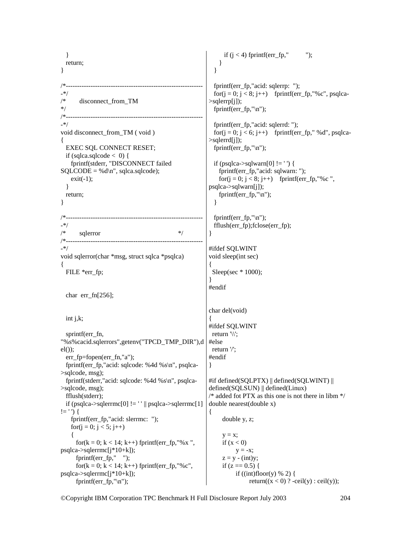} return; } /\*------------------------------------------------------------- -\*/ disconnect from TM \*/ /\*------------------------------------------------------------- -\*/ void disconnect from TM ( void ) { EXEC SQL CONNECT RESET; if (sqlca.sqlcode  $< 0$ ) { fprintf(stderr, "DISCONNECT failed  $SQLCODE = %d\n\pi$ , sqlca.sqlcode);  $exit(-1);$  } return; } /\*------------------------------------------------------------- -\*/  $\text{sglerror}$  \*/ /\*------------------------------------------------------------- -\*/ void sqlerror(char \*msg, struct sqlca \*psqlca) { FILE \*err fp; char err fn $[256]$ ; int j,k; sprintf(err\_fn, "%s%cacid.sqlerrors",getenv("TPCD\_TMP\_DIR"),d  $el()$ : err fp=fopen(err fn,"a"); fprintf(err\_fp,"acid: sqlcode: %4d %s\n", psqlca- >sqlcode, msg); fprintf(stderr,"acid: sqlcode: %4d %s\n", psqlca- >sqlcode, msg); fflush(stderr); if (psqlca->sqlerrmc[0]  $! =$  '' || psqlca->sqlerrmc[1]  $!=$  ' ') { fprintf(err\_fp,"acid: slerrmc: "); for( $i = 0$ ;  $j < 5$ ;  $j++)$  $\{$ for( $k = 0$ ;  $k < 14$ ;  $k++$ ) fprintf(err\_fp,"%x",  $psqlca\rightarrow sqlerrmc[i*10+k];$  fprintf(err\_fp," "); for( $k = 0$ ;  $k < 14$ ;  $k++$ ) fprintf(err\_fp,"%c", psqlca->sqlerrmc[j\*10+k]); fprintf(err\_fp,"\n"); if  $(i < 4)$  fprintf(err fp," "); } } fprintf(err fp,"acid: sqlerrp: "); for( $j = 0$ ;  $j < 8$ ;  $j++)$  fprintf(err\_fp,"%c", psqlca- $>$ sqlerrp $[i]$ ); fprintf(err\_fp,"\n"); fprintf(err fp,"acid: sqlerrd: "); for( $j = 0$ ;  $j < 6$ ;  $j++)$  fprintf(err\_fp," %d", psqlca->sqlerrd[j]); fprintf(err\_fp,"\n"); if (psqlca->sqlwarn $[0]$ != '') { fprintf(err\_fp,"acid: sqlwarn: "); for( $j = 0$ ;  $j < 8$ ;  $j++)$  fprintf(err\_fp,"%c", psqlca->sqlwarn[j]); fprintf(err  $fp$ ,"\n"); } fprintf(err\_fp,"\n"); fflush(err\_fp);fclose(err\_fp); } #ifdef SQLWINT void sleep(int sec) { Sleep(sec \* 1000); } #endif char del(void) { #ifdef SQLWINT return '\\'; #else return '/'; #endif } #if defined(SQLPTX) || defined(SQLWINT) || defined(SQLSUN) || defined(Linux)  $\frac{1}{2}$  added fot PTX as this one is not there in libm  $\frac{1}{2}$ double nearest(double x) { double y, z;  $y = x$ ; if  $(x < 0)$  $y = -x;$  $z = y - (int)y;$ if  $(z = 0.5)$  { if  $((int)floor(y) % 2)$  { return( $(x < 0)$  ? -ceil(y) : ceil(y));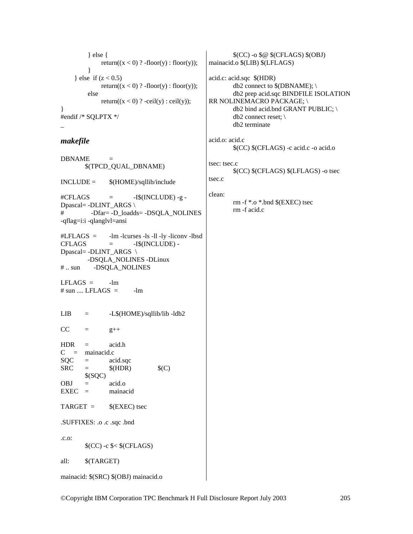```
\} else \{return((x < 0)? -floor(y): floor(y));
           ł
     } else if (z < 0.5)return((x < 0)? -floor(y): floor(y));
          else
                return((x < 0) ? -ceil(y) : ceil(y));
\mathcal{E}#endif /* SQLPTX */
```
## makefile

**DBNAME** \$(TPCD\_QUAL\_DBNAME)  $INCLIDE =$ \$(HOME)/sqllib/include  $-I$(INCLUDE) - g -$ #CFLAGS  $=$ Dpascal= -DLINT ARGS \ -Dfar= -D\_loadds= -DSQLA\_NOLINES # -qflag=i:i -qlanglyl=ansi -lm -lcurses -ls -ll -ly -liconv -lbsd  $#LFLAGS =$ **CFLAGS** -I\$(INCLUDE) - $=$ Dpascal= -DLINT\_ARGS \ -DSQLA\_NOLINES -DLinux  $#$  .. sun -DSQLA\_NOLINES  $LFLAGS =$  $-lm$ # sun .... LFLAGS  $=$  $-lm$ -L\$(HOME)/sqllib/lib -ldb2  $LIB$  $=$  $CC$  $\equiv$  $g++$ **HDR** acid.h  $\equiv$  $C = \text{mainacid.c}$ SQC acid.sqc  $\equiv$ **SRC**  $$$ (HDR)  $$(C)$  $\equiv$  $$(SQC)$ **OBJ**  $acid.o$  $=$  $EXEC =$ mainacid  $TARGET =$  $$$ (EXEC) tsec .SUFFIXES: .o .c .sqc .bnd  $.c.$ o:  $(CC) - c$   $\leq$   $(CFLAGS)$ all:  $$(TARGET)$ mainacid: \$(SRC) \$(OBJ) mainacid.o

 $(CC) - 0$   $@$   $(CFLAGS)$   $(QBJ)$ mainacid.o \$(LIB) \$(LFLAGS) acid.c: acid.sqc \$(HDR) db2 connect to \$(DBNAME); \ db2 prep acid.sqc BINDFILE ISOLATION **RR NOLINEMACRO PACKAGE: \** db2 bind acid.bnd GRANT PUBLIC; \  $db2$  connect reset;  $\langle \rangle$ db2 terminate acid.o: acid.c \$(CC) \$(CFLAGS) -c acid.c -o acid.o tsec: tsec.c \$(CC) \$(CFLAGS) \$(LFLAGS) -o tsec tsec.c clean: rm -f  $*$ .0  $*$ .bnd  $$(EXEC)$  tsec rm-f acid.c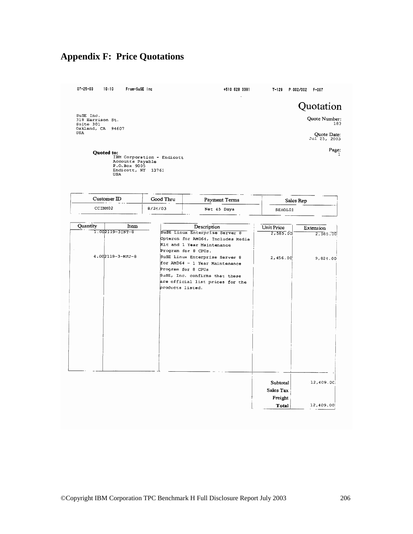# **Appendix F: Price Quotations**

 $07 - 25 - 03$  $10:10$ 

From-SuSE Inc

+510 628 3381

 $\ddot{\phantom{a}}$ 

Quotation

SuSE Inc.<br>318 Harrison St.<br>Suite 301<br>Oakland, CA 94607<br>USA

Quote Number:<br>183

Quote Date:<br>Jul 25, 2003

 $_{\rm Page:}$   $\,$ 

Quoted to:<br>
IBM Corporation - Endicott<br>
Accounts Payable<br>
P.O.Box 9005<br>
Endicott, NY 13761<br>
USA

| $Customer$ ID | Good Thru | Payment Terms | Sales Rep |
|---------------|-----------|---------------|-----------|
| CCTBM02       | 8/21/03   | Net 45 Days   | SEHOL01   |

| Quantity | Item             | Description                       | Unit Price   | Extension |
|----------|------------------|-----------------------------------|--------------|-----------|
|          | 1.002119-3INT-8  | SuSE Linux Enterprise Server 8    | 2,585.00     | 2,585.00  |
|          |                  | Opteron for AMD64, Includes Media |              |           |
|          |                  | Kit and 1 Year Maintenance        |              |           |
|          |                  | Program for 8 CPUs.               |              |           |
|          | 4.002119-3-MFJ-8 | SuSE Linux Enterprise Server 8    | 2,456.00     | 9,821.00  |
|          |                  | for AMD64 - 1 Year Maintenance    |              |           |
|          |                  | Program for 8 CPUs                |              |           |
|          |                  | SuSE, Inc. confirms that these    |              |           |
|          |                  | are official list prices for the  |              |           |
|          |                  | products listed.                  |              |           |
|          |                  |                                   |              |           |
|          |                  |                                   |              |           |
|          |                  |                                   |              |           |
|          |                  |                                   |              |           |
|          |                  |                                   |              |           |
|          |                  |                                   |              |           |
|          |                  |                                   |              |           |
|          |                  |                                   |              |           |
|          |                  |                                   |              |           |
|          |                  |                                   |              |           |
|          |                  |                                   |              |           |
|          |                  |                                   |              |           |
|          |                  |                                   |              |           |
|          |                  |                                   |              |           |
|          |                  |                                   | Subtotal     | 12,409.0C |
|          |                  |                                   | Sales Tax    |           |
|          |                  |                                   | Freight      |           |
|          |                  |                                   | <b>Total</b> | 12,409.00 |
|          |                  |                                   |              |           |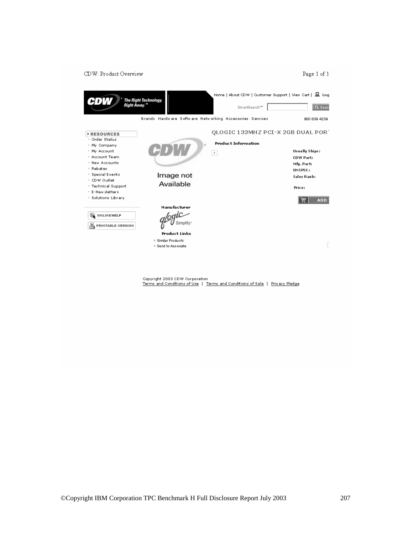#### CDW: Product Overview Page  $1$  of  $1$ Home | About CDW | Qustomer Support | View Cart | 且 Log The Right Technology<br>Right Away.™ CDW SmartSearch™ |  $Q$  Sean Brands Hardware Software Networking Accessories Services 800 839 4239 QLOGIC 133MHZ PCI-X 2GB DUAL PORT **FRESOURCES** · Order Status **Product Information** · My Company  $+$  My Account Usually Ships:  $\,$   $\,$ · Account Team CDW Part: · New Accounts Mfg. Part:  $+$  Rebates UNSPSC:  $+$  Special Events Image not Sales Rank: · CDW Outlet Available · Technical Support Price:  $\leq$  E-New sletters · Solutions Library |岸| ADD Manufacturer logic **Q** ONLINEHELP Simplify u **PRINTABLE VERSION Product Links** > Similar Products  $\boxed{.}$ > Send to Associate

Copyright 2003 CDW Corporation<br><u>Terms and Conditions of Use</u> | <u>Terms and Conditions of Sale</u> | <u>Privacy Pledge</u>